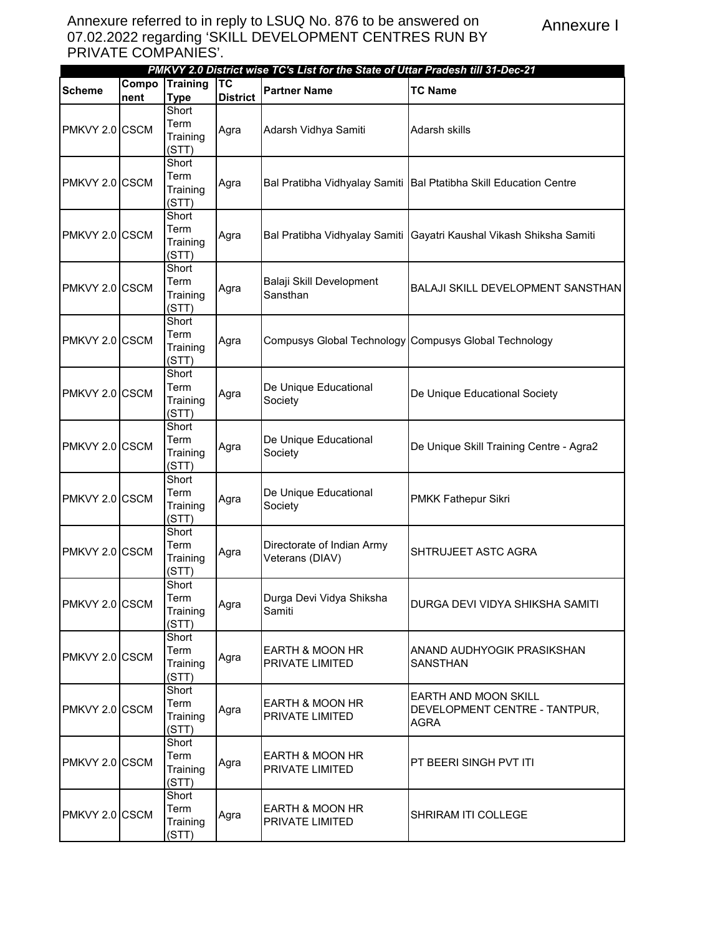|                |                          |                 |                 | PMKVY 2.0 District wise TC's List for the State of Uttar Pradesh till 31-Dec-21 |                                                                     |
|----------------|--------------------------|-----------------|-----------------|---------------------------------------------------------------------------------|---------------------------------------------------------------------|
| <b>Scheme</b>  | $\overline{\text{Comp}}$ | <b>Training</b> | <b>TC</b>       | <b>Partner Name</b>                                                             | <b>TC Name</b>                                                      |
|                | nent                     | <b>Type</b>     | <b>District</b> |                                                                                 |                                                                     |
|                |                          | Short           |                 |                                                                                 |                                                                     |
|                |                          | Term            |                 |                                                                                 |                                                                     |
| PMKVY 2.0 CSCM |                          | Training        | Agra            | Adarsh Vidhya Samiti                                                            | Adarsh skills                                                       |
|                |                          | (STT)           |                 |                                                                                 |                                                                     |
|                |                          | Short           |                 |                                                                                 |                                                                     |
|                |                          | Term            |                 |                                                                                 |                                                                     |
| PMKVY 2.0 CSCM |                          | Training        | Agra            |                                                                                 | Bal Pratibha Vidhyalay Samiti   Bal Ptatibha Skill Education Centre |
|                |                          | (STT)           |                 |                                                                                 |                                                                     |
|                |                          | Short           |                 |                                                                                 |                                                                     |
|                |                          | Term            |                 |                                                                                 |                                                                     |
| PMKVY 2.0 CSCM |                          |                 | Agra            |                                                                                 | Bal Pratibha Vidhyalay Samiti Gayatri Kaushal Vikash Shiksha Samiti |
|                |                          | Training        |                 |                                                                                 |                                                                     |
|                |                          | (STT)           |                 |                                                                                 |                                                                     |
|                |                          | Short           |                 |                                                                                 |                                                                     |
| PMKVY 2.0 CSCM |                          | Term            | Agra            | Balaji Skill Development                                                        | <b>BALAJI SKILL DEVELOPMENT SANSTHAN</b>                            |
|                |                          | Training        |                 | Sansthan                                                                        |                                                                     |
|                |                          | (STT)           |                 |                                                                                 |                                                                     |
|                |                          | Short           |                 |                                                                                 |                                                                     |
| PMKVY 2.0 CSCM |                          | Term            | Agra            |                                                                                 | Compusys Global Technology Compusys Global Technology               |
|                |                          | Training        |                 |                                                                                 |                                                                     |
|                |                          | (STT)           |                 |                                                                                 |                                                                     |
|                |                          | Short           |                 |                                                                                 |                                                                     |
|                |                          | Term            |                 | De Unique Educational                                                           |                                                                     |
| PMKVY 2.0 CSCM |                          | Training        | Agra            | Society                                                                         | De Unique Educational Society                                       |
|                |                          | (STT)           |                 |                                                                                 |                                                                     |
|                |                          | Short           |                 |                                                                                 |                                                                     |
|                |                          | Term            |                 | De Unique Educational                                                           |                                                                     |
| PMKVY 2.0 CSCM |                          | Training        | Agra            | Society                                                                         | De Unique Skill Training Centre - Agra2                             |
|                |                          | (STT)           |                 |                                                                                 |                                                                     |
|                |                          | Short           |                 |                                                                                 |                                                                     |
|                |                          | Term            |                 | De Unique Educational                                                           |                                                                     |
| PMKVY 2.0 CSCM |                          | Training        | Agra            | Society                                                                         | PMKK Fathepur Sikri                                                 |
|                |                          | (STT)           |                 |                                                                                 |                                                                     |
|                |                          | Short           |                 |                                                                                 |                                                                     |
|                |                          |                 |                 |                                                                                 |                                                                     |
| PMKVY 2.0 CSCM |                          | Term            | Agra            | Directorate of Indian Army                                                      | SHTRUJEET ASTC AGRA                                                 |
|                |                          | Training        |                 | Veterans (DIAV)                                                                 |                                                                     |
|                |                          | (STT)           |                 |                                                                                 |                                                                     |
|                |                          | Short           |                 |                                                                                 |                                                                     |
| PMKVY 2.0 CSCM |                          | Term            | Agra            | Durga Devi Vidya Shiksha                                                        | DURGA DEVI VIDYA SHIKSHA SAMITI                                     |
|                |                          | Training        |                 | Samiti                                                                          |                                                                     |
|                |                          | (STT)           |                 |                                                                                 |                                                                     |
|                |                          | Short           |                 |                                                                                 |                                                                     |
| PMKVY 2.0 CSCM |                          | Term            | Agra            | EARTH & MOON HR                                                                 | ANAND AUDHYOGIK PRASIKSHAN                                          |
|                |                          | Training        |                 | PRIVATE LIMITED                                                                 | <b>SANSTHAN</b>                                                     |
|                |                          | (STT)           |                 |                                                                                 |                                                                     |
|                |                          | Short           |                 |                                                                                 | <b>EARTH AND MOON SKILL</b>                                         |
| PMKVY 2.0 CSCM |                          | Term            |                 | <b>EARTH &amp; MOON HR</b>                                                      | DEVELOPMENT CENTRE - TANTPUR,                                       |
|                |                          | Training        | Agra            | PRIVATE LIMITED                                                                 |                                                                     |
|                |                          | (STT)           |                 |                                                                                 | AGRA                                                                |
|                |                          | Short           |                 |                                                                                 |                                                                     |
|                |                          | Term            |                 | EARTH & MOON HR                                                                 |                                                                     |
| PMKVY 2.0 CSCM |                          | Training        | Agra            | PRIVATE LIMITED                                                                 | PT BEERI SINGH PVT ITI                                              |
|                |                          | (STT)           |                 |                                                                                 |                                                                     |
|                |                          | Short           |                 |                                                                                 |                                                                     |
|                |                          | Term            |                 | EARTH & MOON HR                                                                 |                                                                     |
| PMKVY 2.0 CSCM |                          | Training        | Agra            | PRIVATE LIMITED                                                                 | SHRIRAM ITI COLLEGE                                                 |
|                |                          | (STT)           |                 |                                                                                 |                                                                     |
|                |                          |                 |                 |                                                                                 |                                                                     |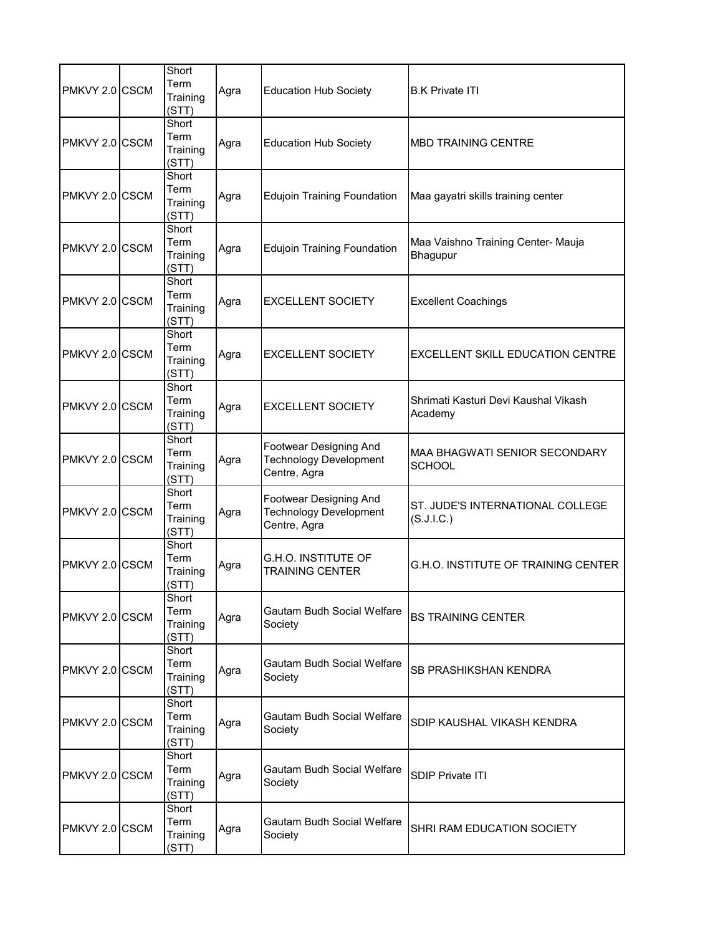| PMKVY 2.0 CSCM | Short<br>Term<br>Training<br>(STT) | Agra | <b>Education Hub Society</b>                                            | <b>B.K Private ITI</b>                          |
|----------------|------------------------------------|------|-------------------------------------------------------------------------|-------------------------------------------------|
| PMKVY 2.0 CSCM | Short<br>Term<br>Training<br>(STT) | Agra | <b>Education Hub Society</b>                                            | <b>MBD TRAINING CENTRE</b>                      |
| PMKVY 2.0 CSCM | Short<br>Term<br>Training<br>(STT) | Agra | <b>Edujoin Training Foundation</b>                                      | Maa gayatri skills training center              |
| PMKVY 2.0 CSCM | Short<br>Term<br>Training<br>(STT) | Agra | <b>Edujoin Training Foundation</b>                                      | Maa Vaishno Training Center- Mauja<br>Bhagupur  |
| PMKVY 2.0 CSCM | Short<br>Term<br>Training<br>(STT) | Agra | <b>EXCELLENT SOCIETY</b>                                                | <b>Excellent Coachings</b>                      |
| PMKVY 2.0 CSCM | Short<br>Term<br>Training<br>(STT) | Agra | <b>EXCELLENT SOCIETY</b>                                                | <b>EXCELLENT SKILL EDUCATION CENTRE</b>         |
| PMKVY 2.0 CSCM | Short<br>Term<br>Training<br>(STT) | Agra | <b>EXCELLENT SOCIETY</b>                                                | Shrimati Kasturi Devi Kaushal Vikash<br>Academy |
| PMKVY 2.0 CSCM | Short<br>Term<br>Training<br>(STT) | Agra | Footwear Designing And<br><b>Technology Development</b><br>Centre, Agra | MAA BHAGWATI SENIOR SECONDARY<br><b>SCHOOL</b>  |
| PMKVY 2.0 CSCM | Short<br>Term<br>Training<br>(STT) | Agra | Footwear Designing And<br><b>Technology Development</b><br>Centre, Agra | ST. JUDE'S INTERNATIONAL COLLEGE<br>(S.J.I.C.)  |
| PMKVY 2.0 CSCM | Short<br>Term<br>Training<br>(STT) | Agra | G.H.O. INSTITUTE OF<br><b>TRAINING CENTER</b>                           | <b>G.H.O. INSTITUTE OF TRAINING CENTER</b>      |
| PMKVY 2.0 CSCM | Short<br>Term<br>Training<br>(STT) | Agra | Gautam Budh Social Welfare<br>Society                                   | <b>BS TRAINING CENTER</b>                       |
| PMKVY 2.0 CSCM | Short<br>Term<br>Training<br>(STT) | Agra | Gautam Budh Social Welfare<br>Society                                   | SB PRASHIKSHAN KENDRA                           |
| PMKVY 2.0 CSCM | Short<br>Term<br>Training<br>(STT) | Agra | Gautam Budh Social Welfare<br>Society                                   | SDIP KAUSHAL VIKASH KENDRA                      |
| PMKVY 2.0 CSCM | Short<br>Term<br>Training<br>(STT) | Agra | Gautam Budh Social Welfare<br>Society                                   | <b>SDIP Private ITI</b>                         |
| PMKVY 2.0 CSCM | Short<br>Term<br>Training<br>(STT) | Agra | Gautam Budh Social Welfare<br>Society                                   | SHRI RAM EDUCATION SOCIETY                      |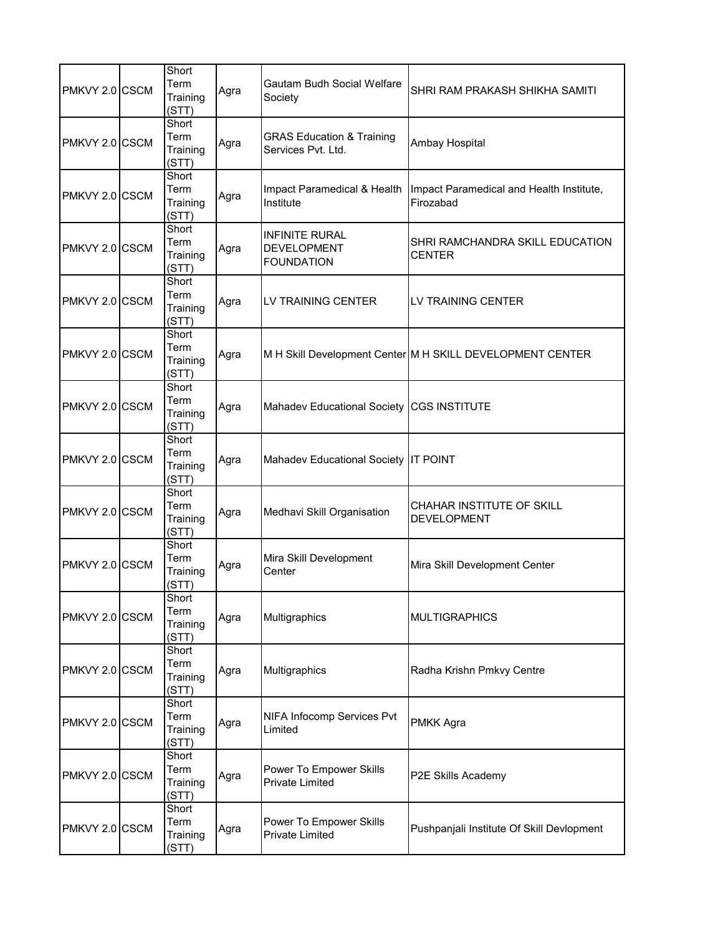| PMKVY 2.0 CSCM | Short<br>Term<br>Training<br>(STT) | Agra | Gautam Budh Social Welfare<br>Society                            | SHRI RAM PRAKASH SHIKHA SAMITI                            |
|----------------|------------------------------------|------|------------------------------------------------------------------|-----------------------------------------------------------|
| PMKVY 2.0 CSCM | Short<br>Term<br>Training<br>(STT) | Agra | <b>GRAS Education &amp; Training</b><br>Services Pvt. Ltd.       | Ambay Hospital                                            |
| PMKVY 2.0 CSCM | Short<br>Term<br>Training<br>(STT) | Agra | Impact Paramedical & Health<br>Institute                         | Impact Paramedical and Health Institute,<br>Firozabad     |
| PMKVY 2.0 CSCM | Short<br>Term<br>Training<br>(STT) | Agra | <b>INFINITE RURAL</b><br><b>DEVELOPMENT</b><br><b>FOUNDATION</b> | SHRI RAMCHANDRA SKILL EDUCATION<br><b>CENTER</b>          |
| PMKVY 2.0 CSCM | Short<br>Term<br>Training<br>(STT) | Agra | LV TRAINING CENTER                                               | LV TRAINING CENTER                                        |
| PMKVY 2.0 CSCM | Short<br>Term<br>Training<br>(STT) | Agra |                                                                  | M H Skill Development Center M H SKILL DEVELOPMENT CENTER |
| PMKVY 2.0 CSCM | Short<br>Term<br>Training<br>(STT) | Agra | Mahadev Educational Society                                      | <b>CGS INSTITUTE</b>                                      |
| PMKVY 2.0 CSCM | Short<br>Term<br>Training<br>(STT) | Agra | Mahadev Educational Society IT POINT                             |                                                           |
| PMKVY 2.0 CSCM | Short<br>Term<br>Training<br>(STT) | Agra | Medhavi Skill Organisation                                       | CHAHAR INSTITUTE OF SKILL<br><b>DEVELOPMENT</b>           |
| PMKVY 2.0 CSCM | Short<br>Term<br>Training<br>(STT) | Agra | Mira Skill Development<br>Center                                 | Mira Skill Development Center                             |
| PMKVY 2.0 CSCM | Short<br>Term<br>Training<br>(STT) | Agra | Multigraphics                                                    | <b>MULTIGRAPHICS</b>                                      |
| PMKVY 2.0 CSCM | Short<br>Term<br>Training<br>(STT) | Agra | Multigraphics                                                    | Radha Krishn Pmkvy Centre                                 |
| PMKVY 2.0 CSCM | Short<br>Term<br>Training<br>(STT) | Agra | NIFA Infocomp Services Pvt<br>Limited                            | PMKK Agra                                                 |
| PMKVY 2.0 CSCM | Short<br>Term<br>Training<br>(STT) | Agra | Power To Empower Skills<br><b>Private Limited</b>                | P2E Skills Academy                                        |
| PMKVY 2.0 CSCM | Short<br>Term<br>Training<br>(STT) | Agra | Power To Empower Skills<br>Private Limited                       | Pushpanjali Institute Of Skill Devlopment                 |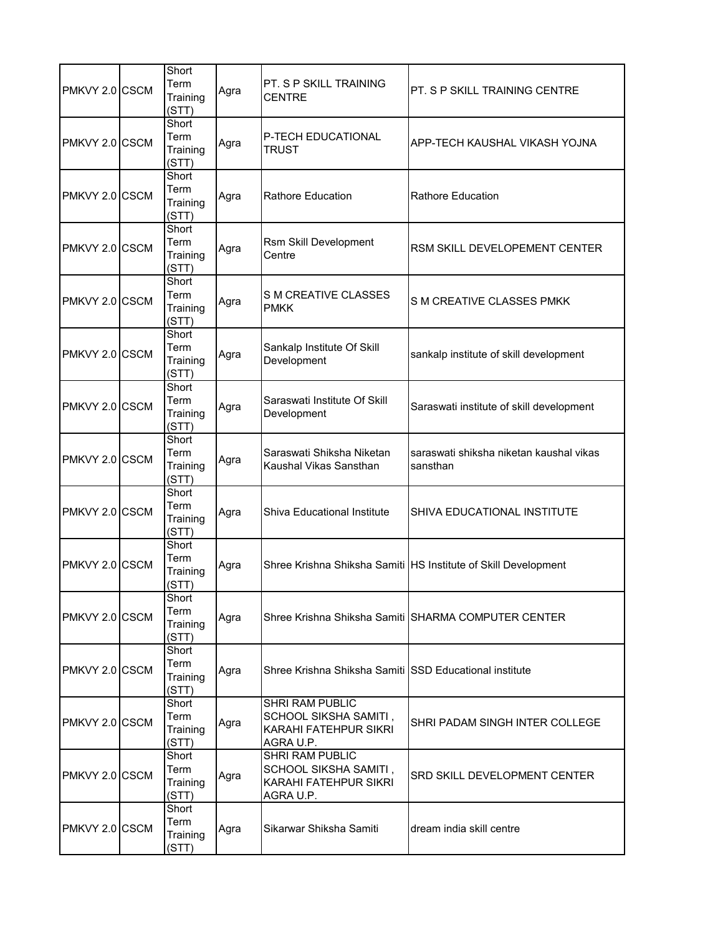| PMKVY 2.0 CSCM | Short<br>Term<br>Training<br>(STT) | Agra | PT. S P SKILL TRAINING<br><b>CENTRE</b>                                               | PT. S P SKILL TRAINING CENTRE                                  |
|----------------|------------------------------------|------|---------------------------------------------------------------------------------------|----------------------------------------------------------------|
| PMKVY 2.0 CSCM | Short<br>Term<br>Training<br>(STT) | Agra | P-TECH EDUCATIONAL<br><b>TRUST</b>                                                    | APP-TECH KAUSHAL VIKASH YOJNA                                  |
| PMKVY 2.0 CSCM | Short<br>Term<br>Training<br>(STT) | Agra | <b>Rathore Education</b>                                                              | <b>Rathore Education</b>                                       |
| PMKVY 2.0 CSCM | Short<br>Term<br>Training<br>(STT) | Agra | Rsm Skill Development<br>Centre                                                       | RSM SKILL DEVELOPEMENT CENTER                                  |
| PMKVY 2.0 CSCM | Short<br>Term<br>Training<br>(STT) | Agra | <b>S M CREATIVE CLASSES</b><br><b>PMKK</b>                                            | S M CREATIVE CLASSES PMKK                                      |
| PMKVY 2.0 CSCM | Short<br>Term<br>Training<br>(STT) | Agra | Sankalp Institute Of Skill<br>Development                                             | sankalp institute of skill development                         |
| PMKVY 2.0 CSCM | Short<br>Term<br>Training<br>(STT) | Agra | Saraswati Institute Of Skill<br>Development                                           | Saraswati institute of skill development                       |
| PMKVY 2.0 CSCM | Short<br>Term<br>Training<br>(STT) | Agra | Saraswati Shiksha Niketan<br>Kaushal Vikas Sansthan                                   | saraswati shiksha niketan kaushal vikas<br>sansthan            |
| PMKVY 2.0 CSCM | Short<br>Term<br>Training<br>(STT) | Agra | Shiva Educational Institute                                                           | SHIVA EDUCATIONAL INSTITUTE                                    |
| PMKVY 2.0 CSCM | Short<br>Term<br>Training<br>(STT) | Agra |                                                                                       | Shree Krishna Shiksha Samiti HS Institute of Skill Development |
| PMKVY 2.0 CSCM | Short<br>Term<br>Training<br>(STT) | Agra |                                                                                       | Shree Krishna Shiksha Samiti ISHARMA COMPUTER CENTER           |
| PMKVY 2.0 CSCM | Short<br>Term<br>Training<br>(STT) | Agra | Shree Krishna Shiksha Samiti SSD Educational institute                                |                                                                |
| PMKVY 2.0 CSCM | Short<br>Term<br>Training<br>(STT) | Agra | SHRI RAM PUBLIC<br>SCHOOL SIKSHA SAMITI,<br>KARAHI FATEHPUR SIKRI<br>AGRA U.P.        | SHRI PADAM SINGH INTER COLLEGE                                 |
| PMKVY 2.0 CSCM | Short<br>Term<br>Training<br>(STT) | Agra | <b>SHRI RAM PUBLIC</b><br>SCHOOL SIKSHA SAMITI,<br>KARAHI FATEHPUR SIKRI<br>AGRA U.P. | SRD SKILL DEVELOPMENT CENTER                                   |
| PMKVY 2.0 CSCM | Short<br>Term<br>Training<br>(STT) | Agra | Sikarwar Shiksha Samiti                                                               | dream india skill centre                                       |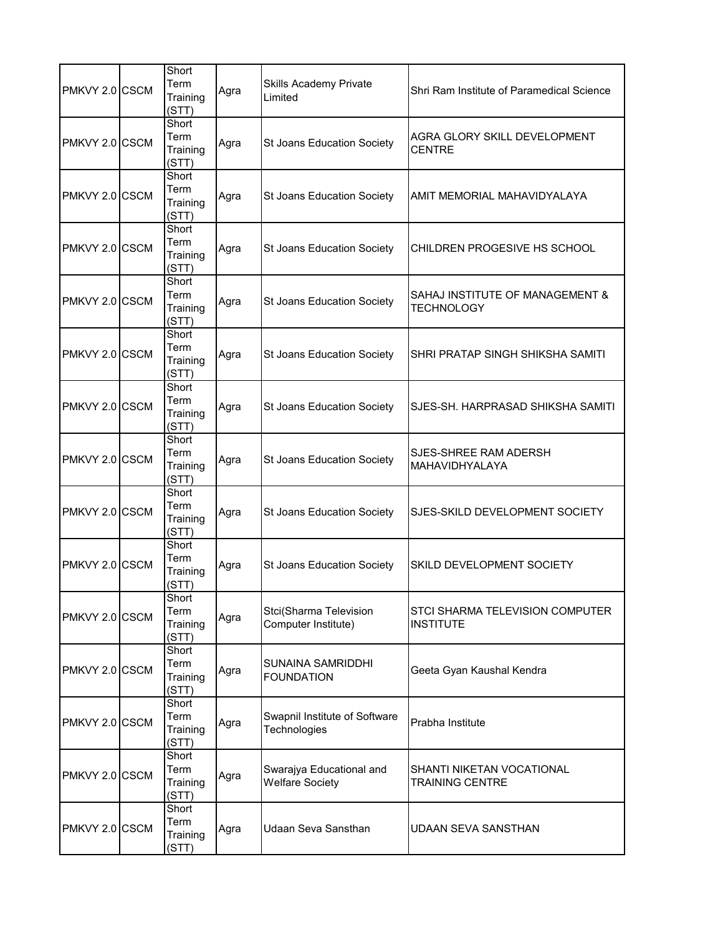| PMKVY 2.0 CSCM | Short<br>Term<br>Training<br>(STT) | Agra | Skills Academy Private<br>Limited                  | Shri Ram Institute of Paramedical Science            |
|----------------|------------------------------------|------|----------------------------------------------------|------------------------------------------------------|
| PMKVY 2.0 CSCM | Short<br>Term<br>Training<br>(STT) | Agra | St Joans Education Society                         | AGRA GLORY SKILL DEVELOPMENT<br><b>CENTRE</b>        |
| PMKVY 2.0 CSCM | Short<br>Term<br>Training<br>(STT) | Agra | St Joans Education Society                         | AMIT MEMORIAL MAHAVIDYALAYA                          |
| PMKVY 2.0 CSCM | Short<br>Term<br>Training<br>(STT) | Agra | <b>St Joans Education Society</b>                  | CHILDREN PROGESIVE HS SCHOOL                         |
| PMKVY 2.0 CSCM | Short<br>Term<br>Training<br>(STT) | Agra | St Joans Education Society                         | SAHAJ INSTITUTE OF MANAGEMENT &<br><b>TECHNOLOGY</b> |
| PMKVY 2.0 CSCM | Short<br>Term<br>Training<br>(STT) | Agra | St Joans Education Society                         | SHRI PRATAP SINGH SHIKSHA SAMITI                     |
| PMKVY 2.0 CSCM | Short<br>Term<br>Training<br>(STT) | Agra | St Joans Education Society                         | SJES-SH. HARPRASAD SHIKSHA SAMITI                    |
| PMKVY 2.0 CSCM | Short<br>Term<br>Training<br>(STT) | Agra | St Joans Education Society                         | SJES-SHREE RAM ADERSH<br>MAHAVIDHYALAYA              |
| PMKVY 2.0 CSCM | Short<br>Term<br>Training<br>(STT) | Agra | St Joans Education Society                         | SJES-SKILD DEVELOPMENT SOCIETY                       |
| PMKVY 2.0 CSCM | Short<br>Term<br>Training<br>(STT) | Agra | St Joans Education Society                         | SKILD DEVELOPMENT SOCIETY                            |
| PMKVY 2.0 CSCM | Short<br>Term<br>Training<br>(STT) | Agra | Stci(Sharma Television<br>Computer Institute)      | STCI SHARMA TELEVISION COMPUTER<br><b>INSTITUTE</b>  |
| PMKVY 2.0 CSCM | Short<br>Term<br>Training<br>(STT) | Agra | SUNAINA SAMRIDDHI<br><b>FOUNDATION</b>             | Geeta Gyan Kaushal Kendra                            |
| PMKVY 2.0 CSCM | Short<br>Term<br>Training<br>(STT) | Agra | Swapnil Institute of Software<br>Technologies      | Prabha Institute                                     |
| PMKVY 2.0 CSCM | Short<br>Term<br>Training<br>(STT) | Agra | Swarajya Educational and<br><b>Welfare Society</b> | SHANTI NIKETAN VOCATIONAL<br><b>TRAINING CENTRE</b>  |
| PMKVY 2.0 CSCM | Short<br>Term<br>Training<br>(STT) | Agra | Udaan Seva Sansthan                                | UDAAN SEVA SANSTHAN                                  |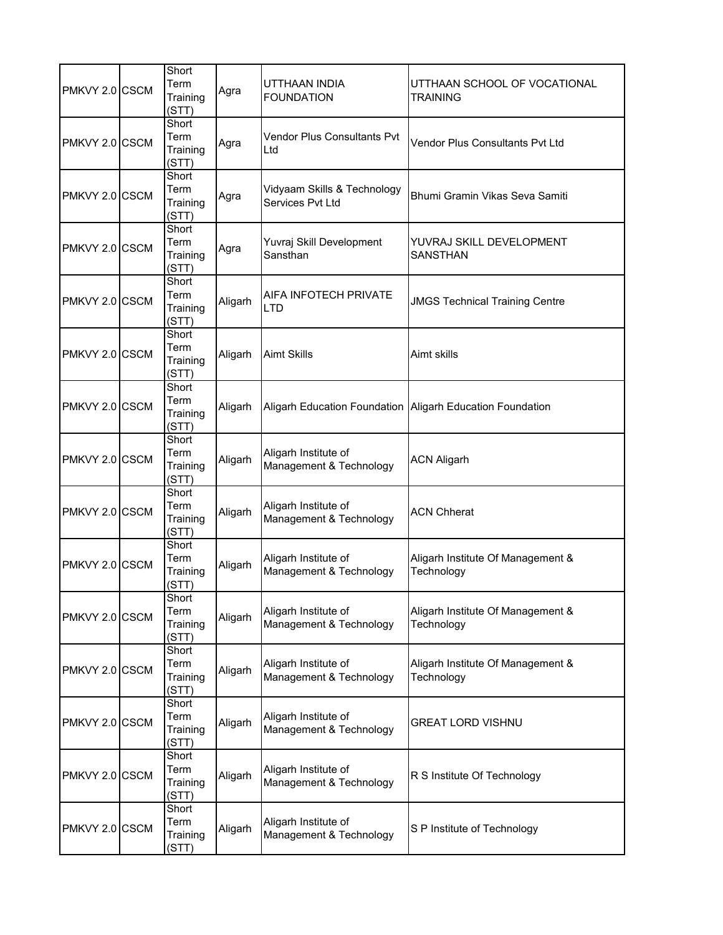| PMKVY 2.0 CSCM | Short<br>Term<br>Training<br>(STT) | Agra    | UTTHAAN INDIA<br><b>FOUNDATION</b>              | UTTHAAN SCHOOL OF VOCATIONAL<br><b>TRAINING</b> |
|----------------|------------------------------------|---------|-------------------------------------------------|-------------------------------------------------|
| PMKVY 2.0 CSCM | Short<br>Term<br>Training<br>(STT) | Agra    | Vendor Plus Consultants Pvt<br>Ltd              | <b>Vendor Plus Consultants Pvt Ltd</b>          |
| PMKVY 2.0 CSCM | Short<br>Term<br>Training<br>(STT) | Agra    | Vidyaam Skills & Technology<br>Services Pvt Ltd | Bhumi Gramin Vikas Seva Samiti                  |
| PMKVY 2.0 CSCM | Short<br>Term<br>Training<br>(STT) | Agra    | Yuvraj Skill Development<br>Sansthan            | YUVRAJ SKILL DEVELOPMENT<br><b>SANSTHAN</b>     |
| PMKVY 2.0 CSCM | Short<br>Term<br>Training<br>(STT) | Aligarh | AIFA INFOTECH PRIVATE<br><b>LTD</b>             | <b>JMGS Technical Training Centre</b>           |
| PMKVY 2.0 CSCM | Short<br>Term<br>Training<br>(STT) | Aligarh | <b>Aimt Skills</b>                              | Aimt skills                                     |
| PMKVY 2.0 CSCM | Short<br>Term<br>Training<br>(STT) | Aligarh | <b>Aligarh Education Foundation</b>             | <b>Aligarh Education Foundation</b>             |
| PMKVY 2.0 CSCM | Short<br>Term<br>Training<br>(STT) | Aligarh | Aligarh Institute of<br>Management & Technology | <b>ACN Aligarh</b>                              |
| PMKVY 2.0 CSCM | Short<br>Term<br>Training<br>(STT) | Aligarh | Aligarh Institute of<br>Management & Technology | <b>ACN Chherat</b>                              |
| PMKVY 2.0 CSCM | Short<br>Term<br>Training<br>(STT) | Aligarh | Aligarh Institute of<br>Management & Technology | Aligarh Institute Of Management &<br>Technology |
| PMKVY 2.0 CSCM | Short<br>Term<br>Training<br>(STT) | Aligarh | Aligarh Institute of<br>Management & Technology | Aligarh Institute Of Management &<br>Technology |
| PMKVY 2.0 CSCM | Short<br>Term<br>Training<br>(STT) | Aligarh | Aligarh Institute of<br>Management & Technology | Aligarh Institute Of Management &<br>Technology |
| PMKVY 2.0 CSCM | Short<br>Term<br>Training<br>(STT) | Aligarh | Aligarh Institute of<br>Management & Technology | <b>GREAT LORD VISHNU</b>                        |
| PMKVY 2.0 CSCM | Short<br>Term<br>Training<br>(STT) | Aligarh | Aligarh Institute of<br>Management & Technology | R S Institute Of Technology                     |
| PMKVY 2.0 CSCM | Short<br>Term<br>Training<br>(STT) | Aligarh | Aligarh Institute of<br>Management & Technology | S P Institute of Technology                     |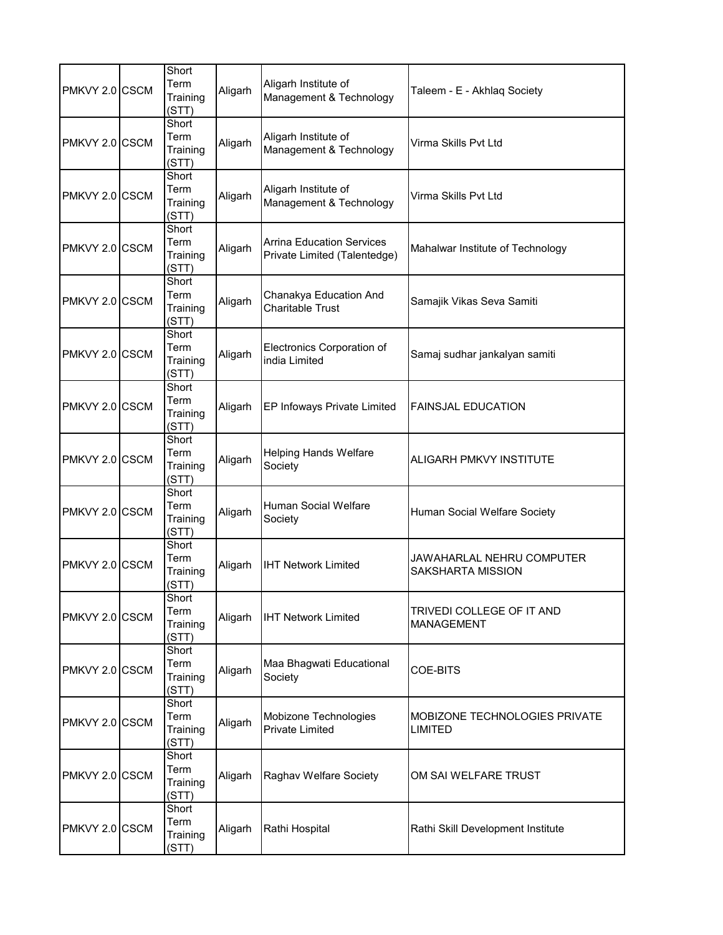| PMKVY 2.0 CSCM | Short<br>Term<br>Training<br>(STT) | Aligarh | Aligarh Institute of<br>Management & Technology                  | Taleem - E - Akhlaq Society                           |
|----------------|------------------------------------|---------|------------------------------------------------------------------|-------------------------------------------------------|
| PMKVY 2.0 CSCM | Short<br>Term<br>Training<br>(STT) | Aligarh | Aligarh Institute of<br>Management & Technology                  | Virma Skills Pvt Ltd                                  |
| PMKVY 2.0 CSCM | Short<br>Term<br>Training<br>(STT) | Aligarh | Aligarh Institute of<br>Management & Technology                  | Virma Skills Pvt Ltd                                  |
| PMKVY 2.0 CSCM | Short<br>Term<br>Training<br>(STT) | Aligarh | <b>Arrina Education Services</b><br>Private Limited (Talentedge) | Mahalwar Institute of Technology                      |
| PMKVY 2.0 CSCM | Short<br>Term<br>Training<br>(STT) | Aligarh | Chanakya Education And<br><b>Charitable Trust</b>                | Samajik Vikas Seva Samiti                             |
| PMKVY 2.0 CSCM | Short<br>Term<br>Training<br>(STT) | Aligarh | Electronics Corporation of<br>india Limited                      | Samaj sudhar jankalyan samiti                         |
| PMKVY 2.0 CSCM | Short<br>Term<br>Training<br>(STT) | Aligarh | EP Infoways Private Limited                                      | <b>FAINSJAL EDUCATION</b>                             |
| PMKVY 2.0 CSCM | Short<br>Term<br>Training<br>(STT) | Aligarh | <b>Helping Hands Welfare</b><br>Society                          | ALIGARH PMKVY INSTITUTE                               |
| PMKVY 2.0 CSCM | Short<br>Term<br>Training<br>(STT) | Aligarh | Human Social Welfare<br>Society                                  | Human Social Welfare Society                          |
| PMKVY 2.0 CSCM | Short<br>Term<br>Training<br>(STT) | Aligarh | <b>IHT Network Limited</b>                                       | JAWAHARLAL NEHRU COMPUTER<br><b>SAKSHARTA MISSION</b> |
| PMKVY 2.0 CSCM | Short<br>Term<br>Training<br>(STT) | Aligarh | <b>IHT Network Limited</b>                                       | TRIVEDI COLLEGE OF IT AND<br><b>MANAGEMENT</b>        |
| PMKVY 2.0 CSCM | Short<br>Term<br>Training<br>(STT) | Aligarh | Maa Bhagwati Educational<br>Society                              | COE-BITS                                              |
| PMKVY 2.0 CSCM | Short<br>Term<br>Training<br>(STT) | Aligarh | Mobizone Technologies<br><b>Private Limited</b>                  | MOBIZONE TECHNOLOGIES PRIVATE<br><b>LIMITED</b>       |
| PMKVY 2.0 CSCM | Short<br>Term<br>Training<br>(STT) | Aligarh | Raghav Welfare Society                                           | OM SAI WELFARE TRUST                                  |
| PMKVY 2.0 CSCM | Short<br>Term<br>Training<br>(STT) | Aligarh | Rathi Hospital                                                   | Rathi Skill Development Institute                     |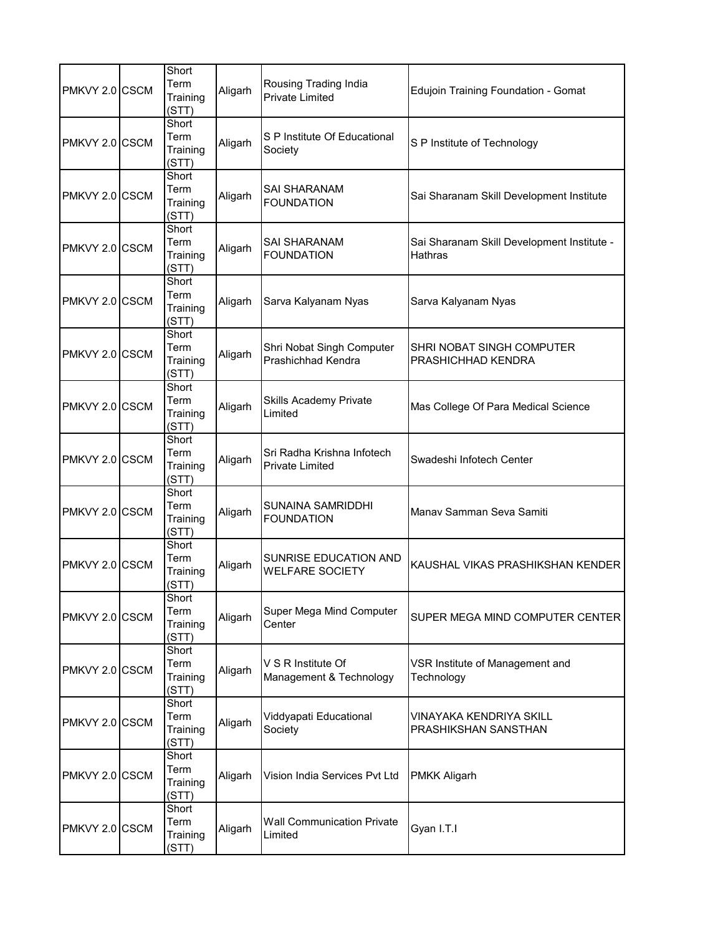| PMKVY 2.0 CSCM | Short<br>Term<br>Training<br>(STT) | Aligarh | Rousing Trading India<br><b>Private Limited</b>      | <b>Edujoin Training Foundation - Gomat</b>                   |
|----------------|------------------------------------|---------|------------------------------------------------------|--------------------------------------------------------------|
| PMKVY 2.0 CSCM | Short<br>Term<br>Training<br>(STT) | Aligarh | S P Institute Of Educational<br>Society              | S P Institute of Technology                                  |
| PMKVY 2.0 CSCM | Short<br>Term<br>Training<br>(STT) | Aligarh | SAI SHARANAM<br><b>FOUNDATION</b>                    | Sai Sharanam Skill Development Institute                     |
| PMKVY 2.0 CSCM | Short<br>Term<br>Training<br>(STT) | Aligarh | SAI SHARANAM<br><b>FOUNDATION</b>                    | Sai Sharanam Skill Development Institute -<br><b>Hathras</b> |
| PMKVY 2.0 CSCM | Short<br>Term<br>Training<br>(STT) | Aligarh | Sarva Kalyanam Nyas                                  | Sarva Kalyanam Nyas                                          |
| PMKVY 2.0 CSCM | Short<br>Term<br>Training<br>(STT) | Aligarh | Shri Nobat Singh Computer<br>Prashichhad Kendra      | SHRI NOBAT SINGH COMPUTER<br>PRASHICHHAD KENDRA              |
| PMKVY 2.0 CSCM | Short<br>Term<br>Training<br>(STT) | Aligarh | Skills Academy Private<br>Limited                    | Mas College Of Para Medical Science                          |
| PMKVY 2.0 CSCM | Short<br>Term<br>Training<br>(STT) | Aligarh | Sri Radha Krishna Infotech<br><b>Private Limited</b> | Swadeshi Infotech Center                                     |
| PMKVY 2.0 CSCM | Short<br>Term<br>Training<br>(STT) | Aligarh | SUNAINA SAMRIDDHI<br><b>FOUNDATION</b>               | Manav Samman Seva Samiti                                     |
| PMKVY 2.0 CSCM | Short<br>Term<br>Training<br>(STT) | Aligarh | SUNRISE EDUCATION AND<br><b>WELFARE SOCIETY</b>      | KAUSHAL VIKAS PRASHIKSHAN KENDER                             |
| PMKVY 2.0 CSCM | Short<br>Term<br>Training<br>(STT) | Aligarh | Super Mega Mind Computer<br>Center                   | SUPER MEGA MIND COMPUTER CENTER                              |
| PMKVY 2.0 CSCM | Short<br>Term<br>Training<br>(STT) | Aligarh | V S R Institute Of<br>Management & Technology        | VSR Institute of Management and<br>Technology                |
| PMKVY 2.0 CSCM | Short<br>Term<br>Training<br>(STT) | Aligarh | Viddyapati Educational<br>Society                    | VINAYAKA KENDRIYA SKILL<br>PRASHIKSHAN SANSTHAN              |
| PMKVY 2.0 CSCM | Short<br>Term<br>Training<br>(STT) | Aligarh | Vision India Services Pvt Ltd                        | <b>PMKK Aligarh</b>                                          |
| PMKVY 2.0 CSCM | Short<br>Term<br>Training<br>(STT) | Aligarh | <b>Wall Communication Private</b><br>Limited         | Gyan I.T.I                                                   |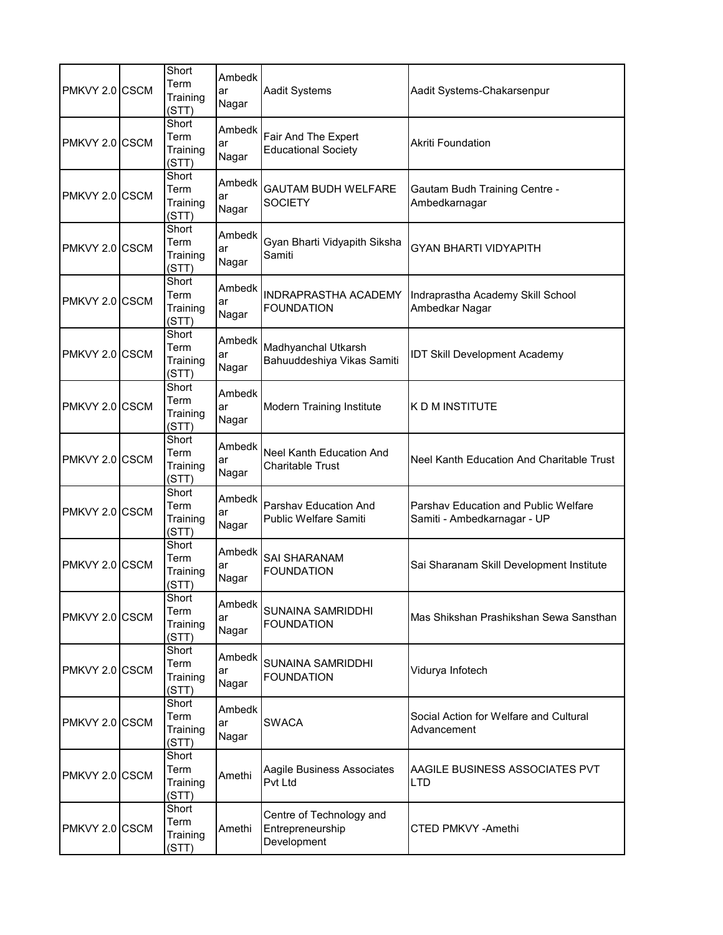| PMKVY 2.0 CSCM | Short<br>Term<br>Training<br>(STT) | Ambedk<br>ar<br>Nagar | <b>Aadit Systems</b>                                        | Aadit Systems-Chakarsenpur                                          |
|----------------|------------------------------------|-----------------------|-------------------------------------------------------------|---------------------------------------------------------------------|
| PMKVY 2.0 CSCM | Short<br>Term<br>Training<br>(STT) | Ambedk<br>ar<br>Nagar | Fair And The Expert<br><b>Educational Society</b>           | <b>Akriti Foundation</b>                                            |
| PMKVY 2.0 CSCM | Short<br>Term<br>Training<br>(STT) | Ambedk<br>ar<br>Nagar | <b>GAUTAM BUDH WELFARE</b><br><b>SOCIETY</b>                | <b>Gautam Budh Training Centre -</b><br>Ambedkarnagar               |
| PMKVY 2.0 CSCM | Short<br>Term<br>Training<br>(STT) | Ambedk<br>ar<br>Nagar | Gyan Bharti Vidyapith Siksha<br>Samiti                      | <b>GYAN BHARTI VIDYAPITH</b>                                        |
| PMKVY 2.0 CSCM | Short<br>Term<br>Training<br>(STT) | Ambedk<br>ar<br>Nagar | <b>INDRAPRASTHA ACADEMY</b><br><b>FOUNDATION</b>            | Indraprastha Academy Skill School<br>Ambedkar Nagar                 |
| PMKVY 2.0 CSCM | Short<br>Term<br>Training<br>(STT) | Ambedk<br>ar<br>Nagar | Madhyanchal Utkarsh<br>Bahuuddeshiya Vikas Samiti           | <b>IDT Skill Development Academy</b>                                |
| PMKVY 2.0 CSCM | Short<br>Term<br>Training<br>(STT) | Ambedk<br>ar<br>Nagar | Modern Training Institute                                   | K D M INSTITUTE                                                     |
| PMKVY 2.0 CSCM | Short<br>Term<br>Training<br>(STT) | Ambedk<br>ar<br>Nagar | <b>Neel Kanth Education And</b><br><b>Charitable Trust</b>  | Neel Kanth Education And Charitable Trust                           |
| PMKVY 2.0 CSCM | Short<br>Term<br>Training<br>(STT) | Ambedk<br>ar<br>Nagar | Parshav Education And<br><b>Public Welfare Samiti</b>       | Parshav Education and Public Welfare<br>Samiti - Ambedkarnagar - UP |
| PMKVY 2.0 CSCM | Short<br>Term<br>Training<br>(STT) | Ambedk<br>ar<br>Nagar | <b>SAI SHARANAM</b><br><b>FOUNDATION</b>                    | Sai Sharanam Skill Development Institute                            |
| PMKVY 2.0 CSCM | Short<br>Term<br>Training<br>(STT) | Ambedk<br>ar<br>Nagar | SUNAINA SAMRIDDHI<br><b>FOUNDATION</b>                      | Mas Shikshan Prashikshan Sewa Sansthan                              |
| PMKVY 2.0 CSCM | Short<br>Term<br>Training<br>(STT) | Ambedk<br>ar<br>Nagar | SUNAINA SAMRIDDHI<br><b>FOUNDATION</b>                      | Vidurya Infotech                                                    |
| PMKVY 2.0 CSCM | Short<br>Term<br>Training<br>(STT) | Ambedk<br>ar<br>Nagar | <b>SWACA</b>                                                | Social Action for Welfare and Cultural<br>Advancement               |
| PMKVY 2.0 CSCM | Short<br>Term<br>Training<br>(STT) | Amethi                | Aagile Business Associates<br>Pvt Ltd                       | AAGILE BUSINESS ASSOCIATES PVT<br><b>LTD</b>                        |
| PMKVY 2.0 CSCM | Short<br>Term<br>Training<br>(STT) | Amethi                | Centre of Technology and<br>Entrepreneurship<br>Development | CTED PMKVY -Amethi                                                  |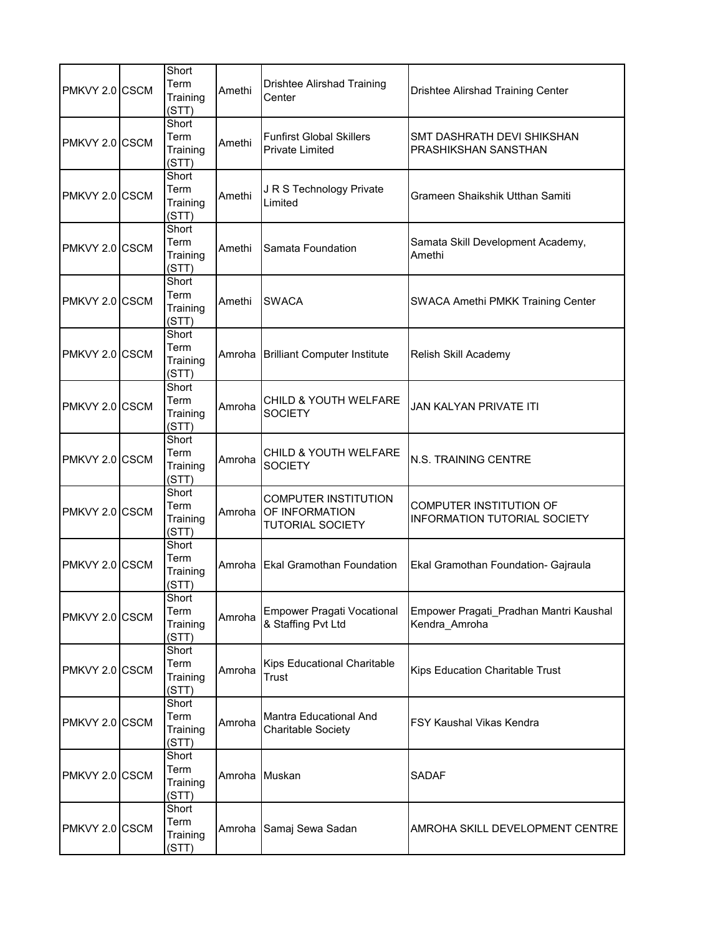| PMKVY 2.0 CSCM | Short<br>Term<br>Training<br>(STT) | Amethi        | <b>Drishtee Alirshad Training</b><br>Center                              | Drishtee Alirshad Training Center                              |
|----------------|------------------------------------|---------------|--------------------------------------------------------------------------|----------------------------------------------------------------|
| PMKVY 2.0 CSCM | Short<br>Term<br>Training<br>(STT) | Amethi        | <b>Funfirst Global Skillers</b><br><b>Private Limited</b>                | SMT DASHRATH DEVI SHIKSHAN<br>PRASHIKSHAN SANSTHAN             |
| PMKVY 2.0 CSCM | Short<br>Term<br>Training<br>(STT) | Amethi        | J R S Technology Private<br>Limited                                      | Grameen Shaikshik Utthan Samiti                                |
| PMKVY 2.0 CSCM | Short<br>Term<br>Training<br>(STT) | Amethi        | Samata Foundation                                                        | Samata Skill Development Academy,<br>Amethi                    |
| PMKVY 2.0 CSCM | Short<br>Term<br>Training<br>(STT) | Amethi        | <b>SWACA</b>                                                             | <b>SWACA Amethi PMKK Training Center</b>                       |
| PMKVY 2.0 CSCM | Short<br>Term<br>Training<br>(STT) |               | Amroha Brilliant Computer Institute                                      | Relish Skill Academy                                           |
| PMKVY 2.0 CSCM | Short<br>Term<br>Training<br>(STT) | Amroha        | <b>CHILD &amp; YOUTH WELFARE</b><br><b>SOCIETY</b>                       | <b>JAN KALYAN PRIVATE ITI</b>                                  |
| PMKVY 2.0 CSCM | Short<br>Term<br>Training<br>(STT) | Amroha        | CHILD & YOUTH WELFARE<br><b>SOCIETY</b>                                  | N.S. TRAINING CENTRE                                           |
| PMKVY 2.0 CSCM | Short<br>Term<br>Training<br>(STT) | Amroha        | <b>COMPUTER INSTITUTION</b><br>OF INFORMATION<br><b>TUTORIAL SOCIETY</b> | COMPUTER INSTITUTION OF<br><b>INFORMATION TUTORIAL SOCIETY</b> |
| PMKVY 2.0 CSCM | Short<br>Term<br>Training<br>(STT) |               | Amroha Ekal Gramothan Foundation                                         | Ekal Gramothan Foundation- Gajraula                            |
| PMKVY 2.0 CSCM | Short<br>Term<br>Training<br>(STT) | Amroha        | <b>Empower Pragati Vocational</b><br>& Staffing Pvt Ltd                  | Empower Pragati_Pradhan Mantri Kaushal<br>Kendra_Amroha        |
| PMKVY 2.0 CSCM | Short<br>Term<br>Training<br>(STT) | Amroha        | Kips Educational Charitable<br><b>Trust</b>                              | Kips Education Charitable Trust                                |
| PMKVY 2.0 CSCM | Short<br>Term<br>Training<br>(STT) | Amroha        | Mantra Educational And<br><b>Charitable Society</b>                      | <b>FSY Kaushal Vikas Kendra</b>                                |
| PMKVY 2.0 CSCM | Short<br>Term<br>Training<br>(STT) | Amroha Muskan |                                                                          | <b>SADAF</b>                                                   |
| PMKVY 2.0 CSCM | Short<br>Term<br>Training<br>(STT) |               | Amroha Samaj Sewa Sadan                                                  | AMROHA SKILL DEVELOPMENT CENTRE                                |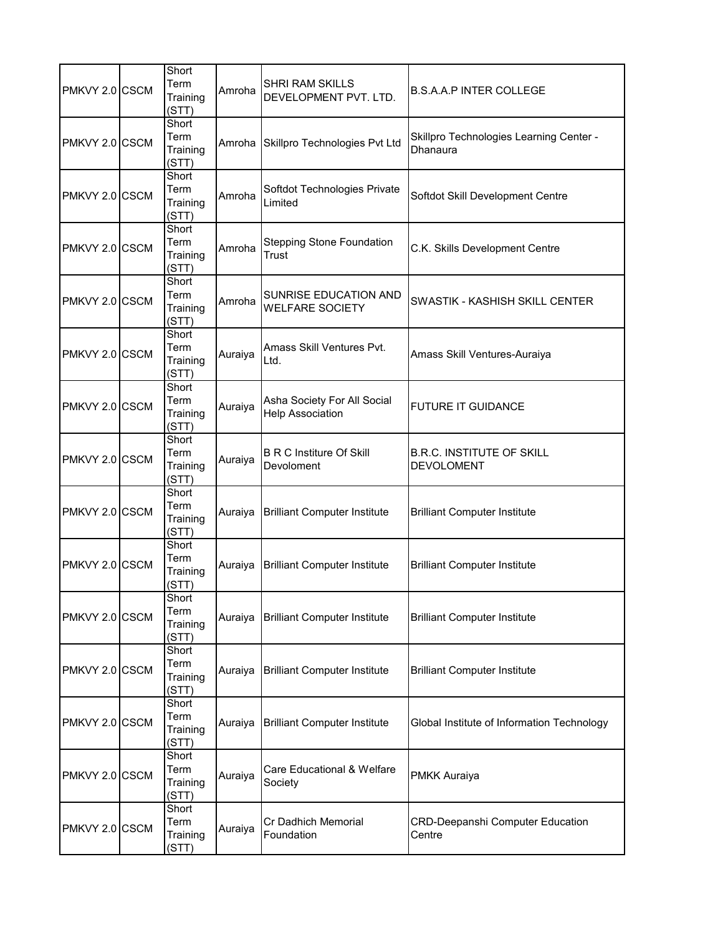| PMKVY 2.0 CSCM | Short<br>Term<br>Training<br>(STT) | Amroha  | SHRI RAM SKILLS<br>DEVELOPMENT PVT. LTD.               | <b>B.S.A.A.P INTER COLLEGE</b>                        |
|----------------|------------------------------------|---------|--------------------------------------------------------|-------------------------------------------------------|
| PMKVY 2.0 CSCM | Short<br>Term<br>Training<br>(STT) | Amroha  | Skillpro Technologies Pvt Ltd                          | Skillpro Technologies Learning Center -<br>Dhanaura   |
| PMKVY 2.0 CSCM | Short<br>Term<br>Training<br>(STT) | Amroha  | Softdot Technologies Private<br>Limited                | Softdot Skill Development Centre                      |
| PMKVY 2.0 CSCM | Short<br>Term<br>Training<br>(STT) | Amroha  | <b>Stepping Stone Foundation</b><br>Trust              | C.K. Skills Development Centre                        |
| PMKVY 2.0 CSCM | Short<br>Term<br>Training<br>(STT) | Amroha  | <b>SUNRISE EDUCATION AND</b><br><b>WELFARE SOCIETY</b> | SWASTIK - KASHISH SKILL CENTER                        |
| PMKVY 2.0 CSCM | Short<br>Term<br>Training<br>(STT) | Auraiya | Amass Skill Ventures Pvt.<br>Ltd.                      | Amass Skill Ventures-Auraiya                          |
| PMKVY 2.0 CSCM | Short<br>Term<br>Training<br>(STT) | Auraiya | Asha Society For All Social<br><b>Help Association</b> | <b>FUTURE IT GUIDANCE</b>                             |
| PMKVY 2.0 CSCM | Short<br>Term<br>Training<br>(STT) | Auraiya | <b>B R C Institure Of Skill</b><br>Devoloment          | <b>B.R.C. INSTITUTE OF SKILL</b><br><b>DEVOLOMENT</b> |
| PMKVY 2.0 CSCM | Short<br>Term<br>Training<br>(STT) | Auraiya | <b>Brilliant Computer Institute</b>                    | <b>Brilliant Computer Institute</b>                   |
| PMKVY 2.0 CSCM | Short<br>Term<br>Training<br>(STT) | Auraiya | <b>Brilliant Computer Institute</b>                    | <b>Brilliant Computer Institute</b>                   |
| PMKVY 2.0 CSCM | Short<br>Term<br>Training<br>(STT) | Auraiya | <b>Brilliant Computer Institute</b>                    | <b>Brilliant Computer Institute</b>                   |
| PMKVY 2.0 CSCM | Short<br>Term<br>Training<br>(STT) | Auraiya | <b>Brilliant Computer Institute</b>                    | <b>Brilliant Computer Institute</b>                   |
| PMKVY 2.0 CSCM | Short<br>Term<br>Training<br>(STT) | Auraiya | <b>Brilliant Computer Institute</b>                    | Global Institute of Information Technology            |
| PMKVY 2.0 CSCM | Short<br>Term<br>Training<br>(STT) | Auraiya | Care Educational & Welfare<br>Society                  | <b>PMKK Auraiya</b>                                   |
| PMKVY 2.0 CSCM | Short<br>Term<br>Training<br>(STT) | Auraiya | Cr Dadhich Memorial<br>Foundation                      | <b>CRD-Deepanshi Computer Education</b><br>Centre     |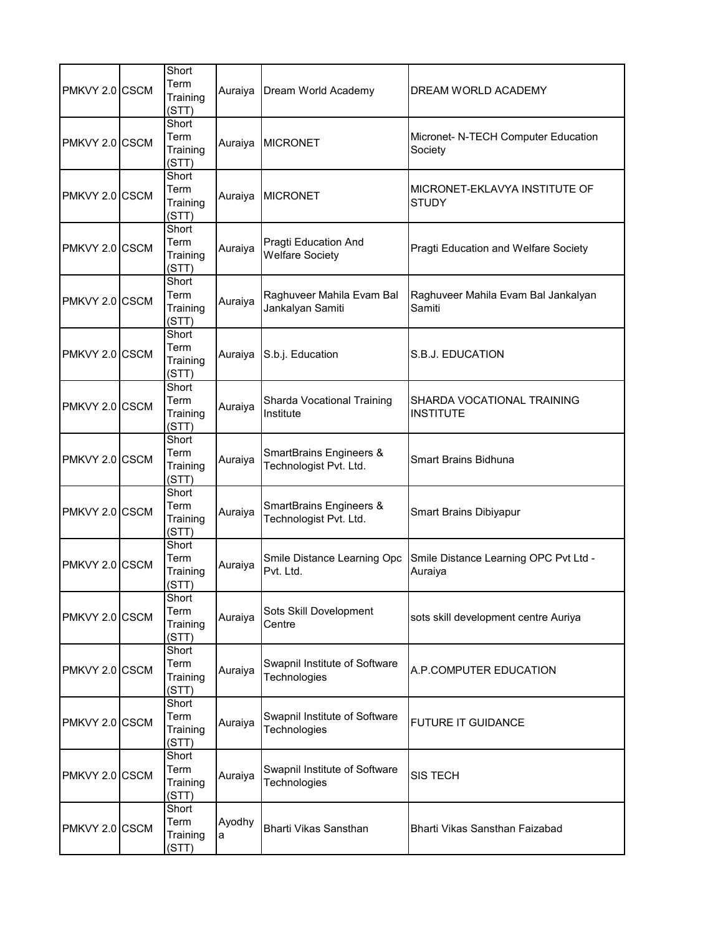| PMKVY 2.0 CSCM | Short<br>Term<br>Training<br>(STT) |             | Auraiya Dream World Academy                       | DREAM WORLD ACADEMY                              |
|----------------|------------------------------------|-------------|---------------------------------------------------|--------------------------------------------------|
| PMKVY 2.0 CSCM | Short<br>Term<br>Training<br>(STT) | Auraiya     | <b>MICRONET</b>                                   | Micronet- N-TECH Computer Education<br>Society   |
| PMKVY 2.0 CSCM | Short<br>Term<br>Training<br>(STT) | Auraiya     | <b>MICRONET</b>                                   | MICRONET-EKLAVYA INSTITUTE OF<br><b>STUDY</b>    |
| PMKVY 2.0 CSCM | Short<br>Term<br>Training<br>(STT) | Auraiya     | Pragti Education And<br><b>Welfare Society</b>    | Pragti Education and Welfare Society             |
| PMKVY 2.0 CSCM | Short<br>Term<br>Training<br>(STT) | Auraiya     | Raghuveer Mahila Evam Bal<br>Jankalyan Samiti     | Raghuveer Mahila Evam Bal Jankalyan<br>Samiti    |
| PMKVY 2.0 CSCM | Short<br>Term<br>Training<br>(STT) | Auraiya     | S.b.j. Education                                  | S.B.J. EDUCATION                                 |
| PMKVY 2.0 CSCM | Short<br>Term<br>Training<br>(STT) | Auraiya     | Sharda Vocational Training<br>Institute           | SHARDA VOCATIONAL TRAINING<br><b>INSTITUTE</b>   |
| PMKVY 2.0 CSCM | Short<br>Term<br>Training<br>(STT) | Auraiya     | SmartBrains Engineers &<br>Technologist Pvt. Ltd. | <b>Smart Brains Bidhuna</b>                      |
| PMKVY 2.0 CSCM | Short<br>Term<br>Training<br>(STT) | Auraiya     | SmartBrains Engineers &<br>Technologist Pvt. Ltd. | Smart Brains Dibiyapur                           |
| PMKVY 2.0 CSCM | Short<br>Term<br>Training<br>(STT) | Auraiya     | Smile Distance Learning Opc<br>Pvt. Ltd.          | Smile Distance Learning OPC Pvt Ltd -<br>Auraiya |
| PMKVY 2.0 CSCM | Short<br>Term<br>Training<br>(STT) | Auraiya     | Sots Skill Dovelopment<br>Centre                  | sots skill development centre Auriya             |
| PMKVY 2.0 CSCM | Short<br>Term<br>Training<br>(STT) | Auraiya     | Swapnil Institute of Software<br>Technologies     | A.P.COMPUTER EDUCATION                           |
| PMKVY 2.0 CSCM | Short<br>Term<br>Training<br>(STT) | Auraiya     | Swapnil Institute of Software<br>Technologies     | <b>FUTURE IT GUIDANCE</b>                        |
| PMKVY 2.0 CSCM | Short<br>Term<br>Training<br>(STT) | Auraiya     | Swapnil Institute of Software<br>Technologies     | <b>SIS TECH</b>                                  |
| PMKVY 2.0 CSCM | Short<br>Term<br>Training<br>(STT) | Ayodhy<br>a | Bharti Vikas Sansthan                             | Bharti Vikas Sansthan Faizabad                   |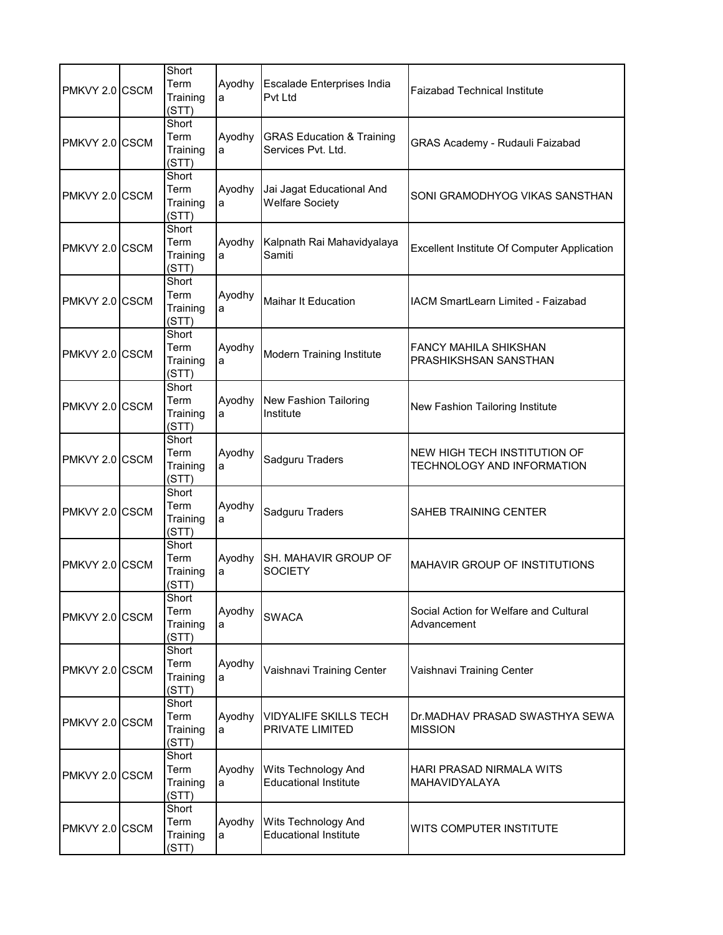| PMKVY 2.0 CSCM | Short<br>Term<br>Training<br>(STT) | Ayodhy<br>a | Escalade Enterprises India<br>Pvt Ltd                      | Faizabad Technical Institute                                      |
|----------------|------------------------------------|-------------|------------------------------------------------------------|-------------------------------------------------------------------|
| PMKVY 2.0 CSCM | Short<br>Term<br>Training<br>(STT) | Ayodhy<br>a | <b>GRAS Education &amp; Training</b><br>Services Pvt. Ltd. | GRAS Academy - Rudauli Faizabad                                   |
| PMKVY 2.0 CSCM | Short<br>Term<br>Training<br>(STT) | Ayodhy<br>a | Jai Jagat Educational And<br><b>Welfare Society</b>        | SONI GRAMODHYOG VIKAS SANSTHAN                                    |
| PMKVY 2.0 CSCM | Short<br>Term<br>Training<br>(STT) | Ayodhy<br>a | Kalpnath Rai Mahavidyalaya<br>Samiti                       | <b>Excellent Institute Of Computer Application</b>                |
| PMKVY 2.0 CSCM | Short<br>Term<br>Training<br>(STT) | Ayodhy<br>a | <b>Maihar It Education</b>                                 | <b>IACM SmartLearn Limited - Faizabad</b>                         |
| PMKVY 2.0 CSCM | Short<br>Term<br>Training<br>(STT) | Ayodhy<br>a | <b>Modern Training Institute</b>                           | FANCY MAHILA SHIKSHAN<br>PRASHIKSHSAN SANSTHAN                    |
| PMKVY 2.0 CSCM | Short<br>Term<br>Training<br>(STT) | Ayodhy<br>a | New Fashion Tailoring<br>Institute                         | New Fashion Tailoring Institute                                   |
| PMKVY 2.0 CSCM | Short<br>Term<br>Training<br>(STT) | Ayodhy<br>a | Sadguru Traders                                            | NEW HIGH TECH INSTITUTION OF<br><b>TECHNOLOGY AND INFORMATION</b> |
| PMKVY 2.0 CSCM | Short<br>Term<br>Training<br>(STT) | Ayodhy<br>a | Sadguru Traders                                            | SAHEB TRAINING CENTER                                             |
| PMKVY 2.0 CSCM | Short<br>Term<br>Training<br>(STT) | Ayodhy<br>a | SH. MAHAVIR GROUP OF<br><b>SOCIETY</b>                     | <b>MAHAVIR GROUP OF INSTITUTIONS</b>                              |
| PMKVY 2.0 CSCM | Short<br>Term<br>Training<br>(STT) | Ayodhy<br>a | <b>SWACA</b>                                               | Social Action for Welfare and Cultural<br>Advancement             |
| PMKVY 2.0 CSCM | Short<br>Term<br>Training<br>(STT) | Ayodhy<br>a | Vaishnavi Training Center                                  | Vaishnavi Training Center                                         |
| PMKVY 2.0 CSCM | Short<br>Term<br>Training<br>(STT) | Ayodhy<br>a | VIDYALIFE SKILLS TECH<br>PRIVATE LIMITED                   | Dr.MADHAV PRASAD SWASTHYA SEWA<br><b>MISSION</b>                  |
| PMKVY 2.0 CSCM | Short<br>Term<br>Training<br>(STT) | Ayodhy<br>a | Wits Technology And<br><b>Educational Institute</b>        | HARI PRASAD NIRMALA WITS<br>MAHAVIDYALAYA                         |
| PMKVY 2.0 CSCM | Short<br>Term<br>Training<br>(STT) | Ayodhy<br>a | Wits Technology And<br><b>Educational Institute</b>        | WITS COMPUTER INSTITUTE                                           |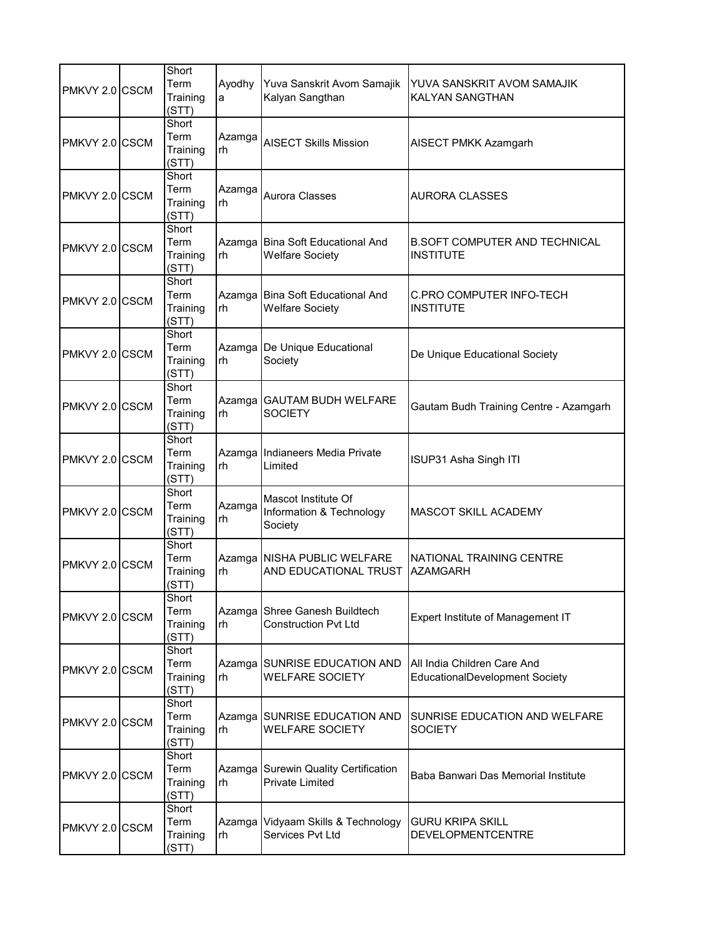| PMKVY 2.0 CSCM | Short<br>Term<br>Training<br>(STT) | Ayodhy<br>a  | Yuva Sanskrit Avom Samajik<br>Kalyan Sangthan                  | YUVA SANSKRIT AVOM SAMAJIK<br><b>KALYAN SANGTHAN</b>          |
|----------------|------------------------------------|--------------|----------------------------------------------------------------|---------------------------------------------------------------|
| PMKVY 2.0 CSCM | Short<br>Term<br>Training<br>(STT) | Azamga<br>rh | <b>AISECT Skills Mission</b>                                   | AISECT PMKK Azamgarh                                          |
| PMKVY 2.0 CSCM | Short<br>Term<br>Training<br>(STT) | Azamga<br>rh | Aurora Classes                                                 | <b>AURORA CLASSES</b>                                         |
| PMKVY 2.0 CSCM | Short<br>Term<br>Training<br>(STT) | rh           | Azamga Bina Soft Educational And<br><b>Welfare Society</b>     | <b>B.SOFT COMPUTER AND TECHNICAL</b><br><b>INSTITUTE</b>      |
| PMKVY 2.0 CSCM | Short<br>Term<br>Training<br>(STT) | rh           | Azamga Bina Soft Educational And<br><b>Welfare Society</b>     | <b>C.PRO COMPUTER INFO-TECH</b><br><b>INSTITUTE</b>           |
| PMKVY 2.0 CSCM | Short<br>Term<br>Training<br>(STT) | rh           | Azamga De Unique Educational<br>Society                        | De Unique Educational Society                                 |
| PMKVY 2.0 CSCM | Short<br>Term<br>Training<br>(STT) | rh           | Azamga GAUTAM BUDH WELFARE<br><b>SOCIETY</b>                   | Gautam Budh Training Centre - Azamgarh                        |
| PMKVY 2.0 CSCM | Short<br>Term<br>Training<br>(STT) | rh           | Azamga Indianeers Media Private<br>Limited                     | ISUP31 Asha Singh ITI                                         |
| PMKVY 2.0 CSCM | Short<br>Term<br>Training<br>(STT) | Azamga<br>rh | Mascot Institute Of<br>Information & Technology<br>Society     | <b>MASCOT SKILL ACADEMY</b>                                   |
| PMKVY 2.0 CSCM | Short<br>Term<br>Training<br>(STT) | rh           | Azamga NISHA PUBLIC WELFARE<br>AND EDUCATIONAL TRUST           | NATIONAL TRAINING CENTRE<br><b>AZAMGARH</b>                   |
| PMKVY 2.0 CSCM | Short<br>Term<br>Training<br>(STT) | rh           | Azamga Shree Ganesh Buildtech<br><b>Construction Pvt Ltd</b>   | Expert Institute of Management IT                             |
| PMKVY 2.0 CSCM | Short<br>Term<br>Training<br>(STT) | rh           | Azamga SUNRISE EDUCATION AND<br><b>WELFARE SOCIETY</b>         | All India Children Care And<br>EducationalDevelopment Society |
| PMKVY 2.0 CSCM | Short<br>Term<br>Training<br>(STT) | rh           | Azamga SUNRISE EDUCATION AND<br><b>WELFARE SOCIETY</b>         | SUNRISE EDUCATION AND WELFARE<br><b>SOCIETY</b>               |
| PMKVY 2.0 CSCM | Short<br>Term<br>Training<br>(STT) | rh           | Azamga Surewin Quality Certification<br><b>Private Limited</b> | Baba Banwari Das Memorial Institute                           |
| PMKVY 2.0 CSCM | Short<br>Term<br>Training<br>(STT) | Azamga<br>rh | Vidyaam Skills & Technology<br>Services Pvt Ltd                | <b>GURU KRIPA SKILL</b><br>DEVELOPMENTCENTRE                  |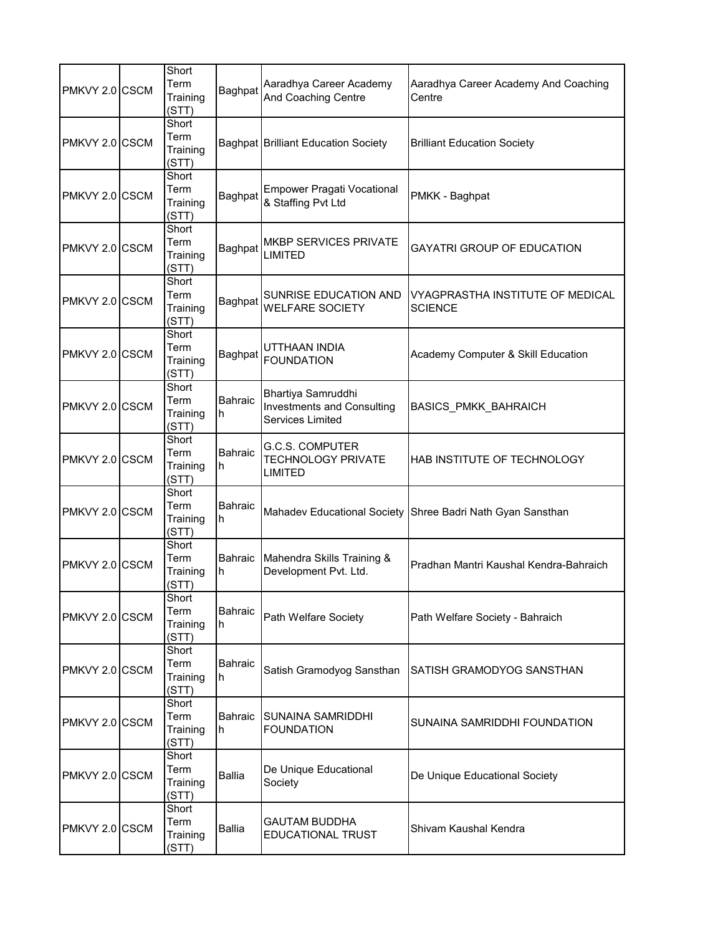| PMKVY 2.0 CSCM | Short<br>Term<br>Training<br>(STT) | Baghpat             | Aaradhya Career Academy<br>And Coaching Centre                              | Aaradhya Career Academy And Coaching<br>Centre     |
|----------------|------------------------------------|---------------------|-----------------------------------------------------------------------------|----------------------------------------------------|
| PMKVY 2.0 CSCM | Short<br>Term<br>Training<br>(STT) |                     | <b>Baghpat Brilliant Education Society</b>                                  | <b>Brilliant Education Society</b>                 |
| PMKVY 2.0 CSCM | Short<br>Term<br>Training<br>(STT) | Baghpat             | <b>Empower Pragati Vocational</b><br>& Staffing Pvt Ltd                     | PMKK - Baghpat                                     |
| PMKVY 2.0 CSCM | Short<br>Term<br>Training<br>(STT) | Baghpat             | <b>MKBP SERVICES PRIVATE</b><br>LIMITED                                     | <b>GAYATRI GROUP OF EDUCATION</b>                  |
| PMKVY 2.0 CSCM | Short<br>Term<br>Training<br>(STT) | Baghpat             | SUNRISE EDUCATION AND<br><b>WELFARE SOCIETY</b>                             | VYAGPRASTHA INSTITUTE OF MEDICAL<br><b>SCIENCE</b> |
| PMKVY 2.0 CSCM | Short<br>Term<br>Training<br>(STT) | Baghpat             | UTTHAAN INDIA<br><b>FOUNDATION</b>                                          | Academy Computer & Skill Education                 |
| PMKVY 2.0 CSCM | Short<br>Term<br>Training<br>(STT) | <b>Bahraic</b><br>h | Bhartiya Samruddhi<br>Investments and Consulting<br><b>Services Limited</b> | BASICS_PMKK_BAHRAICH                               |
| PMKVY 2.0 CSCM | Short<br>Term<br>Training<br>(STT) | <b>Bahraic</b><br>h | <b>G.C.S. COMPUTER</b><br><b>TECHNOLOGY PRIVATE</b><br><b>LIMITED</b>       | HAB INSTITUTE OF TECHNOLOGY                        |
| PMKVY 2.0 CSCM | Short<br>Term<br>Training<br>(STT) | Bahraic<br>h        | Mahadev Educational Society                                                 | Shree Badri Nath Gyan Sansthan                     |
| PMKVY 2.0 CSCM | Short<br>Term<br>Training<br>(STT) | Bahraic<br>h        | Mahendra Skills Training &<br>Development Pvt. Ltd.                         | Pradhan Mantri Kaushal Kendra-Bahraich             |
| PMKVY 2.0 CSCM | Short<br>Term<br>Training<br>(STT) | <b>Bahraic</b><br>h | Path Welfare Society                                                        | Path Welfare Society - Bahraich                    |
| PMKVY 2.0 CSCM | Short<br>Term<br>Training<br>(STT) | <b>Bahraic</b><br>h | Satish Gramodyog Sansthan                                                   | SATISH GRAMODYOG SANSTHAN                          |
| PMKVY 2.0 CSCM | Short<br>Term<br>Training<br>(STT) | Bahraic<br>h        | SUNAINA SAMRIDDHI<br><b>FOUNDATION</b>                                      | SUNAINA SAMRIDDHI FOUNDATION                       |
| PMKVY 2.0 CSCM | Short<br>Term<br>Training<br>(STT) | <b>Ballia</b>       | De Unique Educational<br>Society                                            | De Unique Educational Society                      |
| PMKVY 2.0 CSCM | Short<br>Term<br>Training<br>(STT) | Ballia              | GAUTAM BUDDHA<br>EDUCATIONAL TRUST                                          | Shivam Kaushal Kendra                              |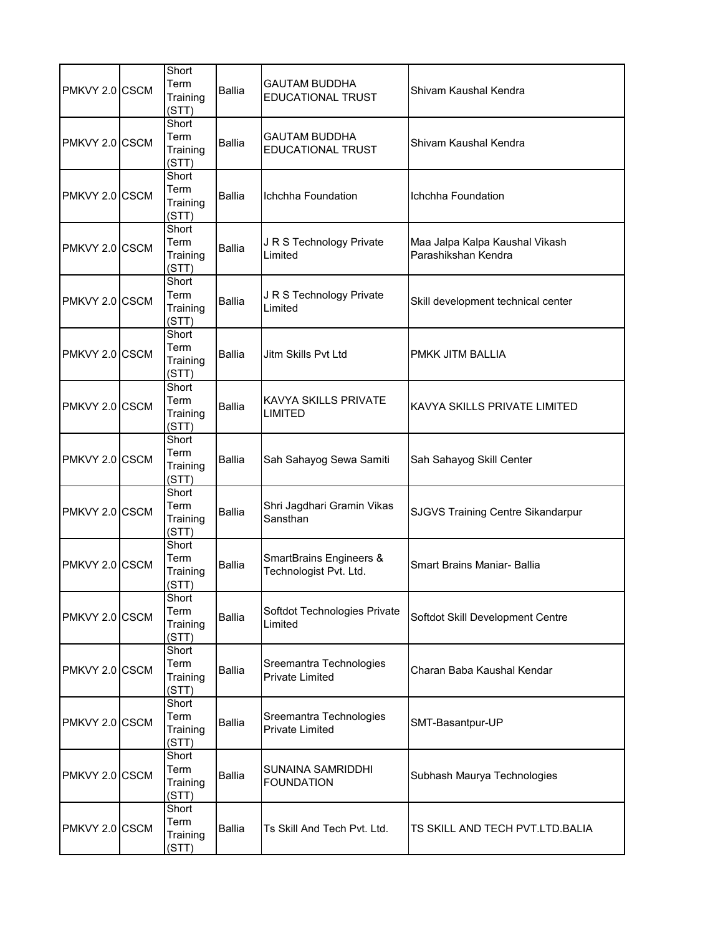| PMKVY 2.0 CSCM | Short<br>Term<br>Training<br>(STT) | <b>Ballia</b> | <b>GAUTAM BUDDHA</b><br><b>EDUCATIONAL TRUST</b>             | Shivam Kaushal Kendra                                 |
|----------------|------------------------------------|---------------|--------------------------------------------------------------|-------------------------------------------------------|
| PMKVY 2.0 CSCM | Short<br>Term<br>Training<br>(STT) | <b>Ballia</b> | <b>GAUTAM BUDDHA</b><br><b>EDUCATIONAL TRUST</b>             | Shivam Kaushal Kendra                                 |
| PMKVY 2.0 CSCM | Short<br>Term<br>Training<br>(STT) | <b>Ballia</b> | Ichchha Foundation                                           | Ichchha Foundation                                    |
| PMKVY 2.0 CSCM | Short<br>Term<br>Training<br>(STT) | <b>Ballia</b> | J R S Technology Private<br>Limited                          | Maa Jalpa Kalpa Kaushal Vikash<br>Parashikshan Kendra |
| PMKVY 2.0 CSCM | Short<br>Term<br>Training<br>(STT) | <b>Ballia</b> | J R S Technology Private<br>Limited                          | Skill development technical center                    |
| PMKVY 2.0 CSCM | Short<br>Term<br>Training<br>(STT) | <b>Ballia</b> | Jitm Skills Pvt Ltd                                          | PMKK JITM BALLIA                                      |
| PMKVY 2.0 CSCM | Short<br>Term<br>Training<br>(STT) | <b>Ballia</b> | <b>KAVYA SKILLS PRIVATE</b><br>LIMITED                       | KAVYA SKILLS PRIVATE LIMITED                          |
| PMKVY 2.0 CSCM | Short<br>Term<br>Training<br>(STT) | <b>Ballia</b> | Sah Sahayog Sewa Samiti                                      | Sah Sahayog Skill Center                              |
| PMKVY 2.0 CSCM | Short<br>Term<br>Training<br>(STT) | <b>Ballia</b> | Shri Jagdhari Gramin Vikas<br>Sansthan                       | SJGVS Training Centre Sikandarpur                     |
| PMKVY 2.0 CSCM | Short<br>Term<br>Training<br>(STT) | <b>Ballia</b> | <b>SmartBrains Engineers &amp;</b><br>Technologist Pvt. Ltd. | <b>Smart Brains Maniar- Ballia</b>                    |
| PMKVY 2.0 CSCM | Short<br>Term<br>Training<br>(STT) | <b>Ballia</b> | Softdot Technologies Private<br>Limited                      | Softdot Skill Development Centre                      |
| PMKVY 2.0 CSCM | Short<br>Term<br>Training<br>(STT) | <b>Ballia</b> | Sreemantra Technologies<br><b>Private Limited</b>            | Charan Baba Kaushal Kendar                            |
| PMKVY 2.0 CSCM | Short<br>Term<br>Training<br>(STT) | <b>Ballia</b> | Sreemantra Technologies<br>Private Limited                   | SMT-Basantpur-UP                                      |
| PMKVY 2.0 CSCM | Short<br>Term<br>Training<br>(STT) | Ballia        | SUNAINA SAMRIDDHI<br><b>FOUNDATION</b>                       | Subhash Maurya Technologies                           |
| PMKVY 2.0 CSCM | Short<br>Term<br>Training<br>(STT) | <b>Ballia</b> | Ts Skill And Tech Pvt. Ltd.                                  | TS SKILL AND TECH PVT.LTD.BALIA                       |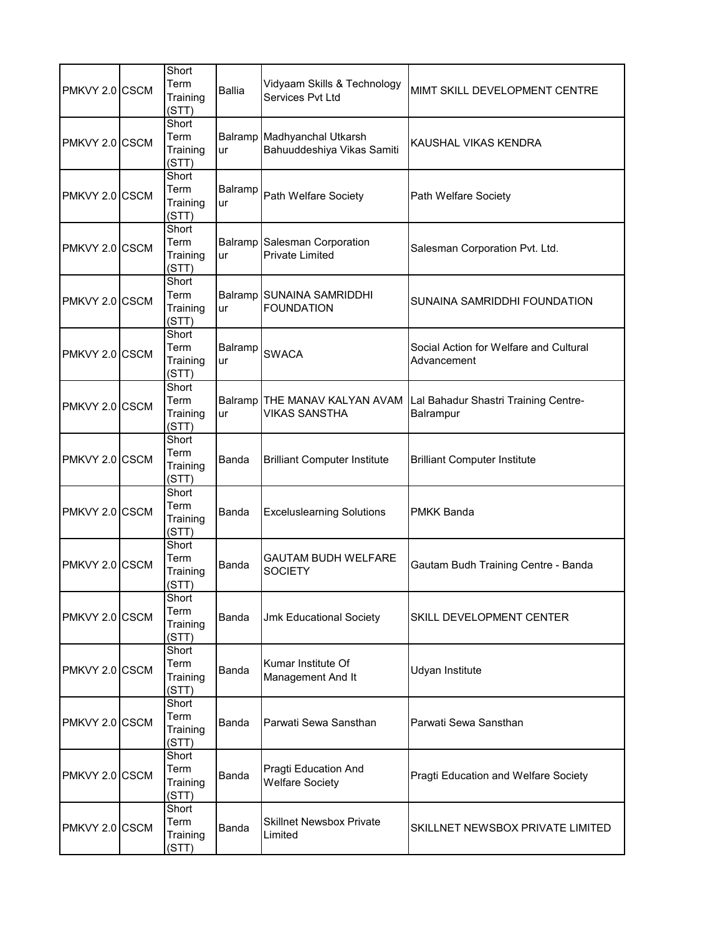| PMKVY 2.0 CSCM | Short<br>Term<br>Training<br>(STT) | <b>Ballia</b> | Vidyaam Skills & Technology<br>Services Pvt Ltd           | MIMT SKILL DEVELOPMENT CENTRE                         |
|----------------|------------------------------------|---------------|-----------------------------------------------------------|-------------------------------------------------------|
| PMKVY 2.0 CSCM | Short<br>Term<br>Training<br>(STT) | ur            | Balramp Madhyanchal Utkarsh<br>Bahuuddeshiya Vikas Samiti | KAUSHAL VIKAS KENDRA                                  |
| PMKVY 2.0 CSCM | Short<br>Term<br>Training<br>(STT) | Balramp<br>ur | Path Welfare Society                                      | Path Welfare Society                                  |
| PMKVY 2.0 CSCM | Short<br>Term<br>Training<br>(STT) | ur            | Balramp Salesman Corporation<br><b>Private Limited</b>    | Salesman Corporation Pvt. Ltd.                        |
| PMKVY 2.0 CSCM | Short<br>Term<br>Training<br>(STT) | ur            | Balramp SUNAINA SAMRIDDHI<br><b>FOUNDATION</b>            | SUNAINA SAMRIDDHI FOUNDATION                          |
| PMKVY 2.0 CSCM | Short<br>Term<br>Training<br>(STT) | Balramp<br>ur | <b>SWACA</b>                                              | Social Action for Welfare and Cultural<br>Advancement |
| PMKVY 2.0 CSCM | Short<br>Term<br>Training<br>(STT) | ur            | Balramp THE MANAV KALYAN AVAM<br>VIKAS SANSTHA            | Lal Bahadur Shastri Training Centre-<br>Balrampur     |
| PMKVY 2.0 CSCM | Short<br>Term<br>Training<br>(STT) | Banda         | <b>Brilliant Computer Institute</b>                       | <b>Brilliant Computer Institute</b>                   |
| PMKVY 2.0 CSCM | Short<br>Term<br>Training<br>(STT) | Banda         | <b>Exceluslearning Solutions</b>                          | <b>PMKK Banda</b>                                     |
| PMKVY 2.0 CSCM | Short<br>Term<br>Training<br>(STT) | Banda         | <b>GAUTAM BUDH WELFARE</b><br><b>SOCIETY</b>              | Gautam Budh Training Centre - Banda                   |
| PMKVY 2.0 CSCM | Short<br>Term<br>Training<br>(STT) | Banda         | <b>Jmk Educational Society</b>                            | SKILL DEVELOPMENT CENTER                              |
| PMKVY 2.0 CSCM | Short<br>Term<br>Training<br>(STT) | Banda         | Kumar Institute Of<br>Management And It                   | Udyan Institute                                       |
| PMKVY 2.0 CSCM | Short<br>Term<br>Training<br>(STT) | Banda         | Parwati Sewa Sansthan                                     | Parwati Sewa Sansthan                                 |
| PMKVY 2.0 CSCM | Short<br>Term<br>Training<br>(STT) | Banda         | Pragti Education And<br><b>Welfare Society</b>            | Pragti Education and Welfare Society                  |
| PMKVY 2.0 CSCM | Short<br>Term<br>Training<br>(STT) | Banda         | Skillnet Newsbox Private<br>Limited                       | SKILLNET NEWSBOX PRIVATE LIMITED                      |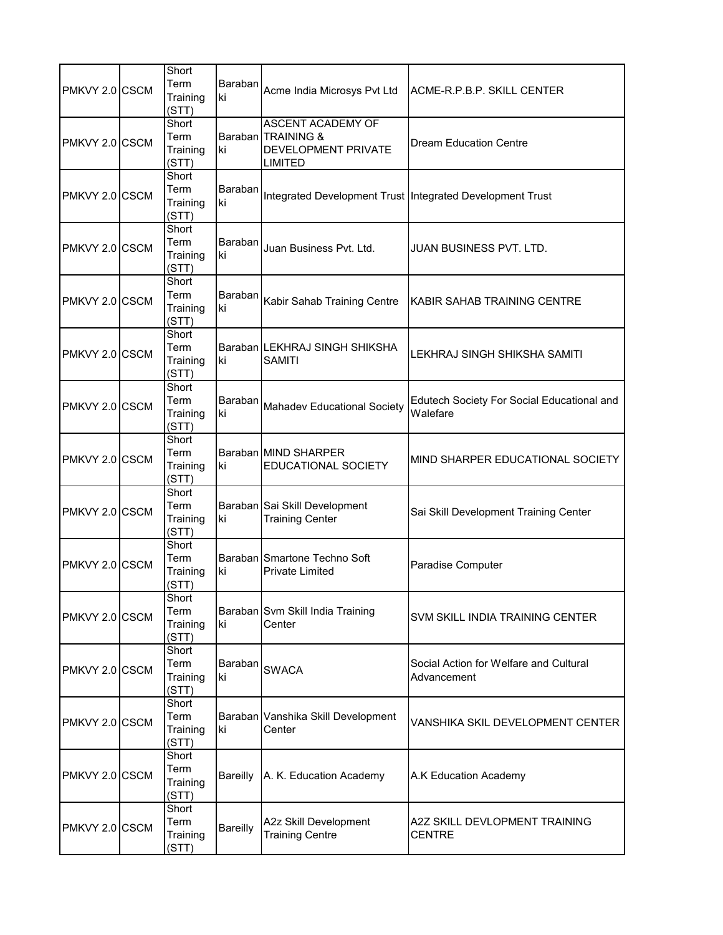| PMKVY 2.0 CSCM | Short<br>Term<br>Training<br>(STT) | Baraban<br>ki   | Acme India Microsys Pvt Ltd                                                             | ACME-R.P.B.P. SKILL CENTER                                |
|----------------|------------------------------------|-----------------|-----------------------------------------------------------------------------------------|-----------------------------------------------------------|
| PMKVY 2.0 CSCM | Short<br>Term<br>Training<br>(STT) | ki              | <b>ASCENT ACADEMY OF</b><br>Baraban TRAINING &<br>DEVELOPMENT PRIVATE<br><b>LIMITED</b> | Dream Education Centre                                    |
| PMKVY 2.0 CSCM | Short<br>Term<br>Training<br>(STT) | Baraban<br>ki   |                                                                                         | Integrated Development Trust Integrated Development Trust |
| PMKVY 2.0 CSCM | Short<br>Term<br>Training<br>(STT) | Baraban<br>ki   | Juan Business Pvt. Ltd.                                                                 | JUAN BUSINESS PVT. LTD.                                   |
| PMKVY 2.0 CSCM | Short<br>Term<br>Training<br>(STT) | Baraban<br>ki   | Kabir Sahab Training Centre                                                             | KABIR SAHAB TRAINING CENTRE                               |
| PMKVY 2.0 CSCM | Short<br>Term<br>Training<br>(STT) | ki              | Baraban LEKHRAJ SINGH SHIKSHA<br><b>SAMITI</b>                                          | LEKHRAJ SINGH SHIKSHA SAMITI                              |
| PMKVY 2.0 CSCM | Short<br>Term<br>Training<br>(STT) | Baraban<br>ki   | <b>Mahadev Educational Society</b>                                                      | Edutech Society For Social Educational and<br>Walefare    |
| PMKVY 2.0 CSCM | Short<br>Term<br>Training<br>(STT) | ki              | Baraban MIND SHARPER<br><b>EDUCATIONAL SOCIETY</b>                                      | MIND SHARPER EDUCATIONAL SOCIETY                          |
| PMKVY 2.0 CSCM | Short<br>Term<br>Training<br>(STT) | ki              | Baraban Sai Skill Development<br><b>Training Center</b>                                 | Sai Skill Development Training Center                     |
| PMKVY 2.0 CSCM | Short<br>Term<br>Training<br>(STT) | ki              | Baraban Smartone Techno Soft<br><b>Private Limited</b>                                  | Paradise Computer                                         |
| PMKVY 2.0 CSCM | Short<br>Term<br>Training<br>(STT) | ki              | Baraban Svm Skill India Training<br>Center                                              | SVM SKILL INDIA TRAINING CENTER                           |
| PMKVY 2.0 CSCM | Short<br>Term<br>Training<br>(STT) | Baraban<br>ki   | <b>SWACA</b>                                                                            | Social Action for Welfare and Cultural<br>Advancement     |
| PMKVY 2.0 CSCM | Short<br>Term<br>Training<br>(STT) | ki              | Baraban Vanshika Skill Development<br>Center                                            | VANSHIKA SKIL DEVELOPMENT CENTER                          |
| PMKVY 2.0 CSCM | Short<br>Term<br>Training<br>(STT) | <b>Bareilly</b> | A. K. Education Academy                                                                 | A.K Education Academy                                     |
| PMKVY 2.0 CSCM | Short<br>Term<br>Training<br>(STT) | Bareilly        | A2z Skill Development<br><b>Training Centre</b>                                         | A2Z SKILL DEVLOPMENT TRAINING<br><b>CENTRE</b>            |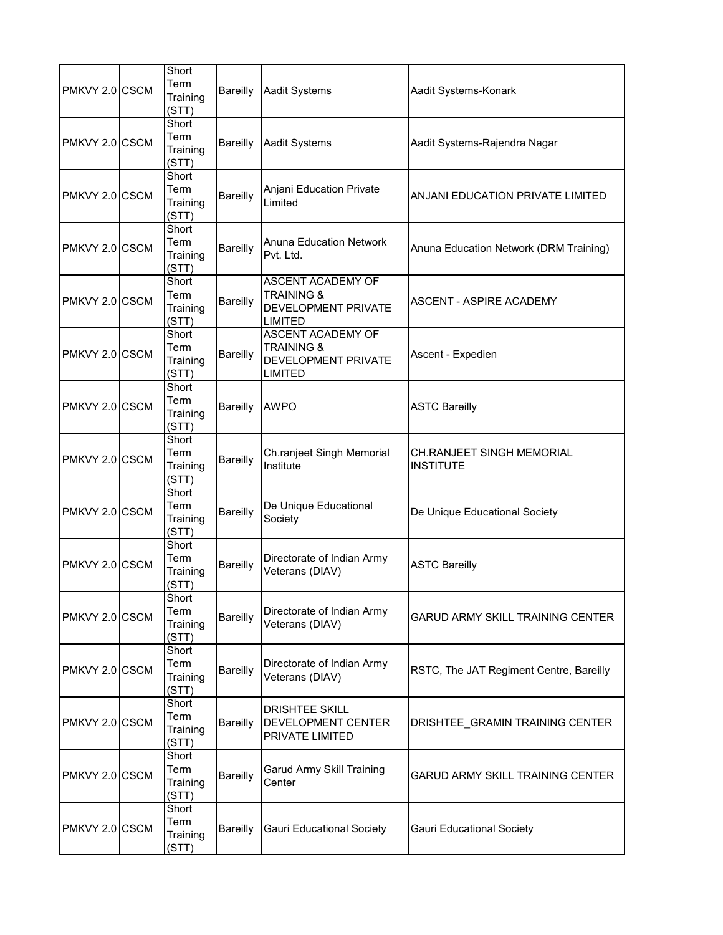| PMKVY 2.0 CSCM | Short<br>Term<br>Training<br>(STT) | <b>Bareilly</b> | <b>Aadit Systems</b>                                                                              | Aadit Systems-Konark                          |
|----------------|------------------------------------|-----------------|---------------------------------------------------------------------------------------------------|-----------------------------------------------|
| PMKVY 2.0 CSCM | Short<br>Term<br>Training<br>(STT) | <b>Bareilly</b> | <b>Aadit Systems</b>                                                                              | Aadit Systems-Rajendra Nagar                  |
| PMKVY 2.0 CSCM | Short<br>Term<br>Training<br>(STT) | <b>Bareilly</b> | Anjani Education Private<br>Limited                                                               | ANJANI EDUCATION PRIVATE LIMITED              |
| PMKVY 2.0 CSCM | Short<br>Term<br>Training<br>(STT) | Bareilly        | <b>Anuna Education Network</b><br>Pvt. Ltd.                                                       | Anuna Education Network (DRM Training)        |
| PMKVY 2.0 CSCM | Short<br>Term<br>Training<br>(STT) | Bareilly        | ASCENT ACADEMY OF<br><b>TRAINING &amp;</b><br>DEVELOPMENT PRIVATE<br><b>LIMITED</b>               | ASCENT - ASPIRE ACADEMY                       |
| PMKVY 2.0 CSCM | Short<br>Term<br>Training<br>(STT) | Bareilly        | <b>ASCENT ACADEMY OF</b><br><b>TRAINING &amp;</b><br><b>DEVELOPMENT PRIVATE</b><br><b>LIMITED</b> | Ascent - Expedien                             |
| PMKVY 2.0 CSCM | Short<br>Term<br>Training<br>(STT) | Bareilly        | <b>AWPO</b>                                                                                       | <b>ASTC Bareilly</b>                          |
| PMKVY 2.0 CSCM | Short<br>Term<br>Training<br>(STT) | Bareilly        | Ch.ranjeet Singh Memorial<br>Institute                                                            | CH.RANJEET SINGH MEMORIAL<br><b>INSTITUTE</b> |
| PMKVY 2.0 CSCM | Short<br>Term<br>Training<br>(STT) | Bareilly        | De Unique Educational<br>Society                                                                  | De Unique Educational Society                 |
| PMKVY 2.0 CSCM | Short<br>Term<br>Training<br>(STT) | <b>Bareilly</b> | Directorate of Indian Army<br>Veterans (DIAV)                                                     | <b>ASTC Bareilly</b>                          |
| PMKVY 2.0 CSCM | Short<br>Term<br>Training<br>(STT) | Bareilly        | Directorate of Indian Army<br>Veterans (DIAV)                                                     | <b>GARUD ARMY SKILL TRAINING CENTER</b>       |
| PMKVY 2.0 CSCM | Short<br>Term<br>Training<br>(STT) | Bareilly        | Directorate of Indian Army<br>Veterans (DIAV)                                                     | RSTC, The JAT Regiment Centre, Bareilly       |
| PMKVY 2.0 CSCM | Short<br>Term<br>Training<br>(STT) | <b>Bareilly</b> | <b>DRISHTEE SKILL</b><br>DEVELOPMENT CENTER<br><b>PRIVATE LIMITED</b>                             | DRISHTEE_GRAMIN TRAINING CENTER               |
| PMKVY 2.0 CSCM | Short<br>Term<br>Training<br>(STT) | Bareilly        | <b>Garud Army Skill Training</b><br>Center                                                        | <b>GARUD ARMY SKILL TRAINING CENTER</b>       |
| PMKVY 2.0 CSCM | Short<br>Term<br>Training<br>(STT) | Bareilly        | <b>Gauri Educational Society</b>                                                                  | <b>Gauri Educational Society</b>              |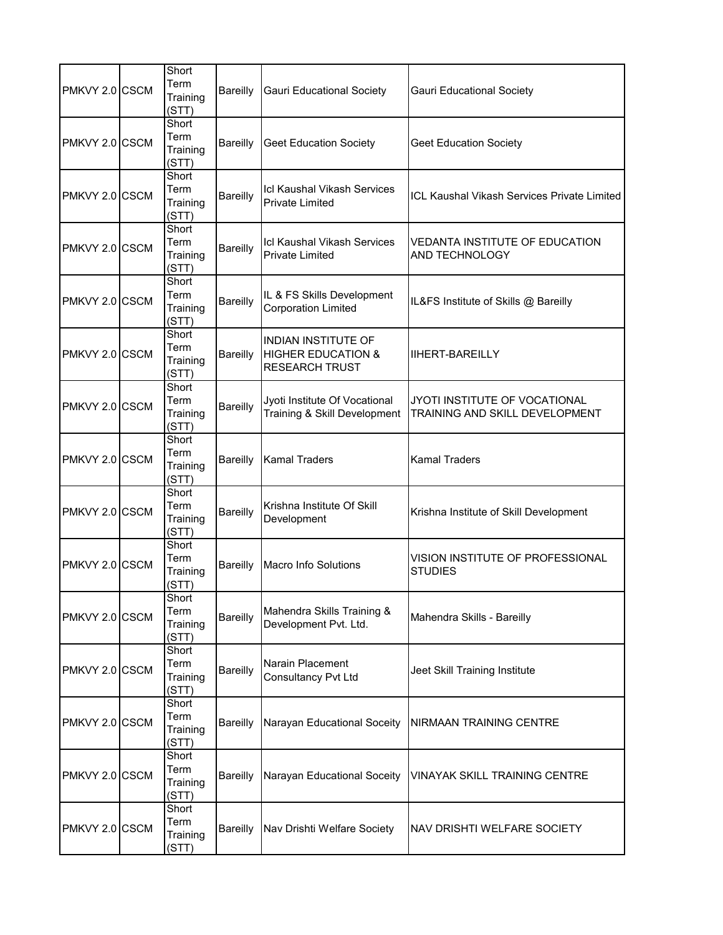| PMKVY 2.0 CSCM | Short<br>Term<br>Training<br>(STT) | <b>Bareilly</b> | <b>Gauri Educational Society</b>                                                     | <b>Gauri Educational Society</b>                                |
|----------------|------------------------------------|-----------------|--------------------------------------------------------------------------------------|-----------------------------------------------------------------|
| PMKVY 2.0 CSCM | Short<br>Term<br>Training<br>(STT) | Bareilly        | <b>Geet Education Society</b>                                                        | <b>Geet Education Society</b>                                   |
| PMKVY 2.0 CSCM | Short<br>Term<br>Training<br>(STT) | Bareilly        | Icl Kaushal Vikash Services<br><b>Private Limited</b>                                | <b>ICL Kaushal Vikash Services Private Limited</b>              |
| PMKVY 2.0 CSCM | Short<br>Term<br>Training<br>(STT) | Bareilly        | <b>Icl Kaushal Vikash Services</b><br><b>Private Limited</b>                         | VEDANTA INSTITUTE OF EDUCATION<br><b>AND TECHNOLOGY</b>         |
| PMKVY 2.0 CSCM | Short<br>Term<br>Training<br>(STT) | Bareilly        | IL & FS Skills Development<br><b>Corporation Limited</b>                             | IL&FS Institute of Skills @ Bareilly                            |
| PMKVY 2.0 CSCM | Short<br>Term<br>Training<br>(STT) | Bareilly        | <b>INDIAN INSTITUTE OF</b><br><b>HIGHER EDUCATION &amp;</b><br><b>RESEARCH TRUST</b> | <b>IIHERT-BAREILLY</b>                                          |
| PMKVY 2.0 CSCM | Short<br>Term<br>Training<br>(STT) | Bareilly        | Jyoti Institute Of Vocational<br>Training & Skill Development                        | JYOTI INSTITUTE OF VOCATIONAL<br>TRAINING AND SKILL DEVELOPMENT |
| PMKVY 2.0 CSCM | Short<br>Term<br>Training<br>(STT) | <b>Bareilly</b> | <b>Kamal Traders</b>                                                                 | <b>Kamal Traders</b>                                            |
| PMKVY 2.0 CSCM | Short<br>Term<br>Training<br>(STT) | Bareilly        | Krishna Institute Of Skill<br>Development                                            | Krishna Institute of Skill Development                          |
| PMKVY 2.0 CSCM | Short<br>Term<br>Training<br>(STT) | Bareilly        | <b>Macro Info Solutions</b>                                                          | VISION INSTITUTE OF PROFESSIONAL<br><b>STUDIES</b>              |
| PMKVY 2.0 CSCM | Short<br>Term<br>Training<br>(STT) | Bareilly        | Mahendra Skills Training &<br>Development Pvt. Ltd.                                  | Mahendra Skills - Bareilly                                      |
| PMKVY 2.0 CSCM | Short<br>Term<br>Training<br>(STT) | Bareilly        | Narain Placement<br><b>Consultancy Pvt Ltd</b>                                       | Jeet Skill Training Institute                                   |
| PMKVY 2.0 CSCM | Short<br>Term<br>Training<br>(STT) | Bareilly        | Narayan Educational Soceity                                                          | NIRMAAN TRAINING CENTRE                                         |
| PMKVY 2.0 CSCM | Short<br>Term<br>Training<br>(STT) | <b>Bareilly</b> | Narayan Educational Soceity                                                          | VINAYAK SKILL TRAINING CENTRE                                   |
| PMKVY 2.0 CSCM | Short<br>Term<br>Training<br>(STT) | Bareilly        | Nav Drishti Welfare Society                                                          | NAV DRISHTI WELFARE SOCIETY                                     |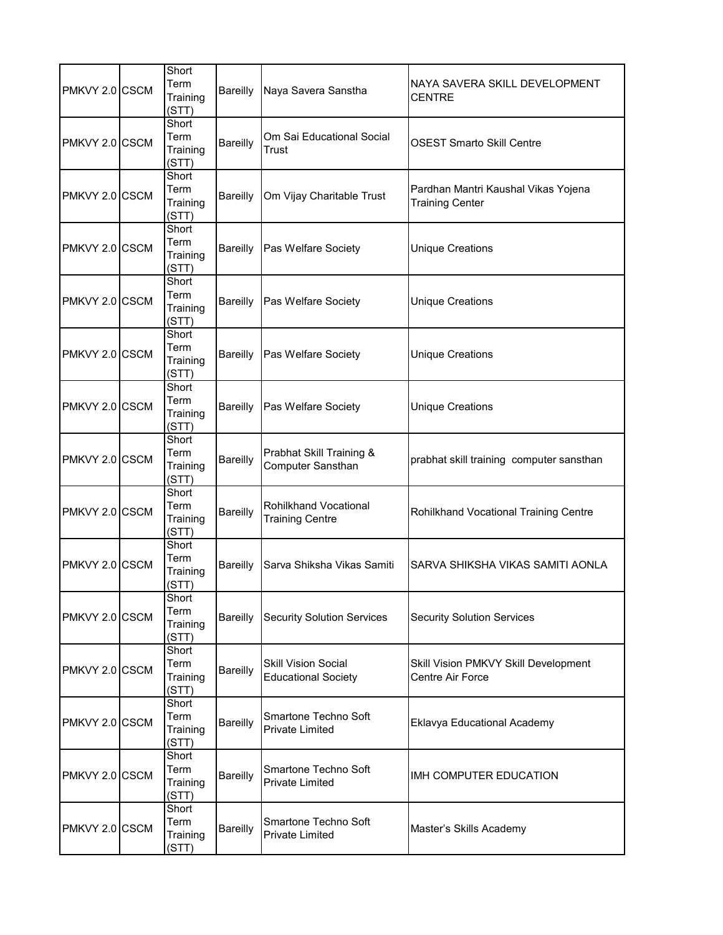| PMKVY 2.0 CSCM | Short<br>Term<br>Training<br>(STT) | Bareilly        | Naya Savera Sanstha                                      | NAYA SAVERA SKILL DEVELOPMENT<br><b>CENTRE</b>                  |
|----------------|------------------------------------|-----------------|----------------------------------------------------------|-----------------------------------------------------------------|
| PMKVY 2.0 CSCM | Short<br>Term<br>Training<br>(STT) | <b>Bareilly</b> | Om Sai Educational Social<br>Trust                       | <b>OSEST Smarto Skill Centre</b>                                |
| PMKVY 2.0 CSCM | Short<br>Term<br>Training<br>(STT) | Bareilly        | Om Vijay Charitable Trust                                | Pardhan Mantri Kaushal Vikas Yojena<br><b>Training Center</b>   |
| PMKVY 2.0 CSCM | Short<br>Term<br>Training<br>(STT) | Bareilly        | Pas Welfare Society                                      | <b>Unique Creations</b>                                         |
| PMKVY 2.0 CSCM | Short<br>Term<br>Training<br>(STT) | Bareilly        | Pas Welfare Society                                      | <b>Unique Creations</b>                                         |
| PMKVY 2.0 CSCM | Short<br>Term<br>Training<br>(STT) | <b>Bareilly</b> | Pas Welfare Society                                      | <b>Unique Creations</b>                                         |
| PMKVY 2.0 CSCM | Short<br>Term<br>Training<br>(STT) | Bareilly        | Pas Welfare Society                                      | <b>Unique Creations</b>                                         |
| PMKVY 2.0 CSCM | Short<br>Term<br>Training<br>(STT) | <b>Bareilly</b> | Prabhat Skill Training &<br>Computer Sansthan            | prabhat skill training computer sansthan                        |
| PMKVY 2.0 CSCM | Short<br>Term<br>Training<br>(STT) | Bareilly        | Rohilkhand Vocational<br><b>Training Centre</b>          | Rohilkhand Vocational Training Centre                           |
| PMKVY 2.0 CSCM | Short<br>Term<br>Training<br>(STT) | Bareilly        | Sarva Shiksha Vikas Samiti                               | SARVA SHIKSHA VIKAS SAMITI AONLA                                |
| PMKVY 2.0 CSCM | Short<br>Term<br>Training<br>(STT) | Bareilly        | <b>Security Solution Services</b>                        | <b>Security Solution Services</b>                               |
| PMKVY 2.0 CSCM | Short<br>Term<br>Training<br>(STT) | <b>Bareilly</b> | <b>Skill Vision Social</b><br><b>Educational Society</b> | Skill Vision PMKVY Skill Development<br><b>Centre Air Force</b> |
| PMKVY 2.0 CSCM | Short<br>Term<br>Training<br>(STT) | Bareilly        | Smartone Techno Soft<br><b>Private Limited</b>           | Eklavya Educational Academy                                     |
| PMKVY 2.0 CSCM | Short<br>Term<br>Training<br>(STT) | <b>Bareilly</b> | Smartone Techno Soft<br><b>Private Limited</b>           | IMH COMPUTER EDUCATION                                          |
| PMKVY 2.0 CSCM | Short<br>Term<br>Training<br>(STT) | Bareilly        | Smartone Techno Soft<br>Private Limited                  | Master's Skills Academy                                         |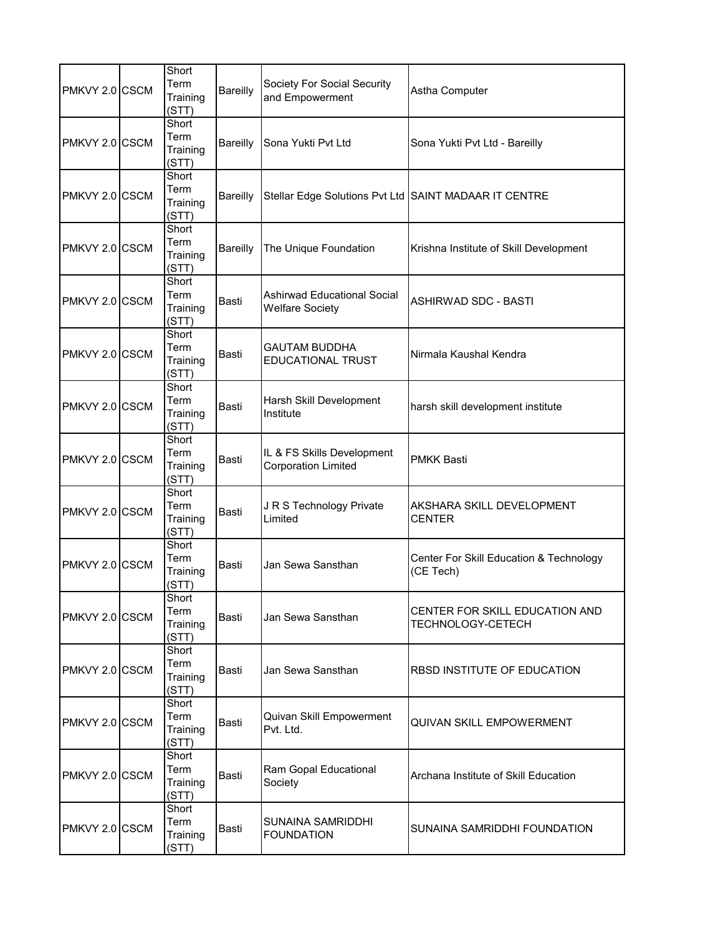| PMKVY 2.0 CSCM | Short<br>Term<br>Training<br>(STT) | <b>Bareilly</b> | Society For Social Security<br>and Empowerment               | Astha Computer                                       |
|----------------|------------------------------------|-----------------|--------------------------------------------------------------|------------------------------------------------------|
| PMKVY 2.0 CSCM | Short<br>Term<br>Training<br>(STT) | <b>Bareilly</b> | Sona Yukti Pvt Ltd                                           | Sona Yukti Pvt Ltd - Bareilly                        |
| PMKVY 2.0 CSCM | Short<br>Term<br>Training<br>(STT) | Bareilly        | Stellar Edge Solutions Pvt Ltd SAINT MADAAR IT CENTRE        |                                                      |
| PMKVY 2.0 CSCM | Short<br>Term<br>Training<br>(STT) | Bareilly        | The Unique Foundation                                        | Krishna Institute of Skill Development               |
| PMKVY 2.0 CSCM | Short<br>Term<br>Training<br>(STT) | Basti           | <b>Ashirwad Educational Social</b><br><b>Welfare Society</b> | ASHIRWAD SDC - BASTI                                 |
| PMKVY 2.0 CSCM | Short<br>Term<br>Training<br>(STT) | Basti           | <b>GAUTAM BUDDHA</b><br><b>EDUCATIONAL TRUST</b>             | Nirmala Kaushal Kendra                               |
| PMKVY 2.0 CSCM | Short<br>Term<br>Training<br>(STT) | Basti           | Harsh Skill Development<br>Institute                         | harsh skill development institute                    |
| PMKVY 2.0 CSCM | Short<br>Term<br>Training<br>(STT) | Basti           | IL & FS Skills Development<br><b>Corporation Limited</b>     | <b>PMKK Basti</b>                                    |
| PMKVY 2.0 CSCM | Short<br>Term<br>Training<br>(STT) | Basti           | J R S Technology Private<br>Limited                          | AKSHARA SKILL DEVELOPMENT<br><b>CENTER</b>           |
| PMKVY 2.0 CSCM | Short<br>Term<br>Training<br>(STT) | Basti           | Jan Sewa Sansthan                                            | Center For Skill Education & Technology<br>(CE Tech) |
| PMKVY 2.0 CSCM | Short<br>Term<br>Training<br>(STT) | Basti           | Jan Sewa Sansthan                                            | CENTER FOR SKILL EDUCATION AND<br>TECHNOLOGY-CETECH  |
| PMKVY 2.0 CSCM | Short<br>Term<br>Training<br>(STT) | Basti           | Jan Sewa Sansthan                                            | RBSD INSTITUTE OF EDUCATION                          |
| PMKVY 2.0 CSCM | Short<br>Term<br>Training<br>(STT) | Basti           | Quivan Skill Empowerment<br>Pvt. Ltd.                        | QUIVAN SKILL EMPOWERMENT                             |
| PMKVY 2.0 CSCM | Short<br>Term<br>Training<br>(STT) | Basti           | Ram Gopal Educational<br>Society                             | Archana Institute of Skill Education                 |
| PMKVY 2.0 CSCM | Short<br>Term<br>Training<br>(STT) | Basti           | SUNAINA SAMRIDDHI<br><b>FOUNDATION</b>                       | SUNAINA SAMRIDDHI FOUNDATION                         |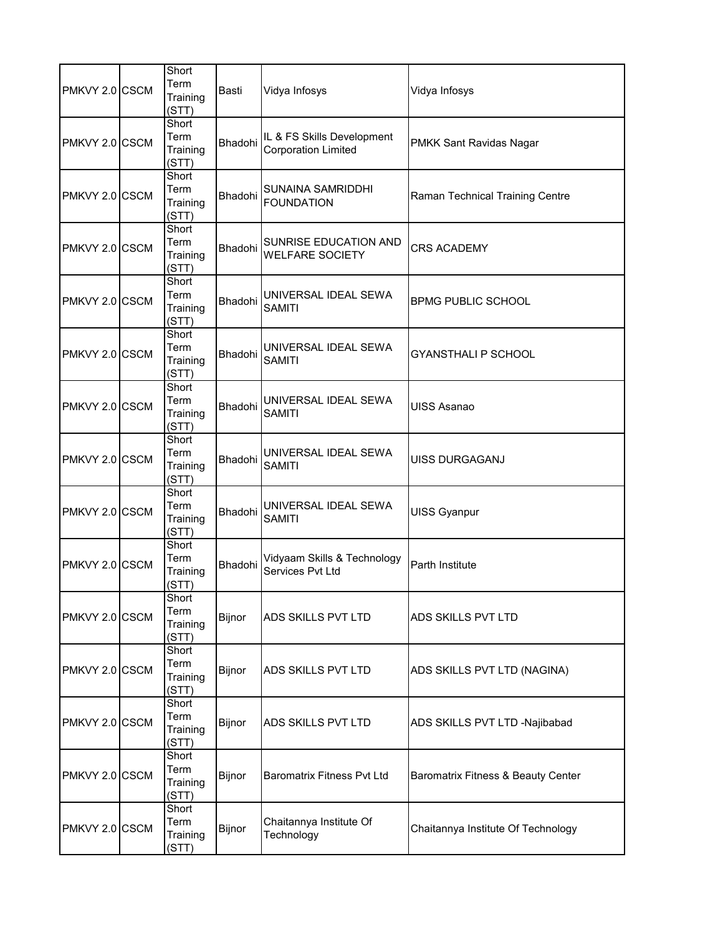| PMKVY 2.0 CSCM | Short<br>Term<br>Training<br>(STT) | Basti   | Vidya Infosys                                            | Vidya Infosys                      |
|----------------|------------------------------------|---------|----------------------------------------------------------|------------------------------------|
| PMKVY 2.0 CSCM | Short<br>Term<br>Training<br>(STT) | Bhadohi | IL & FS Skills Development<br><b>Corporation Limited</b> | PMKK Sant Ravidas Nagar            |
| PMKVY 2.0 CSCM | Short<br>Term<br>Training<br>(STT) | Bhadohi | SUNAINA SAMRIDDHI<br><b>FOUNDATION</b>                   | Raman Technical Training Centre    |
| PMKVY 2.0 CSCM | Short<br>Term<br>Training<br>(STT) | Bhadohi | SUNRISE EDUCATION AND<br><b>WELFARE SOCIETY</b>          | <b>CRS ACADEMY</b>                 |
| PMKVY 2.0 CSCM | Short<br>Term<br>Training<br>(STT) | Bhadohi | UNIVERSAL IDEAL SEWA<br><b>SAMITI</b>                    | <b>BPMG PUBLIC SCHOOL</b>          |
| PMKVY 2.0 CSCM | Short<br>Term<br>Training<br>(STT) | Bhadohi | UNIVERSAL IDEAL SEWA<br><b>SAMITI</b>                    | <b>GYANSTHALI P SCHOOL</b>         |
| PMKVY 2.0 CSCM | Short<br>Term<br>Training<br>(STT) | Bhadohi | UNIVERSAL IDEAL SEWA<br><b>SAMITI</b>                    | <b>UISS Asanao</b>                 |
| PMKVY 2.0 CSCM | Short<br>Term<br>Training<br>(STT) | Bhadohi | UNIVERSAL IDEAL SEWA<br><b>SAMITI</b>                    | UISS DURGAGANJ                     |
| PMKVY 2.0 CSCM | Short<br>Term<br>Training<br>(STT) | Bhadohi | UNIVERSAL IDEAL SEWA<br><b>SAMITI</b>                    | UISS Gyanpur                       |
| PMKVY 2.0 CSCM | Short<br>Term<br>Training<br>(STT) | Bhadohi | Vidyaam Skills & Technology<br>Services Pvt Ltd          | <b>Parth Institute</b>             |
| PMKVY 2.0 CSCM | Short<br>Term<br>Training<br>(STT) | Bijnor  | ADS SKILLS PVT LTD                                       | ADS SKILLS PVT LTD                 |
| PMKVY 2.0 CSCM | Short<br>Term<br>Training<br>(STT) | Bijnor  | ADS SKILLS PVT LTD                                       | ADS SKILLS PVT LTD (NAGINA)        |
| PMKVY 2.0 CSCM | Short<br>Term<br>Training<br>(STT) | Bijnor  | ADS SKILLS PVT LTD                                       | ADS SKILLS PVT LTD -Najibabad      |
| PMKVY 2.0 CSCM | Short<br>Term<br>Training<br>(STT) | Bijnor  | <b>Baromatrix Fitness Pvt Ltd</b>                        | Baromatrix Fitness & Beauty Center |
| PMKVY 2.0 CSCM | Short<br>Term<br>Training<br>(STT) | Bijnor  | Chaitannya Institute Of<br>Technology                    | Chaitannya Institute Of Technology |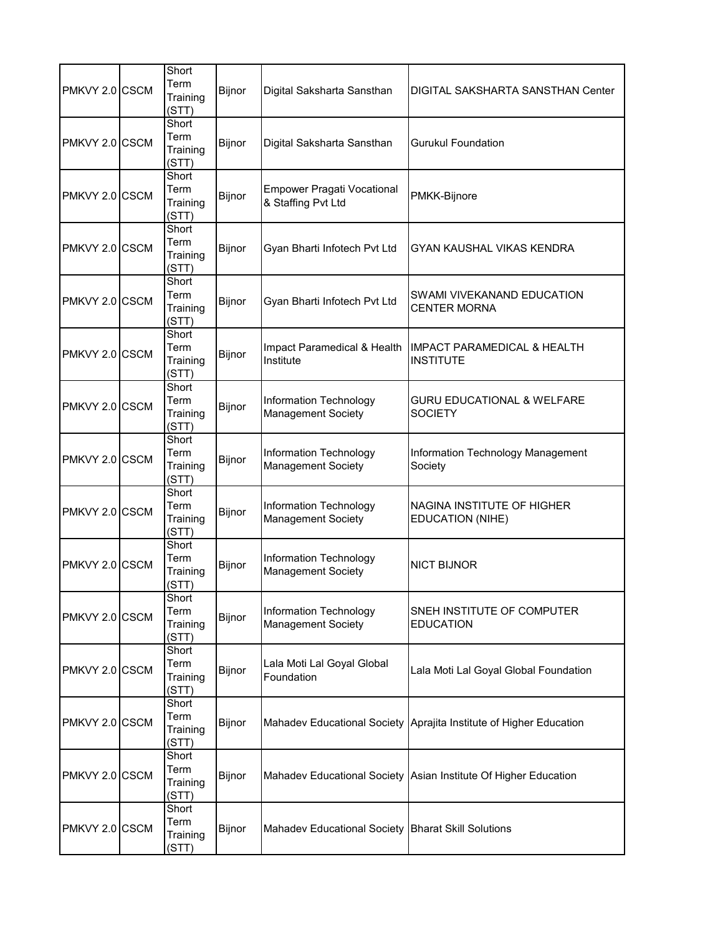| PMKVY 2.0 CSCM | Short<br>Term<br>Training<br>(STT) | Bijnor        | Digital Saksharta Sansthan                              | DIGITAL SAKSHARTA SANSTHAN Center                                  |
|----------------|------------------------------------|---------------|---------------------------------------------------------|--------------------------------------------------------------------|
| PMKVY 2.0 CSCM | Short<br>Term<br>Training<br>(STT) | Bijnor        | Digital Saksharta Sansthan                              | <b>Gurukul Foundation</b>                                          |
| PMKVY 2.0 CSCM | Short<br>Term<br>Training<br>(STT) | <b>Bijnor</b> | <b>Empower Pragati Vocational</b><br>& Staffing Pvt Ltd | PMKK-Bijnore                                                       |
| PMKVY 2.0 CSCM | Short<br>Term<br>Training<br>(STT) | Bijnor        | Gyan Bharti Infotech Pvt Ltd                            | GYAN KAUSHAL VIKAS KENDRA                                          |
| PMKVY 2.0 CSCM | Short<br>Term<br>Training<br>(STT) | Bijnor        | Gyan Bharti Infotech Pvt Ltd                            | SWAMI VIVEKANAND EDUCATION<br><b>CENTER MORNA</b>                  |
| PMKVY 2.0 CSCM | Short<br>Term<br>Training<br>(STT) | Bijnor        | Impact Paramedical & Health<br>Institute                | IMPACT PARAMEDICAL & HEALTH<br><b>INSTITUTE</b>                    |
| PMKVY 2.0 CSCM | Short<br>Term<br>Training<br>(STT) | Bijnor        | Information Technology<br><b>Management Society</b>     | <b>GURU EDUCATIONAL &amp; WELFARE</b><br><b>SOCIETY</b>            |
| PMKVY 2.0 CSCM | Short<br>Term<br>Training<br>(STT) | Bijnor        | Information Technology<br><b>Management Society</b>     | Information Technology Management<br>Society                       |
| PMKVY 2.0 CSCM | Short<br>Term<br>Training<br>(STT) | Bijnor        | Information Technology<br><b>Management Society</b>     | NAGINA INSTITUTE OF HIGHER<br><b>EDUCATION (NIHE)</b>              |
| PMKVY 2.0 CSCM | Short<br>Term<br>Training<br>(STT) | Bijnor        | Information Technology<br><b>Management Society</b>     | <b>NICT BIJNOR</b>                                                 |
| PMKVY 2.0 CSCM | Short<br>Term<br>Training<br>(STT) | Bijnor        | Information Technology<br><b>Management Society</b>     | SNEH INSTITUTE OF COMPUTER<br><b>EDUCATION</b>                     |
| PMKVY 2.0 CSCM | Short<br>Term<br>Training<br>(STT) | Bijnor        | Lala Moti Lal Goyal Global<br>Foundation                | Lala Moti Lal Goyal Global Foundation                              |
| PMKVY 2.0 CSCM | Short<br>Term<br>Training<br>(STT) | Bijnor        |                                                         | Mahadev Educational Society Aprajita Institute of Higher Education |
| PMKVY 2.0 CSCM | Short<br>Term<br>Training<br>(STT) | Bijnor        |                                                         | Mahadev Educational Society Asian Institute Of Higher Education    |
| PMKVY 2.0 CSCM | Short<br>Term<br>Training<br>(STT) | Bijnor        | Mahadev Educational Society   Bharat Skill Solutions    |                                                                    |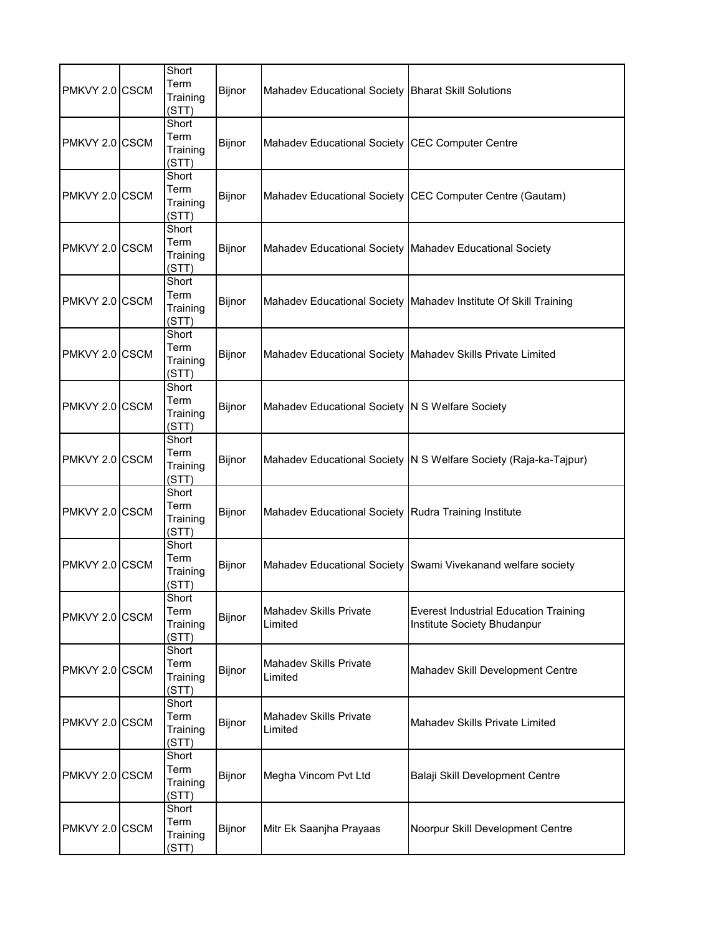| PMKVY 2.0 CSCM | Short<br>Term<br>Training<br>(STT) | Bijnor | Mahadev Educational Society Bharat Skill Solutions        |                                                                             |
|----------------|------------------------------------|--------|-----------------------------------------------------------|-----------------------------------------------------------------------------|
| PMKVY 2.0 CSCM | Short<br>Term<br>Training<br>(STT) | Bijnor | Mahadev Educational Society CEC Computer Centre           |                                                                             |
| PMKVY 2.0 CSCM | Short<br>Term<br>Training<br>(STT) | Bijnor |                                                           | Mahadev Educational Society CEC Computer Centre (Gautam)                    |
| PMKVY 2.0 CSCM | Short<br>Term<br>Training<br>(STT) | Bijnor | Mahadev Educational Society   Mahadev Educational Society |                                                                             |
| PMKVY 2.0 CSCM | Short<br>Term<br>Training<br>(STT) | Bijnor |                                                           | Mahadev Educational Society Mahadev Institute Of Skill Training             |
| PMKVY 2.0 CSCM | Short<br>Term<br>Training<br>(STT) | Bijnor |                                                           | Mahadev Educational Society   Mahadev Skills Private Limited                |
| PMKVY 2.0 CSCM | Short<br>Term<br>Training<br>(STT) | Bijnor | Mahadev Educational Society N S Welfare Society           |                                                                             |
| PMKVY 2.0 CSCM | Short<br>Term<br>Training<br>(STT) | Bijnor |                                                           | Mahadev Educational Society   N S Welfare Society (Raja-ka-Tajpur)          |
| PMKVY 2.0 CSCM | Short<br>Term<br>Training<br>(STT) | Bijnor | Mahadev Educational Society Rudra Training Institute      |                                                                             |
| PMKVY 2.0 CSCM | Short<br>Term<br>Training<br>(STT) | Bijnor |                                                           | Mahadev Educational Society Swami Vivekanand welfare society                |
| PMKVY 2.0 CSCM | Short<br>Term<br>Training<br>(STT) | Bijnor | Mahadev Skills Private<br>Limited                         | <b>Everest Industrial Education Training</b><br>Institute Society Bhudanpur |
| PMKVY 2.0 CSCM | Short<br>Term<br>Training<br>(STT) | Bijnor | <b>Mahadev Skills Private</b><br>Limited                  | Mahadev Skill Development Centre                                            |
| PMKVY 2.0 CSCM | Short<br>Term<br>Training<br>(STT) | Bijnor | <b>Mahadev Skills Private</b><br>Limited                  | <b>Mahadev Skills Private Limited</b>                                       |
| PMKVY 2.0 CSCM | Short<br>Term<br>Training<br>(STT) | Bijnor | Megha Vincom Pvt Ltd                                      | Balaji Skill Development Centre                                             |
| PMKVY 2.0 CSCM | Short<br>Term<br>Training<br>(STT) | Bijnor | Mitr Ek Saanjha Prayaas                                   | Noorpur Skill Development Centre                                            |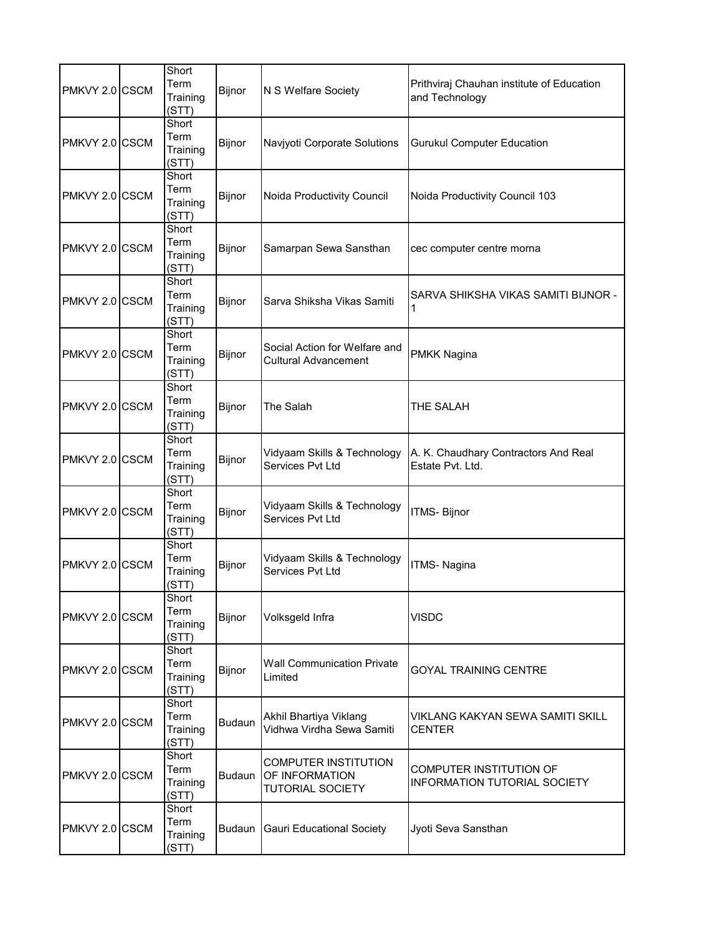| PMKVY 2.0 CSCM | Short<br>Term<br>Training<br>(STT) | Bijnor        | N S Welfare Society                                                      | Prithviraj Chauhan institute of Education<br>and Technology    |
|----------------|------------------------------------|---------------|--------------------------------------------------------------------------|----------------------------------------------------------------|
| PMKVY 2.0 CSCM | Short<br>Term<br>Training<br>(STT) | Bijnor        | Navjyoti Corporate Solutions                                             | <b>Gurukul Computer Education</b>                              |
| PMKVY 2.0 CSCM | Short<br>Term<br>Training<br>(STT) | Bijnor        | Noida Productivity Council                                               | Noida Productivity Council 103                                 |
| PMKVY 2.0 CSCM | Short<br>Term<br>Training<br>(STT) | Bijnor        | Samarpan Sewa Sansthan                                                   | cec computer centre morna                                      |
| PMKVY 2.0 CSCM | Short<br>Term<br>Training<br>(STT) | Bijnor        | Sarva Shiksha Vikas Samiti                                               | SARVA SHIKSHA VIKAS SAMITI BIJNOR -<br>1                       |
| PMKVY 2.0 CSCM | Short<br>Term<br>Training<br>(STT) | Bijnor        | Social Action for Welfare and<br><b>Cultural Advancement</b>             | <b>PMKK Nagina</b>                                             |
| PMKVY 2.0 CSCM | Short<br>Term<br>Training<br>(STT) | Bijnor        | The Salah                                                                | THE SALAH                                                      |
| PMKVY 2.0 CSCM | Short<br>Term<br>Training<br>(STT) | Bijnor        | Vidyaam Skills & Technology<br>Services Pvt Ltd                          | A. K. Chaudhary Contractors And Real<br>Estate Pvt. Ltd.       |
| PMKVY 2.0 CSCM | Short<br>Term<br>Training<br>(STT) | Bijnor        | Vidyaam Skills & Technology<br>Services Pvt Ltd                          | <b>ITMS-Bijnor</b>                                             |
| PMKVY 2.0 CSCM | Short<br>Term<br>Training<br>(STT) | Bijnor        | Vidyaam Skills & Technology<br>Services Pvt Ltd                          | <b>ITMS-Nagina</b>                                             |
| PMKVY 2.0 CSCM | Short<br>Term<br>Training<br>(STT) | Bijnor        | Volksgeld Infra                                                          | VISDC                                                          |
| PMKVY 2.0 CSCM | Short<br>Term<br>Training<br>(STT) | Bijnor        | <b>Wall Communication Private</b><br>Limited                             | <b>GOYAL TRAINING CENTRE</b>                                   |
| PMKVY 2.0 CSCM | Short<br>Term<br>Training<br>(STT) | <b>Budaun</b> | Akhil Bhartiya Viklang<br>Vidhwa Virdha Sewa Samiti                      | VIKLANG KAKYAN SEWA SAMITI SKILL<br><b>CENTER</b>              |
| PMKVY 2.0 CSCM | Short<br>Term<br>Training<br>(STT) | <b>Budaun</b> | <b>COMPUTER INSTITUTION</b><br>OF INFORMATION<br><b>TUTORIAL SOCIETY</b> | COMPUTER INSTITUTION OF<br><b>INFORMATION TUTORIAL SOCIETY</b> |
| PMKVY 2.0 CSCM | Short<br>Term<br>Training<br>(STT) | Budaun        | <b>Gauri Educational Society</b>                                         | Jyoti Seva Sansthan                                            |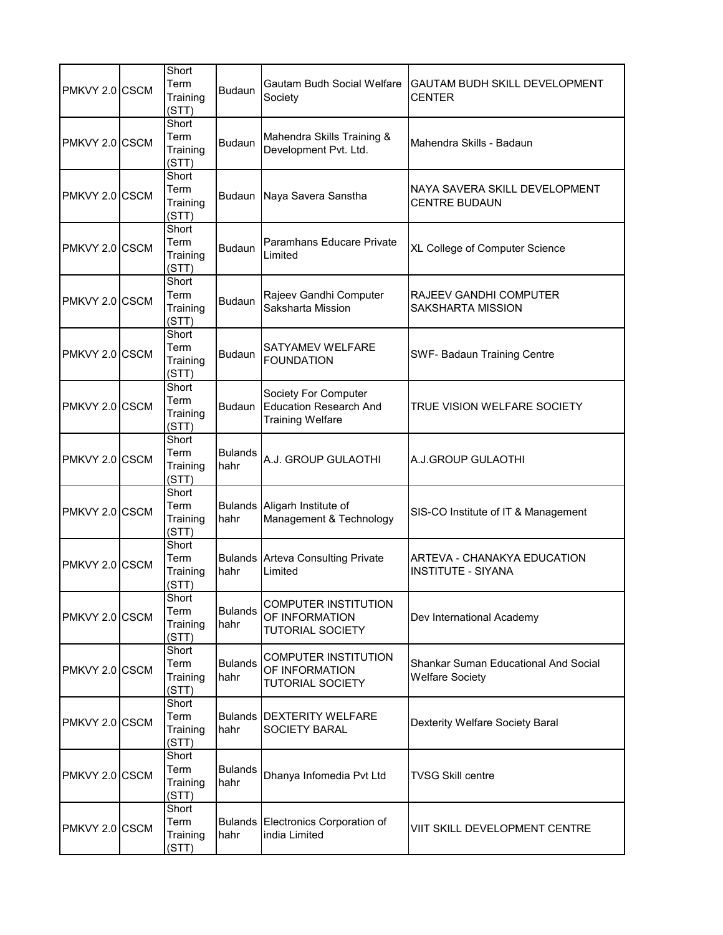| PMKVY 2.0 CSCM | Short<br>Term<br>Training<br>(STT) | <b>Budaun</b>          | Gautam Budh Social Welfare<br>Society                                            | GAUTAM BUDH SKILL DEVELOPMENT<br><b>CENTER</b>                 |
|----------------|------------------------------------|------------------------|----------------------------------------------------------------------------------|----------------------------------------------------------------|
| PMKVY 2.0 CSCM | Short<br>Term<br>Training<br>(STT) | <b>Budaun</b>          | Mahendra Skills Training &<br>Development Pvt. Ltd.                              | Mahendra Skills - Badaun                                       |
| PMKVY 2.0 CSCM | Short<br>Term<br>Training<br>(STT) | <b>Budaun</b>          | Naya Savera Sanstha                                                              | NAYA SAVERA SKILL DEVELOPMENT<br><b>CENTRE BUDAUN</b>          |
| PMKVY 2.0 CSCM | Short<br>Term<br>Training<br>(STT) | <b>Budaun</b>          | Paramhans Educare Private<br>Limited                                             | XL College of Computer Science                                 |
| PMKVY 2.0 CSCM | Short<br>Term<br>Training<br>(STT) | <b>Budaun</b>          | Rajeev Gandhi Computer<br>Saksharta Mission                                      | RAJEEV GANDHI COMPUTER<br><b>SAKSHARTA MISSION</b>             |
| PMKVY 2.0 CSCM | Short<br>Term<br>Training<br>(STT) | <b>Budaun</b>          | SATYAMEV WELFARE<br><b>FOUNDATION</b>                                            | <b>SWF- Badaun Training Centre</b>                             |
| PMKVY 2.0 CSCM | Short<br>Term<br>Training<br>(STT) | <b>Budaun</b>          | Society For Computer<br><b>Education Research And</b><br><b>Training Welfare</b> | TRUE VISION WELFARE SOCIETY                                    |
| PMKVY 2.0 CSCM | Short<br>Term<br>Training<br>(STT) | <b>Bulands</b><br>hahr | A.J. GROUP GULAOTHI                                                              | A.J.GROUP GULAOTHI                                             |
| PMKVY 2.0 CSCM | Short<br>Term<br>Training<br>(STT) | hahr                   | Bulands Aligarh Institute of<br>Management & Technology                          | SIS-CO Institute of IT & Management                            |
| PMKVY 2.0 CSCM | Short<br>Term<br>Training<br>(STT) | hahr                   | <b>Bulands Arteva Consulting Private</b><br>Limited                              | ARTEVA - CHANAKYA EDUCATION<br><b>INSTITUTE - SIYANA</b>       |
| PMKVY 2.0 CSCM | Short<br>Term<br>Training<br>(STT) | <b>Bulands</b><br>hahr | <b>COMPUTER INSTITUTION</b><br>OF INFORMATION<br><b>TUTORIAL SOCIETY</b>         | Dev International Academy                                      |
| PMKVY 2.0 CSCM | Short<br>Term<br>Training<br>(STT) | <b>Bulands</b><br>hahr | COMPUTER INSTITUTION<br>OF INFORMATION<br><b>TUTORIAL SOCIETY</b>                | Shankar Suman Educational And Social<br><b>Welfare Society</b> |
| PMKVY 2.0 CSCM | Short<br>Term<br>Training<br>(STT) | hahr                   | <b>Bulands   DEXTERITY WELFARE</b><br>SOCIETY BARAL                              | Dexterity Welfare Society Baral                                |
| PMKVY 2.0 CSCM | Short<br>Term<br>Training<br>(STT) | <b>Bulands</b><br>hahr | Dhanya Infomedia Pvt Ltd                                                         | <b>TVSG Skill centre</b>                                       |
| PMKVY 2.0 CSCM | Short<br>Term<br>Training<br>(STT) | hahr                   | Bulands Electronics Corporation of<br>india Limited                              | VIIT SKILL DEVELOPMENT CENTRE                                  |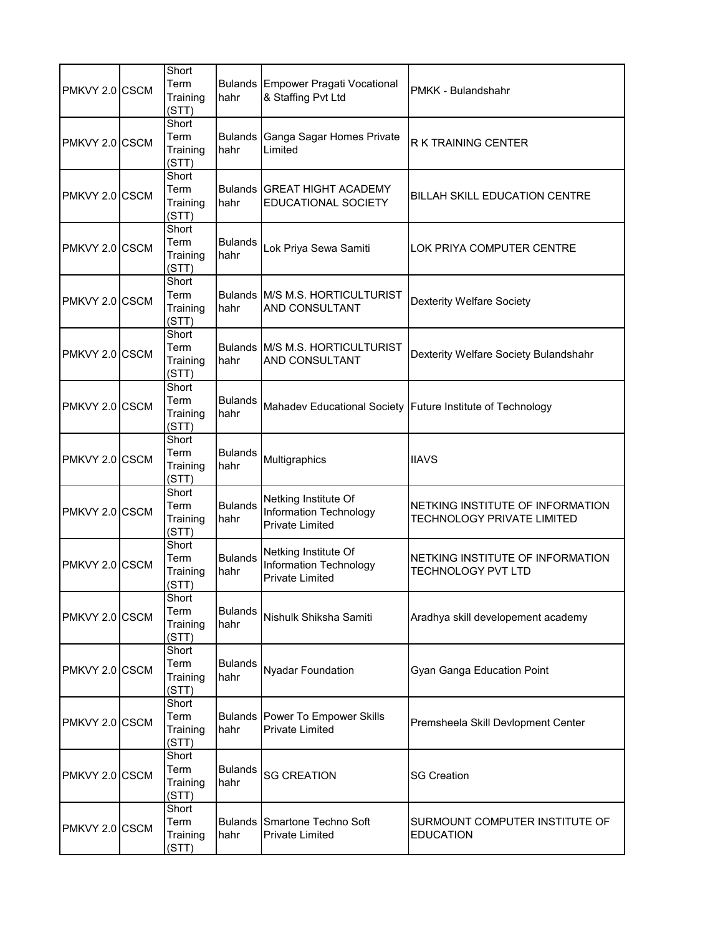| PMKVY 2.0 CSCM | Short<br>Term<br>Training<br>(STT) | hahr                   | <b>Bulands Empower Pragati Vocational</b><br>& Staffing Pvt Ltd                 | PMKK - Bulandshahr                                                    |
|----------------|------------------------------------|------------------------|---------------------------------------------------------------------------------|-----------------------------------------------------------------------|
| PMKVY 2.0 CSCM | Short<br>Term<br>Training<br>(STT) | <b>Bulands</b><br>hahr | Ganga Sagar Homes Private<br>Limited                                            | <b>R K TRAINING CENTER</b>                                            |
| PMKVY 2.0 CSCM | Short<br>Term<br>Training<br>(STT) | hahr                   | <b>Bulands GREAT HIGHT ACADEMY</b><br>EDUCATIONAL SOCIETY                       | <b>BILLAH SKILL EDUCATION CENTRE</b>                                  |
| PMKVY 2.0 CSCM | Short<br>Term<br>Training<br>(STT) | <b>Bulands</b><br>hahr | Lok Priya Sewa Samiti                                                           | LOK PRIYA COMPUTER CENTRE                                             |
| PMKVY 2.0 CSCM | Short<br>Term<br>Training<br>(STT) | hahr                   | Bulands M/S M.S. HORTICULTURIST<br>AND CONSULTANT                               | <b>Dexterity Welfare Society</b>                                      |
| PMKVY 2.0 CSCM | Short<br>Term<br>Training<br>(STT) | hahr                   | Bulands M/S M.S. HORTICULTURIST<br>AND CONSULTANT                               | Dexterity Welfare Society Bulandshahr                                 |
| PMKVY 2.0 CSCM | Short<br>Term<br>Training<br>(STT) | <b>Bulands</b><br>hahr |                                                                                 | Mahadev Educational Society Future Institute of Technology            |
| PMKVY 2.0 CSCM | Short<br>Term<br>Training<br>(STT) | <b>Bulands</b><br>hahr | Multigraphics                                                                   | <b>IIAVS</b>                                                          |
| PMKVY 2.0 CSCM | Short<br>Term<br>Training<br>(STT) | <b>Bulands</b><br>hahr | Netking Institute Of<br><b>Information Technology</b><br><b>Private Limited</b> | NETKING INSTITUTE OF INFORMATION<br><b>TECHNOLOGY PRIVATE LIMITED</b> |
| PMKVY 2.0 CSCM | Short<br>Term<br>Training<br>(STT) | <b>Bulands</b><br>hahr | Netking Institute Of<br><b>Information Technology</b><br><b>Private Limited</b> | NETKING INSTITUTE OF INFORMATION<br><b>TECHNOLOGY PVT LTD</b>         |
| PMKVY 2.0 CSCM | Short<br>Term<br>Training<br>(STT) | <b>Bulands</b><br>hahr | Nishulk Shiksha Samiti                                                          | Aradhya skill developement academy                                    |
| PMKVY 2.0 CSCM | Short<br>Term<br>Training<br>(STT) | <b>Bulands</b><br>hahr | <b>Nyadar Foundation</b>                                                        | Gyan Ganga Education Point                                            |
| PMKVY 2.0 CSCM | Short<br>Term<br>Training<br>(STT) | hahr                   | <b>Bulands Power To Empower Skills</b><br><b>Private Limited</b>                | Premsheela Skill Devlopment Center                                    |
| PMKVY 2.0 CSCM | Short<br>Term<br>Training<br>(STT) | <b>Bulands</b><br>hahr | <b>SG CREATION</b>                                                              | <b>SG Creation</b>                                                    |
| PMKVY 2.0 CSCM | Short<br>Term<br>Training<br>(STT) | hahr                   | <b>Bulands Smartone Techno Soft</b><br><b>Private Limited</b>                   | SURMOUNT COMPUTER INSTITUTE OF<br><b>EDUCATION</b>                    |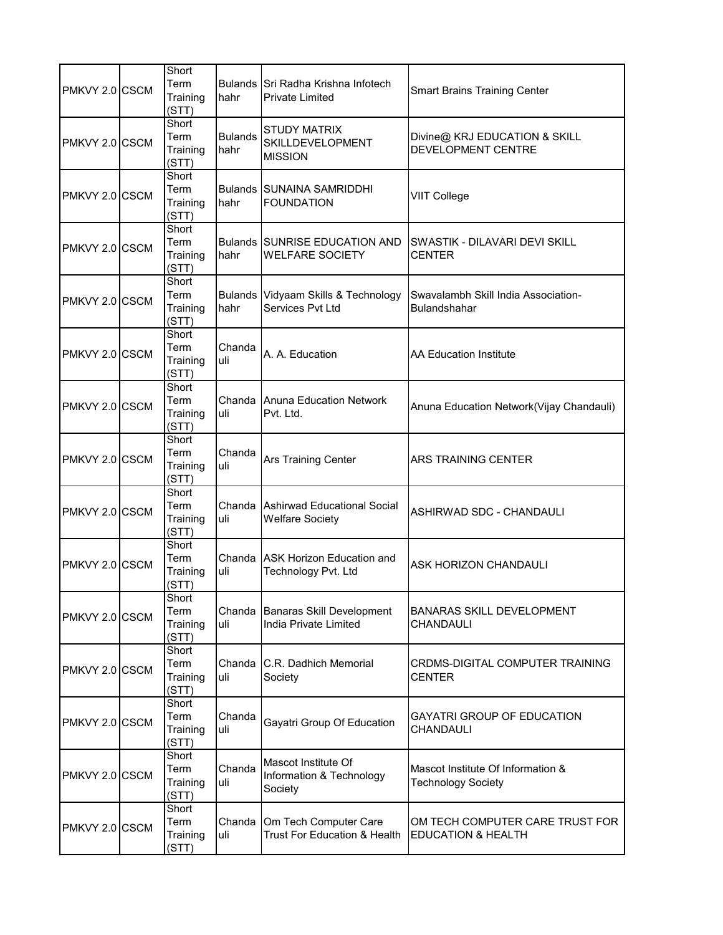| PMKVY 2.0 CSCM | Short<br>Term<br>Training<br>(STT) | hahr                   | Bulands Sri Radha Krishna Infotech<br><b>Private Limited</b> | <b>Smart Brains Training Center</b>                              |
|----------------|------------------------------------|------------------------|--------------------------------------------------------------|------------------------------------------------------------------|
| PMKVY 2.0 CSCM | Short<br>Term<br>Training<br>(STT) | <b>Bulands</b><br>hahr | <b>STUDY MATRIX</b><br>SKILLDEVELOPMENT<br><b>MISSION</b>    | Divine@ KRJ EDUCATION & SKILL<br><b>DEVELOPMENT CENTRE</b>       |
| PMKVY 2.0 CSCM | Short<br>Term<br>Training<br>(STT) | hahr                   | <b>Bulands SUNAINA SAMRIDDHI</b><br><b>FOUNDATION</b>        | <b>VIIT College</b>                                              |
| PMKVY 2.0 CSCM | Short<br>Term<br>Training<br>(STT) | hahr                   | Bulands SUNRISE EDUCATION AND<br><b>WELFARE SOCIETY</b>      | SWASTIK - DILAVARI DEVI SKILL<br><b>CENTER</b>                   |
| PMKVY 2.0 CSCM | Short<br>Term<br>Training<br>(STT) | hahr                   | Bulands Vidyaam Skills & Technology<br>Services Pvt Ltd      | Swavalambh Skill India Association-<br>Bulandshahar              |
| PMKVY 2.0 CSCM | Short<br>Term<br>Training<br>(STT) | Chanda<br>uli          | A. A. Education                                              | <b>AA Education Institute</b>                                    |
| PMKVY 2.0 CSCM | Short<br>Term<br>Training<br>(STT) | uli                    | Chanda Anuna Education Network<br>Pvt. Ltd.                  | Anuna Education Network(Vijay Chandauli)                         |
| PMKVY 2.0 CSCM | Short<br>Term<br>Training<br>(STT) | Chanda<br>uli          | Ars Training Center                                          | ARS TRAINING CENTER                                              |
| PMKVY 2.0 CSCM | Short<br>Term<br>Training<br>(STT) | uli                    | Chanda Ashirwad Educational Social<br><b>Welfare Society</b> | ASHIRWAD SDC - CHANDAULI                                         |
| PMKVY 2.0 CSCM | Short<br>Term<br>Training<br>(STT) | uli                    | Chanda IASK Horizon Education and<br>Technology Pvt. Ltd     | ASK HORIZON CHANDAULI                                            |
| PMKVY 2.0 CSCM | Short<br>Term<br>Training<br>(STT) | uli                    | Chanda Banaras Skill Development<br>India Private Limited    | <b>BANARAS SKILL DEVELOPMENT</b><br>CHANDAULI                    |
| PMKVY 2.0 CSCM | Short<br>Term<br>Training<br>(STT) | uli                    | Chanda C.R. Dadhich Memorial<br>Society                      | CRDMS-DIGITAL COMPUTER TRAINING<br><b>CENTER</b>                 |
| PMKVY 2.0 CSCM | Short<br>Term<br>Training<br>(STT) | Chanda<br>uli          | Gayatri Group Of Education                                   | <b>GAYATRI GROUP OF EDUCATION</b><br><b>CHANDAULI</b>            |
| PMKVY 2.0 CSCM | Short<br>Term<br>Training<br>(STT) | Chanda<br>uli          | Mascot Institute Of<br>Information & Technology<br>Society   | Mascot Institute Of Information &<br><b>Technology Society</b>   |
| PMKVY 2.0 CSCM | Short<br>Term<br>Training<br>(STT) | uli                    | Chanda Om Tech Computer Care<br>Trust For Education & Health | OM TECH COMPUTER CARE TRUST FOR<br><b>EDUCATION &amp; HEALTH</b> |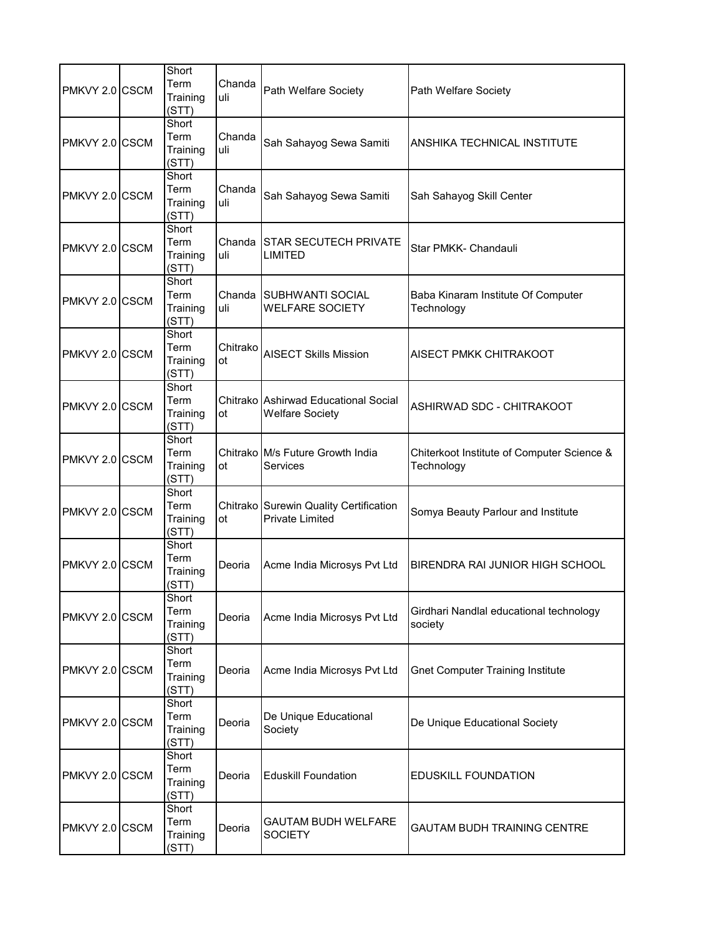| PMKVY 2.0 CSCM | Short<br>Term<br>Training<br>(STT) | Chanda<br>uli  | Path Welfare Society                                             | Path Welfare Society                                     |
|----------------|------------------------------------|----------------|------------------------------------------------------------------|----------------------------------------------------------|
| PMKVY 2.0 CSCM | Short<br>Term<br>Training<br>(STT) | Chanda<br>uli  | Sah Sahayog Sewa Samiti                                          | ANSHIKA TECHNICAL INSTITUTE                              |
| PMKVY 2.0 CSCM | Short<br>Term<br>Training<br>(STT) | Chanda<br>uli  | Sah Sahayog Sewa Samiti                                          | Sah Sahayog Skill Center                                 |
| PMKVY 2.0 CSCM | Short<br>Term<br>Training<br>(STT) | uli            | Chanda STAR SECUTECH PRIVATE<br><b>LIMITED</b>                   | Star PMKK- Chandauli                                     |
| PMKVY 2.0 CSCM | Short<br>Term<br>Training<br>(STT) | uli            | Chanda SUBHWANTI SOCIAL<br><b>WELFARE SOCIETY</b>                | Baba Kinaram Institute Of Computer<br>Technology         |
| PMKVY 2.0 CSCM | Short<br>Term<br>Training<br>(STT) | Chitrako<br>ot | <b>AISECT Skills Mission</b>                                     | AISECT PMKK CHITRAKOOT                                   |
| PMKVY 2.0 CSCM | Short<br>Term<br>Training<br>(STT) | ot             | Chitrako Ashirwad Educational Social<br><b>Welfare Society</b>   | ASHIRWAD SDC - CHITRAKOOT                                |
| PMKVY 2.0 CSCM | Short<br>Term<br>Training<br>(STT) | ot             | Chitrako M/s Future Growth India<br>Services                     | Chiterkoot Institute of Computer Science &<br>Technology |
| PMKVY 2.0 CSCM | Short<br>Term<br>Training<br>(STT) | ot             | Chitrako Surewin Quality Certification<br><b>Private Limited</b> | Somya Beauty Parlour and Institute                       |
| PMKVY 2.0 CSCM | Short<br>Term<br>Training<br>(STT) | Deoria         | Acme India Microsys Pvt Ltd                                      | BIRENDRA RAI JUNIOR HIGH SCHOOL                          |
| PMKVY 2.0 CSCM | Short<br>Term<br>Training<br>(STT) | Deoria         | Acme India Microsys Pvt Ltd                                      | Girdhari Nandlal educational technology<br>society       |
| PMKVY 2.0 CSCM | Short<br>Term<br>Training<br>(STT) | Deoria         | Acme India Microsys Pvt Ltd                                      | <b>Gnet Computer Training Institute</b>                  |
| PMKVY 2.0 CSCM | Short<br>Term<br>Training<br>(STT) | Deoria         | De Unique Educational<br>Society                                 | De Unique Educational Society                            |
| PMKVY 2.0 CSCM | Short<br>Term<br>Training<br>(STT) | Deoria         | <b>Eduskill Foundation</b>                                       | <b>EDUSKILL FOUNDATION</b>                               |
| PMKVY 2.0 CSCM | Short<br>Term<br>Training<br>(STT) | Deoria         | GAUTAM BUDH WELFARE<br><b>SOCIETY</b>                            | GAUTAM BUDH TRAINING CENTRE                              |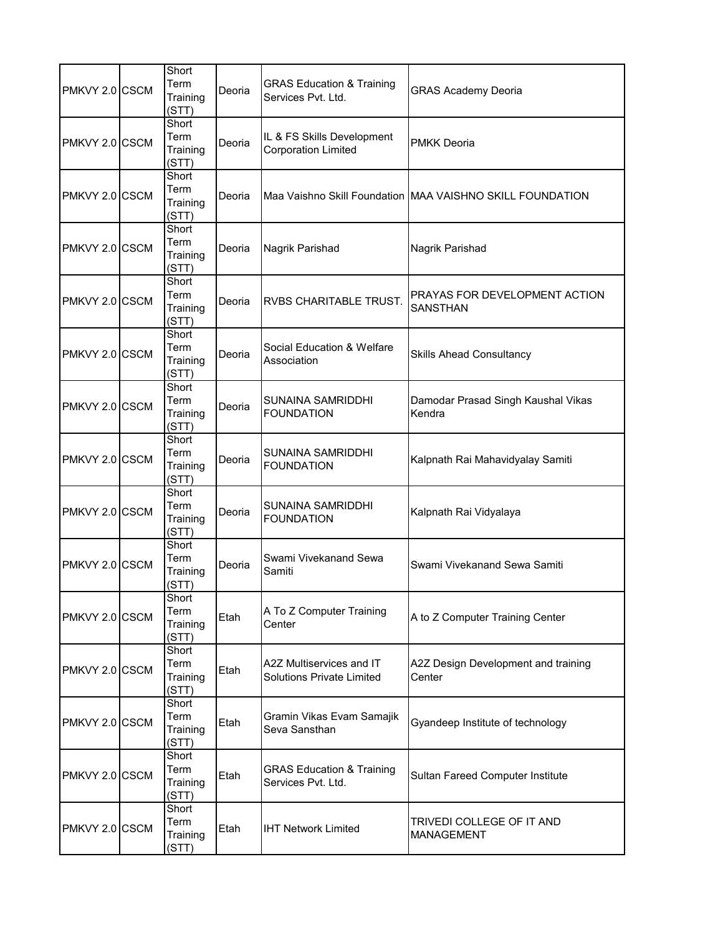| PMKVY 2.0 CSCM | Short<br>Term<br>Training<br>(STT) | Deoria | <b>GRAS Education &amp; Training</b><br>Services Pvt. Ltd.   | <b>GRAS Academy Deoria</b>                                |
|----------------|------------------------------------|--------|--------------------------------------------------------------|-----------------------------------------------------------|
| PMKVY 2.0 CSCM | Short<br>Term<br>Training<br>(STT) | Deoria | IL & FS Skills Development<br><b>Corporation Limited</b>     | <b>PMKK Deoria</b>                                        |
| PMKVY 2.0 CSCM | Short<br>Term<br>Training<br>(STT) | Deoria |                                                              | Maa Vaishno Skill Foundation MAA VAISHNO SKILL FOUNDATION |
| PMKVY 2.0 CSCM | Short<br>Term<br>Training<br>(STT) | Deoria | Nagrik Parishad                                              | Nagrik Parishad                                           |
| PMKVY 2.0 CSCM | Short<br>Term<br>Training<br>(STT) | Deoria | <b>RVBS CHARITABLE TRUST.</b>                                | PRAYAS FOR DEVELOPMENT ACTION<br><b>SANSTHAN</b>          |
| PMKVY 2.0 CSCM | Short<br>Term<br>Training<br>(STT) | Deoria | Social Education & Welfare<br>Association                    | <b>Skills Ahead Consultancy</b>                           |
| PMKVY 2.0 CSCM | Short<br>Term<br>Training<br>(STT) | Deoria | SUNAINA SAMRIDDHI<br><b>FOUNDATION</b>                       | Damodar Prasad Singh Kaushal Vikas<br>Kendra              |
| PMKVY 2.0 CSCM | Short<br>Term<br>Training<br>(STT) | Deoria | SUNAINA SAMRIDDHI<br><b>FOUNDATION</b>                       | Kalpnath Rai Mahavidyalay Samiti                          |
| PMKVY 2.0 CSCM | Short<br>Term<br>Training<br>(STT) | Deoria | <b>SUNAINA SAMRIDDHI</b><br><b>FOUNDATION</b>                | Kalpnath Rai Vidyalaya                                    |
| PMKVY 2.0 CSCM | Short<br>Term<br>Training<br>(STT) | Deoria | Swami Vivekanand Sewa<br>Samiti                              | Swami Vivekanand Sewa Samiti                              |
| PMKVY 2.0 CSCM | Short<br>Term<br>Training<br>(STT) | Etah   | A To Z Computer Training<br>Center                           | A to Z Computer Training Center                           |
| PMKVY 2.0 CSCM | Short<br>Term<br>Training<br>(STT) | Etah   | A2Z Multiservices and IT<br><b>Solutions Private Limited</b> | A2Z Design Development and training<br>Center             |
| PMKVY 2.0 CSCM | Short<br>Term<br>Training<br>(STT) | Etah   | Gramin Vikas Evam Samajik<br>Seva Sansthan                   | Gyandeep Institute of technology                          |
| PMKVY 2.0 CSCM | Short<br>Term<br>Training<br>(STT) | Etah   | <b>GRAS Education &amp; Training</b><br>Services Pvt. Ltd.   | Sultan Fareed Computer Institute                          |
| PMKVY 2.0 CSCM | Short<br>Term<br>Training<br>(STT) | Etah   | <b>IHT Network Limited</b>                                   | TRIVEDI COLLEGE OF IT AND<br><b>MANAGEMENT</b>            |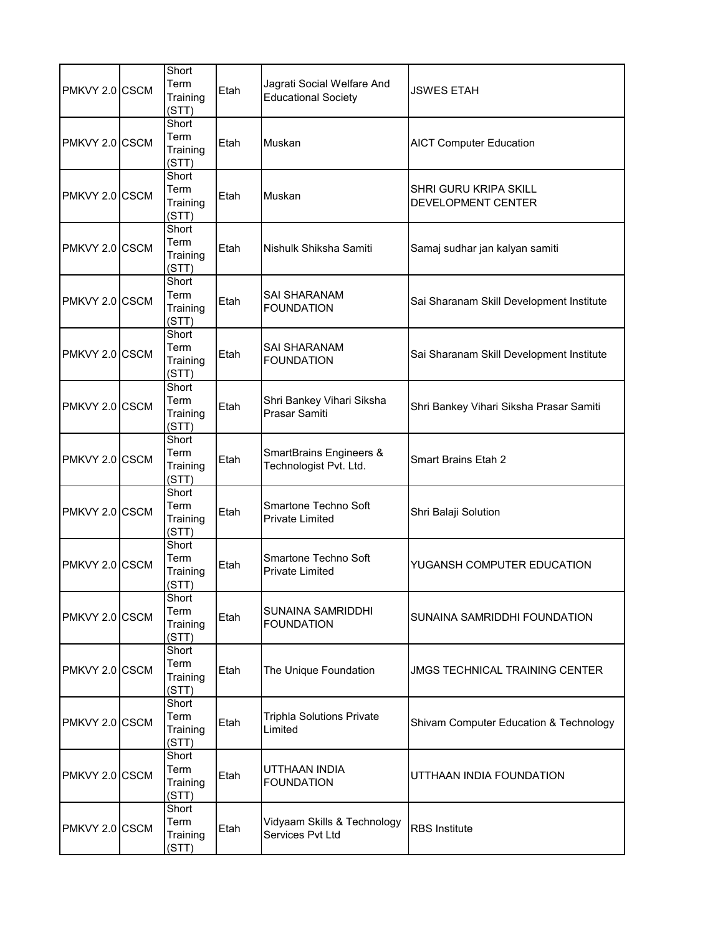| PMKVY 2.0 CSCM | Short<br>Term<br>Training<br>(STT) | Etah | Jagrati Social Welfare And<br><b>Educational Society</b>     | <b>JSWES ETAH</b>                           |
|----------------|------------------------------------|------|--------------------------------------------------------------|---------------------------------------------|
| PMKVY 2.0 CSCM | Short<br>Term<br>Training<br>(STT) | Etah | Muskan                                                       | <b>AICT Computer Education</b>              |
| PMKVY 2.0 CSCM | Short<br>Term<br>Training<br>(STT) | Etah | Muskan                                                       | SHRI GURU KRIPA SKILL<br>DEVELOPMENT CENTER |
| PMKVY 2.0 CSCM | Short<br>Term<br>Training<br>(STT) | Etah | Nishulk Shiksha Samiti                                       | Samaj sudhar jan kalyan samiti              |
| PMKVY 2.0 CSCM | Short<br>Term<br>Training<br>(STT) | Etah | <b>SAI SHARANAM</b><br><b>FOUNDATION</b>                     | Sai Sharanam Skill Development Institute    |
| PMKVY 2.0 CSCM | Short<br>Term<br>Training<br>(STT) | Etah | SAI SHARANAM<br><b>FOUNDATION</b>                            | Sai Sharanam Skill Development Institute    |
| PMKVY 2.0 CSCM | Short<br>Term<br>Training<br>(STT) | Etah | Shri Bankey Vihari Siksha<br>Prasar Samiti                   | Shri Bankey Vihari Siksha Prasar Samiti     |
| PMKVY 2.0 CSCM | Short<br>Term<br>Training<br>(STT) | Etah | <b>SmartBrains Engineers &amp;</b><br>Technologist Pvt. Ltd. | <b>Smart Brains Etah 2</b>                  |
| PMKVY 2.0 CSCM | Short<br>Term<br>Training<br>(STT) | Etah | Smartone Techno Soft<br><b>Private Limited</b>               | Shri Balaji Solution                        |
| PMKVY 2.0 CSCM | Short<br>Term<br>Training<br>(STT) | Etah | Smartone Techno Soft<br><b>Private Limited</b>               | YUGANSH COMPUTER EDUCATION                  |
| PMKVY 2.0 CSCM | Short<br>Term<br>Training<br>(STT) | Etah | <b>SUNAINA SAMRIDDHI</b><br><b>FOUNDATION</b>                | SUNAINA SAMRIDDHI FOUNDATION                |
| PMKVY 2.0 CSCM | Short<br>Term<br>Training<br>(STT) | Etah | The Unique Foundation                                        | <b>JMGS TECHNICAL TRAINING CENTER</b>       |
| PMKVY 2.0 CSCM | Short<br>Term<br>Training<br>(STT) | Etah | <b>Triphla Solutions Private</b><br>Limited                  | Shivam Computer Education & Technology      |
| PMKVY 2.0 CSCM | Short<br>Term<br>Training<br>(STT) | Etah | UTTHAAN INDIA<br><b>FOUNDATION</b>                           | UTTHAAN INDIA FOUNDATION                    |
| PMKVY 2.0 CSCM | Short<br>Term<br>Training<br>(STT) | Etah | Vidyaam Skills & Technology<br>Services Pvt Ltd              | <b>RBS</b> Institute                        |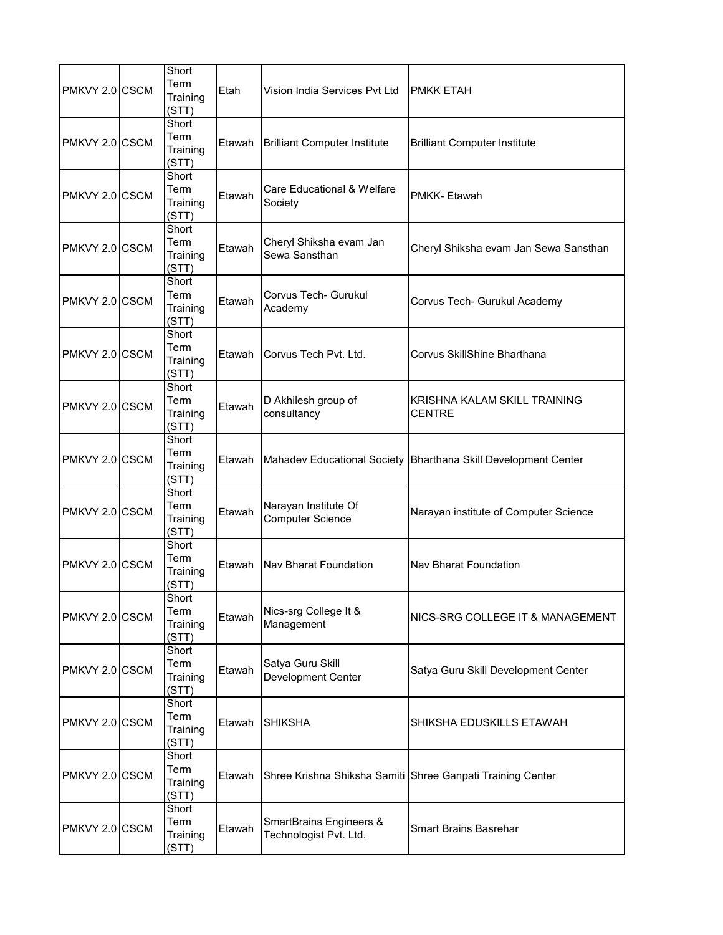| PMKVY 2.0 CSCM | Short<br>Term<br>Training<br>(STT) | Etah   | Vision India Services Pvt Ltd                     | <b>PMKK ETAH</b>                                               |
|----------------|------------------------------------|--------|---------------------------------------------------|----------------------------------------------------------------|
| PMKVY 2.0 CSCM | Short<br>Term<br>Training<br>(STT) | Etawah | <b>Brilliant Computer Institute</b>               | <b>Brilliant Computer Institute</b>                            |
| PMKVY 2.0 CSCM | Short<br>Term<br>Training<br>(STT) | Etawah | Care Educational & Welfare<br>Society             | PMKK-Etawah                                                    |
| PMKVY 2.0 CSCM | Short<br>Term<br>Training<br>(STT) | Etawah | Cheryl Shiksha evam Jan<br>Sewa Sansthan          | Cheryl Shiksha evam Jan Sewa Sansthan                          |
| PMKVY 2.0 CSCM | Short<br>Term<br>Training<br>(STT) | Etawah | Corvus Tech- Gurukul<br>Academy                   | Corvus Tech- Gurukul Academy                                   |
| PMKVY 2.0 CSCM | Short<br>Term<br>Training<br>(STT) | Etawah | Corvus Tech Pvt. Ltd.                             | Corvus SkillShine Bharthana                                    |
| PMKVY 2.0 CSCM | Short<br>Term<br>Training<br>(STT) | Etawah | D Akhilesh group of<br>consultancy                | KRISHNA KALAM SKILL TRAINING<br><b>CENTRE</b>                  |
| PMKVY 2.0 CSCM | Short<br>Term<br>Training<br>(STT) | Etawah |                                                   | Mahadev Educational Society Bharthana Skill Development Center |
| PMKVY 2.0 CSCM | Short<br>Term<br>Training<br>(STT) | Etawah | Narayan Institute Of<br><b>Computer Science</b>   | Narayan institute of Computer Science                          |
| PMKVY 2.0 CSCM | Short<br>Term<br>Training<br>(STT) | Etawah | Nav Bharat Foundation                             | <b>Nav Bharat Foundation</b>                                   |
| PMKVY 2.0 CSCM | Short<br>Term<br>Training<br>(STT) | Etawah | Nics-srg College It &<br>Management               | NICS-SRG COLLEGE IT & MANAGEMENT                               |
| PMKVY 2.0 CSCM | Short<br>Term<br>Training<br>(STT) | Etawah | Satya Guru Skill<br>Development Center            | Satya Guru Skill Development Center                            |
| PMKVY 2.0 CSCM | Short<br>Term<br>Training<br>(STT) | Etawah | <b>SHIKSHA</b>                                    | SHIKSHA EDUSKILLS ETAWAH                                       |
| PMKVY 2.0 CSCM | Short<br>Term<br>Training<br>(STT) | Etawah |                                                   | Shree Krishna Shiksha Samiti Shree Ganpati Training Center     |
| PMKVY 2.0 CSCM | Short<br>Term<br>Training<br>(STT) | Etawah | SmartBrains Engineers &<br>Technologist Pvt. Ltd. | <b>Smart Brains Basrehar</b>                                   |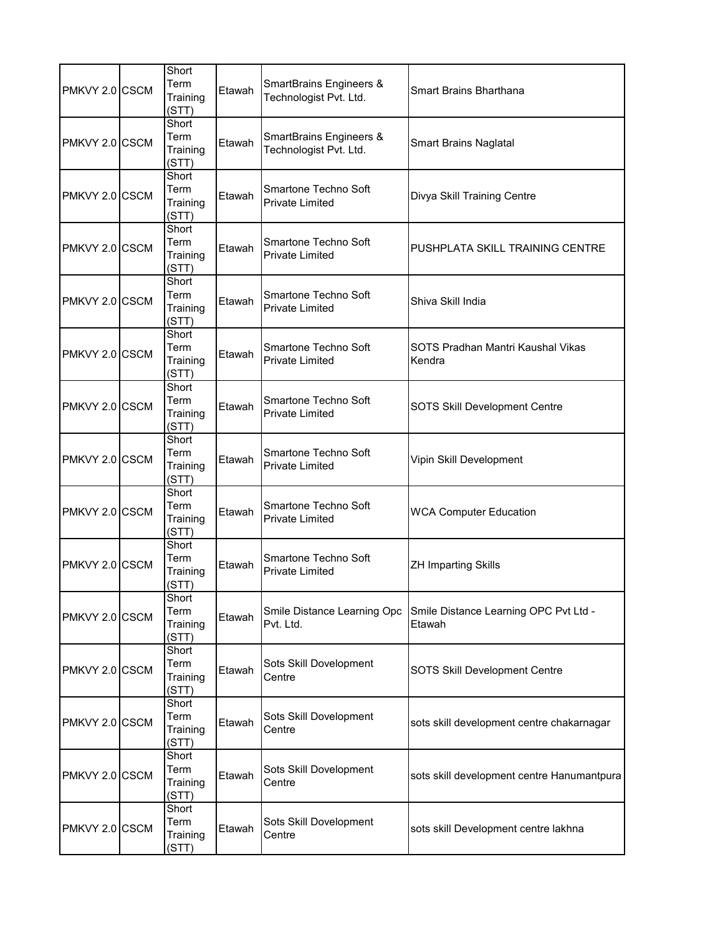| PMKVY 2.0 CSCM | Short<br>Term<br>Training<br>(STT) | Etawah | <b>SmartBrains Engineers &amp;</b><br>Technologist Pvt. Ltd. | Smart Brains Bharthana                          |
|----------------|------------------------------------|--------|--------------------------------------------------------------|-------------------------------------------------|
| PMKVY 2.0 CSCM | Short<br>Term<br>Training<br>(STT) | Etawah | <b>SmartBrains Engineers &amp;</b><br>Technologist Pvt. Ltd. | <b>Smart Brains Naglatal</b>                    |
| PMKVY 2.0 CSCM | Short<br>Term<br>Training<br>(STT) | Etawah | Smartone Techno Soft<br><b>Private Limited</b>               | Divya Skill Training Centre                     |
| PMKVY 2.0 CSCM | Short<br>Term<br>Training<br>(STT) | Etawah | Smartone Techno Soft<br><b>Private Limited</b>               | PUSHPLATA SKILL TRAINING CENTRE                 |
| PMKVY 2.0 CSCM | Short<br>Term<br>Training<br>(STT) | Etawah | Smartone Techno Soft<br><b>Private Limited</b>               | Shiva Skill India                               |
| PMKVY 2.0 CSCM | Short<br>Term<br>Training<br>(STT) | Etawah | Smartone Techno Soft<br><b>Private Limited</b>               | SOTS Pradhan Mantri Kaushal Vikas<br>Kendra     |
| PMKVY 2.0 CSCM | Short<br>Term<br>Training<br>(STT) | Etawah | Smartone Techno Soft<br><b>Private Limited</b>               | SOTS Skill Development Centre                   |
| PMKVY 2.0 CSCM | Short<br>Term<br>Training<br>(STT) | Etawah | Smartone Techno Soft<br><b>Private Limited</b>               | Vipin Skill Development                         |
| PMKVY 2.0 CSCM | Short<br>Term<br>Training<br>(STT) | Etawah | Smartone Techno Soft<br><b>Private Limited</b>               | <b>WCA Computer Education</b>                   |
| PMKVY 2.0 CSCM | Short<br>Term<br>Training<br>(STT) | Etawah | Smartone Techno Soft<br><b>Private Limited</b>               | <b>ZH Imparting Skills</b>                      |
| PMKVY 2.0 CSCM | Short<br>Term<br>Training<br>(STT) | Etawah | Smile Distance Learning Opc<br>Pvt. Ltd.                     | Smile Distance Learning OPC Pvt Ltd -<br>Etawah |
| PMKVY 2.0 CSCM | Short<br>Term<br>Training<br>(STT) | Etawah | Sots Skill Dovelopment<br>Centre                             | SOTS Skill Development Centre                   |
| PMKVY 2.0 CSCM | Short<br>Term<br>Training<br>(STT) | Etawah | Sots Skill Dovelopment<br>Centre                             | sots skill development centre chakarnagar       |
| PMKVY 2.0 CSCM | Short<br>Term<br>Training<br>(STT) | Etawah | Sots Skill Dovelopment<br>Centre                             | sots skill development centre Hanumantpura      |
| PMKVY 2.0 CSCM | Short<br>Term<br>Training<br>(STT) | Etawah | Sots Skill Dovelopment<br>Centre                             | sots skill Development centre lakhna            |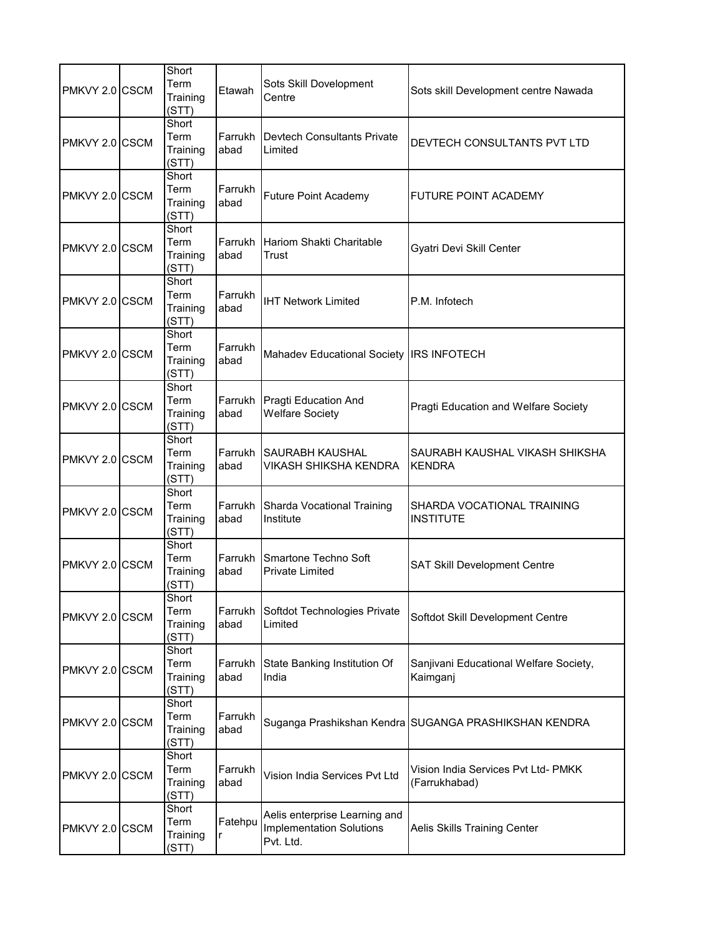| PMKVY 2.0 CSCM  | Short<br>Term<br>Training<br>(STT) | Etawah          | Sots Skill Dovelopment<br>Centre                                              | Sots skill Development centre Nawada                  |
|-----------------|------------------------------------|-----------------|-------------------------------------------------------------------------------|-------------------------------------------------------|
| PMKVY 2.0 CSCM  | Short<br>Term<br>Training<br>(STT) | Farrukh<br>abad | Devtech Consultants Private<br>Limited                                        | DEVTECH CONSULTANTS PVT LTD                           |
| PMKVY 2.0 CSCM  | Short<br>Term<br>Training<br>(STT) | Farrukh<br>abad | <b>Future Point Academy</b>                                                   | <b>FUTURE POINT ACADEMY</b>                           |
| PMKVY 2.0 CSCM  | Short<br>Term<br>Training<br>(STT) | Farrukh<br>abad | <b>Hariom Shakti Charitable</b><br>Trust                                      | Gyatri Devi Skill Center                              |
| PMKVY 2.0 ICSCM | Short<br>Term<br>Training<br>(STT) | Farrukh<br>abad | <b>IHT Network Limited</b>                                                    | P.M. Infotech                                         |
| PMKVY 2.0 CSCM  | Short<br>Term<br>Training<br>(STT) | Farrukh<br>abad | Mahadev Educational Society IRS INFOTECH                                      |                                                       |
| PMKVY 2.0 CSCM  | Short<br>Term<br>Training<br>(STT) | Farrukh<br>abad | Pragti Education And<br><b>Welfare Society</b>                                | Pragti Education and Welfare Society                  |
| PMKVY 2.0 CSCM  | Short<br>Term<br>Training<br>(STT) | Farrukh<br>abad | <b>SAURABH KAUSHAL</b><br>VIKASH SHIKSHA KENDRA                               | SAURABH KAUSHAL VIKASH SHIKSHA<br><b>KENDRA</b>       |
| PMKVY 2.0 CSCM  | Short<br>Term<br>Training<br>(STT) | Farrukh<br>abad | Sharda Vocational Training<br>Institute                                       | SHARDA VOCATIONAL TRAINING<br><b>INSTITUTE</b>        |
| PMKVY 2.0 CSCM  | Short<br>Term<br>Training<br>(STT) | Farrukh<br>abad | Smartone Techno Soft<br><b>Private Limited</b>                                | SAT Skill Development Centre                          |
| PMKVY 2.0 CSCM  | Short<br>Term<br>Training<br>(STT) | Farrukh<br>abad | Softdot Technologies Private<br>Limited                                       | Softdot Skill Development Centre                      |
| PMKVY 2.0 CSCM  | Short<br>Term<br>Training<br>(STT) | Farrukh<br>abad | State Banking Institution Of<br>India                                         | Sanjivani Educational Welfare Society,<br>Kaimganj    |
| PMKVY 2.0 CSCM  | Short<br>Term<br>Training<br>(STT) | Farrukh<br>abad |                                                                               | Suganga Prashikshan Kendra SUGANGA PRASHIKSHAN KENDRA |
| PMKVY 2.0 CSCM  | Short<br>Term<br>Training<br>(STT) | Farrukh<br>abad | Vision India Services Pvt Ltd                                                 | Vision India Services Pvt Ltd- PMKK<br>(Farrukhabad)  |
| PMKVY 2.0 CSCM  | Short<br>Term<br>Training<br>(STT) | Fatehpu         | Aelis enterprise Learning and<br><b>Implementation Solutions</b><br>Pvt. Ltd. | Aelis Skills Training Center                          |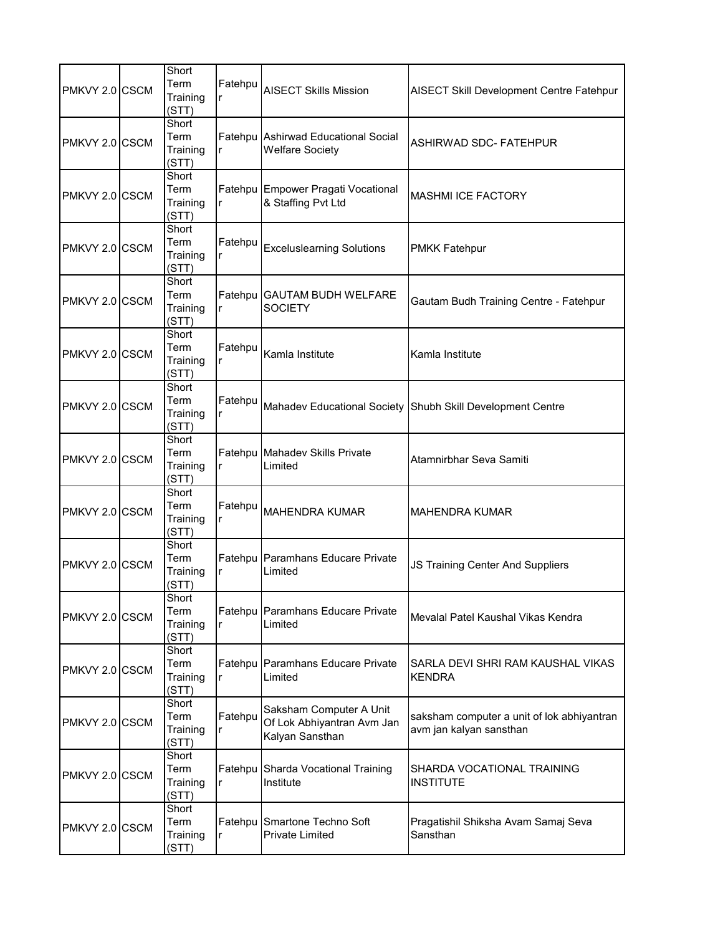| PMKVY 2.0 CSCM | Short<br>Term<br>Training<br>(STT) | Fatehpu<br>r | <b>AISECT Skills Mission</b>                                             | <b>AISECT Skill Development Centre Fatehpur</b>                       |
|----------------|------------------------------------|--------------|--------------------------------------------------------------------------|-----------------------------------------------------------------------|
| PMKVY 2.0 CSCM | Short<br>Term<br>Training<br>(STT) | r            | Fatehpu Ashirwad Educational Social<br><b>Welfare Society</b>            | <b>ASHIRWAD SDC- FATEHPUR</b>                                         |
| PMKVY 2.0 CSCM | Short<br>Term<br>Training<br>(STT) | r            | Fatehpu Empower Pragati Vocational<br>& Staffing Pvt Ltd                 | <b>MASHMI ICE FACTORY</b>                                             |
| PMKVY 2.0 CSCM | Short<br>Term<br>Training<br>(STT) | Fatehpu<br>r | <b>Exceluslearning Solutions</b>                                         | <b>PMKK Fatehpur</b>                                                  |
| PMKVY 2.0 CSCM | Short<br>Term<br>Training<br>(STT) | r            | Fatehpu GAUTAM BUDH WELFARE<br><b>SOCIETY</b>                            | Gautam Budh Training Centre - Fatehpur                                |
| PMKVY 2.0 CSCM | Short<br>Term<br>Training<br>(STT) | Fatehpu      | Kamla Institute                                                          | Kamla Institute                                                       |
| PMKVY 2.0 CSCM | Short<br>Term<br>Training<br>(STT) | Fatehpu<br>r |                                                                          | Mahadev Educational Society Shubh Skill Development Centre            |
| PMKVY 2.0 CSCM | Short<br>Term<br>Training<br>(STT) | r            | Fatehpu Mahadev Skills Private<br>Limited                                | Atamnirbhar Seva Samiti                                               |
| PMKVY 2.0 CSCM | Short<br>Term<br>Training<br>(STT) | Fatehpu<br>r | <b>MAHENDRA KUMAR</b>                                                    | <b>MAHENDRA KUMAR</b>                                                 |
| PMKVY 2.0 CSCM | Short<br>Term<br>Training<br>(STT) | r            | Fatehpu Paramhans Educare Private<br>Limited                             | JS Training Center And Suppliers                                      |
| PMKVY 2.0 CSCM | Short<br>Term<br>Training<br>(STT) | r            | Fatehpu Paramhans Educare Private<br>Limited                             | Mevalal Patel Kaushal Vikas Kendra                                    |
| PMKVY 2.0 CSCM | Short<br>Term<br>Training<br>(STT) | r            | Fatehpu Paramhans Educare Private<br>Limited                             | SARLA DEVI SHRI RAM KAUSHAL VIKAS<br><b>KENDRA</b>                    |
| PMKVY 2.0 CSCM | Short<br>Term<br>Training<br>(STT) | Fatehpu<br>r | Saksham Computer A Unit<br>Of Lok Abhiyantran Avm Jan<br>Kalyan Sansthan | saksham computer a unit of lok abhiyantran<br>avm jan kalyan sansthan |
| PMKVY 2.0 CSCM | Short<br>Term<br>Training<br>(STT) | Fatehpu<br>r | Sharda Vocational Training<br>Institute                                  | SHARDA VOCATIONAL TRAINING<br><b>INSTITUTE</b>                        |
| PMKVY 2.0 CSCM | Short<br>Term<br>Training<br>(STT) |              | Fatehpu Smartone Techno Soft<br>Private Limited                          | Pragatishil Shiksha Avam Samaj Seva<br>Sansthan                       |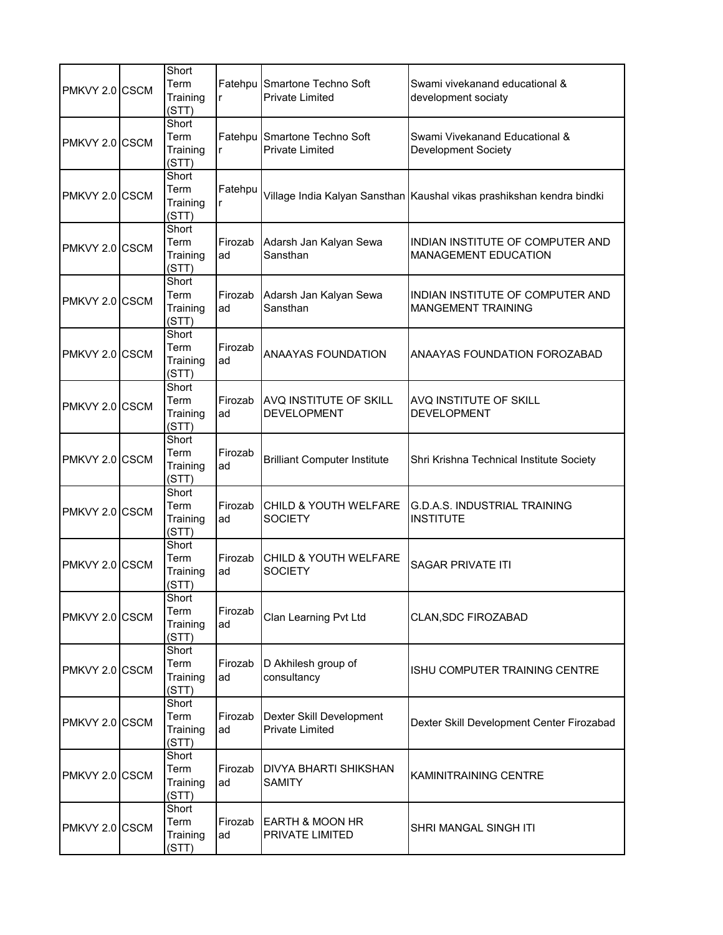| PMKVY 2.0 CSCM | Short<br>Term<br>Training<br>(STT) | r             | Fatehpu Smartone Techno Soft<br><b>Private Limited</b> | Swami vivekanand educational &<br>development sociaty                 |
|----------------|------------------------------------|---------------|--------------------------------------------------------|-----------------------------------------------------------------------|
| PMKVY 2.0 CSCM | Short<br>Term<br>Training<br>(STT) | r             | Fatehpu Smartone Techno Soft<br><b>Private Limited</b> | Swami Vivekanand Educational &<br><b>Development Society</b>          |
| PMKVY 2.0 CSCM | Short<br>Term<br>Training<br>(STT) | Fatehpu<br>r  |                                                        | Village India Kalyan Sansthan Kaushal vikas prashikshan kendra bindki |
| PMKVY 2.0 CSCM | Short<br>Term<br>Training<br>(STT) | Firozab<br>ad | Adarsh Jan Kalyan Sewa<br>Sansthan                     | INDIAN INSTITUTE OF COMPUTER AND<br><b>MANAGEMENT EDUCATION</b>       |
| PMKVY 2.0 CSCM | Short<br>Term<br>Training<br>(STT) | Firozab<br>ad | Adarsh Jan Kalyan Sewa<br>Sansthan                     | INDIAN INSTITUTE OF COMPUTER AND<br><b>MANGEMENT TRAINING</b>         |
| PMKVY 2.0 CSCM | Short<br>Term<br>Training<br>(STT) | Firozab<br>ad | <b>ANAAYAS FOUNDATION</b>                              | ANAAYAS FOUNDATION FOROZABAD                                          |
| PMKVY 2.0 CSCM | Short<br>Term<br>Training<br>(STT) | Firozab<br>ad | AVQ INSTITUTE OF SKILL<br><b>DEVELOPMENT</b>           | AVQ INSTITUTE OF SKILL<br><b>DEVELOPMENT</b>                          |
| PMKVY 2.0 CSCM | Short<br>Term<br>Training<br>(STT) | Firozab<br>ad | <b>Brilliant Computer Institute</b>                    | Shri Krishna Technical Institute Society                              |
| PMKVY 2.0 CSCM | Short<br>Term<br>Training<br>(STT) | Firozab<br>ad | <b>CHILD &amp; YOUTH WELFARE</b><br><b>SOCIETY</b>     | <b>G.D.A.S. INDUSTRIAL TRAINING</b><br><b>INSTITUTE</b>               |
| PMKVY 2.0 CSCM | Short<br>Term<br>Training<br>(STT) | Firozab<br>ad | CHILD & YOUTH WELFARE<br><b>SOCIETY</b>                | <b>SAGAR PRIVATE ITI</b>                                              |
| PMKVY 2.0 CSCM | Short<br>Term<br>Training<br>(STT) | Firozab<br>ad | Clan Learning Pvt Ltd                                  | CLAN, SDC FIROZABAD                                                   |
| PMKVY 2.0 CSCM | Short<br>Term<br>Training<br>(STT) | Firozab<br>ad | D Akhilesh group of<br>consultancy                     | ISHU COMPUTER TRAINING CENTRE                                         |
| PMKVY 2.0 CSCM | Short<br>Term<br>Training<br>(STT) | Firozab<br>ad | Dexter Skill Development<br><b>Private Limited</b>     | Dexter Skill Development Center Firozabad                             |
| PMKVY 2.0 CSCM | Short<br>Term<br>Training<br>(STT) | Firozab<br>ad | <b>DIVYA BHARTI SHIKSHAN</b><br><b>SAMITY</b>          | KAMINITRAINING CENTRE                                                 |
| PMKVY 2.0 CSCM | Short<br>Term<br>Training<br>(STT) | Firozab<br>ad | EARTH & MOON HR<br>PRIVATE LIMITED                     | SHRI MANGAL SINGH ITI                                                 |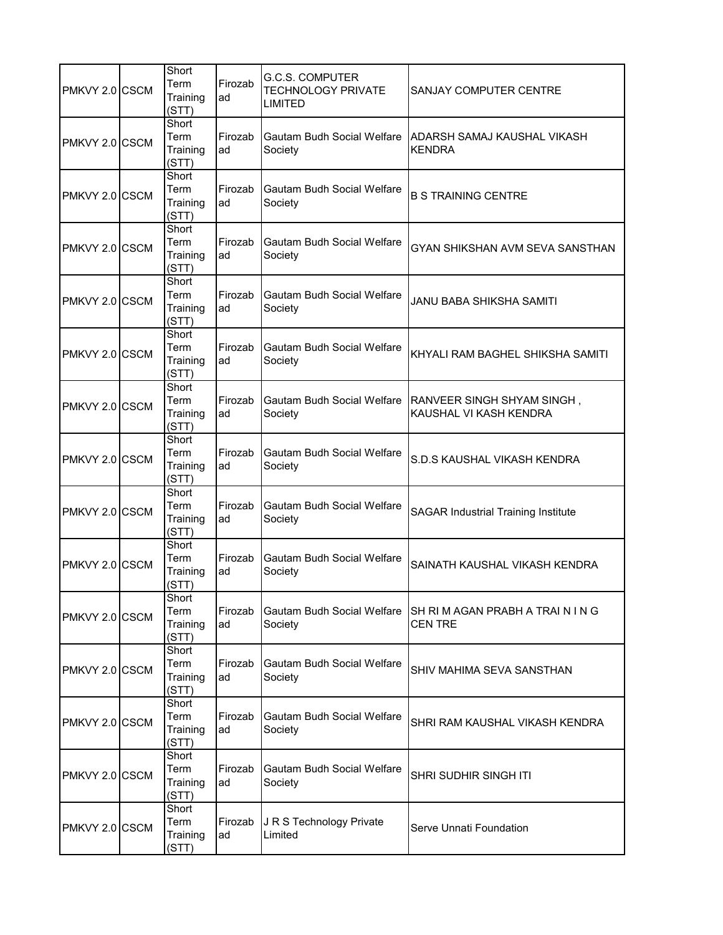| PMKVY 2.0 CSCM | Short<br>Term<br>Training<br>(STT) | Firozab<br>ad | G.C.S. COMPUTER<br><b>TECHNOLOGY PRIVATE</b><br><b>LIMITED</b> | SANJAY COMPUTER CENTRE                               |
|----------------|------------------------------------|---------------|----------------------------------------------------------------|------------------------------------------------------|
| PMKVY 2.0 CSCM | Short<br>Term<br>Training<br>(STT) | Firozab<br>ad | Gautam Budh Social Welfare<br>Society                          | ADARSH SAMAJ KAUSHAL VIKASH<br><b>KENDRA</b>         |
| PMKVY 2.0 CSCM | Short<br>Term<br>Training<br>(STT) | Firozab<br>ad | Gautam Budh Social Welfare<br>Society                          | <b>B S TRAINING CENTRE</b>                           |
| PMKVY 2.0 CSCM | Short<br>Term<br>Training<br>(STT) | Firozab<br>ad | <b>Gautam Budh Social Welfare</b><br>Society                   | GYAN SHIKSHAN AVM SEVA SANSTHAN                      |
| PMKVY 2.0 CSCM | Short<br>Term<br>Training<br>(STT) | Firozab<br>ad | <b>Gautam Budh Social Welfare</b><br>Society                   | JANU BABA SHIKSHA SAMITI                             |
| PMKVY 2.0 CSCM | Short<br>Term<br>Training<br>(STT) | Firozab<br>ad | <b>Gautam Budh Social Welfare</b><br>Society                   | KHYALI RAM BAGHEL SHIKSHA SAMITI                     |
| PMKVY 2.0 CSCM | Short<br>Term<br>Training<br>(STT) | Firozab<br>ad | Gautam Budh Social Welfare<br>Society                          | RANVEER SINGH SHYAM SINGH,<br>KAUSHAL VI KASH KENDRA |
| PMKVY 2.0 CSCM | Short<br>Term<br>Training<br>(STT) | Firozab<br>ad | <b>Gautam Budh Social Welfare</b><br>Society                   | S.D.S KAUSHAL VIKASH KENDRA                          |
| PMKVY 2.0 CSCM | Short<br>Term<br>Training<br>(STT) | Firozab<br>ad | Gautam Budh Social Welfare<br>Society                          | <b>SAGAR Industrial Training Institute</b>           |
| PMKVY 2.0 CSCM | Short<br>Term<br>Training<br>(STT) | Firozab<br>ad | Gautam Budh Social Welfare<br>Society                          | SAINATH KAUSHAL VIKASH KENDRA                        |
| PMKVY 2.0 CSCM | Short<br>Term<br>Training<br>(STT) | Firozab<br>ad | Gautam Budh Social Welfare<br>Society                          | SH RI M AGAN PRABH A TRAIN IN G<br><b>CENTRE</b>     |
| PMKVY 2.0 CSCM | Short<br>Term<br>Training<br>(STT) | Firozab<br>ad | <b>Gautam Budh Social Welfare</b><br>Society                   | SHIV MAHIMA SEVA SANSTHAN                            |
| PMKVY 2.0 CSCM | Short<br>Term<br>Training<br>(STT) | Firozab<br>ad | Gautam Budh Social Welfare<br>Society                          | SHRI RAM KAUSHAL VIKASH KENDRA                       |
| PMKVY 2.0 CSCM | Short<br>Term<br>Training<br>(STT) | Firozab<br>ad | <b>Gautam Budh Social Welfare</b><br>Society                   | <b>SHRI SUDHIR SINGH ITI</b>                         |
| PMKVY 2.0 CSCM | Short<br>Term<br>Training<br>(STT) | Firozab<br>ad | J R S Technology Private<br>Limited                            | Serve Unnati Foundation                              |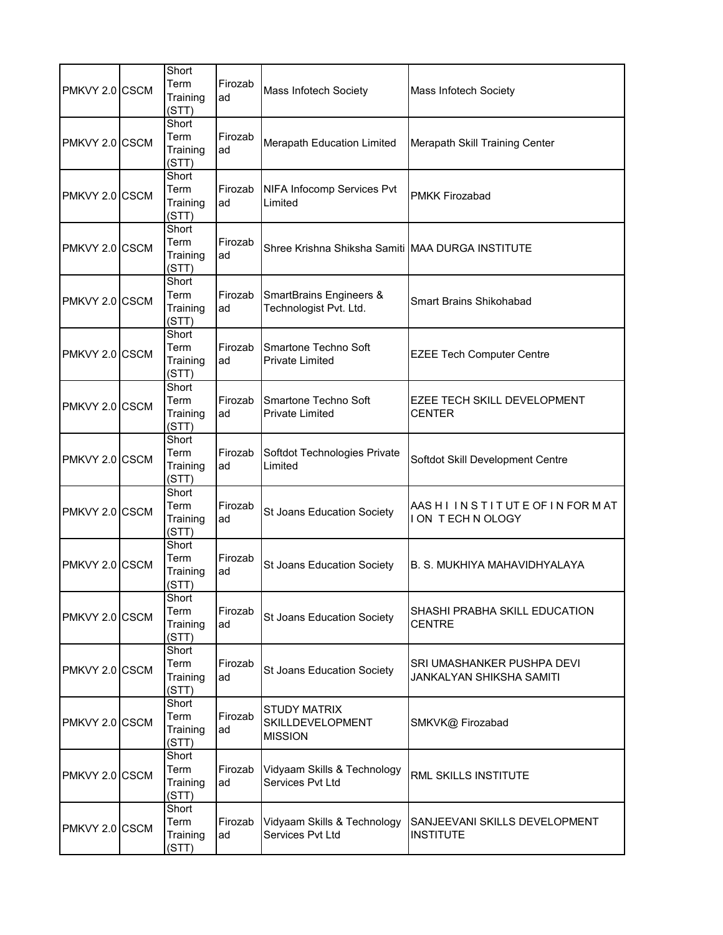| PMKVY 2.0 CSCM | Short<br>Term<br>Training<br>(STT) | Firozab<br>ad | Mass Infotech Society                                        | Mass Infotech Society                                  |
|----------------|------------------------------------|---------------|--------------------------------------------------------------|--------------------------------------------------------|
| PMKVY 2.0 CSCM | Short<br>Term<br>Training<br>(STT) | Firozab<br>ad | Merapath Education Limited                                   | Merapath Skill Training Center                         |
| PMKVY 2.0 CSCM | Short<br>Term<br>Training<br>(STT) | Firozab<br>ad | NIFA Infocomp Services Pvt<br>Limited                        | <b>PMKK Firozabad</b>                                  |
| PMKVY 2.0 CSCM | Short<br>Term<br>Training<br>(STT) | Firozab<br>ad | Shree Krishna Shiksha Samiti MAA DURGA INSTITUTE             |                                                        |
| PMKVY 2.0 CSCM | Short<br>Term<br>Training<br>(STT) | Firozab<br>ad | <b>SmartBrains Engineers &amp;</b><br>Technologist Pvt. Ltd. | <b>Smart Brains Shikohabad</b>                         |
| PMKVY 2.0 CSCM | Short<br>Term<br>Training<br>(STT) | Firozab<br>ad | Smartone Techno Soft<br><b>Private Limited</b>               | <b>EZEE Tech Computer Centre</b>                       |
| PMKVY 2.0 CSCM | Short<br>Term<br>Training<br>(STT) | Firozab<br>ad | Smartone Techno Soft<br><b>Private Limited</b>               | EZEE TECH SKILL DEVELOPMENT<br><b>CENTER</b>           |
| PMKVY 2.0 CSCM | Short<br>Term<br>Training<br>(STT) | Firozab<br>ad | Softdot Technologies Private<br>Limited                      | Softdot Skill Development Centre                       |
| PMKVY 2.0 CSCM | Short<br>Term<br>Training<br>(STT) | Firozab<br>ad | St Joans Education Society                                   | AAS HI IN STITUTE OF IN FOR MAT<br>I ON TECH N OLOGY   |
| PMKVY 2.0 CSCM | Short<br>Term<br>Training<br>(STT) | Firozab<br>ad | St Joans Education Society                                   | B. S. MUKHIYA MAHAVIDHYALAYA                           |
| PMKVY 2.0 CSCM | Short<br>Term<br>Training<br>(STT) | Firozab<br>ad | St Joans Education Society                                   | SHASHI PRABHA SKILL EDUCATION<br><b>CENTRE</b>         |
| PMKVY 2.0 CSCM | Short<br>Term<br>Training<br>(STT) | Firozab<br>ad | St Joans Education Society                                   | SRI UMASHANKER PUSHPA DEVI<br>JANKALYAN SHIKSHA SAMITI |
| PMKVY 2.0 CSCM | Short<br>Term<br>Training<br>(STT) | Firozab<br>ad | <b>STUDY MATRIX</b><br>SKILLDEVELOPMENT<br><b>MISSION</b>    | SMKVK@ Firozabad                                       |
| PMKVY 2.0 CSCM | Short<br>Term<br>Training<br>(STT) | Firozab<br>ad | Vidyaam Skills & Technology<br>Services Pvt Ltd              | <b>RML SKILLS INSTITUTE</b>                            |
| PMKVY 2.0 CSCM | Short<br>Term<br>Training<br>(STT) | Firozab<br>ad | Vidyaam Skills & Technology<br>Services Pvt Ltd              | SANJEEVANI SKILLS DEVELOPMENT<br><b>INSTITUTE</b>      |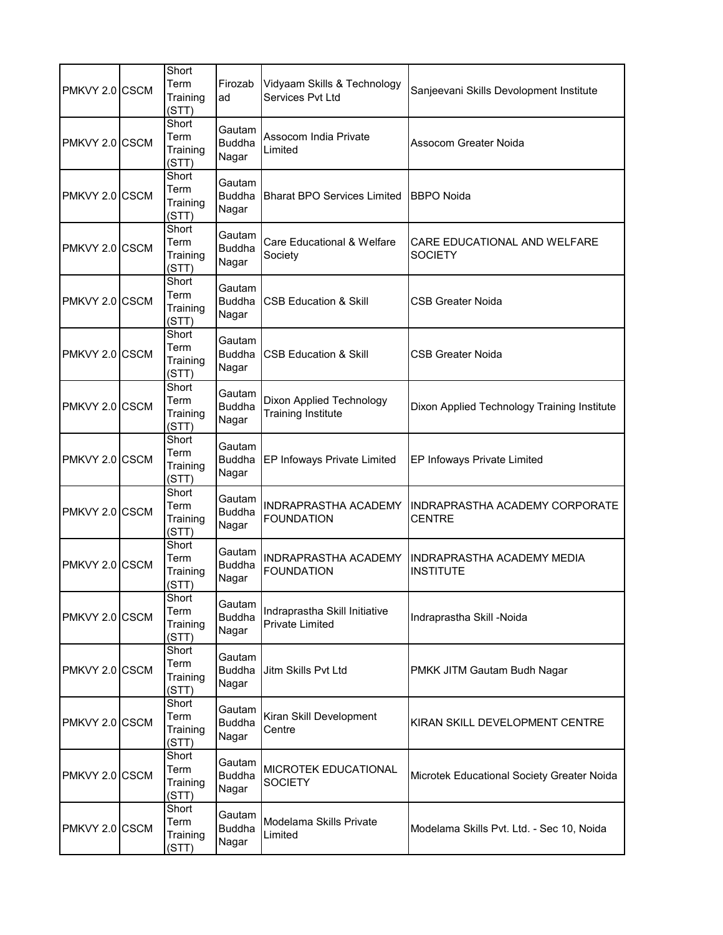| PMKVY 2.0 CSCM | Short<br>Term<br>Training<br>(STT) | Firozab<br>ad                    | Vidyaam Skills & Technology<br>Services Pvt Ltd              | Sanjeevani Skills Devolopment Institute               |
|----------------|------------------------------------|----------------------------------|--------------------------------------------------------------|-------------------------------------------------------|
| PMKVY 2.0 CSCM | Short<br>Term<br>Training<br>(STT) | Gautam<br><b>Buddha</b><br>Nagar | Assocom India Private<br>Limited                             | Assocom Greater Noida                                 |
| PMKVY 2.0 CSCM | Short<br>Term<br>Training<br>(STT) | Gautam<br><b>Buddha</b><br>Nagar | Bharat BPO Services Limited                                  | <b>BBPO Noida</b>                                     |
| PMKVY 2.0 CSCM | Short<br>Term<br>Training<br>(STT) | Gautam<br><b>Buddha</b><br>Nagar | Care Educational & Welfare<br>Society                        | CARE EDUCATIONAL AND WELFARE<br><b>SOCIETY</b>        |
| PMKVY 2.0 CSCM | Short<br>Term<br>Training<br>(STT) | Gautam<br><b>Buddha</b><br>Nagar | <b>CSB Education &amp; Skill</b>                             | CSB Greater Noida                                     |
| PMKVY 2.0 CSCM | Short<br>Term<br>Training<br>(STT) | Gautam<br>Nagar                  | Buddha CSB Education & Skill                                 | CSB Greater Noida                                     |
| PMKVY 2.0 CSCM | Short<br>Term<br>Training<br>(STT) | Gautam<br><b>Buddha</b><br>Nagar | <b>Dixon Applied Technology</b><br><b>Training Institute</b> | Dixon Applied Technology Training Institute           |
| PMKVY 2.0 CSCM | Short<br>Term<br>Training<br>(STT) | Gautam<br><b>Buddha</b><br>Nagar | EP Infoways Private Limited                                  | EP Infoways Private Limited                           |
| PMKVY 2.0 CSCM | Short<br>Term<br>Training<br>(STT) | Gautam<br><b>Buddha</b><br>Nagar | <b>INDRAPRASTHA ACADEMY</b><br><b>FOUNDATION</b>             | INDRAPRASTHA ACADEMY CORPORATE<br><b>CENTRE</b>       |
| PMKVY 2.0 CSCM | Short<br>Term<br>Training<br>(STT) | Gautam<br><b>Buddha</b><br>Nagar | INDRAPRASTHA ACADEMY<br><b>FOUNDATION</b>                    | <b>INDRAPRASTHA ACADEMY MEDIA</b><br><b>INSTITUTE</b> |
| PMKVY 2.0 CSCM | Short<br>Term<br>Training<br>(STT) | Gautam<br><b>Buddha</b><br>Nagar | Indraprastha Skill Initiative<br><b>Private Limited</b>      | Indraprastha Skill -Noida                             |
| PMKVY 2.0 CSCM | Short<br>Term<br>Training<br>(STT) | Gautam<br><b>Buddha</b><br>Nagar | Jitm Skills Pvt Ltd                                          | PMKK JITM Gautam Budh Nagar                           |
| PMKVY 2.0 CSCM | Short<br>Term<br>Training<br>(STT) | Gautam<br><b>Buddha</b><br>Nagar | Kiran Skill Development<br>Centre                            | KIRAN SKILL DEVELOPMENT CENTRE                        |
| PMKVY 2.0 CSCM | Short<br>Term<br>Training<br>(STT) | Gautam<br><b>Buddha</b><br>Nagar | MICROTEK EDUCATIONAL<br><b>SOCIETY</b>                       | Microtek Educational Society Greater Noida            |
| PMKVY 2.0 CSCM | Short<br>Term<br>Training<br>(STT) | Gautam<br><b>Buddha</b><br>Nagar | Modelama Skills Private<br>Limited                           | Modelama Skills Pvt. Ltd. - Sec 10, Noida             |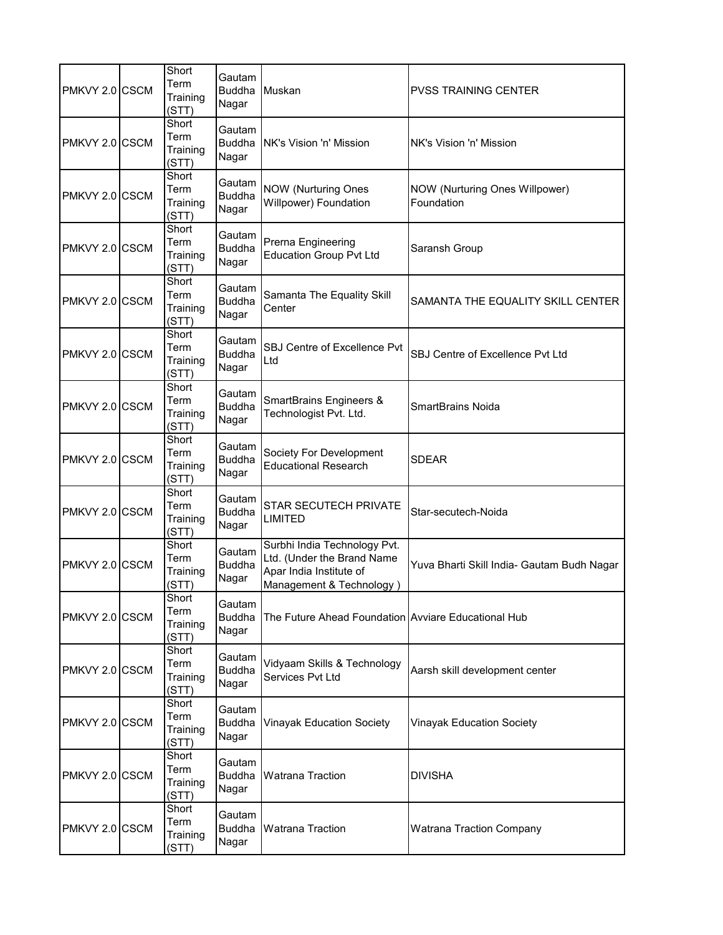| PMKVY 2.0 CSCM | Short<br>Term<br>Training<br>(STT) | Gautam<br><b>Buddha</b><br>Nagar | <b>IMuskan</b>                                                                                                    | <b>PVSS TRAINING CENTER</b>                  |
|----------------|------------------------------------|----------------------------------|-------------------------------------------------------------------------------------------------------------------|----------------------------------------------|
| PMKVY 2.0 CSCM | Short<br>Term<br>Training<br>(STT) | Gautam<br><b>Buddha</b><br>Nagar | <b>INK's Vision 'n' Mission</b>                                                                                   | NK's Vision 'n' Mission                      |
| PMKVY 2.0 CSCM | Short<br>Term<br>Training<br>(STT) | Gautam<br><b>Buddha</b><br>Nagar | NOW (Nurturing Ones<br>Willpower) Foundation                                                                      | NOW (Nurturing Ones Willpower)<br>Foundation |
| PMKVY 2.0 CSCM | Short<br>Term<br>Training<br>(STT) | Gautam<br><b>Buddha</b><br>Nagar | Prerna Engineering<br><b>Education Group Pvt Ltd</b>                                                              | Saransh Group                                |
| PMKVY 2.0 CSCM | Short<br>Term<br>Training<br>(STT) | Gautam<br><b>Buddha</b><br>Nagar | Samanta The Equality Skill<br>Center                                                                              | SAMANTA THE EQUALITY SKILL CENTER            |
| PMKVY 2.0 CSCM | Short<br>Term<br>Training<br>(STT) | Gautam<br><b>Buddha</b><br>Nagar | SBJ Centre of Excellence Pvt<br>Ltd                                                                               | SBJ Centre of Excellence Pvt Ltd             |
| PMKVY 2.0 CSCM | Short<br>Term<br>Training<br>(STT) | Gautam<br><b>Buddha</b><br>Nagar | <b>SmartBrains Engineers &amp;</b><br>Technologist Pvt. Ltd.                                                      | <b>SmartBrains Noida</b>                     |
| PMKVY 2.0 CSCM | Short<br>Term<br>Training<br>(STT) | Gautam<br><b>Buddha</b><br>Nagar | Society For Development<br><b>Educational Research</b>                                                            | <b>SDEAR</b>                                 |
| PMKVY 2.0 CSCM | Short<br>Term<br>Training<br>(STT) | Gautam<br><b>Buddha</b><br>Nagar | <b>STAR SECUTECH PRIVATE</b><br><b>LIMITED</b>                                                                    | Star-secutech-Noida                          |
| PMKVY 2.0 CSCM | Short<br>Term<br>Training<br>(STT) | Gautam<br><b>Buddha</b><br>Nagar | Surbhi India Technology Pvt.<br>Ltd. (Under the Brand Name<br>Apar India Institute of<br>Management & Technology) | Yuva Bharti Skill India- Gautam Budh Nagar   |
| PMKVY 2.0 CSCM | Short<br>Term<br>Training<br>(STT) | Gautam<br><b>Buddha</b><br>Nagar | The Future Ahead Foundation Avviare Educational Hub                                                               |                                              |
| PMKVY 2.0 CSCM | Short<br>Term<br>Training<br>(STT) | Gautam<br><b>Buddha</b><br>Nagar | Vidyaam Skills & Technology<br>Services Pvt Ltd                                                                   | Aarsh skill development center               |
| PMKVY 2.0 CSCM | Short<br>Term<br>Training<br>(STT) | Gautam<br><b>Buddha</b><br>Nagar | <b>Vinayak Education Society</b>                                                                                  | <b>Vinayak Education Society</b>             |
| PMKVY 2.0 CSCM | Short<br>Term<br>Training<br>(STT) | Gautam<br><b>Buddha</b><br>Nagar | <b>Watrana Traction</b>                                                                                           | <b>DIVISHA</b>                               |
| PMKVY 2.0 CSCM | Short<br>Term<br>Training<br>(STT) | Gautam<br><b>Buddha</b><br>Nagar | <b>Watrana Traction</b>                                                                                           | <b>Watrana Traction Company</b>              |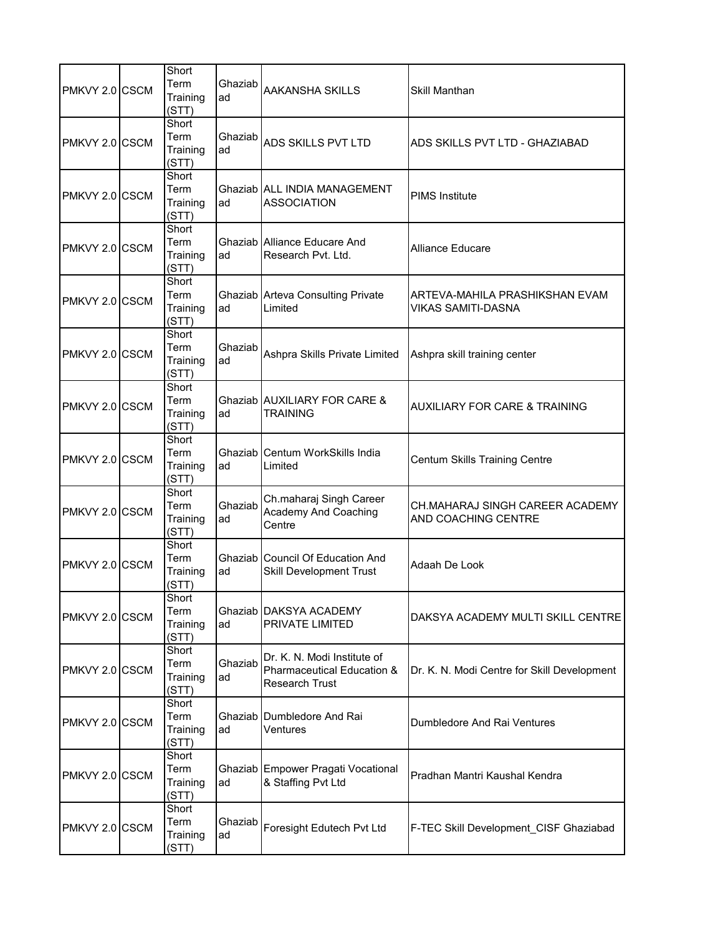| PMKVY 2.0 CSCM | Short<br>Term<br>Training<br>(STT) | Ghaziab<br>ad | AAKANSHA SKILLS                                                                    | Skill Manthan                                               |
|----------------|------------------------------------|---------------|------------------------------------------------------------------------------------|-------------------------------------------------------------|
| PMKVY 2.0 CSCM | Short<br>Term<br>Training<br>(STT) | Ghaziab<br>ad | ADS SKILLS PVT LTD                                                                 | ADS SKILLS PVT LTD - GHAZIABAD                              |
| PMKVY 2.0 CSCM | Short<br>Term<br>Training<br>(STT) | ad            | Ghaziab ALL INDIA MANAGEMENT<br><b>ASSOCIATION</b>                                 | <b>PIMS Institute</b>                                       |
| PMKVY 2.0 CSCM | Short<br>Term<br>Training<br>(STT) | ad            | Ghaziab Alliance Educare And<br>Research Pvt. Ltd.                                 | <b>Alliance Educare</b>                                     |
| PMKVY 2.0 CSCM | Short<br>Term<br>Training<br>(STT) | ad            | Ghaziab Arteva Consulting Private<br>Limited                                       | ARTEVA-MAHILA PRASHIKSHAN EVAM<br><b>VIKAS SAMITI-DASNA</b> |
| PMKVY 2.0 CSCM | Short<br>Term<br>Training<br>(STT) | Ghaziab<br>ad | Ashpra Skills Private Limited                                                      | Ashpra skill training center                                |
| PMKVY 2.0 CSCM | Short<br>Term<br>Training<br>(STT) | ad            | Ghaziab AUXILIARY FOR CARE &<br><b>TRAINING</b>                                    | <b>AUXILIARY FOR CARE &amp; TRAINING</b>                    |
| PMKVY 2.0 CSCM | Short<br>Term<br>Training<br>(STT) | ad            | Ghaziab Centum WorkSkills India<br>Limited                                         | Centum Skills Training Centre                               |
| PMKVY 2.0 CSCM | Short<br>Term<br>Training<br>(STT) | Ghaziab<br>ad | Ch.maharaj Singh Career<br>Academy And Coaching<br>Centre                          | CH.MAHARAJ SINGH CAREER ACADEMY<br>AND COACHING CENTRE      |
| PMKVY 2.0 CSCM | Short<br>Term<br>Training<br>(STT) | ad            | <b>Ghaziab Council Of Education And</b><br><b>Skill Development Trust</b>          | Adaah De Look                                               |
| PMKVY 2.0 CSCM | Short<br>Term<br>Training<br>(STT) | ad            | Ghaziab DAKSYA ACADEMY<br>PRIVATE LIMITED                                          | DAKSYA ACADEMY MULTI SKILL CENTRE                           |
| PMKVY 2.0 CSCM | Short<br>Term<br>Training<br>(STT) | Ghaziab<br>ad | Dr. K. N. Modi Institute of<br>Pharmaceutical Education &<br><b>Research Trust</b> | Dr. K. N. Modi Centre for Skill Development                 |
| PMKVY 2.0 CSCM | Short<br>Term<br>Training<br>(STT) | ad            | Ghaziab Dumbledore And Rai<br>Ventures                                             | Dumbledore And Rai Ventures                                 |
| PMKVY 2.0 CSCM | Short<br>Term<br>Training<br>(STT) | ad            | Ghaziab Empower Pragati Vocational<br>& Staffing Pvt Ltd                           | Pradhan Mantri Kaushal Kendra                               |
| PMKVY 2.0 CSCM | Short<br>Term<br>Training<br>(STT) | Ghaziab<br>ad | Foresight Edutech Pvt Ltd                                                          | F-TEC Skill Development_CISF Ghaziabad                      |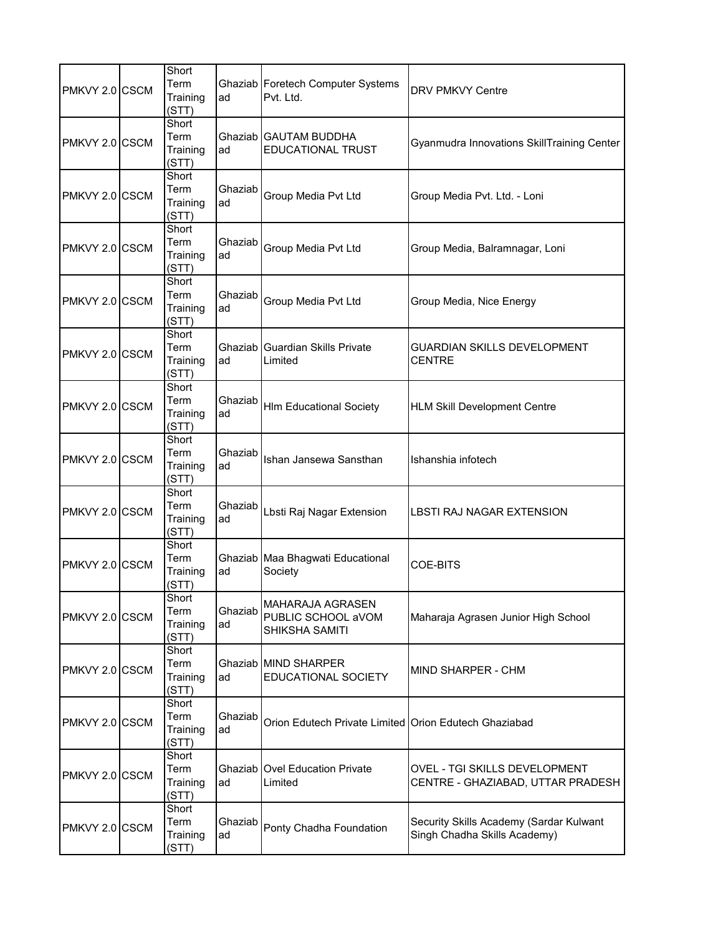| PMKVY 2.0 CSCM | Short<br>Term<br>Training<br>(STT) | ad            | Ghaziab Foretech Computer Systems<br>Pvt. Ltd.                  | <b>DRV PMKVY Centre</b>                                                 |
|----------------|------------------------------------|---------------|-----------------------------------------------------------------|-------------------------------------------------------------------------|
| PMKVY 2.0 CSCM | Short<br>Term<br>Training<br>(STT) | ad            | Ghaziab GAUTAM BUDDHA<br><b>EDUCATIONAL TRUST</b>               | Gyanmudra Innovations SkillTraining Center                              |
| PMKVY 2.0 CSCM | Short<br>Term<br>Training<br>(STT) | Ghaziab<br>ad | Group Media Pvt Ltd                                             | Group Media Pvt. Ltd. - Loni                                            |
| PMKVY 2.0 CSCM | Short<br>Term<br>Training<br>(STT) | Ghaziab<br>ad | Group Media Pvt Ltd                                             | Group Media, Balramnagar, Loni                                          |
| PMKVY 2.0 CSCM | Short<br>Term<br>Training<br>(STT) | Ghaziab<br>ad | Group Media Pvt Ltd                                             | Group Media, Nice Energy                                                |
| PMKVY 2.0 CSCM | Short<br>Term<br>Training<br>(STT) | ad            | Ghaziab Guardian Skills Private<br>Limited                      | GUARDIAN SKILLS DEVELOPMENT<br><b>CENTRE</b>                            |
| PMKVY 2.0 CSCM | Short<br>Term<br>Training<br>(STT) | Ghaziab<br>ad | <b>HIm Educational Society</b>                                  | <b>HLM Skill Development Centre</b>                                     |
| PMKVY 2.0 CSCM | Short<br>Term<br>Training<br>(STT) | Ghaziab<br>ad | Ishan Jansewa Sansthan                                          | Ishanshia infotech                                                      |
| PMKVY 2.0 CSCM | Short<br>Term<br>Training<br>(STT) | Ghaziab<br>ad | Lbsti Raj Nagar Extension                                       | LBSTI RAJ NAGAR EXTENSION                                               |
| PMKVY 2.0 CSCM | Short<br>Term<br>Training<br>(STT) | ad            | Ghaziab Maa Bhagwati Educational<br>Society                     | <b>COE-BITS</b>                                                         |
| PMKVY 2.0 CSCM | Short<br>Term<br>Training<br>(STT) | Ghaziab<br>ad | <b>MAHARAJA AGRASEN</b><br>PUBLIC SCHOOL aVOM<br>SHIKSHA SAMITI | Maharaja Agrasen Junior High School                                     |
| PMKVY 2.0 CSCM | Short<br>Term<br>Training<br>(STT) | ad            | Ghaziab MIND SHARPER<br>EDUCATIONAL SOCIETY                     | MIND SHARPER - CHM                                                      |
| PMKVY 2.0 CSCM | Short<br>Term<br>Training<br>(STT) | Ghaziab<br>ad | Orion Edutech Private Limited Orion Edutech Ghaziabad           |                                                                         |
| PMKVY 2.0 CSCM | Short<br>Term<br>Training<br>(STT) | ad            | <b>Ghaziab Ovel Education Private</b><br>Limited                | OVEL - TGI SKILLS DEVELOPMENT<br>CENTRE - GHAZIABAD, UTTAR PRADESH      |
| PMKVY 2.0 CSCM | Short<br>Term<br>Training<br>(STT) | Ghaziab<br>ad | Ponty Chadha Foundation                                         | Security Skills Academy (Sardar Kulwant<br>Singh Chadha Skills Academy) |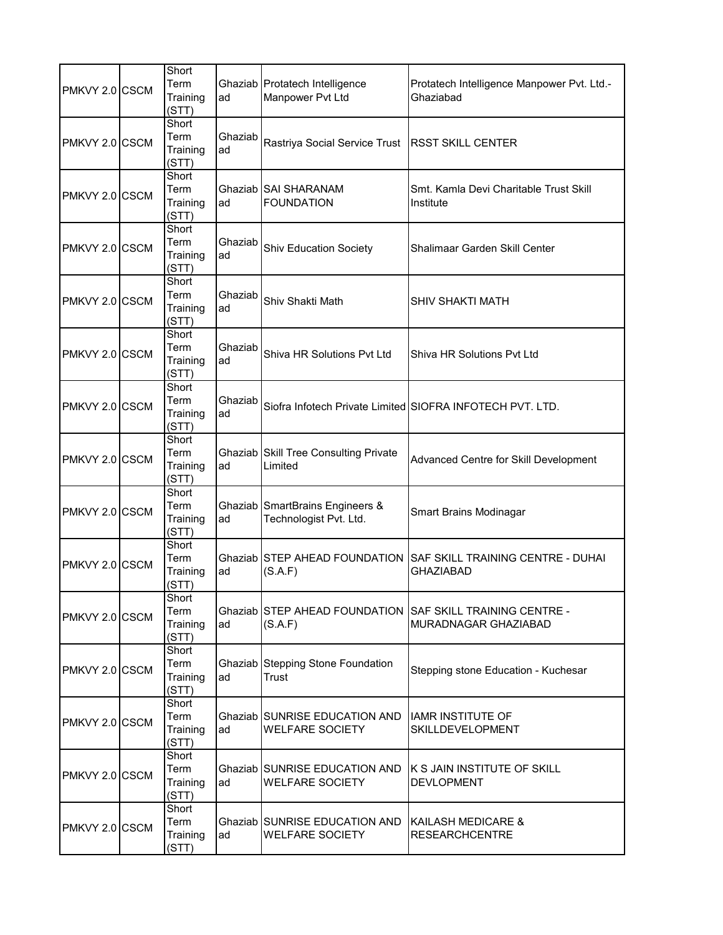| PMKVY 2.0 CSCM | Short<br>Term<br>Training<br>(STT) | ad            | Ghaziab Protatech Intelligence<br>Manpower Pvt Ltd             | Protatech Intelligence Manpower Pvt. Ltd.-<br>Ghaziabad      |
|----------------|------------------------------------|---------------|----------------------------------------------------------------|--------------------------------------------------------------|
| PMKVY 2.0 CSCM | Short<br>Term<br>Training<br>(STT) | Ghaziab<br>ad | Rastriya Social Service Trust                                  | <b>RSST SKILL CENTER</b>                                     |
| PMKVY 2.0 CSCM | Short<br>Term<br>Training<br>(STT) | ad            | Ghaziab SAI SHARANAM<br><b>FOUNDATION</b>                      | Smt. Kamla Devi Charitable Trust Skill<br>Institute          |
| PMKVY 2.0 CSCM | Short<br>Term<br>Training<br>(STT) | Ghaziab<br>ad | <b>Shiv Education Society</b>                                  | Shalimaar Garden Skill Center                                |
| PMKVY 2.0 CSCM | Short<br>Term<br>Training<br>(STT) | Ghaziab<br>ad | Shiv Shakti Math                                               | SHIV SHAKTI MATH                                             |
| PMKVY 2.0 CSCM | Short<br>Term<br>Training<br>(STT) | Ghaziab<br>ad | Shiva HR Solutions Pyt Ltd                                     | Shiva HR Solutions Pvt Ltd                                   |
| PMKVY 2.0 CSCM | Short<br>Term<br>Training<br>(STT) | Ghaziab<br>ad |                                                                | Siofra Infotech Private Limited SIOFRA INFOTECH PVT. LTD.    |
| PMKVY 2.0 CSCM | Short<br>Term<br>Training<br>(STT) | ad            | Ghaziab Skill Tree Consulting Private<br>Limited               | Advanced Centre for Skill Development                        |
| PMKVY 2.0 CSCM | Short<br>Term<br>Training<br>(STT) | ad            | Ghaziab SmartBrains Engineers &<br>Technologist Pvt. Ltd.      | Smart Brains Modinagar                                       |
| PMKVY 2.0 CSCM | Short<br>Term<br>Training<br>(STT) | ad            | Ghaziab STEP AHEAD FOUNDATION<br>(S.A.F)                       | <b>SAF SKILL TRAINING CENTRE - DUHAI</b><br><b>GHAZIABAD</b> |
| PMKVY 2.0 CSCM | Short<br>Term<br>Training<br>(STT) | ad            | Ghaziab STEP AHEAD FOUNDATION<br>(S.A.F)                       | SAF SKILL TRAINING CENTRE -<br>MURADNAGAR GHAZIABAD          |
| PMKVY 2.0 CSCM | Short<br>Term<br>Training<br>(STT) | ad            | Ghaziab Stepping Stone Foundation<br>Trust                     | Stepping stone Education - Kuchesar                          |
| PMKVY 2.0 CSCM | Short<br>Term<br>Training<br>(STT) | ad            | <b>Ghaziab SUNRISE EDUCATION AND</b><br><b>WELFARE SOCIETY</b> | <b>IAMR INSTITUTE OF</b><br>SKILLDEVELOPMENT                 |
| PMKVY 2.0 CSCM | Short<br>Term<br>Training<br>(STT) | ad            | Ghaziab SUNRISE EDUCATION AND<br><b>WELFARE SOCIETY</b>        | K S JAIN INSTITUTE OF SKILL<br><b>DEVLOPMENT</b>             |
| PMKVY 2.0 CSCM | Short<br>Term<br>Training<br>(STT) | ad            | Ghaziab SUNRISE EDUCATION AND<br><b>WELFARE SOCIETY</b>        | KAILASH MEDICARE &<br><b>RESEARCHCENTRE</b>                  |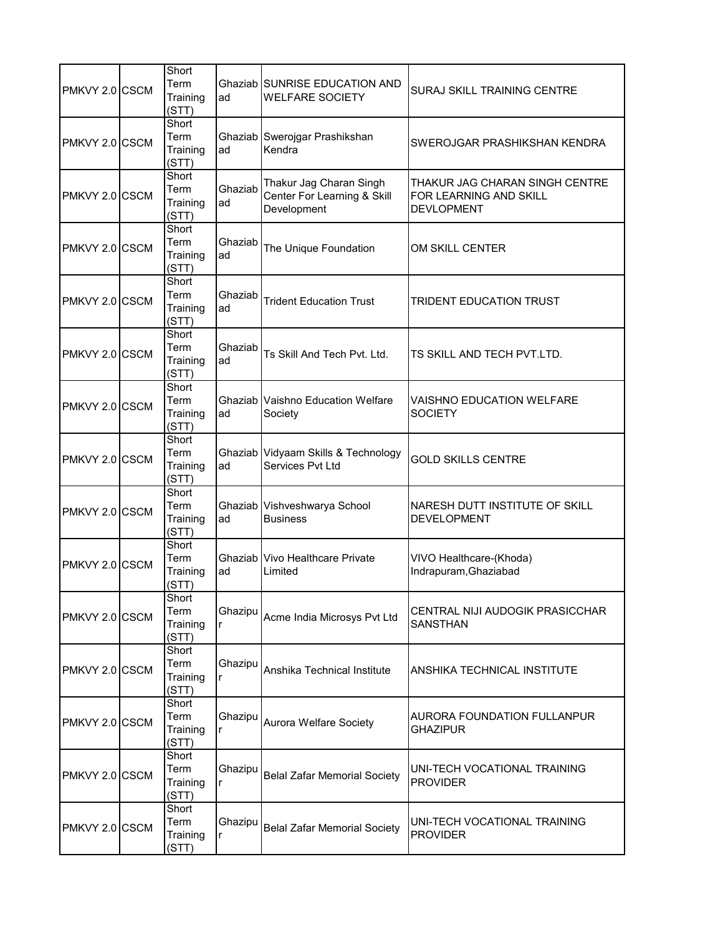| PMKVY 2.0 CSCM | Short<br>Term<br>Training<br>(STT) | ad            | Ghaziab SUNRISE EDUCATION AND<br><b>WELFARE SOCIETY</b>               | SURAJ SKILL TRAINING CENTRE                                                   |
|----------------|------------------------------------|---------------|-----------------------------------------------------------------------|-------------------------------------------------------------------------------|
| PMKVY 2.0 CSCM | Short<br>Term<br>Training<br>(STT) | ad            | Ghaziab Swerojgar Prashikshan<br>Kendra                               | SWEROJGAR PRASHIKSHAN KENDRA                                                  |
| PMKVY 2.0 CSCM | Short<br>Term<br>Training<br>(STT) | Ghaziab<br>ad | Thakur Jag Charan Singh<br>Center For Learning & Skill<br>Development | THAKUR JAG CHARAN SINGH CENTRE<br>FOR LEARNING AND SKILL<br><b>DEVLOPMENT</b> |
| PMKVY 2.0 CSCM | Short<br>Term<br>Training<br>(STT) | Ghaziab<br>ad | The Unique Foundation                                                 | OM SKILL CENTER                                                               |
| PMKVY 2.0 CSCM | Short<br>Term<br>Training<br>(STT) | Ghaziab<br>ad | <b>Trident Education Trust</b>                                        | <b>TRIDENT EDUCATION TRUST</b>                                                |
| PMKVY 2.0 CSCM | Short<br>Term<br>Training<br>(STT) | Ghaziab<br>ad | Ts Skill And Tech Pvt. Ltd.                                           | TS SKILL AND TECH PVT.LTD.                                                    |
| PMKVY 2.0 CSCM | Short<br>Term<br>Training<br>(STT) | ad            | <b>Ghaziab Vaishno Education Welfare</b><br>Society                   | VAISHNO EDUCATION WELFARE<br><b>SOCIETY</b>                                   |
| PMKVY 2.0 CSCM | Short<br>Term<br>Training<br>(STT) | ad            | Ghaziab Vidyaam Skills & Technology<br>Services Pvt Ltd               | <b>GOLD SKILLS CENTRE</b>                                                     |
| PMKVY 2.0 CSCM | Short<br>Term<br>Training<br>(STT) | ad            | Ghaziab Vishveshwarya School<br><b>Business</b>                       | NARESH DUTT INSTITUTE OF SKILL<br><b>DEVELOPMENT</b>                          |
| PMKVY 2.0 CSCM | Short<br>Term<br>Training<br>(STT) | ad            | Ghaziab Vivo Healthcare Private<br>Limited                            | VIVO Healthcare-(Khoda)<br>Indrapuram, Ghaziabad                              |
| PMKVY 2.0 CSCM | Short<br>Term<br>Training<br>(STT) | Ghazipu<br>r  | Acme India Microsys Pvt Ltd                                           | CENTRAL NIJI AUDOGIK PRASICCHAR<br><b>SANSTHAN</b>                            |
| PMKVY 2.0 CSCM | Short<br>Term<br>Training<br>(STT) | Ghazipu<br>r  | Anshika Technical Institute                                           | ANSHIKA TECHNICAL INSTITUTE                                                   |
| PMKVY 2.0 CSCM | Short<br>Term<br>Training<br>(STT) | Ghazipu<br>r  | Aurora Welfare Society                                                | AURORA FOUNDATION FULLANPUR<br><b>GHAZIPUR</b>                                |
| PMKVY 2.0 CSCM | Short<br>Term<br>Training<br>(STT) | Ghazipu<br>r  | <b>Belal Zafar Memorial Society</b>                                   | UNI-TECH VOCATIONAL TRAINING<br><b>PROVIDER</b>                               |
| PMKVY 2.0 CSCM | Short<br>Term<br>Training<br>(STT) | Ghazipu<br>r  | <b>Belal Zafar Memorial Society</b>                                   | UNI-TECH VOCATIONAL TRAINING<br><b>PROVIDER</b>                               |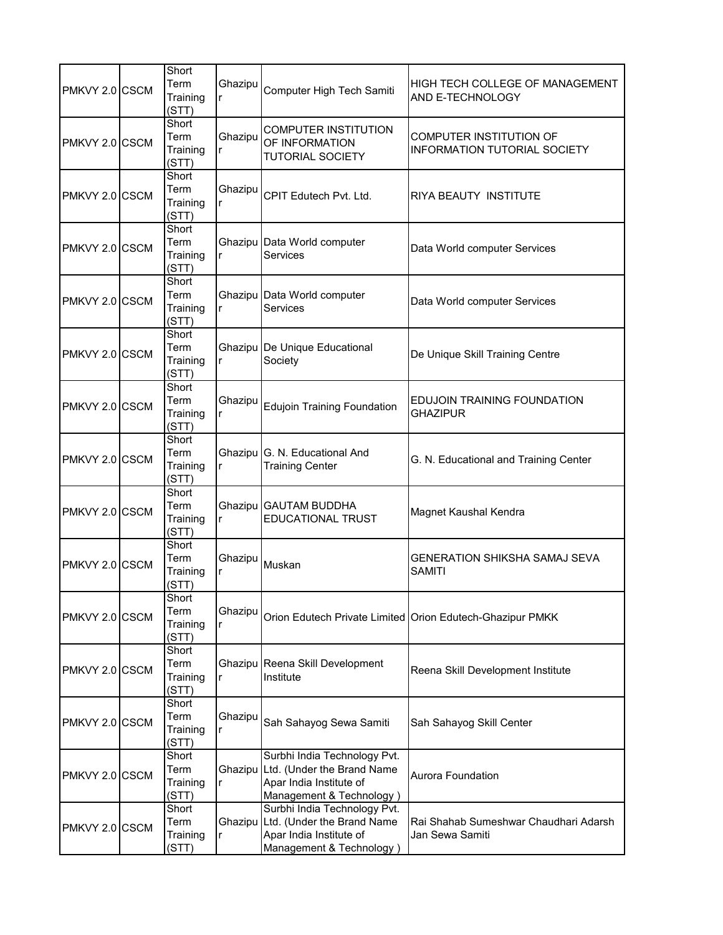| PMKVY 2.0 CSCM | Short<br>Term<br>Training<br>(STT) | Ghazipu<br>r | Computer High Tech Samiti                                                                                                 | HIGH TECH COLLEGE OF MANAGEMENT<br>AND E-TECHNOLOGY            |
|----------------|------------------------------------|--------------|---------------------------------------------------------------------------------------------------------------------------|----------------------------------------------------------------|
| PMKVY 2.0 CSCM | Short<br>Term<br>Training<br>(STT) | Ghazipu<br>r | <b>COMPUTER INSTITUTION</b><br>OF INFORMATION<br><b>TUTORIAL SOCIETY</b>                                                  | COMPUTER INSTITUTION OF<br><b>INFORMATION TUTORIAL SOCIETY</b> |
| PMKVY 2.0 CSCM | Short<br>Term<br>Training<br>(STT) | Ghazipu<br>r | CPIT Edutech Pvt. Ltd.                                                                                                    | <b>RIYA BEAUTY INSTITUTE</b>                                   |
| PMKVY 2.0 CSCM | Short<br>Term<br>Training<br>(STT) |              | Ghazipu Data World computer<br>Services                                                                                   | Data World computer Services                                   |
| PMKVY 2.0 CSCM | Short<br>Term<br>Training<br>(STT) | r            | Ghazipu Data World computer<br>Services                                                                                   | Data World computer Services                                   |
| PMKVY 2.0 CSCM | Short<br>Term<br>Training<br>(STT) | r            | Ghazipu De Unique Educational<br>Society                                                                                  | De Unique Skill Training Centre                                |
| PMKVY 2.0 CSCM | Short<br>Term<br>Training<br>(STT) | Ghazipu<br>r | <b>Edujoin Training Foundation</b>                                                                                        | EDUJOIN TRAINING FOUNDATION<br><b>GHAZIPUR</b>                 |
| PMKVY 2.0 CSCM | Short<br>Term<br>Training<br>(STT) | r            | Ghazipu G. N. Educational And<br><b>Training Center</b>                                                                   | G. N. Educational and Training Center                          |
| PMKVY 2.0 CSCM | Short<br>Term<br>Training<br>(STT) | r            | Ghazipu GAUTAM BUDDHA<br><b>EDUCATIONAL TRUST</b>                                                                         | Magnet Kaushal Kendra                                          |
| PMKVY 2.0 CSCM | Short<br>Term<br>Training<br>(STT) | Ghazipu<br>r | Muskan                                                                                                                    | <b>GENERATION SHIKSHA SAMAJ SEVA</b><br><b>SAMITI</b>          |
| PMKVY 2.0 CSCM | Short<br>Term<br>Training<br>(STT) | Ghazipu<br>r |                                                                                                                           | Orion Edutech Private Limited Orion Edutech-Ghazipur PMKK      |
| PMKVY 2.0 CSCM | Short<br>Term<br>Training<br>(STT) | r            | Ghazipu Reena Skill Development<br>Institute                                                                              | Reena Skill Development Institute                              |
| PMKVY 2.0 CSCM | Short<br>Term<br>Training<br>(STT) | Ghazipu<br>r | Sah Sahayog Sewa Samiti                                                                                                   | Sah Sahayog Skill Center                                       |
| PMKVY 2.0 CSCM | Short<br>Term<br>Training<br>(STT) | r            | Surbhi India Technology Pvt.<br>Ghazipu Ltd. (Under the Brand Name<br>Apar India Institute of<br>Management & Technology) | Aurora Foundation                                              |
| PMKVY 2.0 CSCM | Short<br>Term<br>Training<br>(STT) | r            | Surbhi India Technology Pvt.<br>Ghazipu Ltd. (Under the Brand Name<br>Apar India Institute of<br>Management & Technology) | Rai Shahab Sumeshwar Chaudhari Adarsh<br>Jan Sewa Samiti       |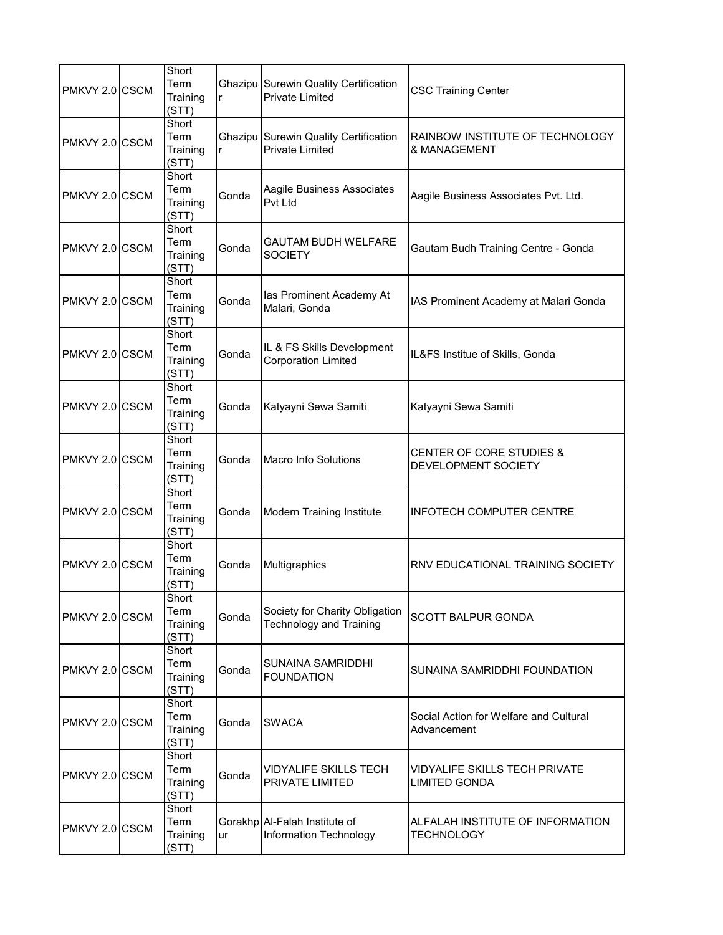| PMKVY 2.0 CSCM | Short<br>Term<br>Training<br>(STT) | r     | Ghazipu Surewin Quality Certification<br><b>Private Limited</b>  | <b>CSC Training Center</b>                            |
|----------------|------------------------------------|-------|------------------------------------------------------------------|-------------------------------------------------------|
| PMKVY 2.0 CSCM | Short<br>Term<br>Training<br>(STT) | r     | Ghazipu Surewin Quality Certification<br><b>Private Limited</b>  | RAINBOW INSTITUTE OF TECHNOLOGY<br>& MANAGEMENT       |
| PMKVY 2.0 CSCM | Short<br>Term<br>Training<br>(STT) | Gonda | Aagile Business Associates<br><b>Pvt Ltd</b>                     | Aagile Business Associates Pvt. Ltd.                  |
| PMKVY 2.0 CSCM | Short<br>Term<br>Training<br>(STT) | Gonda | GAUTAM BUDH WELFARE<br><b>SOCIETY</b>                            | Gautam Budh Training Centre - Gonda                   |
| PMKVY 2.0 CSCM | Short<br>Term<br>Training<br>(STT) | Gonda | las Prominent Academy At<br>Malari, Gonda                        | IAS Prominent Academy at Malari Gonda                 |
| PMKVY 2.0 CSCM | Short<br>Term<br>Training<br>(STT) | Gonda | IL & FS Skills Development<br><b>Corporation Limited</b>         | IL&FS Institue of Skills, Gonda                       |
| PMKVY 2.0 CSCM | Short<br>Term<br>Training<br>(STT) | Gonda | Katyayni Sewa Samiti                                             | Katyayni Sewa Samiti                                  |
| PMKVY 2.0 CSCM | Short<br>Term<br>Training<br>(STT) | Gonda | <b>Macro Info Solutions</b>                                      | CENTER OF CORE STUDIES &<br>DEVELOPMENT SOCIETY       |
| PMKVY 2.0 CSCM | Short<br>Term<br>Training<br>(STT) | Gonda | <b>Modern Training Institute</b>                                 | <b>INFOTECH COMPUTER CENTRE</b>                       |
| PMKVY 2.0 CSCM | Short<br>Term<br>Training<br>(STT) | Gonda | Multigraphics                                                    | RNV EDUCATIONAL TRAINING SOCIETY                      |
| PMKVY 2.0 CSCM | Short<br>Term<br>Training<br>(STT) | Gonda | Society for Charity Obligation<br><b>Technology and Training</b> | SCOTT BALPUR GONDA                                    |
| PMKVY 2.0 CSCM | Short<br>Term<br>Training<br>(STT) | Gonda | <b>SUNAINA SAMRIDDHI</b><br><b>FOUNDATION</b>                    | SUNAINA SAMRIDDHI FOUNDATION                          |
| PMKVY 2.0 CSCM | Short<br>Term<br>Training<br>(STT) | Gonda | <b>SWACA</b>                                                     | Social Action for Welfare and Cultural<br>Advancement |
| PMKVY 2.0 CSCM | Short<br>Term<br>Training<br>(STT) | Gonda | <b>VIDYALIFE SKILLS TECH</b><br><b>PRIVATE LIMITED</b>           | VIDYALIFE SKILLS TECH PRIVATE<br><b>LIMITED GONDA</b> |
| PMKVY 2.0 CSCM | Short<br>Term<br>Training<br>(STT) | ur    | Gorakhp Al-Falah Institute of<br>Information Technology          | ALFALAH INSTITUTE OF INFORMATION<br><b>TECHNOLOGY</b> |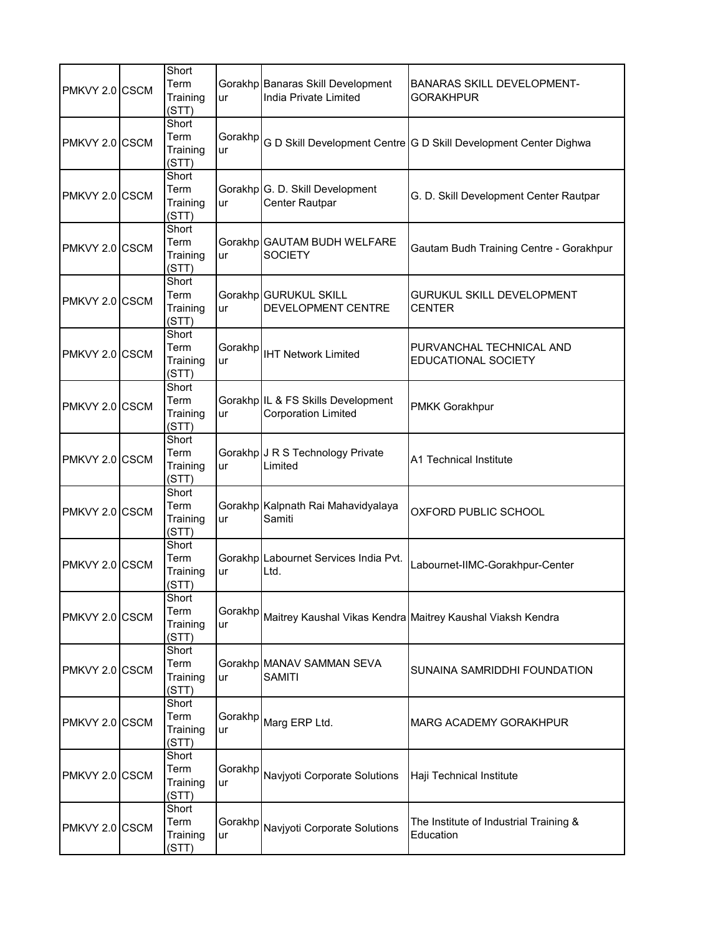| PMKVY 2.0 CSCM | Short<br>Term<br>Training<br>(STT) | ur             | Gorakhp Banaras Skill Development<br>India Private Limited       | <b>BANARAS SKILL DEVELOPMENT-</b><br><b>GORAKHPUR</b>            |
|----------------|------------------------------------|----------------|------------------------------------------------------------------|------------------------------------------------------------------|
| PMKVY 2.0 CSCM | Short<br>Term<br>Training<br>(STT) | Gorakhp<br>ur  |                                                                  | G D Skill Development Centre G D Skill Development Center Dighwa |
| PMKVY 2.0 CSCM | Short<br>Term<br>Training<br>(STT) | ur             | Gorakhp G. D. Skill Development<br>Center Rautpar                | G. D. Skill Development Center Rautpar                           |
| PMKVY 2.0 CSCM | Short<br>Term<br>Training<br>(STT) | ur             | Gorakhp GAUTAM BUDH WELFARE<br><b>SOCIETY</b>                    | Gautam Budh Training Centre - Gorakhpur                          |
| PMKVY 2.0 CSCM | Short<br>Term<br>Training<br>(STT) | ur             | Gorakhp GURUKUL SKILL<br>DEVELOPMENT CENTRE                      | GURUKUL SKILL DEVELOPMENT<br><b>CENTER</b>                       |
| PMKVY 2.0 CSCM | Short<br>Term<br>Training<br>(STT) | Gorakhp<br>ur  | <b>IHT Network Limited</b>                                       | PURVANCHAL TECHNICAL AND<br><b>EDUCATIONAL SOCIETY</b>           |
| PMKVY 2.0 CSCM | Short<br>Term<br>Training<br>(STT) | ur             | Gorakhp IL & FS Skills Development<br><b>Corporation Limited</b> | PMKK Gorakhpur                                                   |
| PMKVY 2.0 CSCM | Short<br>Term<br>Training<br>(STT) | ur             | Gorakhp J R S Technology Private<br>Limited                      | A1 Technical Institute                                           |
| PMKVY 2.0 CSCM | Short<br>Term<br>Training<br>(STT) | ur             | Gorakhp Kalpnath Rai Mahavidyalaya<br>Samiti                     | OXFORD PUBLIC SCHOOL                                             |
| PMKVY 2.0 CSCM | Short<br>Term<br>Training<br>(STT) | ur             | Gorakhp Labournet Services India Pvt.<br>Ltd.                    | Labournet-IIMC-Gorakhpur-Center                                  |
| PMKVY 2.0 CSCM | Short<br>Term<br>Training<br>(STT) | Gorakhp<br>ur  |                                                                  | Maitrey Kaushal Vikas Kendra Maitrey Kaushal Viaksh Kendra       |
| PMKVY 2.0 CSCM | Short<br>Term<br>Training<br>(STT) | ur             | Gorakhp MANAV SAMMAN SEVA<br><b>SAMITI</b>                       | SUNAINA SAMRIDDHI FOUNDATION                                     |
| PMKVY 2.0 CSCM | Short<br>Term<br>Training<br>(STT) | Gorakhpl<br>ur | Marg ERP Ltd.                                                    | MARG ACADEMY GORAKHPUR                                           |
| PMKVY 2.0 CSCM | Short<br>Term<br>Training<br>(STT) | Gorakhp<br>ur  | Navjyoti Corporate Solutions                                     | Haji Technical Institute                                         |
| PMKVY 2.0 CSCM | Short<br>Term<br>Training<br>(STT) | Gorakhp<br>ur  | Navjyoti Corporate Solutions                                     | The Institute of Industrial Training &<br>Education              |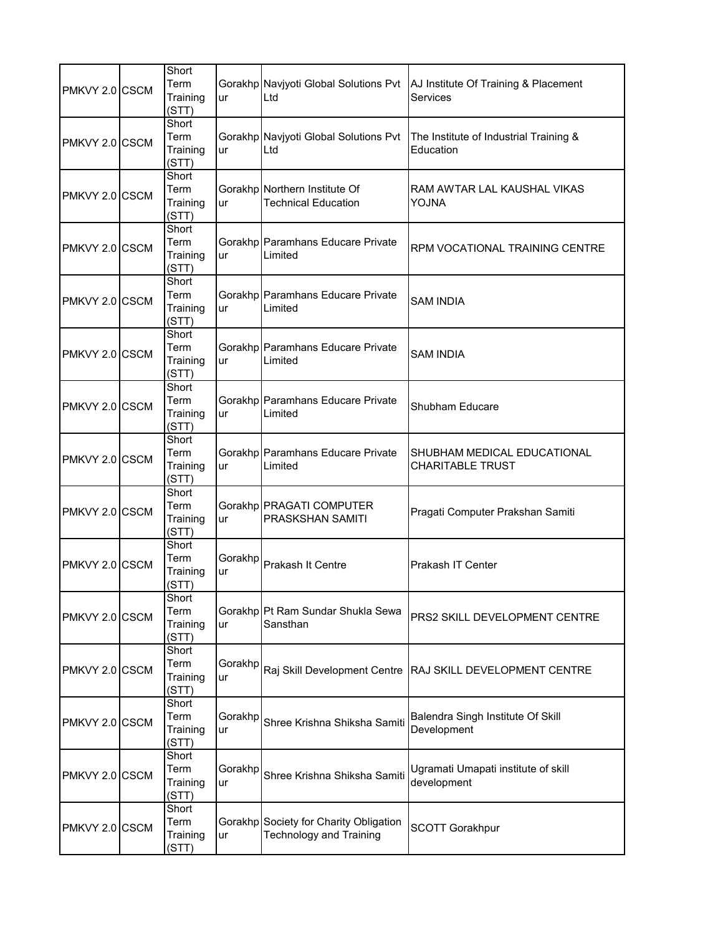| PMKVY 2.0 CSCM | Short<br>Term<br>Training<br>(STT) | ur             | Gorakhp Navjyoti Global Solutions Pvt<br>Ltd                             | AJ Institute Of Training & Placement<br>Services       |
|----------------|------------------------------------|----------------|--------------------------------------------------------------------------|--------------------------------------------------------|
| PMKVY 2.0 CSCM | Short<br>Term<br>Training<br>(STT) | ur             | Gorakhp Navjyoti Global Solutions Pvt<br>Ltd                             | The Institute of Industrial Training &<br>Education    |
| PMKVY 2.0 CSCM | Short<br>Term<br>Training<br>(STT) | ur             | Gorakhp Northern Institute Of<br><b>Technical Education</b>              | RAM AWTAR LAL KAUSHAL VIKAS<br>YOJNA                   |
| PMKVY 2.0 CSCM | Short<br>Term<br>Training<br>(STT) | ur             | Gorakhp Paramhans Educare Private<br>Limited                             | RPM VOCATIONAL TRAINING CENTRE                         |
| PMKVY 2.0 CSCM | Short<br>Term<br>Training<br>(STT) | ur             | Gorakhp Paramhans Educare Private<br>Limited                             | SAM INDIA                                              |
| PMKVY 2.0 CSCM | Short<br>Term<br>Training<br>(STT) | ur             | Gorakhp Paramhans Educare Private<br>Limited                             | <b>SAM INDIA</b>                                       |
| PMKVY 2.0 CSCM | Short<br>Term<br>Training<br>(STT) | ur             | Gorakhp Paramhans Educare Private<br>Limited                             | Shubham Educare                                        |
| PMKVY 2.0 CSCM | Short<br>Term<br>Training<br>(STT) | ur             | Gorakhp Paramhans Educare Private<br>Limited                             | SHUBHAM MEDICAL EDUCATIONAL<br><b>CHARITABLE TRUST</b> |
| PMKVY 2.0 CSCM | Short<br>Term<br>Training<br>(STT) | ur             | Gorakhp PRAGATI COMPUTER<br>PRASKSHAN SAMITI                             | Pragati Computer Prakshan Samiti                       |
| PMKVY 2.0 CSCM | Short<br>Term<br>Training<br>(STT) | Gorakhp<br>ur  | Prakash It Centre                                                        | Prakash IT Center                                      |
| PMKVY 2.0 CSCM | Short<br>Term<br>Training<br>(STT) | ur             | Gorakhp Pt Ram Sundar Shukla Sewa<br>Sansthan                            | PRS2 SKILL DEVELOPMENT CENTRE                          |
| PMKVY 2.0 CSCM | Short<br>Term<br>Training<br>(STT) | Gorakhp<br>ur  | Raj Skill Development Centre                                             | RAJ SKILL DEVELOPMENT CENTRE                           |
| PMKVY 2.0 CSCM | Short<br>Term<br>Training<br>(STT) | Gorakhpl<br>ur | Shree Krishna Shiksha Samiti                                             | Balendra Singh Institute Of Skill<br>Development       |
| PMKVY 2.0 CSCM | Short<br>Term<br>Training<br>(STT) | Gorakhp<br>ur  | Shree Krishna Shiksha Samiti                                             | Ugramati Umapati institute of skill<br>development     |
| PMKVY 2.0 CSCM | Short<br>Term<br>Training<br>(STT) | ur             | Gorakhp Society for Charity Obligation<br><b>Technology and Training</b> | <b>SCOTT Gorakhpur</b>                                 |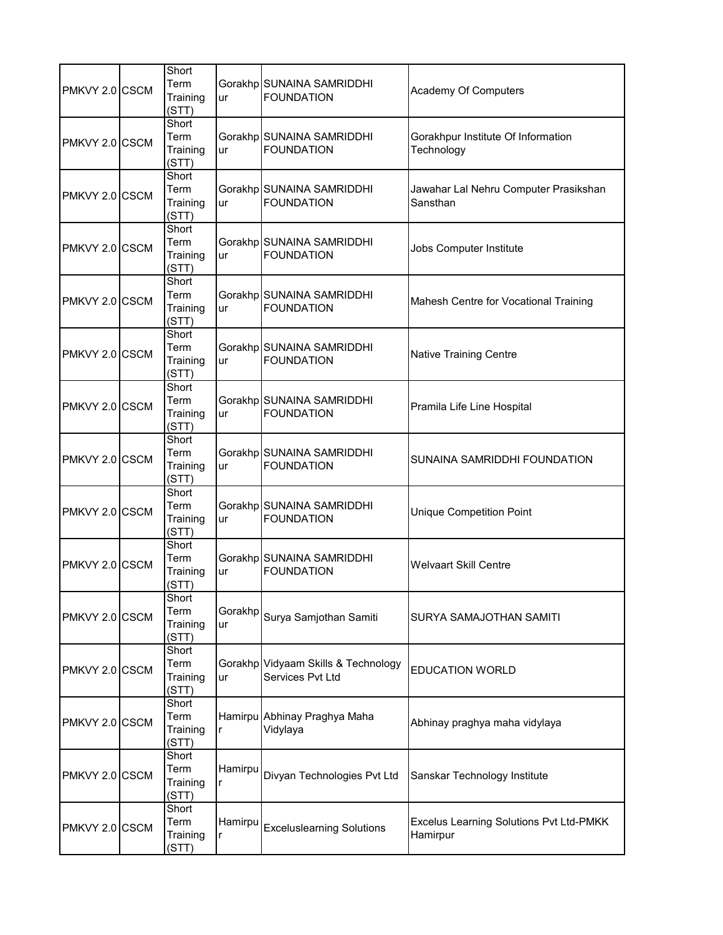| PMKVY 2.0 CSCM | Short<br>Term<br>Training<br>(STT) | ur            | Gorakhp SUNAINA SAMRIDDHI<br><b>FOUNDATION</b>          | Academy Of Computers                                |
|----------------|------------------------------------|---------------|---------------------------------------------------------|-----------------------------------------------------|
| PMKVY 2.0 CSCM | Short<br>Term<br>Training<br>(STT) | ur            | Gorakhp SUNAINA SAMRIDDHI<br><b>FOUNDATION</b>          | Gorakhpur Institute Of Information<br>Technology    |
| PMKVY 2.0 CSCM | Short<br>Term<br>Training<br>(STT) | ur            | Gorakhp SUNAINA SAMRIDDHI<br><b>FOUNDATION</b>          | Jawahar Lal Nehru Computer Prasikshan<br>Sansthan   |
| PMKVY 2.0 CSCM | Short<br>Term<br>Training<br>(STT) | ur            | Gorakhp SUNAINA SAMRIDDHI<br><b>FOUNDATION</b>          | Jobs Computer Institute                             |
| PMKVY 2.0 CSCM | Short<br>Term<br>Training<br>(STT) | ur            | Gorakhp SUNAINA SAMRIDDHI<br><b>FOUNDATION</b>          | Mahesh Centre for Vocational Training               |
| PMKVY 2.0 CSCM | Short<br>Term<br>Training<br>(STT) | ur            | Gorakhp SUNAINA SAMRIDDHI<br><b>FOUNDATION</b>          | <b>Native Training Centre</b>                       |
| PMKVY 2.0 CSCM | Short<br>Term<br>Training<br>(STT) | ur            | Gorakhp SUNAINA SAMRIDDHI<br><b>FOUNDATION</b>          | Pramila Life Line Hospital                          |
| PMKVY 2.0 CSCM | Short<br>Term<br>Training<br>(STT) | ur            | Gorakhp SUNAINA SAMRIDDHI<br><b>FOUNDATION</b>          | SUNAINA SAMRIDDHI FOUNDATION                        |
| PMKVY 2.0 CSCM | Short<br>Term<br>Training<br>(STT) | ur            | Gorakhp SUNAINA SAMRIDDHI<br><b>FOUNDATION</b>          | <b>Unique Competition Point</b>                     |
| PMKVY 2.0 CSCM | Short<br>Term<br>Training<br>(STT) | ur            | Gorakhp SUNAINA SAMRIDDHI<br><b>FOUNDATION</b>          | <b>Welvaart Skill Centre</b>                        |
| PMKVY 2.0 CSCM | Short<br>Term<br>Training<br>(STT) | Gorakhp<br>ur | Surya Samjothan Samiti                                  | SURYA SAMAJOTHAN SAMITI                             |
| PMKVY 2.0 CSCM | Short<br>Term<br>Training<br>(STT) | ur            | Gorakhp Vidyaam Skills & Technology<br>Services Pvt Ltd | <b>EDUCATION WORLD</b>                              |
| PMKVY 2.0 CSCM | Short<br>Term<br>Training<br>(STT) | r             | Hamirpu Abhinay Praghya Maha<br>Vidylaya                | Abhinay praghya maha vidylaya                       |
| PMKVY 2.0 CSCM | Short<br>Term<br>Training<br>(STT) | Hamirpu<br>r  | Divyan Technologies Pvt Ltd                             | Sanskar Technology Institute                        |
| PMKVY 2.0 CSCM | Short<br>Term<br>Training<br>(STT) | Hamirpu<br>r  | <b>Exceluslearning Solutions</b>                        | Excelus Learning Solutions Pvt Ltd-PMKK<br>Hamirpur |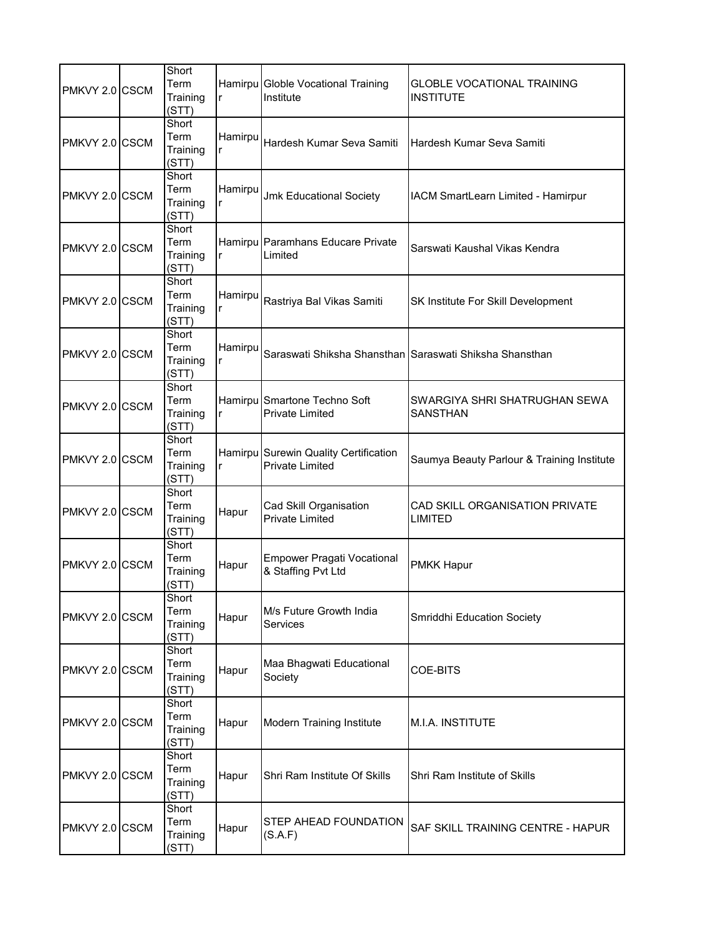| PMKVY 2.0 CSCM | Short<br>Term<br>Training<br>(STT) | r            | Hamirpu Globle Vocational Training<br>Institute                 | <b>GLOBLE VOCATIONAL TRAINING</b><br><b>INSTITUTE</b>   |
|----------------|------------------------------------|--------------|-----------------------------------------------------------------|---------------------------------------------------------|
| PMKVY 2.0 CSCM | Short<br>Term<br>Training<br>(STT) | Hamirpu<br>r | Hardesh Kumar Seva Samiti                                       | Hardesh Kumar Seva Samiti                               |
| PMKVY 2.0 CSCM | Short<br>Term<br>Training<br>(STT) | Hamirpu<br>r | <b>Jmk Educational Society</b>                                  | IACM SmartLearn Limited - Hamirpur                      |
| PMKVY 2.0 CSCM | Short<br>Term<br>Training<br>(STT) | r            | Hamirpu Paramhans Educare Private<br>Limited                    | Sarswati Kaushal Vikas Kendra                           |
| PMKVY 2.0 CSCM | Short<br>Term<br>Training<br>(STT) | Hamirpu<br>r | Rastriya Bal Vikas Samiti                                       | SK Institute For Skill Development                      |
| PMKVY 2.0 CSCM | Short<br>Term<br>Training<br>(STT) | Hamirpu<br>r |                                                                 | Saraswati Shiksha Shansthan Saraswati Shiksha Shansthan |
| PMKVY 2.0 CSCM | Short<br>Term<br>Training<br>(STT) | r            | Hamirpu Smartone Techno Soft<br><b>Private Limited</b>          | SWARGIYA SHRI SHATRUGHAN SEWA<br><b>SANSTHAN</b>        |
| PMKVY 2.0 CSCM | Short<br>Term<br>Training<br>(STT) | r            | Hamirpu Surewin Quality Certification<br><b>Private Limited</b> | Saumya Beauty Parlour & Training Institute              |
| PMKVY 2.0 CSCM | Short<br>Term<br>Training<br>(STT) | Hapur        | Cad Skill Organisation<br><b>Private Limited</b>                | CAD SKILL ORGANISATION PRIVATE<br><b>LIMITED</b>        |
| PMKVY 2.0 CSCM | Short<br>Term<br>Training<br>(STT) | Hapur        | <b>Empower Pragati Vocational</b><br>& Staffing Pvt Ltd         | <b>PMKK Hapur</b>                                       |
| PMKVY 2.0 CSCM | Short<br>Term<br>Training<br>(STT) | Hapur        | M/s Future Growth India<br><b>Services</b>                      | Smriddhi Education Society                              |
| PMKVY 2.0 CSCM | Short<br>Term<br>Training<br>(STT) | Hapur        | Maa Bhagwati Educational<br>Society                             | COE-BITS                                                |
| PMKVY 2.0 CSCM | Short<br>Term<br>Training<br>(STT) | Hapur        | Modern Training Institute                                       | M.I.A. INSTITUTE                                        |
| PMKVY 2.0 CSCM | Short<br>Term<br>Training<br>(STT) | Hapur        | Shri Ram Institute Of Skills                                    | Shri Ram Institute of Skills                            |
| PMKVY 2.0 CSCM | Short<br>Term<br>Training<br>(STT) | Hapur        | STEP AHEAD FOUNDATION<br>(S.A.F)                                | SAF SKILL TRAINING CENTRE - HAPUR                       |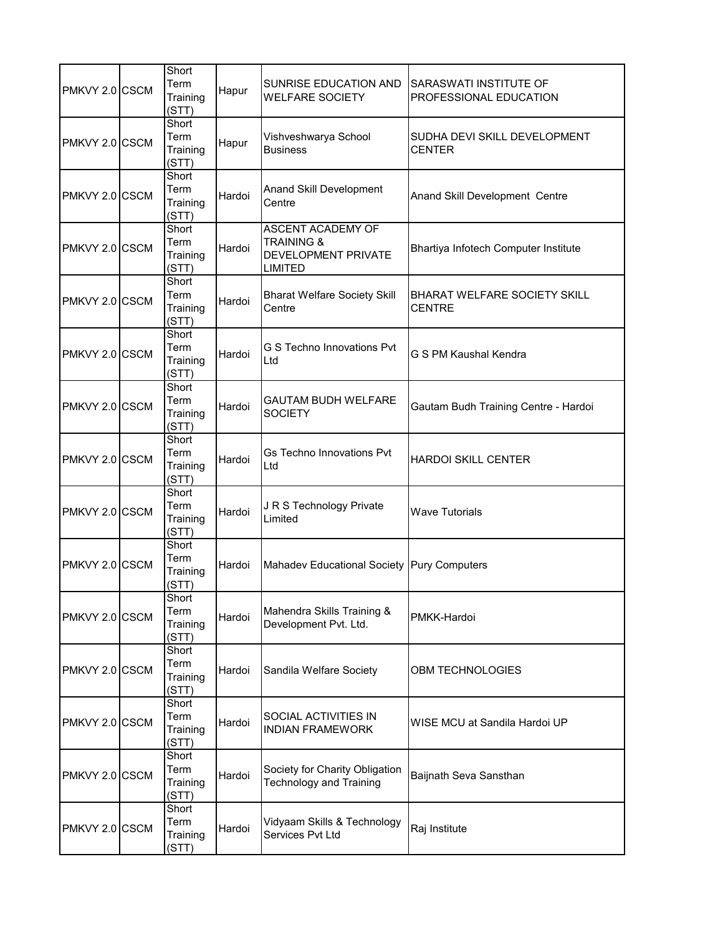| PMKVY 2.0 CSCM | Short<br>Term<br>Training<br>(STT) | Hapur  | SUNRISE EDUCATION AND<br><b>WELFARE SOCIETY</b>                                     | SARASWATI INSTITUTE OF<br>PROFESSIONAL EDUCATION     |
|----------------|------------------------------------|--------|-------------------------------------------------------------------------------------|------------------------------------------------------|
| PMKVY 2.0 CSCM | Short<br>Term<br>Training<br>(STT) | Hapur  | Vishveshwarya School<br><b>Business</b>                                             | SUDHA DEVI SKILL DEVELOPMENT<br><b>CENTER</b>        |
| PMKVY 2.0 CSCM | Short<br>Term<br>Training<br>(STT) | Hardoi | Anand Skill Development<br>Centre                                                   | Anand Skill Development Centre                       |
| PMKVY 2.0 CSCM | Short<br>Term<br>Training<br>(STT) | Hardoi | ASCENT ACADEMY OF<br><b>TRAINING &amp;</b><br>DEVELOPMENT PRIVATE<br><b>LIMITED</b> | Bhartiya Infotech Computer Institute                 |
| PMKVY 2.0 CSCM | Short<br>Term<br>Training<br>(STT) | Hardoi | <b>Bharat Welfare Society Skill</b><br>Centre                                       | <b>BHARAT WELFARE SOCIETY SKILL</b><br><b>CENTRE</b> |
| PMKVY 2.0 CSCM | Short<br>Term<br>Training<br>(STT) | Hardoi | G S Techno Innovations Pvt<br>Ltd                                                   | G S PM Kaushal Kendra                                |
| PMKVY 2.0 CSCM | Short<br>Term<br>Training<br>(STT) | Hardoi | GAUTAM BUDH WELFARE<br><b>SOCIETY</b>                                               | Gautam Budh Training Centre - Hardoi                 |
| PMKVY 2.0 CSCM | Short<br>Term<br>Training<br>(STT) | Hardoi | <b>Gs Techno Innovations Pvt</b><br>Ltd                                             | <b>HARDOI SKILL CENTER</b>                           |
| PMKVY 2.0 CSCM | Short<br>Term<br>Training<br>(STT) | Hardoi | J R S Technology Private<br>Limited                                                 | <b>Wave Tutorials</b>                                |
| PMKVY 2.0 CSCM | Short<br>Term<br>Training<br>(STT) | Hardoi | Mahadev Educational Society Pury Computers                                          |                                                      |
| PMKVY 2.0 CSCM | Short<br>Term<br>Training<br>(STT) | Hardoi | Mahendra Skills Training &<br>Development Pvt. Ltd.                                 | PMKK-Hardoi                                          |
| PMKVY 2.0 CSCM | Short<br>Term<br>Training<br>(STT) | Hardoi | Sandila Welfare Society                                                             | <b>OBM TECHNOLOGIES</b>                              |
| PMKVY 2.0 CSCM | Short<br>Term<br>Training<br>(STT) | Hardoi | SOCIAL ACTIVITIES IN<br><b>INDIAN FRAMEWORK</b>                                     | WISE MCU at Sandila Hardoi UP                        |
| PMKVY 2.0 CSCM | Short<br>Term<br>Training<br>(STT) | Hardoi | Society for Charity Obligation<br><b>Technology and Training</b>                    | Baijnath Seva Sansthan                               |
| PMKVY 2.0 CSCM | Short<br>Term<br>Training<br>(STT) | Hardoi | Vidyaam Skills & Technology<br>Services Pvt Ltd                                     | Raj Institute                                        |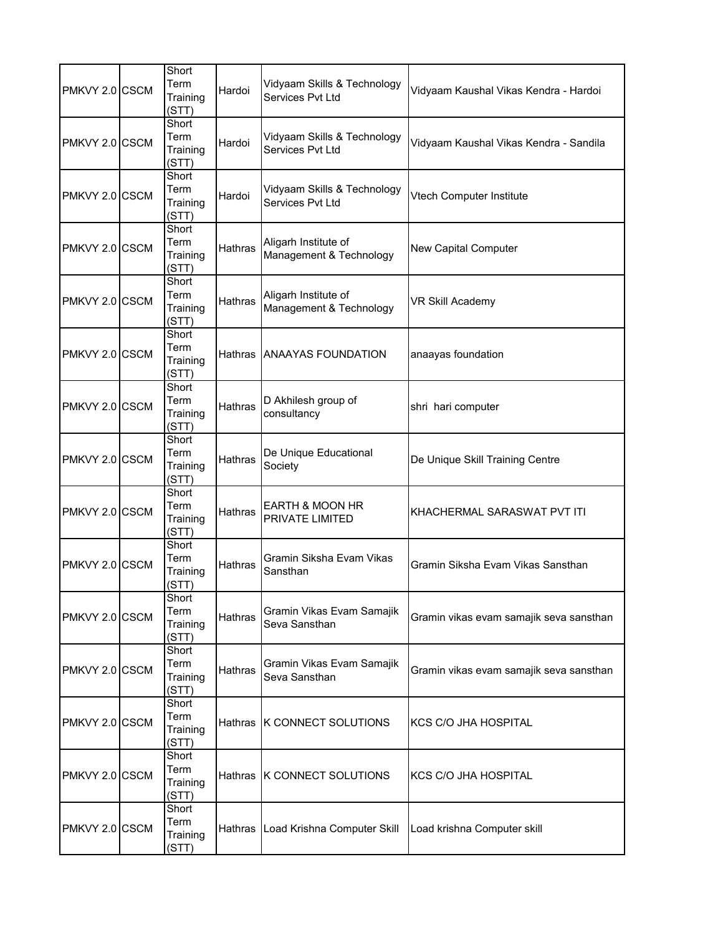| PMKVY 2.0 CSCM | Short<br>Term<br>Training<br>(STT) | Hardoi         | Vidyaam Skills & Technology<br>Services Pvt Ltd      | Vidyaam Kaushal Vikas Kendra - Hardoi   |
|----------------|------------------------------------|----------------|------------------------------------------------------|-----------------------------------------|
| PMKVY 2.0 CSCM | Short<br>Term<br>Training<br>(STT) | Hardoi         | Vidyaam Skills & Technology<br>Services Pvt Ltd      | Vidyaam Kaushal Vikas Kendra - Sandila  |
| PMKVY 2.0 CSCM | Short<br>Term<br>Training<br>(STT) | Hardoi         | Vidyaam Skills & Technology<br>Services Pvt Ltd      | Vtech Computer Institute                |
| PMKVY 2.0 CSCM | Short<br>Term<br>Training<br>(STT) | <b>Hathras</b> | Aligarh Institute of<br>Management & Technology      | <b>New Capital Computer</b>             |
| PMKVY 2.0 CSCM | Short<br>Term<br>Training<br>(STT) | Hathras        | Aligarh Institute of<br>Management & Technology      | VR Skill Academy                        |
| PMKVY 2.0 CSCM | Short<br>Term<br>Training<br>(STT) | <b>Hathras</b> | <b>ANAAYAS FOUNDATION</b>                            | anaayas foundation                      |
| PMKVY 2.0 CSCM | Short<br>Term<br>Training<br>(STT) | <b>Hathras</b> | D Akhilesh group of<br>consultancy                   | shri hari computer                      |
| PMKVY 2.0 CSCM | Short<br>Term<br>Training<br>(STT) | <b>Hathras</b> | De Unique Educational<br>Society                     | De Unique Skill Training Centre         |
| PMKVY 2.0 CSCM | Short<br>Term<br>Training<br>(STT) | Hathras        | <b>EARTH &amp; MOON HR</b><br><b>PRIVATE LIMITED</b> | KHACHERMAL SARASWAT PVT ITI             |
| PMKVY 2.0 CSCM | Short<br>Term<br>Training<br>(STT) | Hathras        | Gramin Siksha Evam Vikas<br>Sansthan                 | Gramin Siksha Evam Vikas Sansthan       |
| PMKVY 2.0 CSCM | Short<br>Term<br>Training<br>(STT) | Hathras        | Gramin Vikas Evam Samajik<br>Seva Sansthan           | Gramin vikas evam samajik seva sansthan |
| PMKVY 2.0 CSCM | Short<br>Term<br>Training<br>(STT) | Hathras        | Gramin Vikas Evam Samajik<br>Seva Sansthan           | Gramin vikas evam samajik seva sansthan |
| PMKVY 2.0 CSCM | Short<br>Term<br>Training<br>(STT) | Hathras        | <b>K CONNECT SOLUTIONS</b>                           | <b>KCS C/O JHA HOSPITAL</b>             |
| PMKVY 2.0 CSCM | Short<br>Term<br>Training<br>(STT) |                | Hathras K CONNECT SOLUTIONS                          | KCS C/O JHA HOSPITAL                    |
| PMKVY 2.0 CSCM | Short<br>Term<br>Training<br>(STT) | Hathras        | Load Krishna Computer Skill                          | Load krishna Computer skill             |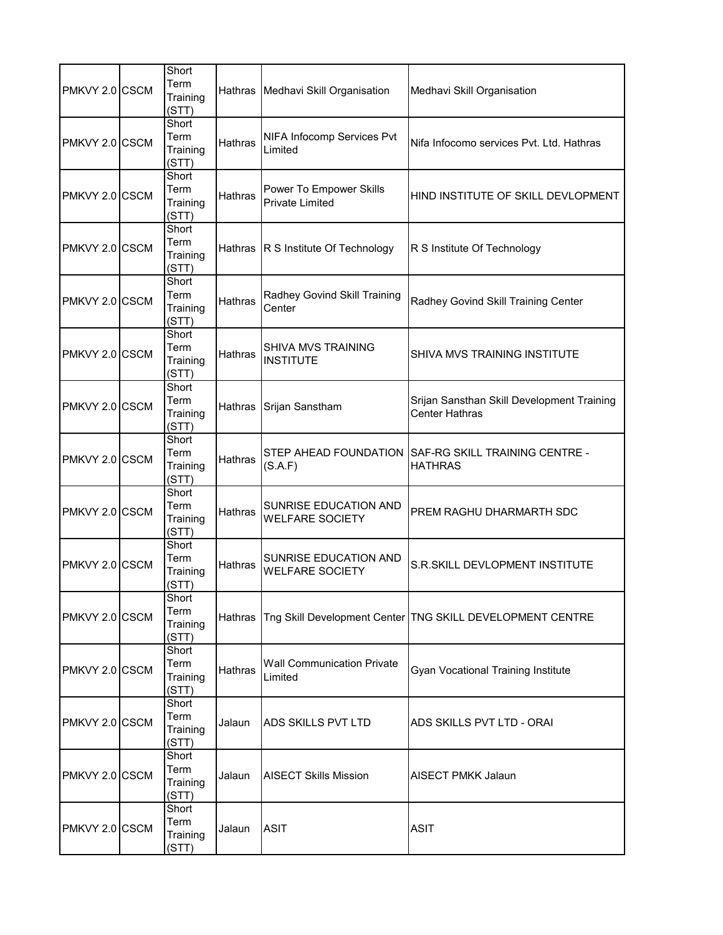| PMKVY 2.0 CSCM  | Short<br>Term<br>Training<br>(STT) |                | Hathras   Medhavi Skill Organisation              | Medhavi Skill Organisation                                          |
|-----------------|------------------------------------|----------------|---------------------------------------------------|---------------------------------------------------------------------|
| PMKVY 2.0 CSCM  | Short<br>Term<br>Training<br>(STT) | Hathras        | NIFA Infocomp Services Pvt<br>Limited             | Nifa Infocomo services Pvt. Ltd. Hathras                            |
| PMKVY 2.0 CSCM  | Short<br>Term<br>Training<br>(STT) | Hathras        | Power To Empower Skills<br><b>Private Limited</b> | HIND INSTITUTE OF SKILL DEVLOPMENT                                  |
| PMKVY 2.0 CSCM  | Short<br>Term<br>Training<br>(STT) | Hathras        | R S Institute Of Technology                       | R S Institute Of Technology                                         |
| PMKVY 2.0 ICSCM | Short<br>Term<br>Training<br>(STT) | Hathras        | Radhey Govind Skill Training<br>Center            | Radhey Govind Skill Training Center                                 |
| PMKVY 2.0 CSCM  | Short<br>Term<br>Training<br>(STT) | <b>Hathras</b> | <b>SHIVA MVS TRAINING</b><br><b>INSTITUTE</b>     | SHIVA MVS TRAINING INSTITUTE                                        |
| PMKVY 2.0 CSCM  | Short<br>Term<br>Training<br>(STT) | Hathras        | Srijan Sanstham                                   | Srijan Sansthan Skill Development Training<br><b>Center Hathras</b> |
| PMKVY 2.0 CSCM  | Short<br>Term<br>Training<br>(STT) | Hathras        | STEP AHEAD FOUNDATION<br>(S.A.F)                  | SAF-RG SKILL TRAINING CENTRE -<br><b>HATHRAS</b>                    |
| PMKVY 2.0 CSCM  | Short<br>Term<br>Training<br>(STT) | Hathras        | SUNRISE EDUCATION AND<br><b>WELFARE SOCIETY</b>   | PREM RAGHU DHARMARTH SDC                                            |
| PMKVY 2.0 CSCM  | Short<br>Term<br>Training<br>(STT) | Hathras        | SUNRISE EDUCATION AND<br><b>WELFARE SOCIETY</b>   | S.R.SKILL DEVLOPMENT INSTITUTE                                      |
| PMKVY 2.0 CSCM  | Short<br>Term<br>Training<br>(STT) | Hathras        |                                                   | Tng Skill Development Center   TNG SKILL DEVELOPMENT CENTRE         |
| PMKVY 2.0 CSCM  | Short<br>Term<br>Training<br>(STT) | Hathras        | <b>Wall Communication Private</b><br>Limited      | <b>Gyan Vocational Training Institute</b>                           |
| PMKVY 2.0 CSCM  | Short<br>Term<br>Training<br>(STT) | Jalaun         | ADS SKILLS PVT LTD                                | ADS SKILLS PVT LTD - ORAI                                           |
| PMKVY 2.0 CSCM  | Short<br>Term<br>Training<br>(STT) | Jalaun         | <b>AISECT Skills Mission</b>                      | <b>AISECT PMKK Jalaun</b>                                           |
| PMKVY 2.0 CSCM  | Short<br>Term<br>Training<br>(STT) | Jalaun         | <b>ASIT</b>                                       | <b>ASIT</b>                                                         |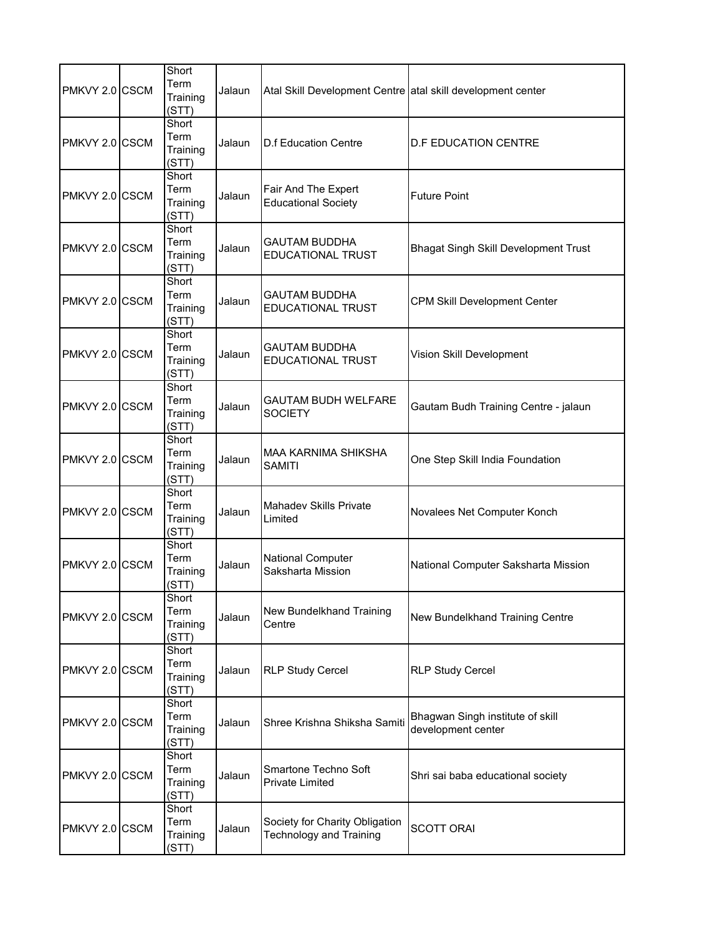| PMKVY 2.0 CSCM | Short<br>Term<br>Training<br>(STT) | Jalaun | Atal Skill Development Centre atal skill development center |                                                        |
|----------------|------------------------------------|--------|-------------------------------------------------------------|--------------------------------------------------------|
| PMKVY 2.0 CSCM | Short<br>Term<br>Training<br>(STT) | Jalaun | <b>D.f Education Centre</b>                                 | <b>D.F EDUCATION CENTRE</b>                            |
| PMKVY 2.0 CSCM | Short<br>Term<br>Training<br>(STT) | Jalaun | Fair And The Expert<br><b>Educational Society</b>           | <b>Future Point</b>                                    |
| PMKVY 2.0 CSCM | Short<br>Term<br>Training<br>(STT) | Jalaun | GAUTAM BUDDHA<br><b>EDUCATIONAL TRUST</b>                   | <b>Bhagat Singh Skill Development Trust</b>            |
| PMKVY 2.0 CSCM | Short<br>Term<br>Training<br>(STT) | Jalaun | <b>GAUTAM BUDDHA</b><br><b>EDUCATIONAL TRUST</b>            | <b>CPM Skill Development Center</b>                    |
| PMKVY 2.0 CSCM | Short<br>Term<br>Training<br>(STT) | Jalaun | <b>GAUTAM BUDDHA</b><br><b>EDUCATIONAL TRUST</b>            | Vision Skill Development                               |
| PMKVY 2.0 CSCM | Short<br>Term<br>Training<br>(STT) | Jalaun | GAUTAM BUDH WELFARE<br><b>SOCIETY</b>                       | Gautam Budh Training Centre - jalaun                   |
| PMKVY 2.0 CSCM | Short<br>Term<br>Training<br>(STT) | Jalaun | MAA KARNIMA SHIKSHA<br><b>SAMITI</b>                        | One Step Skill India Foundation                        |
| PMKVY 2.0 CSCM | Short<br>Term<br>Training<br>(STT) | Jalaun | <b>Mahadev Skills Private</b><br>Limited                    | Novalees Net Computer Konch                            |
| PMKVY 2.0 CSCM | Short<br>Term<br>Training<br>(STT) | Jalaun | National Computer<br>Saksharta Mission                      | National Computer Saksharta Mission                    |
| PMKVY 2.0 CSCM | Short<br>Term<br>Training<br>(STT) | Jalaun | New Bundelkhand Training<br>Centre                          | New Bundelkhand Training Centre                        |
| PMKVY 2.0 CSCM | Short<br>Term<br>Training<br>(STT) | Jalaun | <b>RLP Study Cercel</b>                                     | <b>RLP Study Cercel</b>                                |
| PMKVY 2.0 CSCM | Short<br>Term<br>Training<br>(STT) | Jalaun | Shree Krishna Shiksha Samiti                                | Bhagwan Singh institute of skill<br>development center |
| PMKVY 2.0 CSCM | Short<br>Term<br>Training<br>(STT) | Jalaun | Smartone Techno Soft<br><b>Private Limited</b>              | Shri sai baba educational society                      |
| PMKVY 2.0 CSCM | Short<br>Term<br>Training<br>(STT) | Jalaun | Society for Charity Obligation<br>Technology and Training   | <b>SCOTT ORAI</b>                                      |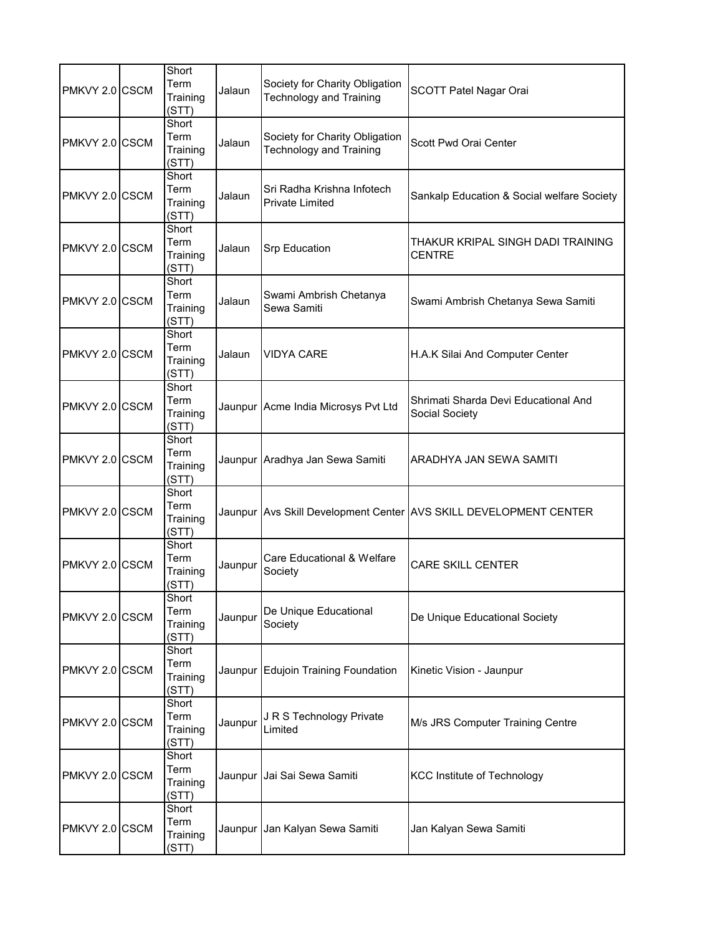| PMKVY 2.0 CSCM | Short<br>Term<br>Training<br>(STT) | Jalaun  | Society for Charity Obligation<br><b>Technology and Training</b> | SCOTT Patel Nagar Orai                                            |
|----------------|------------------------------------|---------|------------------------------------------------------------------|-------------------------------------------------------------------|
| PMKVY 2.0 CSCM | Short<br>Term<br>Training<br>(STT) | Jalaun  | Society for Charity Obligation<br><b>Technology and Training</b> | Scott Pwd Orai Center                                             |
| PMKVY 2.0 CSCM | Short<br>Term<br>Training<br>(STT) | Jalaun  | Sri Radha Krishna Infotech<br>Private Limited                    | Sankalp Education & Social welfare Society                        |
| PMKVY 2.0 CSCM | Short<br>Term<br>Training<br>(STT) | Jalaun  | Srp Education                                                    | THAKUR KRIPAL SINGH DADI TRAINING<br><b>CENTRE</b>                |
| PMKVY 2.0 CSCM | Short<br>Term<br>Training<br>(STT) | Jalaun  | Swami Ambrish Chetanya<br>Sewa Samiti                            | Swami Ambrish Chetanya Sewa Samiti                                |
| PMKVY 2.0 CSCM | Short<br>Term<br>Training<br>(STT) | Jalaun  | VIDYA CARE                                                       | H.A.K Silai And Computer Center                                   |
| PMKVY 2.0 CSCM | Short<br>Term<br>Training<br>(STT) |         | Jaunpur Acme India Microsys Pvt Ltd                              | Shrimati Sharda Devi Educational And<br>Social Society            |
| PMKVY 2.0 CSCM | Short<br>Term<br>Training<br>(STT) |         | Jaunpur Aradhya Jan Sewa Samiti                                  | ARADHYA JAN SEWA SAMITI                                           |
| PMKVY 2.0 CSCM | Short<br>Term<br>Training<br>(STT) |         |                                                                  | Jaunpur Avs Skill Development Center AVS SKILL DEVELOPMENT CENTER |
| PMKVY 2.0 CSCM | Short<br>Term<br>Training<br>(STT) | Jaunpur | Care Educational & Welfare<br>Society                            | <b>CARE SKILL CENTER</b>                                          |
| PMKVY 2.0 CSCM | Short<br>Term<br>Training<br>(STT) | Jaunpur | De Unique Educational<br>Society                                 | De Unique Educational Society                                     |
| PMKVY 2.0 CSCM | Short<br>Term<br>Training<br>(STT) | Jaunpur | Edujoin Training Foundation                                      | Kinetic Vision - Jaunpur                                          |
| PMKVY 2.0 CSCM | Short<br>Term<br>Training<br>(STT) | Jaunpur | J R S Technology Private<br>Limited                              | M/s JRS Computer Training Centre                                  |
| PMKVY 2.0 CSCM | Short<br>Term<br>Training<br>(STT) | Jaunpur | Jai Sai Sewa Samiti                                              | <b>KCC Institute of Technology</b>                                |
| PMKVY 2.0 CSCM | Short<br>Term<br>Training<br>(STT) | Jaunpur | Jan Kalyan Sewa Samiti                                           | Jan Kalyan Sewa Samiti                                            |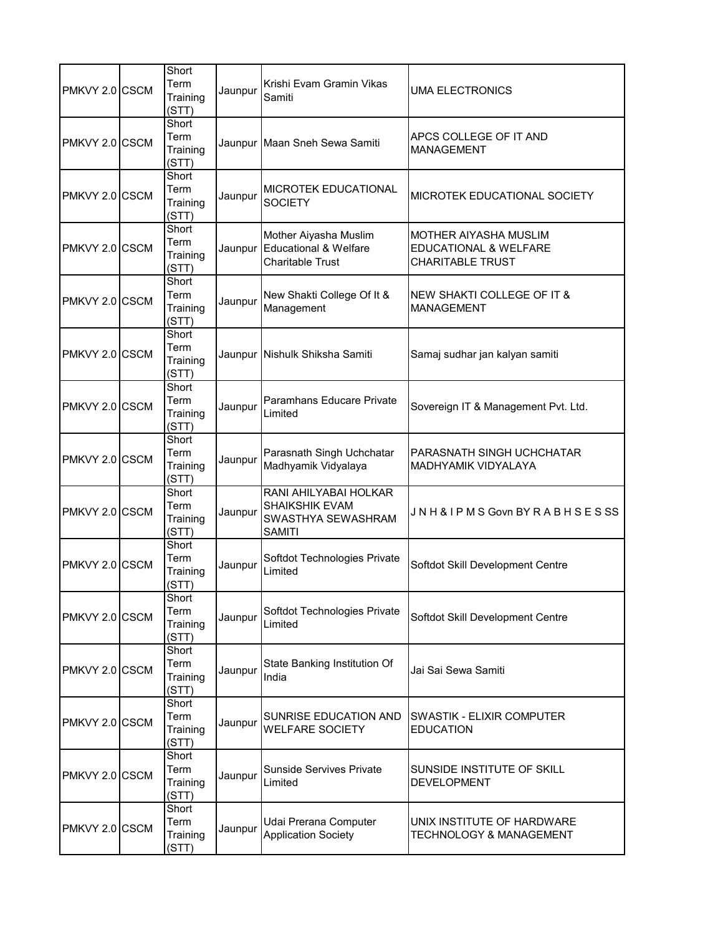| PMKVY 2.0 CSCM | Short<br>Term<br>Training<br>(STT) | Jaunpur | Krishi Evam Gramin Vikas<br>Samiti                                                   | UMA ELECTRONICS                                                           |
|----------------|------------------------------------|---------|--------------------------------------------------------------------------------------|---------------------------------------------------------------------------|
| PMKVY 2.0 CSCM | Short<br>Term<br>Training<br>(STT) |         | Jaunpur Maan Sneh Sewa Samiti                                                        | APCS COLLEGE OF IT AND<br><b>MANAGEMENT</b>                               |
| PMKVY 2.0 CSCM | Short<br>Term<br>Training<br>(STT) | Jaunpur | MICROTEK EDUCATIONAL<br><b>SOCIETY</b>                                               | MICROTEK EDUCATIONAL SOCIETY                                              |
| PMKVY 2.0 CSCM | Short<br>Term<br>Training<br>(STT) | Jaunpur | Mother Aiyasha Muslim<br><b>Educational &amp; Welfare</b><br><b>Charitable Trust</b> | MOTHER AIYASHA MUSLIM<br>EDUCATIONAL & WELFARE<br><b>CHARITABLE TRUST</b> |
| PMKVY 2.0 CSCM | Short<br>Term<br>Training<br>(STT) | Jaunpur | New Shakti College Of It &<br>Management                                             | NEW SHAKTI COLLEGE OF IT &<br><b>MANAGEMENT</b>                           |
| PMKVY 2.0 CSCM | Short<br>Term<br>Training<br>(STT) |         | Jaunpur Nishulk Shiksha Samiti                                                       | Samaj sudhar jan kalyan samiti                                            |
| PMKVY 2.0 CSCM | Short<br>Term<br>Training<br>(STT) | Jaunpur | Paramhans Educare Private<br>Limited                                                 | Sovereign IT & Management Pvt. Ltd.                                       |
| PMKVY 2.0 CSCM | Short<br>Term<br>Training<br>(STT) | Jaunpur | Parasnath Singh Uchchatar<br>Madhyamik Vidyalaya                                     | PARASNATH SINGH UCHCHATAR<br><b>MADHYAMIK VIDYALAYA</b>                   |
| PMKVY 2.0 CSCM | Short<br>Term<br>Training<br>(STT) | Jaunpur | RANI AHILYABAI HOLKAR<br>SHAIKSHIK EVAM<br>SWASTHYA SEWASHRAM<br><b>SAMITI</b>       | JNH & IPMS Govn BY RABHSESSS                                              |
| PMKVY 2.0 CSCM | Short<br>Term<br>Training<br>(STT) | Jaunpur | Softdot Technologies Private<br>Limited                                              | Softdot Skill Development Centre                                          |
| PMKVY 2.0 CSCM | Short<br>Term<br>Training<br>(STT) | Jaunpur | Softdot Technologies Private<br>Limited                                              | Softdot Skill Development Centre                                          |
| PMKVY 2.0 CSCM | Short<br>Term<br>Training<br>(STT) | Jaunpur | State Banking Institution Of<br>India                                                | Jai Sai Sewa Samiti                                                       |
| PMKVY 2.0 CSCM | Short<br>Term<br>Training<br>(STT) | Jaunpur | SUNRISE EDUCATION AND<br><b>WELFARE SOCIETY</b>                                      | <b>SWASTIK - ELIXIR COMPUTER</b><br><b>EDUCATION</b>                      |
| PMKVY 2.0 CSCM | Short<br>Term<br>Training<br>(STT) | Jaunpur | <b>Sunside Servives Private</b><br>Limited                                           | SUNSIDE INSTITUTE OF SKILL<br><b>DEVELOPMENT</b>                          |
| PMKVY 2.0 CSCM | Short<br>Term<br>Training<br>(STT) | Jaunpur | Udai Prerana Computer<br><b>Application Society</b>                                  | UNIX INSTITUTE OF HARDWARE<br>TECHNOLOGY & MANAGEMENT                     |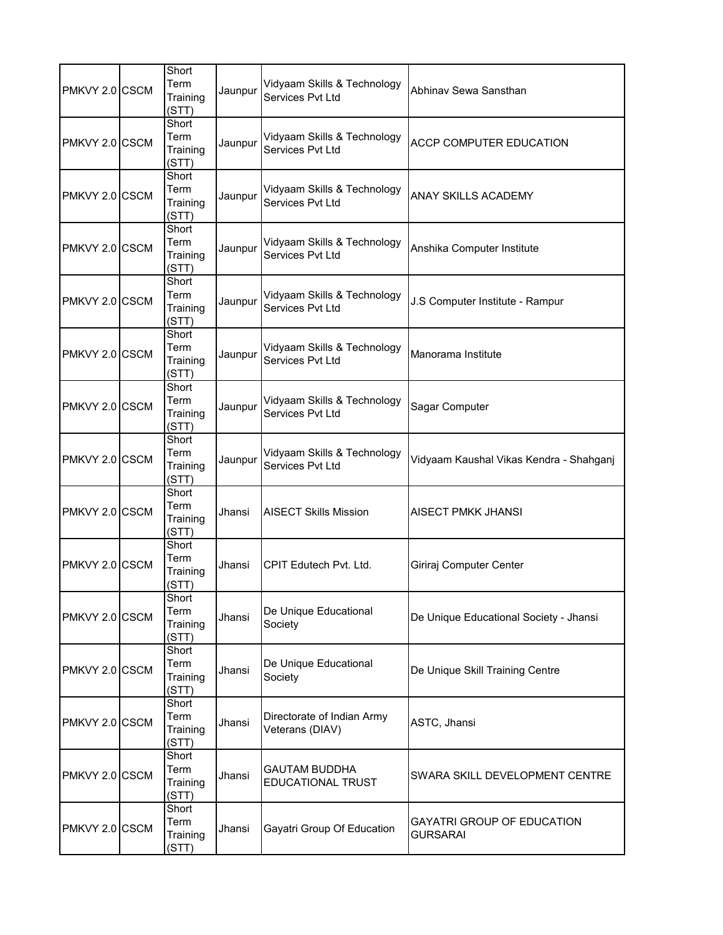| PMKVY 2.0 CSCM | Short<br>Term<br>Training<br>(STT) | Jaunpur | Vidyaam Skills & Technology<br>Services Pvt Ltd | Abhinav Sewa Sansthan                                |
|----------------|------------------------------------|---------|-------------------------------------------------|------------------------------------------------------|
| PMKVY 2.0 CSCM | Short<br>Term<br>Training<br>(STT) | Jaunpur | Vidyaam Skills & Technology<br>Services Pvt Ltd | ACCP COMPUTER EDUCATION                              |
| PMKVY 2.0 CSCM | Short<br>Term<br>Training<br>(STT) | Jaunpur | Vidyaam Skills & Technology<br>Services Pvt Ltd | <b>ANAY SKILLS ACADEMY</b>                           |
| PMKVY 2.0 CSCM | Short<br>Term<br>Training<br>(STT) | Jaunpur | Vidyaam Skills & Technology<br>Services Pvt Ltd | Anshika Computer Institute                           |
| PMKVY 2.0 CSCM | Short<br>Term<br>Training<br>(STT) | Jaunpur | Vidyaam Skills & Technology<br>Services Pvt Ltd | J.S Computer Institute - Rampur                      |
| PMKVY 2.0 CSCM | Short<br>Term<br>Training<br>(STT) | Jaunpur | Vidyaam Skills & Technology<br>Services Pvt Ltd | Manorama Institute                                   |
| PMKVY 2.0 CSCM | Short<br>Term<br>Training<br>(STT) | Jaunpur | Vidyaam Skills & Technology<br>Services Pvt Ltd | Sagar Computer                                       |
| PMKVY 2.0 CSCM | Short<br>Term<br>Training<br>(STT) | Jaunpur | Vidyaam Skills & Technology<br>Services Pvt Ltd | Vidyaam Kaushal Vikas Kendra - Shahganj              |
| PMKVY 2.0 CSCM | Short<br>Term<br>Training<br>(STT) | Jhansi  | <b>AISECT Skills Mission</b>                    | AISECT PMKK JHANSI                                   |
| PMKVY 2.0 CSCM | Short<br>Term<br>Training<br>(STT) | Jhansi  | CPIT Edutech Pvt. Ltd.                          | Giriraj Computer Center                              |
| PMKVY 2.0 CSCM | Short<br>Term<br>Training<br>(STT) | Jhansi  | De Unique Educational<br>Society                | De Unique Educational Society - Jhansi               |
| PMKVY 2.0 CSCM | Short<br>Term<br>Training<br>(STT) | Jhansi  | De Unique Educational<br>Society                | De Unique Skill Training Centre                      |
| PMKVY 2.0 CSCM | Short<br>Term<br>Training<br>(STT) | Jhansi  | Directorate of Indian Army<br>Veterans (DIAV)   | ASTC, Jhansi                                         |
| PMKVY 2.0 CSCM | Short<br>Term<br>Training<br>(STT) | Jhansi  | <b>GAUTAM BUDDHA</b><br>EDUCATIONAL TRUST       | SWARA SKILL DEVELOPMENT CENTRE                       |
| PMKVY 2.0 CSCM | Short<br>Term<br>Training<br>(STT) | Jhansi  | Gayatri Group Of Education                      | <b>GAYATRI GROUP OF EDUCATION</b><br><b>GURSARAI</b> |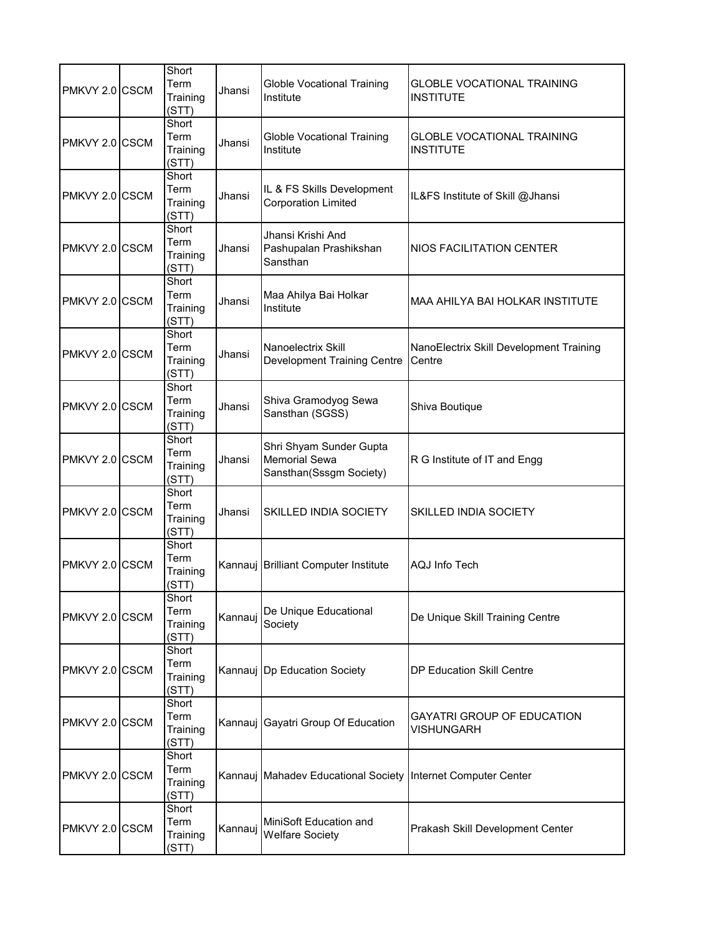| PMKVY 2.0 CSCM | Short<br>Term<br>Training<br>(STT) | Jhansi  | <b>Globle Vocational Training</b><br>Institute                             | <b>GLOBLE VOCATIONAL TRAINING</b><br><b>INSTITUTE</b> |
|----------------|------------------------------------|---------|----------------------------------------------------------------------------|-------------------------------------------------------|
| PMKVY 2.0 CSCM | Short<br>Term<br>Training<br>(STT) | Jhansi  | <b>Globle Vocational Training</b><br>Institute                             | <b>GLOBLE VOCATIONAL TRAINING</b><br><b>INSTITUTE</b> |
| PMKVY 2.0 CSCM | Short<br>Term<br>Training<br>(STT) | Jhansi  | IL & FS Skills Development<br><b>Corporation Limited</b>                   | IL&FS Institute of Skill @Jhansi                      |
| PMKVY 2.0 CSCM | Short<br>Term<br>Training<br>(STT) | Jhansi  | Jhansi Krishi And<br>Pashupalan Prashikshan<br>Sansthan                    | <b>NIOS FACILITATION CENTER</b>                       |
| PMKVY 2.0 CSCM | Short<br>Term<br>Training<br>(STT) | Jhansi  | Maa Ahilya Bai Holkar<br>Institute                                         | <b>MAA AHILYA BAI HOLKAR INSTITUTE</b>                |
| PMKVY 2.0 CSCM | Short<br>Term<br>Training<br>(STT) | Jhansi  | Nanoelectrix Skill<br><b>Development Training Centre</b>                   | NanoElectrix Skill Development Training<br>Centre     |
| PMKVY 2.0 CSCM | Short<br>Term<br>Training<br>(STT) | Jhansi  | Shiva Gramodyog Sewa<br>Sansthan (SGSS)                                    | Shiva Boutique                                        |
| PMKVY 2.0 CSCM | Short<br>Term<br>Training<br>(STT) | Jhansi  | Shri Shyam Sunder Gupta<br><b>Memorial Sewa</b><br>Sansthan(Sssgm Society) | R G Institute of IT and Engg                          |
| PMKVY 2.0 CSCM | Short<br>Term<br>Training<br>(STT) | Jhansi  | SKILLED INDIA SOCIETY                                                      | <b>SKILLED INDIA SOCIETY</b>                          |
| PMKVY 2.0 CSCM | Short<br>Term<br>Training<br>(STT) |         | Kannauj Brilliant Computer Institute                                       | <b>AQJ Info Tech</b>                                  |
| PMKVY 2.0 CSCM | Short<br>Term<br>Training<br>(STT) | Kannauj | De Unique Educational<br>Society                                           | De Unique Skill Training Centre                       |
| PMKVY 2.0 CSCM | Short<br>Term<br>Training<br>(STT) |         | Kannauj Dp Education Society                                               | DP Education Skill Centre                             |
| PMKVY 2.0 CSCM | Short<br>Term<br>Training<br>(STT) |         | Kannauj Gayatri Group Of Education                                         | GAYATRI GROUP OF EDUCATION<br><b>VISHUNGARH</b>       |
| PMKVY 2.0 CSCM | Short<br>Term<br>Training<br>(STT) |         | Kannauj Mahadev Educational Society Internet Computer Center               |                                                       |
| PMKVY 2.0 CSCM | Short<br>Term<br>Training<br>(STT) | Kannauj | MiniSoft Education and<br><b>Welfare Society</b>                           | Prakash Skill Development Center                      |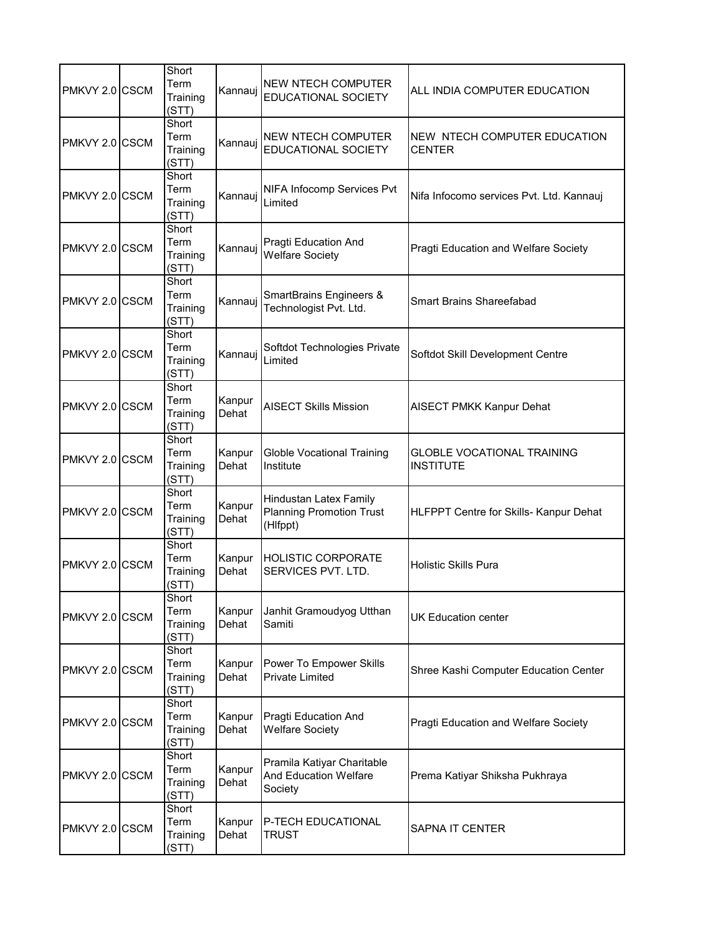| PMKVY 2.0 CSCM | Short<br>Term<br>Training<br>(STT) | Kannauj         | <b>NEW NTECH COMPUTER</b><br>EDUCATIONAL SOCIETY                      | ALL INDIA COMPUTER EDUCATION                          |
|----------------|------------------------------------|-----------------|-----------------------------------------------------------------------|-------------------------------------------------------|
| PMKVY 2.0 CSCM | Short<br>Term<br>Training<br>(STT) | Kannauj         | NEW NTECH COMPUTER<br>EDUCATIONAL SOCIETY                             | NEW NTECH COMPUTER EDUCATION<br><b>CENTER</b>         |
| PMKVY 2.0 CSCM | Short<br>Term<br>Training<br>(STT) | Kannauj         | NIFA Infocomp Services Pvt<br>Limited                                 | Nifa Infocomo services Pvt. Ltd. Kannauj              |
| PMKVY 2.0 CSCM | Short<br>Term<br>Training<br>(STT) | Kannauj         | Pragti Education And<br><b>Welfare Society</b>                        | Pragti Education and Welfare Society                  |
| PMKVY 2.0 CSCM | Short<br>Term<br>Training<br>(STT) | Kannauj         | <b>SmartBrains Engineers &amp;</b><br>Technologist Pvt. Ltd.          | <b>Smart Brains Shareefabad</b>                       |
| PMKVY 2.0 CSCM | Short<br>Term<br>Training<br>(STT) | Kannauj         | Softdot Technologies Private<br>Limited                               | Softdot Skill Development Centre                      |
| PMKVY 2.0 CSCM | Short<br>Term<br>Training<br>(STT) | Kanpur<br>Dehat | <b>AISECT Skills Mission</b>                                          | <b>AISECT PMKK Kanpur Dehat</b>                       |
| PMKVY 2.0 CSCM | Short<br>Term<br>Training<br>(STT) | Kanpur<br>Dehat | <b>Globle Vocational Training</b><br>Institute                        | <b>GLOBLE VOCATIONAL TRAINING</b><br><b>INSTITUTE</b> |
| PMKVY 2.0 CSCM | Short<br>Term<br>Training<br>(STT) | Kanpur<br>Dehat | Hindustan Latex Family<br><b>Planning Promotion Trust</b><br>(Hlfppt) | HLFPPT Centre for Skills- Kanpur Dehat                |
| PMKVY 2.0 CSCM | Short<br>Term<br>Training<br>(STT) | Kanpur<br>Dehat | <b>HOLISTIC CORPORATE</b><br>SERVICES PVT. LTD.                       | <b>Holistic Skills Pura</b>                           |
| PMKVY 2.0 CSCM | Short<br>Term<br>Training<br>(STT) | Kanpur<br>Dehat | Janhit Gramoudyog Utthan<br>Samiti                                    | <b>UK Education center</b>                            |
| PMKVY 2.0 CSCM | Short<br>Term<br>Training<br>(STT) | Kanpur<br>Dehat | Power To Empower Skills<br><b>Private Limited</b>                     | Shree Kashi Computer Education Center                 |
| PMKVY 2.0 CSCM | Short<br>Term<br>Training<br>(STT) | Kanpur<br>Dehat | Pragti Education And<br><b>Welfare Society</b>                        | Pragti Education and Welfare Society                  |
| PMKVY 2.0 CSCM | Short<br>Term<br>Training<br>(STT) | Kanpur<br>Dehat | Pramila Katiyar Charitable<br><b>And Education Welfare</b><br>Society | Prema Katiyar Shiksha Pukhraya                        |
| PMKVY 2.0 CSCM | Short<br>Term<br>Training<br>(STT) | Kanpur<br>Dehat | P-TECH EDUCATIONAL<br><b>TRUST</b>                                    | SAPNA IT CENTER                                       |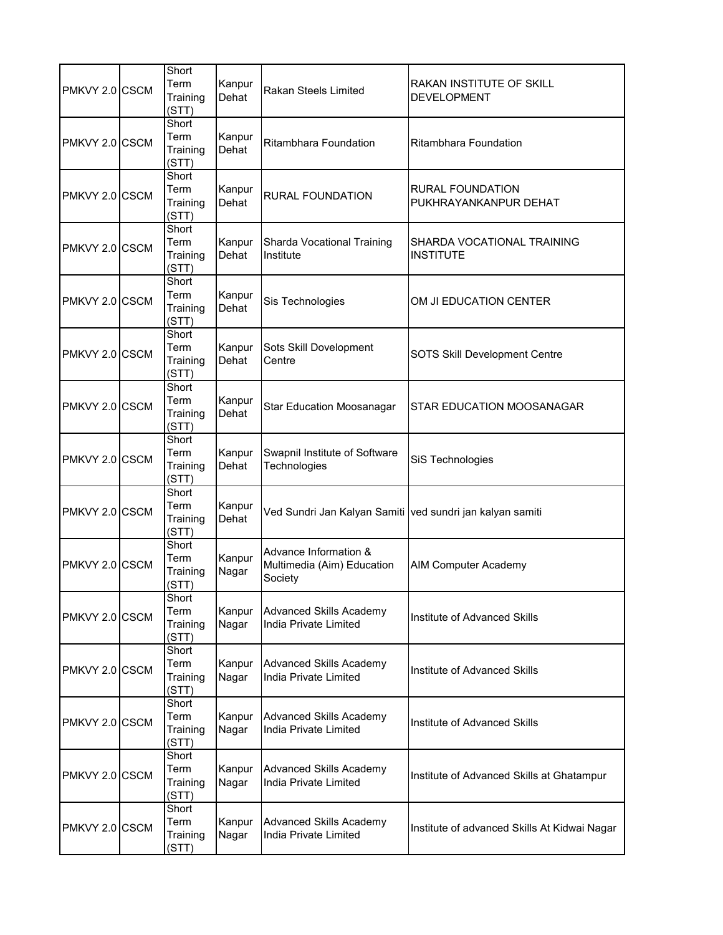| PMKVY 2.0 CSCM | Short<br>Term<br>Training<br>(STT) | Kanpur<br>Dehat | Rakan Steels Limited                                           | RAKAN INSTITUTE OF SKILL<br><b>DEVELOPMENT</b>   |
|----------------|------------------------------------|-----------------|----------------------------------------------------------------|--------------------------------------------------|
| PMKVY 2.0 CSCM | Short<br>Term<br>Training<br>(STT) | Kanpur<br>Dehat | Ritambhara Foundation                                          | <b>Ritambhara Foundation</b>                     |
| PMKVY 2.0 CSCM | Short<br>Term<br>Training<br>(STT) | Kanpur<br>Dehat | <b>RURAL FOUNDATION</b>                                        | <b>RURAL FOUNDATION</b><br>PUKHRAYANKANPUR DEHAT |
| PMKVY 2.0 CSCM | Short<br>Term<br>Training<br>(STT) | Kanpur<br>Dehat | Sharda Vocational Training<br>Institute                        | SHARDA VOCATIONAL TRAINING<br><b>INSTITUTE</b>   |
| PMKVY 2.0 CSCM | Short<br>Term<br>Training<br>(STT) | Kanpur<br>Dehat | Sis Technologies                                               | OM JI EDUCATION CENTER                           |
| PMKVY 2.0 CSCM | Short<br>Term<br>Training<br>(STT) | Kanpur<br>Dehat | Sots Skill Dovelopment<br>Centre                               | SOTS Skill Development Centre                    |
| PMKVY 2.0 CSCM | Short<br>Term<br>Training<br>(STT) | Kanpur<br>Dehat | <b>Star Education Moosanagar</b>                               | STAR EDUCATION MOOSANAGAR                        |
| PMKVY 2.0 CSCM | Short<br>Term<br>Training<br>(STT) | Kanpur<br>Dehat | Swapnil Institute of Software<br>Technologies                  | SiS Technologies                                 |
| PMKVY 2.0 CSCM | Short<br>Term<br>Training<br>(STT) | Kanpur<br>Dehat | Ved Sundri Jan Kalyan Samiti ved sundri jan kalyan samiti      |                                                  |
| PMKVY 2.0 CSCM | Short<br>Term<br>Training<br>(STT) | Kanpur<br>Nagar | Advance Information &<br>Multimedia (Aim) Education<br>Society | <b>AIM Computer Academy</b>                      |
| PMKVY 2.0 CSCM | Short<br>Term<br>Training<br>(STT) | Kanpur<br>Nagar | Advanced Skills Academy<br>India Private Limited               | Institute of Advanced Skills                     |
| PMKVY 2.0 CSCM | Short<br>Term<br>Training<br>(STT) | Kanpur<br>Nagar | <b>Advanced Skills Academy</b><br>India Private Limited        | Institute of Advanced Skills                     |
| PMKVY 2.0 CSCM | Short<br>Term<br>Training<br>(STT) | Kanpur<br>Nagar | <b>Advanced Skills Academy</b><br>India Private Limited        | Institute of Advanced Skills                     |
| PMKVY 2.0 CSCM | Short<br>Term<br>Training<br>(STT) | Kanpur<br>Nagar | <b>Advanced Skills Academy</b><br>India Private Limited        | Institute of Advanced Skills at Ghatampur        |
| PMKVY 2.0 CSCM | Short<br>Term<br>Training<br>(STT) | Kanpur<br>Nagar | <b>Advanced Skills Academy</b><br>India Private Limited        | Institute of advanced Skills At Kidwai Nagar     |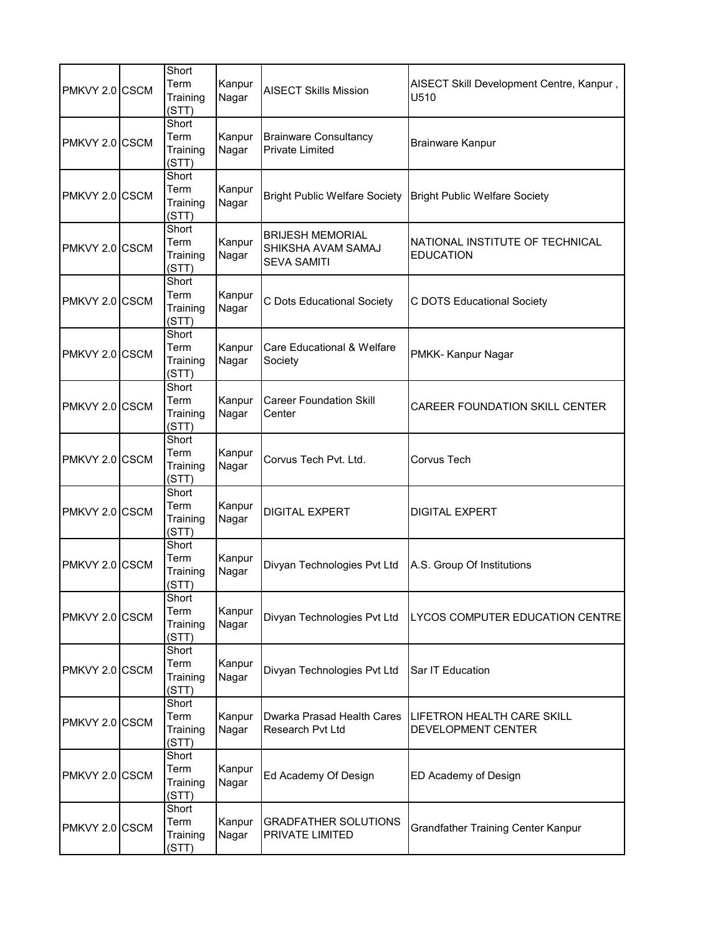| PMKVY 2.0 CSCM | Short<br>Term<br>Training<br>(STT) | Kanpur<br>Nagar | <b>AISECT Skills Mission</b>                                        | AISECT Skill Development Centre, Kanpur,<br>U510    |
|----------------|------------------------------------|-----------------|---------------------------------------------------------------------|-----------------------------------------------------|
| PMKVY 2.0 CSCM | Short<br>Term<br>Training<br>(STT) | Kanpur<br>Nagar | <b>Brainware Consultancy</b><br><b>Private Limited</b>              | <b>Brainware Kanpur</b>                             |
| PMKVY 2.0 CSCM | Short<br>Term<br>Training<br>(STT) | Kanpur<br>Nagar | <b>Bright Public Welfare Society</b>                                | <b>Bright Public Welfare Society</b>                |
| PMKVY 2.0 CSCM | Short<br>Term<br>Training<br>(STT) | Kanpur<br>Nagar | <b>BRIJESH MEMORIAL</b><br>SHIKSHA AVAM SAMAJ<br><b>SEVA SAMITI</b> | NATIONAL INSTITUTE OF TECHNICAL<br><b>EDUCATION</b> |
| PMKVY 2.0 CSCM | Short<br>Term<br>Training<br>(STT) | Kanpur<br>Nagar | C Dots Educational Society                                          | C DOTS Educational Society                          |
| PMKVY 2.0 CSCM | Short<br>Term<br>Training<br>(STT) | Kanpur<br>Nagar | Care Educational & Welfare<br>Society                               | PMKK-Kanpur Nagar                                   |
| PMKVY 2.0 CSCM | Short<br>Term<br>Training<br>(STT) | Kanpur<br>Nagar | <b>Career Foundation Skill</b><br>Center                            | <b>CAREER FOUNDATION SKILL CENTER</b>               |
| PMKVY 2.0 CSCM | Short<br>Term<br>Training<br>(STT) | Kanpur<br>Nagar | Corvus Tech Pvt. Ltd.                                               | Corvus Tech                                         |
| PMKVY 2.0 CSCM | Short<br>Term<br>Training<br>(STT) | Kanpur<br>Nagar | <b>DIGITAL EXPERT</b>                                               | <b>DIGITAL EXPERT</b>                               |
| PMKVY 2.0 CSCM | Short<br>Term<br>Training<br>(STT) | Kanpur<br>Nagar | Divyan Technologies Pvt Ltd                                         | A.S. Group Of Institutions                          |
| PMKVY 2.0 CSCM | Short<br>Term<br>Training<br>(STT) | Kanpur<br>Nagar | Divyan Technologies Pvt Ltd                                         | LYCOS COMPUTER EDUCATION CENTRE                     |
| PMKVY 2.0 CSCM | Short<br>Term<br>Training<br>(STT) | Kanpur<br>Nagar | Divyan Technologies Pvt Ltd                                         | Sar IT Education                                    |
| PMKVY 2.0 CSCM | Short<br>Term<br>Training<br>(STT) | Kanpur<br>Nagar | Dwarka Prasad Health Cares<br>Research Pvt Ltd                      | LIFETRON HEALTH CARE SKILL<br>DEVELOPMENT CENTER    |
| PMKVY 2.0 CSCM | Short<br>Term<br>Training<br>(STT) | Kanpur<br>Nagar | Ed Academy Of Design                                                | ED Academy of Design                                |
| PMKVY 2.0 CSCM | Short<br>Term<br>Training<br>(STT) | Kanpur<br>Nagar | <b>GRADFATHER SOLUTIONS</b><br><b>PRIVATE LIMITED</b>               | <b>Grandfather Training Center Kanpur</b>           |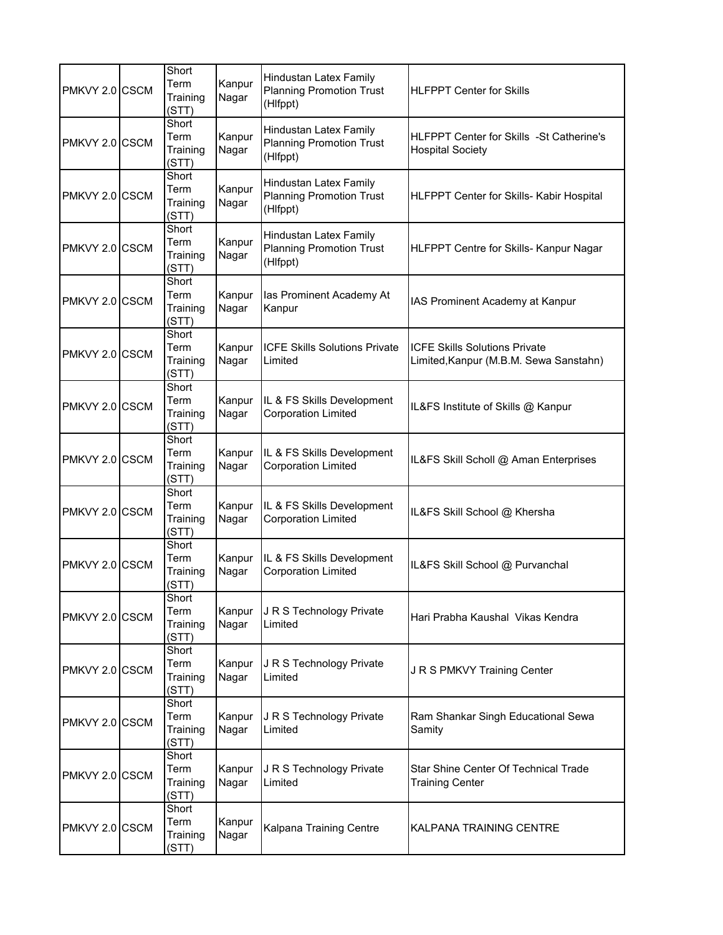| PMKVY 2.0 CSCM | Short<br>Term<br>Training<br>(STT) | Kanpur<br>Nagar | Hindustan Latex Family<br><b>Planning Promotion Trust</b><br>(Hlfppt)        | <b>HLFPPT Center for Skills</b>                                                |
|----------------|------------------------------------|-----------------|------------------------------------------------------------------------------|--------------------------------------------------------------------------------|
| PMKVY 2.0 CSCM | Short<br>Term<br>Training<br>(STT) | Kanpur<br>Nagar | Hindustan Latex Family<br><b>Planning Promotion Trust</b><br>(Hlfppt)        | <b>HLFPPT Center for Skills -St Catherine's</b><br><b>Hospital Society</b>     |
| PMKVY 2.0 CSCM | Short<br>Term<br>Training<br>(STT) | Kanpur<br>Nagar | <b>Hindustan Latex Family</b><br><b>Planning Promotion Trust</b><br>(Hlfppt) | HLFPPT Center for Skills- Kabir Hospital                                       |
| PMKVY 2.0 CSCM | Short<br>Term<br>Training<br>(STT) | Kanpur<br>Nagar | <b>Hindustan Latex Family</b><br><b>Planning Promotion Trust</b><br>(Hlfppt) | HLFPPT Centre for Skills- Kanpur Nagar                                         |
| PMKVY 2.0 CSCM | Short<br>Term<br>Training<br>(STT) | Kanpur<br>Nagar | las Prominent Academy At<br>Kanpur                                           | IAS Prominent Academy at Kanpur                                                |
| PMKVY 2.0 CSCM | Short<br>Term<br>Training<br>(STT) | Kanpur<br>Nagar | <b>ICFE Skills Solutions Private</b><br>Limited                              | <b>ICFE Skills Solutions Private</b><br>Limited, Kanpur (M.B.M. Sewa Sanstahn) |
| PMKVY 2.0 CSCM | Short<br>Term<br>Training<br>(STT) | Kanpur<br>Nagar | IL & FS Skills Development<br><b>Corporation Limited</b>                     | IL&FS Institute of Skills @ Kanpur                                             |
| PMKVY 2.0 CSCM | Short<br>Term<br>Training<br>(STT) | Kanpur<br>Nagar | IL & FS Skills Development<br><b>Corporation Limited</b>                     | IL&FS Skill Scholl @ Aman Enterprises                                          |
| PMKVY 2.0 CSCM | Short<br>Term<br>Training<br>(STT) | Kanpur<br>Nagar | IL & FS Skills Development<br><b>Corporation Limited</b>                     | IL&FS Skill School @ Khersha                                                   |
| PMKVY 2.0 CSCM | Short<br>Term<br>Training<br>(STT) | Kanpur<br>Nagar | IL & FS Skills Development<br><b>Corporation Limited</b>                     | IL&FS Skill School @ Purvanchal                                                |
| PMKVY 2.0 CSCM | Short<br>Term<br>Training<br>(STT) | Kanpur<br>Nagar | J R S Technology Private<br>Limited                                          | Hari Prabha Kaushal Vikas Kendra                                               |
| PMKVY 2.0 CSCM | Short<br>Term<br>Training<br>(STT) | Kanpur<br>Nagar | J R S Technology Private<br>Limited                                          | J R S PMKVY Training Center                                                    |
| PMKVY 2.0 CSCM | Short<br>Term<br>Training<br>(STT) | Kanpur<br>Nagar | J R S Technology Private<br>Limited                                          | Ram Shankar Singh Educational Sewa<br>Samity                                   |
| PMKVY 2.0 CSCM | Short<br>Term<br>Training<br>(STT) | Kanpur<br>Nagar | J R S Technology Private<br>Limited                                          | Star Shine Center Of Technical Trade<br><b>Training Center</b>                 |
| PMKVY 2.0 CSCM | Short<br>Term<br>Training<br>(STT) | Kanpur<br>Nagar | Kalpana Training Centre                                                      | KALPANA TRAINING CENTRE                                                        |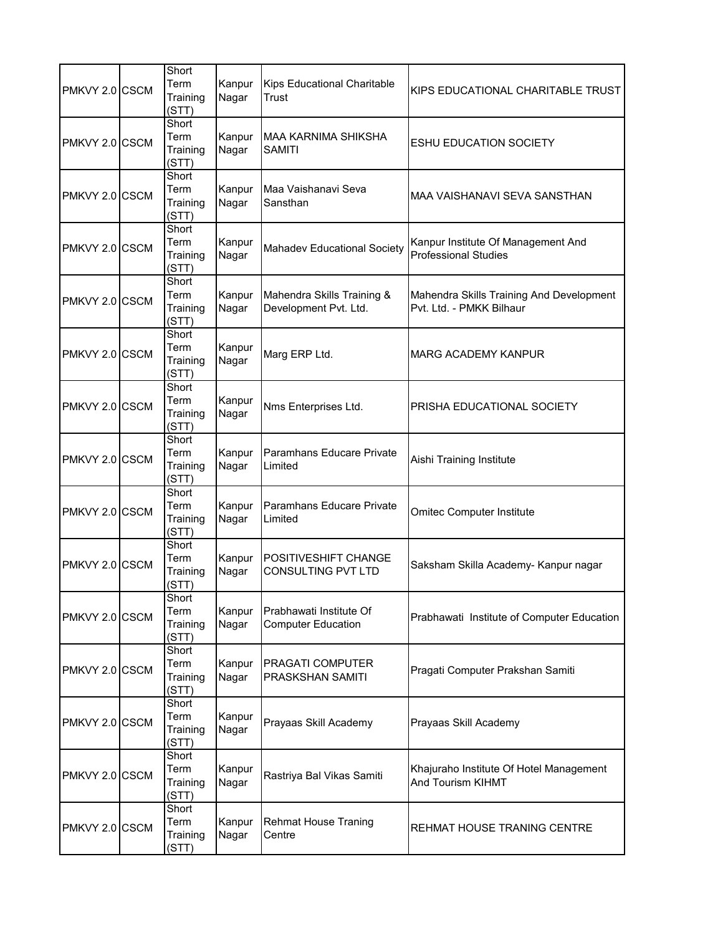| PMKVY 2.0 CSCM  | Short<br>Term<br>Training<br>(STT) | Kanpur<br>Nagar | Kips Educational Charitable<br>Trust                 | KIPS EDUCATIONAL CHARITABLE TRUST                                    |
|-----------------|------------------------------------|-----------------|------------------------------------------------------|----------------------------------------------------------------------|
| PMKVY 2.0 CSCM  | Short<br>Term<br>Training<br>(STT) | Kanpur<br>Nagar | <b>MAA KARNIMA SHIKSHA</b><br>SAMITI                 | <b>ESHU EDUCATION SOCIETY</b>                                        |
| PMKVY 2.0 CSCM  | Short<br>Term<br>Training<br>(STT) | Kanpur<br>Nagar | Maa Vaishanavi Seva<br>Sansthan                      | MAA VAISHANAVI SEVA SANSTHAN                                         |
| PMKVY 2.0 CSCM  | Short<br>Term<br>Training<br>(STT) | Kanpur<br>Nagar | <b>Mahadev Educational Society</b>                   | Kanpur Institute Of Management And<br><b>Professional Studies</b>    |
| PMKVY 2.0 ICSCM | Short<br>Term<br>Training<br>(STT) | Kanpur<br>Nagar | Mahendra Skills Training &<br>Development Pvt. Ltd.  | Mahendra Skills Training And Development<br>Pvt. Ltd. - PMKK Bilhaur |
| PMKVY 2.0 CSCM  | Short<br>Term<br>Training<br>(STT) | Kanpur<br>Nagar | Marg ERP Ltd.                                        | MARG ACADEMY KANPUR                                                  |
| PMKVY 2.0 CSCM  | Short<br>Term<br>Training<br>(STT) | Kanpur<br>Nagar | Nms Enterprises Ltd.                                 | PRISHA EDUCATIONAL SOCIETY                                           |
| PMKVY 2.0 CSCM  | Short<br>Term<br>Training<br>(STT) | Kanpur<br>Nagar | Paramhans Educare Private<br>Limited                 | Aishi Training Institute                                             |
| PMKVY 2.0 CSCM  | Short<br>Term<br>Training<br>(STT) | Kanpur<br>Nagar | Paramhans Educare Private<br>Limited                 | <b>Omitec Computer Institute</b>                                     |
| PMKVY 2.0 CSCM  | Short<br>Term<br>Training<br>(STT) | Kanpur<br>Nagar | POSITIVESHIFT CHANGE<br>CONSULTING PVT LTD           | Saksham Skilla Academy- Kanpur nagar                                 |
| PMKVY 2.0 CSCM  | Short<br>Term<br>Training<br>(STT) | Kanpur<br>Nagar | Prabhawati Institute Of<br><b>Computer Education</b> | Prabhawati Institute of Computer Education                           |
| PMKVY 2.0 CSCM  | Short<br>Term<br>Training<br>(STT) | Kanpur<br>Nagar | PRAGATI COMPUTER<br>PRASKSHAN SAMITI                 | Pragati Computer Prakshan Samiti                                     |
| PMKVY 2.0 CSCM  | Short<br>Term<br>Training<br>(STT) | Kanpur<br>Nagar | Prayaas Skill Academy                                | Prayaas Skill Academy                                                |
| PMKVY 2.0 CSCM  | Short<br>Term<br>Training<br>(STT) | Kanpur<br>Nagar | Rastriya Bal Vikas Samiti                            | Khajuraho Institute Of Hotel Management<br>And Tourism KIHMT         |
| PMKVY 2.0 CSCM  | Short<br>Term<br>Training<br>(STT) | Kanpur<br>Nagar | <b>Rehmat House Traning</b><br>Centre                | REHMAT HOUSE TRANING CENTRE                                          |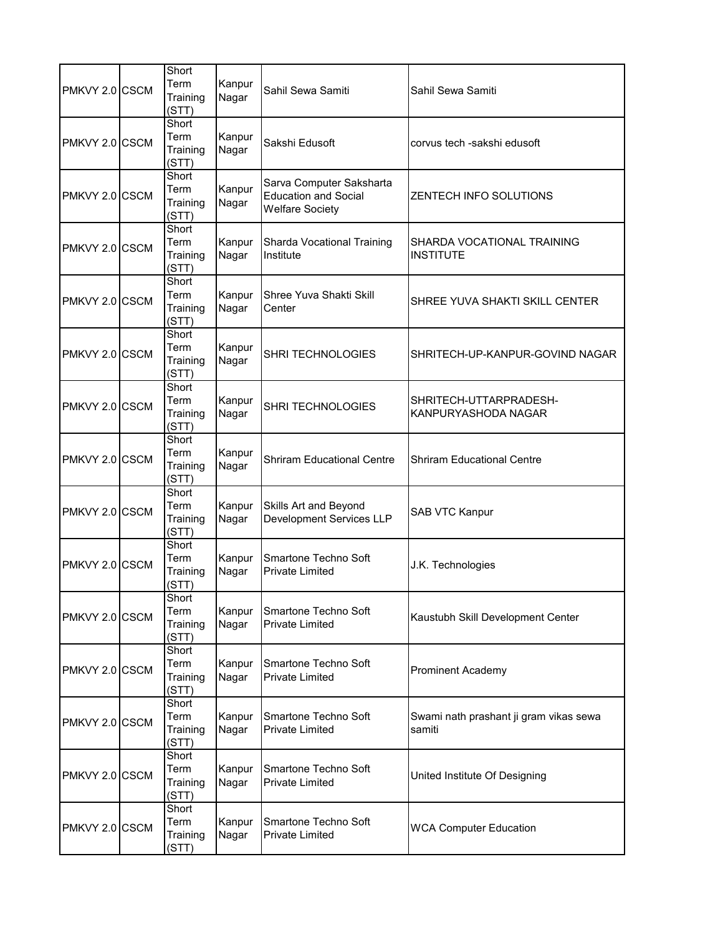| PMKVY 2.0 CSCM | Short<br>Term<br>Training<br>(STT) | Kanpur<br>Nagar | Sahil Sewa Samiti                                                                 | Sahil Sewa Samiti                                |
|----------------|------------------------------------|-----------------|-----------------------------------------------------------------------------------|--------------------------------------------------|
| PMKVY 2.0 CSCM | Short<br>Term<br>Training<br>(STI) | Kanpur<br>Nagar | Sakshi Edusoft                                                                    | corvus tech -sakshi edusoft                      |
| PMKVY 2.0 CSCM | Short<br>Term<br>Training<br>(STT) | Kanpur<br>Nagar | Sarva Computer Saksharta<br><b>Education and Social</b><br><b>Welfare Society</b> | <b>ZENTECH INFO SOLUTIONS</b>                    |
| PMKVY 2.0 CSCM | Short<br>Term<br>Training<br>(STT) | Kanpur<br>Nagar | Sharda Vocational Training<br>Institute                                           | SHARDA VOCATIONAL TRAINING<br><b>INSTITUTE</b>   |
| PMKVY 2.0 CSCM | Short<br>Term<br>Training<br>(STT) | Kanpur<br>Nagar | Shree Yuva Shakti Skill<br>Center                                                 | SHREE YUVA SHAKTI SKILL CENTER                   |
| PMKVY 2.0 CSCM | Short<br>Term<br>Training<br>(STT) | Kanpur<br>Nagar | SHRI TECHNOLOGIES                                                                 | SHRITECH-UP-KANPUR-GOVIND NAGAR                  |
| PMKVY 2.0 CSCM | Short<br>Term<br>Training<br>(STT) | Kanpur<br>Nagar | SHRI TECHNOLOGIES                                                                 | SHRITECH-UTTARPRADESH-<br>KANPURYASHODA NAGAR    |
| PMKVY 2.0 CSCM | Short<br>Term<br>Training<br>(STT) | Kanpur<br>Nagar | <b>Shriram Educational Centre</b>                                                 | <b>Shriram Educational Centre</b>                |
| PMKVY 2.0 CSCM | Short<br>Term<br>Training<br>(STT) | Kanpur<br>Nagar | Skills Art and Beyond<br>Development Services LLP                                 | SAB VTC Kanpur                                   |
| PMKVY 2.0 CSCM | Short<br>Term<br>Training<br>(STT) | Kanpur<br>Nagar | Smartone Techno Soft<br><b>Private Limited</b>                                    | J.K. Technologies                                |
| PMKVY 2.0 CSCM | Short<br>Term<br>Training<br>(STT) | Kanpur<br>Nagar | Smartone Techno Soft<br><b>Private Limited</b>                                    | Kaustubh Skill Development Center                |
| PMKVY 2.0 CSCM | Short<br>Term<br>Training<br>(STT) | Kanpur<br>Nagar | Smartone Techno Soft<br><b>Private Limited</b>                                    | <b>Prominent Academy</b>                         |
| PMKVY 2.0 CSCM | Short<br>Term<br>Training<br>(STT) | Kanpur<br>Nagar | Smartone Techno Soft<br><b>Private Limited</b>                                    | Swami nath prashant ji gram vikas sewa<br>samiti |
| PMKVY 2.0 CSCM | Short<br>Term<br>Training<br>(STT) | Kanpur<br>Nagar | Smartone Techno Soft<br><b>Private Limited</b>                                    | United Institute Of Designing                    |
| PMKVY 2.0 CSCM | Short<br>Term<br>Training<br>(STT) | Kanpur<br>Nagar | Smartone Techno Soft<br>Private Limited                                           | <b>WCA Computer Education</b>                    |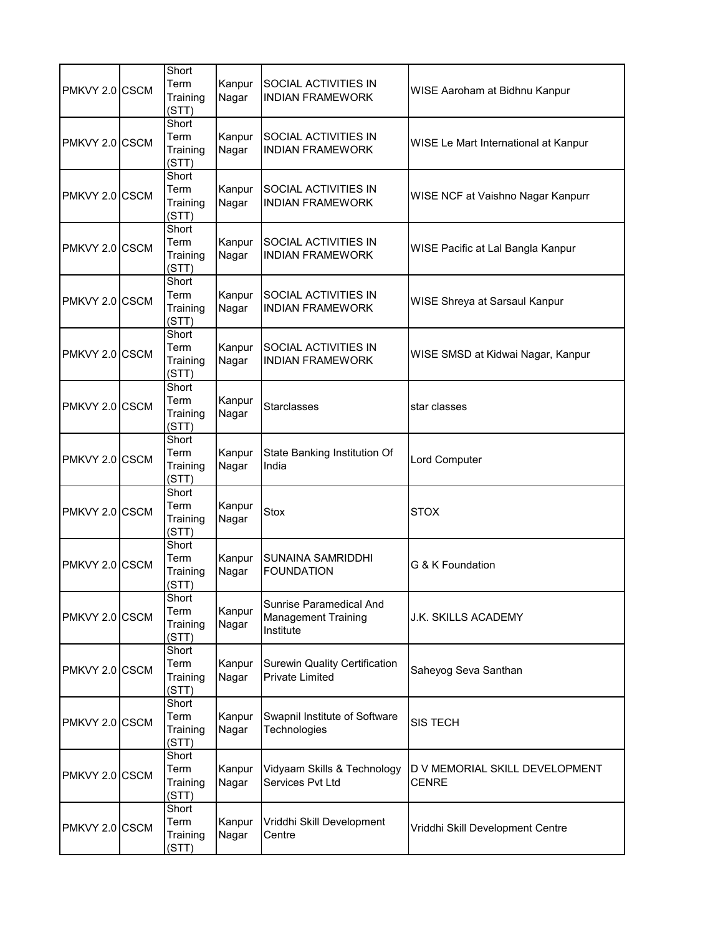| PMKVY 2.0 CSCM | Short<br>Term<br>Training<br>(STT) | Kanpur<br>Nagar | SOCIAL ACTIVITIES IN<br><b>INDIAN FRAMEWORK</b>                    | WISE Aaroham at Bidhnu Kanpur                  |
|----------------|------------------------------------|-----------------|--------------------------------------------------------------------|------------------------------------------------|
| PMKVY 2.0 CSCM | Short<br>Term<br>Training<br>(STT) | Kanpur<br>Nagar | SOCIAL ACTIVITIES IN<br><b>INDIAN FRAMEWORK</b>                    | WISE Le Mart International at Kanpur           |
| PMKVY 2.0 CSCM | Short<br>Term<br>Training<br>(STT) | Kanpur<br>Nagar | SOCIAL ACTIVITIES IN<br><b>INDIAN FRAMEWORK</b>                    | WISE NCF at Vaishno Nagar Kanpurr              |
| PMKVY 2.0 CSCM | Short<br>Term<br>Training<br>(STT) | Kanpur<br>Nagar | SOCIAL ACTIVITIES IN<br><b>INDIAN FRAMEWORK</b>                    | WISE Pacific at Lal Bangla Kanpur              |
| PMKVY 2.0 CSCM | Short<br>Term<br>Training<br>(STT) | Kanpur<br>Nagar | SOCIAL ACTIVITIES IN<br><b>INDIAN FRAMEWORK</b>                    | WISE Shreya at Sarsaul Kanpur                  |
| PMKVY 2.0 CSCM | Short<br>Term<br>Training<br>(STT) | Kanpur<br>Nagar | SOCIAL ACTIVITIES IN<br><b>INDIAN FRAMEWORK</b>                    | WISE SMSD at Kidwai Nagar, Kanpur              |
| PMKVY 2.0 CSCM | Short<br>Term<br>Training<br>(STT) | Kanpur<br>Nagar | <b>Starclasses</b>                                                 | star classes                                   |
| PMKVY 2.0 CSCM | Short<br>Term<br>Training<br>(STT) | Kanpur<br>Nagar | State Banking Institution Of<br>India                              | <b>Lord Computer</b>                           |
| PMKVY 2.0 CSCM | Short<br>Term<br>Training<br>(STT) | Kanpur<br>Nagar | <b>Stox</b>                                                        | <b>STOX</b>                                    |
| PMKVY 2.0 CSCM | Short<br>Term<br>Training<br>(STT) | Kanpur<br>Nagar | SUNAINA SAMRIDDHI<br><b>FOUNDATION</b>                             | G & K Foundation                               |
| PMKVY 2.0 CSCM | Short<br>Term<br>Training<br>(STT) | Kanpur<br>Nagar | Sunrise Paramedical And<br><b>Management Training</b><br>Institute | J.K. SKILLS ACADEMY                            |
| PMKVY 2.0 CSCM | Short<br>Term<br>Training<br>(STT) | Kanpur<br>Nagar | <b>Surewin Quality Certification</b><br>Private Limited            | Saheyog Seva Santhan                           |
| PMKVY 2.0 CSCM | Short<br>Term<br>Training<br>(STT) | Kanpur<br>Nagar | Swapnil Institute of Software<br>Technologies                      | <b>SIS TECH</b>                                |
| PMKVY 2.0 CSCM | Short<br>Term<br>Training<br>(STT) | Kanpur<br>Nagar | Vidyaam Skills & Technology<br>Services Pvt Ltd                    | D V MEMORIAL SKILL DEVELOPMENT<br><b>CENRE</b> |
| PMKVY 2.0 CSCM | Short<br>Term<br>Training<br>(STT) | Kanpur<br>Nagar | Vriddhi Skill Development<br>Centre                                | Vriddhi Skill Development Centre               |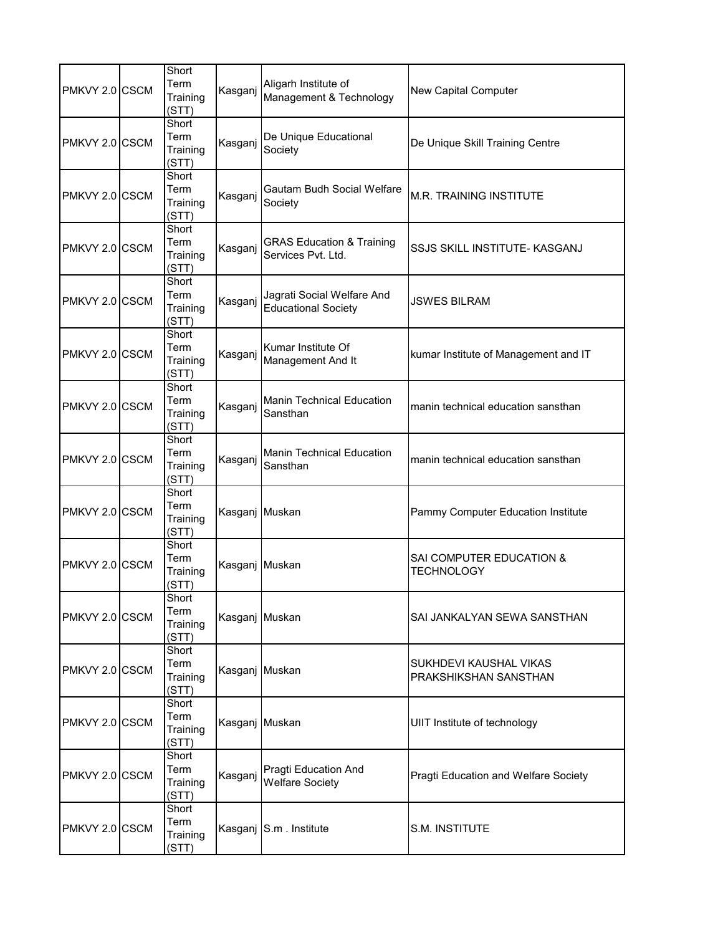| PMKVY 2.0 CSCM | Short<br>Term<br>Training<br>(STT) | Kasganj        | Aligarh Institute of<br>Management & Technology            | <b>New Capital Computer</b>                     |
|----------------|------------------------------------|----------------|------------------------------------------------------------|-------------------------------------------------|
| PMKVY 2.0 CSCM | Short<br>Term<br>Training<br>(STT) | Kasganj        | De Unique Educational<br>Society                           | De Unique Skill Training Centre                 |
| PMKVY 2.0 CSCM | Short<br>Term<br>Training<br>(STT) | Kasganj        | <b>Gautam Budh Social Welfare</b><br>Society               | <b>M.R. TRAINING INSTITUTE</b>                  |
| PMKVY 2.0 CSCM | Short<br>Term<br>Training<br>(STT) | Kasganj        | <b>GRAS Education &amp; Training</b><br>Services Pvt. Ltd. | SSJS SKILL INSTITUTE- KASGANJ                   |
| PMKVY 2.0 CSCM | Short<br>Term<br>Training<br>(STT) | Kasganj        | Jagrati Social Welfare And<br><b>Educational Society</b>   | <b>JSWES BILRAM</b>                             |
| PMKVY 2.0 CSCM | Short<br>Term<br>Training<br>(STT) | Kasganj        | Kumar Institute Of<br>Management And It                    | kumar Institute of Management and IT            |
| PMKVY 2.0 CSCM | Short<br>Term<br>Training<br>(STT) | Kasganj        | <b>Manin Technical Education</b><br>Sansthan               | manin technical education sansthan              |
| PMKVY 2.0 CSCM | Short<br>Term<br>Training<br>(STT) | Kasganj        | <b>Manin Technical Education</b><br>Sansthan               | manin technical education sansthan              |
| PMKVY 2.0 CSCM | Short<br>Term<br>Training<br>(STT) | Kasganj Muskan |                                                            | Pammy Computer Education Institute              |
| PMKVY 2.0 CSCM | Short<br>Term<br>Training<br>(STT) | Kasganj Muskan |                                                            | SAI COMPUTER EDUCATION &<br><b>TECHNOLOGY</b>   |
| PMKVY 2.0 CSCM | Short<br>Term<br>Training<br>(STT) | Kasganj Muskan |                                                            | SAI JANKALYAN SEWA SANSTHAN                     |
| PMKVY 2.0 CSCM | Short<br>Term<br>Training<br>(STT) | Kasganj Muskan |                                                            | SUKHDEVI KAUSHAL VIKAS<br>PRAKSHIKSHAN SANSTHAN |
| PMKVY 2.0 CSCM | Short<br>Term<br>Training<br>(STT) | Kasganj Muskan |                                                            | UIIT Institute of technology                    |
| PMKVY 2.0 CSCM | Short<br>Term<br>Training<br>(STT) | Kasganj        | Pragti Education And<br><b>Welfare Society</b>             | Pragti Education and Welfare Society            |
| PMKVY 2.0 CSCM | Short<br>Term<br>Training<br>(STT) |                | Kasganj S.m. Institute                                     | S.M. INSTITUTE                                  |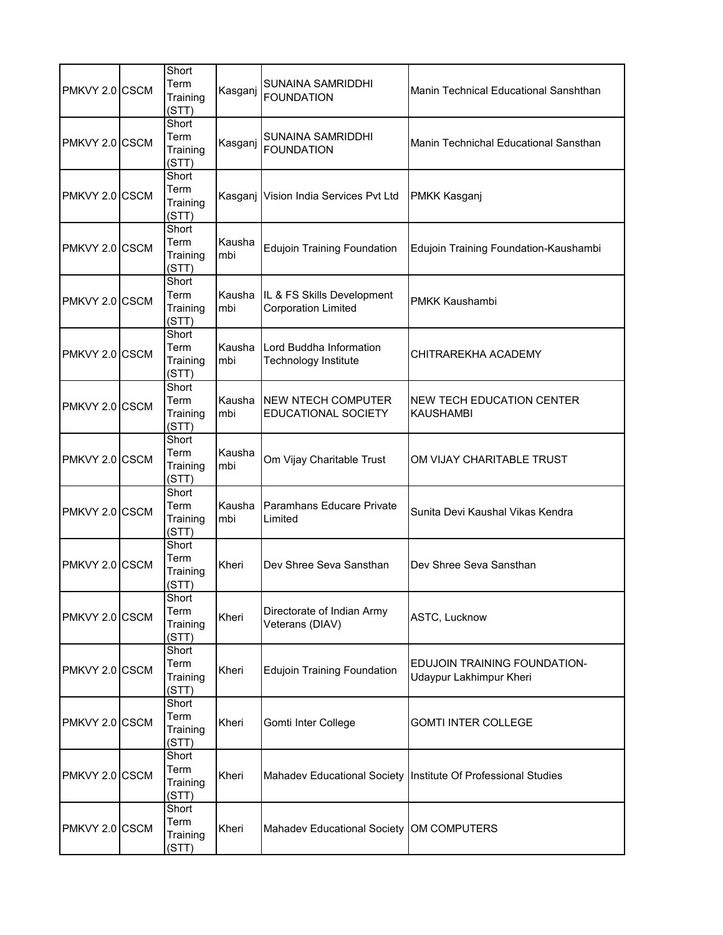| PMKVY 2.0 CSCM | Short<br>Term<br>Training<br>(STT) | Kasganj       | SUNAINA SAMRIDDHI<br><b>FOUNDATION</b>                   | Manin Technical Educational Sanshthan                         |
|----------------|------------------------------------|---------------|----------------------------------------------------------|---------------------------------------------------------------|
| PMKVY 2.0 CSCM | Short<br>Term<br>Training<br>(STT) | Kasganj       | SUNAINA SAMRIDDHI<br><b>FOUNDATION</b>                   | Manin Technichal Educational Sansthan                         |
| PMKVY 2.0 CSCM | Short<br>Term<br>Training<br>(STT) | Kasganj       | Vision India Services Pvt Ltd                            | <b>PMKK Kasganj</b>                                           |
| PMKVY 2.0 CSCM | Short<br>Term<br>Training<br>(STT) | Kausha<br>mbi | <b>Edujoin Training Foundation</b>                       | Edujoin Training Foundation-Kaushambi                         |
| PMKVY 2.0 CSCM | Short<br>Term<br>Training<br>(STT) | Kausha<br>mbi | IL & FS Skills Development<br><b>Corporation Limited</b> | PMKK Kaushambi                                                |
| PMKVY 2.0 CSCM | Short<br>Term<br>Training<br>(STT) | Kausha<br>mbi | Lord Buddha Information<br>Technology Institute          | CHITRAREKHA ACADEMY                                           |
| PMKVY 2.0 CSCM | Short<br>Term<br>Training<br>(STT) | Kausha<br>mbi | INEW NTECH COMPUTER<br><b>EDUCATIONAL SOCIETY</b>        | <b>NEW TECH EDUCATION CENTER</b><br><b>KAUSHAMBI</b>          |
| PMKVY 2.0 CSCM | Short<br>Term<br>Training<br>(STT) | Kausha<br>mbi | Om Vijay Charitable Trust                                | OM VIJAY CHARITABLE TRUST                                     |
| PMKVY 2.0 CSCM | Short<br>Term<br>Training<br>(STT) | Kausha<br>mbi | Paramhans Educare Private<br>Limited                     | Sunita Devi Kaushal Vikas Kendra                              |
| PMKVY 2.0 CSCM | Short<br>Term<br>Training<br>(STT) | Kheri         | Dev Shree Seva Sansthan                                  | Dev Shree Seva Sansthan                                       |
| PMKVY 2.0 CSCM | Short<br>Term<br>Training<br>(STT) | Kheri         | Directorate of Indian Army<br>Veterans (DIAV)            | ASTC, Lucknow                                                 |
| PMKVY 2.0 CSCM | Short<br>Term<br>Training<br>(STT) | Kheri         | <b>Edujoin Training Foundation</b>                       | EDUJOIN TRAINING FOUNDATION-<br>Udaypur Lakhimpur Kheri       |
| PMKVY 2.0 CSCM | Short<br>Term<br>Training<br>(STT) | Kheri         | Gomti Inter College                                      | <b>GOMTI INTER COLLEGE</b>                                    |
| PMKVY 2.0 CSCM | Short<br>Term<br>Training<br>(STT) | Kheri         |                                                          | Mahadev Educational Society Institute Of Professional Studies |
| PMKVY 2.0 CSCM | Short<br>Term<br>Training<br>(STT) | Kheri         | Mahadev Educational Society                              | OM COMPUTERS                                                  |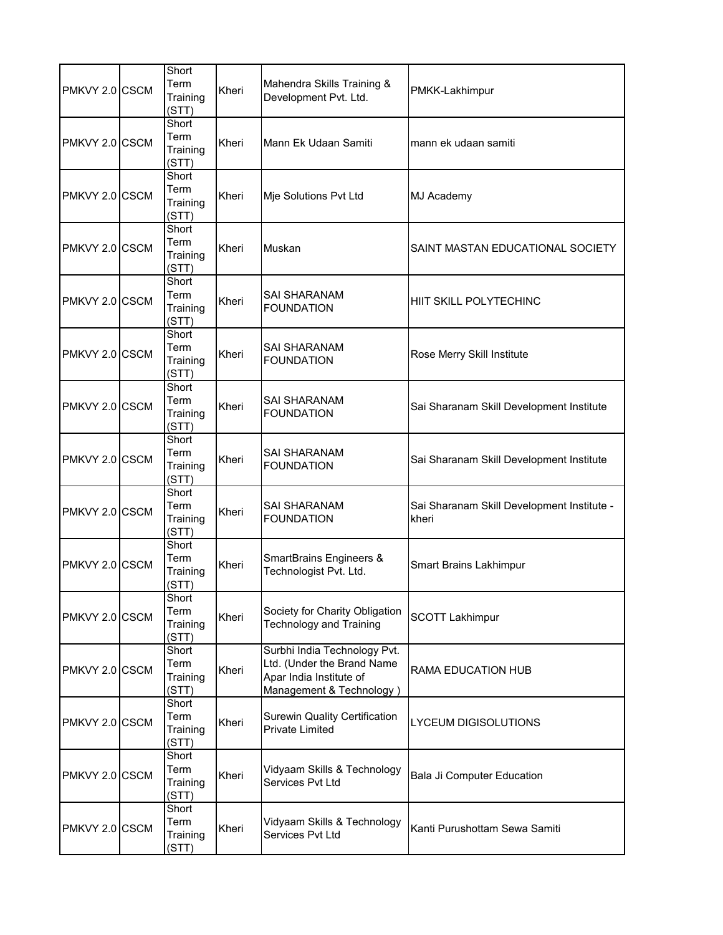| PMKVY 2.0 CSCM | Short<br>Term<br>Training<br>(STT) | Kheri | Mahendra Skills Training &<br>Development Pvt. Ltd.                                                               | PMKK-Lakhimpur                                      |
|----------------|------------------------------------|-------|-------------------------------------------------------------------------------------------------------------------|-----------------------------------------------------|
| PMKVY 2.0 CSCM | Short<br>Term<br>Training<br>(STT) | Kheri | Mann Ek Udaan Samiti                                                                                              | mann ek udaan samiti                                |
| PMKVY 2.0 CSCM | Short<br>Term<br>Training<br>(STT) | Kheri | Mje Solutions Pvt Ltd                                                                                             | MJ Academy                                          |
| PMKVY 2.0 CSCM | Short<br>Term<br>Training<br>(STT) | Kheri | Muskan                                                                                                            | SAINT MASTAN EDUCATIONAL SOCIETY                    |
| PMKVY 2.0 CSCM | Short<br>Term<br>Training<br>(STT) | Kheri | <b>SAI SHARANAM</b><br><b>FOUNDATION</b>                                                                          | HIIT SKILL POLYTECHINC                              |
| PMKVY 2.0 CSCM | Short<br>Term<br>Training<br>(STT) | Kheri | <b>SAI SHARANAM</b><br><b>FOUNDATION</b>                                                                          | Rose Merry Skill Institute                          |
| PMKVY 2.0 CSCM | Short<br>Term<br>Training<br>(STT) | Kheri | <b>SAI SHARANAM</b><br><b>FOUNDATION</b>                                                                          | Sai Sharanam Skill Development Institute            |
| PMKVY 2.0 CSCM | Short<br>Term<br>Training<br>(STT) | Kheri | SAI SHARANAM<br><b>FOUNDATION</b>                                                                                 | Sai Sharanam Skill Development Institute            |
| PMKVY 2.0 CSCM | Short<br>Term<br>Training<br>(STT) | Kheri | <b>SAI SHARANAM</b><br><b>FOUNDATION</b>                                                                          | Sai Sharanam Skill Development Institute -<br>kheri |
| PMKVY 2.0 CSCM | Short<br>Term<br>Training<br>(STT) | Kheri | SmartBrains Engineers &<br>Technologist Pvt. Ltd.                                                                 | <b>Smart Brains Lakhimpur</b>                       |
| PMKVY 2.0 CSCM | Short<br>Term<br>Training<br>(STT) | Kheri | Society for Charity Obligation<br><b>Technology and Training</b>                                                  | <b>SCOTT Lakhimpur</b>                              |
| PMKVY 2.0 CSCM | Short<br>Term<br>Training<br>(STT) | Kheri | Surbhi India Technology Pvt.<br>Ltd. (Under the Brand Name<br>Apar India Institute of<br>Management & Technology) | RAMA EDUCATION HUB                                  |
| PMKVY 2.0 CSCM | Short<br>Term<br>Training<br>(STT) | Kheri | <b>Surewin Quality Certification</b><br><b>Private Limited</b>                                                    | LYCEUM DIGISOLUTIONS                                |
| PMKVY 2.0 CSCM | Short<br>Term<br>Training<br>(STT) | Kheri | Vidyaam Skills & Technology<br>Services Pvt Ltd                                                                   | <b>Bala Ji Computer Education</b>                   |
| PMKVY 2.0 CSCM | Short<br>Term<br>Training<br>(STT) | Kheri | Vidyaam Skills & Technology<br>Services Pvt Ltd                                                                   | Kanti Purushottam Sewa Samiti                       |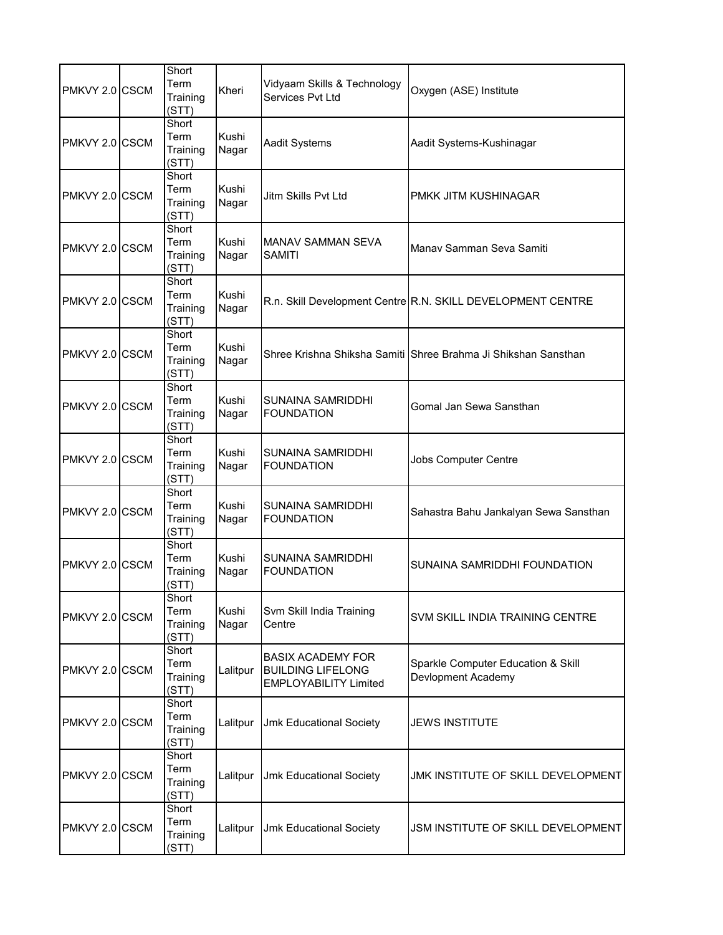| PMKVY 2.0 CSCM | Short<br>Term<br>Training<br>(STT) | Kheri          | Vidyaam Skills & Technology<br>Services Pvt Ltd                                      | Oxygen (ASE) Institute                                         |
|----------------|------------------------------------|----------------|--------------------------------------------------------------------------------------|----------------------------------------------------------------|
| PMKVY 2.0 CSCM | Short<br>Term<br>Training<br>(STT) | Kushi<br>Nagar | Aadit Systems                                                                        | Aadit Systems-Kushinagar                                       |
| PMKVY 2.0 CSCM | Short<br>Term<br>Training<br>(STT) | Kushi<br>Nagar | Jitm Skills Pvt Ltd                                                                  | PMKK JITM KUSHINAGAR                                           |
| PMKVY 2.0 CSCM | Short<br>Term<br>Training<br>(STT) | Kushi<br>Nagar | MANAV SAMMAN SEVA<br><b>SAMITI</b>                                                   | Manav Samman Seva Samiti                                       |
| PMKVY 2.0 CSCM | Short<br>Term<br>Training<br>(STT) | Kushi<br>Nagar |                                                                                      | R.n. Skill Development Centre R.N. SKILL DEVELOPMENT CENTRE    |
| PMKVY 2.0 CSCM | Short<br>Term<br>Training<br>(STT) | Kushi<br>Nagar |                                                                                      | Shree Krishna Shiksha Samiti Shree Brahma Ji Shikshan Sansthan |
| PMKVY 2.0 CSCM | Short<br>Term<br>Training<br>(STT) | Kushi<br>Nagar | <b>SUNAINA SAMRIDDHI</b><br><b>FOUNDATION</b>                                        | Gomal Jan Sewa Sansthan                                        |
| PMKVY 2.0 CSCM | Short<br>Term<br>Training<br>(STT) | Kushi<br>Nagar | SUNAINA SAMRIDDHI<br><b>FOUNDATION</b>                                               | <b>Jobs Computer Centre</b>                                    |
| PMKVY 2.0 CSCM | Short<br>Term<br>Training<br>(STT) | Kushi<br>Nagar | <b>SUNAINA SAMRIDDHI</b><br><b>FOUNDATION</b>                                        | Sahastra Bahu Jankalyan Sewa Sansthan                          |
| PMKVY 2.0 CSCM | Short<br>Term<br>Training<br>(STT) | Kushi<br>Nagar | <b>SUNAINA SAMRIDDHI</b><br><b>FOUNDATION</b>                                        | SUNAINA SAMRIDDHI FOUNDATION                                   |
| PMKVY 2.0 CSCM | Short<br>Term<br>Training<br>(STT) | Kushi<br>Nagar | Svm Skill India Training<br>Centre                                                   | SVM SKILL INDIA TRAINING CENTRE                                |
| PMKVY 2.0 CSCM | Short<br>Term<br>Training<br>(STT) | Lalitpur       | <b>BASIX ACADEMY FOR</b><br><b>BUILDING LIFELONG</b><br><b>EMPLOYABILITY Limited</b> | Sparkle Computer Education & Skill<br>Devlopment Academy       |
| PMKVY 2.0 CSCM | Short<br>Term<br>Training<br>(STT) | Lalitpur       | <b>Jmk Educational Society</b>                                                       | <b>JEWS INSTITUTE</b>                                          |
| PMKVY 2.0 CSCM | Short<br>Term<br>Training<br>(STT) | Lalitpur       | <b>Jmk Educational Society</b>                                                       | JMK INSTITUTE OF SKILL DEVELOPMENT                             |
| PMKVY 2.0 CSCM | Short<br>Term<br>Training<br>(STT) | Lalitpur       | <b>Jmk Educational Society</b>                                                       | JSM INSTITUTE OF SKILL DEVELOPMENT                             |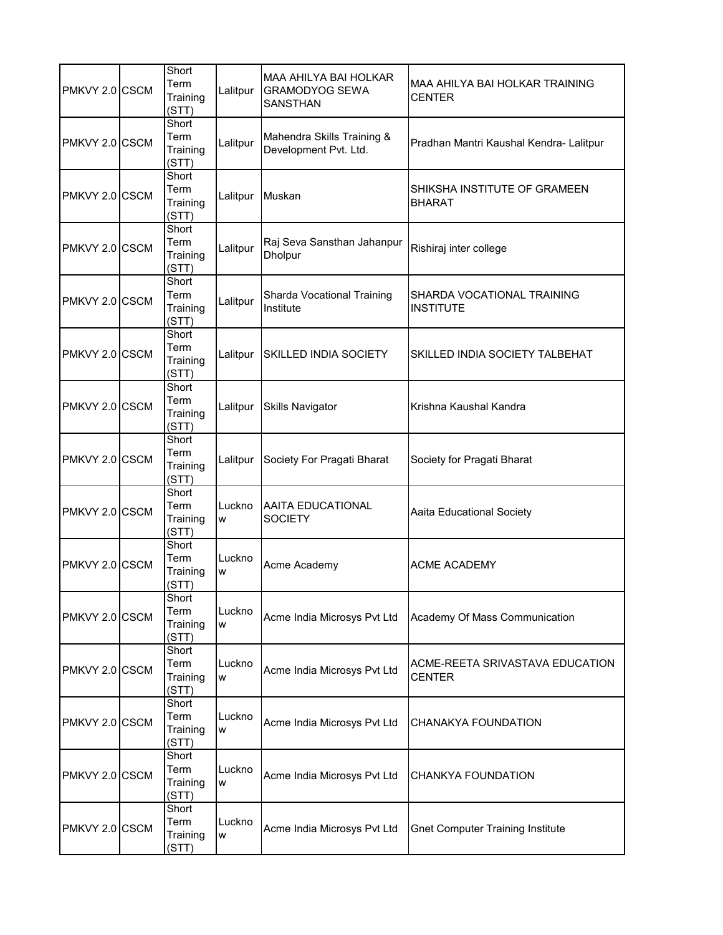| PMKVY 2.0 CSCM | Short<br>Term<br>Training<br>(STT) | Lalitpur    | MAA AHILYA BAI HOLKAR<br><b>GRAMODYOG SEWA</b><br><b>SANSTHAN</b> | MAA AHILYA BAI HOLKAR TRAINING<br><b>CENTER</b>  |
|----------------|------------------------------------|-------------|-------------------------------------------------------------------|--------------------------------------------------|
| PMKVY 2.0 CSCM | Short<br>Term<br>Training<br>(STT) | Lalitpur    | Mahendra Skills Training &<br>Development Pvt. Ltd.               | Pradhan Mantri Kaushal Kendra- Lalitpur          |
| PMKVY 2.0 CSCM | Short<br>Term<br>Training<br>(STT) | Lalitpur    | Muskan                                                            | SHIKSHA INSTITUTE OF GRAMEEN<br><b>BHARAT</b>    |
| PMKVY 2.0 CSCM | Short<br>Term<br>Training<br>(STT) | Lalitpur    | Raj Seva Sansthan Jahanpur<br><b>Dholpur</b>                      | Rishiraj inter college                           |
| PMKVY 2.0 CSCM | Short<br>Term<br>Training<br>(STT) | Lalitpur    | Sharda Vocational Training<br>Institute                           | SHARDA VOCATIONAL TRAINING<br><b>INSTITUTE</b>   |
| PMKVY 2.0 CSCM | Short<br>Term<br>Training<br>(STT) | Lalitpur    | <b>SKILLED INDIA SOCIETY</b>                                      | SKILLED INDIA SOCIETY TALBEHAT                   |
| PMKVY 2.0 CSCM | Short<br>Term<br>Training<br>(STT) | Lalitpur    | <b>Skills Navigator</b>                                           | Krishna Kaushal Kandra                           |
| PMKVY 2.0 CSCM | Short<br>Term<br>Training<br>(STT) | Lalitpur    | Society For Pragati Bharat                                        | Society for Pragati Bharat                       |
| PMKVY 2.0 CSCM | Short<br>Term<br>Training<br>(STT) | Luckno<br>W | AAITA EDUCATIONAL<br><b>SOCIETY</b>                               | Aaita Educational Society                        |
| PMKVY 2.0 CSCM | Short<br>Term<br>Training<br>(STT) | Luckno<br>W | Acme Academy                                                      | <b>ACME ACADEMY</b>                              |
| PMKVY 2.0 CSCM | Short<br>Term<br>Training<br>(STT) | Luckno<br>W | Acme India Microsys Pvt Ltd                                       | Academy Of Mass Communication                    |
| PMKVY 2.0 CSCM | Short<br>Term<br>Training<br>(STT) | Luckno<br>W | Acme India Microsys Pvt Ltd                                       | ACME-REETA SRIVASTAVA EDUCATION<br><b>CENTER</b> |
| PMKVY 2.0 CSCM | Short<br>Term<br>Training<br>(STT) | Luckno<br>W | Acme India Microsys Pvt Ltd                                       | CHANAKYA FOUNDATION                              |
| PMKVY 2.0 CSCM | Short<br>Term<br>Training<br>(STT) | Luckno<br>W | Acme India Microsys Pvt Ltd                                       | CHANKYA FOUNDATION                               |
| PMKVY 2.0 CSCM | Short<br>Term<br>Training<br>(STT) | Luckno<br>W | Acme India Microsys Pvt Ltd                                       | <b>Gnet Computer Training Institute</b>          |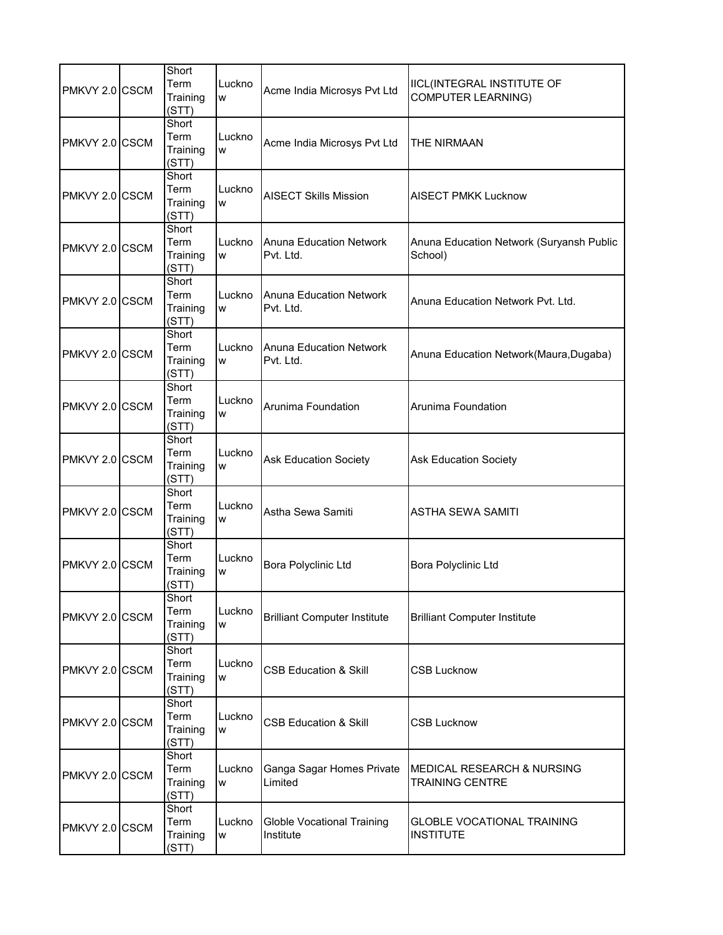| PMKVY 2.0 CSCM | Short<br>Term<br>Training<br>(STT) | Luckno<br>W | Acme India Microsys Pvt Ltd                    | <b>IICL(INTEGRAL INSTITUTE OF</b><br><b>COMPUTER LEARNING)</b>  |
|----------------|------------------------------------|-------------|------------------------------------------------|-----------------------------------------------------------------|
| PMKVY 2.0 CSCM | Short<br>Term<br>Training<br>(STT) | Luckno<br>W | Acme India Microsys Pvt Ltd                    | THE NIRMAAN                                                     |
| PMKVY 2.0 CSCM | Short<br>Term<br>Training<br>(STT) | Luckno<br>W | <b>AISECT Skills Mission</b>                   | <b>AISECT PMKK Lucknow</b>                                      |
| PMKVY 2.0 CSCM | Short<br>Term<br>Training<br>(STT) | Luckno<br>W | <b>Anuna Education Network</b><br>Pvt. Ltd.    | Anuna Education Network (Suryansh Public<br>School)             |
| PMKVY 2.0 CSCM | Short<br>Term<br>Training<br>(STT) | Luckno<br>W | <b>Anuna Education Network</b><br>Pvt. Ltd.    | Anuna Education Network Pvt. Ltd.                               |
| PMKVY 2.0 CSCM | Short<br>Term<br>Training<br>(STT) | Luckno<br>W | <b>Anuna Education Network</b><br>Pvt. Ltd.    | Anuna Education Network(Maura, Dugaba)                          |
| PMKVY 2.0 CSCM | Short<br>Term<br>Training<br>(STT) | Luckno<br>W | Arunima Foundation                             | Arunima Foundation                                              |
| PMKVY 2.0 CSCM | Short<br>Term<br>Training<br>(STT) | Luckno<br>W | <b>Ask Education Society</b>                   | <b>Ask Education Society</b>                                    |
| PMKVY 2.0 CSCM | Short<br>Term<br>Training<br>(STT) | Luckno<br>W | Astha Sewa Samiti                              | <b>ASTHA SEWA SAMITI</b>                                        |
| PMKVY 2.0 CSCM | Short<br>Term<br>Training<br>(STT) | Luckno<br>W | Bora Polyclinic Ltd                            | <b>Bora Polyclinic Ltd</b>                                      |
| PMKVY 2.0 CSCM | Short<br>Term<br>Training<br>(STT) | Luckno<br>W | <b>Brilliant Computer Institute</b>            | <b>Brilliant Computer Institute</b>                             |
| PMKVY 2.0 CSCM | Short<br>Term<br>Training<br>(STT) | Luckno<br>W | <b>CSB Education &amp; Skill</b>               | <b>CSB Lucknow</b>                                              |
| PMKVY 2.0 CSCM | Short<br>Term<br>Training<br>(STT) | Luckno<br>W | <b>CSB Education &amp; Skill</b>               | <b>CSB Lucknow</b>                                              |
| PMKVY 2.0 CSCM | Short<br>Term<br>Training<br>(STT) | Luckno<br>W | Ganga Sagar Homes Private<br>Limited           | <b>MEDICAL RESEARCH &amp; NURSING</b><br><b>TRAINING CENTRE</b> |
| PMKVY 2.0 CSCM | Short<br>Term<br>Training<br>(STT) | Luckno<br>W | <b>Globle Vocational Training</b><br>Institute | <b>GLOBLE VOCATIONAL TRAINING</b><br><b>INSTITUTE</b>           |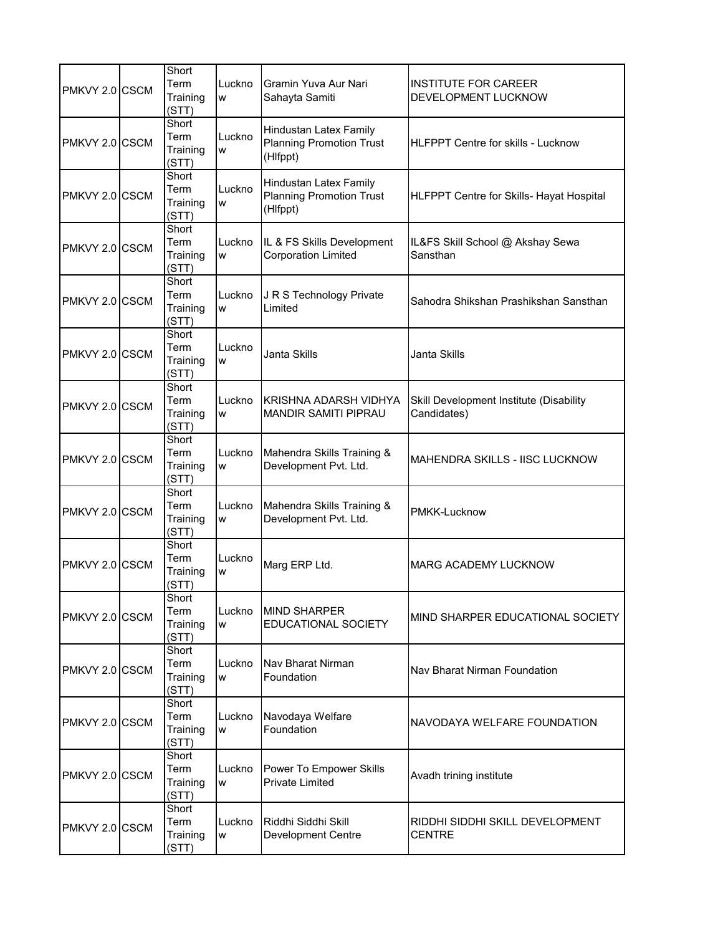| PMKVY 2.0 CSCM | Short<br>Term<br>Training<br>(STT) | Luckno<br>W | Gramin Yuva Aur Nari<br>Sahayta Samiti                                | <b>INSTITUTE FOR CAREER</b><br>DEVELOPMENT LUCKNOW     |
|----------------|------------------------------------|-------------|-----------------------------------------------------------------------|--------------------------------------------------------|
| PMKVY 2.0 CSCM | Short<br>Term<br>Training<br>(STT) | Luckno<br>W | Hindustan Latex Family<br><b>Planning Promotion Trust</b><br>(Hlfppt) | <b>HLFPPT Centre for skills - Lucknow</b>              |
| PMKVY 2.0 CSCM | Short<br>Term<br>Training<br>(STT) | Luckno<br>W | Hindustan Latex Family<br><b>Planning Promotion Trust</b><br>(Hlfppt) | HLFPPT Centre for Skills- Hayat Hospital               |
| PMKVY 2.0 CSCM | Short<br>Term<br>Training<br>(STT) | Luckno<br>W | IL & FS Skills Development<br><b>Corporation Limited</b>              | IL&FS Skill School @ Akshay Sewa<br>Sansthan           |
| PMKVY 2.0 CSCM | Short<br>Term<br>Training<br>(STT) | Luckno<br>W | J R S Technology Private<br>Limited                                   | Sahodra Shikshan Prashikshan Sansthan                  |
| PMKVY 2.0 CSCM | Short<br>Term<br>Training<br>(STT) | Luckno<br>W | Janta Skills                                                          | Janta Skills                                           |
| PMKVY 2.0 CSCM | Short<br>Term<br>Training<br>(STT) | Luckno<br>W | KRISHNA ADARSH VIDHYA<br><b>MANDIR SAMITI PIPRAU</b>                  | Skill Development Institute (Disability<br>Candidates) |
| PMKVY 2.0 CSCM | Short<br>Term<br>Training<br>(STT) | Luckno<br>W | Mahendra Skills Training &<br>Development Pvt. Ltd.                   | <b>MAHENDRA SKILLS - IISC LUCKNOW</b>                  |
| PMKVY 2.0 CSCM | Short<br>Term<br>Training<br>(STT) | Luckno<br>W | Mahendra Skills Training &<br>Development Pvt. Ltd.                   | PMKK-Lucknow                                           |
| PMKVY 2.0 CSCM | Short<br>Term<br>Training<br>(STT) | Luckno<br>W | Marg ERP Ltd.                                                         | <b>MARG ACADEMY LUCKNOW</b>                            |
| PMKVY 2.0 CSCM | Short<br>Term<br>Training<br>(STT) | Luckno<br>W | <b>MIND SHARPER</b><br>EDUCATIONAL SOCIETY                            | MIND SHARPER EDUCATIONAL SOCIETY                       |
| PMKVY 2.0 CSCM | Short<br>Term<br>Training<br>(STT) | Luckno<br>W | Nav Bharat Nirman<br>Foundation                                       | Nav Bharat Nirman Foundation                           |
| PMKVY 2.0 CSCM | Short<br>Term<br>Training<br>(STT) | Luckno<br>W | Navodaya Welfare<br>Foundation                                        | NAVODAYA WELFARE FOUNDATION                            |
| PMKVY 2.0 CSCM | Short<br>Term<br>Training<br>(STT) | Luckno<br>W | Power To Empower Skills<br><b>Private Limited</b>                     | Avadh trining institute                                |
| PMKVY 2.0 CSCM | Short<br>Term<br>Training<br>(STT) | Luckno<br>W | Riddhi Siddhi Skill<br><b>Development Centre</b>                      | RIDDHI SIDDHI SKILL DEVELOPMENT<br><b>CENTRE</b>       |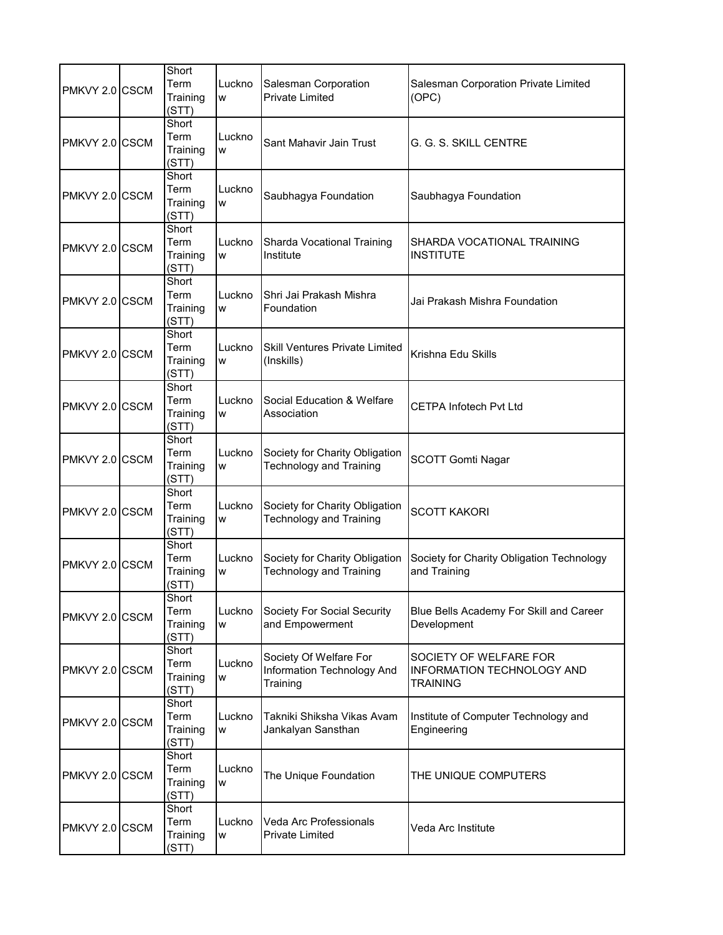| PMKVY 2.0 CSCM | Short<br>Term<br>Training<br>(STT) | Luckno<br>W | Salesman Corporation<br><b>Private Limited</b>                   | Salesman Corporation Private Limited<br>(OPC)                           |
|----------------|------------------------------------|-------------|------------------------------------------------------------------|-------------------------------------------------------------------------|
| PMKVY 2.0 CSCM | Short<br>Term<br>Training<br>(STT) | Luckno<br>W | Sant Mahavir Jain Trust                                          | G. G. S. SKILL CENTRE                                                   |
| PMKVY 2.0 CSCM | Short<br>Term<br>Training<br>(STT) | Luckno<br>W | Saubhagya Foundation                                             | Saubhagya Foundation                                                    |
| PMKVY 2.0 CSCM | Short<br>Term<br>Training<br>(STT) | Luckno<br>W | Sharda Vocational Training<br>Institute                          | SHARDA VOCATIONAL TRAINING<br><b>INSTITUTE</b>                          |
| PMKVY 2.0 CSCM | Short<br>Term<br>Training<br>(STT) | Luckno<br>W | Shri Jai Prakash Mishra<br>Foundation                            | Jai Prakash Mishra Foundation                                           |
| PMKVY 2.0 CSCM | Short<br>Term<br>Training<br>(STT) | Luckno<br>W | <b>Skill Ventures Private Limited</b><br>(Inskills)              | Krishna Edu Skills                                                      |
| PMKVY 2.0 CSCM | Short<br>Term<br>Training<br>(STT) | Luckno<br>W | Social Education & Welfare<br>Association                        | <b>CETPA Infotech Pvt Ltd</b>                                           |
| PMKVY 2.0 CSCM | Short<br>Term<br>Training<br>(STT) | Luckno<br>W | Society for Charity Obligation<br>Technology and Training        | <b>SCOTT Gomti Nagar</b>                                                |
| PMKVY 2.0 CSCM | Short<br>Term<br>Training<br>(STT) | Luckno<br>W | Society for Charity Obligation<br><b>Technology and Training</b> | <b>SCOTT KAKORI</b>                                                     |
| PMKVY 2.0 CSCM | Short<br>Term<br>Training<br>(STT) | Luckno<br>W | Society for Charity Obligation<br><b>Technology and Training</b> | Society for Charity Obligation Technology<br>and Training               |
| PMKVY 2.0 CSCM | Short<br>Term<br>Training<br>(STT) | Luckno<br>W | Society For Social Security<br>and Empowerment                   | Blue Bells Academy For Skill and Career<br>Development                  |
| PMKVY 2.0 CSCM | Short<br>Term<br>Training<br>(STT) | Luckno<br>W | Society Of Welfare For<br>Information Technology And<br>Training | SOCIETY OF WELFARE FOR<br>INFORMATION TECHNOLOGY AND<br><b>TRAINING</b> |
| PMKVY 2.0 CSCM | Short<br>Term<br>Training<br>(STT) | Luckno<br>W | Takniki Shiksha Vikas Avam<br>Jankalyan Sansthan                 | Institute of Computer Technology and<br>Engineering                     |
| PMKVY 2.0 CSCM | Short<br>Term<br>Training<br>(STT) | Luckno<br>W | The Unique Foundation                                            | THE UNIQUE COMPUTERS                                                    |
| PMKVY 2.0 CSCM | Short<br>Term<br>Training<br>(STT) | Luckno<br>W | Veda Arc Professionals<br><b>Private Limited</b>                 | Veda Arc Institute                                                      |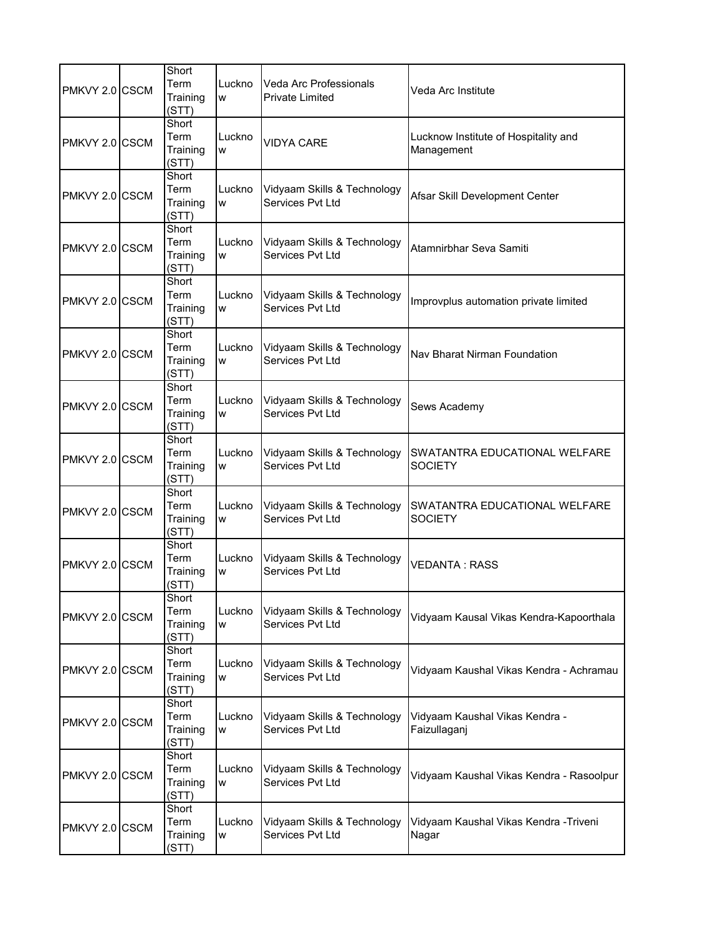| PMKVY 2.0 CSCM | Short<br>Term<br>Training<br>(STT) | Luckno<br>W | Veda Arc Professionals<br><b>Private Limited</b> | Veda Arc Institute                                 |
|----------------|------------------------------------|-------------|--------------------------------------------------|----------------------------------------------------|
| PMKVY 2.0 CSCM | Short<br>Term<br>Training<br>(STT) | Luckno<br>W | <b>VIDYA CARE</b>                                | Lucknow Institute of Hospitality and<br>Management |
| PMKVY 2.0 CSCM | Short<br>Term<br>Training<br>(STT) | Luckno<br>W | Vidyaam Skills & Technology<br>Services Pvt Ltd  | Afsar Skill Development Center                     |
| PMKVY 2.0 CSCM | Short<br>Term<br>Training<br>(STT) | Luckno<br>W | Vidyaam Skills & Technology<br>Services Pvt Ltd  | Atamnirbhar Seva Samiti                            |
| PMKVY 2.0 CSCM | Short<br>Term<br>Training<br>(STT) | Luckno<br>W | Vidyaam Skills & Technology<br>Services Pvt Ltd  | Improvplus automation private limited              |
| PMKVY 2.0 CSCM | Short<br>Term<br>Training<br>(STT) | Luckno<br>W | Vidyaam Skills & Technology<br>Services Pvt Ltd  | Nav Bharat Nirman Foundation                       |
| PMKVY 2.0 CSCM | Short<br>Term<br>Training<br>(STT) | Luckno<br>W | Vidyaam Skills & Technology<br>Services Pvt Ltd  | Sews Academy                                       |
| PMKVY 2.0 CSCM | Short<br>Term<br>Training<br>(STT) | Luckno<br>W | Vidyaam Skills & Technology<br>Services Pvt Ltd  | SWATANTRA EDUCATIONAL WELFARE<br><b>SOCIETY</b>    |
| PMKVY 2.0 CSCM | Short<br>Term<br>Training<br>(STT) | Luckno<br>W | Vidyaam Skills & Technology<br>Services Pvt Ltd  | SWATANTRA EDUCATIONAL WELFARE<br><b>SOCIETY</b>    |
| PMKVY 2.0 CSCM | Short<br>Term<br>Training<br>(STT) | Luckno<br>W | Vidyaam Skills & Technology<br>Services Pvt Ltd  | <b>VEDANTA: RASS</b>                               |
| PMKVY 2.0 CSCM | Short<br>Term<br>Training<br>(STT) | Luckno<br>W | Vidyaam Skills & Technology<br>Services Pvt Ltd  | Vidyaam Kausal Vikas Kendra-Kapoorthala            |
| PMKVY 2.0 CSCM | Short<br>Term<br>Training<br>(STT) | Luckno<br>W | Vidyaam Skills & Technology<br>Services Pvt Ltd  | Vidyaam Kaushal Vikas Kendra - Achramau            |
| PMKVY 2.0 CSCM | Short<br>Term<br>Training<br>(STT) | Luckno<br>W | Vidyaam Skills & Technology<br>Services Pvt Ltd  | Vidyaam Kaushal Vikas Kendra -<br>Faizullaganj     |
| PMKVY 2.0 CSCM | Short<br>Term<br>Training<br>(STT) | Luckno<br>W | Vidyaam Skills & Technology<br>Services Pvt Ltd  | Vidyaam Kaushal Vikas Kendra - Rasoolpur           |
| PMKVY 2.0 CSCM | Short<br>Term<br>Training<br>(STT) | Luckno<br>W | Vidyaam Skills & Technology<br>Services Pvt Ltd  | Vidyaam Kaushal Vikas Kendra -Triveni<br>Nagar     |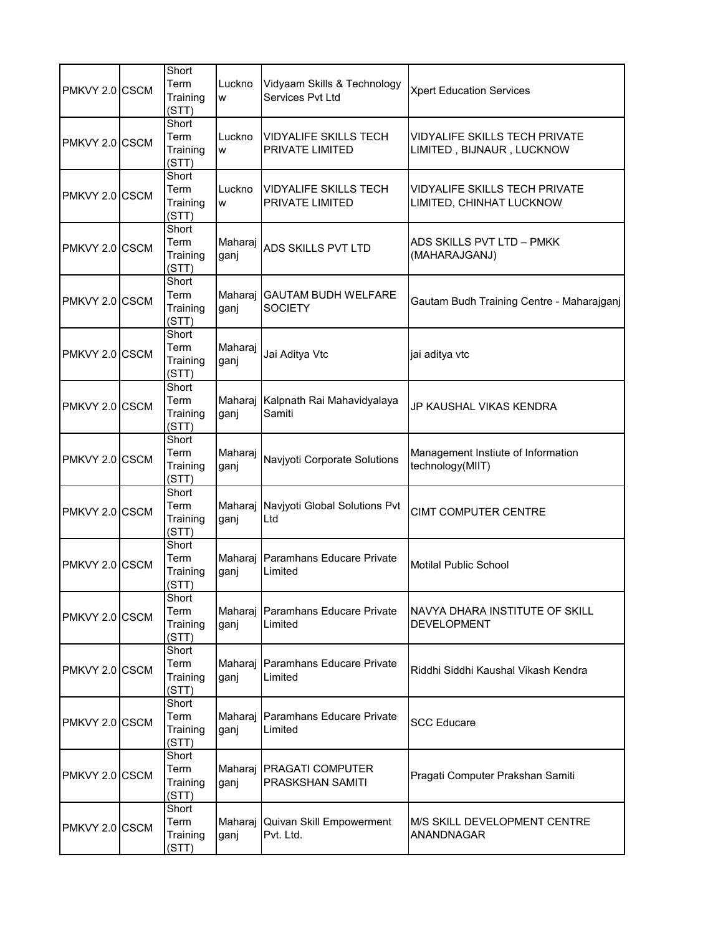| PMKVY 2.0 CSCM | Short<br>Term<br>Training<br>(STT) | Luckno<br>W     | Vidyaam Skills & Technology<br>Services Pvt Ltd        | <b>Xpert Education Services</b>                            |
|----------------|------------------------------------|-----------------|--------------------------------------------------------|------------------------------------------------------------|
| PMKVY 2.0 CSCM | Short<br>Term<br>Training<br>(STT) | Luckno<br>W     | <b>VIDYALIFE SKILLS TECH</b><br><b>PRIVATE LIMITED</b> | VIDYALIFE SKILLS TECH PRIVATE<br>LIMITED, BIJNAUR, LUCKNOW |
| PMKVY 2.0 CSCM | Short<br>Term<br>Training<br>(STT) | Luckno<br>W     | <b>VIDYALIFE SKILLS TECH</b><br><b>PRIVATE LIMITED</b> | VIDYALIFE SKILLS TECH PRIVATE<br>LIMITED, CHINHAT LUCKNOW  |
| PMKVY 2.0 CSCM | Short<br>Term<br>Training<br>(STT) | Maharaj<br>ganj | <b>ADS SKILLS PVT LTD</b>                              | ADS SKILLS PVT LTD - PMKK<br>(MAHARAJGANJ)                 |
| PMKVY 2.0 CSCM | Short<br>Term<br>Training<br>(STT) | Maharaj<br>ganj | <b>GAUTAM BUDH WELFARE</b><br><b>SOCIETY</b>           | Gautam Budh Training Centre - Maharajganj                  |
| PMKVY 2.0 CSCM | Short<br>Term<br>Training<br>(STT) | Maharaj<br>ganj | Jai Aditya Vtc                                         | jai aditya vtc                                             |
| PMKVY 2.0 CSCM | Short<br>Term<br>Training<br>(STT) | Maharaj<br>ganj | Kalpnath Rai Mahavidyalaya<br>Samiti                   | JP KAUSHAL VIKAS KENDRA                                    |
| PMKVY 2.0 CSCM | Short<br>Term<br>Training<br>(STT) | Maharaj<br>ganj | Navjyoti Corporate Solutions                           | Management Instiute of Information<br>technology(MIIT)     |
| PMKVY 2.0 CSCM | Short<br>Term<br>Training<br>(STT) | Maharaj<br>ganj | Navjyoti Global Solutions Pvt<br>Ltd                   | <b>CIMT COMPUTER CENTRE</b>                                |
| PMKVY 2.0 CSCM | Short<br>Term<br>Training<br>(STT) | Maharaj<br>ganj | Paramhans Educare Private<br>Limited                   | <b>Motilal Public School</b>                               |
| PMKVY 2.0 CSCM | Short<br>Term<br>Training<br>(STT) | ganj            | Maharaj Paramhans Educare Private<br>Limited           | NAVYA DHARA INSTITUTE OF SKILL<br><b>DEVELOPMENT</b>       |
| PMKVY 2.0 CSCM | Short<br>Term<br>Training<br>(STT) | Maharaj<br>ganj | Paramhans Educare Private<br>Limited                   | Riddhi Siddhi Kaushal Vikash Kendra                        |
| PMKVY 2.0 CSCM | Short<br>Term<br>Training<br>(STT) | Maharai<br>ganj | Paramhans Educare Private<br>Limited                   | <b>SCC Educare</b>                                         |
| PMKVY 2.0 CSCM | Short<br>Term<br>Training<br>(STT) | ganj            | Maharaj PRAGATI COMPUTER<br><b>PRASKSHAN SAMITI</b>    | Pragati Computer Prakshan Samiti                           |
| PMKVY 2.0 CSCM | Short<br>Term<br>Training<br>(STT) | Maharaj<br>ganj | Quivan Skill Empowerment<br>Pvt. Ltd.                  | M/S SKILL DEVELOPMENT CENTRE<br>ANANDNAGAR                 |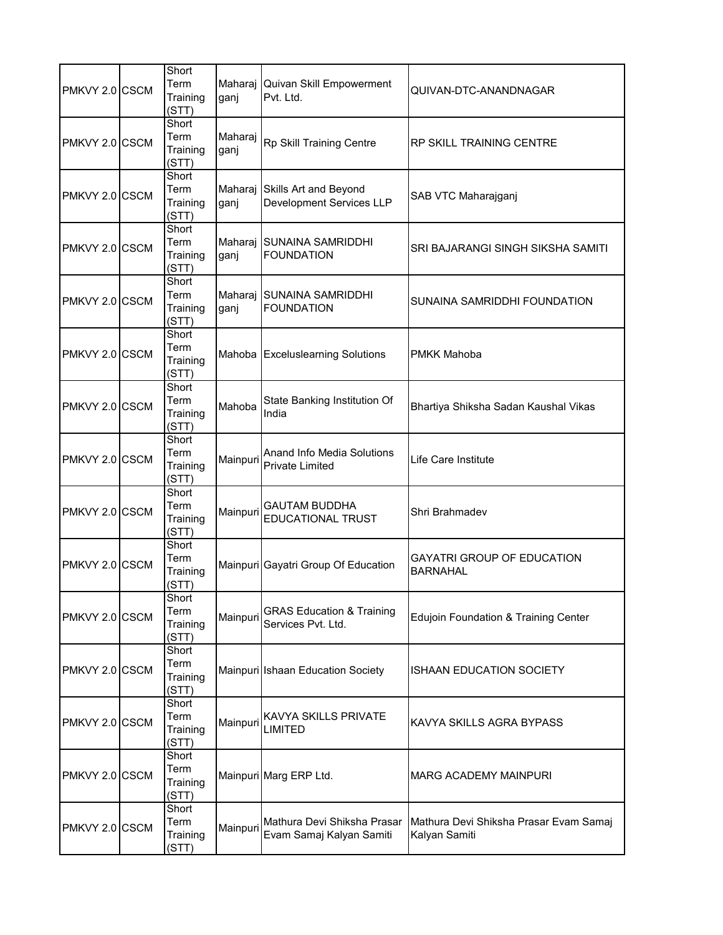| PMKVY 2.0 CSCM | Short<br>Term<br>Training<br>(STT) | Maharaj<br>ganj | Quivan Skill Empowerment<br>Pvt. Ltd.                            | QUIVAN-DTC-ANANDNAGAR                                   |
|----------------|------------------------------------|-----------------|------------------------------------------------------------------|---------------------------------------------------------|
| PMKVY 2.0 CSCM | Short<br>Term<br>Training<br>(STT) | Maharaj<br>ganj | Rp Skill Training Centre                                         | RP SKILL TRAINING CENTRE                                |
| PMKVY 2.0 CSCM | Short<br>Term<br>Training<br>(STT) | ganj            | Maharaj Skills Art and Beyond<br><b>Development Services LLP</b> | SAB VTC Maharajganj                                     |
| PMKVY 2.0 CSCM | Short<br>Term<br>Training<br>(STT) | ganj            | Maharaj SUNAINA SAMRIDDHI<br><b>FOUNDATION</b>                   | SRI BAJARANGI SINGH SIKSHA SAMITI                       |
| PMKVY 2.0 CSCM | Short<br>Term<br>Training<br>(STT) | Maharaj<br>ganj | <b>SUNAINA SAMRIDDHI</b><br><b>FOUNDATION</b>                    | SUNAINA SAMRIDDHI FOUNDATION                            |
| PMKVY 2.0 CSCM | Short<br>Term<br>Training<br>(STT) |                 | Mahoba Exceluslearning Solutions                                 | PMKK Mahoba                                             |
| PMKVY 2.0 CSCM | Short<br>Term<br>Training<br>(STT) | Mahoba          | State Banking Institution Of<br>India                            | Bhartiya Shiksha Sadan Kaushal Vikas                    |
| PMKVY 2.0 CSCM | Short<br>Term<br>Training<br>(STT) | Mainpuri        | Anand Info Media Solutions<br><b>Private Limited</b>             | Life Care Institute                                     |
| PMKVY 2.0 CSCM | Short<br>Term<br>Training<br>(STT) | Mainpuri        | <b>GAUTAM BUDDHA</b><br><b>EDUCATIONAL TRUST</b>                 | Shri Brahmadev                                          |
| PMKVY 2.0 CSCM | Short<br>Term<br>Training<br>(STT) |                 | Mainpuri Gayatri Group Of Education                              | <b>GAYATRI GROUP OF EDUCATION</b><br><b>BARNAHAL</b>    |
| PMKVY 2.0 CSCM | Short<br>Term<br>Training<br>(STT) | Mainpuri        | <b>GRAS Education &amp; Training</b><br>Services Pvt. Ltd.       | Edujoin Foundation & Training Center                    |
| PMKVY 2.0 CSCM | Short<br>Term<br>Training<br>(STT) |                 | Mainpuri Ishaan Education Society                                | <b>ISHAAN EDUCATION SOCIETY</b>                         |
| PMKVY 2.0 CSCM | Short<br>Term<br>Training<br>(STT) | Mainpuri        | KAVYA SKILLS PRIVATE<br>LIMITED                                  | KAVYA SKILLS AGRA BYPASS                                |
| PMKVY 2.0 CSCM | Short<br>Term<br>Training<br>(STT) |                 | Mainpuri Marg ERP Ltd.                                           | <b>MARG ACADEMY MAINPURI</b>                            |
| PMKVY 2.0 CSCM | Short<br>Term<br>Training<br>(STT) | Mainpuri        | Mathura Devi Shiksha Prasar<br>Evam Samaj Kalyan Samiti          | Mathura Devi Shiksha Prasar Evam Samaj<br>Kalyan Samiti |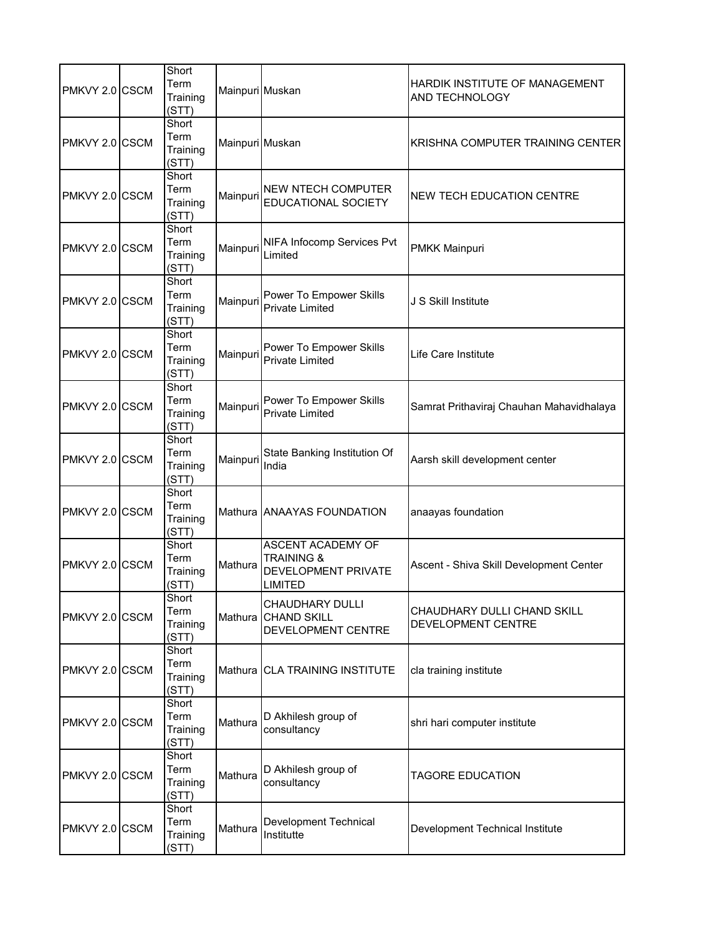| PMKVY 2.0 CSCM  | Short<br>Term<br>Training<br>(STT) | Mainpuri Muskan |                                                                                     | HARDIK INSTITUTE OF MANAGEMENT<br>AND TECHNOLOGY  |
|-----------------|------------------------------------|-----------------|-------------------------------------------------------------------------------------|---------------------------------------------------|
| PMKVY 2.0 CSCM  | Short<br>Term<br>Training<br>(STT) | Mainpuri Muskan |                                                                                     | KRISHNA COMPUTER TRAINING CENTER                  |
| PMKVY 2.0 CSCM  | Short<br>Term<br>Training<br>(STT) | Mainpuri        | <b>NEW NTECH COMPUTER</b><br>EDUCATIONAL SOCIETY                                    | <b>NEW TECH EDUCATION CENTRE</b>                  |
| PMKVY 2.0 CSCM  | Short<br>Term<br>Training<br>(STT) | Mainpuri        | NIFA Infocomp Services Pvt<br>Limited                                               | <b>PMKK Mainpuri</b>                              |
| PMKVY 2.0 ICSCM | Short<br>Term<br>Training<br>(STT) | Mainpuri        | Power To Empower Skills<br><b>Private Limited</b>                                   | J S Skill Institute                               |
| PMKVY 2.0 CSCM  | Short<br>Term<br>Training<br>(STT) | Mainpuri        | Power To Empower Skills<br><b>Private Limited</b>                                   | Life Care Institute                               |
| PMKVY 2.0 CSCM  | Short<br>Term<br>Training<br>(STT) | Mainpuri        | Power To Empower Skills<br><b>Private Limited</b>                                   | Samrat Prithaviraj Chauhan Mahavidhalaya          |
| PMKVY 2.0 CSCM  | Short<br>Term<br>Training<br>(STT) | Mainpuri        | State Banking Institution Of<br>India                                               | Aarsh skill development center                    |
| PMKVY 2.0 CSCM  | Short<br>Term<br>Training<br>(STT) |                 | Mathura ANAAYAS FOUNDATION                                                          | anaayas foundation                                |
| PMKVY 2.0 CSCM  | Short<br>Term<br>Training<br>(STT) | Mathura         | ASCENT ACADEMY OF<br><b>TRAINING &amp;</b><br>DEVELOPMENT PRIVATE<br><b>LIMITED</b> | Ascent - Shiva Skill Development Center           |
| PMKVY 2.0 CSCM  | Short<br>Term<br>Training<br>(STT) | Mathura         | <b>CHAUDHARY DULLI</b><br><b>CHAND SKILL</b><br>DEVELOPMENT CENTRE                  | CHAUDHARY DULLI CHAND SKILL<br>DEVELOPMENT CENTRE |
| PMKVY 2.0 CSCM  | Short<br>Term<br>Training<br>(STT) | Mathura         | <b>CLA TRAINING INSTITUTE</b>                                                       | cla training institute                            |
| PMKVY 2.0 CSCM  | Short<br>Term<br>Training<br>(STT) | Mathura         | D Akhilesh group of<br>consultancy                                                  | shri hari computer institute                      |
| PMKVY 2.0 CSCM  | Short<br>Term<br>Training<br>(STT) | Mathura         | D Akhilesh group of<br>consultancy                                                  | <b>TAGORE EDUCATION</b>                           |
| PMKVY 2.0 CSCM  | Short<br>Term<br>Training<br>(STT) | Mathura         | Development Technical<br>Institutte                                                 | Development Technical Institute                   |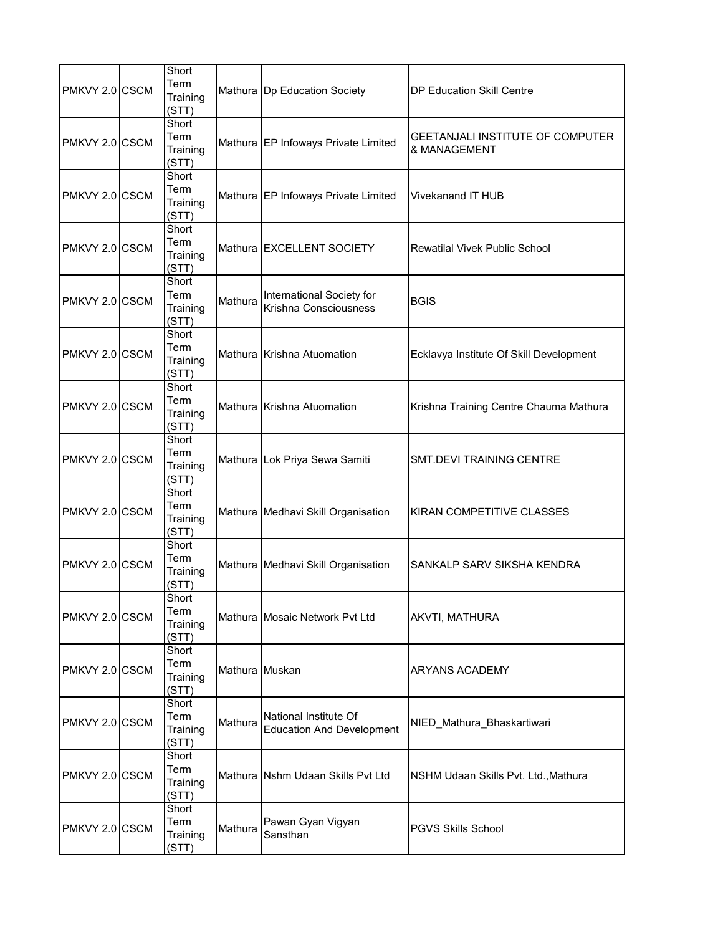| PMKVY 2.0 CSCM | Short<br>Term<br>Training<br>(STT) |                | Mathura   Dp Education Society                            | DP Education Skill Centre                        |
|----------------|------------------------------------|----------------|-----------------------------------------------------------|--------------------------------------------------|
| PMKVY 2.0 CSCM | Short<br>Term<br>Training<br>(STT) |                | Mathura EP Infoways Private Limited                       | GEETANJALI INSTITUTE OF COMPUTER<br>& MANAGEMENT |
| PMKVY 2.0 CSCM | Short<br>Term<br>Training<br>(STT) |                | Mathura EP Infoways Private Limited                       | Vivekanand IT HUB                                |
| PMKVY 2.0 CSCM | Short<br>Term<br>Training<br>(STT) |                | Mathura EXCELLENT SOCIETY                                 | <b>Rewatilal Vivek Public School</b>             |
| PMKVY 2.0 CSCM | Short<br>Term<br>Training<br>(STT) | Mathura        | International Society for<br>Krishna Consciousness        | <b>BGIS</b>                                      |
| PMKVY 2.0 CSCM | Short<br>Term<br>Training<br>(STT) |                | Mathura Krishna Atuomation                                | Ecklavya Institute Of Skill Development          |
| PMKVY 2.0 CSCM | Short<br>Term<br>Training<br>(STT) |                | Mathura Krishna Atuomation                                | Krishna Training Centre Chauma Mathura           |
| PMKVY 2.0 CSCM | Short<br>Term<br>Training<br>(STT) |                | Mathura Lok Priya Sewa Samiti                             | SMT.DEVI TRAINING CENTRE                         |
| PMKVY 2.0 CSCM | Short<br>Term<br>Training<br>(STT) |                | Mathura Medhavi Skill Organisation                        | KIRAN COMPETITIVE CLASSES                        |
| PMKVY 2.0 CSCM | Short<br>Term<br>Training<br>(STT) |                | Mathura Medhavi Skill Organisation                        | SANKALP SARV SIKSHA KENDRA                       |
| PMKVY 2.0 CSCM | Short<br>Term<br>Training<br>(STT) |                | Mathura Mosaic Network Pvt Ltd                            | AKVTI, MATHURA                                   |
| PMKVY 2.0 CSCM | Short<br>Term<br>Training<br>(STT) | Mathura Muskan |                                                           | ARYANS ACADEMY                                   |
| PMKVY 2.0 CSCM | Short<br>Term<br>Training<br>(STT) | Mathura        | National Institute Of<br><b>Education And Development</b> | NIED_Mathura_Bhaskartiwari                       |
| PMKVY 2.0 CSCM | Short<br>Term<br>Training<br>(STT) |                | Mathura Nshm Udaan Skills Pvt Ltd                         | NSHM Udaan Skills Pvt. Ltd., Mathura             |
| PMKVY 2.0 CSCM | Short<br>Term<br>Training<br>(STT) | Mathura        | Pawan Gyan Vigyan<br>Sansthan                             | <b>PGVS Skills School</b>                        |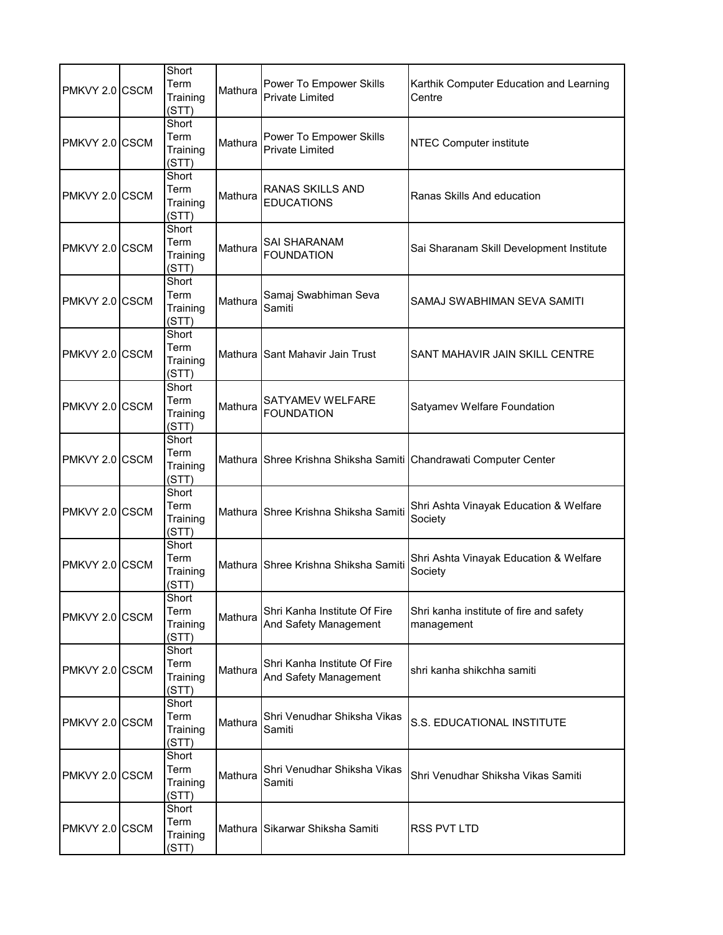| PMKVY 2.0 CSCM | Short<br>Term<br>Training<br>(STT) | Mathura | Power To Empower Skills<br><b>Private Limited</b>     | Karthik Computer Education and Learning<br>Centre                |
|----------------|------------------------------------|---------|-------------------------------------------------------|------------------------------------------------------------------|
| PMKVY 2.0 CSCM | Short<br>Term<br>Training<br>(STT) | Mathura | Power To Empower Skills<br><b>Private Limited</b>     | <b>NTEC Computer institute</b>                                   |
| PMKVY 2.0 CSCM | Short<br>Term<br>Training<br>(STT) | Mathura | <b>RANAS SKILLS AND</b><br><b>EDUCATIONS</b>          | Ranas Skills And education                                       |
| PMKVY 2.0 CSCM | Short<br>Term<br>Training<br>(STT) | Mathura | SAI SHARANAM<br><b>FOUNDATION</b>                     | Sai Sharanam Skill Development Institute                         |
| PMKVY 2.0 CSCM | Short<br>Term<br>Training<br>(STT) | Mathura | Samaj Swabhiman Seva<br>Samiti                        | SAMAJ SWABHIMAN SEVA SAMITI                                      |
| PMKVY 2.0 CSCM | Short<br>Term<br>Training<br>(STT) |         | Mathura Sant Mahavir Jain Trust                       | SANT MAHAVIR JAIN SKILL CENTRE                                   |
| PMKVY 2.0 CSCM | Short<br>Term<br>Training<br>(STT) | Mathura | SATYAMEV WELFARE<br><b>FOUNDATION</b>                 | Satyamev Welfare Foundation                                      |
| PMKVY 2.0 CSCM | Short<br>Term<br>Training<br>(STT) |         |                                                       | Mathura Shree Krishna Shiksha Samiti Chandrawati Computer Center |
| PMKVY 2.0 CSCM | Short<br>Term<br>Training<br>(STT) |         | Mathura Shree Krishna Shiksha Samiti                  | Shri Ashta Vinayak Education & Welfare<br>Society                |
| PMKVY 2.0 CSCM | Short<br>Term<br>Training<br>(STT) |         | Mathura Shree Krishna Shiksha Samiti                  | Shri Ashta Vinayak Education & Welfare<br>Society                |
| PMKVY 2.0 CSCM | Short<br>Term<br>Training<br>(STT) | Mathura | Shri Kanha Institute Of Fire<br>And Safety Management | Shri kanha institute of fire and safety<br>management            |
| PMKVY 2.0 CSCM | Short<br>Term<br>Training<br>(STT) | Mathura | Shri Kanha Institute Of Fire<br>And Safety Management | shri kanha shikchha samiti                                       |
| PMKVY 2.0 CSCM | Short<br>Term<br>Training<br>(STT) | Mathura | Shri Venudhar Shiksha Vikas<br>Samiti                 | S.S. EDUCATIONAL INSTITUTE                                       |
| PMKVY 2.0 CSCM | Short<br>Term<br>Training<br>(STT) | Mathura | Shri Venudhar Shiksha Vikas<br>Samiti                 | Shri Venudhar Shiksha Vikas Samiti                               |
| PMKVY 2.0 CSCM | Short<br>Term<br>Training<br>(STT) |         | Mathura Sikarwar Shiksha Samiti                       | RSS PVT LTD                                                      |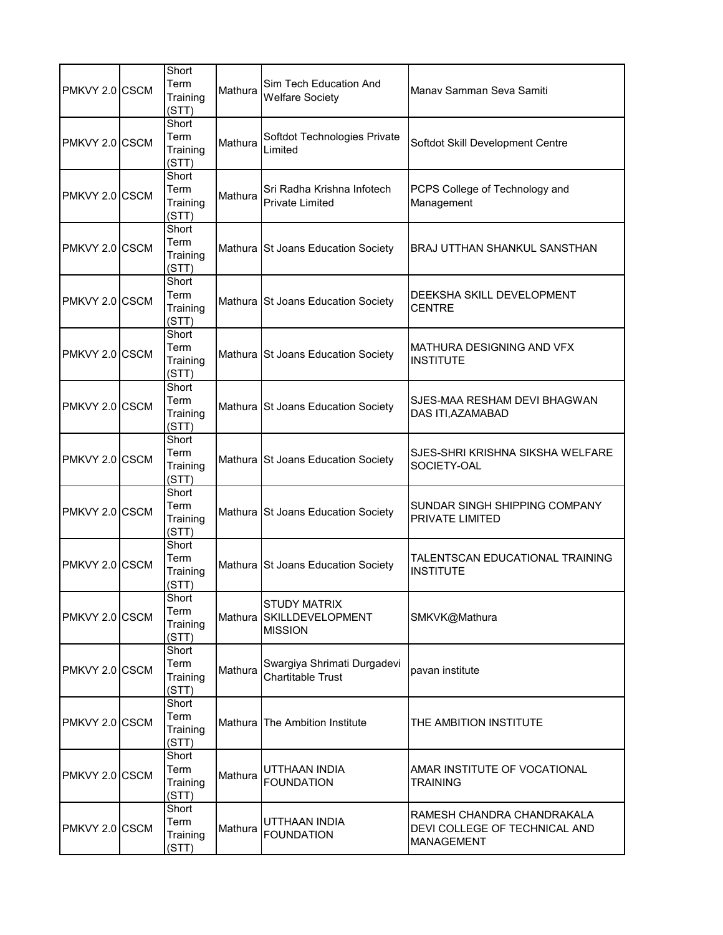| PMKVY 2.0 CSCM | Short<br>Term<br>Training<br>(STT) | Mathura | Sim Tech Education And<br><b>Welfare Society</b>          | Manay Samman Seva Samiti                                                  |
|----------------|------------------------------------|---------|-----------------------------------------------------------|---------------------------------------------------------------------------|
| PMKVY 2.0 CSCM | Short<br>Term<br>Training<br>(STT) | Mathura | Softdot Technologies Private<br>Limited                   | Softdot Skill Development Centre                                          |
| PMKVY 2.0 CSCM | Short<br>Term<br>Training<br>(STT) | Mathura | Sri Radha Krishna Infotech<br>Private Limited             | PCPS College of Technology and<br>Management                              |
| PMKVY 2.0 CSCM | Short<br>Term<br>Training<br>(STT) |         | Mathura St Joans Education Society                        | BRAJ UTTHAN SHANKUL SANSTHAN                                              |
| PMKVY 2.0 CSCM | Short<br>Term<br>Training<br>(STT) |         | Mathura St Joans Education Society                        | DEEKSHA SKILL DEVELOPMENT<br><b>CENTRE</b>                                |
| PMKVY 2.0 CSCM | Short<br>Term<br>Training<br>(STT) |         | Mathura St Joans Education Society                        | MATHURA DESIGNING AND VFX<br><b>INSTITUTE</b>                             |
| PMKVY 2.0 CSCM | Short<br>Term<br>Training<br>(STT) |         | Mathura St Joans Education Society                        | SJES-MAA RESHAM DEVI BHAGWAN<br>DAS ITI, AZAMABAD                         |
| PMKVY 2.0 CSCM | Short<br>Term<br>Training<br>(STT) |         | Mathura St Joans Education Society                        | SJES-SHRI KRISHNA SIKSHA WELFARE<br>SOCIETY-OAL                           |
| PMKVY 2.0 CSCM | Short<br>Term<br>Training<br>(STT) |         | Mathura St Joans Education Society                        | SUNDAR SINGH SHIPPING COMPANY<br>PRIVATE LIMITED                          |
| PMKVY 2.0 CSCM | Short<br>Term<br>Training<br>(STT) |         | Mathura St Joans Education Society                        | TALENTSCAN EDUCATIONAL TRAINING<br><b>INSTITUTE</b>                       |
| PMKVY 2.0 CSCM | Short<br>Term<br>Training<br>(STT) | Mathura | <b>STUDY MATRIX</b><br>SKILLDEVELOPMENT<br><b>MISSION</b> | SMKVK@Mathura                                                             |
| PMKVY 2.0 CSCM | Short<br>Term<br>Training<br>(STT) | Mathura | Swargiya Shrimati Durgadevi<br><b>Chartitable Trust</b>   | pavan institute                                                           |
| PMKVY 2.0 CSCM | Short<br>Term<br>Training<br>(STT) | Mathura | The Ambition Institute                                    | THE AMBITION INSTITUTE                                                    |
| PMKVY 2.0 CSCM | Short<br>Term<br>Training<br>(STT) | Mathura | UTTHAAN INDIA<br><b>FOUNDATION</b>                        | AMAR INSTITUTE OF VOCATIONAL<br><b>TRAINING</b>                           |
| PMKVY 2.0 CSCM | Short<br>Term<br>Training<br>(STT) | Mathura | UTTHAAN INDIA<br><b>FOUNDATION</b>                        | RAMESH CHANDRA CHANDRAKALA<br>DEVI COLLEGE OF TECHNICAL AND<br>MANAGEMENT |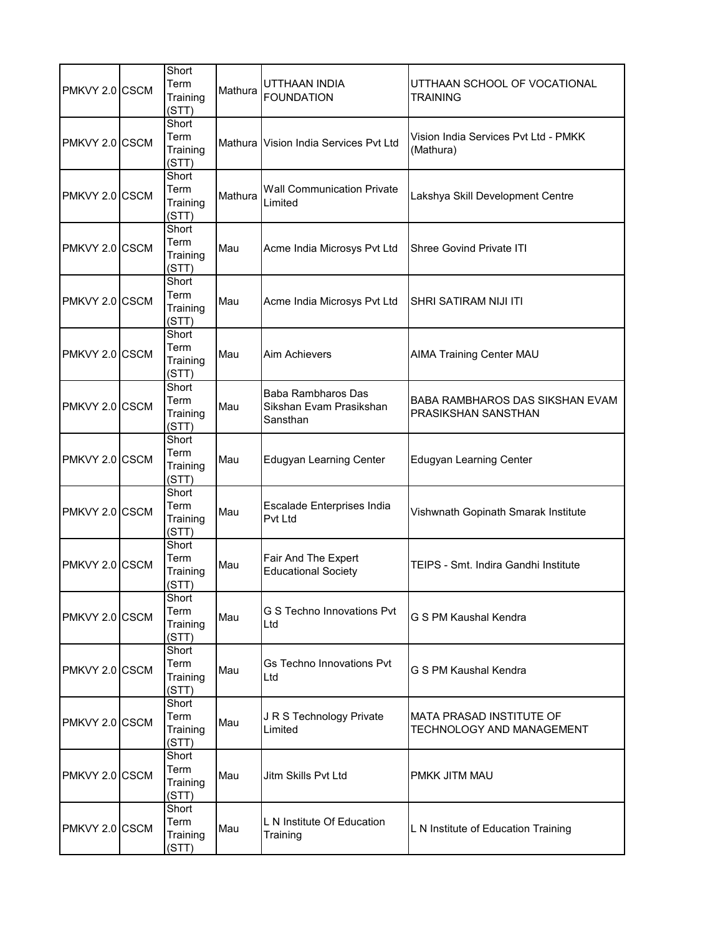| PMKVY 2.0 CSCM | Short<br>Term<br>Training<br>(STT) | Mathura | UTTHAAN INDIA<br><b>FOUNDATION</b>                        | UTTHAAN SCHOOL OF VOCATIONAL<br><b>TRAINING</b>              |
|----------------|------------------------------------|---------|-----------------------------------------------------------|--------------------------------------------------------------|
| PMKVY 2.0 CSCM | Short<br>Term<br>Training<br>(STT) |         | Mathura Vision India Services Pvt Ltd                     | Vision India Services Pvt Ltd - PMKK<br>(Mathura)            |
| PMKVY 2.0 CSCM | Short<br>Term<br>Training<br>(STT) | Mathura | <b>Wall Communication Private</b><br>Limited              | Lakshya Skill Development Centre                             |
| PMKVY 2.0 CSCM | Short<br>Term<br>Training<br>(STT) | Mau     | Acme India Microsys Pvt Ltd                               | <b>Shree Govind Private ITI</b>                              |
| PMKVY 2.0 CSCM | Short<br>Term<br>Training<br>(STT) | Mau     | Acme India Microsys Pvt Ltd                               | <b>SHRI SATIRAM NIJI ITI</b>                                 |
| PMKVY 2.0 CSCM | Short<br>Term<br>Training<br>(STT) | Mau     | Aim Achievers                                             | <b>AIMA Training Center MAU</b>                              |
| PMKVY 2.0 CSCM | Short<br>Term<br>Training<br>(STT) | Mau     | Baba Rambharos Das<br>Sikshan Evam Prasikshan<br>Sansthan | BABA RAMBHAROS DAS SIKSHAN EVAM<br>PRASIKSHAN SANSTHAN       |
| PMKVY 2.0 CSCM | Short<br>Term<br>Training<br>(STT) | Mau     | <b>Edugyan Learning Center</b>                            | <b>Edugyan Learning Center</b>                               |
| PMKVY 2.0 CSCM | Short<br>Term<br>Training<br>(STT) | Mau     | Escalade Enterprises India<br>Pvt Ltd                     | Vishwnath Gopinath Smarak Institute                          |
| PMKVY 2.0 CSCM | Short<br>Term<br>Training<br>(STT) | Mau     | Fair And The Expert<br><b>Educational Society</b>         | TEIPS - Smt. Indira Gandhi Institute                         |
| PMKVY 2.0 CSCM | Short<br>Term<br>Training<br>(STT) | Mau     | G S Techno Innovations Pvt<br>Ltd                         | G S PM Kaushal Kendra                                        |
| PMKVY 2.0 CSCM | Short<br>Term<br>Training<br>(STT) | Mau     | Gs Techno Innovations Pvt<br>Ltd                          | G S PM Kaushal Kendra                                        |
| PMKVY 2.0 CSCM | Short<br>Term<br>Training<br>(STT) | Mau     | J R S Technology Private<br>Limited                       | <b>MATA PRASAD INSTITUTE OF</b><br>TECHNOLOGY AND MANAGEMENT |
| PMKVY 2.0 CSCM | Short<br>Term<br>Training<br>(STT) | Mau     | Jitm Skills Pvt Ltd                                       | PMKK JITM MAU                                                |
| PMKVY 2.0 CSCM | Short<br>Term<br>Training<br>(STT) | Mau     | L N Institute Of Education<br>Training                    | L N Institute of Education Training                          |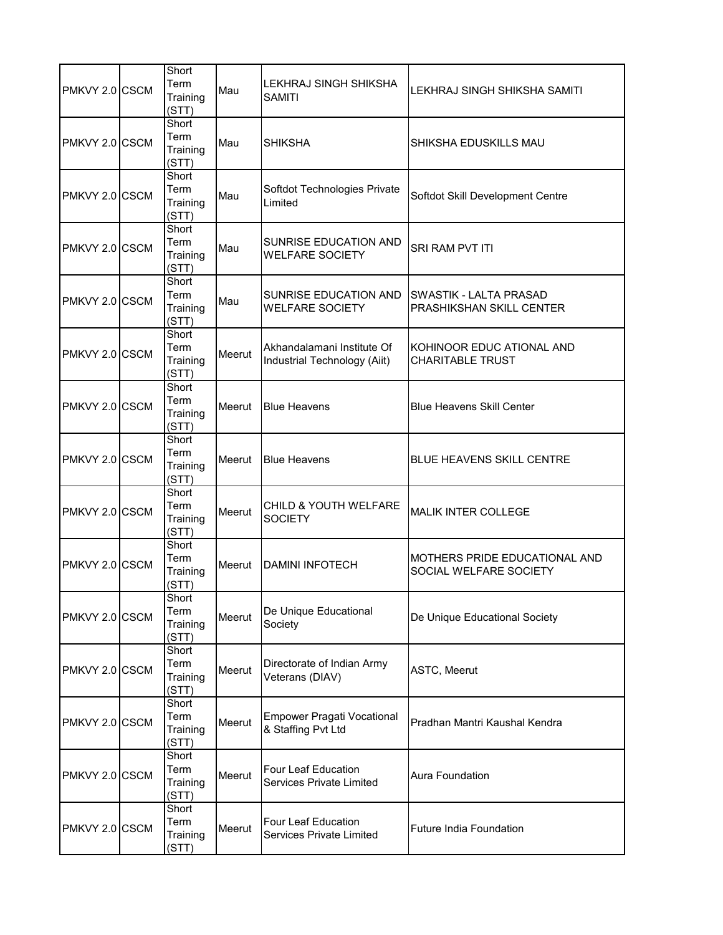| PMKVY 2.0 CSCM | Short<br>Term<br>Training<br>(STT) | Mau    | <b>LEKHRAJ SINGH SHIKSHA</b><br><b>SAMITI</b>              | LEKHRAJ SINGH SHIKSHA SAMITI                            |
|----------------|------------------------------------|--------|------------------------------------------------------------|---------------------------------------------------------|
| PMKVY 2.0 CSCM | Short<br>Term<br>Training<br>(STT) | Mau    | <b>SHIKSHA</b>                                             | SHIKSHA EDUSKILLS MAU                                   |
| PMKVY 2.0 CSCM | Short<br>Term<br>Training<br>(STT) | Mau    | Softdot Technologies Private<br>Limited                    | Softdot Skill Development Centre                        |
| PMKVY 2.0 CSCM | Short<br>Term<br>Training<br>(STT) | Mau    | SUNRISE EDUCATION AND<br><b>WELFARE SOCIETY</b>            | SRI RAM PVT ITI                                         |
| PMKVY 2.0 CSCM | Short<br>Term<br>Training<br>(STT) | Mau    | <b>SUNRISE EDUCATION AND</b><br><b>WELFARE SOCIETY</b>     | SWASTIK - LALTA PRASAD<br>PRASHIKSHAN SKILL CENTER      |
| PMKVY 2.0 CSCM | Short<br>Term<br>Training<br>(STT) | Meerut | Akhandalamani Institute Of<br>Industrial Technology (Aiit) | KOHINOOR EDUC ATIONAL AND<br><b>CHARITABLE TRUST</b>    |
| PMKVY 2.0 CSCM | Short<br>Term<br>Training<br>(STT) | Meerut | <b>Blue Heavens</b>                                        | <b>Blue Heavens Skill Center</b>                        |
| PMKVY 2.0 CSCM | Short<br>Term<br>Training<br>(STT) | Meerut | <b>Blue Heavens</b>                                        | <b>BLUE HEAVENS SKILL CENTRE</b>                        |
| PMKVY 2.0 CSCM | Short<br>Term<br>Training<br>(STT) | Meerut | CHILD & YOUTH WELFARE<br><b>SOCIETY</b>                    | <b>MALIK INTER COLLEGE</b>                              |
| PMKVY 2.0 CSCM | Short<br>Term<br>Training<br>(STT) | Meerut | <b>DAMINI INFOTECH</b>                                     | MOTHERS PRIDE EDUCATIONAL AND<br>SOCIAL WELFARE SOCIETY |
| PMKVY 2.0 CSCM | Short<br>Term<br>Training<br>(STT) | Meerut | De Unique Educational<br>Society                           | De Unique Educational Society                           |
| PMKVY 2.0 CSCM | Short<br>Term<br>Training<br>(STT) | Meerut | Directorate of Indian Army<br>Veterans (DIAV)              | ASTC, Meerut                                            |
| PMKVY 2.0 CSCM | Short<br>Term<br>Training<br>(STT) | Meerut | <b>Empower Pragati Vocational</b><br>& Staffing Pvt Ltd    | Pradhan Mantri Kaushal Kendra                           |
| PMKVY 2.0 CSCM | Short<br>Term<br>Training<br>(STT) | Meerut | Four Leaf Education<br><b>Services Private Limited</b>     | <b>Aura Foundation</b>                                  |
| PMKVY 2.0 CSCM | Short<br>Term<br>Training<br>(STT) | Meerut | <b>Four Leaf Education</b><br>Services Private Limited     | <b>Future India Foundation</b>                          |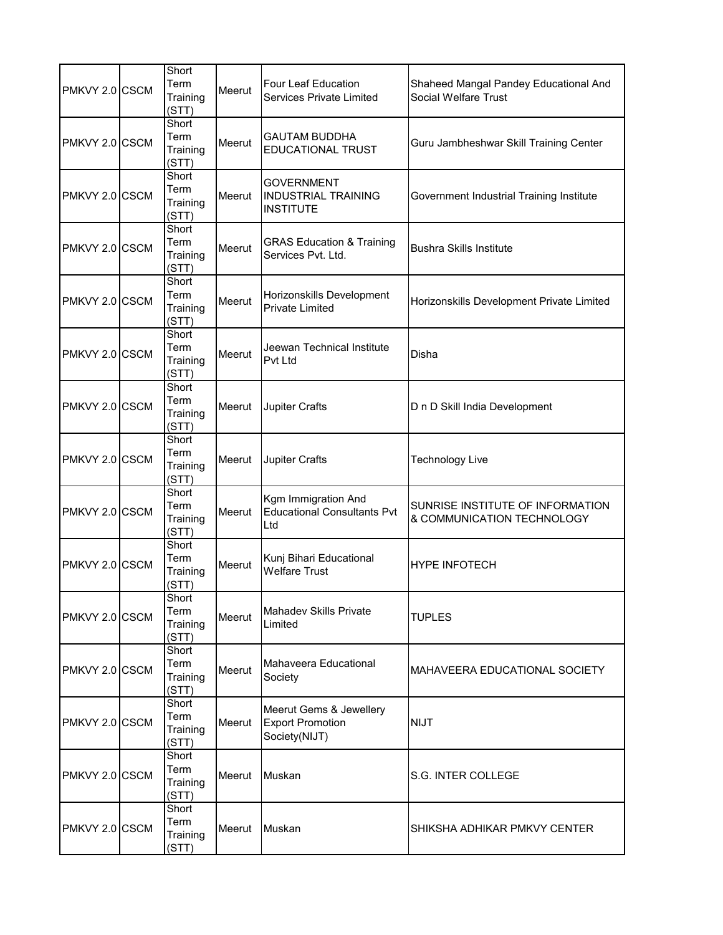| PMKVY 2.0 CSCM | Short<br>Term<br>Training<br>(STT) | Meerut | <b>Four Leaf Education</b><br><b>Services Private Limited</b>       | Shaheed Mangal Pandey Educational And<br><b>Social Welfare Trust</b> |
|----------------|------------------------------------|--------|---------------------------------------------------------------------|----------------------------------------------------------------------|
| PMKVY 2.0 CSCM | Short<br>Term<br>Training<br>(STT) | Meerut | <b>GAUTAM BUDDHA</b><br><b>EDUCATIONAL TRUST</b>                    | Guru Jambheshwar Skill Training Center                               |
| PMKVY 2.0 CSCM | Short<br>Term<br>Training<br>(STT) | Meerut | <b>GOVERNMENT</b><br><b>INDUSTRIAL TRAINING</b><br><b>INSTITUTE</b> | Government Industrial Training Institute                             |
| PMKVY 2.0 CSCM | Short<br>Term<br>Training<br>(STT) | Meerut | <b>GRAS Education &amp; Training</b><br>Services Pvt. Ltd.          | <b>Bushra Skills Institute</b>                                       |
| PMKVY 2.0 CSCM | Short<br>Term<br>Training<br>(STT) | Meerut | Horizonskills Development<br><b>Private Limited</b>                 | Horizonskills Development Private Limited                            |
| PMKVY 2.0 CSCM | Short<br>Term<br>Training<br>(STT) | Meerut | Jeewan Technical Institute<br><b>Pvt Ltd</b>                        | Disha                                                                |
| PMKVY 2.0 CSCM | Short<br>Term<br>Training<br>(STT) | Meerut | Jupiter Crafts                                                      | D n D Skill India Development                                        |
| PMKVY 2.0 CSCM | Short<br>Term<br>Training<br>(STT) | Meerut | Jupiter Crafts                                                      | <b>Technology Live</b>                                               |
| PMKVY 2.0 CSCM | Short<br>Term<br>Training<br>(STT) | Meerut | Kgm Immigration And<br><b>Educational Consultants Pvt</b><br>Ltd    | SUNRISE INSTITUTE OF INFORMATION<br>& COMMUNICATION TECHNOLOGY       |
| PMKVY 2.0 CSCM | Short<br>Term<br>Training<br>(STT) | Meerut | Kunj Bihari Educational<br><b>Welfare Trust</b>                     | <b>HYPE INFOTECH</b>                                                 |
| PMKVY 2.0 CSCM | Short<br>Term<br>Training<br>(STT) | Meerut | <b>Mahadev Skills Private</b><br>Limited                            | TUPLES                                                               |
| PMKVY 2.0 CSCM | Short<br>Term<br>Training<br>(STT) | Meerut | Mahaveera Educational<br>Society                                    | MAHAVEERA EDUCATIONAL SOCIETY                                        |
| PMKVY 2.0 CSCM | Short<br>Term<br>Training<br>(STT) | Meerut | Meerut Gems & Jewellery<br><b>Export Promotion</b><br>Society(NIJT) | <b>NIJT</b>                                                          |
| PMKVY 2.0 CSCM | Short<br>Term<br>Training<br>(STT) | Meerut | Muskan                                                              | S.G. INTER COLLEGE                                                   |
| PMKVY 2.0 CSCM | Short<br>Term<br>Training<br>(STT) | Meerut | Muskan                                                              | SHIKSHA ADHIKAR PMKVY CENTER                                         |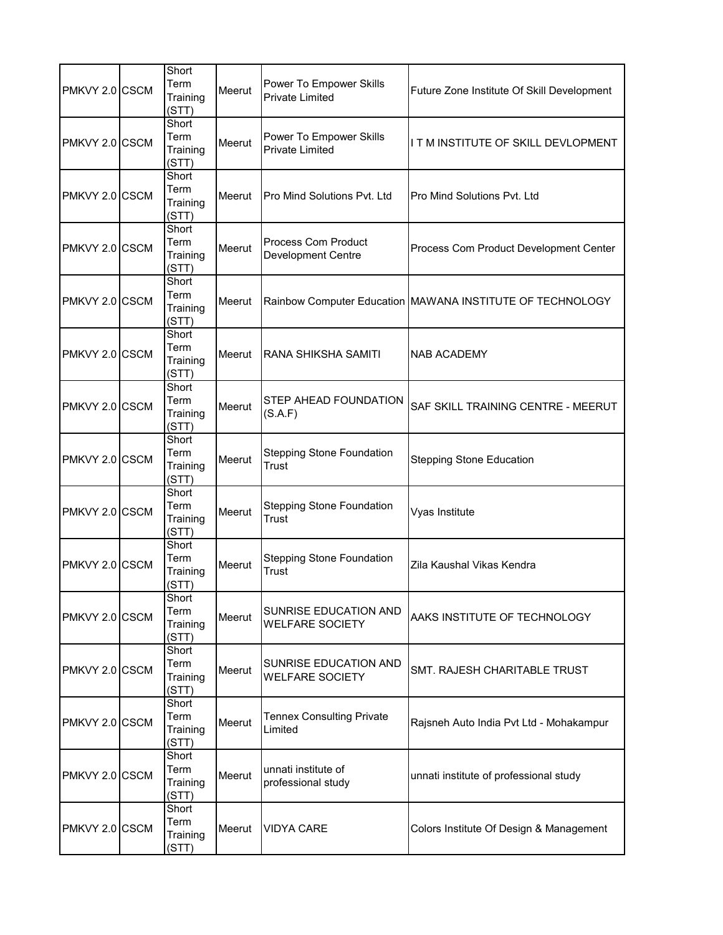| PMKVY 2.0 CSCM | Short<br>Term<br>Training<br>(STT) | Meerut | Power To Empower Skills<br><b>Private Limited</b> | Future Zone Institute Of Skill Development                |
|----------------|------------------------------------|--------|---------------------------------------------------|-----------------------------------------------------------|
| PMKVY 2.0 CSCM | Short<br>Term<br>Training<br>(STT) | Meerut | Power To Empower Skills<br><b>Private Limited</b> | I T M INSTITUTE OF SKILL DEVLOPMENT                       |
| PMKVY 2.0 CSCM | Short<br>Term<br>Training<br>(STT) | Meerut | Pro Mind Solutions Pvt. Ltd                       | Pro Mind Solutions Pvt. Ltd                               |
| PMKVY 2.0 CSCM | Short<br>Term<br>Training<br>(STT) | Meerut | Process Com Product<br><b>Development Centre</b>  | Process Com Product Development Center                    |
| PMKVY 2.0 CSCM | Short<br>Term<br>Training<br>(STT) | Meerut |                                                   | Rainbow Computer Education MAWANA INSTITUTE OF TECHNOLOGY |
| PMKVY 2.0 CSCM | Short<br>Term<br>Training<br>(STT) | Meerut | RANA SHIKSHA SAMITI                               | NAB ACADEMY                                               |
| PMKVY 2.0 CSCM | Short<br>Term<br>Training<br>(STT) | Meerut | STEP AHEAD FOUNDATION<br>(S.A.F)                  | SAF SKILL TRAINING CENTRE - MEERUT                        |
| PMKVY 2.0 CSCM | Short<br>Term<br>Training<br>(STT) | Meerut | <b>Stepping Stone Foundation</b><br>Trust         | <b>Stepping Stone Education</b>                           |
| PMKVY 2.0 CSCM | Short<br>Term<br>Training<br>(STT) | Meerut | <b>Stepping Stone Foundation</b><br>Trust         | Vyas Institute                                            |
| PMKVY 2.0 CSCM | Short<br>Term<br>Training<br>(STT) | Meerut | <b>Stepping Stone Foundation</b><br>Trust         | Zila Kaushal Vikas Kendra                                 |
| PMKVY 2.0 CSCM | Short<br>Term<br>Training<br>(STT) | Meerut | SUNRISE EDUCATION AND<br><b>WELFARE SOCIETY</b>   | AAKS INSTITUTE OF TECHNOLOGY                              |
| PMKVY 2.0 CSCM | Short<br>Term<br>Training<br>(STT) | Meerut | SUNRISE EDUCATION AND<br><b>WELFARE SOCIETY</b>   | SMT. RAJESH CHARITABLE TRUST                              |
| PMKVY 2.0 CSCM | Short<br>Term<br>Training<br>(STT) | Meerut | <b>Tennex Consulting Private</b><br>Limited       | Rajsneh Auto India Pvt Ltd - Mohakampur                   |
| PMKVY 2.0 CSCM | Short<br>Term<br>Training<br>(STT) | Meerut | unnati institute of<br>professional study         | unnati institute of professional study                    |
| PMKVY 2.0 CSCM | Short<br>Term<br>Training<br>(STT) | Meerut | <b>VIDYA CARE</b>                                 | Colors Institute Of Design & Management                   |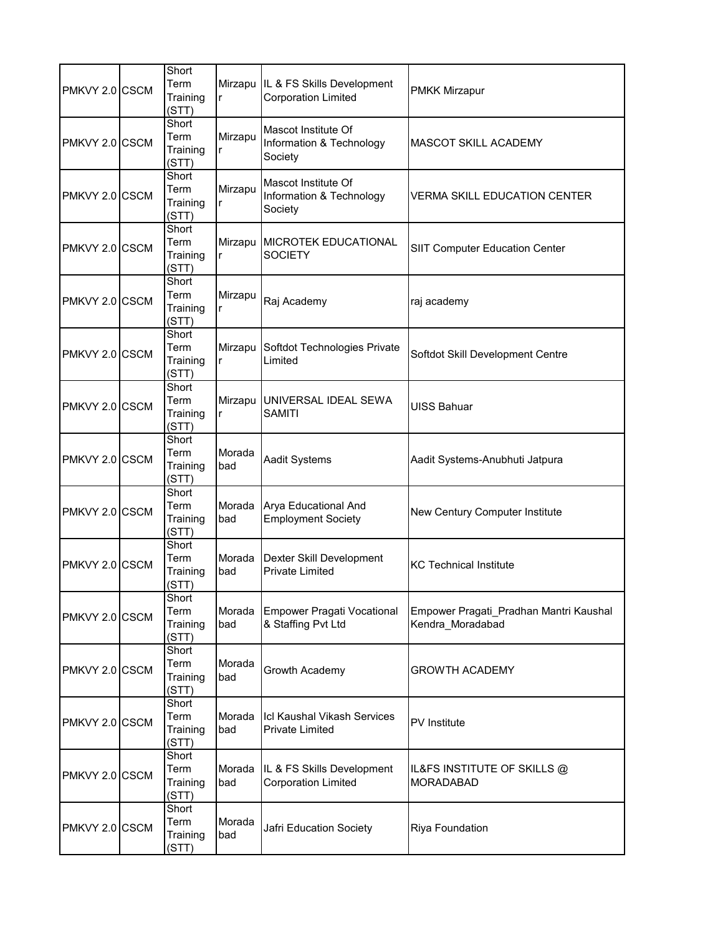| PMKVY 2.0 CSCM | Short<br>Term<br>Training<br>(STT) | r             | Mirzapu IL & FS Skills Development<br><b>Corporation Limited</b> | <b>PMKK Mirzapur</b>                                       |
|----------------|------------------------------------|---------------|------------------------------------------------------------------|------------------------------------------------------------|
| PMKVY 2.0 CSCM | Short<br>Term<br>Training<br>(STT) | Mirzapu<br>r  | Mascot Institute Of<br>Information & Technology<br>Society       | <b>MASCOT SKILL ACADEMY</b>                                |
| PMKVY 2.0 CSCM | Short<br>Term<br>Training<br>(STT) | Mirzapu<br>r  | Mascot Institute Of<br>Information & Technology<br>Society       | <b>VERMA SKILL EDUCATION CENTER</b>                        |
| PMKVY 2.0 CSCM | Short<br>Term<br>Training<br>(STT) | r             | Mirzapu MICROTEK EDUCATIONAL<br><b>SOCIETY</b>                   | <b>SIIT Computer Education Center</b>                      |
| PMKVY 2.0 CSCM | Short<br>Term<br>Training<br>(STT) | Mirzapu<br>r  | Raj Academy                                                      | raj academy                                                |
| PMKVY 2.0 CSCM | Short<br>Term<br>Training<br>(STT) | r             | Mirzapu Softdot Technologies Private<br>Limited                  | Softdot Skill Development Centre                           |
| PMKVY 2.0 CSCM | Short<br>Term<br>Training<br>(STT) | r             | Mirzapu UNIVERSAL IDEAL SEWA<br><b>SAMITI</b>                    | <b>UISS Bahuar</b>                                         |
| PMKVY 2.0 CSCM | Short<br>Term<br>Training<br>(STT) | Morada<br>bad | Aadit Systems                                                    | Aadit Systems-Anubhuti Jatpura                             |
| PMKVY 2.0 CSCM | Short<br>Term<br>Training<br>(STT) | Morada<br>bad | Arya Educational And<br><b>Employment Society</b>                | New Century Computer Institute                             |
| PMKVY 2.0 CSCM | Short<br>Term<br>Training<br>(STT) | Morada<br>bad | Dexter Skill Development<br><b>Private Limited</b>               | <b>KC Technical Institute</b>                              |
| PMKVY 2.0 CSCM | Short<br>Term<br>Training<br>(STT) | Morada<br>bad | <b>Empower Pragati Vocational</b><br>& Staffing Pvt Ltd          | Empower Pragati_Pradhan Mantri Kaushal<br>Kendra_Moradabad |
| PMKVY 2.0 CSCM | Short<br>Term<br>Training<br>(STT) | Morada<br>bad | Growth Academy                                                   | <b>GROWTH ACADEMY</b>                                      |
| PMKVY 2.0 CSCM | Short<br>Term<br>Training<br>(STT) | Morada<br>bad | Icl Kaushal Vikash Services<br><b>Private Limited</b>            | <b>PV</b> Institute                                        |
| PMKVY 2.0 CSCM | Short<br>Term<br>Training<br>(STT) | Morada<br>bad | IL & FS Skills Development<br><b>Corporation Limited</b>         | IL&FS INSTITUTE OF SKILLS @<br><b>MORADABAD</b>            |
| PMKVY 2.0 CSCM | Short<br>Term<br>Training<br>(STT) | Morada<br>bad | Jafri Education Society                                          | Riya Foundation                                            |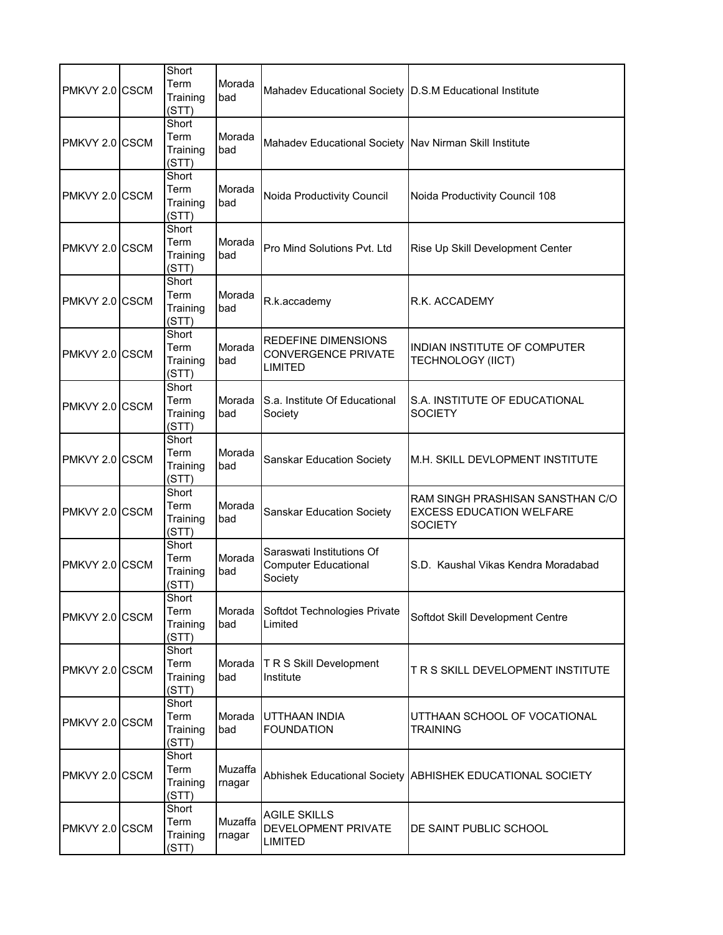| PMKVY 2.0 CSCM | Short<br>Term<br>Training<br>(STT) | Morada<br>bad     | Mahadev Educational Society D.S.M Educational Institute                    |                                                                                       |
|----------------|------------------------------------|-------------------|----------------------------------------------------------------------------|---------------------------------------------------------------------------------------|
| PMKVY 2.0 CSCM | Short<br>Term<br>Training<br>(STT) | Morada<br>bad     | Mahadev Educational Society Nav Nirman Skill Institute                     |                                                                                       |
| PMKVY 2.0 CSCM | Short<br>Term<br>Training<br>(STT) | Morada<br>bad     | Noida Productivity Council                                                 | Noida Productivity Council 108                                                        |
| PMKVY 2.0 CSCM | Short<br>Term<br>Training<br>(STT) | Morada<br>bad     | Pro Mind Solutions Pyt. Ltd                                                | Rise Up Skill Development Center                                                      |
| PMKVY 2.0 CSCM | Short<br>Term<br>Training<br>(STT) | Morada<br>bad     | R.k.accademy                                                               | R.K. ACCADEMY                                                                         |
| PMKVY 2.0 CSCM | Short<br>Term<br>Training<br>(STT) | Morada<br>bad     | <b>REDEFINE DIMENSIONS</b><br><b>CONVERGENCE PRIVATE</b><br><b>LIMITED</b> | INDIAN INSTITUTE OF COMPUTER<br><b>TECHNOLOGY (IICT)</b>                              |
| PMKVY 2.0 CSCM | Short<br>Term<br>Training<br>(STT) | Morada<br>bad     | S.a. Institute Of Educational<br>Society                                   | S.A. INSTITUTE OF EDUCATIONAL<br><b>SOCIETY</b>                                       |
| PMKVY 2.0 CSCM | Short<br>Term<br>Training<br>(STT) | Morada<br>bad     | Sanskar Education Society                                                  | M.H. SKILL DEVLOPMENT INSTITUTE                                                       |
| PMKVY 2.0 CSCM | Short<br>Term<br>Training<br>(STT) | Morada<br>bad     | <b>Sanskar Education Society</b>                                           | RAM SINGH PRASHISAN SANSTHAN C/O<br><b>EXCESS EDUCATION WELFARE</b><br><b>SOCIETY</b> |
| PMKVY 2.0 CSCM | Short<br>Term<br>Training<br>(STT) | Morada<br>bad     | Saraswati Institutions Of<br><b>Computer Educational</b><br>Society        | S.D. Kaushal Vikas Kendra Moradabad                                                   |
| PMKVY 2.0 CSCM | Short<br>Term<br>Training<br>(STT) | Morada<br>bad     | Softdot Technologies Private<br>Limited                                    | Softdot Skill Development Centre                                                      |
| PMKVY 2.0 CSCM | Short<br>Term<br>Training<br>(STT) | Morada<br>bad     | T R S Skill Development<br>Institute                                       | T R S SKILL DEVELOPMENT INSTITUTE                                                     |
| PMKVY 2.0 CSCM | Short<br>Term<br>Training<br>(STT) | Morada<br>bad     | UTTHAAN INDIA<br><b>FOUNDATION</b>                                         | UTTHAAN SCHOOL OF VOCATIONAL<br><b>TRAINING</b>                                       |
| PMKVY 2.0 CSCM | Short<br>Term<br>Training<br>(STT) | Muzaffa<br>rnagar |                                                                            | Abhishek Educational Society ABHISHEK EDUCATIONAL SOCIETY                             |
| PMKVY 2.0 CSCM | Short<br>Term<br>Training<br>(STT) | Muzaffa<br>rnagar | <b>AGILE SKILLS</b><br>DEVELOPMENT PRIVATE<br><b>LIMITED</b>               | DE SAINT PUBLIC SCHOOL                                                                |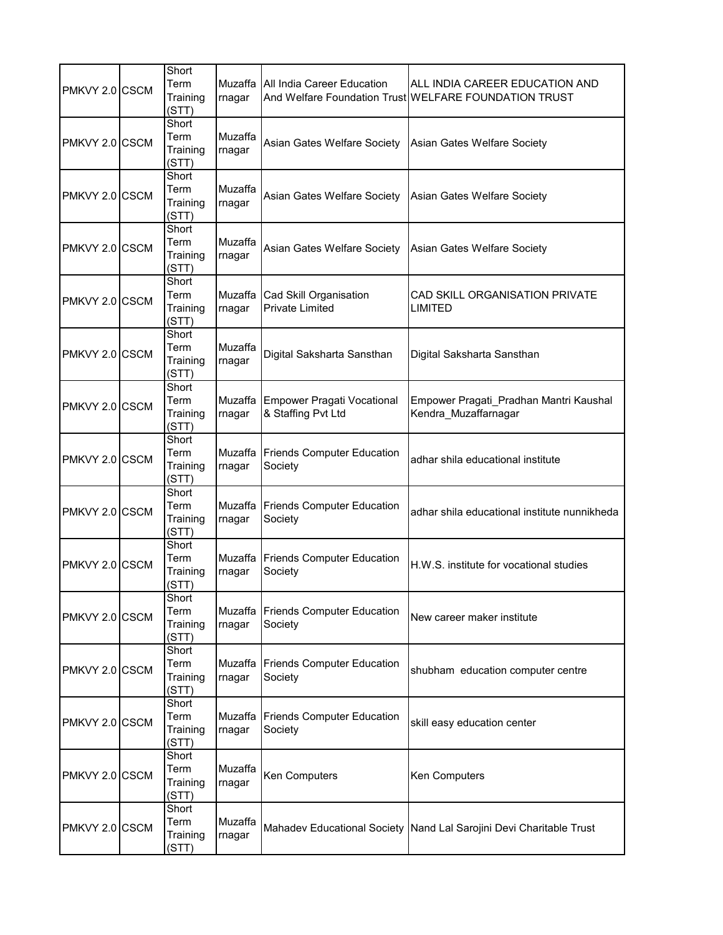| PMKVY 2.0 CSCM | Short<br>Term<br>Training<br>(STT) | Muzaffa<br>rnagar | All India Career Education                              | ALL INDIA CAREER EDUCATION AND<br>And Welfare Foundation Trust WELFARE FOUNDATION TRUST |
|----------------|------------------------------------|-------------------|---------------------------------------------------------|-----------------------------------------------------------------------------------------|
| PMKVY 2.0 CSCM | Short<br>Term<br>Training<br>(STT) | Muzaffa<br>rnagar | Asian Gates Welfare Society                             | Asian Gates Welfare Society                                                             |
| PMKVY 2.0 CSCM | Short<br>Term<br>Training<br>(STT) | Muzaffa<br>rnagar | Asian Gates Welfare Society                             | Asian Gates Welfare Society                                                             |
| PMKVY 2.0 CSCM | Short<br>Term<br>Training<br>(STT) | Muzaffa<br>rnagar | Asian Gates Welfare Society                             | Asian Gates Welfare Society                                                             |
| PMKVY 2.0 CSCM | Short<br>Term<br>Training<br>(STT) | Muzaffa<br>rnagar | Cad Skill Organisation<br><b>Private Limited</b>        | CAD SKILL ORGANISATION PRIVATE<br><b>LIMITED</b>                                        |
| PMKVY 2.0 CSCM | Short<br>Term<br>Training<br>(STT) | Muzaffa<br>rnagar | Digital Saksharta Sansthan                              | Digital Saksharta Sansthan                                                              |
| PMKVY 2.0 CSCM | Short<br>Term<br>Training<br>(STT) | Muzaffa<br>rnagar | <b>Empower Pragati Vocational</b><br>& Staffing Pvt Ltd | Empower Pragati Pradhan Mantri Kaushal<br>Kendra Muzaffarnagar                          |
| PMKVY 2.0 CSCM | Short<br>Term<br>Training<br>(STT) | Muzaffa<br>rnagar | <b>Friends Computer Education</b><br>Society            | adhar shila educational institute                                                       |
| PMKVY 2.0 CSCM | Short<br>Term<br>Training<br>(STT) | Muzaffa<br>rnagar | <b>Friends Computer Education</b><br>Society            | adhar shila educational institute nunnikheda                                            |
| PMKVY 2.0 CSCM | Short<br>Term<br>Training<br>(STT) | Muzaffa<br>rnagar | <b>Friends Computer Education</b><br>Society            | H.W.S. institute for vocational studies                                                 |
| PMKVY 2.0 CSCM | Short<br>Term<br>Training<br>(STT) | Muzaffa<br>rnagar | <b>Friends Computer Education</b><br>Society            | New career maker institute                                                              |
| PMKVY 2.0 CSCM | Short<br>Term<br>Training<br>(STT) | Muzaffa<br>rnagar | <b>Friends Computer Education</b><br>Society            | shubham education computer centre                                                       |
| PMKVY 2.0 CSCM | Short<br>Term<br>Training<br>(STT) | Muzaffa<br>rnagar | <b>Friends Computer Education</b><br>Society            | skill easy education center                                                             |
| PMKVY 2.0 CSCM | Short<br>Term<br>Training<br>(STT) | Muzaffa<br>rnagar | Ken Computers                                           | Ken Computers                                                                           |
| PMKVY 2.0 CSCM | Short<br>Term<br>Training<br>(STT) | Muzaffa<br>rnagar |                                                         | Mahadev Educational Society   Nand Lal Sarojini Devi Charitable Trust                   |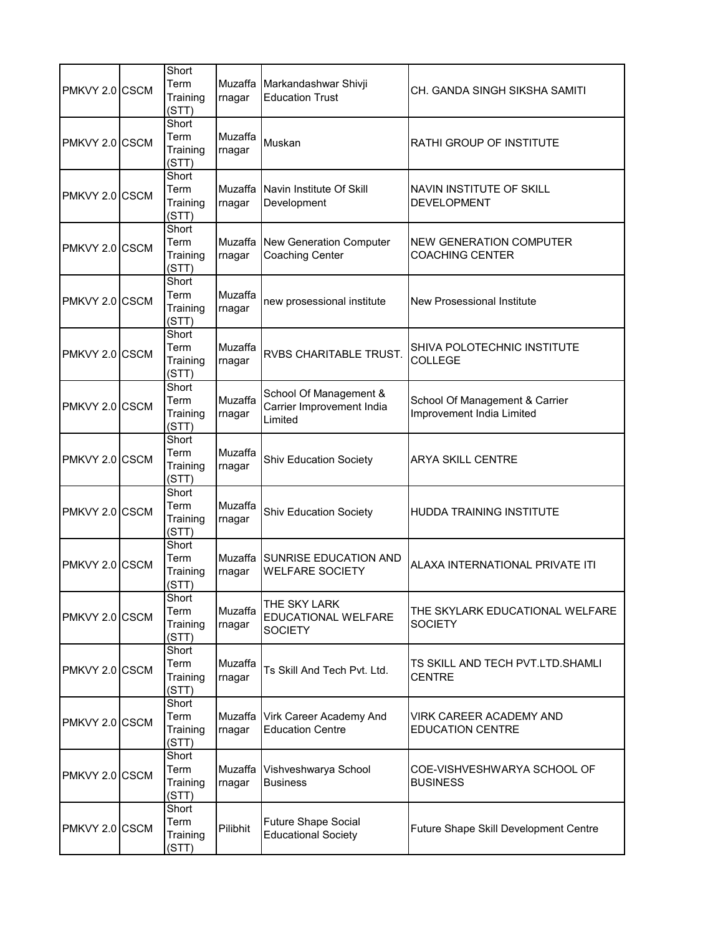| PMKVY 2.0 CSCM | Short<br>Term<br>Training<br>(STT) | Muzaffa<br>rnagar | Markandashwar Shivji<br><b>Education Trust</b>                 | CH. GANDA SINGH SIKSHA SAMITI                               |
|----------------|------------------------------------|-------------------|----------------------------------------------------------------|-------------------------------------------------------------|
| PMKVY 2.0 CSCM | Short<br>Term<br>Training<br>(STT) | Muzaffa<br>rnagar | Muskan                                                         | RATHI GROUP OF INSTITUTE                                    |
| PMKVY 2.0 CSCM | Short<br>Term<br>Training<br>(STT) | Muzaffa<br>rnagar | Navin Institute Of Skill<br>Development                        | NAVIN INSTITUTE OF SKILL<br><b>DEVELOPMENT</b>              |
| PMKVY 2.0 CSCM | Short<br>Term<br>Training<br>(STT) | Muzaffa<br>rnagar | New Generation Computer<br><b>Coaching Center</b>              | NEW GENERATION COMPUTER<br><b>COACHING CENTER</b>           |
| PMKVY 2.0 CSCM | Short<br>Term<br>Training<br>(STT) | Muzaffa<br>rnagar | new prosessional institute                                     | New Prosessional Institute                                  |
| PMKVY 2.0 CSCM | Short<br>Term<br>Training<br>(STT) | Muzaffa<br>rnagar | RVBS CHARITABLE TRUST.                                         | SHIVA POLOTECHNIC INSTITUTE<br><b>COLLEGE</b>               |
| PMKVY 2.0 CSCM | Short<br>Term<br>Training<br>(STT) | Muzaffa<br>rnagar | School Of Management &<br>Carrier Improvement India<br>Limited | School Of Management & Carrier<br>Improvement India Limited |
| PMKVY 2.0 CSCM | Short<br>Term<br>Training<br>(STT) | Muzaffa<br>rnagar | <b>Shiv Education Society</b>                                  | <b>ARYA SKILL CENTRE</b>                                    |
| PMKVY 2.0 CSCM | Short<br>Term<br>Training<br>(STT) | Muzaffa<br>rnagar | <b>Shiv Education Society</b>                                  | <b>HUDDA TRAINING INSTITUTE</b>                             |
| PMKVY 2.0 CSCM | Short<br>Term<br>Training<br>(STT) | rnagar            | Muzaffa SUNRISE EDUCATION AND<br><b>WELFARE SOCIETY</b>        | ALAXA INTERNATIONAL PRIVATE ITI                             |
| PMKVY 2.0 CSCM | Short<br>Term<br>Training<br>(STT) | Muzaffa<br>rnagar | THE SKY LARK<br>EDUCATIONAL WELFARE<br><b>SOCIETY</b>          | THE SKYLARK EDUCATIONAL WELFARE<br><b>SOCIETY</b>           |
| PMKVY 2.0 CSCM | Short<br>Term<br>Training<br>(STT) | Muzaffa<br>rnagar | Ts Skill And Tech Pvt. Ltd.                                    | TS SKILL AND TECH PVT.LTD. SHAMLI<br><b>CENTRE</b>          |
| PMKVY 2.0 CSCM | Short<br>Term<br>Training<br>(STT) | Muzaffa<br>rnagar | Virk Career Academy And<br><b>Education Centre</b>             | VIRK CAREER ACADEMY AND<br><b>EDUCATION CENTRE</b>          |
| PMKVY 2.0 CSCM | Short<br>Term<br>Training<br>(STT) | Muzaffa<br>rnagar | Vishveshwarya School<br><b>Business</b>                        | COE-VISHVESHWARYA SCHOOL OF<br><b>BUSINESS</b>              |
| PMKVY 2.0 CSCM | Short<br>Term<br>Training<br>(STT) | Pilibhit          | <b>Future Shape Social</b><br><b>Educational Society</b>       | Future Shape Skill Development Centre                       |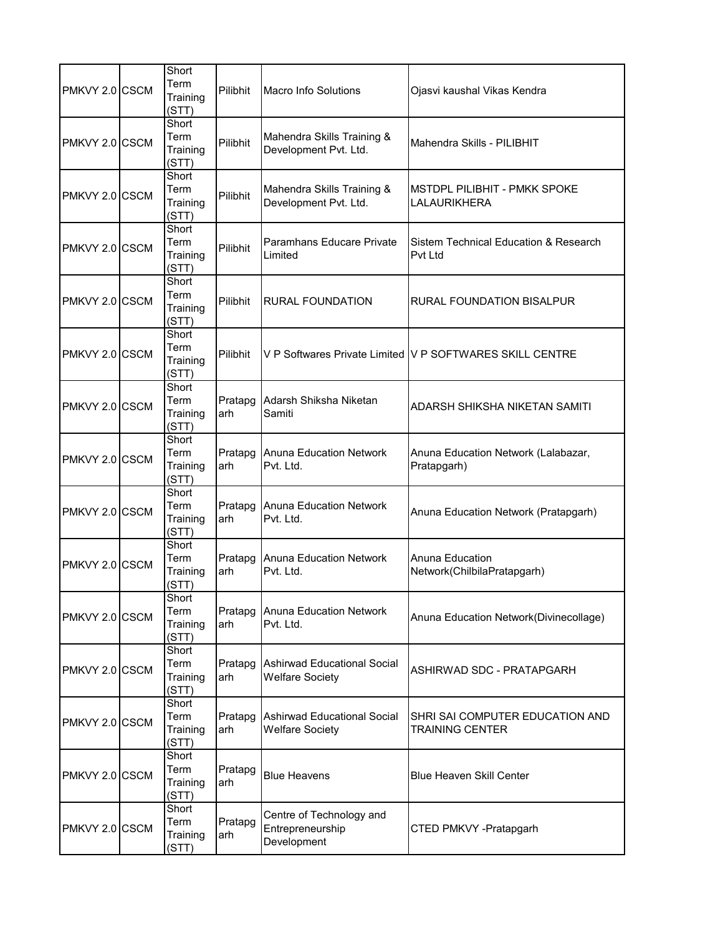| PMKVY 2.0 CSCM | Short<br>Term<br>Training<br>(STT) | Pilibhit       | <b>Macro Info Solutions</b>                                  | Ojasvi kaushal Vikas Kendra                               |
|----------------|------------------------------------|----------------|--------------------------------------------------------------|-----------------------------------------------------------|
| PMKVY 2.0 CSCM | Short<br>Term<br>Training<br>(STT) | Pilibhit       | Mahendra Skills Training &<br>Development Pvt. Ltd.          | Mahendra Skills - PILIBHIT                                |
| PMKVY 2.0 CSCM | Short<br>Term<br>Training<br>(STT) | Pilibhit       | Mahendra Skills Training &<br>Development Pvt. Ltd.          | MSTDPL PILIBHIT - PMKK SPOKE<br>LALAURIKHERA              |
| PMKVY 2.0 CSCM | Short<br>Term<br>Training<br>(STT) | Pilibhit       | Paramhans Educare Private<br>Limited                         | Sistem Technical Education & Research<br>Pvt Ltd          |
| PMKVY 2.0 CSCM | Short<br>Term<br>Training<br>(STT) | Pilibhit       | RURAL FOUNDATION                                             | RURAL FOUNDATION BISALPUR                                 |
| PMKVY 2.0 CSCM | Short<br>Term<br>Training<br>(STT) | Pilibhit       |                                                              | V P Softwares Private Limited IV P SOFTWARES SKILL CENTRE |
| PMKVY 2.0 CSCM | Short<br>Term<br>Training<br>(STT) | Pratapg<br>arh | Adarsh Shiksha Niketan<br>Samiti                             | ADARSH SHIKSHA NIKETAN SAMITI                             |
| PMKVY 2.0 CSCM | Short<br>Term<br>Training<br>(STT) | Pratapg<br>arh | <b>Anuna Education Network</b><br>Pvt. Ltd.                  | Anuna Education Network (Lalabazar,<br>Pratapgarh)        |
| PMKVY 2.0 CSCM | Short<br>Term<br>Training<br>(STT) | Pratapg<br>arh | <b>Anuna Education Network</b><br>Pvt. Ltd.                  | Anuna Education Network (Pratapgarh)                      |
| PMKVY 2.0 CSCM | Short<br>Term<br>Training<br>(STT) | Pratapg<br>arh | <b>Anuna Education Network</b><br>Pvt. Ltd.                  | Anuna Education<br>Network(ChilbilaPratapgarh)            |
| PMKVY 2.0 CSCM | Short<br>Term<br>Training<br>(STT) | Pratapg<br>arh | <b>Anuna Education Network</b><br>Pvt. Ltd.                  | Anuna Education Network(Divinecollage)                    |
| PMKVY 2.0 CSCM | Short<br>Term<br>Training<br>(STT) | Pratapg<br>arh | <b>Ashirwad Educational Social</b><br><b>Welfare Society</b> | ASHIRWAD SDC - PRATAPGARH                                 |
| PMKVY 2.0 CSCM | Short<br>Term<br>Training<br>(STT) | Pratapg<br>arh | <b>Ashirwad Educational Social</b><br><b>Welfare Society</b> | SHRI SAI COMPUTER EDUCATION AND<br><b>TRAINING CENTER</b> |
| PMKVY 2.0 CSCM | Short<br>Term<br>Training<br>(STT) | Pratapg<br>arh | <b>Blue Heavens</b>                                          | <b>Blue Heaven Skill Center</b>                           |
| PMKVY 2.0 CSCM | Short<br>Term<br>Training<br>(STT) | Pratapg<br>arh | Centre of Technology and<br>Entrepreneurship<br>Development  | CTED PMKVY -Pratapgarh                                    |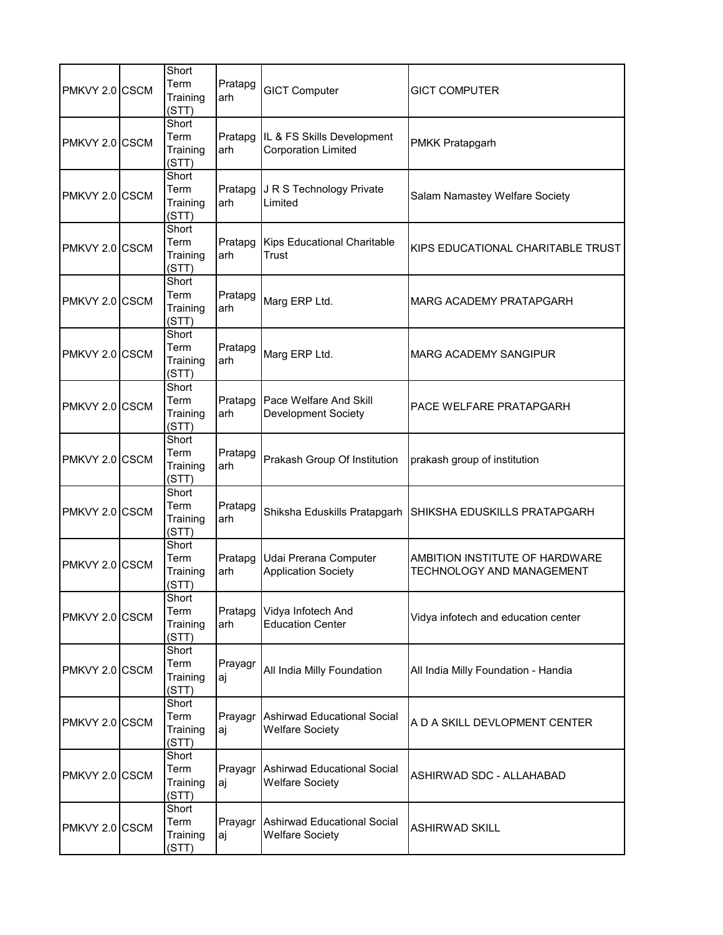| PMKVY 2.0 CSCM  | Short<br>Term<br>Training<br>(STT) | Pratapg<br>arh | <b>GICT Computer</b>                                     | <b>GICT COMPUTER</b>                                               |
|-----------------|------------------------------------|----------------|----------------------------------------------------------|--------------------------------------------------------------------|
| PMKVY 2.0 CSCM  | Short<br>Term<br>Training<br>(STT) | Pratapg<br>arh | IL & FS Skills Development<br><b>Corporation Limited</b> | <b>PMKK Pratapgarh</b>                                             |
| PMKVY 2.0 CSCM  | Short<br>Term<br>Training<br>(STT) | Pratapg<br>arh | J R S Technology Private<br>Limited                      | Salam Namastey Welfare Society                                     |
| PMKVY 2.0 CSCM  | Short<br>Term<br>Training<br>(STT) | Pratapg<br>arh | <b>Kips Educational Charitable</b><br>Trust              | KIPS EDUCATIONAL CHARITABLE TRUST                                  |
| PMKVY 2.0 ICSCM | Short<br>Term<br>Training<br>(STT) | Pratapg<br>arh | Marg ERP Ltd.                                            | MARG ACADEMY PRATAPGARH                                            |
| PMKVY 2.0 CSCM  | Short<br>Term<br>Training<br>(STT) | Pratapg<br>arh | Marg ERP Ltd.                                            | MARG ACADEMY SANGIPUR                                              |
| PMKVY 2.0 CSCM  | Short<br>Term<br>Training<br>(STT) | Pratapg<br>arh | Pace Welfare And Skill<br><b>Development Society</b>     | PACE WELFARE PRATAPGARH                                            |
| PMKVY 2.0 CSCM  | Short<br>Term<br>Training<br>(STT) | Pratapg<br>arh | Prakash Group Of Institution                             | prakash group of institution                                       |
| PMKVY 2.0 CSCM  | Short<br>Term<br>Training<br>(STT) | Pratapg<br>arh | Shiksha Eduskills Pratapgarh                             | SHIKSHA EDUSKILLS PRATAPGARH                                       |
| PMKVY 2.0 CSCM  | Short<br>Term<br>Training<br>(STT) | Pratapg<br>arh | Udai Prerana Computer<br><b>Application Society</b>      | AMBITION INSTITUTE OF HARDWARE<br><b>TECHNOLOGY AND MANAGEMENT</b> |
| PMKVY 2.0 CSCM  | Short<br>Term<br>Training<br>(STT) | Pratapg<br>arh | Vidya Infotech And<br><b>Education Center</b>            | Vidya infotech and education center                                |
| PMKVY 2.0 CSCM  | Short<br>Term<br>Training<br>(STT) | Prayagr<br>aj  | All India Milly Foundation                               | All India Milly Foundation - Handia                                |
| PMKVY 2.0 CSCM  | Short<br>Term<br>Training<br>(STT) | Prayagr<br>aj  | Ashirwad Educational Social<br><b>Welfare Society</b>    | A D A SKILL DEVLOPMENT CENTER                                      |
| PMKVY 2.0 CSCM  | Short<br>Term<br>Training<br>(STT) | Prayagr<br>aj  | Ashirwad Educational Social<br><b>Welfare Society</b>    | ASHIRWAD SDC - ALLAHABAD                                           |
| PMKVY 2.0 CSCM  | Short<br>Term<br>Training<br>(STT) | Prayagr<br>aj  | Ashirwad Educational Social<br><b>Welfare Society</b>    | <b>ASHIRWAD SKILL</b>                                              |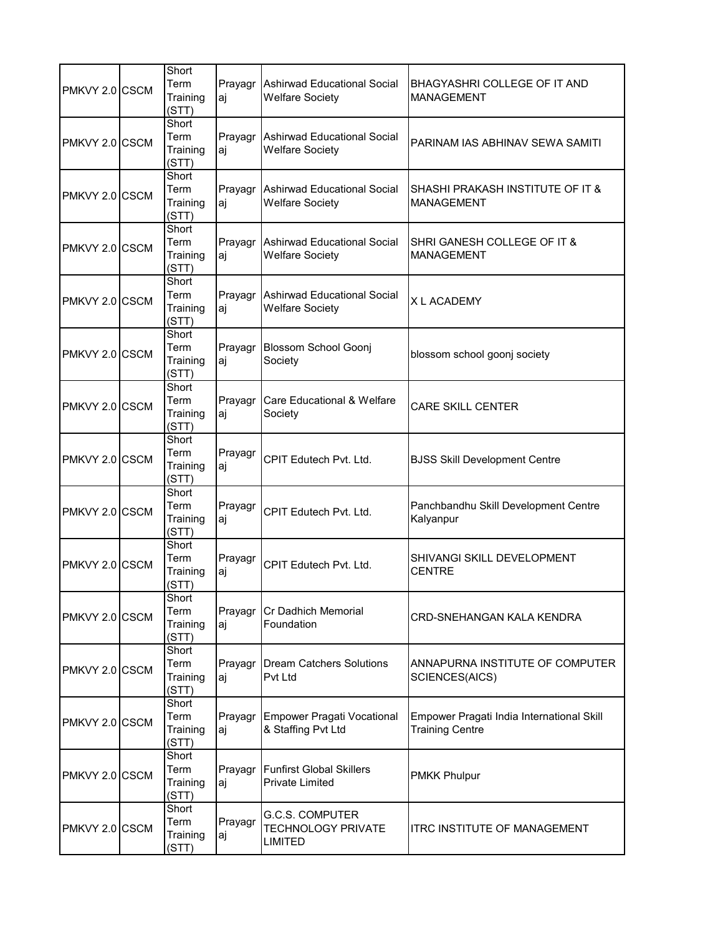| PMKVY 2.0 CSCM | Short<br>Term<br>Training<br>(STT) | aj            | Prayagr Ashirwad Educational Social<br><b>Welfare Society</b>         | BHAGYASHRI COLLEGE OF IT AND<br><b>MANAGEMENT</b>                   |
|----------------|------------------------------------|---------------|-----------------------------------------------------------------------|---------------------------------------------------------------------|
| PMKVY 2.0 CSCM | Short<br>Term<br>Training<br>(STT) | Prayagr<br>aj | Ashirwad Educational Social<br><b>Welfare Society</b>                 | PARINAM IAS ABHINAV SEWA SAMITI                                     |
| PMKVY 2.0 CSCM | Short<br>Term<br>Training<br>(STT) | aj            | Prayagr Ashirwad Educational Social<br><b>Welfare Society</b>         | SHASHI PRAKASH INSTITUTE OF IT &<br><b>MANAGEMENT</b>               |
| PMKVY 2.0 CSCM | Short<br>Term<br>Training<br>(STT) | Prayagr<br>aj | Ashirwad Educational Social<br><b>Welfare Society</b>                 | SHRI GANESH COLLEGE OF IT &<br><b>MANAGEMENT</b>                    |
| PMKVY 2.0 CSCM | Short<br>Term<br>Training<br>(STT) | Prayagr<br>aj | Ashirwad Educational Social<br><b>Welfare Society</b>                 | <b>XI ACADEMY</b>                                                   |
| PMKVY 2.0 CSCM | Short<br>Term<br>Training<br>(STT) | Prayagr<br>aj | <b>Blossom School Goonj</b><br>Society                                | blossom school goonj society                                        |
| PMKVY 2.0 CSCM | Short<br>Term<br>Training<br>(STT) | Prayagr<br>aj | <b>Care Educational &amp; Welfare</b><br>Society                      | <b>CARE SKILL CENTER</b>                                            |
| PMKVY 2.0 CSCM | Short<br>Term<br>Training<br>(STT) | Prayagr<br>aj | CPIT Edutech Pvt. Ltd.                                                | <b>BJSS Skill Development Centre</b>                                |
| PMKVY 2.0 CSCM | Short<br>Term<br>Training<br>(STT) | Prayagr<br>aj | CPIT Edutech Pvt. Ltd.                                                | Panchbandhu Skill Development Centre<br>Kalyanpur                   |
| PMKVY 2.0 CSCM | Short<br>Term<br>Training<br>(STT) | Prayagr<br>aj | CPIT Edutech Pvt. Ltd.                                                | SHIVANGI SKILL DEVELOPMENT<br><b>CENTRE</b>                         |
| PMKVY 2.0 CSCM | Short<br>Term<br>Training<br>(STT) | Prayagr<br>aj | Cr Dadhich Memorial<br>Foundation                                     | CRD-SNEHANGAN KALA KENDRA                                           |
| PMKVY 2.0 CSCM | Short<br>Term<br>Training<br>(STT) | aj            | Prayagr   Dream Catchers Solutions<br>Pvt Ltd                         | ANNAPURNA INSTITUTE OF COMPUTER<br>SCIENCES(AICS)                   |
| PMKVY 2.0 CSCM | Short<br>Term<br>Training<br>(STT) | Prayagr<br>aj | <b>Empower Pragati Vocational</b><br>& Staffing Pvt Ltd               | Empower Pragati India International Skill<br><b>Training Centre</b> |
| PMKVY 2.0 CSCM | Short<br>Term<br>Training<br>(STT) | Prayagr<br>aj | <b>Funfirst Global Skillers</b><br><b>Private Limited</b>             | <b>PMKK Phulpur</b>                                                 |
| PMKVY 2.0 CSCM | Short<br>Term<br>Training<br>(STT) | Prayagr<br>aj | <b>G.C.S. COMPUTER</b><br><b>TECHNOLOGY PRIVATE</b><br><b>LIMITED</b> | <b>ITRC INSTITUTE OF MANAGEMENT</b>                                 |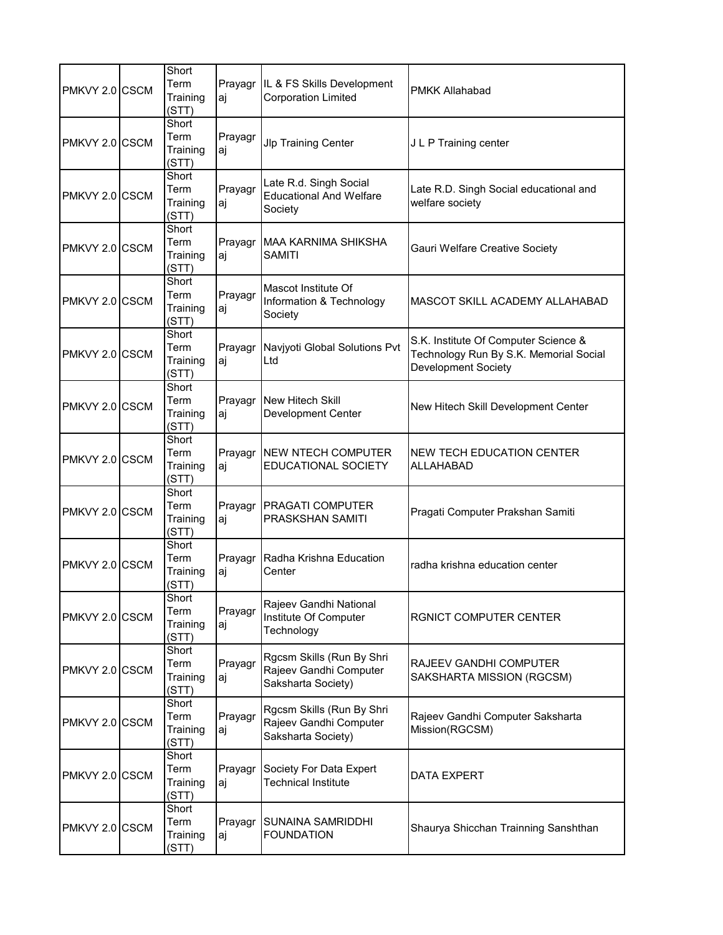| PMKVY 2.0 CSCM | Short<br>Term<br>Training<br>(STT) | aj            | Prayagr IL & FS Skills Development<br><b>Corporation Limited</b>          | <b>PMKK Allahabad</b>                                                                                 |
|----------------|------------------------------------|---------------|---------------------------------------------------------------------------|-------------------------------------------------------------------------------------------------------|
| PMKVY 2.0 CSCM | Short<br>Term<br>Training<br>(STT) | Prayagr<br>аj | <b>Jlp Training Center</b>                                                | J L P Training center                                                                                 |
| PMKVY 2.0 CSCM | Short<br>Term<br>Training<br>(STT) | Prayagr<br>аj | Late R.d. Singh Social<br><b>Educational And Welfare</b><br>Society       | Late R.D. Singh Social educational and<br>welfare society                                             |
| PMKVY 2.0 CSCM | Short<br>Term<br>Training<br>(STT) | aj            | Prayagr MAA KARNIMA SHIKSHA<br><b>SAMITI</b>                              | Gauri Welfare Creative Society                                                                        |
| PMKVY 2.0 CSCM | Short<br>Term<br>Training<br>(STT) | Prayagr<br>аj | Mascot Institute Of<br>Information & Technology<br>Society                | MASCOT SKILL ACADEMY ALLAHABAD                                                                        |
| PMKVY 2.0 CSCM | Short<br>Term<br>Training<br>(STT) | Prayagr<br>aj | Navjyoti Global Solutions Pvt<br>Ltd                                      | S.K. Institute Of Computer Science &<br>Technology Run By S.K. Memorial Social<br>Development Society |
| PMKVY 2.0 CSCM | Short<br>Term<br>Training<br>(STT) | Prayagr<br>aj | New Hitech Skill<br><b>Development Center</b>                             | New Hitech Skill Development Center                                                                   |
| PMKVY 2.0 CSCM | Short<br>Term<br>Training<br>(STT) | Prayagr<br>аj | <b>NEW NTECH COMPUTER</b><br><b>EDUCATIONAL SOCIETY</b>                   | NEW TECH EDUCATION CENTER<br><b>ALLAHABAD</b>                                                         |
| PMKVY 2.0 CSCM | Short<br>Term<br>Training<br>(STT) | Prayagr<br>аj | PRAGATI COMPUTER<br><b>PRASKSHAN SAMITI</b>                               | Pragati Computer Prakshan Samiti                                                                      |
| PMKVY 2.0 CSCM | Short<br>Term<br>Training<br>(STT) | Prayagr<br>aj | Radha Krishna Education<br>Center                                         | radha krishna education center                                                                        |
| PMKVY 2.0 CSCM | Short<br>Term<br>Training<br>(STT) | Prayagr<br>аj | Rajeev Gandhi National<br>Institute Of Computer<br>Technology             | RGNICT COMPUTER CENTER                                                                                |
| PMKVY 2.0 CSCM | Short<br>Term<br>Training<br>(STT) | Prayagr<br>aj | Rgcsm Skills (Run By Shri<br>Rajeev Gandhi Computer<br>Saksharta Society) | RAJEEV GANDHI COMPUTER<br>SAKSHARTA MISSION (RGCSM)                                                   |
| PMKVY 2.0 CSCM | Short<br>Term<br>Training<br>(STT) | Prayagr<br>aj | Rgcsm Skills (Run By Shri<br>Rajeev Gandhi Computer<br>Saksharta Society) | Rajeev Gandhi Computer Saksharta<br>Mission(RGCSM)                                                    |
| PMKVY 2.0 CSCM | Short<br>Term<br>Training<br>(STT) | Prayagr<br>аj | Society For Data Expert<br><b>Technical Institute</b>                     | <b>DATA EXPERT</b>                                                                                    |
| PMKVY 2.0 CSCM | Short<br>Term<br>Training<br>(STT) | Prayagr<br>aj | SUNAINA SAMRIDDHI<br><b>FOUNDATION</b>                                    | Shaurya Shicchan Trainning Sanshthan                                                                  |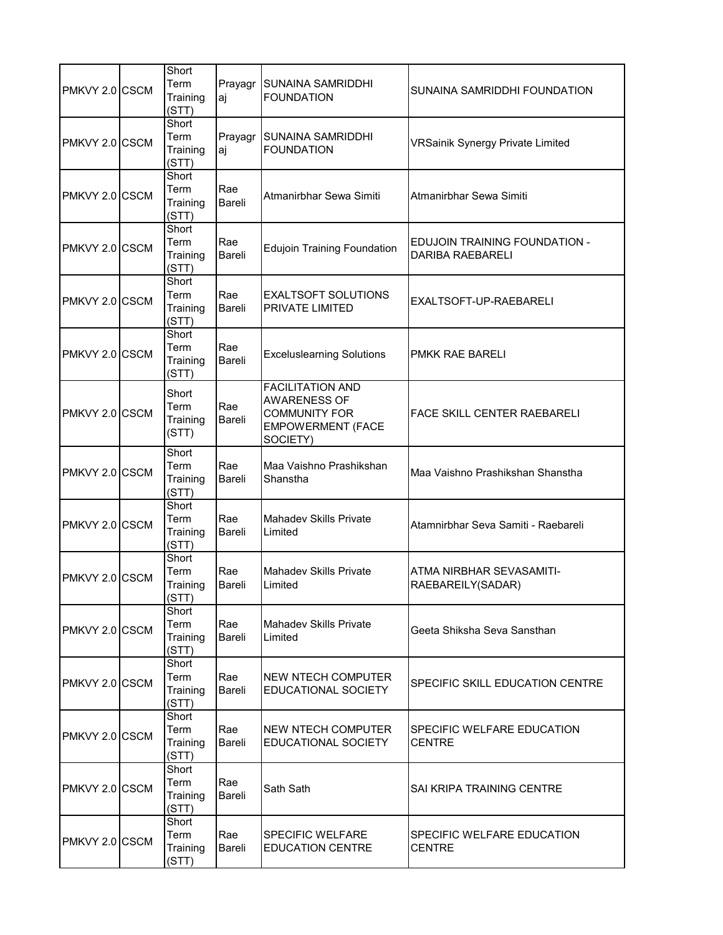| PMKVY 2.0 CSCM | Short<br>Term<br>Training<br>(STT) | Prayagr<br>aj        | <b>SUNAINA SAMRIDDHI</b><br><b>FOUNDATION</b>                                                                  | SUNAINA SAMRIDDHI FOUNDATION                             |
|----------------|------------------------------------|----------------------|----------------------------------------------------------------------------------------------------------------|----------------------------------------------------------|
| PMKVY 2.0 CSCM | Short<br>Term<br>Training<br>(STT) | Prayagr<br>aj        | <b>SUNAINA SAMRIDDHI</b><br><b>FOUNDATION</b>                                                                  | <b>VRSainik Synergy Private Limited</b>                  |
| PMKVY 2.0 CSCM | Short<br>Term<br>Training<br>(STT) | Rae<br><b>Bareli</b> | Atmanirbhar Sewa Simiti                                                                                        | Atmanirbhar Sewa Simiti                                  |
| PMKVY 2.0 CSCM | Short<br>Term<br>Training<br>(STT) | Rae<br>Bareli        | <b>Edujoin Training Foundation</b>                                                                             | EDUJOIN TRAINING FOUNDATION -<br><b>DARIBA RAEBARELI</b> |
| PMKVY 2.0 CSCM | Short<br>Term<br>Training<br>(STT) | Rae<br>Bareli        | <b>EXALTSOFT SOLUTIONS</b><br>PRIVATE LIMITED                                                                  | EXALTSOFT-UP-RAEBARELI                                   |
| PMKVY 2.0 CSCM | Short<br>Term<br>Training<br>(STT) | Rae<br>Bareli        | <b>Exceluslearning Solutions</b>                                                                               | PMKK RAE BARELI                                          |
| PMKVY 2.0 CSCM | Short<br>Term<br>Training<br>(STT) | Rae<br>Bareli        | <b>FACILITATION AND</b><br><b>AWARENESS OF</b><br><b>COMMUNITY FOR</b><br><b>EMPOWERMENT (FACE</b><br>SOCIETY) | <b>FACE SKILL CENTER RAEBARELI</b>                       |
| PMKVY 2.0 CSCM | Short<br>Term<br>Training<br>(STT) | Rae<br>Bareli        | Maa Vaishno Prashikshan<br>Shanstha                                                                            | Maa Vaishno Prashikshan Shanstha                         |
| PMKVY 2.0 CSCM | Short<br>Term<br>Training<br>(STT) | Rae<br>Bareli        | <b>Mahadev Skills Private</b><br>Limited                                                                       | Atamnirbhar Seva Samiti - Raebareli                      |
| PMKVY 2.0 CSCM | Short<br>Term<br>Training<br>(STT) | Rae<br>Bareli        | <b>Mahadev Skills Private</b><br>Limited                                                                       | ATMA NIRBHAR SEVASAMITI-<br>RAEBAREILY(SADAR)            |
| PMKVY 2.0 CSCM | Short<br>Term<br>Training<br>(STT) | Rae<br>Bareli        | <b>Mahadev Skills Private</b><br>Limited                                                                       | Geeta Shiksha Seva Sansthan                              |
| PMKVY 2.0 CSCM | Short<br>Term<br>Training<br>(STT) | Rae<br>Bareli        | NEW NTECH COMPUTER<br>EDUCATIONAL SOCIETY                                                                      | SPECIFIC SKILL EDUCATION CENTRE                          |
| PMKVY 2.0 CSCM | Short<br>Term<br>Training<br>(STT) | Rae<br>Bareli        | NEW NTECH COMPUTER<br>EDUCATIONAL SOCIETY                                                                      | SPECIFIC WELFARE EDUCATION<br><b>CENTRE</b>              |
| PMKVY 2.0 CSCM | Short<br>Term<br>Training<br>(STT) | Rae<br>Bareli        | Sath Sath                                                                                                      | SAI KRIPA TRAINING CENTRE                                |
| PMKVY 2.0 CSCM | Short<br>Term<br>Training<br>(STT) | Rae<br>Bareli        | SPECIFIC WELFARE<br><b>EDUCATION CENTRE</b>                                                                    | SPECIFIC WELFARE EDUCATION<br><b>CENTRE</b>              |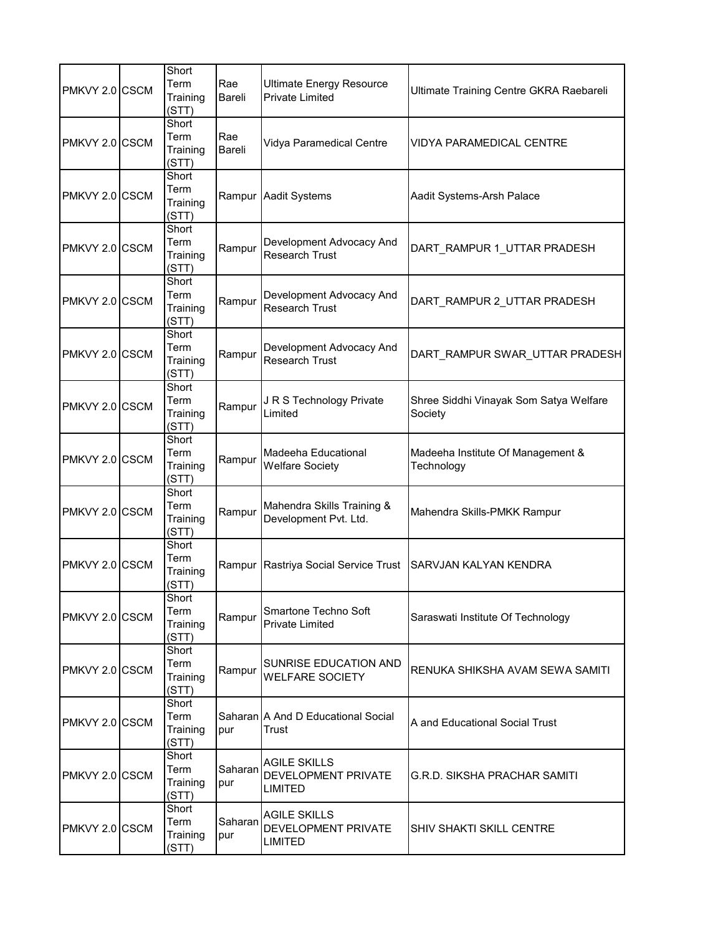| PMKVY 2.0 CSCM  | Short<br>Term<br>Training<br>(STT) | Rae<br>Bareli  | <b>Ultimate Energy Resource</b><br><b>Private Limited</b>    | Ultimate Training Centre GKRA Raebareli           |
|-----------------|------------------------------------|----------------|--------------------------------------------------------------|---------------------------------------------------|
| PMKVY 2.0 CSCM  | Short<br>Term<br>Training<br>(STT) | Rae<br>Bareli  | Vidya Paramedical Centre                                     | <b>VIDYA PARAMEDICAL CENTRE</b>                   |
| PMKVY 2.0 CSCM  | Short<br>Term<br>Training<br>(STT) | Rampur         | <b>Aadit Systems</b>                                         | Aadit Systems-Arsh Palace                         |
| PMKVY 2.0 CSCM  | Short<br>Term<br>Training<br>(STT) | Rampur         | Development Advocacy And<br><b>Research Trust</b>            | DART_RAMPUR 1_UTTAR PRADESH                       |
| PMKVY 2.0 ICSCM | Short<br>Term<br>Training<br>(STT) | Rampur         | Development Advocacy And<br><b>Research Trust</b>            | DART_RAMPUR 2_UTTAR PRADESH                       |
| PMKVY 2.0 CSCM  | Short<br>Term<br>Training<br>(STT) | Rampur         | Development Advocacy And<br><b>Research Trust</b>            | DART RAMPUR SWAR_UTTAR PRADESH                    |
| PMKVY 2.0 CSCM  | Short<br>Term<br>Training<br>(STT) | Rampur         | J R S Technology Private<br>Limited                          | Shree Siddhi Vinayak Som Satya Welfare<br>Society |
| PMKVY 2.0 CSCM  | Short<br>Term<br>Training<br>(STT) | Rampur         | Madeeha Educational<br><b>Welfare Society</b>                | Madeeha Institute Of Management &<br>Technology   |
| PMKVY 2.0 CSCM  | Short<br>Term<br>Training<br>(STT) | Rampur         | Mahendra Skills Training &<br>Development Pvt. Ltd.          | Mahendra Skills-PMKK Rampur                       |
| PMKVY 2.0 CSCM  | Short<br>Term<br>Training<br>(STT) | Rampur         | Rastriya Social Service Trust                                | SARVJAN KALYAN KENDRA                             |
| PMKVY 2.0 CSCM  | Short<br>Term<br>Training<br>(STT) | Rampur         | Smartone Techno Soft<br><b>Private Limited</b>               | Saraswati Institute Of Technology                 |
| PMKVY 2.0 CSCM  | Short<br>Term<br>Training<br>(STT) | Rampur         | SUNRISE EDUCATION AND<br><b>WELFARE SOCIETY</b>              | RENUKA SHIKSHA AVAM SEWA SAMITI                   |
| PMKVY 2.0 CSCM  | Short<br>Term<br>Training<br>(STT) | pur            | Saharan A And D Educational Social<br>Trust                  | A and Educational Social Trust                    |
| PMKVY 2.0 CSCM  | Short<br>Term<br>Training<br>(STT) | Saharan<br>pur | <b>AGILE SKILLS</b><br>DEVELOPMENT PRIVATE<br><b>LIMITED</b> | <b>G.R.D. SIKSHA PRACHAR SAMITI</b>               |
| PMKVY 2.0 CSCM  | Short<br>Term<br>Training<br>(STT) | Saharan<br>pur | AGILE SKILLS<br>DEVELOPMENT PRIVATE<br><b>LIMITED</b>        | <b>SHIV SHAKTI SKILL CENTRE</b>                   |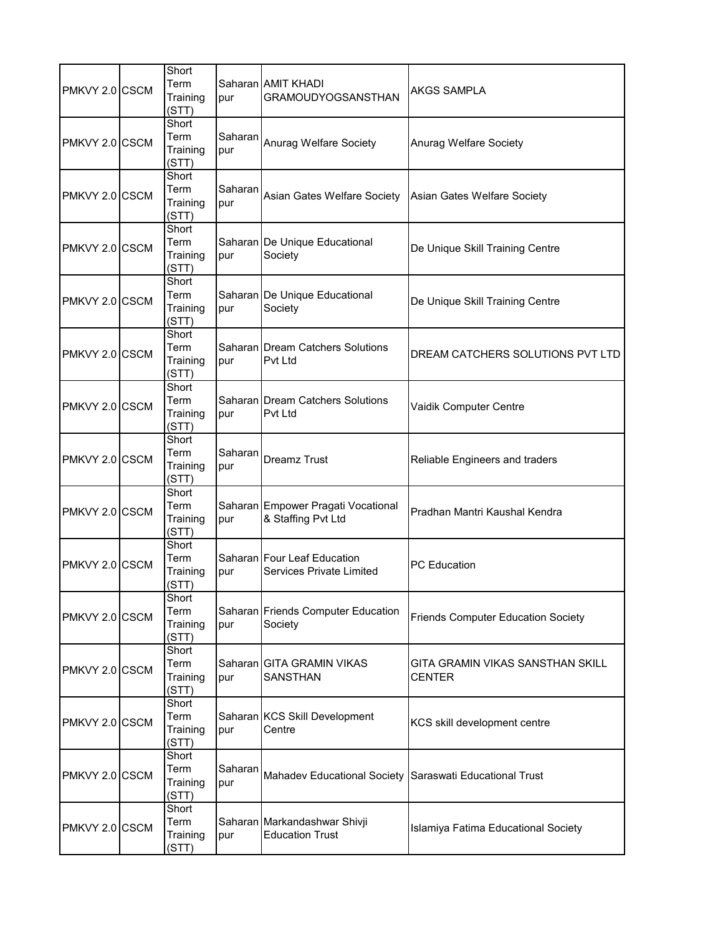| PMKVY 2.0 CSCM  | Short<br>Term<br>Training<br>(STT) | pur            | Saharan AMIT KHADI<br><b>GRAMOUDYOGSANSTHAN</b>                | <b>AKGS SAMPLA</b>                                |
|-----------------|------------------------------------|----------------|----------------------------------------------------------------|---------------------------------------------------|
| PMKVY 2.0 CSCM  | Short<br>Term<br>Training<br>(STT) | Saharan<br>pur | Anurag Welfare Society                                         | Anurag Welfare Society                            |
| PMKVY 2.0 CSCM  | Short<br>Term<br>Training<br>(STT) | Saharan<br>pur | Asian Gates Welfare Society                                    | Asian Gates Welfare Society                       |
| PMKVY 2.0 CSCM  | Short<br>Term<br>Training<br>(STT) | pur            | Saharan De Unique Educational<br>Society                       | De Unique Skill Training Centre                   |
| PMKVY 2.0 ICSCM | Short<br>Term<br>Training<br>(STT) | pur            | Saharan De Unique Educational<br>Society                       | De Unique Skill Training Centre                   |
| PMKVY 2.0 CSCM  | Short<br>Term<br>Training<br>(STT) | pur            | Saharan Dream Catchers Solutions<br><b>Pvt Ltd</b>             | DREAM CATCHERS SOLUTIONS PVT LTD                  |
| PMKVY 2.0 CSCM  | Short<br>Term<br>Training<br>(STT) | pur            | Saharan Dream Catchers Solutions<br>Pvt Ltd                    | Vaidik Computer Centre                            |
| PMKVY 2.0 CSCM  | Short<br>Term<br>Training<br>(STT) | Saharan<br>pur | <b>Dreamz Trust</b>                                            | Reliable Engineers and traders                    |
| PMKVY 2.0 CSCM  | Short<br>Term<br>Training<br>(STT) | pur            | Saharan Empower Pragati Vocational<br>& Staffing Pvt Ltd       | Pradhan Mantri Kaushal Kendra                     |
| PMKVY 2.0 CSCM  | Short<br>Term<br>Training<br>(STT) | pur            | Saharan Four Leaf Education<br><b>Services Private Limited</b> | <b>PC</b> Education                               |
| PMKVY 2.0 CSCM  | Short<br>Term<br>Training<br>(STT) | pur            | Saharan Friends Computer Education<br>Society                  | <b>Friends Computer Education Society</b>         |
| PMKVY 2.0 CSCM  | Short<br>Term<br>Training<br>(STT) | pur            | Saharan GITA GRAMIN VIKAS<br><b>SANSTHAN</b>                   | GITA GRAMIN VIKAS SANSTHAN SKILL<br><b>CENTER</b> |
| PMKVY 2.0 CSCM  | Short<br>Term<br>Training<br>(STT) | pur            | Saharan KCS Skill Development<br>Centre                        | KCS skill development centre                      |
| PMKVY 2.0 CSCM  | Short<br>Term<br>Training<br>(STT) | Saharan<br>pur | Mahadev Educational Society Saraswati Educational Trust        |                                                   |
| PMKVY 2.0 CSCM  | Short<br>Term<br>Training<br>(STT) | pur            | Saharan Markandashwar Shivji<br><b>Education Trust</b>         | Islamiya Fatima Educational Society               |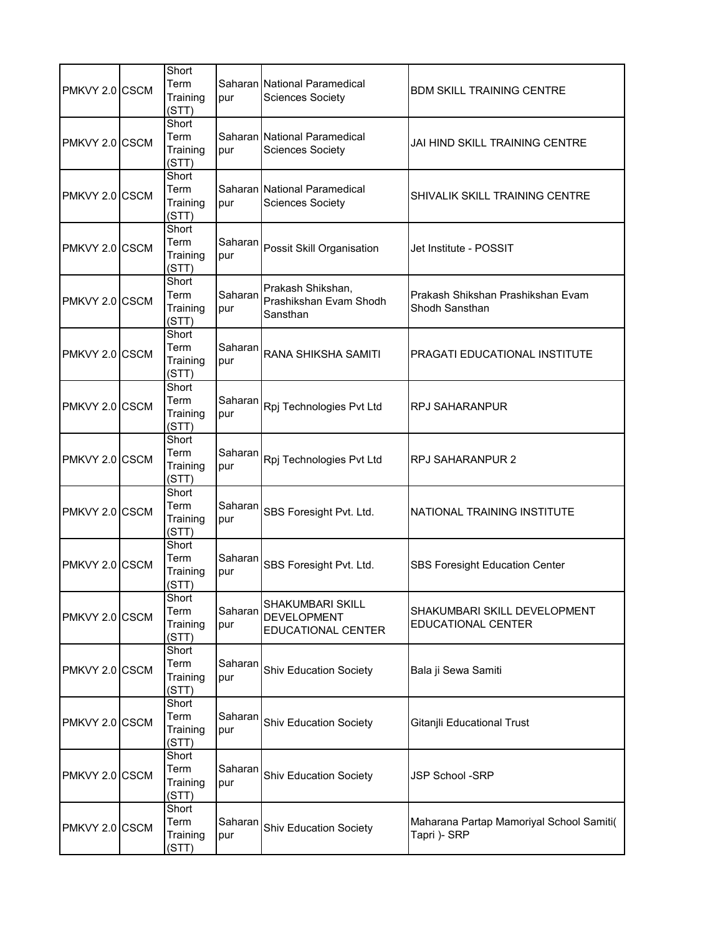| PMKVY 2.0 CSCM | Short<br>Term<br>Training<br>(STT) | pur            | Saharan National Paramedical<br><b>Sciences Society</b>             | BDM SKILL TRAINING CENTRE                                 |
|----------------|------------------------------------|----------------|---------------------------------------------------------------------|-----------------------------------------------------------|
| PMKVY 2.0 CSCM | Short<br>Term<br>Training<br>(STT) | pur            | Saharan National Paramedical<br><b>Sciences Society</b>             | JAI HIND SKILL TRAINING CENTRE                            |
| PMKVY 2.0 CSCM | Short<br>Term<br>Training<br>(STT) | pur            | Saharan National Paramedical<br><b>Sciences Society</b>             | SHIVALIK SKILL TRAINING CENTRE                            |
| PMKVY 2.0 CSCM | Short<br>Term<br>Training<br>(STT) | Saharan<br>pur | Possit Skill Organisation                                           | Jet Institute - POSSIT                                    |
| PMKVY 2.0 CSCM | Short<br>Term<br>Training<br>(STT) | Saharan<br>pur | Prakash Shikshan,<br>Prashikshan Evam Shodh<br>Sansthan             | Prakash Shikshan Prashikshan Evam<br>Shodh Sansthan       |
| PMKVY 2.0 CSCM | Short<br>Term<br>Training<br>(STT) | Saharan<br>pur | RANA SHIKSHA SAMITI                                                 | PRAGATI EDUCATIONAL INSTITUTE                             |
| PMKVY 2.0 CSCM | Short<br>Term<br>Training<br>(STT) | Saharan<br>pur | Rpj Technologies Pvt Ltd                                            | <b>RPJ SAHARANPUR</b>                                     |
| PMKVY 2.0 CSCM | Short<br>Term<br>Training<br>(STT) | Saharan<br>pur | Rpj Technologies Pvt Ltd                                            | RPJ SAHARANPUR 2                                          |
| PMKVY 2.0 CSCM | Short<br>Term<br>Training<br>(STT) | Saharan<br>pur | SBS Foresight Pvt. Ltd.                                             | NATIONAL TRAINING INSTITUTE                               |
| PMKVY 2.0 CSCM | Short<br>Term<br>Training<br>(STT) | Saharan<br>pur | SBS Foresight Pvt. Ltd.                                             | SBS Foresight Education Center                            |
| PMKVY 2.0 CSCM | Short<br>Term<br>Training<br>(STT) | Saharan<br>pur | <b>SHAKUMBARI SKILL</b><br><b>DEVELOPMENT</b><br>EDUCATIONAL CENTER | SHAKUMBARI SKILL DEVELOPMENT<br><b>EDUCATIONAL CENTER</b> |
| PMKVY 2.0 CSCM | Short<br>Term<br>Training<br>(STT) | Saharan<br>pur | <b>Shiv Education Society</b>                                       | Bala ji Sewa Samiti                                       |
| PMKVY 2.0 CSCM | Short<br>Term<br>Training<br>(STT) | Saharan<br>pur | <b>Shiv Education Society</b>                                       | Gitanjli Educational Trust                                |
| PMKVY 2.0 CSCM | Short<br>Term<br>Training<br>(STT) | Saharan<br>pur | <b>Shiv Education Society</b>                                       | JSP School -SRP                                           |
| PMKVY 2.0 CSCM | Short<br>Term<br>Training<br>(STT) | Saharan<br>pur | <b>Shiv Education Society</b>                                       | Maharana Partap Mamoriyal School Samiti(<br>Tapri )- SRP  |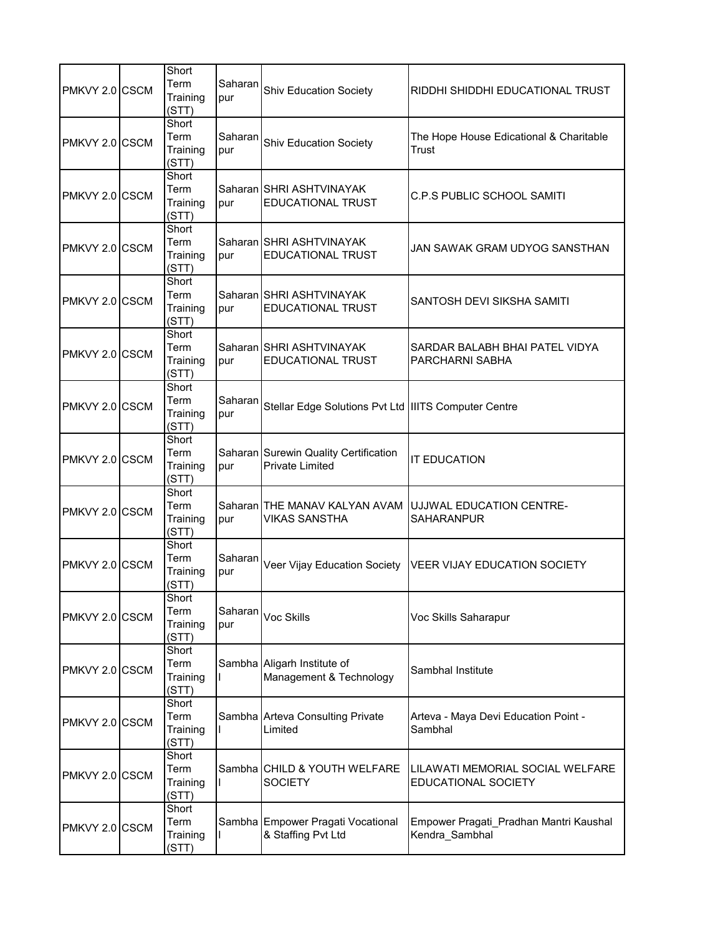| PMKVY 2.0 CSCM | Short<br>Term<br>Training<br>(STT) | Saharan<br>pur | Shiv Education Society                                          | RIDDHI SHIDDHI EDUCATIONAL TRUST                         |
|----------------|------------------------------------|----------------|-----------------------------------------------------------------|----------------------------------------------------------|
| PMKVY 2.0 CSCM | Short<br>Term<br>Training<br>(STT) | Saharan<br>pur | <b>Shiv Education Society</b>                                   | The Hope House Edicational & Charitable<br>Trust         |
| PMKVY 2.0 CSCM | Short<br>Term<br>Training<br>(STT) | pur            | Saharan SHRI ASHTVINAYAK<br><b>EDUCATIONAL TRUST</b>            | <b>C.P.S PUBLIC SCHOOL SAMITI</b>                        |
| PMKVY 2.0 CSCM | Short<br>Term<br>Training<br>(STT) | pur            | Saharan SHRI ASHTVINAYAK<br><b>EDUCATIONAL TRUST</b>            | JAN SAWAK GRAM UDYOG SANSTHAN                            |
| PMKVY 2.0 CSCM | Short<br>Term<br>Training<br>(STT) | pur            | Saharan SHRI ASHTVINAYAK<br><b>EDUCATIONAL TRUST</b>            | SANTOSH DEVI SIKSHA SAMITI                               |
| PMKVY 2.0 CSCM | Short<br>Term<br>Training<br>(STT) | pur            | Saharan SHRI ASHTVINAYAK<br><b>EDUCATIONAL TRUST</b>            | SARDAR BALABH BHAI PATEL VIDYA<br><b>PARCHARNI SABHA</b> |
| PMKVY 2.0 CSCM | Short<br>Term<br>Training<br>(STT) | Saharan<br>pur | Stellar Edge Solutions Pvt Ltd   IIITS Computer Centre          |                                                          |
| PMKVY 2.0 CSCM | Short<br>Term<br>Training<br>(STT) | pur            | Saharan Surewin Quality Certification<br><b>Private Limited</b> | <b>IT EDUCATION</b>                                      |
| PMKVY 2.0 CSCM | Short<br>Term<br>Training<br>(STT) | pur            | Saharan THE MANAV KALYAN AVAM<br><b>VIKAS SANSTHA</b>           | UJJWAL EDUCATION CENTRE-<br><b>SAHARANPUR</b>            |
| PMKVY 2.0 CSCM | Short<br>Term<br>Training<br>(STT) | pur            | Saharan Veer Vijay Education Society                            | <b>VEER VIJAY EDUCATION SOCIETY</b>                      |
| PMKVY 2.0 CSCM | Short<br>Term<br>Training<br>(STT) | Saharan<br>pur | Voc Skills                                                      | Voc Skills Saharapur                                     |
| PMKVY 2.0 CSCM | Short<br>Term<br>Training<br>(STT) |                | Sambha Aligarh Institute of<br>Management & Technology          | Sambhal Institute                                        |
| PMKVY 2.0 CSCM | Short<br>Term<br>Training<br>(STT) |                | Sambha Arteva Consulting Private<br>Limited                     | Arteva - Maya Devi Education Point -<br>Sambhal          |
| PMKVY 2.0 CSCM | Short<br>Term<br>Training<br>(STT) |                | Sambha CHILD & YOUTH WELFARE<br><b>SOCIETY</b>                  | LILAWATI MEMORIAL SOCIAL WELFARE<br>EDUCATIONAL SOCIETY  |
| PMKVY 2.0 CSCM | Short<br>Term<br>Training<br>(STT) |                | Sambha Empower Pragati Vocational<br>& Staffing Pvt Ltd         | Empower Pragati_Pradhan Mantri Kaushal<br>Kendra Sambhal |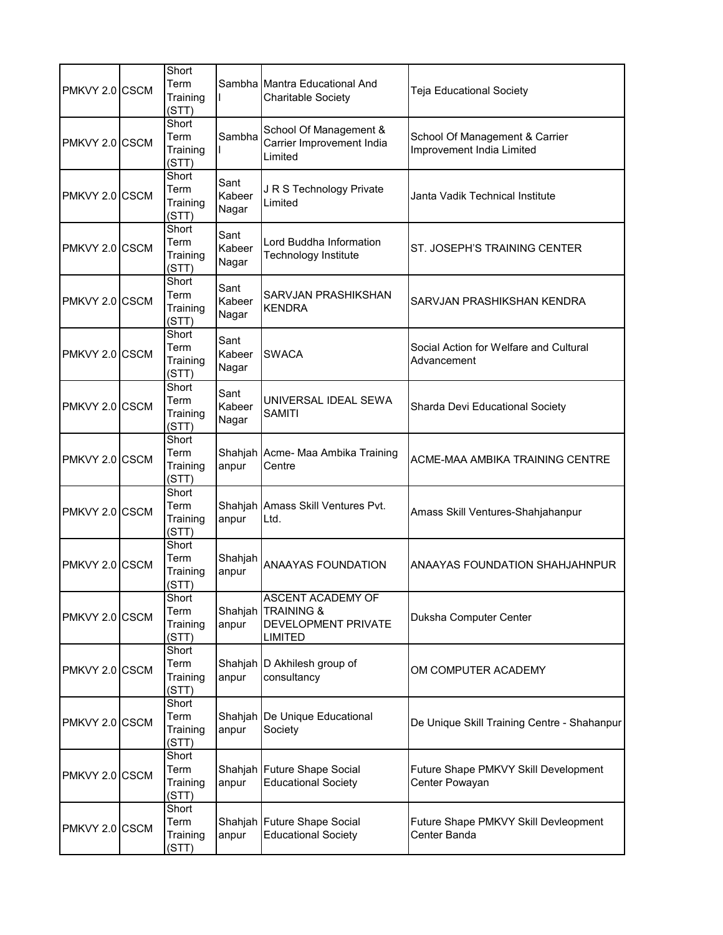| PMKVY 2.0 CSCM | Short<br>Term<br>Training<br>(STT) |                         | Sambha Mantra Educational And<br><b>Charitable Society</b>                | Teja Educational Society                                    |
|----------------|------------------------------------|-------------------------|---------------------------------------------------------------------------|-------------------------------------------------------------|
| PMKVY 2.0 CSCM | Short<br>Term<br>Training<br>(STT) | Sambha                  | School Of Management &<br>Carrier Improvement India<br>Limited            | School Of Management & Carrier<br>Improvement India Limited |
| PMKVY 2.0 CSCM | Short<br>Term<br>Training<br>(STT) | Sant<br>Kabeer<br>Nagar | J R S Technology Private<br>Limited                                       | Janta Vadik Technical Institute                             |
| PMKVY 2.0 CSCM | Short<br>Term<br>Training<br>(STT) | Sant<br>Kabeer<br>Nagar | Lord Buddha Information<br>Technology Institute                           | ST. JOSEPH'S TRAINING CENTER                                |
| PMKVY 2.0 CSCM | Short<br>Term<br>Training<br>(STT) | Sant<br>Kabeer<br>Nagar | SARVJAN PRASHIKSHAN<br><b>KENDRA</b>                                      | SARVJAN PRASHIKSHAN KENDRA                                  |
| PMKVY 2.0 CSCM | Short<br>Term<br>Training<br>(STT) | Sant<br>Kabeer<br>Nagar | <b>SWACA</b>                                                              | Social Action for Welfare and Cultural<br>Advancement       |
| PMKVY 2.0 CSCM | Short<br>Term<br>Training<br>(STT) | Sant<br>Kabeer<br>Nagar | UNIVERSAL IDEAL SEWA<br><b>SAMITI</b>                                     | Sharda Devi Educational Society                             |
| PMKVY 2.0 CSCM | Short<br>Term<br>Training<br>(STT) | anpur                   | Shahjah Acme- Maa Ambika Training<br>Centre                               | ACME-MAA AMBIKA TRAINING CENTRE                             |
| PMKVY 2.0 CSCM | Short<br>Term<br>Training<br>(STT) | anpur                   | Shahjah Amass Skill Ventures Pvt.<br>Ltd.                                 | Amass Skill Ventures-Shahjahanpur                           |
| PMKVY 2.0 CSCM | Short<br>Term<br>Training<br>(STT) | Shahjah<br>anpur        | <b>ANAAYAS FOUNDATION</b>                                                 | ANAAYAS FOUNDATION SHAHJAHNPUR                              |
| PMKVY 2.0 CSCM | Short<br>Term<br>Training<br>(STT) | anpur                   | ASCENT ACADEMY OF<br>Shahjah TRAINING &<br>DEVELOPMENT PRIVATE<br>LIMITED | Duksha Computer Center                                      |
| PMKVY 2.0 CSCM | Short<br>Term<br>Training<br>(STT) | anpur                   | Shahjah D Akhilesh group of<br>consultancy                                | OM COMPUTER ACADEMY                                         |
| PMKVY 2.0 CSCM | Short<br>Term<br>Training<br>(STT) | anpur                   | Shahjah De Unique Educational<br>Society                                  | De Unique Skill Training Centre - Shahanpur                 |
| PMKVY 2.0 CSCM | Short<br>Term<br>Training<br>(STT) | anpur                   | Shahjah Future Shape Social<br><b>Educational Society</b>                 | Future Shape PMKVY Skill Development<br>Center Powayan      |
| PMKVY 2.0 CSCM | Short<br>Term<br>Training<br>(STT) | anpur                   | Shahjah Future Shape Social<br><b>Educational Society</b>                 | Future Shape PMKVY Skill Devleopment<br>Center Banda        |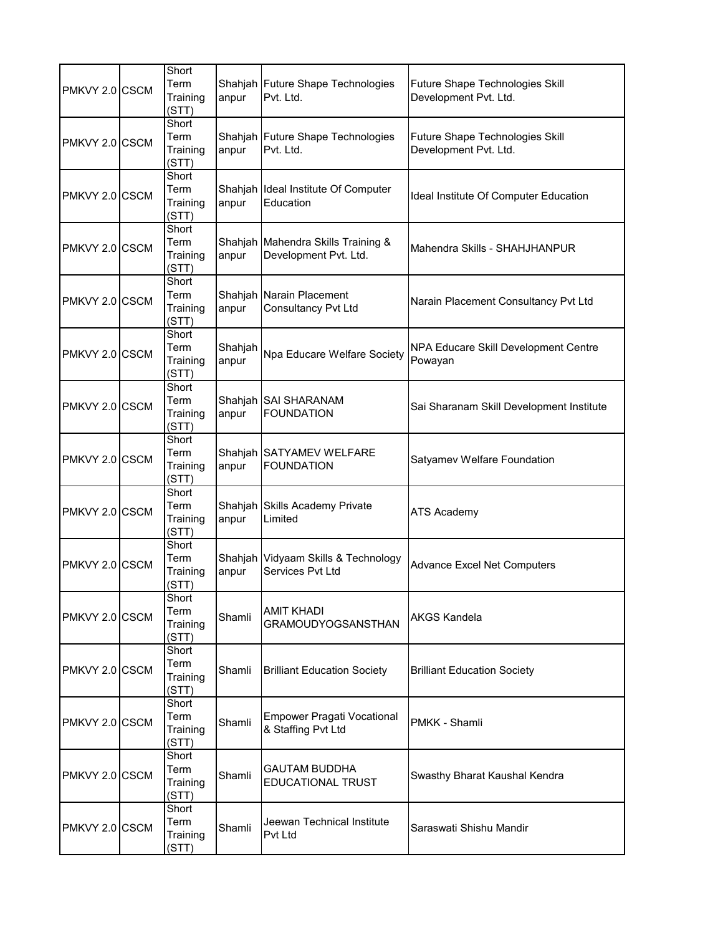| PMKVY 2.0 CSCM | Short<br>Term<br>Training<br>(STT) | anpur            | Shahjah Future Shape Technologies<br>Pvt. Ltd.              | Future Shape Technologies Skill<br>Development Pvt. Ltd. |
|----------------|------------------------------------|------------------|-------------------------------------------------------------|----------------------------------------------------------|
| PMKVY 2.0 CSCM | Short<br>Term<br>Training<br>(STT) | anpur            | Shahjah Future Shape Technologies<br>Pvt. Ltd.              | Future Shape Technologies Skill<br>Development Pvt. Ltd. |
| PMKVY 2.0 CSCM | Short<br>Term<br>Training<br>(STT) | anpur            | Shahjah Ideal Institute Of Computer<br>Education            | Ideal Institute Of Computer Education                    |
| PMKVY 2.0 CSCM | Short<br>Term<br>Training<br>(STT) | anpur            | Shahjah Mahendra Skills Training &<br>Development Pvt. Ltd. | Mahendra Skills - SHAHJHANPUR                            |
| PMKVY 2.0 CSCM | Short<br>Term<br>Training<br>(STT) | Shahjah<br>anpur | Narain Placement<br>Consultancy Pvt Ltd                     | Narain Placement Consultancy Pvt Ltd                     |
| PMKVY 2.0 CSCM | Short<br>Term<br>Training<br>(STT) | Shahjah<br>anpur | Npa Educare Welfare Society                                 | NPA Educare Skill Development Centre<br>Powayan          |
| PMKVY 2.0 CSCM | Short<br>Term<br>Training<br>(STT) | anpur            | Shahjah SAI SHARANAM<br><b>FOUNDATION</b>                   | Sai Sharanam Skill Development Institute                 |
| PMKVY 2.0 CSCM | Short<br>Term<br>Training<br>(STT) | anpur            | Shahjah SATYAMEV WELFARE<br><b>FOUNDATION</b>               | Satyamev Welfare Foundation                              |
| PMKVY 2.0 CSCM | Short<br>Term<br>Training<br>(STT) | Shahjah<br>anpur | Skills Academy Private<br>Limited                           | <b>ATS Academy</b>                                       |
| PMKVY 2.0 CSCM | Short<br>Term<br>Training<br>(STT) | Shahjah<br>anpur | Vidyaam Skills & Technology<br>Services Pvt Ltd             | <b>Advance Excel Net Computers</b>                       |
| PMKVY 2.0 CSCM | Short<br>Term<br>Training<br>(STT) | Shamli           | <b>AMIT KHADI</b><br><b>GRAMOUDYOGSANSTHAN</b>              | <b>AKGS Kandela</b>                                      |
| PMKVY 2.0 CSCM | Short<br>Term<br>Training<br>(STT) | Shamli           | <b>Brilliant Education Society</b>                          | <b>Brilliant Education Society</b>                       |
| PMKVY 2.0 CSCM | Short<br>Term<br>Training<br>(STT) | Shamli           | <b>Empower Pragati Vocational</b><br>& Staffing Pvt Ltd     | PMKK - Shamli                                            |
| PMKVY 2.0 CSCM | Short<br>Term<br>Training<br>(STT) | Shamli           | <b>GAUTAM BUDDHA</b><br>EDUCATIONAL TRUST                   | Swasthy Bharat Kaushal Kendra                            |
| PMKVY 2.0 CSCM | Short<br>Term<br>Training<br>(STT) | Shamli           | Jeewan Technical Institute<br>Pvt Ltd                       | Saraswati Shishu Mandir                                  |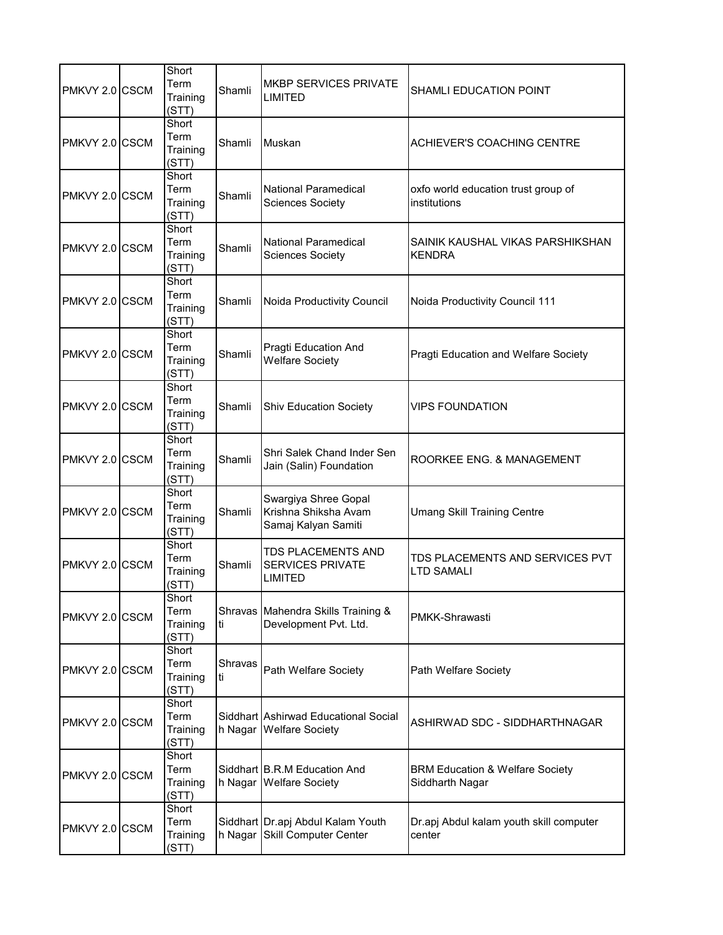| PMKVY 2.0 CSCM | Short<br>Term<br>Training<br>(STT) | Shamli        | <b>MKBP SERVICES PRIVATE</b><br>LIMITED                             | SHAMLI EDUCATION POINT                                        |
|----------------|------------------------------------|---------------|---------------------------------------------------------------------|---------------------------------------------------------------|
| PMKVY 2.0 CSCM | Short<br>Term<br>Training<br>(STT) | Shamli        | Muskan                                                              | <b>ACHIEVER'S COACHING CENTRE</b>                             |
| PMKVY 2.0 CSCM | Short<br>Term<br>Training<br>(STT) | Shamli        | <b>National Paramedical</b><br><b>Sciences Society</b>              | oxfo world education trust group of<br>institutions           |
| PMKVY 2.0 CSCM | Short<br>Term<br>Training<br>(STT) | Shamli        | <b>National Paramedical</b><br><b>Sciences Society</b>              | SAINIK KAUSHAL VIKAS PARSHIKSHAN<br><b>KENDRA</b>             |
| PMKVY 2.0 CSCM | Short<br>Term<br>Training<br>(STT) | Shamli        | Noida Productivity Council                                          | Noida Productivity Council 111                                |
| PMKVY 2.0 CSCM | Short<br>Term<br>Training<br>(STT) | Shamli        | Pragti Education And<br><b>Welfare Society</b>                      | Pragti Education and Welfare Society                          |
| PMKVY 2.0 CSCM | Short<br>Term<br>Training<br>(STT) | Shamli        | <b>Shiv Education Society</b>                                       | <b>VIPS FOUNDATION</b>                                        |
| PMKVY 2.0 CSCM | Short<br>Term<br>Training<br>(STT) | Shamli        | Shri Salek Chand Inder Sen<br>Jain (Salin) Foundation               | ROORKEE ENG. & MANAGEMENT                                     |
| PMKVY 2.0 CSCM | Short<br>Term<br>Training<br>(STT) | Shamli        | Swargiya Shree Gopal<br>Krishna Shiksha Avam<br>Samaj Kalyan Samiti | <b>Umang Skill Training Centre</b>                            |
| PMKVY 2.0 CSCM | Short<br>Term<br>Training<br>(STT) | Shamli        | TDS PLACEMENTS AND<br><b>SERVICES PRIVATE</b><br>LIMITED            | TDS PLACEMENTS AND SERVICES PVT<br>LTD SAMALI                 |
| PMKVY 2.0 CSCM | Short<br>Term<br>Training<br>(STT) | ti            | Shravas Mahendra Skills Training &<br>Development Pvt. Ltd.         | PMKK-Shrawasti                                                |
| PMKVY 2.0 CSCM | Short<br>Term<br>Training<br>(STT) | Shravas<br>ti | Path Welfare Society                                                | Path Welfare Society                                          |
| PMKVY 2.0 CSCM | Short<br>Term<br>Training<br>(STT) |               | Siddhart Ashirwad Educational Social<br>h Nagar Welfare Society     | ASHIRWAD SDC - SIDDHARTHNAGAR                                 |
| PMKVY 2.0 CSCM | Short<br>Term<br>Training<br>(STT) |               | Siddhart B.R.M Education And<br>h Nagar Welfare Society             | <b>BRM Education &amp; Welfare Society</b><br>Siddharth Nagar |
| PMKVY 2.0 CSCM | Short<br>Term<br>Training<br>(STT) | h Nagar       | Siddhart Dr.apj Abdul Kalam Youth<br><b>Skill Computer Center</b>   | Dr.apj Abdul kalam youth skill computer<br>center             |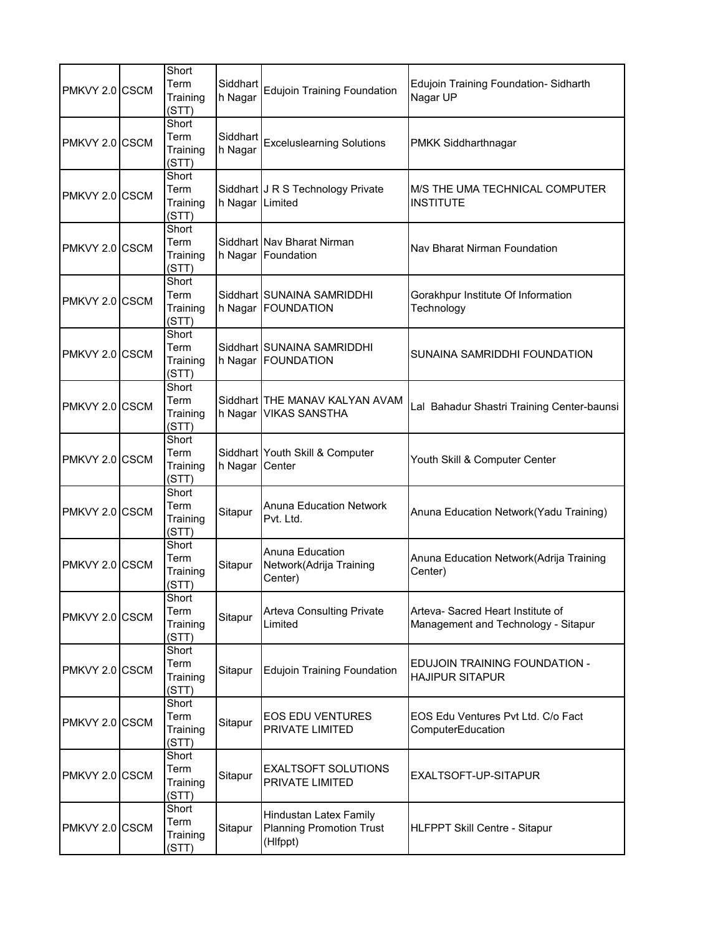| PMKVY 2.0 CSCM | Short<br>Term<br>Training<br>(STT) | Siddhart<br>h Nagar | <b>Edujoin Training Foundation</b>                                    | Edujoin Training Foundation-Sidharth<br>Nagar UP                         |
|----------------|------------------------------------|---------------------|-----------------------------------------------------------------------|--------------------------------------------------------------------------|
| PMKVY 2.0 CSCM | Short<br>Term<br>Training<br>(STT) | Siddhart<br>h Nagar | <b>Exceluslearning Solutions</b>                                      | PMKK Siddharthnagar                                                      |
| PMKVY 2.0 CSCM | Short<br>Term<br>Training<br>(STT) | h Nagar Limited     | Siddhart J R S Technology Private                                     | M/S THE UMA TECHNICAL COMPUTER<br><b>INSTITUTE</b>                       |
| PMKVY 2.0 CSCM | Short<br>Term<br>Training<br>(STT) |                     | Siddhart Nav Bharat Nirman<br>h Nagar Foundation                      | Nav Bharat Nirman Foundation                                             |
| PMKVY 2.0 CSCM | Short<br>Term<br>Training<br>(STT) | h Nagar             | Siddhart SUNAINA SAMRIDDHI<br><b>FOUNDATION</b>                       | Gorakhpur Institute Of Information<br>Technology                         |
| PMKVY 2.0 CSCM | Short<br>Term<br>Training<br>(STT) |                     | Siddhart SUNAINA SAMRIDDHI<br>h Nagar FOUNDATION                      | SUNAINA SAMRIDDHI FOUNDATION                                             |
| PMKVY 2.0 CSCM | Short<br>Term<br>Training<br>(STT) | h Nagar             | Siddhart THE MANAV KALYAN AVAM<br><b>VIKAS SANSTHA</b>                | Lal Bahadur Shastri Training Center-baunsi                               |
| PMKVY 2.0 CSCM | Short<br>Term<br>Training<br>(STT) | h Nagar             | Siddhart Youth Skill & Computer<br>Center                             | Youth Skill & Computer Center                                            |
| PMKVY 2.0 CSCM | Short<br>Term<br>Training<br>(STT) | Sitapur             | <b>Anuna Education Network</b><br>Pvt. Ltd.                           | Anuna Education Network(Yadu Training)                                   |
| PMKVY 2.0 CSCM | Short<br>Term<br>Training<br>(STT) | Sitapur             | Anuna Education<br>Network(Adrija Training<br>Center)                 | Anuna Education Network (Adrija Training<br>Center)                      |
| PMKVY 2.0 CSCM | Short<br>Term<br>Training<br>(STT) | Sitapur             | <b>Arteva Consulting Private</b><br>Limited                           | Arteva- Sacred Heart Institute of<br>Management and Technology - Sitapur |
| PMKVY 2.0 CSCM | Short<br>Term<br>Training<br>(STT) | Sitapur             | <b>Edujoin Training Foundation</b>                                    | EDUJOIN TRAINING FOUNDATION -<br><b>HAJIPUR SITAPUR</b>                  |
| PMKVY 2.0 CSCM | Short<br>Term<br>Training<br>(STT) | Sitapur             | <b>EOS EDU VENTURES</b><br><b>PRIVATE LIMITED</b>                     | EOS Edu Ventures Pvt Ltd. C/o Fact<br>ComputerEducation                  |
| PMKVY 2.0 CSCM | Short<br>Term<br>Training<br>(STT) | Sitapur             | <b>EXALTSOFT SOLUTIONS</b><br><b>PRIVATE LIMITED</b>                  | EXALTSOFT-UP-SITAPUR                                                     |
| PMKVY 2.0 CSCM | Short<br>Term<br>Training<br>(STT) | Sitapur             | Hindustan Latex Family<br><b>Planning Promotion Trust</b><br>(Hlfppt) | HLFPPT Skill Centre - Sitapur                                            |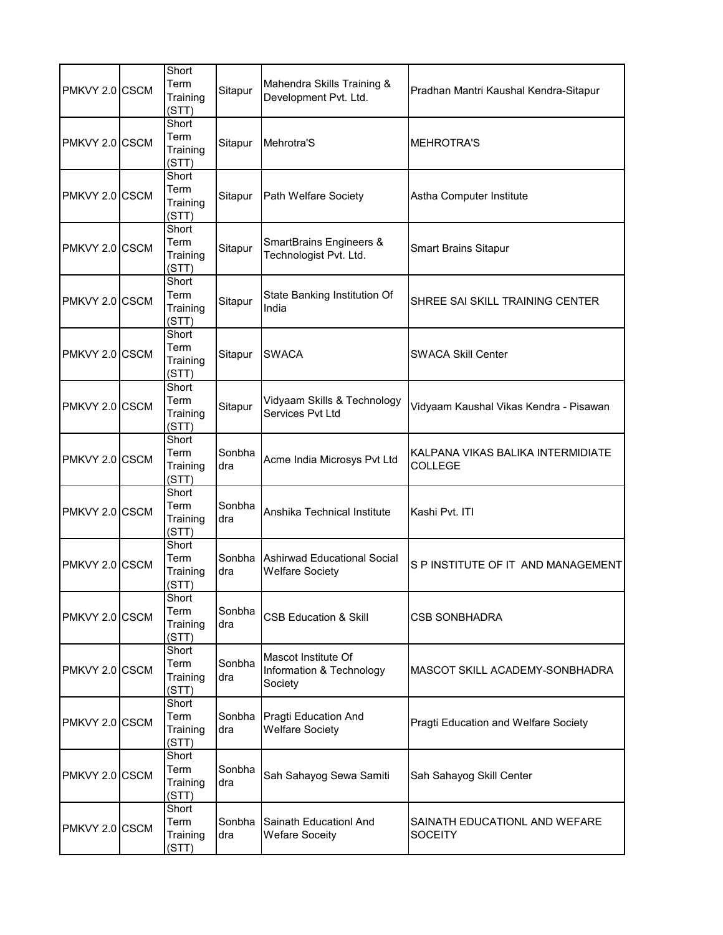| PMKVY 2.0 CSCM | Short<br>Term<br>Training<br>(STT) | Sitapur       | Mahendra Skills Training &<br>Development Pvt. Ltd.          | Pradhan Mantri Kaushal Kendra-Sitapur               |
|----------------|------------------------------------|---------------|--------------------------------------------------------------|-----------------------------------------------------|
| PMKVY 2.0 CSCM | Short<br>Term<br>Training<br>(STT) | Sitapur       | Mehrotra'S                                                   | <b>MEHROTRA'S</b>                                   |
| PMKVY 2.0 CSCM | Short<br>Term<br>Training<br>(STT) | Sitapur       | Path Welfare Society                                         | Astha Computer Institute                            |
| PMKVY 2.0 CSCM | Short<br>Term<br>Training<br>(STT) | Sitapur       | SmartBrains Engineers &<br>Technologist Pvt. Ltd.            | <b>Smart Brains Sitapur</b>                         |
| PMKVY 2.0 CSCM | Short<br>Term<br>Training<br>(STT) | Sitapur       | State Banking Institution Of<br>India                        | SHREE SAI SKILL TRAINING CENTER                     |
| PMKVY 2.0 CSCM | Short<br>Term<br>Training<br>(STT) | Sitapur       | <b>SWACA</b>                                                 | <b>SWACA Skill Center</b>                           |
| PMKVY 2.0 CSCM | Short<br>Term<br>Training<br>(STT) | Sitapur       | Vidyaam Skills & Technology<br>Services Pvt Ltd              | Vidyaam Kaushal Vikas Kendra - Pisawan              |
| PMKVY 2.0 CSCM | Short<br>Term<br>Training<br>(STT) | Sonbha<br>dra | Acme India Microsys Pvt Ltd                                  | KALPANA VIKAS BALIKA INTERMIDIATE<br><b>COLLEGE</b> |
| PMKVY 2.0 CSCM | Short<br>Term<br>Training<br>(STT) | Sonbha<br>dra | Anshika Technical Institute                                  | Kashi Pvt. ITI                                      |
| PMKVY 2.0 CSCM | Short<br>Term<br>Training<br>(STT) | dra           | Sonbha Ashirwad Educational Social<br><b>Welfare Society</b> | S P INSTITUTE OF IT AND MANAGEMENT                  |
| PMKVY 2.0 CSCM | Short<br>Term<br>Training<br>(STT) | Sonbha<br>dra | <b>CSB Education &amp; Skill</b>                             | CSB SONBHADRA                                       |
| PMKVY 2.0 CSCM | Short<br>Term<br>Training<br>(STT) | Sonbha<br>dra | Mascot Institute Of<br>Information & Technology<br>Society   | MASCOT SKILL ACADEMY-SONBHADRA                      |
| PMKVY 2.0 CSCM | Short<br>Term<br>Training<br>(STT) | Sonbha<br>dra | Pragti Education And<br><b>Welfare Society</b>               | Pragti Education and Welfare Society                |
| PMKVY 2.0 CSCM | Short<br>Term<br>Training<br>(STT) | Sonbha<br>dra | Sah Sahayog Sewa Samiti                                      | Sah Sahayog Skill Center                            |
| PMKVY 2.0 CSCM | Short<br>Term<br>Training<br>(STT) | Sonbha<br>dra | Sainath Educationl And<br><b>Wefare Soceity</b>              | SAINATH EDUCATIONL AND WEFARE<br><b>SOCEITY</b>     |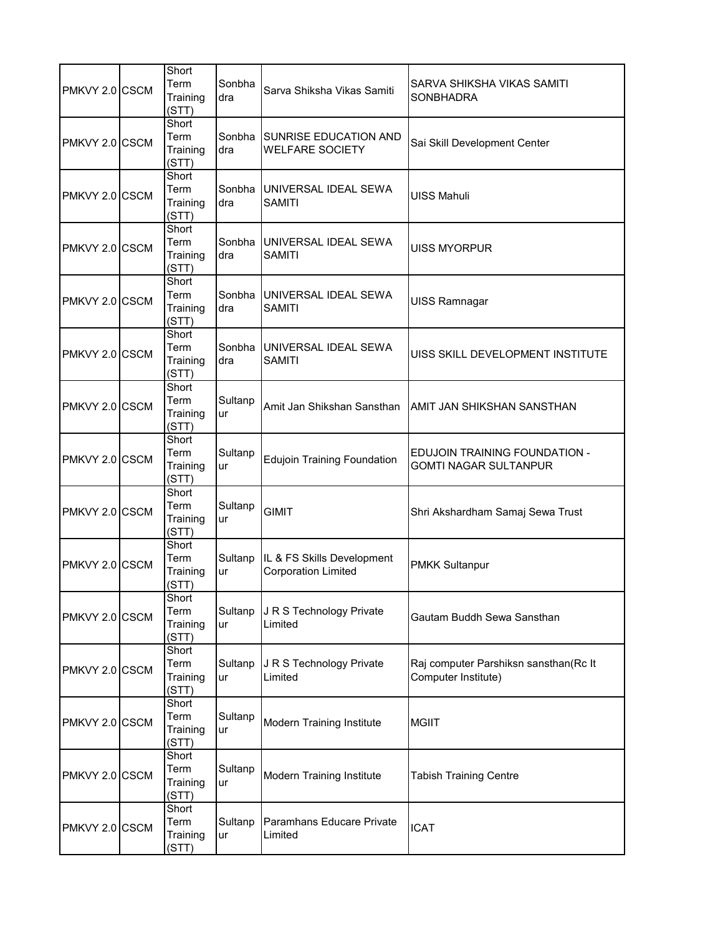| PMKVY 2.0 CSCM | Short<br>Term<br>Training<br>(STT) | Sonbha<br>dra | Sarva Shiksha Vikas Samiti                               | SARVA SHIKSHA VIKAS SAMITI<br><b>SONBHADRA</b>                |
|----------------|------------------------------------|---------------|----------------------------------------------------------|---------------------------------------------------------------|
| PMKVY 2.0 CSCM | Short<br>Term<br>Training<br>(STT) | Sonbha<br>dra | <b>SUNRISE EDUCATION AND</b><br><b>WELFARE SOCIETY</b>   | Sai Skill Development Center                                  |
| PMKVY 2.0 CSCM | Short<br>Term<br>Training<br>(STT) | Sonbha<br>dra | UNIVERSAL IDEAL SEWA<br><b>SAMITI</b>                    | <b>UISS Mahuli</b>                                            |
| PMKVY 2.0 CSCM | Short<br>Term<br>Training<br>(STT) | Sonbha<br>dra | IUNIVERSAL IDEAL SEWA<br><b>SAMITI</b>                   | UISS MYORPUR                                                  |
| PMKVY 2.0 CSCM | Short<br>Term<br>Training<br>(STT) | Sonbha<br>dra | UNIVERSAL IDEAL SEWA<br><b>SAMITI</b>                    | UISS Ramnagar                                                 |
| PMKVY 2.0 CSCM | Short<br>Term<br>Training<br>(STT) | Sonbha<br>dra | UNIVERSAL IDEAL SEWA<br><b>SAMITI</b>                    | UISS SKILL DEVELOPMENT INSTITUTE                              |
| PMKVY 2.0 CSCM | Short<br>Term<br>Training<br>(STT) | Sultanp<br>ur | Amit Jan Shikshan Sansthan                               | AMIT JAN SHIKSHAN SANSTHAN                                    |
| PMKVY 2.0 CSCM | Short<br>Term<br>Training<br>(STT) | Sultanp<br>ur | <b>Edujoin Training Foundation</b>                       | EDUJOIN TRAINING FOUNDATION -<br><b>GOMTI NAGAR SULTANPUR</b> |
| PMKVY 2.0 CSCM | Short<br>Term<br>Training<br>(STT) | Sultanp<br>ur | <b>GIMIT</b>                                             | Shri Akshardham Samaj Sewa Trust                              |
| PMKVY 2.0 CSCM | Short<br>Term<br>Training<br>(STT) | Sultanp<br>ur | IL & FS Skills Development<br><b>Corporation Limited</b> | <b>PMKK Sultanpur</b>                                         |
| PMKVY 2.0 CSCM | Short<br>Term<br>Training<br>(STT) | Sultanp<br>ur | J R S Technology Private<br>Limited                      | Gautam Buddh Sewa Sansthan                                    |
| PMKVY 2.0 CSCM | Short<br>Term<br>Training<br>(STT) | Sultanp<br>ur | J R S Technology Private<br>Limited                      | Raj computer Parshiksn sansthan(Rc It<br>Computer Institute)  |
| PMKVY 2.0 CSCM | Short<br>Term<br>Training<br>(STT) | Sultanp<br>ur | Modern Training Institute                                | <b>MGIIT</b>                                                  |
| PMKVY 2.0 CSCM | Short<br>Term<br>Training<br>(STT) | Sultanp<br>ur | Modern Training Institute                                | <b>Tabish Training Centre</b>                                 |
| PMKVY 2.0 CSCM | Short<br>Term<br>Training<br>(STT) | Sultanp<br>ur | Paramhans Educare Private<br>Limited                     | <b>ICAT</b>                                                   |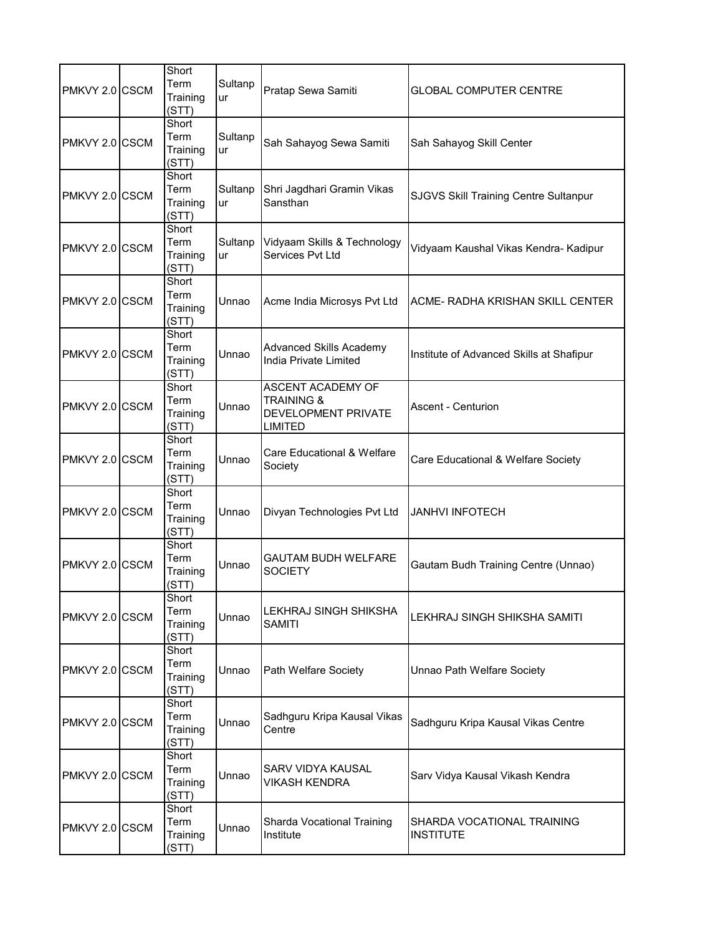| PMKVY 2.0 CSCM | Short<br>Term<br>Training<br>(STT) | Sultanp<br>ur | Pratap Sewa Samiti                                                                                | <b>GLOBAL COMPUTER CENTRE</b>                  |
|----------------|------------------------------------|---------------|---------------------------------------------------------------------------------------------------|------------------------------------------------|
| PMKVY 2.0 CSCM | Short<br>Term<br>Training<br>(STT) | Sultanp<br>ur | Sah Sahayog Sewa Samiti                                                                           | Sah Sahayog Skill Center                       |
| PMKVY 2.0 CSCM | Short<br>Term<br>Training<br>(STT) | Sultanp<br>ur | Shri Jagdhari Gramin Vikas<br>Sansthan                                                            | SJGVS Skill Training Centre Sultanpur          |
| PMKVY 2.0 CSCM | Short<br>Term<br>Training<br>(STT) | Sultanp<br>ur | Vidyaam Skills & Technology<br>Services Pvt Ltd                                                   | Vidyaam Kaushal Vikas Kendra- Kadipur          |
| PMKVY 2.0 CSCM | Short<br>Term<br>Training<br>(STT) | Unnao         | Acme India Microsys Pvt Ltd                                                                       | ACME- RADHA KRISHAN SKILL CENTER               |
| PMKVY 2.0 CSCM | Short<br>Term<br>Training<br>(STT) | Unnao         | <b>Advanced Skills Academy</b><br>India Private Limited                                           | Institute of Advanced Skills at Shafipur       |
| PMKVY 2.0 CSCM | Short<br>Term<br>Training<br>(STT) | Unnao         | <b>ASCENT ACADEMY OF</b><br><b>TRAINING &amp;</b><br><b>DEVELOPMENT PRIVATE</b><br><b>LIMITED</b> | <b>Ascent - Centurion</b>                      |
| PMKVY 2.0 CSCM | Short<br>Term<br>Training<br>(STT) | Unnao         | Care Educational & Welfare<br>Society                                                             | Care Educational & Welfare Society             |
| PMKVY 2.0 CSCM | Short<br>Term<br>Training<br>(STT) | Unnao         | Divyan Technologies Pvt Ltd                                                                       | JANHVI INFOTECH                                |
| PMKVY 2.0 CSCM | Short<br>Term<br>Training<br>(STT) | Unnao         | <b>GAUTAM BUDH WELFARE</b><br><b>SOCIETY</b>                                                      | Gautam Budh Training Centre (Unnao)            |
| PMKVY 2.0 CSCM | Short<br>Term<br>Training<br>(STT) | Unnao         | LEKHRAJ SINGH SHIKSHA<br><b>SAMITI</b>                                                            | LEKHRAJ SINGH SHIKSHA SAMITI                   |
| PMKVY 2.0 CSCM | Short<br>Term<br>Training<br>(STT) | Unnao         | Path Welfare Society                                                                              | Unnao Path Welfare Society                     |
| PMKVY 2.0 CSCM | Short<br>Term<br>Training<br>(STT) | Unnao         | Sadhguru Kripa Kausal Vikas<br>Centre                                                             | Sadhguru Kripa Kausal Vikas Centre             |
| PMKVY 2.0 CSCM | Short<br>Term<br>Training<br>(STT) | Unnao         | SARV VIDYA KAUSAL<br>VIKASH KENDRA                                                                | Sarv Vidya Kausal Vikash Kendra                |
| PMKVY 2.0 CSCM | Short<br>Term<br>Training<br>(STT) | Unnao         | Sharda Vocational Training<br>Institute                                                           | SHARDA VOCATIONAL TRAINING<br><b>INSTITUTE</b> |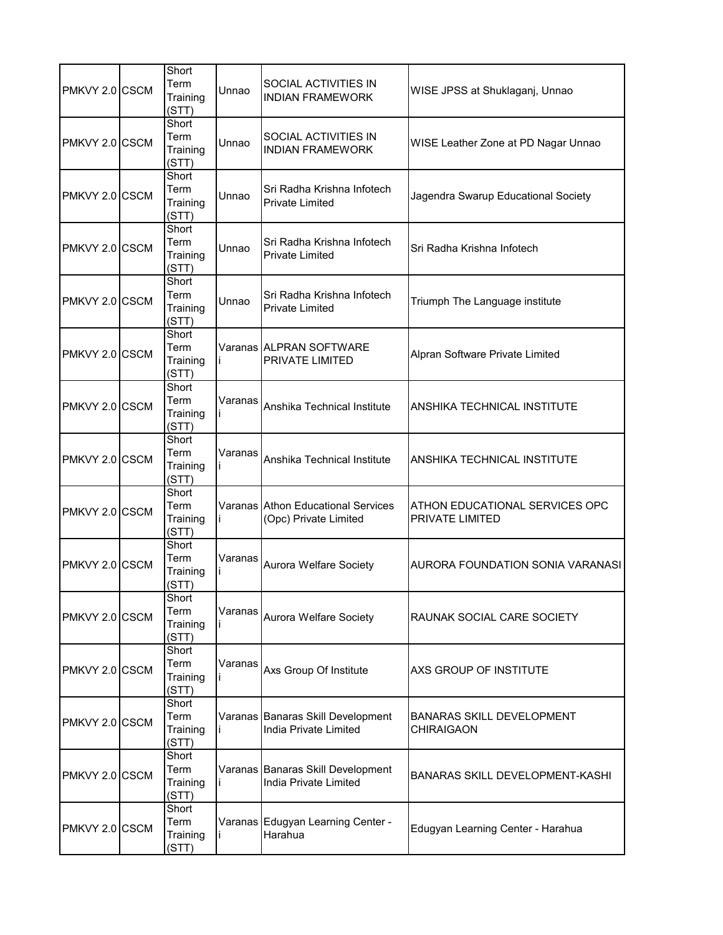| PMKVY 2.0 CSCM | Short<br>Term<br>Training<br>(STT) | Unnao   | SOCIAL ACTIVITIES IN<br><b>INDIAN FRAMEWORK</b>             | WISE JPSS at Shuklaganj, Unnao                    |
|----------------|------------------------------------|---------|-------------------------------------------------------------|---------------------------------------------------|
| PMKVY 2.0 CSCM | Short<br>Term<br>Training<br>(STT) | Unnao   | <b>SOCIAL ACTIVITIES IN</b><br><b>INDIAN FRAMEWORK</b>      | WISE Leather Zone at PD Nagar Unnao               |
| PMKVY 2.0 CSCM | Short<br>Term<br>Training<br>(STT) | Unnao   | Sri Radha Krishna Infotech<br><b>Private Limited</b>        | Jagendra Swarup Educational Society               |
| PMKVY 2.0 CSCM | Short<br>Term<br>Training<br>(STT) | Unnao   | Sri Radha Krishna Infotech<br><b>Private Limited</b>        | Sri Radha Krishna Infotech                        |
| PMKVY 2.0 CSCM | Short<br>Term<br>Training<br>(STT) | Unnao   | Sri Radha Krishna Infotech<br><b>Private Limited</b>        | Triumph The Language institute                    |
| PMKVY 2.0 CSCM | Short<br>Term<br>Training<br>(STT) |         | Varanas ALPRAN SOFTWARE<br>PRIVATE LIMITED                  | Alpran Software Private Limited                   |
| PMKVY 2.0 CSCM | Short<br>Term<br>Training<br>(STT) | Varanas | Anshika Technical Institute                                 | ANSHIKA TECHNICAL INSTITUTE                       |
| PMKVY 2.0 CSCM | Short<br>Term<br>Training<br>(STT) | Varanas | Anshika Technical Institute                                 | ANSHIKA TECHNICAL INSTITUTE                       |
| PMKVY 2.0 CSCM | Short<br>Term<br>Training<br>(STT) |         | Varanas Athon Educational Services<br>(Opc) Private Limited | ATHON EDUCATIONAL SERVICES OPC<br>PRIVATE LIMITED |
| PMKVY 2.0 CSCM | Short<br>Term<br>Training<br>(STT) | Varanas | Aurora Welfare Society                                      | AURORA FOUNDATION SONIA VARANASI                  |
| PMKVY 2.0 CSCM | Short<br>Term<br>Training<br>(STT) | Varanas | Aurora Welfare Society                                      | RAUNAK SOCIAL CARE SOCIETY                        |
| PMKVY 2.0 CSCM | Short<br>Term<br>Training<br>(STT) | Varanas | Axs Group Of Institute                                      | AXS GROUP OF INSTITUTE                            |
| PMKVY 2.0 CSCM | Short<br>Term<br>Training<br>(STT) |         | Varanas Banaras Skill Development<br>India Private Limited  | BANARAS SKILL DEVELOPMENT<br><b>CHIRAIGAON</b>    |
| PMKVY 2.0 CSCM | Short<br>Term<br>Training<br>(STT) |         | Varanas Banaras Skill Development<br>India Private Limited  | BANARAS SKILL DEVELOPMENT-KASHI                   |
| PMKVY 2.0 CSCM | Short<br>Term<br>Training<br>(STT) |         | Varanas Edugyan Learning Center -<br>Harahua                | Edugyan Learning Center - Harahua                 |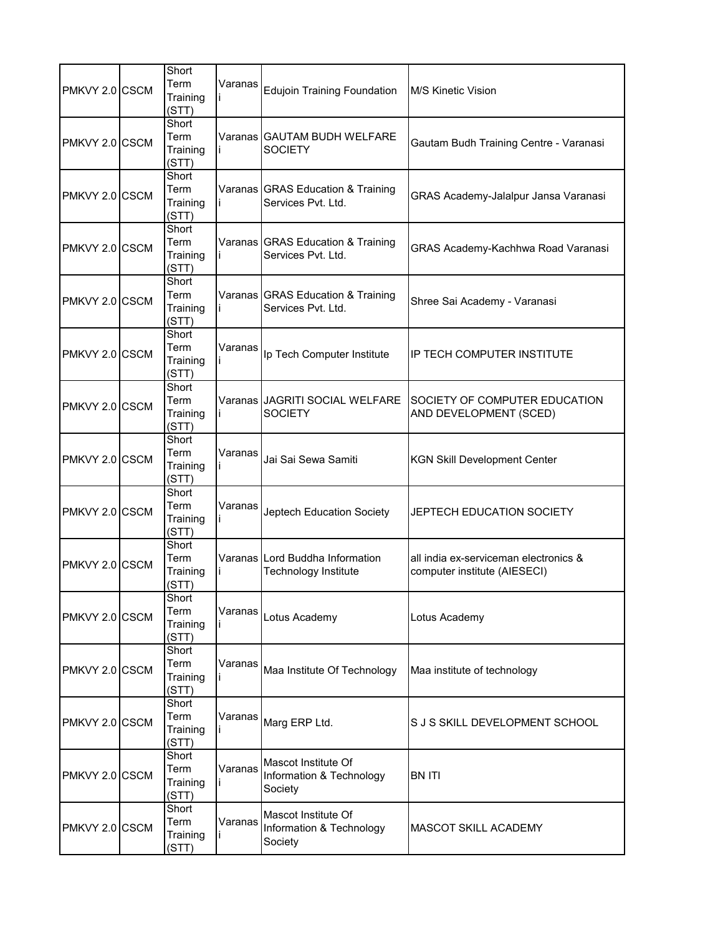| PMKVY 2.0 CSCM | Short<br>Term<br>Training<br>(STT) | Varanas | Edujoin Training Foundation                                | M/S Kinetic Vision                                                    |
|----------------|------------------------------------|---------|------------------------------------------------------------|-----------------------------------------------------------------------|
| PMKVY 2.0 CSCM | Short<br>Term<br>Training<br>(STT) |         | Varanas IGAUTAM BUDH WELFARE<br><b>SOCIETY</b>             | Gautam Budh Training Centre - Varanasi                                |
| PMKVY 2.0 CSCM | Short<br>Term<br>Training<br>(STT) |         | Varanas GRAS Education & Training<br>Services Pvt. Ltd.    | GRAS Academy-Jalalpur Jansa Varanasi                                  |
| PMKVY 2.0 CSCM | Short<br>Term<br>Training<br>(STT) |         | Varanas GRAS Education & Training<br>Services Pvt. Ltd.    | GRAS Academy-Kachhwa Road Varanasi                                    |
| PMKVY 2.0 CSCM | Short<br>Term<br>Training<br>(STT) |         | Varanas GRAS Education & Training<br>Services Pvt. Ltd.    | Shree Sai Academy - Varanasi                                          |
| PMKVY 2.0 CSCM | Short<br>Term<br>Training<br>(STT) | Varanas | Ip Tech Computer Institute                                 | IP TECH COMPUTER INSTITUTE                                            |
| PMKVY 2.0 CSCM | Short<br>Term<br>Training<br>(STT) |         | Varanas JAGRITI SOCIAL WELFARE<br><b>SOCIETY</b>           | SOCIETY OF COMPUTER EDUCATION<br>AND DEVELOPMENT (SCED)               |
| PMKVY 2.0 CSCM | Short<br>Term<br>Training<br>(STT) | Varanas | Jai Sai Sewa Samiti                                        | <b>KGN Skill Development Center</b>                                   |
| PMKVY 2.0 CSCM | Short<br>Term<br>Training<br>(STT) | Varanas | Jeptech Education Society                                  | JEPTECH EDUCATION SOCIETY                                             |
| PMKVY 2.0 CSCM | Short<br>Term<br>Training<br>(STT) |         | Varanas Lord Buddha Information<br>Technology Institute    | all india ex-serviceman electronics &<br>computer institute (AIESECI) |
| PMKVY 2.0 CSCM | Short<br>Term<br>Training<br>(STT) | Varanas | Lotus Academy                                              | Lotus Academy                                                         |
| PMKVY 2.0 CSCM | Short<br>Term<br>Training<br>(STT) | Varanas | Maa Institute Of Technology                                | Maa institute of technology                                           |
| PMKVY 2.0 CSCM | Short<br>Term<br>Training<br>(STT) | Varanas | Marg ERP Ltd.                                              | S J S SKILL DEVELOPMENT SCHOOL                                        |
| PMKVY 2.0 CSCM | Short<br>Term<br>Training<br>(STT) | Varanas | Mascot Institute Of<br>Information & Technology<br>Society | <b>BN ITI</b>                                                         |
| PMKVY 2.0 CSCM | Short<br>Term<br>Training<br>(STT) | Varanas | Mascot Institute Of<br>Information & Technology<br>Society | <b>MASCOT SKILL ACADEMY</b>                                           |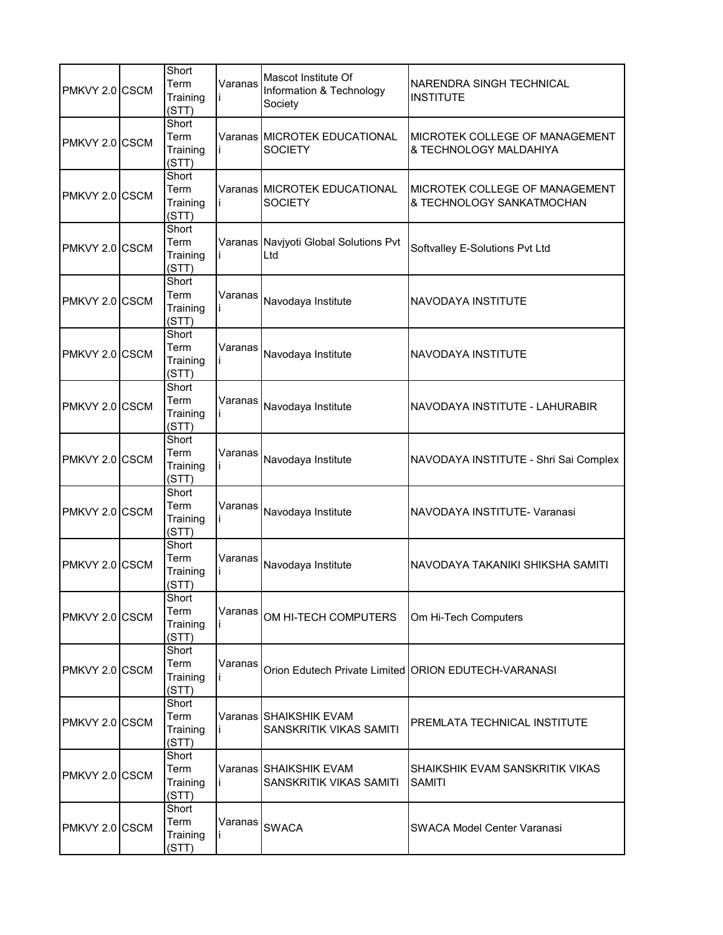| PMKVY 2.0 CSCM  | Short<br>Term<br>Training<br>(STT) | Varanas | Mascot Institute Of<br>Information & Technology<br>Society | NARENDRA SINGH TECHNICAL<br><b>INSTITUTE</b>                |
|-----------------|------------------------------------|---------|------------------------------------------------------------|-------------------------------------------------------------|
| PMKVY 2.0 CSCM  | Short<br>Term<br>Training<br>(STT) |         | Varanas MICROTEK EDUCATIONAL<br><b>SOCIETY</b>             | MICROTEK COLLEGE OF MANAGEMENT<br>& TECHNOLOGY MALDAHIYA    |
| PMKVY 2.0 CSCM  | Short<br>Term<br>Training<br>(STT) |         | Varanas MICROTEK EDUCATIONAL<br><b>SOCIETY</b>             | MICROTEK COLLEGE OF MANAGEMENT<br>& TECHNOLOGY SANKATMOCHAN |
| PMKVY 2.0 CSCM  | Short<br>Term<br>Training<br>(STT) |         | Varanas Navjyoti Global Solutions Pvt<br>Ltd               | Softvalley E-Solutions Pvt Ltd                              |
| PMKVY 2.0 ICSCM | Short<br>Term<br>Training<br>(STT) | Varanas | Navodaya Institute                                         | NAVODAYA INSTITUTE                                          |
| PMKVY 2.0 CSCM  | Short<br>Term<br>Training<br>(STT) | Varanas | Navodaya Institute                                         | NAVODAYA INSTITUTE                                          |
| PMKVY 2.0 CSCM  | Short<br>Term<br>Training<br>(STT) | Varanas | Navodaya Institute                                         | NAVODAYA INSTITUTE - LAHURABIR                              |
| PMKVY 2.0 CSCM  | Short<br>Term<br>Training<br>(STT) | Varanas | Navodaya Institute                                         | NAVODAYA INSTITUTE - Shri Sai Complex                       |
| PMKVY 2.0 CSCM  | Short<br>Term<br>Training<br>(STT) | Varanas | Navodaya Institute                                         | NAVODAYA INSTITUTE- Varanasi                                |
| PMKVY 2.0 CSCM  | Short<br>Term<br>Training<br>(STT) | Varanas | Navodaya Institute                                         | NAVODAYA TAKANIKI SHIKSHA SAMITI                            |
| PMKVY 2.0 CSCM  | Short<br>Term<br>Training<br>(STT) | Varanas | OM HI-TECH COMPUTERS                                       | Om Hi-Tech Computers                                        |
| PMKVY 2.0 CSCM  | Short<br>Term<br>Training<br>(STT) | Varanas |                                                            | Orion Edutech Private Limited ORION EDUTECH-VARANASI        |
| PMKVY 2.0 CSCM  | Short<br>Term<br>Training<br>(STT) |         | Varanas SHAIKSHIK EVAM<br>SANSKRITIK VIKAS SAMITI          | PREMLATA TECHNICAL INSTITUTE                                |
| PMKVY 2.0 CSCM  | Short<br>Term<br>Training<br>(STT) |         | Varanas SHAIKSHIK EVAM<br>SANSKRITIK VIKAS SAMITI          | SHAIKSHIK EVAM SANSKRITIK VIKAS<br><b>SAMITI</b>            |
| PMKVY 2.0 CSCM  | Short<br>Term<br>Training<br>(STT) | Varanas | <b>SWACA</b>                                               | <b>SWACA Model Center Varanasi</b>                          |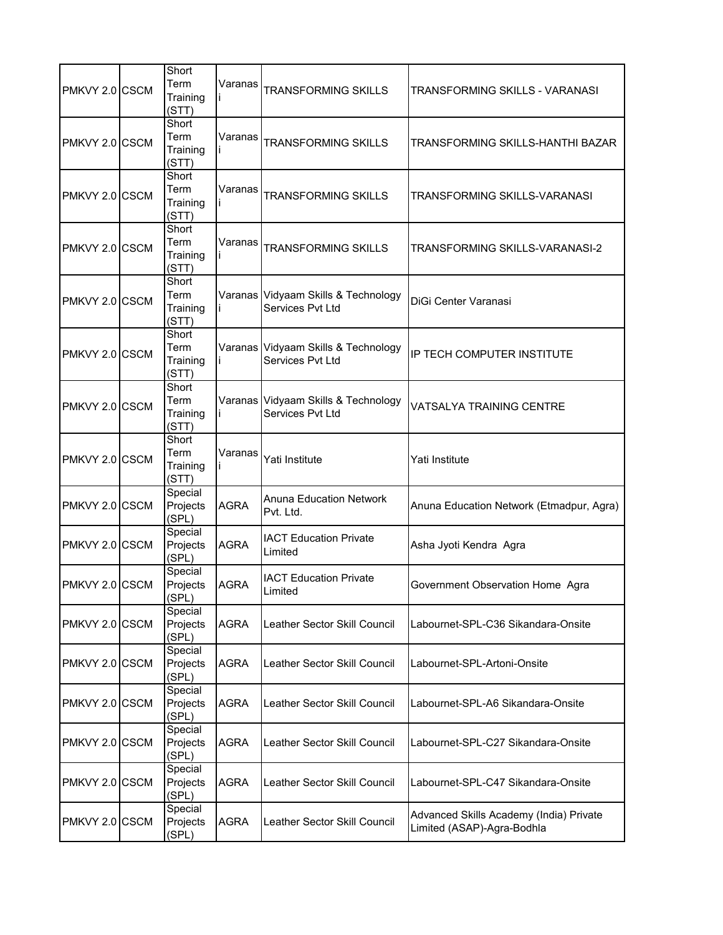| PMKVY 2.0 CSCM | Short<br>Term<br>Training<br>(STT) | Varanas     | <b>TRANSFORMING SKILLS</b>                              | TRANSFORMING SKILLS - VARANASI                                        |
|----------------|------------------------------------|-------------|---------------------------------------------------------|-----------------------------------------------------------------------|
| PMKVY 2.0 CSCM | Short<br>Term<br>Training<br>(STT) | Varanas     | <b>TRANSFORMING SKILLS</b>                              | TRANSFORMING SKILLS-HANTHI BAZAR                                      |
| PMKVY 2.0 CSCM | Short<br>Term<br>Training<br>(STT) | Varanas     | <b>TRANSFORMING SKILLS</b>                              | TRANSFORMING SKILLS-VARANASI                                          |
| PMKVY 2.0 CSCM | Short<br>Term<br>Training<br>(STT) | Varanas     | <b>TRANSFORMING SKILLS</b>                              | TRANSFORMING SKILLS-VARANASI-2                                        |
| PMKVY 2.0 CSCM | Short<br>Term<br>Training<br>(STT) |             | Varanas Vidyaam Skills & Technology<br>Services Pvt Ltd | DiGi Center Varanasi                                                  |
| PMKVY 2.0 CSCM | Short<br>Term<br>Training<br>(STT) |             | Varanas Vidyaam Skills & Technology<br>Services Pvt Ltd | IP TECH COMPUTER INSTITUTE                                            |
| PMKVY 2.0 CSCM | Short<br>Term<br>Training<br>(STT) |             | Varanas Vidyaam Skills & Technology<br>Services Pvt Ltd | VATSALYA TRAINING CENTRE                                              |
| PMKVY 2.0 CSCM | Short<br>Term<br>Training<br>(STT) | Varanas     | Yati Institute                                          | Yati Institute                                                        |
| PMKVY 2.0 CSCM | Special<br>Projects<br>(SPL)       | AGRA        | <b>Anuna Education Network</b><br>Pvt. Ltd.             | Anuna Education Network (Etmadpur, Agra)                              |
| PMKVY 2.0 CSCM | Special<br>Projects<br>(SPL)       | AGRA        | <b>IACT Education Private</b><br>Limited                | Asha Jyoti Kendra Agra                                                |
| PMKVY 2.0 CSCM | Special<br>Projects<br>(SPL)       | <b>AGRA</b> | <b>IACT Education Private</b><br>Limited                | Government Observation Home Agra                                      |
| PMKVY 2.0 CSCM | Special<br>Projects<br>(SPL)       | <b>AGRA</b> | Leather Sector Skill Council                            | Labournet-SPL-C36 Sikandara-Onsite                                    |
| PMKVY 2.0 CSCM | Special<br>Projects<br>(SPL)       | AGRA        | Leather Sector Skill Council                            | Labournet-SPL-Artoni-Onsite                                           |
| PMKVY 2.0 CSCM | Special<br>Projects<br>(SPL)       | AGRA        | Leather Sector Skill Council                            | Labournet-SPL-A6 Sikandara-Onsite                                     |
| PMKVY 2.0 CSCM | Special<br>Projects<br>(SPL)       | <b>AGRA</b> | Leather Sector Skill Council                            | Labournet-SPL-C27 Sikandara-Onsite                                    |
| PMKVY 2.0 CSCM | Special<br>Projects<br>(SPL)       | <b>AGRA</b> | Leather Sector Skill Council                            | Labournet-SPL-C47 Sikandara-Onsite                                    |
| PMKVY 2.0 CSCM | Special<br>Projects<br>(SPL)       | AGRA        | Leather Sector Skill Council                            | Advanced Skills Academy (India) Private<br>Limited (ASAP)-Agra-Bodhla |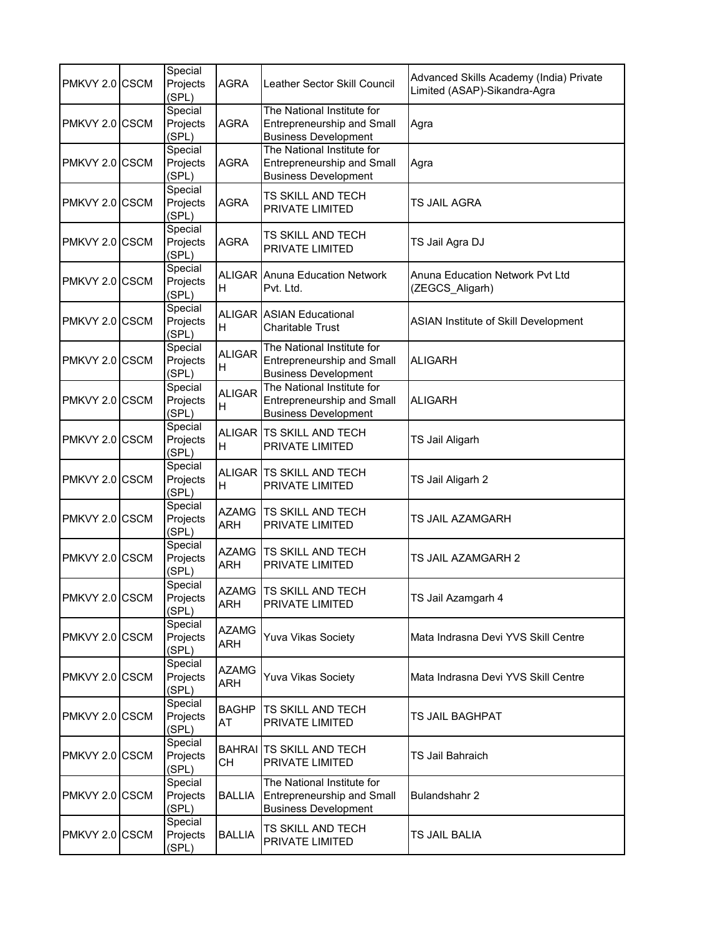| PMKVY 2.0 CSCM | Special<br>Projects<br>(SPL) | AGRA                       | Leather Sector Skill Council                                                                   | Advanced Skills Academy (India) Private<br>Limited (ASAP)-Sikandra-Agra |
|----------------|------------------------------|----------------------------|------------------------------------------------------------------------------------------------|-------------------------------------------------------------------------|
| PMKVY 2.0 CSCM | Special<br>Projects<br>(SPL) | AGRA                       | The National Institute for<br>Entrepreneurship and Small<br><b>Business Development</b>        | Agra                                                                    |
| PMKVY 2.0 CSCM | Special<br>Projects<br>(SPL) | AGRA                       | The National Institute for<br><b>Entrepreneurship and Small</b><br><b>Business Development</b> | Agra                                                                    |
| PMKVY 2.0 CSCM | Special<br>Projects<br>(SPL) | <b>AGRA</b>                | TS SKILL AND TECH<br>PRIVATE LIMITED                                                           | TS JAIL AGRA                                                            |
| PMKVY 2.0 CSCM | Special<br>Projects<br>(SPL) | AGRA                       | TS SKILL AND TECH<br>PRIVATE LIMITED                                                           | TS Jail Agra DJ                                                         |
| PMKVY 2.0 CSCM | Special<br>Projects<br>(SPL) | H                          | <b>ALIGAR Anuna Education Network</b><br>Pvt. Ltd.                                             | Anuna Education Network Pvt Ltd<br>(ZEGCS_Aligarh)                      |
| PMKVY 2.0 CSCM | Special<br>Projects<br>(SPL) | Н                          | <b>ALIGAR ASIAN Educational</b><br><b>Charitable Trust</b>                                     | <b>ASIAN Institute of Skill Development</b>                             |
| PMKVY 2.0 CSCM | Special<br>Projects<br>(SPL) | <b>ALIGAR</b><br>Η         | The National Institute for<br><b>Entrepreneurship and Small</b><br><b>Business Development</b> | <b>ALIGARH</b>                                                          |
| PMKVY 2.0 CSCM | Special<br>Projects<br>(SPL) | <b>ALIGAR</b><br>Н         | The National Institute for<br>Entrepreneurship and Small<br><b>Business Development</b>        | <b>ALIGARH</b>                                                          |
| PMKVY 2.0 CSCM | Special<br>Projects<br>(SPL) | н                          | ALIGAR TS SKILL AND TECH<br>PRIVATE LIMITED                                                    | TS Jail Aligarh                                                         |
| PMKVY 2.0 CSCM | Special<br>Projects<br>(SPL) | н                          | ALIGAR TS SKILL AND TECH<br>PRIVATE LIMITED                                                    | TS Jail Aligarh 2                                                       |
| PMKVY 2.0 CSCM | Special<br>Projects<br>(SPL) | <b>AZAMG</b><br><b>ARH</b> | TS SKILL AND TECH<br>PRIVATE LIMITED                                                           | TS JAIL AZAMGARH                                                        |
| PMKVY 2.0 CSCM | Special<br>Projects<br>(SPL) | <b>AZAMG</b><br>ARH        | <b>TS SKILL AND TECH</b><br>PRIVATE LIMITED                                                    | TS JAIL AZAMGARH 2                                                      |
| PMKVY 2.0 CSCM | Special<br>Projects<br>(SPL) | ARH                        | AZAMG ITS SKILL AND TECH<br>PRIVATE LIMITED                                                    | TS Jail Azamgarh 4                                                      |
| PMKVY 2.0 CSCM | Special<br>Projects<br>(SPL) | <b>AZAMG</b><br>ARH        | <b>Yuva Vikas Society</b>                                                                      | Mata Indrasna Devi YVS Skill Centre                                     |
| PMKVY 2.0 CSCM | Special<br>Projects<br>(SPL) | <b>AZAMG</b><br>ARH        | <b>Yuva Vikas Society</b>                                                                      | Mata Indrasna Devi YVS Skill Centre                                     |
| PMKVY 2.0 CSCM | Special<br>Projects<br>(SPL) | BAGHP<br>AT                | TS SKILL AND TECH<br>PRIVATE LIMITED                                                           | TS JAIL BAGHPAT                                                         |
| PMKVY 2.0 CSCM | Special<br>Projects<br>(SPL) | CH                         | <b>BAHRAI</b> TS SKILL AND TECH<br>PRIVATE LIMITED                                             | TS Jail Bahraich                                                        |
| PMKVY 2.0 CSCM | Special<br>Projects<br>(SPL) | <b>BALLIA</b>              | The National Institute for<br>Entrepreneurship and Small<br><b>Business Development</b>        | Bulandshahr 2                                                           |
| PMKVY 2.0 CSCM | Special<br>Projects<br>(SPL) | <b>BALLIA</b>              | TS SKILL AND TECH<br>PRIVATE LIMITED                                                           | TS JAIL BALIA                                                           |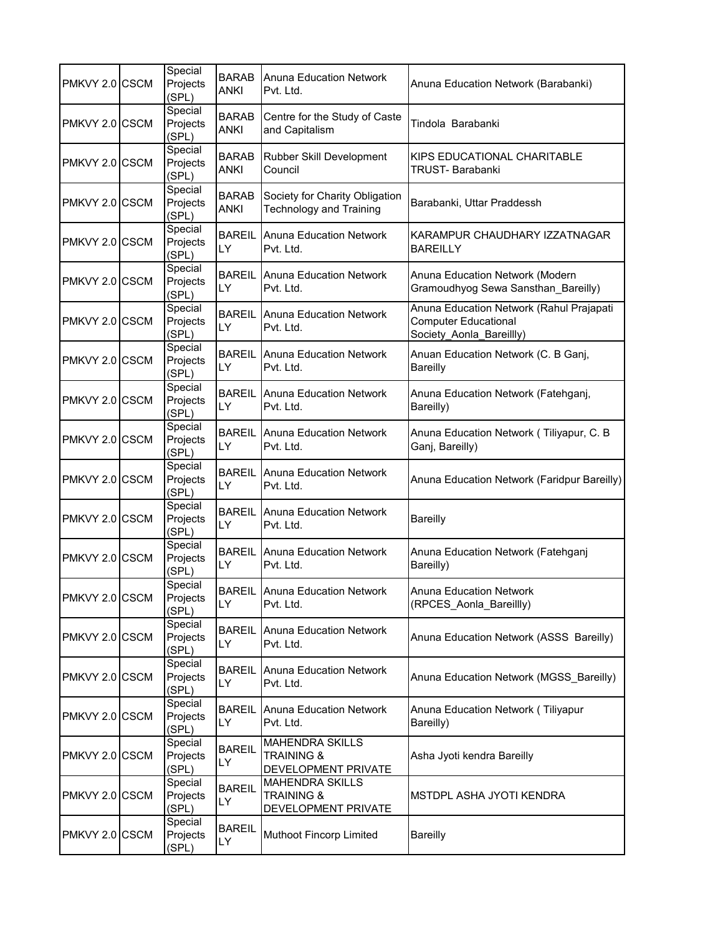| PMKVY 2.0 CSCM | Special<br>Projects<br>(SPL) | <b>BARAB</b><br><b>ANKI</b> | <b>Anuna Education Network</b><br>Pvt. Ltd.                            | Anuna Education Network (Barabanki)                                                                 |
|----------------|------------------------------|-----------------------------|------------------------------------------------------------------------|-----------------------------------------------------------------------------------------------------|
| PMKVY 2.0 CSCM | Special<br>Projects<br>(SPL) | <b>BARAB</b><br><b>ANKI</b> | Centre for the Study of Caste<br>and Capitalism                        | Tindola Barabanki                                                                                   |
| PMKVY 2.0 CSCM | Special<br>Projects<br>(SPL) | <b>BARAB</b><br><b>ANKI</b> | Rubber Skill Development<br>Council                                    | KIPS EDUCATIONAL CHARITABLE<br>TRUST- Barabanki                                                     |
| PMKVY 2.0 CSCM | Special<br>Projects<br>(SPL) | <b>BARAB</b><br><b>ANKI</b> | Society for Charity Obligation<br><b>Technology and Training</b>       | Barabanki, Uttar Praddessh                                                                          |
| PMKVY 2.0 CSCM | Special<br>Projects<br>(SPL) | <b>BAREIL</b><br>LY         | Anuna Education Network<br>Pvt. Ltd.                                   | KARAMPUR CHAUDHARY IZZATNAGAR<br><b>BAREILLY</b>                                                    |
| PMKVY 2.0 CSCM | Special<br>Projects<br>(SPL) | <b>BAREIL</b><br>LY.        | <b>Anuna Education Network</b><br>Pvt. Ltd.                            | Anuna Education Network (Modern<br>Gramoudhyog Sewa Sansthan_Bareilly)                              |
| PMKVY 2.0 CSCM | Special<br>Projects<br>(SPL) | <b>BAREIL</b><br>LY         | <b>Anuna Education Network</b><br>Pvt. Ltd.                            | Anuna Education Network (Rahul Prajapati<br><b>Computer Educational</b><br>Society_Aonla_Bareillly) |
| PMKVY 2.0 CSCM | Special<br>Projects<br>(SPL) | <b>BAREIL</b><br>LY         | Anuna Education Network<br>Pvt. Ltd.                                   | Anuan Education Network (C. B Ganj,<br><b>Bareilly</b>                                              |
| PMKVY 2.0 CSCM | Special<br>Projects<br>(SPL) | <b>BAREIL</b><br>LY         | <b>Anuna Education Network</b><br>Pvt. Ltd.                            | Anuna Education Network (Fatehganj,<br>Bareilly)                                                    |
| PMKVY 2.0 CSCM | Special<br>Projects<br>(SPL) | <b>BAREIL</b><br>LY         | Anuna Education Network<br>Pvt. Ltd.                                   | Anuna Education Network (Tiliyapur, C. B<br>Ganj, Bareilly)                                         |
| PMKVY 2.0 CSCM | Special<br>Projects<br>(SPL) | <b>BAREIL</b><br>LY.        | Anuna Education Network<br>Pvt. Ltd.                                   | Anuna Education Network (Faridpur Bareilly)                                                         |
| PMKVY 2.0 CSCM | Special<br>Projects<br>(SPL) | <b>BAREIL</b><br>LY         | <b>Anuna Education Network</b><br>Pvt. Ltd.                            | <b>Bareilly</b>                                                                                     |
| PMKVY 2.0 CSCM | Special<br>Projects<br>(SPL) | <b>BAREIL</b><br>LY         | Anuna Education Network<br>Pvt. Ltd.                                   | Anuna Education Network (Fatehganj<br>Bareilly)                                                     |
| PMKVY 2.0 CSCM | Special<br>Projects<br>(SPL) | <b>BAREIL</b><br>LY         | Anuna Education Network<br>Pvt. Ltd.                                   | Anuna Education Network<br>(RPCES_Aonla_Bareillly)                                                  |
| PMKVY 2.0 CSCM | Special<br>Projects<br>(SPL) | <b>BAREIL</b><br>LY.        | <b>Anuna Education Network</b><br>Pvt. Ltd.                            | Anuna Education Network (ASSS Bareilly)                                                             |
| PMKVY 2.0 CSCM | Special<br>Projects<br>(SPL) | <b>BAREIL</b><br>LY         | <b>Anuna Education Network</b><br>Pvt. Ltd.                            | Anuna Education Network (MGSS Bareilly)                                                             |
| PMKVY 2.0 CSCM | Special<br>Projects<br>(SPL) | <b>BAREIL</b><br>LY.        | <b>Anuna Education Network</b><br>Pvt. Ltd.                            | Anuna Education Network (Tiliyapur<br>Bareilly)                                                     |
| PMKVY 2.0 CSCM | Special<br>Projects<br>(SPL) | <b>BAREIL</b><br>LY         | <b>MAHENDRA SKILLS</b><br><b>TRAINING &amp;</b><br>DEVELOPMENT PRIVATE | Asha Jyoti kendra Bareilly                                                                          |
| PMKVY 2.0 CSCM | Special<br>Projects<br>(SPL) | <b>BAREIL</b><br>LY         | <b>MAHENDRA SKILLS</b><br><b>TRAINING &amp;</b><br>DEVELOPMENT PRIVATE | MSTDPL ASHA JYOTI KENDRA                                                                            |
| PMKVY 2.0 CSCM | Special<br>Projects<br>(SPL) | <b>BAREIL</b><br>LY         | Muthoot Fincorp Limited                                                | <b>Bareilly</b>                                                                                     |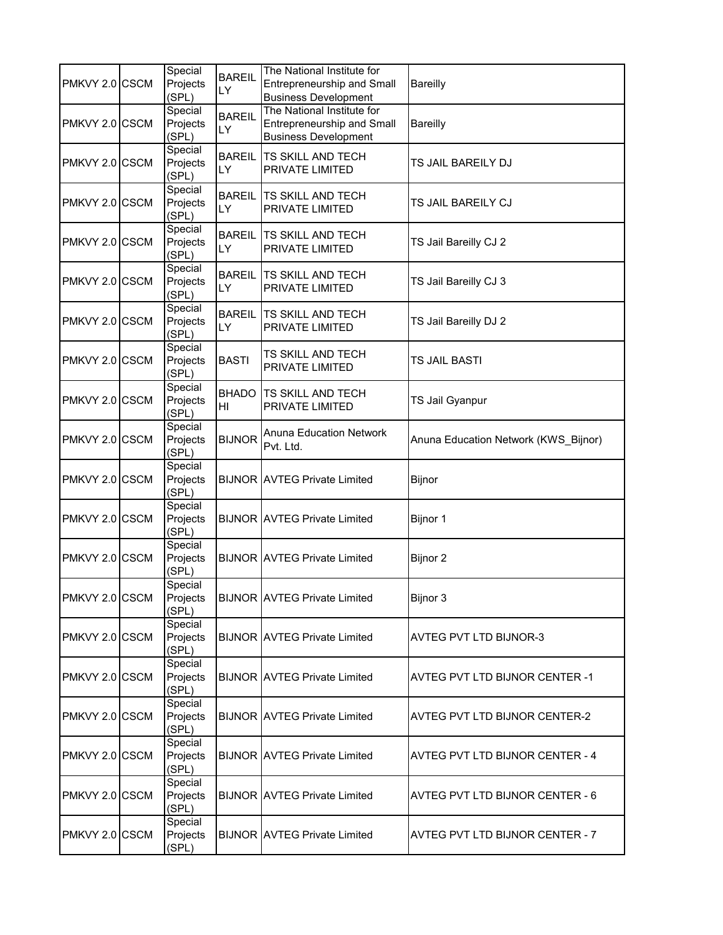| PMKVY 2.0 CSCM | Special<br>Projects<br>(SPL) | <b>BAREIL</b><br>LY | The National Institute for<br><b>Entrepreneurship and Small</b><br><b>Business Development</b> | <b>Bareilly</b>                        |
|----------------|------------------------------|---------------------|------------------------------------------------------------------------------------------------|----------------------------------------|
| PMKVY 2.0 CSCM | Special<br>Projects<br>(SPL) | <b>BAREIL</b><br>LY | The National Institute for<br><b>Entrepreneurship and Small</b><br><b>Business Development</b> | <b>Bareilly</b>                        |
| PMKVY 2.0 CSCM | Special<br>Projects<br>(SPL) | <b>BAREIL</b><br>LY | <b>TS SKILL AND TECH</b><br>PRIVATE LIMITED                                                    | TS JAIL BAREILY DJ                     |
| PMKVY 2.0 CSCM | Special<br>Projects<br>(SPL) | <b>BAREIL</b><br>LY | <b>TS SKILL AND TECH</b><br>PRIVATE LIMITED                                                    | TS JAIL BAREILY CJ                     |
| PMKVY 2.0 CSCM | Special<br>Projects<br>(SPL) | <b>BAREIL</b><br>LY | <b>TS SKILL AND TECH</b><br>PRIVATE LIMITED                                                    | TS Jail Bareilly CJ 2                  |
| PMKVY 2.0 CSCM | Special<br>Projects<br>(SPL) | <b>BAREIL</b><br>LY | <b>TS SKILL AND TECH</b><br>PRIVATE LIMITED                                                    | TS Jail Bareilly CJ 3                  |
| PMKVY 2.0 CSCM | Special<br>Projects<br>(SPL) | <b>BAREIL</b><br>LY | TS SKILL AND TECH<br>PRIVATE LIMITED                                                           | TS Jail Bareilly DJ 2                  |
| PMKVY 2.0 CSCM | Special<br>Projects<br>(SPL) | <b>BASTI</b>        | TS SKILL AND TECH<br>PRIVATE LIMITED                                                           | <b>TS JAIL BASTI</b>                   |
| PMKVY 2.0 CSCM | Special<br>Projects<br>(SPL) | <b>BHADO</b><br>HI  | <b>TS SKILL AND TECH</b><br>PRIVATE LIMITED                                                    | TS Jail Gyanpur                        |
| PMKVY 2.0 CSCM | Special<br>Projects<br>(SPL) | <b>BIJNOR</b>       | <b>Anuna Education Network</b><br>Pvt. Ltd.                                                    | Anuna Education Network (KWS_Bijnor)   |
| PMKVY 2.0 CSCM | Special<br>Projects<br>(SPL) |                     | <b>BIJNOR AVTEG Private Limited</b>                                                            | Bijnor                                 |
| PMKVY 2.0 CSCM | Special<br>Projects<br>(SPL) |                     | <b>BIJNOR AVTEG Private Limited</b>                                                            | Bijnor 1                               |
| PMKVY 2.0 CSCM | Special<br>Projects<br>(SPL) |                     | <b>BIJNOR AVTEG Private Limited</b>                                                            | Bijnor 2                               |
| PMKVY 2.0 CSCM | Special<br>Projects<br>(SPL) |                     | <b>BIJNOR AVTEG Private Limited</b>                                                            | Bijnor 3                               |
| PMKVY 2.0 CSCM | Special<br>Projects<br>(SPL) |                     | <b>BIJNOR AVTEG Private Limited</b>                                                            | <b>AVTEG PVT LTD BIJNOR-3</b>          |
| PMKVY 2.0 CSCM | Special<br>Projects<br>(SPL) |                     | <b>BIJNOR AVTEG Private Limited</b>                                                            | <b>AVTEG PVT LTD BIJNOR CENTER -1</b>  |
| PMKVY 2.0 CSCM | Special<br>Projects<br>(SPL) |                     | <b>BIJNOR AVTEG Private Limited</b>                                                            | <b>AVTEG PVT LTD BIJNOR CENTER-2</b>   |
| PMKVY 2.0 CSCM | Special<br>Projects<br>(SPL) |                     | <b>BIJNOR AVTEG Private Limited</b>                                                            | <b>AVTEG PVT LTD BIJNOR CENTER - 4</b> |
| PMKVY 2.0 CSCM | Special<br>Projects<br>(SPL) |                     | <b>BIJNOR AVTEG Private Limited</b>                                                            | AVTEG PVT LTD BIJNOR CENTER - 6        |
| PMKVY 2.0 CSCM | Special<br>Projects<br>(SPL) |                     | <b>BIJNOR AVTEG Private Limited</b>                                                            | AVTEG PVT LTD BIJNOR CENTER - 7        |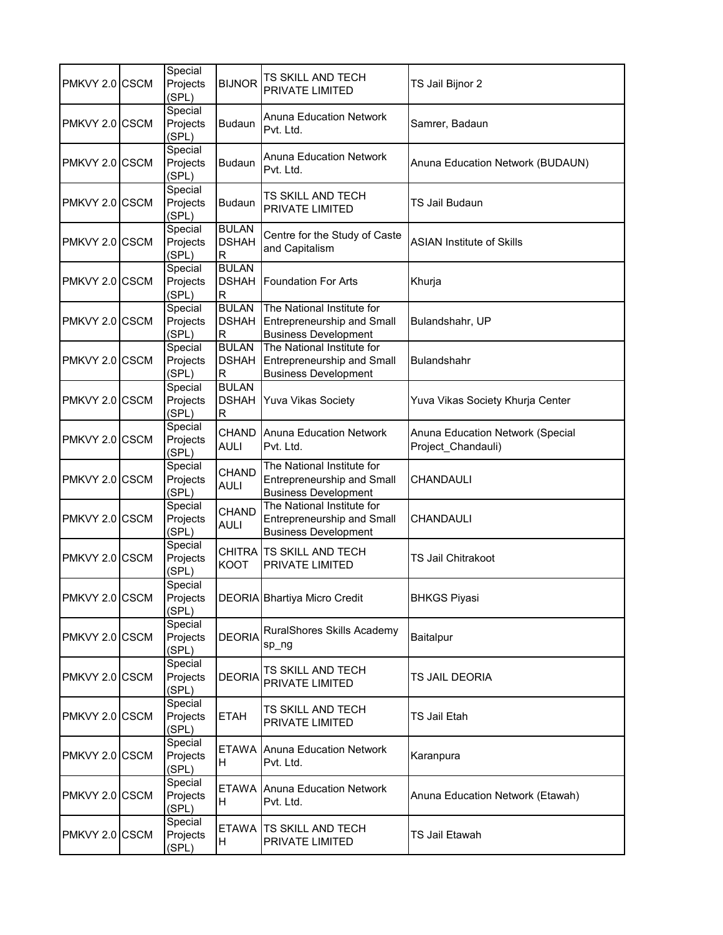| PMKVY 2.0 CSCM | Special<br>Projects<br>(SPL) | <b>BIJNOR</b>                     | TS SKILL AND TECH<br>PRIVATE LIMITED                                                           | TS Jail Bijnor 2                                       |
|----------------|------------------------------|-----------------------------------|------------------------------------------------------------------------------------------------|--------------------------------------------------------|
| PMKVY 2.0 CSCM | Special<br>Projects<br>(SPL) | <b>Budaun</b>                     | <b>Anuna Education Network</b><br>Pvt. Ltd.                                                    | Samrer, Badaun                                         |
| PMKVY 2.0 CSCM | Special<br>Projects<br>(SPL) | <b>Budaun</b>                     | Anuna Education Network<br>Pvt. Ltd.                                                           | Anuna Education Network (BUDAUN)                       |
| PMKVY 2.0 CSCM | Special<br>Projects<br>(SPL) | <b>Budaun</b>                     | <b>TS SKILL AND TECH</b><br><b>PRIVATE LIMITED</b>                                             | <b>TS Jail Budaun</b>                                  |
| PMKVY 2.0 CSCM | Special<br>Projects<br>(SPL) | <b>BULAN</b><br><b>DSHAH</b><br>R | Centre for the Study of Caste<br>and Capitalism                                                | <b>ASIAN Institute of Skills</b>                       |
| PMKVY 2.0 CSCM | Special<br>Projects<br>(SPL) | <b>BULAN</b><br><b>DSHAH</b><br>R | <b>Foundation For Arts</b>                                                                     | Khurja                                                 |
| PMKVY 2.0 CSCM | Special<br>Projects<br>(SPL) | <b>BULAN</b><br><b>DSHAH</b><br>R | The National Institute for<br>Entrepreneurship and Small<br><b>Business Development</b>        | Bulandshahr, UP                                        |
| PMKVY 2.0 CSCM | Special<br>Projects<br>(SPL) | <b>BULAN</b><br><b>DSHAH</b><br>R | The National Institute for<br><b>Entrepreneurship and Small</b><br><b>Business Development</b> | <b>Bulandshahr</b>                                     |
| PMKVY 2.0 CSCM | Special<br>Projects<br>(SPL) | <b>BULAN</b><br><b>DSHAH</b><br>R | <b>Yuva Vikas Society</b>                                                                      | Yuva Vikas Society Khurja Center                       |
| PMKVY 2.0 CSCM | Special<br>Projects<br>(SPL) | <b>CHAND</b><br><b>AULI</b>       | <b>Anuna Education Network</b><br>Pvt. Ltd.                                                    | Anuna Education Network (Special<br>Project_Chandauli) |
| PMKVY 2.0 CSCM | Special<br>Projects<br>(SPL) | <b>CHAND</b><br><b>AULI</b>       | The National Institute for<br>Entrepreneurship and Small<br><b>Business Development</b>        | CHANDAULI                                              |
| PMKVY 2.0 CSCM | Special<br>Projects<br>(SPL) | CHAND<br><b>AULI</b>              | The National Institute for<br>Entrepreneurship and Small<br><b>Business Development</b>        | CHANDAULI                                              |
| PMKVY 2.0 CSCM | Special<br>Projects<br>(SPL) | <b>KOOT</b>                       | CHITRA TS SKILL AND TECH<br><b>PRIVATE LIMITED</b>                                             | <b>TS Jail Chitrakoot</b>                              |
| PMKVY 2.0 CSCM | Special<br>Projects<br>(SPL) |                                   | DEORIA Bhartiya Micro Credit                                                                   | <b>BHKGS Piyasi</b>                                    |
| PMKVY 2.0 CSCM | Special<br>Projects<br>(SPL) | <b>DEORIA</b>                     | RuralShores Skills Academy<br>sp_ng                                                            | Baitalpur                                              |
| PMKVY 2.0 CSCM | Special<br>Projects<br>(SPL) | <b>DEORIA</b>                     | TS SKILL AND TECH<br>PRIVATE LIMITED                                                           | TS JAIL DEORIA                                         |
| PMKVY 2.0 CSCM | Special<br>Projects<br>(SPL) | ETAH                              | TS SKILL AND TECH<br>PRIVATE LIMITED                                                           | TS Jail Etah                                           |
| PMKVY 2.0 CSCM | Special<br>Projects<br>(SPL) | H                                 | <b>ETAWA Anuna Education Network</b><br>Pvt. Ltd.                                              | Karanpura                                              |
| PMKVY 2.0 CSCM | Special<br>Projects<br>(SPL) | <b>ETAWA</b><br>H                 | Anuna Education Network<br>Pvt. Ltd.                                                           | Anuna Education Network (Etawah)                       |
| PMKVY 2.0 CSCM | Special<br>Projects<br>(SPL) | <b>ETAWA</b><br>H                 | <b>TS SKILL AND TECH</b><br>PRIVATE LIMITED                                                    | TS Jail Etawah                                         |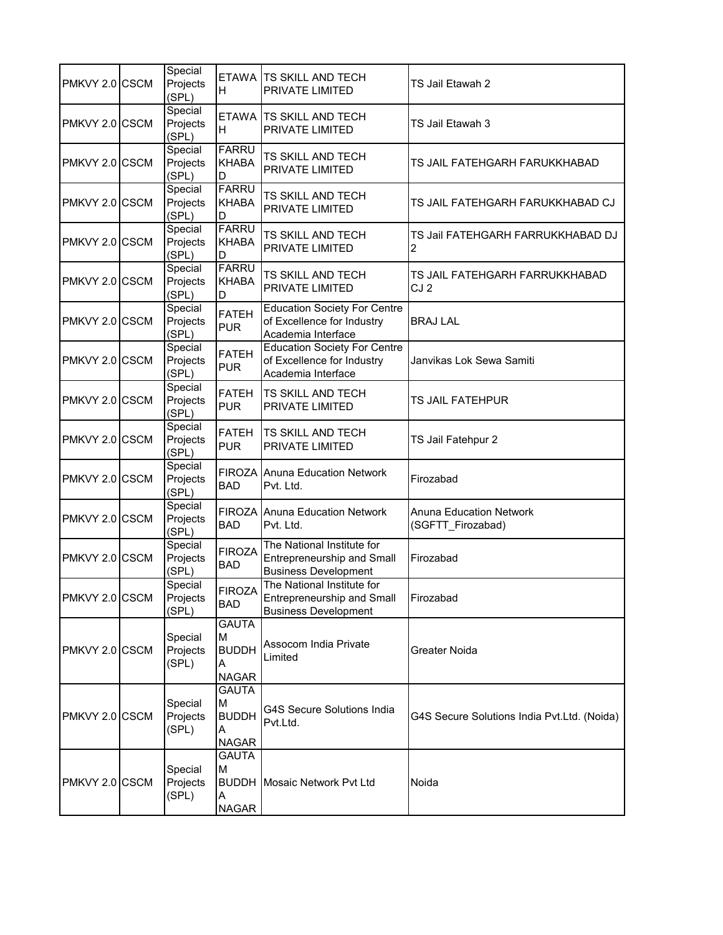| PMKVY 2.0 CSCM | Special<br>Projects<br>(SPL) | H                                                      | ETAWA TS SKILL AND TECH<br>PRIVATE LIMITED                                                     | TS Jail Etawah 2                                    |
|----------------|------------------------------|--------------------------------------------------------|------------------------------------------------------------------------------------------------|-----------------------------------------------------|
| PMKVY 2.0 CSCM | Special<br>Projects<br>(SPL) | Н                                                      | ETAWA TS SKILL AND TECH<br>PRIVATE LIMITED                                                     | TS Jail Etawah 3                                    |
| PMKVY 2.0 CSCM | Special<br>Projects<br>(SPL) | <b>FARRU</b><br><b>KHABA</b><br>D                      | TS SKILL AND TECH<br>PRIVATE LIMITED                                                           | TS JAIL FATEHGARH FARUKKHABAD                       |
| PMKVY 2.0 CSCM | Special<br>Projects<br>(SPL) | <b>FARRU</b><br><b>KHABA</b><br>D                      | TS SKILL AND TECH<br>PRIVATE LIMITED                                                           | TS JAIL FATEHGARH FARUKKHABAD CJ                    |
| PMKVY 2.0 CSCM | Special<br>Projects<br>(SPL) | <b>FARRU</b><br><b>KHABA</b><br>D                      | TS SKILL AND TECH<br>PRIVATE LIMITED                                                           | TS Jail FATEHGARH FARRUKKHABAD DJ<br>$\overline{c}$ |
| PMKVY 2.0 CSCM | Special<br>Projects<br>(SPL) | <b>FARRU</b><br><b>KHABA</b><br>D                      | TS SKILL AND TECH<br>PRIVATE LIMITED                                                           | TS JAIL FATEHGARH FARRUKKHABAD<br>CJ <sub>2</sub>   |
| PMKVY 2.0 CSCM | Special<br>Projects<br>(SPL) | <b>FATEH</b><br><b>PUR</b>                             | <b>Education Society For Centre</b><br>of Excellence for Industry<br>Academia Interface        | <b>BRAJ LAL</b>                                     |
| PMKVY 2.0 CSCM | Special<br>Projects<br>(SPL) | <b>FATEH</b><br><b>PUR</b>                             | <b>Education Society For Centre</b><br>of Excellence for Industry<br>Academia Interface        | Janvikas Lok Sewa Samiti                            |
| PMKVY 2.0 CSCM | Special<br>Projects<br>(SPL) | <b>FATEH</b><br><b>PUR</b>                             | TS SKILL AND TECH<br>PRIVATE LIMITED                                                           | TS JAIL FATEHPUR                                    |
| PMKVY 2.0 CSCM | Special<br>Projects<br>(SPL) | <b>FATEH</b><br><b>PUR</b>                             | TS SKILL AND TECH<br>PRIVATE LIMITED                                                           | TS Jail Fatehpur 2                                  |
| PMKVY 2.0 CSCM | Special<br>Projects<br>(SPL) | <b>BAD</b>                                             | FIROZA Anuna Education Network<br>Pvt. Ltd.                                                    | Firozabad                                           |
| PMKVY 2.0 CSCM | Special<br>Projects<br>(SPL) | <b>FIROZA</b><br><b>BAD</b>                            | Anuna Education Network<br>Pvt. Ltd.                                                           | Anuna Education Network<br>(SGFTT Firozabad)        |
| PMKVY 2.0 CSCM | Special<br>Projects<br>(SPL) | <b>FIROZA</b><br><b>BAD</b>                            | The National Institute for<br><b>Entrepreneurship and Small</b><br><b>Business Development</b> | Firozabad                                           |
| PMKVY 2.0 CSCM | Special<br>Projects<br>(SPL) | <b>FIROZA</b><br><b>BAD</b>                            | The National Institute for<br><b>Entrepreneurship and Small</b><br><b>Business Development</b> | Firozabad                                           |
| PMKVY 2.0 CSCM | Special<br>Projects<br>(SPL) | <b>GAUTA</b><br>M<br><b>BUDDH</b><br>А<br><b>NAGAR</b> | Assocom India Private<br>Limited                                                               | <b>Greater Noida</b>                                |
| PMKVY 2.0 CSCM | Special<br>Projects<br>(SPL) | GAUTA<br>М<br><b>BUDDH</b><br>A<br><b>NAGAR</b>        | G4S Secure Solutions India<br>Pvt.Ltd.                                                         | G4S Secure Solutions India Pvt.Ltd. (Noida)         |
| PMKVY 2.0 CSCM | Special<br>Projects<br>(SPL) | <b>GAUTA</b><br>M<br>A<br><b>NAGAR</b>                 | <b>BUDDH</b> Mosaic Network Pvt Ltd                                                            | Noida                                               |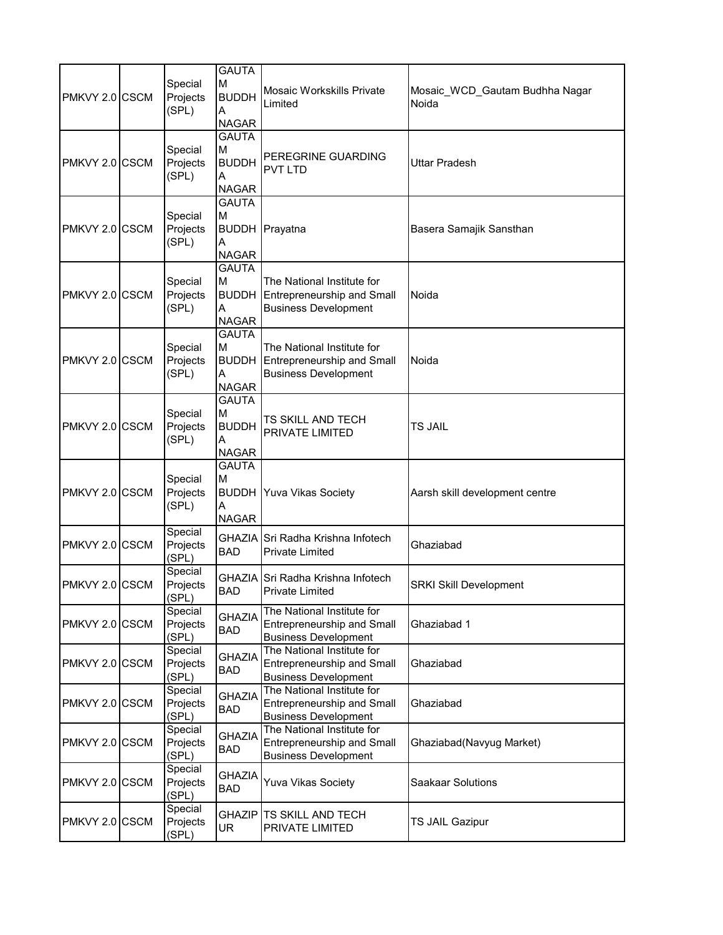| PMKVY 2.0 CSCM | Special<br>Projects<br>(SPL) | <b>GAUTA</b><br>M<br><b>BUDDH</b><br>A<br><b>NAGAR</b> | <b>Mosaic Workskills Private</b><br>Limited                                                    | Mosaic_WCD_Gautam Budhha Nagar<br>Noida |
|----------------|------------------------------|--------------------------------------------------------|------------------------------------------------------------------------------------------------|-----------------------------------------|
| PMKVY 2.0 CSCM | Special<br>Projects<br>(SPL) | GAUTA<br>М<br><b>BUDDH</b><br>A<br><b>NAGAR</b>        | PEREGRINE GUARDING<br>PVT LTD                                                                  | Uttar Pradesh                           |
| PMKVY 2.0 CSCM | Special<br>Projects<br>(SPL) | <b>GAUTA</b><br>М<br>Α<br><b>NAGAR</b>                 | <b>BUDDH</b> Prayatna                                                                          | Basera Samajik Sansthan                 |
| PMKVY 2.0 CSCM | Special<br>Projects<br>(SPL) | <b>GAUTA</b><br>M<br><b>BUDDH</b><br>A<br>NAGAR        | The National Institute for<br><b>Entrepreneurship and Small</b><br><b>Business Development</b> | Noida                                   |
| PMKVY 2.0 CSCM | Special<br>Projects<br>(SPL) | <b>GAUTA</b><br>М<br><b>BUDDH</b><br>A<br><b>NAGAR</b> | The National Institute for<br>Entrepreneurship and Small<br><b>Business Development</b>        | Noida                                   |
| PMKVY 2.0 CSCM | Special<br>Projects<br>(SPL) | <b>GAUTA</b><br>М<br><b>BUDDH</b><br>Α<br>NAGAR        | TS SKILL AND TECH<br>PRIVATE LIMITED                                                           | TS JAIL                                 |
| PMKVY 2.0 CSCM | Special<br>Projects<br>(SPL) | <b>GAUTA</b><br>M<br>Α<br><b>NAGAR</b>                 | <b>BUDDH Yuva Vikas Society</b>                                                                | Aarsh skill development centre          |
| PMKVY 2.0 CSCM | Special<br>Projects<br>(SPL) | GHAZIA<br><b>BAD</b>                                   | Sri Radha Krishna Infotech<br>Private Limited                                                  | Ghaziabad                               |
| PMKVY 2.0 CSCM | Special<br>Projects<br>(SPL) | <b>BAD</b>                                             | GHAZIA SFri Radha Krishna Infotech<br>Private Limited                                          | <b>SRKI Skill Development</b>           |
| PMKVY 2.0 CSCM | Special<br>Projects<br>(SPL) | <b>GHAZIA</b><br><b>BAD</b>                            | The National Institute for<br><b>Entrepreneurship and Small</b><br><b>Business Development</b> | Ghaziabad 1                             |
| PMKVY 2.0 CSCM | Special<br>Projects<br>(SPL) | <b>GHAZIA</b><br>BAD                                   | The National Institute for<br><b>Entrepreneurship and Small</b><br><b>Business Development</b> | Ghaziabad                               |
| PMKVY 2.0 CSCM | Special<br>Projects<br>(SPL) | <b>GHAZIA</b><br>BAD                                   | The National Institute for<br><b>Entrepreneurship and Small</b><br><b>Business Development</b> | Ghaziabad                               |
| PMKVY 2.0 CSCM | Special<br>Projects<br>(SPL) | <b>GHAZIA</b><br><b>BAD</b>                            | The National Institute for<br><b>Entrepreneurship and Small</b><br><b>Business Development</b> | Ghaziabad(Navyug Market)                |
| PMKVY 2.0 CSCM | Special<br>Projects<br>(SPL) | GHAZIA<br>BAD                                          | <b>Yuva Vikas Society</b>                                                                      | Saakaar Solutions                       |
| PMKVY 2.0 CSCM | Special<br>Projects<br>(SPL) | GHAZIP<br>UR.                                          | TS SKILL AND TECH<br>PRIVATE LIMITED                                                           | TS JAIL Gazipur                         |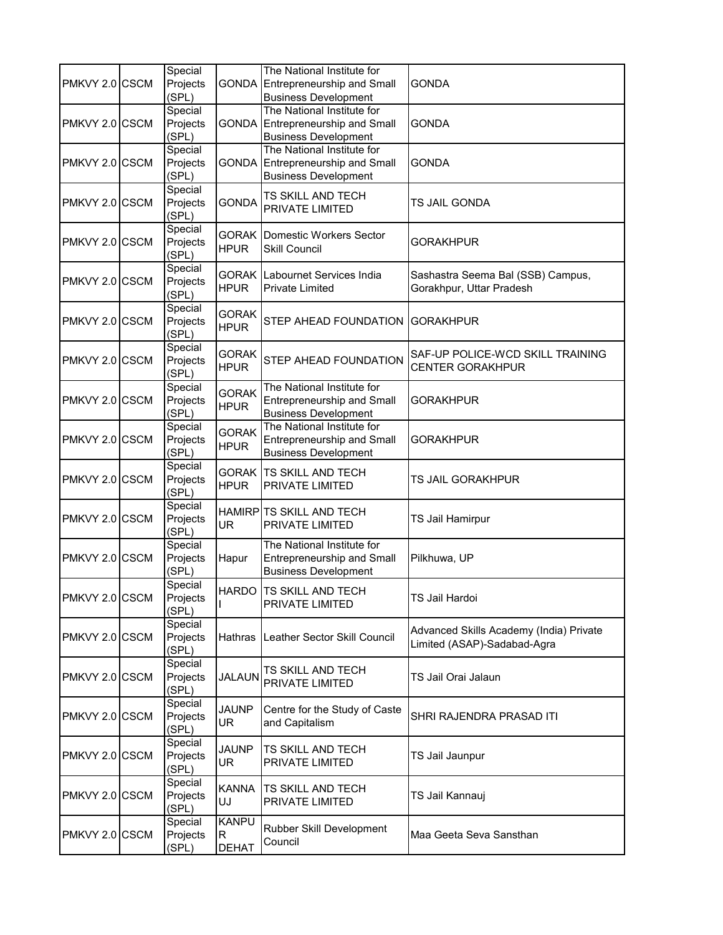| PMKVY 2.0 CSCM | Special<br>Projects<br>(SPL) |                                   | The National Institute for<br>GONDA Entrepreneurship and Small<br><b>Business Development</b>        | <b>GONDA</b>                                                           |
|----------------|------------------------------|-----------------------------------|------------------------------------------------------------------------------------------------------|------------------------------------------------------------------------|
| PMKVY 2.0 CSCM | Special<br>Projects<br>(SPL) |                                   | The National Institute for<br><b>GONDA</b> Entrepreneurship and Small<br><b>Business Development</b> | <b>GONDA</b>                                                           |
| PMKVY 2.0 CSCM | Special<br>Projects<br>(SPL) |                                   | The National Institute for<br><b>GONDA</b> Entrepreneurship and Small<br><b>Business Development</b> | <b>GONDA</b>                                                           |
| PMKVY 2.0 CSCM | Special<br>Projects<br>(SPL) | <b>GONDA</b>                      | TS SKILL AND TECH<br>PRIVATE LIMITED                                                                 | TS JAIL GONDA                                                          |
| PMKVY 2.0 CSCM | Special<br>Projects<br>(SPL) | GORAK  <br><b>HPUR</b>            | Domestic Workers Sector<br>Skill Council                                                             | GORAKHPUR                                                              |
| PMKVY 2.0 CSCM | Special<br>Projects<br>(SPL) | GORAK  <br><b>HPUR</b>            | Labournet Services India<br>Private Limited                                                          | Sashastra Seema Bal (SSB) Campus,<br>Gorakhpur, Uttar Pradesh          |
| PMKVY 2.0 CSCM | Special<br>Projects<br>(SPL) | <b>GORAK</b><br><b>HPUR</b>       | STEP AHEAD FOUNDATION                                                                                | <b>GORAKHPUR</b>                                                       |
| PMKVY 2.0 CSCM | Special<br>Projects<br>(SPL) | <b>GORAK</b><br><b>HPUR</b>       | STEP AHEAD FOUNDATION                                                                                | SAF-UP POLICE-WCD SKILL TRAINING<br><b>CENTER GORAKHPUR</b>            |
| PMKVY 2.0 CSCM | Special<br>Projects<br>(SPL) | <b>GORAK</b><br><b>HPUR</b>       | The National Institute for<br>Entrepreneurship and Small<br><b>Business Development</b>              | <b>GORAKHPUR</b>                                                       |
| PMKVY 2.0 CSCM | Special<br>Projects<br>(SPL) | <b>GORAK</b><br><b>HPUR</b>       | The National Institute for<br><b>Entrepreneurship and Small</b><br><b>Business Development</b>       | GORAKHPUR                                                              |
| PMKVY 2.0 CSCM | Special<br>Projects<br>(SPL) | <b>HPUR</b>                       | <b>GORAK TS SKILL AND TECH</b><br>PRIVATE LIMITED                                                    | TS JAIL GORAKHPUR                                                      |
| PMKVY 2.0 CSCM | Special<br>Projects<br>(SPL) | UR.                               | HAMIRP TS SKILL AND TECH<br>PRIVATE LIMITED                                                          | TS Jail Hamirpur                                                       |
| PMKVY 2.0 CSCM | Special<br>Projects<br>(SPL) | Hapur                             | The National Institute for<br><b>Entrepreneurship and Small</b><br><b>Business Development</b>       | Pilkhuwa, UP                                                           |
| PMKVY 2.0 CSCM | Special<br>Projects<br>(SPL) |                                   | HARDO ITS SKILL AND TECH<br>PRIVATE LIMITED                                                          | TS Jail Hardoi                                                         |
| PMKVY 2.0 CSCM | Special<br>Projects<br>(SPL) | Hathras                           | Leather Sector Skill Council                                                                         | Advanced Skills Academy (India) Private<br>Limited (ASAP)-Sadabad-Agra |
| PMKVY 2.0 CSCM | Special<br>Projects<br>(SPL) | <b>JALAUN</b>                     | TS SKILL AND TECH<br>PRIVATE LIMITED                                                                 | TS Jail Orai Jalaun                                                    |
| PMKVY 2.0 CSCM | Special<br>Projects<br>(SPL) | <b>JAUNP</b><br>UR                | Centre for the Study of Caste<br>and Capitalism                                                      | SHRI RAJENDRA PRASAD ITI                                               |
| PMKVY 2.0 CSCM | Special<br>Projects<br>(SPL) | <b>JAUNP</b><br>UR.               | TS SKILL AND TECH<br>PRIVATE LIMITED                                                                 | TS Jail Jaunpur                                                        |
| PMKVY 2.0 CSCM | Special<br>Projects<br>(SPL) | <b>KANNA</b><br>UJ                | TS SKILL AND TECH<br>PRIVATE LIMITED                                                                 | TS Jail Kannauj                                                        |
| PMKVY 2.0 CSCM | Special<br>Projects<br>(SPL) | <b>KANPU</b><br>R<br><b>DEHAT</b> | Rubber Skill Development<br>Council                                                                  | Maa Geeta Seva Sansthan                                                |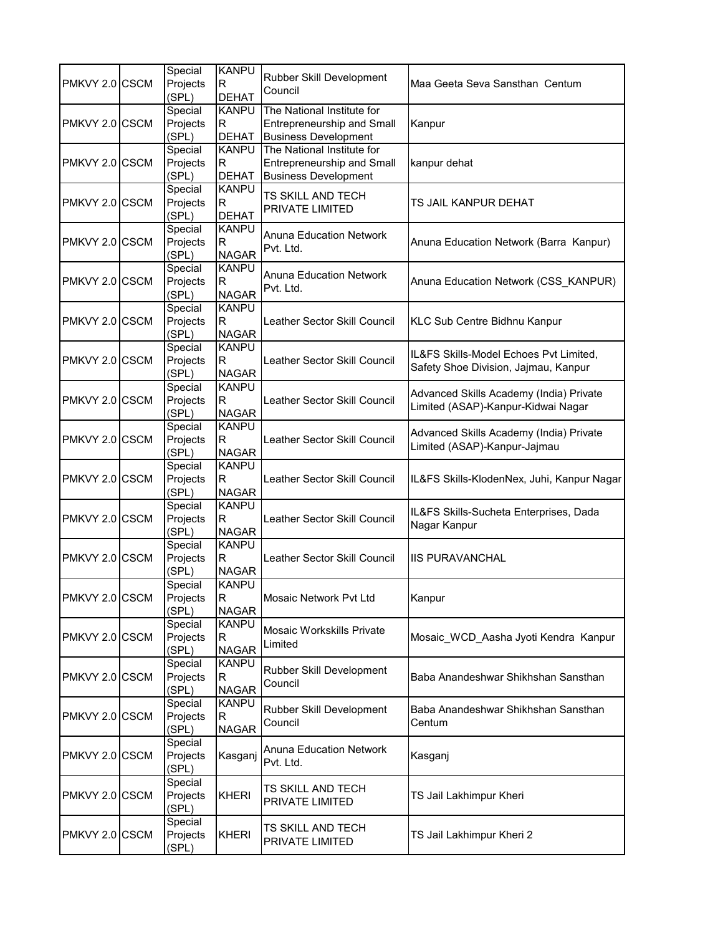|                |  | Special  | <b>KANPU</b> | Rubber Skill Development            | Maa Geeta Seva Sansthan Centum                                                |
|----------------|--|----------|--------------|-------------------------------------|-------------------------------------------------------------------------------|
| PMKVY 2.0 CSCM |  | Projects | R            | Council                             |                                                                               |
|                |  | (SPL)    | <b>DEHAT</b> |                                     |                                                                               |
|                |  | Special  | <b>KANPU</b> | The National Institute for          |                                                                               |
| PMKVY 2.0 CSCM |  | Projects | R            | Entrepreneurship and Small          | Kanpur                                                                        |
|                |  | (SPL)    | <b>DEHAT</b> | <b>Business Development</b>         |                                                                               |
|                |  | Special  | <b>KANPU</b> | The National Institute for          |                                                                               |
| PMKVY 2.0 CSCM |  | Projects | $\mathsf R$  | Entrepreneurship and Small          | kanpur dehat                                                                  |
|                |  | (SPL)    | <b>DEHAT</b> | <b>Business Development</b>         |                                                                               |
|                |  | Special  | <b>KANPU</b> |                                     |                                                                               |
| PMKVY 2.0 CSCM |  | Projects | R            | TS SKILL AND TECH                   | TS JAIL KANPUR DEHAT                                                          |
|                |  | (SPL)    | <b>DEHAT</b> | PRIVATE LIMITED                     |                                                                               |
|                |  | Special  | <b>KANPU</b> |                                     |                                                                               |
| PMKVY 2.0 CSCM |  | Projects | R            | <b>Anuna Education Network</b>      | Anuna Education Network (Barra Kanpur)                                        |
|                |  | (SPL)    | <b>NAGAR</b> | Pvt. Ltd.                           |                                                                               |
|                |  | Special  | <b>KANPU</b> |                                     |                                                                               |
| PMKVY 2.0 CSCM |  | Projects | R            | <b>Anuna Education Network</b>      | Anuna Education Network (CSS_KANPUR)                                          |
|                |  | (SPL)    | <b>NAGAR</b> | Pvt. Ltd.                           |                                                                               |
|                |  | Special  | <b>KANPU</b> |                                     |                                                                               |
| PMKVY 2.0 CSCM |  | Projects | R            | Leather Sector Skill Council        | <b>KLC Sub Centre Bidhnu Kanpur</b>                                           |
|                |  | (SPL)    | <b>NAGAR</b> |                                     |                                                                               |
|                |  | Special  | <b>KANPU</b> |                                     |                                                                               |
| PMKVY 2.0 CSCM |  |          | R            | Leather Sector Skill Council        | IL&FS Skills-Model Echoes Pvt Limited,                                        |
|                |  | Projects | <b>NAGAR</b> |                                     | Safety Shoe Division, Jajmau, Kanpur                                          |
|                |  | (SPL)    |              |                                     |                                                                               |
|                |  | Special  | <b>KANPU</b> | Leather Sector Skill Council        | Advanced Skills Academy (India) Private<br>Limited (ASAP)-Kanpur-Kidwai Nagar |
| PMKVY 2.0 CSCM |  | Projects | R.           |                                     |                                                                               |
|                |  | (SPL)    | <b>NAGAR</b> |                                     |                                                                               |
|                |  | Special  | <b>KANPU</b> | Leather Sector Skill Council        | Advanced Skills Academy (India) Private<br>Limited (ASAP)-Kanpur-Jajmau       |
| PMKVY 2.0 CSCM |  | Projects | R            |                                     |                                                                               |
|                |  | (SPL)    | <b>NAGAR</b> |                                     |                                                                               |
|                |  | Special  | <b>KANPU</b> |                                     | IL&FS Skills-KlodenNex, Juhi, Kanpur Nagar                                    |
| PMKVY 2.0 CSCM |  | Projects | R            | Leather Sector Skill Council        |                                                                               |
|                |  | (SPL)    | <b>NAGAR</b> |                                     |                                                                               |
|                |  | Special  | <b>KANPU</b> | <b>Leather Sector Skill Council</b> | IL&FS Skills-Sucheta Enterprises, Dada<br>Nagar Kanpur                        |
| PMKVY 2.0 CSCM |  | Projects | R            |                                     |                                                                               |
|                |  | (SPL)    | <b>NAGAR</b> |                                     |                                                                               |
|                |  | Special  | <b>KANPU</b> |                                     |                                                                               |
| PMKVY 2.0 CSCM |  | Projects | R            | <b>Leather Sector Skill Council</b> | <b>IIS PURAVANCHAL</b>                                                        |
|                |  | (SPL)    | <b>NAGAR</b> |                                     |                                                                               |
|                |  | Special  | <b>KANPU</b> |                                     |                                                                               |
| PMKVY 2.0 CSCM |  | Projects | R            | Mosaic Network Pvt Ltd              | Kanpur                                                                        |
|                |  | (SPL)    | <b>NAGAR</b> |                                     |                                                                               |
|                |  | Special  | <b>KANPU</b> |                                     |                                                                               |
| PMKVY 2.0 CSCM |  | Projects | R            | Mosaic Workskills Private           | Mosaic_WCD_Aasha Jyoti Kendra Kanpur                                          |
|                |  | (SPL)    | <b>NAGAR</b> | Limited                             |                                                                               |
|                |  | Special  | <b>KANPU</b> |                                     |                                                                               |
| PMKVY 2.0 CSCM |  | Projects | R            | Rubber Skill Development            | Baba Anandeshwar Shikhshan Sansthan                                           |
|                |  | (SPL)    | <b>NAGAR</b> | Council                             |                                                                               |
|                |  | Special  | <b>KANPU</b> |                                     |                                                                               |
| PMKVY 2.0 CSCM |  | Projects | R            | Rubber Skill Development            | Baba Anandeshwar Shikhshan Sansthan                                           |
|                |  | (SPL)    | <b>NAGAR</b> | Council                             | Centum                                                                        |
|                |  | Special  |              |                                     |                                                                               |
| PMKVY 2.0 CSCM |  | Projects | Kasganj      | <b>Anuna Education Network</b>      | Kasganj                                                                       |
|                |  | (SPL)    |              | Pvt. Ltd.                           |                                                                               |
|                |  |          |              |                                     |                                                                               |
| PMKVY 2.0 CSCM |  | Special  | <b>KHERI</b> | TS SKILL AND TECH                   |                                                                               |
|                |  | Projects |              | PRIVATE LIMITED                     | TS Jail Lakhimpur Kheri                                                       |
|                |  | (SPL)    |              |                                     |                                                                               |
|                |  | Special  |              | TS SKILL AND TECH                   |                                                                               |
| PMKVY 2.0 CSCM |  | Projects | <b>KHERI</b> | PRIVATE LIMITED                     | TS Jail Lakhimpur Kheri 2                                                     |
|                |  | (SPL)    |              |                                     |                                                                               |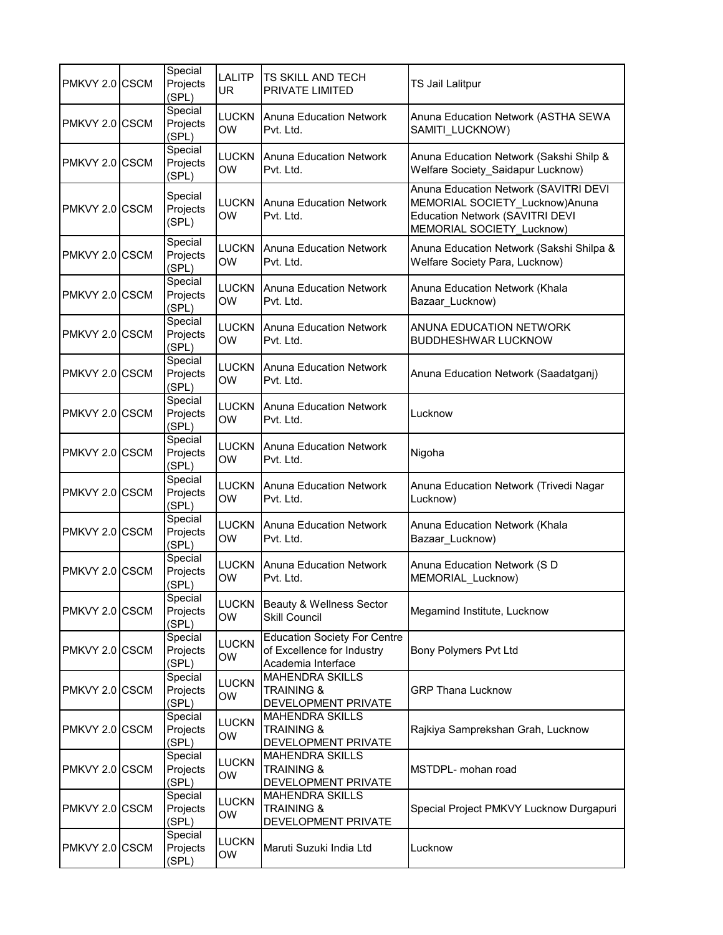| PMKVY 2.0 CSCM   |             | Special<br>Projects<br>(SPL) | LALITP<br><b>UR</b>       | <b>TS SKILL AND TECH</b><br>PRIVATE LIMITED                                             | TS Jail Lalitpur                                                                                                                        |
|------------------|-------------|------------------------------|---------------------------|-----------------------------------------------------------------------------------------|-----------------------------------------------------------------------------------------------------------------------------------------|
| PMKVY 2.0 CSCM   |             | Special<br>Projects<br>(SPL) | <b>LUCKN</b><br><b>OW</b> | <b>Anuna Education Network</b><br>Pvt. Ltd.                                             | Anuna Education Network (ASTHA SEWA<br>SAMITI_LUCKNOW)                                                                                  |
| PMKVY 2.0 CSCM   |             | Special<br>Projects<br>(SPL) | <b>LUCKN</b><br><b>OW</b> | IAnuna Education Network<br>Pvt. Ltd.                                                   | Anuna Education Network (Sakshi Shilp &<br>Welfare Society_Saidapur Lucknow)                                                            |
| PMKVY 2.0 CSCM   |             | Special<br>Projects<br>(SPL) | <b>LUCKN</b><br><b>OW</b> | <b>Anuna Education Network</b><br>Pvt. Ltd.                                             | Anuna Education Network (SAVITRI DEVI<br>MEMORIAL SOCIETY_Lucknow)Anuna<br>Education Network (SAVITRI DEVI<br>MEMORIAL SOCIETY_Lucknow) |
| PMKVY 2.0 CSCM   |             | Special<br>Projects<br>(SPL) | <b>LUCKN</b><br><b>OW</b> | <b>Anuna Education Network</b><br>Pvt. Ltd.                                             | Anuna Education Network (Sakshi Shilpa &<br>Welfare Society Para, Lucknow)                                                              |
| PMKVY 2.0 CSCM   |             | Special<br>Projects<br>(SPL) | <b>LUCKN</b><br><b>OW</b> | <b>Anuna Education Network</b><br>Pvt. Ltd.                                             | Anuna Education Network (Khala<br>Bazaar Lucknow)                                                                                       |
| PMKVY 2.0 CSCM   |             | Special<br>Projects<br>(SPL) | <b>LUCKN</b><br><b>OW</b> | <b>Anuna Education Network</b><br>Pvt. Ltd.                                             | ANUNA EDUCATION NETWORK<br><b>BUDDHESHWAR LUCKNOW</b>                                                                                   |
| PMKVY 2.0 CSCM   |             | Special<br>Projects<br>(SPL) | <b>LUCKN</b><br><b>OW</b> | Anuna Education Network<br>Pvt. Ltd.                                                    | Anuna Education Network (Saadatganj)                                                                                                    |
| PMKVY 2.0 CSCM   |             | Special<br>Projects<br>(SPL) | <b>LUCKN</b><br><b>OW</b> | <b>Anuna Education Network</b><br>Pvt. Ltd.                                             | Lucknow                                                                                                                                 |
| PMKVY 2.0 CSCM   |             | Special<br>Projects<br>(SPL) | <b>LUCKN</b><br><b>OW</b> | <b>Anuna Education Network</b><br>Pvt. Ltd.                                             | Nigoha                                                                                                                                  |
| PMKVY 2.0 CSCM   |             | Special<br>Projects<br>(SPL) | <b>LUCKN</b><br><b>OW</b> | <b>Anuna Education Network</b><br>Pvt. Ltd.                                             | Anuna Education Network (Trivedi Nagar<br>Lucknow)                                                                                      |
| <b>PMKVY 2.0</b> | <b>CSCM</b> | Special<br>Projects<br>(SPL) | <b>LUCKN</b><br><b>OW</b> | <b>Anuna Education Network</b><br>Pvt. Ltd.                                             | Anuna Education Network (Khala<br>Bazaar Lucknow)                                                                                       |
| <b>PMKVY 2.0</b> | <b>CSCM</b> | Special<br>Projects<br>(SPL) | <b>LUCKN</b><br><b>OW</b> | <b>Anuna Education Network</b><br>Pvt. Ltd.                                             | Anuna Education Network (SD<br>MEMORIAL_Lucknow)                                                                                        |
| PMKVY 2.0 CSCM   |             | Special<br>Projects<br>(SPL) | <b>LUCKN</b><br><b>OW</b> | Beauty & Wellness Sector<br><b>Skill Council</b>                                        | Megamind Institute, Lucknow                                                                                                             |
| PMKVY 2.0 CSCM   |             | Special<br>Projects<br>(SPL) | <b>LUCKN</b><br><b>OW</b> | <b>Education Society For Centre</b><br>of Excellence for Industry<br>Academia Interface | Bony Polymers Pvt Ltd                                                                                                                   |
| PMKVY 2.0 CSCM   |             | Special<br>Projects<br>(SPL) | <b>LUCKN</b><br>OW        | <b>MAHENDRA SKILLS</b><br><b>TRAINING &amp;</b><br>DEVELOPMENT PRIVATE                  | <b>GRP Thana Lucknow</b>                                                                                                                |
| PMKVY 2.0 CSCM   |             | Special<br>Projects<br>(SPL) | <b>LUCKN</b><br>OW        | <b>MAHENDRA SKILLS</b><br><b>TRAINING &amp;</b><br>DEVELOPMENT PRIVATE                  | Rajkiya Samprekshan Grah, Lucknow                                                                                                       |
| PMKVY 2.0        | <b>CSCM</b> | Special<br>Projects<br>(SPL) | <b>LUCKN</b><br>OW        | <b>MAHENDRA SKILLS</b><br><b>TRAINING &amp;</b><br>DEVELOPMENT PRIVATE                  | MSTDPL- mohan road                                                                                                                      |
| PMKVY 2.0 CSCM   |             | Special<br>Projects<br>(SPL) | <b>LUCKN</b><br>OW        | <b>MAHENDRA SKILLS</b><br><b>TRAINING &amp;</b><br>DEVELOPMENT PRIVATE                  | Special Project PMKVY Lucknow Durgapuri                                                                                                 |
| PMKVY 2.0 CSCM   |             | Special<br>Projects<br>(SPL) | <b>LUCKN</b><br>OW        | Maruti Suzuki India Ltd                                                                 | Lucknow                                                                                                                                 |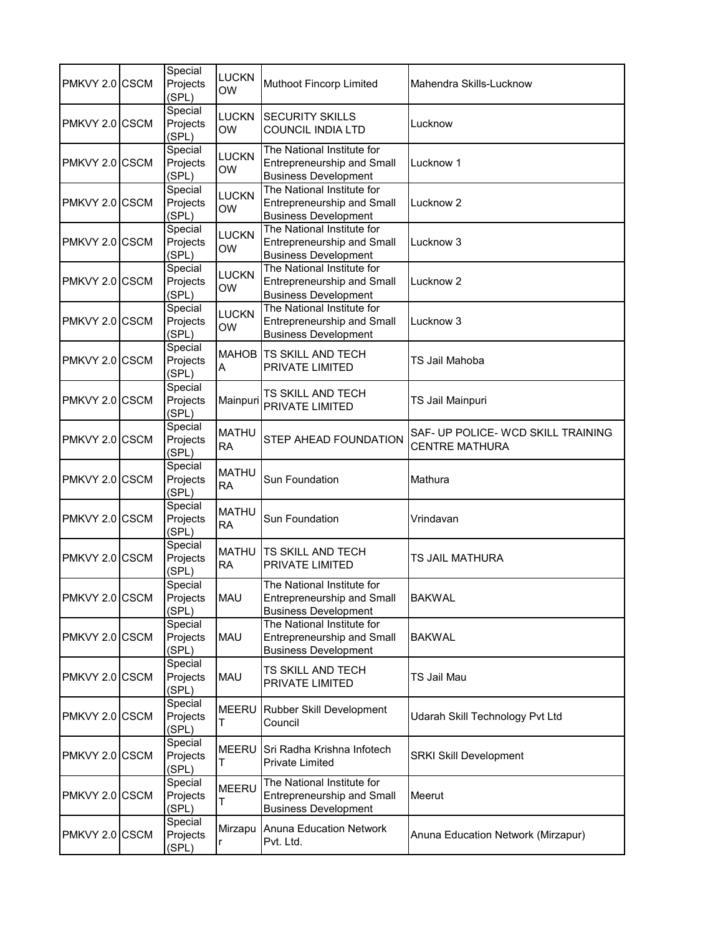| PMKVY 2.0 CSCM | Special<br>Projects<br>(SPL) | <b>LUCKN</b><br><b>OW</b> | Muthoot Fincorp Limited                                                                        | Mahendra Skills-Lucknow                                     |
|----------------|------------------------------|---------------------------|------------------------------------------------------------------------------------------------|-------------------------------------------------------------|
| PMKVY 2.0 CSCM | Special<br>Projects<br>(SPL) | <b>LUCKN</b><br><b>OW</b> | <b>SECURITY SKILLS</b><br><b>COUNCIL INDIA LTD</b>                                             | Lucknow                                                     |
| PMKVY 2.0 CSCM | Special<br>Projects<br>(SPL) | <b>LUCKN</b><br><b>OW</b> | The National Institute for<br>Entrepreneurship and Small<br><b>Business Development</b>        | Lucknow 1                                                   |
| PMKVY 2.0 CSCM | Special<br>Projects<br>(SPL) | <b>LUCKN</b><br><b>OW</b> | The National Institute for<br><b>Entrepreneurship and Small</b><br><b>Business Development</b> | Lucknow <sub>2</sub>                                        |
| PMKVY 2.0 CSCM | Special<br>Projects<br>(SPL) | <b>LUCKN</b><br><b>OW</b> | The National Institute for<br>Entrepreneurship and Small<br><b>Business Development</b>        | Lucknow 3                                                   |
| PMKVY 2.0 CSCM | Special<br>Projects<br>(SPL) | <b>LUCKN</b><br><b>OW</b> | The National Institute for<br><b>Entrepreneurship and Small</b><br><b>Business Development</b> | Lucknow <sub>2</sub>                                        |
| PMKVY 2.0 CSCM | Special<br>Projects<br>(SPL) | <b>LUCKN</b><br><b>OW</b> | The National Institute for<br>Entrepreneurship and Small<br><b>Business Development</b>        | Lucknow 3                                                   |
| PMKVY 2.0 CSCM | Special<br>Projects<br>(SPL) | A                         | MAHOB TS SKILL AND TECH<br>PRIVATE LIMITED                                                     | TS Jail Mahoba                                              |
| PMKVY 2.0 CSCM | Special<br>Projects<br>(SPL) | Mainpuri                  | TS SKILL AND TECH<br>PRIVATE LIMITED                                                           | TS Jail Mainpuri                                            |
| PMKVY 2.0 CSCM | Special<br>Projects<br>(SPL) | <b>MATHU</b><br><b>RA</b> | STEP AHEAD FOUNDATION                                                                          | SAF- UP POLICE- WCD SKILL TRAINING<br><b>CENTRE MATHURA</b> |
| PMKVY 2.0 CSCM | Special<br>Projects<br>(SPL) | <b>MATHU</b><br><b>RA</b> | Sun Foundation                                                                                 | Mathura                                                     |
| PMKVY 2.0 CSCM | Special<br>Projects<br>(SPL) | <b>MATHU</b><br><b>RA</b> | Sun Foundation                                                                                 | Vrindavan                                                   |
| PMKVY 2.0 CSCM | Special<br>Projects<br>(SPL) | <b>MATHU</b><br><b>RA</b> | <b>TS SKILL AND TECH</b><br>PRIVATE LIMITED                                                    | TS JAIL MATHURA                                             |
| PMKVY 2.0 CSCM | Special<br>Projects<br>(SPL) | MAU                       | The National Institute for<br>Entrepreneurship and Small<br><b>Business Development</b>        | BAKWAL                                                      |
| PMKVY 2.0 CSCM | Special<br>Projects<br>(SPL) | MAU                       | The National Institute for<br>Entrepreneurship and Small<br><b>Business Development</b>        | <b>BAKWAL</b>                                               |
| PMKVY 2.0 CSCM | Special<br>Projects<br>(SPL) | MAU                       | TS SKILL AND TECH<br>PRIVATE LIMITED                                                           | TS Jail Mau                                                 |
| PMKVY 2.0 CSCM | Special<br>Projects<br>(SPL) | MEERU<br>T                | Rubber Skill Development<br>Council                                                            | Udarah Skill Technology Pvt Ltd                             |
| PMKVY 2.0 CSCM | Special<br>Projects<br>(SPL) | <b>MEERU</b><br>T         | Sri Radha Krishna Infotech<br><b>Private Limited</b>                                           | <b>SRKI Skill Development</b>                               |
| PMKVY 2.0 CSCM | Special<br>Projects<br>(SPL) | <b>MEERU</b><br>T         | The National Institute for<br><b>Entrepreneurship and Small</b><br><b>Business Development</b> | Meerut                                                      |
| PMKVY 2.0 CSCM | Special<br>Projects<br>(SPL) | r                         | Mirzapu Anuna Education Network<br>Pvt. Ltd.                                                   | Anuna Education Network (Mirzapur)                          |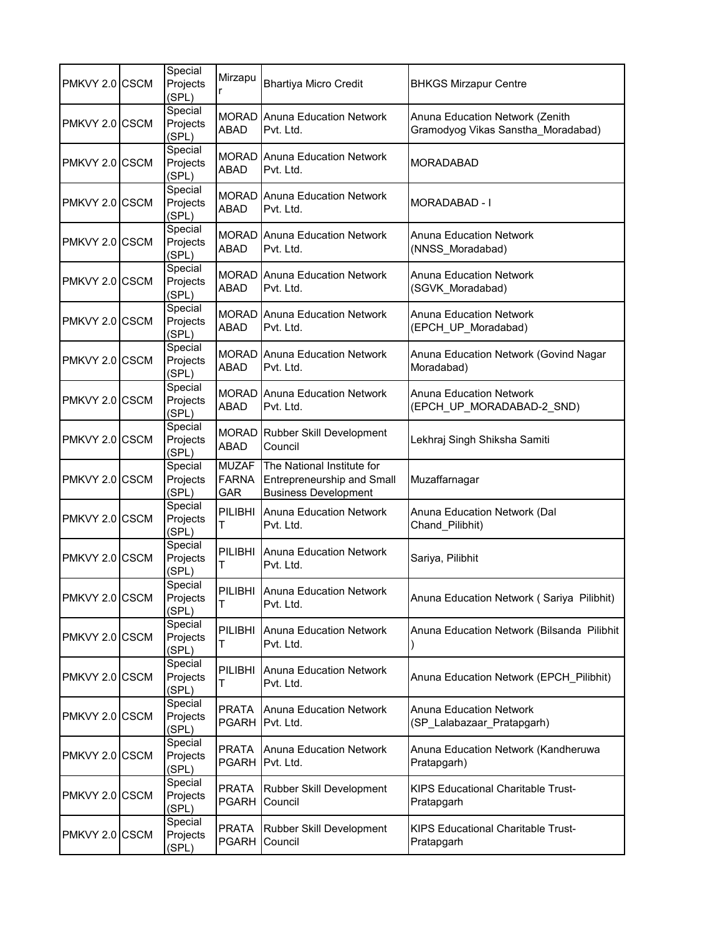| PMKVY 2.0 CSCM | Special<br>Projects<br>(SPL) | Mirzapu                             | <b>Bhartiya Micro Credit</b>                                                            | <b>BHKGS Mirzapur Centre</b>                                          |
|----------------|------------------------------|-------------------------------------|-----------------------------------------------------------------------------------------|-----------------------------------------------------------------------|
| PMKVY 2.0 CSCM | Special<br>Projects<br>(SPL) | ABAD                                | <b>MORAD</b> Anuna Education Network<br>Pvt. Ltd.                                       | Anuna Education Network (Zenith<br>Gramodyog Vikas Sanstha_Moradabad) |
| PMKVY 2.0 CSCM | Special<br>Projects<br>(SPL) | ABAD                                | <b>MORAD</b> Anuna Education Network<br>Pvt. Ltd.                                       | <b>MORADABAD</b>                                                      |
| PMKVY 2.0 CSCM | Special<br>Projects<br>(SPL) | ABAD                                | <b>MORAD</b> Anuna Education Network<br>Pvt. Ltd.                                       | MORADABAD - I                                                         |
| PMKVY 2.0 CSCM | Special<br>Projects<br>(SPL) | ABAD                                | <b>MORAD Anuna Education Network</b><br>Pvt. Ltd.                                       | <b>Anuna Education Network</b><br>(NNSS_Moradabad)                    |
| PMKVY 2.0 CSCM | Special<br>Projects<br>(SPL) | ABAD                                | <b>MORAD</b> Anuna Education Network<br>Pvt. Ltd.                                       | <b>Anuna Education Network</b><br>(SGVK_Moradabad)                    |
| PMKVY 2.0 CSCM | Special<br>Projects<br>(SPL) | MORAD<br><b>ABAD</b>                | Anuna Education Network<br>Pvt. Ltd.                                                    | <b>Anuna Education Network</b><br>(EPCH_UP_Moradabad)                 |
| PMKVY 2.0 CSCM | Special<br>Projects<br>(SPL) | ABAD                                | <b>MORAD Anuna Education Network</b><br>Pvt. Ltd.                                       | Anuna Education Network (Govind Nagar<br>Moradabad)                   |
| PMKVY 2.0 CSCM | Special<br>Projects<br>(SPL) | ABAD                                | <b>MORAD</b> Anuna Education Network<br>Pvt. Ltd.                                       | <b>Anuna Education Network</b><br>(EPCH UP MORADABAD-2 SND)           |
| PMKVY 2.0 CSCM | Special<br>Projects<br>(SPL) | ABAD                                | MORAD Rubber Skill Development<br>Council                                               | Lekhraj Singh Shiksha Samiti                                          |
| PMKVY 2.0 CSCM | Special<br>Projects<br>(SPL) | <b>MUZAF</b><br><b>FARNA</b><br>GAR | The National Institute for<br>Entrepreneurship and Small<br><b>Business Development</b> | Muzaffarnagar                                                         |
| PMKVY 2.0 CSCM | Special<br>Projects<br>(SPL) | PILIBHI<br>T                        | <b>Anuna Education Network</b><br>Pvt. Ltd.                                             | Anuna Education Network (Dal<br>Chand_Pilibhit)                       |
| PMKVY 2.0 CSCM | Special<br>Projects<br>(SPL) | PILIBHI<br>т                        | Anuna Education Network<br>Pvt. Ltd.                                                    | Sariya, Pilibhit                                                      |
| PMKVY 2.0 CSCM | Special<br>Projects<br>(SPL) | $\mathsf{T}$                        | PILIBHI Anuna Education Network<br>Pvt. Ltd.                                            | Anuna Education Network (Sariya Pilibhit)                             |
| PMKVY 2.0 CSCM | Special<br>Projects<br>(SPL) | PILIBHI<br>т                        | <b>Anuna Education Network</b><br>Pvt. Ltd.                                             | Anuna Education Network (Bilsanda Pilibhit                            |
| PMKVY 2.0 CSCM | Special<br>Projects<br>(SPL) | PILIBHI<br>T                        | <b>Anuna Education Network</b><br>Pvt. Ltd.                                             | Anuna Education Network (EPCH_Pilibhit)                               |
| PMKVY 2.0 CSCM | Special<br>Projects<br>(SPL) | <b>PRATA</b><br><b>PGARH</b>        | <b>Anuna Education Network</b><br>Pvt. Ltd.                                             | <b>Anuna Education Network</b><br>(SP_Lalabazaar_Pratapgarh)          |
| PMKVY 2.0 CSCM | Special<br>Projects<br>(SPL) | <b>PRATA</b><br><b>PGARH</b>        | <b>Anuna Education Network</b><br>Pvt. Ltd.                                             | Anuna Education Network (Kandheruwa<br>Pratapgarh)                    |
| PMKVY 2.0 CSCM | Special<br>Projects<br>(SPL) | <b>PRATA</b><br><b>PGARH</b>        | Rubber Skill Development<br>Council                                                     | <b>KIPS Educational Charitable Trust-</b><br>Pratapgarh               |
| PMKVY 2.0 CSCM | Special<br>Projects<br>(SPL) | <b>PRATA</b><br><b>PGARH</b>        | Rubber Skill Development<br>Council                                                     | <b>KIPS Educational Charitable Trust-</b><br>Pratapgarh               |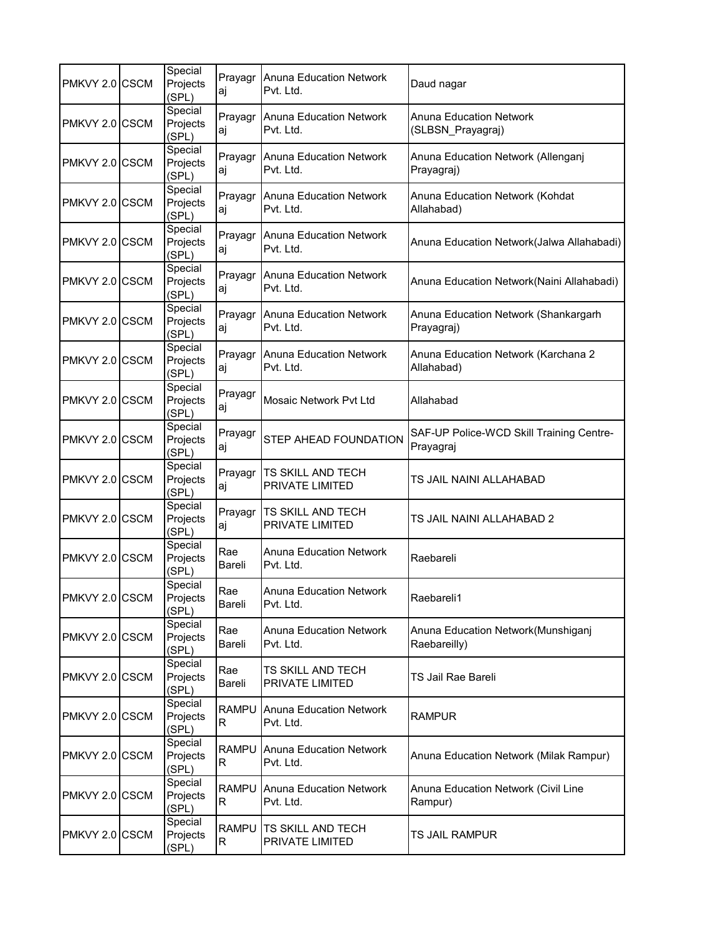| PMKVY 2.0 CSCM | Special<br>Projects<br>(SPL) | aj                | Prayagr Anuna Education Network<br>Pvt. Ltd. | Daud nagar                                            |
|----------------|------------------------------|-------------------|----------------------------------------------|-------------------------------------------------------|
| PMKVY 2.0 CSCM | Special<br>Projects<br>(SPL) | Prayagr<br>aj     | <b>Anuna Education Network</b><br>Pvt. Ltd.  | <b>Anuna Education Network</b><br>(SLBSN Prayagraj)   |
| PMKVY 2.0 CSCM | Special<br>Projects<br>(SPL) | Prayagr<br>aj     | Anuna Education Network<br>Pvt. Ltd.         | Anuna Education Network (Allenganj<br>Prayagraj)      |
| PMKVY 2.0 CSCM | Special<br>Projects<br>(SPL) | Prayagr<br>aj     | <b>Anuna Education Network</b><br>Pvt. Ltd.  | Anuna Education Network (Kohdat<br>Allahabad)         |
| PMKVY 2.0 CSCM | Special<br>Projects<br>(SPL) | Prayagr<br>aj     | <b>Anuna Education Network</b><br>Pvt. Ltd.  | Anuna Education Network(Jalwa Allahabadi)             |
| PMKVY 2.0 CSCM | Special<br>Projects<br>(SPL) | aj                | Prayagr Anuna Education Network<br>Pvt. Ltd. | Anuna Education Network(Naini Allahabadi)             |
| PMKVY 2.0 CSCM | Special<br>Projects<br>(SPL) | Prayagr<br>aj     | <b>Anuna Education Network</b><br>Pvt. Ltd.  | Anuna Education Network (Shankargarh<br>Prayagraj)    |
| PMKVY 2.0 CSCM | Special<br>Projects<br>(SPL) | Prayagr<br>aj     | <b>Anuna Education Network</b><br>Pvt. Ltd.  | Anuna Education Network (Karchana 2<br>Allahabad)     |
| PMKVY 2.0 CSCM | Special<br>Projects<br>(SPL) | Prayagr<br>aj     | Mosaic Network Pvt Ltd                       | Allahabad                                             |
| PMKVY 2.0 CSCM | Special<br>Projects<br>(SPL) | Prayagr<br>aj     | STEP AHEAD FOUNDATION                        | SAF-UP Police-WCD Skill Training Centre-<br>Prayagraj |
| PMKVY 2.0 CSCM | Special<br>Projects<br>(SPL) | Prayagr<br>aj     | TS SKILL AND TECH<br>PRIVATE LIMITED         | TS JAIL NAINI ALLAHABAD                               |
| PMKVY 2.0 CSCM | Special<br>Projects<br>(SPL) | Prayagr<br>aj     | TS SKILL AND TECH<br>PRIVATE LIMITED         | TS JAIL NAINI ALLAHABAD 2                             |
| PMKVY 2.0 CSCM | Special<br>Projects<br>(SPL) | Rae<br>Bareli     | <b>Anuna Education Network</b><br>Pvt. Ltd.  | Raebareli                                             |
| PMKVY 2.0 CSCM | Special<br>Projects<br>(SPL) | Rae<br>Bareli     | Anuna Education Network<br>Pvt. Ltd.         | Raebareli1                                            |
| PMKVY 2.0 CSCM | Special<br>Projects<br>(SPL) | Rae<br>Bareli     | <b>Anuna Education Network</b><br>Pvt. Ltd.  | Anuna Education Network (Munshiganj<br>Raebareilly)   |
| PMKVY 2.0 CSCM | Special<br>Projects<br>(SPL) | Rae<br>Bareli     | TS SKILL AND TECH<br>PRIVATE LIMITED         | TS Jail Rae Bareli                                    |
| PMKVY 2.0 CSCM | Special<br>Projects<br>(SPL) | <b>RAMPU</b><br>R | <b>Anuna Education Network</b><br>Pvt. Ltd.  | <b>RAMPUR</b>                                         |
| PMKVY 2.0 CSCM | Special<br>Projects<br>(SPL) | <b>RAMPU</b><br>R | <b>Anuna Education Network</b><br>Pvt. Ltd.  | Anuna Education Network (Milak Rampur)                |
| PMKVY 2.0 CSCM | Special<br>Projects<br>(SPL) | <b>RAMPU</b><br>R | <b>Anuna Education Network</b><br>Pvt. Ltd.  | Anuna Education Network (Civil Line<br>Rampur)        |
| PMKVY 2.0 CSCM | Special<br>Projects<br>(SPL) | <b>RAMPU</b><br>R | TS SKILL AND TECH<br>PRIVATE LIMITED         | TS JAIL RAMPUR                                        |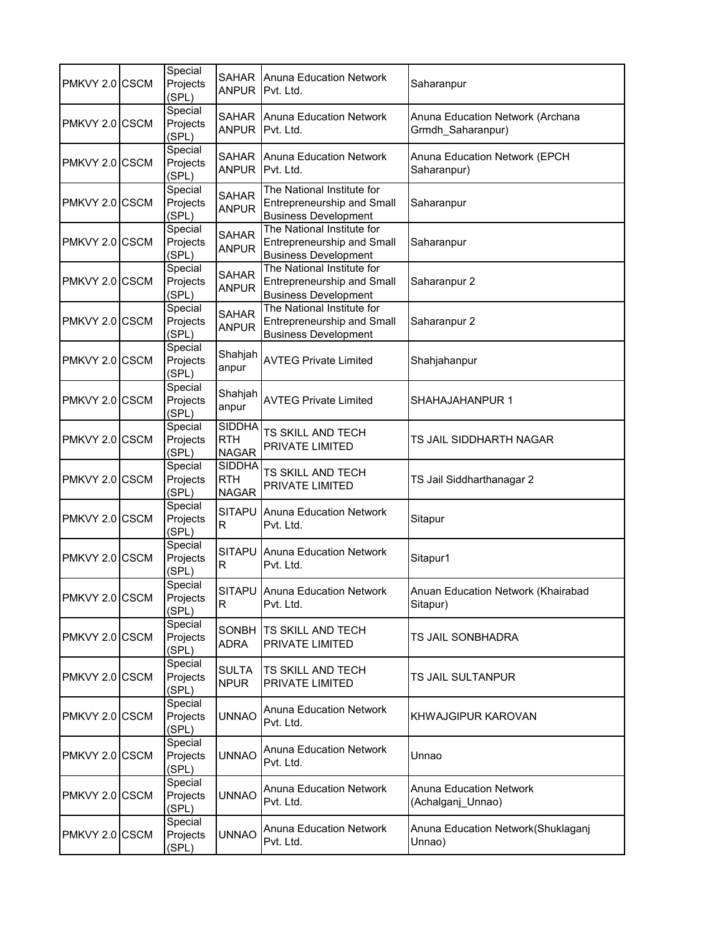| PMKVY 2.0 CSCM | Special<br>Projects<br>(SPL) |                                             | <b>SAHAR</b> Anuna Education Network<br>ANPUR Pvt. Ltd.                                        | Saharanpur                                            |
|----------------|------------------------------|---------------------------------------------|------------------------------------------------------------------------------------------------|-------------------------------------------------------|
| PMKVY 2.0 CSCM | Special<br>Projects<br>(SPL) | <b>SAHAR</b><br><b>ANPUR</b>                | <b>Anuna Education Network</b><br>Pvt. Ltd.                                                    | Anuna Education Network (Archana<br>Grmdh_Saharanpur) |
| PMKVY 2.0 CSCM | Special<br>Projects<br>(SPL) | <b>SAHAR</b><br>ANPUR                       | Anuna Education Network<br>Pvt. Ltd.                                                           | Anuna Education Network (EPCH<br>Saharanpur)          |
| PMKVY 2.0 CSCM | Special<br>Projects<br>(SPL) | <b>SAHAR</b><br><b>ANPUR</b>                | The National Institute for<br>Entrepreneurship and Small<br><b>Business Development</b>        | Saharanpur                                            |
| PMKVY 2.0 CSCM | Special<br>Projects<br>(SPL) | <b>SAHAR</b><br><b>ANPUR</b>                | The National Institute for<br><b>Entrepreneurship and Small</b><br><b>Business Development</b> | Saharanpur                                            |
| PMKVY 2.0 CSCM | Special<br>Projects<br>(SPL) | <b>SAHAR</b><br><b>ANPUR</b>                | The National Institute for<br><b>Entrepreneurship and Small</b><br><b>Business Development</b> | Saharanpur 2                                          |
| PMKVY 2.0 CSCM | Special<br>Projects<br>(SPL) | SAHAR<br><b>ANPUR</b>                       | The National Institute for<br><b>Entrepreneurship and Small</b><br><b>Business Development</b> | Saharanpur 2                                          |
| PMKVY 2.0 CSCM | Special<br>Projects<br>(SPL) | Shahjah<br>anpur                            | <b>AVTEG Private Limited</b>                                                                   | Shahjahanpur                                          |
| PMKVY 2.0 CSCM | Special<br>Projects<br>(SPL) | Shahjah<br>anpur                            | <b>AVTEG Private Limited</b>                                                                   | SHAHAJAHANPUR 1                                       |
| PMKVY 2.0 CSCM | Special<br>Projects<br>(SPL) | <b>SIDDHA</b><br><b>RTH</b><br><b>NAGAR</b> | TS SKILL AND TECH<br>PRIVATE LIMITED                                                           | TS JAIL SIDDHARTH NAGAR                               |
| PMKVY 2.0 CSCM | Special<br>Projects<br>(SPL) | <b>SIDDHA</b><br><b>RTH</b><br><b>NAGAR</b> | TS SKILL AND TECH<br>PRIVATE LIMITED                                                           | TS Jail Siddharthanagar 2                             |
| PMKVY 2.0 CSCM | Special<br>Projects<br>(SPL) | <b>SITAPU</b><br>R                          | <b>Anuna Education Network</b><br>Pvt. Ltd.                                                    | Sitapur                                               |
| PMKVY 2.0 CSCM | Special<br>Projects<br>(SPL) | <b>SITAPU</b><br>R                          | Anuna Education Network<br>Pvt. Ltd.                                                           | Sitapur1                                              |
| PMKVY 2.0 CSCM | Special<br>Projects<br>(SPL) | $\mathsf{R}$                                | SITAPU Anuna Education Network<br>Pvt. Ltd.                                                    | <b>Anuan Education Network (Khairabad</b><br>Sitapur) |
| PMKVY 2.0 CSCM | Special<br>Projects<br>(SPL) | <b>SONBH</b><br>ADRA                        | <b>TS SKILL AND TECH</b><br>PRIVATE LIMITED                                                    | TS JAIL SONBHADRA                                     |
| PMKVY 2.0 CSCM | Special<br>Projects<br>(SPL) | <b>SULTA</b><br><b>NPUR</b>                 | TS SKILL AND TECH<br>PRIVATE LIMITED                                                           | TS JAIL SULTANPUR                                     |
| PMKVY 2.0 CSCM | Special<br>Projects<br>(SPL) | <b>UNNAO</b>                                | <b>Anuna Education Network</b><br>Pvt. Ltd.                                                    | KHWAJGIPUR KAROVAN                                    |
| PMKVY 2.0 CSCM | Special<br>Projects<br>(SPL) | <b>UNNAO</b>                                | <b>Anuna Education Network</b><br>Pvt. Ltd.                                                    | Unnao                                                 |
| PMKVY 2.0 CSCM | Special<br>Projects<br>(SPL) | <b>UNNAO</b>                                | Anuna Education Network<br>Pvt. Ltd.                                                           | Anuna Education Network<br>(Achalganj_Unnao)          |
| PMKVY 2.0 CSCM | Special<br>Projects<br>(SPL) | <b>UNNAO</b>                                | <b>Anuna Education Network</b><br>Pvt. Ltd.                                                    | Anuna Education Network(Shuklaganj<br>Unnao)          |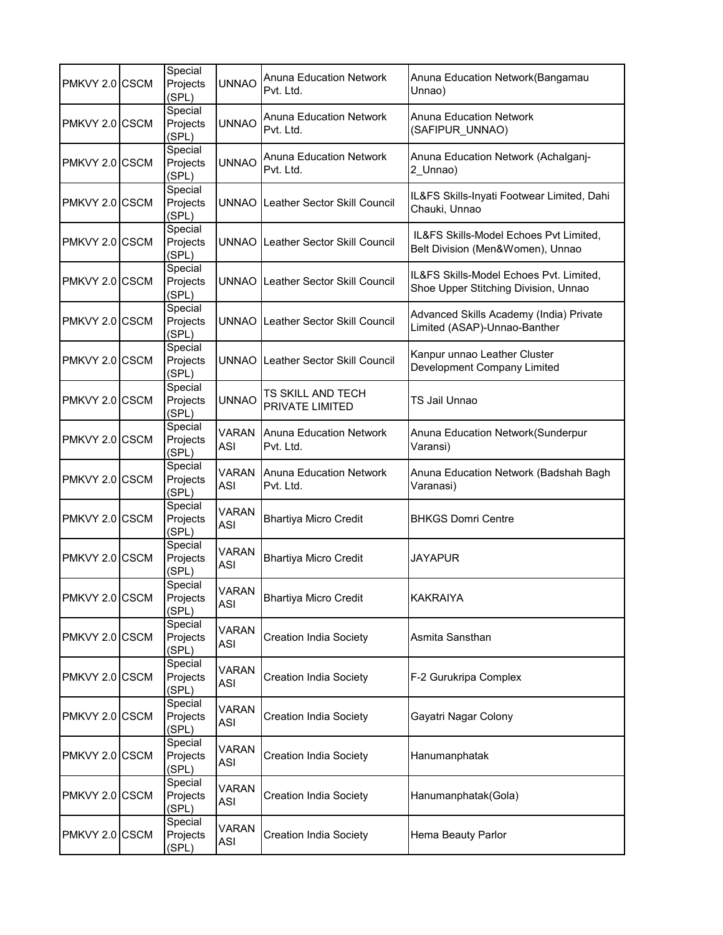| PMKVY 2.0 CSCM | Special<br>Projects<br>(SPL) | <b>UNNAO</b>               | <b>Anuna Education Network</b><br>Pvt. Ltd. | Anuna Education Network (Bangamau<br>Unnao)                                     |
|----------------|------------------------------|----------------------------|---------------------------------------------|---------------------------------------------------------------------------------|
| PMKVY 2.0 CSCM | Special<br>Projects<br>(SPL) | <b>UNNAO</b>               | <b>Anuna Education Network</b><br>Pvt. Ltd. | Anuna Education Network<br>(SAFIPUR_UNNAO)                                      |
| PMKVY 2.0 CSCM | Special<br>Projects<br>(SPL) | <b>UNNAO</b>               | Anuna Education Network<br>Pvt. Ltd.        | Anuna Education Network (Achalganj-<br>2_Unnao)                                 |
| PMKVY 2.0 CSCM | Special<br>Projects<br>(SPL) |                            | UNNAO Leather Sector Skill Council          | IL&FS Skills-Inyati Footwear Limited, Dahi<br>Chauki, Unnao                     |
| PMKVY 2.0 CSCM | Special<br>Projects<br>(SPL) |                            | UNNAO Leather Sector Skill Council          | IL&FS Skills-Model Echoes Pvt Limited,<br>Belt Division (Men&Women), Unnao      |
| PMKVY 2.0 CSCM | Special<br>Projects<br>(SPL) |                            | UNNAO Leather Sector Skill Council          | IL&FS Skills-Model Echoes Pvt. Limited,<br>Shoe Upper Stitching Division, Unnao |
| PMKVY 2.0 CSCM | Special<br>Projects<br>(SPL) |                            | UNNAO Leather Sector Skill Council          | Advanced Skills Academy (India) Private<br>Limited (ASAP)-Unnao-Banther         |
| PMKVY 2.0 CSCM | Special<br>Projects<br>(SPL) |                            | UNNAO LLeather Sector Skill Council         | Kanpur unnao Leather Cluster<br>Development Company Limited                     |
| PMKVY 2.0 CSCM | Special<br>Projects<br>(SPL) | <b>UNNAO</b>               | TS SKILL AND TECH<br>PRIVATE LIMITED        | TS Jail Unnao                                                                   |
| PMKVY 2.0 CSCM | Special<br>Projects<br>(SPL) | VARAN<br>ASI               | Anuna Education Network<br>Pvt. Ltd.        | Anuna Education Network(Sunderpur<br>Varansi)                                   |
| PMKVY 2.0 CSCM | Special<br>Projects<br>(SPL) | VARAN<br>ASI               | <b>Anuna Education Network</b><br>Pvt. Ltd. | Anuna Education Network (Badshah Bagh<br>Varanasi)                              |
| PMKVY 2.0 CSCM | Special<br>Projects<br>(SPL) | <b>VARAN</b><br><b>ASI</b> | <b>Bhartiya Micro Credit</b>                | <b>BHKGS Domri Centre</b>                                                       |
| PMKVY 2.0 CSCM | Special<br>Projects<br>(SPL) | <b>VARAN</b><br><b>ASI</b> | <b>Bhartiya Micro Credit</b>                | JAYAPUR                                                                         |
| PMKVY 2.0 CSCM | Special<br>Projects<br>(SPL) | VARAN<br>ASI               | Bhartiya Micro Credit                       | KAKRAIYA                                                                        |
| PMKVY 2.0 CSCM | Special<br>Projects<br>(SPL) | <b>VARAN</b><br>ASI        | <b>Creation India Society</b>               | Asmita Sansthan                                                                 |
| PMKVY 2.0 CSCM | Special<br>Projects<br>(SPL) | <b>VARAN</b><br>ASI        | <b>Creation India Society</b>               | F-2 Gurukripa Complex                                                           |
| PMKVY 2.0 CSCM | Special<br>Projects<br>(SPL) | VARAN<br>ASI               | <b>Creation India Society</b>               | Gayatri Nagar Colony                                                            |
| PMKVY 2.0 CSCM | Special<br>Projects<br>(SPL) | <b>VARAN</b><br>ASI        | <b>Creation India Society</b>               | Hanumanphatak                                                                   |
| PMKVY 2.0 CSCM | Special<br>Projects<br>(SPL) | VARAN<br>ASI               | <b>Creation India Society</b>               | Hanumanphatak(Gola)                                                             |
| PMKVY 2.0 CSCM | Special<br>Projects<br>(SPL) | VARAN<br>ASI               | <b>Creation India Society</b>               | Hema Beauty Parlor                                                              |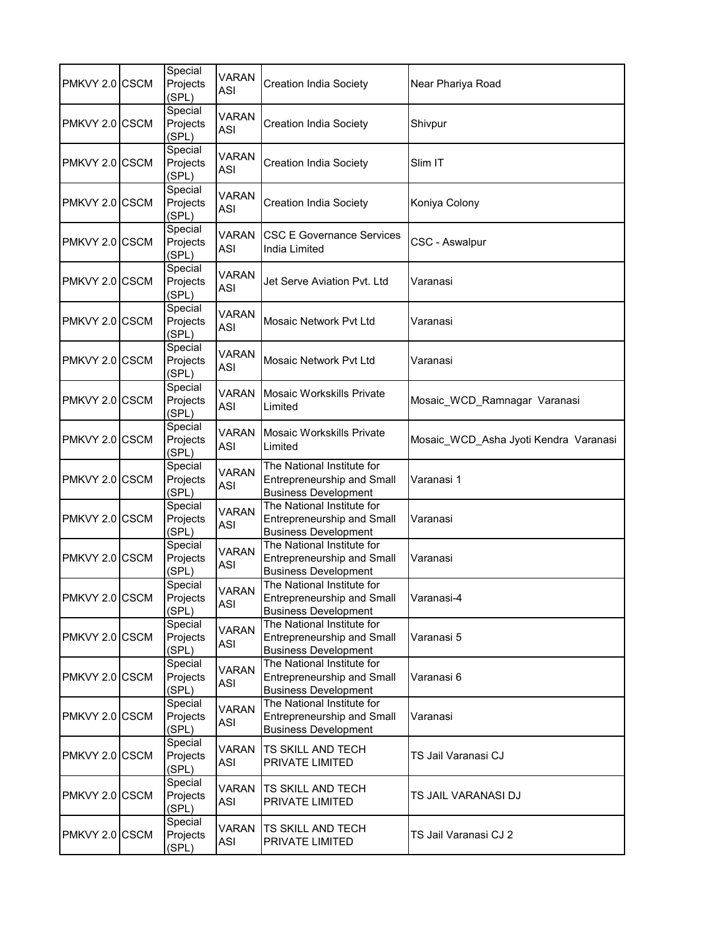| PMKVY 2.0 CSCM | Special<br>Projects<br>(SPL) | <b>VARAN</b><br>ASI        | <b>Creation India Society</b>                                                                  | Near Phariya Road                     |
|----------------|------------------------------|----------------------------|------------------------------------------------------------------------------------------------|---------------------------------------|
| PMKVY 2.0 CSCM | Special<br>Projects<br>(SPL) | VARAN<br>ASI               | <b>Creation India Society</b>                                                                  | Shivpur                               |
| PMKVY 2.0 CSCM | Special<br>Projects<br>(SPL) | VARAN<br>ASI               | Creation India Society                                                                         | Slim IT                               |
| PMKVY 2.0 CSCM | Special<br>Projects<br>(SPL) | <b>VARAN</b><br>ASI        | <b>Creation India Society</b>                                                                  | Koniya Colony                         |
| PMKVY 2.0 CSCM | Special<br>Projects<br>(SPL) | <b>VARAN</b><br><b>ASI</b> | <b>CSC E Governance Services</b><br>India Limited                                              | CSC - Aswalpur                        |
| PMKVY 2.0 CSCM | Special<br>Projects<br>(SPL) | <b>VARAN</b><br><b>ASI</b> | Jet Serve Aviation Pvt. Ltd                                                                    | Varanasi                              |
| PMKVY 2.0 CSCM | Special<br>Projects<br>(SPL) | <b>VARAN</b><br><b>ASI</b> | <b>Mosaic Network Pyt Ltd</b>                                                                  | Varanasi                              |
| PMKVY 2.0 CSCM | Special<br>Projects<br>(SPL) | <b>VARAN</b><br>ASI        | Mosaic Network Pyt Ltd                                                                         | Varanasi                              |
| PMKVY 2.0 CSCM | Special<br>Projects<br>(SPL) | <b>VARAN</b><br><b>ASI</b> | <b>Mosaic Workskills Private</b><br>Limited                                                    | Mosaic_WCD_Ramnagar Varanasi          |
| PMKVY 2.0 CSCM | Special<br>Projects<br>(SPL) | <b>VARAN</b><br><b>ASI</b> | <b>Mosaic Workskills Private</b><br>Limited                                                    | Mosaic_WCD_Asha Jyoti Kendra Varanasi |
| PMKVY 2.0 CSCM | Special<br>Projects<br>(SPL) | <b>VARAN</b><br><b>ASI</b> | The National Institute for<br><b>Entrepreneurship and Small</b><br><b>Business Development</b> | Varanasi 1                            |
| PMKVY 2.0 CSCM | Special<br>Projects<br>(SPL) | <b>VARAN</b><br><b>ASI</b> | The National Institute for<br>Entrepreneurship and Small<br><b>Business Development</b>        | Varanasi                              |
| PMKVY 2.0 CSCM | Special<br>Projects<br>(SPL) | <b>VARAN</b><br><b>ASI</b> | The National Institute for<br>Entrepreneurship and Small<br><b>Business Development</b>        | Varanasi                              |
| PMKVY 2.0 CSCM | Special<br>Projects<br>(SPL) | <b>VARAN</b><br><b>ASI</b> | The National Institute for<br>Entrepreneurship and Small<br><b>Business Development</b>        | Varanasi-4                            |
| PMKVY 2.0 CSCM | Special<br>Projects<br>(SPL) | <b>VARAN</b><br>ASI        | The National Institute for<br>Entrepreneurship and Small<br><b>Business Development</b>        | Varanasi 5                            |
| PMKVY 2.0 CSCM | Special<br>Projects<br>(SPL) | <b>VARAN</b><br>ASI        | The National Institute for<br><b>Entrepreneurship and Small</b><br><b>Business Development</b> | Varanasi 6                            |
| PMKVY 2.0 CSCM | Special<br>Projects<br>(SPL) | <b>VARAN</b><br>ASI        | The National Institute for<br><b>Entrepreneurship and Small</b><br><b>Business Development</b> | Varanasi                              |
| PMKVY 2.0 CSCM | Special<br>Projects<br>(SPL) | VARAN<br>ASI               | TS SKILL AND TECH<br>PRIVATE LIMITED                                                           | TS Jail Varanasi CJ                   |
| PMKVY 2.0 CSCM | Special<br>Projects<br>(SPL) | VARAN<br>ASI               | TS SKILL AND TECH<br>PRIVATE LIMITED                                                           | TS JAIL VARANASI DJ                   |
| PMKVY 2.0 CSCM | Special<br>Projects<br>(SPL) | VARAN<br>ASI               | TS SKILL AND TECH<br>PRIVATE LIMITED                                                           | TS Jail Varanasi CJ 2                 |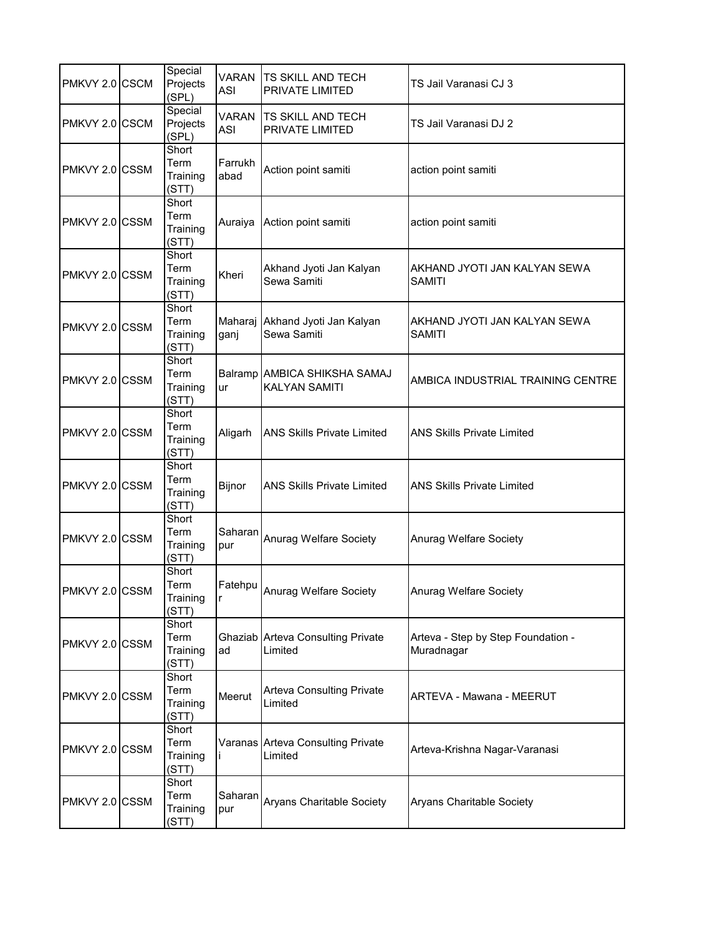| PMKVY 2.0 CSCM | Special<br>Projects<br>(SPL)       | <b>VARAN</b><br>ASI | <b>TS SKILL AND TECH</b><br>PRIVATE LIMITED   | TS Jail Varanasi CJ 3                            |
|----------------|------------------------------------|---------------------|-----------------------------------------------|--------------------------------------------------|
| PMKVY 2.0 CSCM | Special<br>Projects<br>(SPL)       | VARAN<br>ASI        | <b>TS SKILL AND TECH</b><br>PRIVATE LIMITED   | TS Jail Varanasi DJ 2                            |
| PMKVY 2.0 CSSM | Short<br>Term<br>Training<br>(STT) | Farrukh<br>abad     | Action point samiti                           | action point samiti                              |
| PMKVY 2.0 CSSM | Short<br>Term<br>Training<br>(STT) | Auraiya             | Action point samiti                           | action point samiti                              |
| PMKVY 2.0 CSSM | Short<br>Term<br>Training<br>(STT) | Kheri               | Akhand Jyoti Jan Kalyan<br>Sewa Samiti        | AKHAND JYOTI JAN KALYAN SEWA<br><b>SAMITI</b>    |
| PMKVY 2.0 CSSM | Short<br>Term<br>Training<br>(STT) | Maharaj<br>ganj     | Akhand Jyoti Jan Kalyan<br>Sewa Samiti        | AKHAND JYOTI JAN KALYAN SEWA<br><b>SAMITI</b>    |
| PMKVY 2.0 CSSM | Short<br>Term<br>Training<br>(STT) | ur                  | Balramp AMBICA SHIKSHA SAMAJ<br>KALYAN SAMITI | AMBICA INDUSTRIAL TRAINING CENTRE                |
| PMKVY 2.0 CSSM | Short<br>Term<br>Training<br>(STT) | Aligarh             | <b>ANS Skills Private Limited</b>             | <b>ANS Skills Private Limited</b>                |
| PMKVY 2.0 CSSM | Short<br>Term<br>Training<br>(STT) | Bijnor              | <b>ANS Skills Private Limited</b>             | <b>ANS Skills Private Limited</b>                |
| PMKVY 2.0 CSSM | Short<br>Term<br>Training<br>(STT) | Saharan<br>pur      | Anurag Welfare Society                        | Anurag Welfare Society                           |
| PMKVY 2.0 CSSM | Short<br>Term<br>Training<br>(STT) | Fatehpu<br>Ir.      | Anurag Welfare Society                        | Anurag Welfare Society                           |
| PMKVY 2.0 CSSM | Short<br>Term<br>Training<br>(STT) | ad                  | Ghaziab Arteva Consulting Private<br>Limited  | Arteva - Step by Step Foundation -<br>Muradnagar |
| PMKVY 2.0 CSSM | Short<br>Term<br>Training<br>(STT) | Meerut              | <b>Arteva Consulting Private</b><br>Limited   | <b>ARTEVA - Mawana - MEERUT</b>                  |
| PMKVY 2.0 CSSM | Short<br>Term<br>Training<br>(STT) |                     | Varanas Arteva Consulting Private<br>Limited  | Arteva-Krishna Nagar-Varanasi                    |
| PMKVY 2.0 CSSM | Short<br>Term<br>Training<br>(STT) | Saharan<br>pur      | Aryans Charitable Society                     | Aryans Charitable Society                        |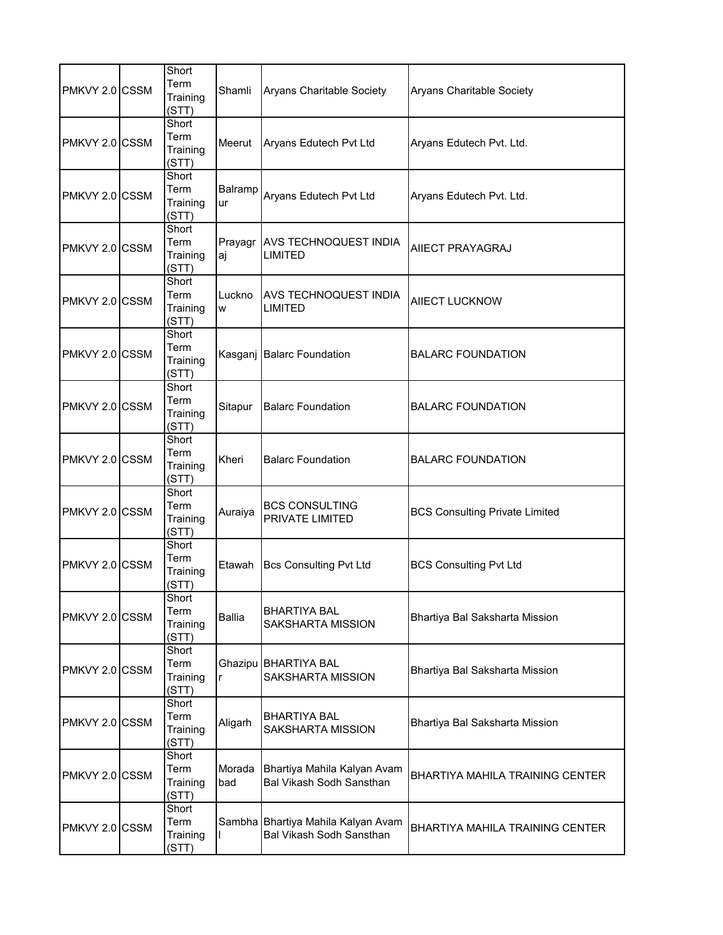| PMKVY 2.0 CSSM | Short<br>Term<br>Training<br>(STT) | Shamli        | <b>Aryans Charitable Society</b>                                      | <b>Aryans Charitable Society</b>       |
|----------------|------------------------------------|---------------|-----------------------------------------------------------------------|----------------------------------------|
| PMKVY 2.0 CSSM | Short<br>Term<br>Training<br>(STT) | Meerut        | Aryans Edutech Pvt Ltd                                                | Aryans Edutech Pvt. Ltd.               |
| PMKVY 2.0 CSSM | Short<br>Term<br>Training<br>(STT) | Balramp<br>ur | Aryans Edutech Pvt Ltd                                                | Aryans Edutech Pvt. Ltd.               |
| PMKVY 2.0 CSSM | Short<br>Term<br>Training<br>(STT) | Prayagr<br>aj | <b>AVS TECHNOQUEST INDIA</b><br><b>LIMITED</b>                        | AIIECT PRAYAGRAJ                       |
| PMKVY 2.0 CSSM | Short<br>Term<br>Training<br>(STT) | Luckno<br>W   | <b>AVS TECHNOQUEST INDIA</b><br><b>LIMITED</b>                        | <b>AIIECT LUCKNOW</b>                  |
| PMKVY 2.0 CSSM | Short<br>Term<br>Training<br>(STT) |               | Kasganj Balarc Foundation                                             | <b>BALARC FOUNDATION</b>               |
| PMKVY 2.0 CSSM | Short<br>Term<br>Training<br>(STT) | Sitapur       | <b>Balarc Foundation</b>                                              | <b>BALARC FOUNDATION</b>               |
| PMKVY 2.0 CSSM | Short<br>Term<br>Training<br>(STT) | Kheri         | <b>Balarc Foundation</b>                                              | <b>BALARC FOUNDATION</b>               |
| PMKVY 2.0 CSSM | Short<br>Term<br>Training<br>(STT) | Auraiya       | <b>BCS CONSULTING</b><br>PRIVATE LIMITED                              | <b>BCS Consulting Private Limited</b>  |
| PMKVY 2.0 CSSM | Short<br>Term<br>Training<br>(STT) | Etawah        | <b>Bcs Consulting Pvt Ltd</b>                                         | <b>BCS Consulting Pvt Ltd</b>          |
| PMKVY 2.0 CSSM | Short<br>Term<br>Training<br>(STT) | Ballia        | BHARTIYA BAL<br><b>SAKSHARTA MISSION</b>                              | Bhartiya Bal Saksharta Mission         |
| PMKVY 2.0 CSSM | Short<br>Term<br>Training<br>(STT) | r             | Ghazipu BHARTIYA BAL<br>SAKSHARTA MISSION                             | Bhartiya Bal Saksharta Mission         |
| PMKVY 2.0 CSSM | Short<br>Term<br>Training<br>(STT) | Aligarh       | <b>BHARTIYA BAL</b><br>SAKSHARTA MISSION                              | Bhartiya Bal Saksharta Mission         |
| PMKVY 2.0 CSSM | Short<br>Term<br>Training<br>(STT) | Morada<br>bad | Bhartiya Mahila Kalyan Avam<br>Bal Vikash Sodh Sansthan               | BHARTIYA MAHILA TRAINING CENTER        |
| PMKVY 2.0 CSSM | Short<br>Term<br>Training<br>(STT) |               | Sambha Bhartiya Mahila Kalyan Avam<br><b>Bal Vikash Sodh Sansthan</b> | <b>BHARTIYA MAHILA TRAINING CENTER</b> |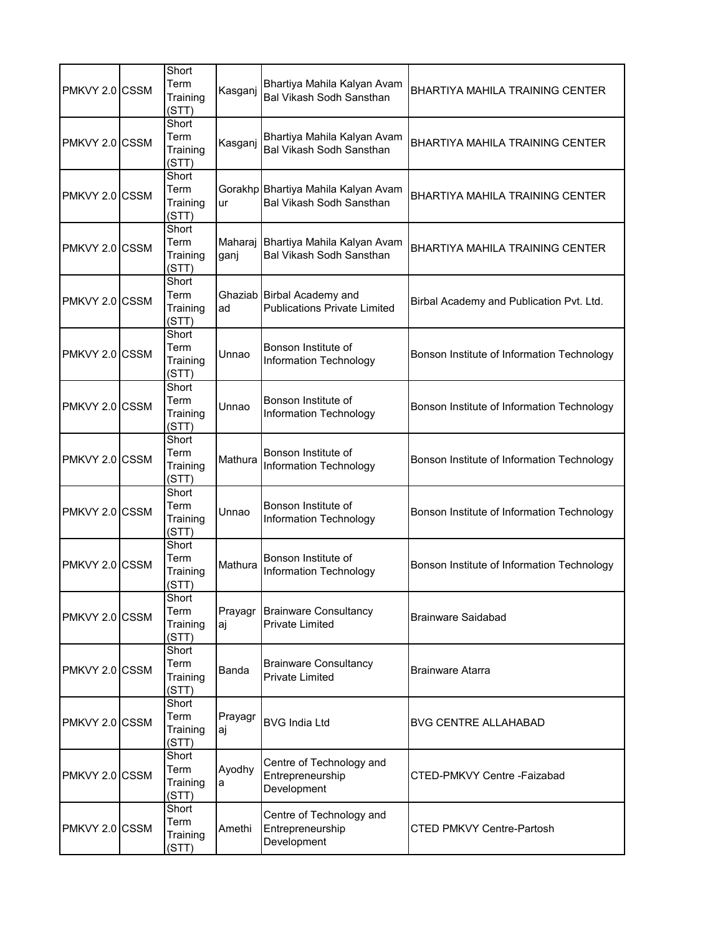| PMKVY 2.0 CSSM | Short<br>Term<br>Training<br>(STT) | Kasganj         | Bhartiya Mahila Kalyan Avam<br>Bal Vikash Sodh Sansthan           | BHARTIYA MAHILA TRAINING CENTER            |
|----------------|------------------------------------|-----------------|-------------------------------------------------------------------|--------------------------------------------|
| PMKVY 2.0 CSSM | Short<br>Term<br>Training<br>(STT) | Kasganj         | Bhartiya Mahila Kalyan Avam<br><b>Bal Vikash Sodh Sansthan</b>    | <b>BHARTIYA MAHILA TRAINING CENTER</b>     |
| PMKVY 2.0 CSSM | Short<br>Term<br>Training<br>(STT) | ur              | Gorakhp Bhartiya Mahila Kalyan Avam<br>Bal Vikash Sodh Sansthan   | BHARTIYA MAHILA TRAINING CENTER            |
| PMKVY 2.0 CSSM | Short<br>Term<br>Training<br>(STT) | Maharaj<br>ganj | Bhartiya Mahila Kalyan Avam<br>Bal Vikash Sodh Sansthan           | <b>BHARTIYA MAHILA TRAINING CENTER</b>     |
| PMKVY 2.0 CSSM | Short<br>Term<br>Training<br>(STT) | ad              | Ghaziab Birbal Academy and<br><b>Publications Private Limited</b> | Birbal Academy and Publication Pvt. Ltd.   |
| PMKVY 2.0 CSSM | Short<br>Term<br>Training<br>(STT) | Unnao           | Bonson Institute of<br>Information Technology                     | Bonson Institute of Information Technology |
| PMKVY 2.0 CSSM | Short<br>Term<br>Training<br>(STT) | Unnao           | Bonson Institute of<br>Information Technology                     | Bonson Institute of Information Technology |
| PMKVY 2.0 CSSM | Short<br>Term<br>Training<br>(STT) | Mathura         | Bonson Institute of<br>Information Technology                     | Bonson Institute of Information Technology |
| PMKVY 2.0 CSSM | Short<br>Term<br>Training<br>(STT) | Unnao           | Bonson Institute of<br>Information Technology                     | Bonson Institute of Information Technology |
| PMKVY 2.0 CSSM | Short<br>Term<br>Training<br>(STT) | Mathura         | Bonson Institute of<br>Information Technology                     | Bonson Institute of Information Technology |
| PMKVY 2.0 CSSM | Short<br>Term<br>Training<br>(STT) | Prayagr<br>аj   | <b>Brainware Consultancy</b><br><b>Private Limited</b>            | Brainware Saidabad                         |
| PMKVY 2.0 CSSM | Short<br>Term<br>Training<br>(STT) | Banda           | <b>Brainware Consultancy</b><br><b>Private Limited</b>            | <b>Brainware Atarra</b>                    |
| PMKVY 2.0 CSSM | Short<br>Term<br>Training<br>(STT) | Prayagr<br>аj   | <b>BVG India Ltd</b>                                              | <b>BVG CENTRE ALLAHABAD</b>                |
| PMKVY 2.0 CSSM | Short<br>Term<br>Training<br>(STT) | Ayodhy<br>a     | Centre of Technology and<br>Entrepreneurship<br>Development       | CTED-PMKVY Centre -Faizabad                |
| PMKVY 2.0 CSSM | Short<br>Term<br>Training<br>(STT) | Amethi          | Centre of Technology and<br>Entrepreneurship<br>Development       | <b>CTED PMKVY Centre-Partosh</b>           |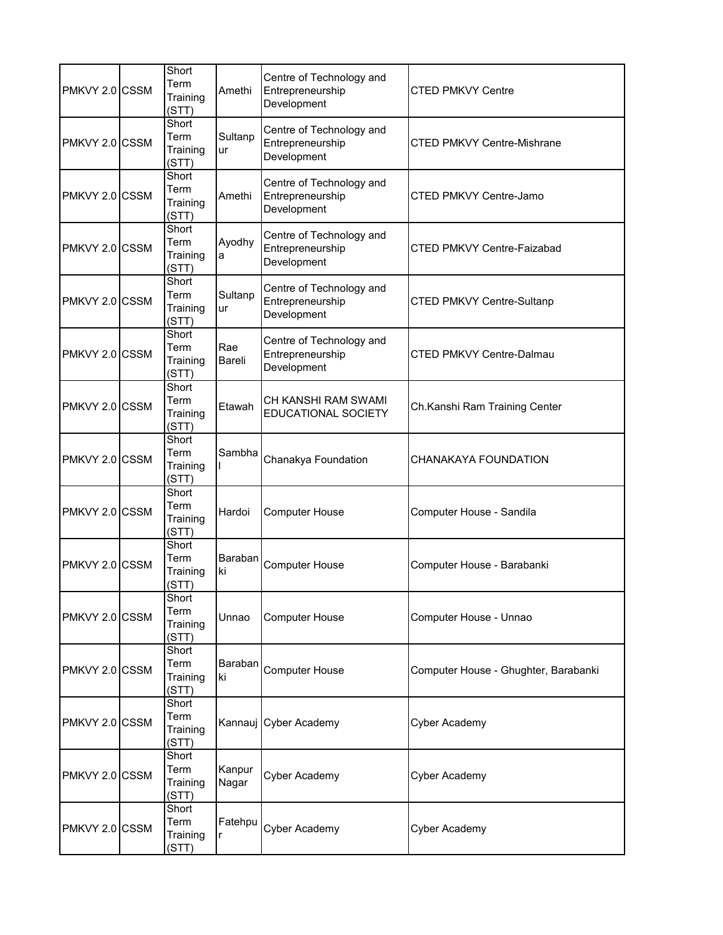| PMKVY 2.0 CSSM | Short<br>Term<br>Training<br>(STT) | Amethi          | Centre of Technology and<br>Entrepreneurship<br>Development | CTED PMKVY Centre                    |
|----------------|------------------------------------|-----------------|-------------------------------------------------------------|--------------------------------------|
| PMKVY 2.0 CSSM | Short<br>Term<br>Training<br>(STT) | Sultanp<br>ur   | Centre of Technology and<br>Entrepreneurship<br>Development | CTED PMKVY Centre-Mishrane           |
| PMKVY 2.0 CSSM | Short<br>Term<br>Training<br>(STT) | Amethi          | Centre of Technology and<br>Entrepreneurship<br>Development | <b>CTED PMKVY Centre-Jamo</b>        |
| PMKVY 2.0 CSSM | Short<br>Term<br>Training<br>(STT) | Ayodhy<br>a     | Centre of Technology and<br>Entrepreneurship<br>Development | <b>CTED PMKVY Centre-Faizabad</b>    |
| PMKVY 2.0 CSSM | Short<br>Term<br>Training<br>(STT) | Sultanp<br>ur   | Centre of Technology and<br>Entrepreneurship<br>Development | <b>CTED PMKVY Centre-Sultanp</b>     |
| PMKVY 2.0 CSSM | Short<br>Term<br>Training<br>(STT) | Rae<br>Bareli   | Centre of Technology and<br>Entrepreneurship<br>Development | CTED PMKVY Centre-Dalmau             |
| PMKVY 2.0 CSSM | Short<br>Term<br>Training<br>(STT) | Etawah          | CH KANSHI RAM SWAMI<br>EDUCATIONAL SOCIETY                  | Ch.Kanshi Ram Training Center        |
| PMKVY 2.0 CSSM | Short<br>Term<br>Training<br>(STT) | Sambha          | Chanakya Foundation                                         | CHANAKAYA FOUNDATION                 |
| PMKVY 2.0 CSSM | Short<br>Term<br>Training<br>(STT) | Hardoi          | <b>Computer House</b>                                       | Computer House - Sandila             |
| PMKVY 2.0 CSSM | Short<br>Term<br>Training<br>(STT) | Baraban<br>ki   | <b>Computer House</b>                                       | Computer House - Barabanki           |
| PMKVY 2.0 CSSM | Short<br>Term<br>Training<br>(STT) | Unnao           | <b>Computer House</b>                                       | Computer House - Unnao               |
| PMKVY 2.0 CSSM | Short<br>Term<br>Training<br>(STT) | Baraban<br>ki   | Computer House                                              | Computer House - Ghughter, Barabanki |
| PMKVY 2.0 CSSM | Short<br>Term<br>Training<br>(STT) |                 | Kannauj Cyber Academy                                       | Cyber Academy                        |
| PMKVY 2.0 CSSM | Short<br>Term<br>Training<br>(STT) | Kanpur<br>Nagar | Cyber Academy                                               | Cyber Academy                        |
| PMKVY 2.0 CSSM | Short<br>Term<br>Training<br>(STT) | Fatehpu         | Cyber Academy                                               | Cyber Academy                        |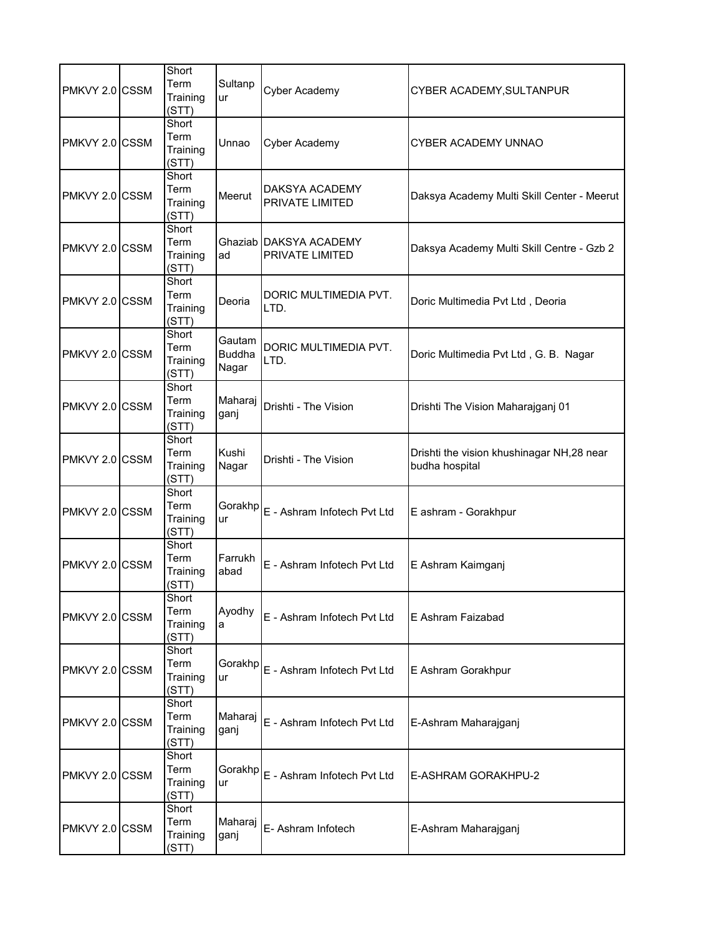| PMKVY 2.0 CSSM | Short<br>Term<br>Training<br>(STT) | Sultanp<br>ur                    | Cyber Academy                                    | CYBER ACADEMY, SULTANPUR                                    |
|----------------|------------------------------------|----------------------------------|--------------------------------------------------|-------------------------------------------------------------|
| PMKVY 2.0 CSSM | Short<br>Term<br>Training<br>(STT) | Unnao                            | Cyber Academy                                    | <b>CYBER ACADEMY UNNAO</b>                                  |
| PMKVY 2.0 CSSM | Short<br>Term<br>Training<br>(STT) | Meerut                           | DAKSYA ACADEMY<br><b>PRIVATE LIMITED</b>         | Daksya Academy Multi Skill Center - Meerut                  |
| PMKVY 2.0 CSSM | Short<br>Term<br>Training<br>(STT) | ad                               | Ghaziab DAKSYA ACADEMY<br><b>PRIVATE LIMITED</b> | Daksya Academy Multi Skill Centre - Gzb 2                   |
| PMKVY 2.0 CSSM | Short<br>Term<br>Training<br>(STT) | Deoria                           | DORIC MULTIMEDIA PVT.<br>LTD.                    | Doric Multimedia Pvt Ltd, Deoria                            |
| PMKVY 2.0 CSSM | Short<br>Term<br>Training<br>(STT) | Gautam<br><b>Buddha</b><br>Nagar | DORIC MULTIMEDIA PVT.<br>LTD.                    | Doric Multimedia Pvt Ltd, G. B. Nagar                       |
| PMKVY 2.0 CSSM | Short<br>Term<br>Training<br>(STT) | Maharaj<br>ganj                  | Drishti - The Vision                             | Drishti The Vision Maharajganj 01                           |
| PMKVY 2.0 CSSM | Short<br>Term<br>Training<br>(STT) | Kushi<br>Nagar                   | Drishti - The Vision                             | Drishti the vision khushinagar NH,28 near<br>budha hospital |
| PMKVY 2.0 CSSM | Short<br>Term<br>Training<br>(STT) | Gorakhp<br>ur                    | E - Ashram Infotech Pvt Ltd                      | E ashram - Gorakhpur                                        |
| PMKVY 2.0 CSSM | Short<br>Term<br>Training<br>(STT) | Farrukh<br>abad                  | E - Ashram Infotech Pvt Ltd                      | E Ashram Kaimganj                                           |
| PMKVY 2.0 CSSM | Short<br>Term<br>Training<br>(STT) | Ayodhy<br>a                      | E - Ashram Infotech Pvt Ltd                      | E Ashram Faizabad                                           |
| PMKVY 2.0 CSSM | Short<br>Term<br>Training<br>(STT) | Gorakhp<br>ur                    | E - Ashram Infotech Pvt Ltd                      | E Ashram Gorakhpur                                          |
| PMKVY 2.0 CSSM | Short<br>Term<br>Training<br>(STT) | Maharaj<br>ganj                  | E - Ashram Infotech Pvt Ltd                      | E-Ashram Maharajganj                                        |
| PMKVY 2.0 CSSM | Short<br>Term<br>Training<br>(STT) | Gorakhp<br>ur                    | E - Ashram Infotech Pvt Ltd                      | E-ASHRAM GORAKHPU-2                                         |
| PMKVY 2.0 CSSM | Short<br>Term<br>Training<br>(STT) | Maharaj<br>ganj                  | E- Ashram Infotech                               | E-Ashram Maharajganj                                        |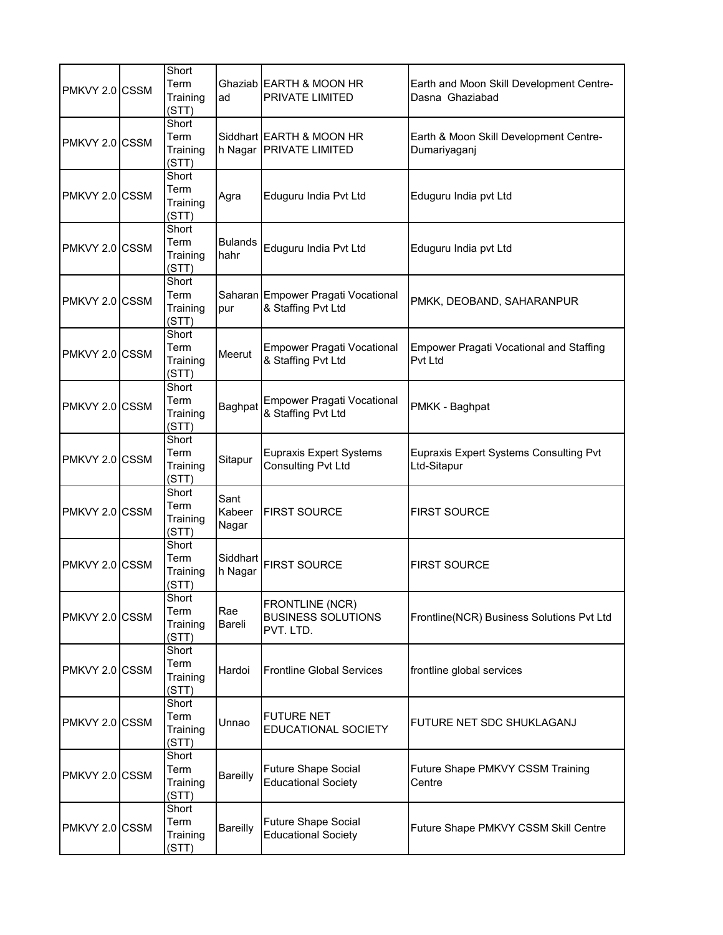| PMKVY 2.0 CSSM | Short<br>Term<br>Training<br>(STT) | ad                      | Ghaziab EARTH & MOON HR<br>PRIVATE LIMITED                  | Earth and Moon Skill Development Centre-<br>Dasna Ghaziabad  |
|----------------|------------------------------------|-------------------------|-------------------------------------------------------------|--------------------------------------------------------------|
| PMKVY 2.0 CSSM | Short<br>Term<br>Training<br>(STT) |                         | Siddhart EARTH & MOON HR<br>h Nagar PRIVATE LIMITED         | Earth & Moon Skill Development Centre-<br>Dumariyaganj       |
| PMKVY 2.0 CSSM | Short<br>Term<br>Training<br>(STT) | Agra                    | Eduguru India Pvt Ltd                                       | Eduguru India pvt Ltd                                        |
| PMKVY 2.0 CSSM | Short<br>Term<br>Training<br>(STT) | <b>Bulands</b><br>hahr  | Eduguru India Pvt Ltd                                       | Eduguru India pvt Ltd                                        |
| PMKVY 2.0 CSSM | Short<br>Term<br>Training<br>(STT) | pur                     | Saharan Empower Pragati Vocational<br>& Staffing Pvt Ltd    | PMKK, DEOBAND, SAHARANPUR                                    |
| PMKVY 2.0 CSSM | Short<br>Term<br>Training<br>(STT) | Meerut                  | <b>Empower Pragati Vocational</b><br>& Staffing Pvt Ltd     | <b>Empower Pragati Vocational and Staffing</b><br>Pvt Ltd    |
| PMKVY 2.0 CSSM | Short<br>Term<br>Training<br>(STT) | Baghpat                 | <b>Empower Pragati Vocational</b><br>& Staffing Pvt Ltd     | PMKK - Baghpat                                               |
| PMKVY 2.0 CSSM | Short<br>Term<br>Training<br>(STT) | Sitapur                 | <b>Eupraxis Expert Systems</b><br><b>Consulting Pvt Ltd</b> | <b>Eupraxis Expert Systems Consulting Pvt</b><br>Ltd-Sitapur |
| PMKVY 2.0 CSSM | Short<br>Term<br>Training<br>(STT) | Sant<br>Kabeer<br>Nagar | <b>FIRST SOURCE</b>                                         | <b>FIRST SOURCE</b>                                          |
| PMKVY 2.0 CSSM | Short<br>Term<br>Training<br>(STT) | Siddhart<br>h Nagar     | <b>FIRST SOURCE</b>                                         | <b>FIRST SOURCE</b>                                          |
| PMKVY 2.0 CSSM | Short<br>Term<br>Training<br>(STT) | Rae<br>Bareli           | FRONTLINE (NCR)<br><b>BUSINESS SOLUTIONS</b><br>PVT. LTD.   | Frontline(NCR) Business Solutions Pvt Ltd                    |
| PMKVY 2.0 CSSM | Short<br>Term<br>Training<br>(STT) | Hardoi                  | <b>Frontline Global Services</b>                            | frontline global services                                    |
| PMKVY 2.0 CSSM | Short<br>Term<br>Training<br>(STT) | Unnao                   | <b>FUTURE NET</b><br>EDUCATIONAL SOCIETY                    | FUTURE NET SDC SHUKLAGANJ                                    |
| PMKVY 2.0 CSSM | Short<br>Term<br>Training<br>(STT) | Bareilly                | <b>Future Shape Social</b><br><b>Educational Society</b>    | Future Shape PMKVY CSSM Training<br>Centre                   |
| PMKVY 2.0 CSSM | Short<br>Term<br>Training<br>(STT) | <b>Bareilly</b>         | Future Shape Social<br><b>Educational Society</b>           | Future Shape PMKVY CSSM Skill Centre                         |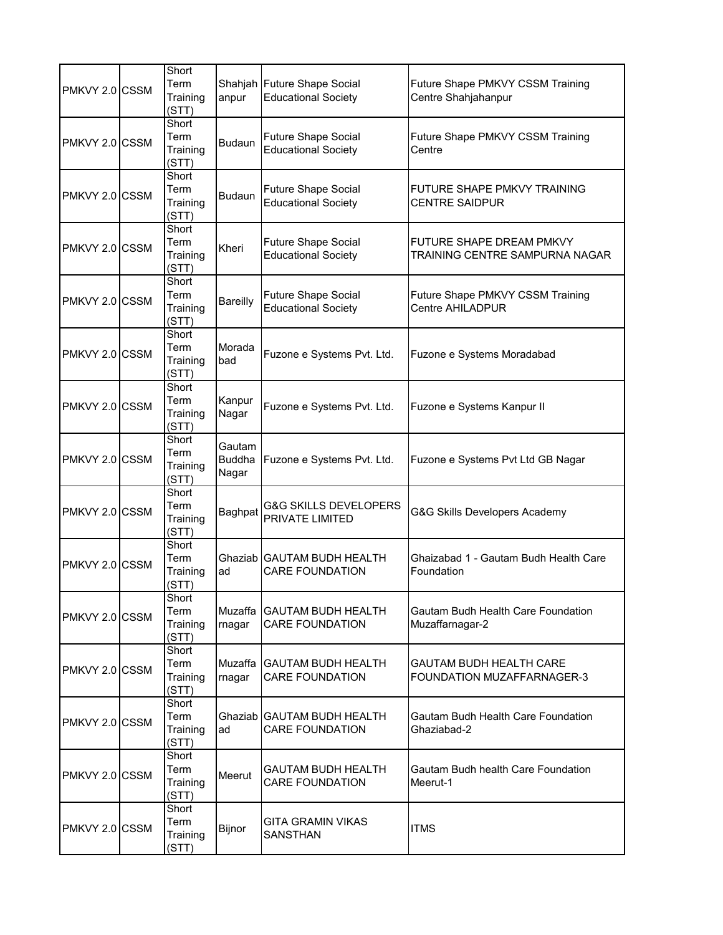| PMKVY 2.0 CSSM | Short<br>Term<br>Training<br>(STT) | anpur                            | Shahjah Future Shape Social<br><b>Educational Society</b> | Future Shape PMKVY CSSM Training<br>Centre Shahjahanpur             |
|----------------|------------------------------------|----------------------------------|-----------------------------------------------------------|---------------------------------------------------------------------|
| PMKVY 2.0 CSSM | Short<br>Term<br>Training<br>(STT) | <b>Budaun</b>                    | <b>Future Shape Social</b><br><b>Educational Society</b>  | Future Shape PMKVY CSSM Training<br>Centre                          |
| PMKVY 2.0 CSSM | Short<br>Term<br>Training<br>(STT) | <b>Budaun</b>                    | <b>Future Shape Social</b><br><b>Educational Society</b>  | FUTURE SHAPE PMKVY TRAINING<br><b>CENTRE SAIDPUR</b>                |
| PMKVY 2.0 CSSM | Short<br>Term<br>Training<br>(STT) | Kheri                            | <b>Future Shape Social</b><br><b>Educational Society</b>  | FUTURE SHAPE DREAM PMKVY<br>TRAINING CENTRE SAMPURNA NAGAR          |
| PMKVY 2.0 CSSM | Short<br>Term<br>Training<br>(STT) | Bareilly                         | <b>Future Shape Social</b><br><b>Educational Society</b>  | Future Shape PMKVY CSSM Training<br><b>Centre AHILADPUR</b>         |
| PMKVY 2.0 CSSM | Short<br>Term<br>Training<br>(STT) | Morada<br>bad                    | Fuzone e Systems Pvt. Ltd.                                | Fuzone e Systems Moradabad                                          |
| PMKVY 2.0 CSSM | Short<br>Term<br>Training<br>(STT) | Kanpur<br>Nagar                  | Fuzone e Systems Pvt. Ltd.                                | Fuzone e Systems Kanpur II                                          |
| PMKVY 2.0 CSSM | Short<br>Term<br>Training<br>(STT) | Gautam<br><b>Buddha</b><br>Nagar | Fuzone e Systems Pvt. Ltd.                                | Fuzone e Systems Pvt Ltd GB Nagar                                   |
| PMKVY 2.0 CSSM | Short<br>Term<br>Training<br>(STT) | Baghpat                          | <b>G&amp;G SKILLS DEVELOPERS</b><br>PRIVATE LIMITED       | G&G Skills Developers Academy                                       |
| PMKVY 2.0 CSSM | Short<br>Term<br>Training<br>(STT) | ad                               | Ghaziab GAUTAM BUDH HEALTH<br><b>CARE FOUNDATION</b>      | Ghaizabad 1 - Gautam Budh Health Care<br>Foundation                 |
| PMKVY 2.0 CSSM | Short<br>Term<br>Training<br>(STT) | rnagar                           | Muzaffa   GAUTAM BUDH HEALTH<br><b>CARE FOUNDATION</b>    | Gautam Budh Health Care Foundation<br>Muzaffarnagar-2               |
| PMKVY 2.0 CSSM | Short<br>Term<br>Training<br>(STT) | rnagar                           | Muzaffa GAUTAM BUDH HEALTH<br><b>CARE FOUNDATION</b>      | <b>GAUTAM BUDH HEALTH CARE</b><br><b>FOUNDATION MUZAFFARNAGER-3</b> |
| PMKVY 2.0 CSSM | Short<br>Term<br>Training<br>(STT) | ad                               | Ghaziab GAUTAM BUDH HEALTH<br><b>CARE FOUNDATION</b>      | Gautam Budh Health Care Foundation<br>Ghaziabad-2                   |
| PMKVY 2.0 CSSM | Short<br>Term<br>Training<br>(STT) | Meerut                           | GAUTAM BUDH HEALTH<br><b>CARE FOUNDATION</b>              | Gautam Budh health Care Foundation<br>Meerut-1                      |
| PMKVY 2.0 CSSM | Short<br>Term<br>Training<br>(STT) | Bijnor                           | GITA GRAMIN VIKAS<br>SANSTHAN                             | <b>ITMS</b>                                                         |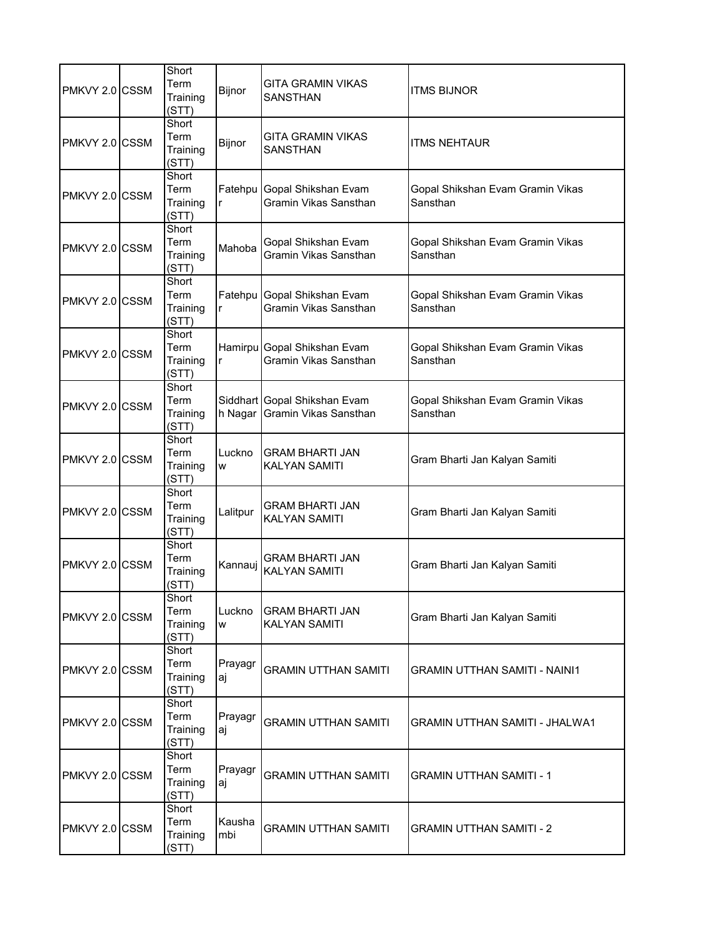| PMKVY 2.0 CSSM | Short<br>Term<br>Training<br>(STT) | Bijnor        | GITA GRAMIN VIKAS<br><b>SANSTHAN</b>                  | <b>ITMS BIJNOR</b>                           |
|----------------|------------------------------------|---------------|-------------------------------------------------------|----------------------------------------------|
| PMKVY 2.0 CSSM | Short<br>Term<br>Training<br>(STT) | Bijnor        | <b>GITA GRAMIN VIKAS</b><br><b>SANSTHAN</b>           | <b>ITMS NEHTAUR</b>                          |
| PMKVY 2.0 CSSM | Short<br>Term<br>Training<br>(STT) | r             | Fatehpu Gopal Shikshan Evam<br>Gramin Vikas Sansthan  | Gopal Shikshan Evam Gramin Vikas<br>Sansthan |
| PMKVY 2.0 CSSM | Short<br>Term<br>Training<br>(STT) | Mahoba        | Gopal Shikshan Evam<br>Gramin Vikas Sansthan          | Gopal Shikshan Evam Gramin Vikas<br>Sansthan |
| PMKVY 2.0 CSSM | Short<br>Term<br>Training<br>(STT) | r             | Fatehpu Gopal Shikshan Evam<br>Gramin Vikas Sansthan  | Gopal Shikshan Evam Gramin Vikas<br>Sansthan |
| PMKVY 2.0 CSSM | Short<br>Term<br>Training<br>(STT) | r             | Hamirpu Gopal Shikshan Evam<br>Gramin Vikas Sansthan  | Gopal Shikshan Evam Gramin Vikas<br>Sansthan |
| PMKVY 2.0 CSSM | Short<br>Term<br>Training<br>(STT) | h Nagar       | Siddhart Gopal Shikshan Evam<br>Gramin Vikas Sansthan | Gopal Shikshan Evam Gramin Vikas<br>Sansthan |
| PMKVY 2.0 CSSM | Short<br>Term<br>Training<br>(STT) | Luckno<br>W   | <b>GRAM BHARTI JAN</b><br><b>KALYAN SAMITI</b>        | Gram Bharti Jan Kalyan Samiti                |
| PMKVY 2.0 CSSM | Short<br>Term<br>Training<br>(STT) | Lalitpur      | <b>GRAM BHARTI JAN</b><br><b>KALYAN SAMITI</b>        | Gram Bharti Jan Kalyan Samiti                |
| PMKVY 2.0 CSSM | Short<br>Term<br>Training<br>(STT) | Kannauj       | <b>GRAM BHARTI JAN</b><br><b>KALYAN SAMITI</b>        | Gram Bharti Jan Kalyan Samiti                |
| PMKVY 2.0 CSSM | Short<br>Term<br>Training<br>(STT) | Luckno<br>W   | <b>GRAM BHARTI JAN</b><br><b>KALYAN SAMITI</b>        | Gram Bharti Jan Kalyan Samiti                |
| PMKVY 2.0 CSSM | Short<br>Term<br>Training<br>(STT) | Prayagr<br>aj | <b>GRAMIN UTTHAN SAMITI</b>                           | <b>GRAMIN UTTHAN SAMITI - NAINI1</b>         |
| PMKVY 2.0 CSSM | Short<br>Term<br>Training<br>(STT) | Prayagr<br>aj | <b>GRAMIN UTTHAN SAMITI</b>                           | <b>GRAMIN UTTHAN SAMITI - JHALWA1</b>        |
| PMKVY 2.0 CSSM | Short<br>Term<br>Training<br>(STT) | Prayagr<br>aj | <b>GRAMIN UTTHAN SAMITI</b>                           | <b>GRAMIN UTTHAN SAMITI - 1</b>              |
| PMKVY 2.0 CSSM | Short<br>Term<br>Training<br>(STT) | Kausha<br>mbi | GRAMIN UTTHAN SAMITI                                  | <b>GRAMIN UTTHAN SAMITI - 2</b>              |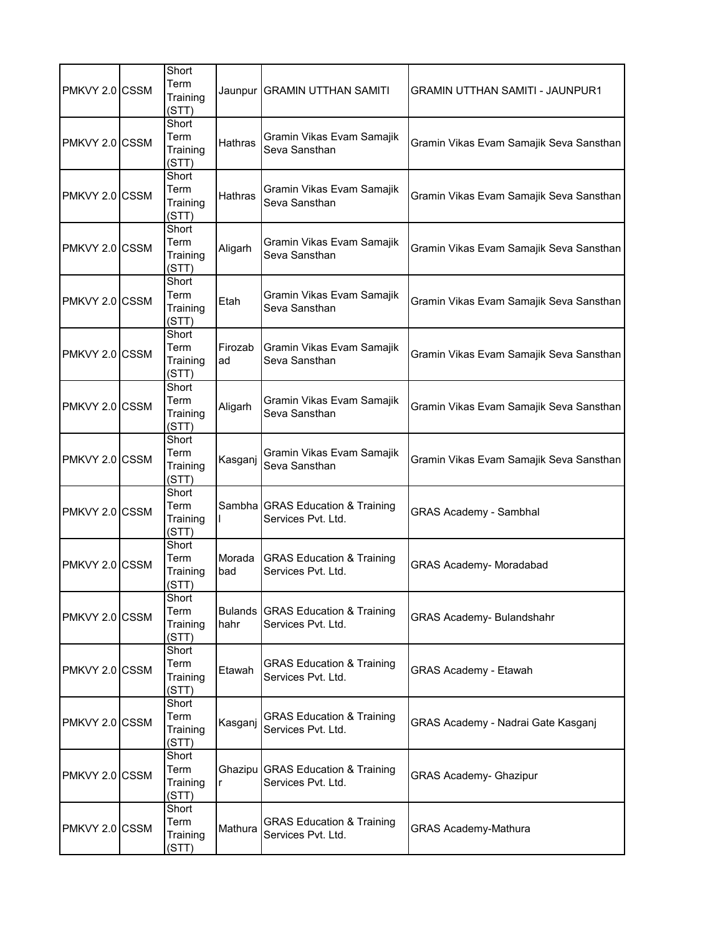| PMKVY 2.0 CSSM | Short<br>Term<br>Training<br>(STT) |                | Jaunpur   GRAMIN UTTHAN SAMITI                             | <b>GRAMIN UTTHAN SAMITI - JAUNPUR1</b>  |
|----------------|------------------------------------|----------------|------------------------------------------------------------|-----------------------------------------|
| PMKVY 2.0 CSSM | Short<br>Term<br>Training<br>(STT) | <b>Hathras</b> | Gramin Vikas Evam Samajik<br>Seva Sansthan                 | Gramin Vikas Evam Samajik Seva Sansthan |
| PMKVY 2.0 CSSM | Short<br>Term<br>Training<br>(STT) | <b>Hathras</b> | Gramin Vikas Evam Samajik<br>Seva Sansthan                 | Gramin Vikas Evam Samajik Seva Sansthan |
| PMKVY 2.0 CSSM | Short<br>Term<br>Training<br>(STT) | Aligarh        | Gramin Vikas Evam Samajik<br>Seva Sansthan                 | Gramin Vikas Evam Samajik Seva Sansthan |
| PMKVY 2.0 CSSM | Short<br>Term<br>Training<br>(STT) | Etah           | Gramin Vikas Evam Samajik<br>Seva Sansthan                 | Gramin Vikas Evam Samajik Seva Sansthan |
| PMKVY 2.0 CSSM | Short<br>Term<br>Training<br>(STT) | Firozab<br>ad  | Gramin Vikas Evam Samajik<br>Seva Sansthan                 | Gramin Vikas Evam Samajik Seva Sansthan |
| PMKVY 2.0 CSSM | Short<br>Term<br>Training<br>(STT) | Aligarh        | Gramin Vikas Evam Samajik<br>Seva Sansthan                 | Gramin Vikas Evam Samajik Seva Sansthan |
| PMKVY 2.0 CSSM | Short<br>Term<br>Training<br>(STT) | Kasganj        | Gramin Vikas Evam Samajik<br>Seva Sansthan                 | Gramin Vikas Evam Samajik Seva Sansthan |
| PMKVY 2.0 CSSM | Short<br>Term<br>Training<br>(STT) |                | Sambha GRAS Education & Training<br>Services Pvt. Ltd.     | <b>GRAS Academy - Sambhal</b>           |
| PMKVY 2.0 CSSM | Short<br>Term<br>Training<br>(STT) | Morada<br>bad  | <b>GRAS Education &amp; Training</b><br>Services Pvt. Ltd. | <b>GRAS Academy- Moradabad</b>          |
| PMKVY 2.0 CSSM | Short<br>Term<br>Training<br>(STT) | hahr           | Bulands GRAS Education & Training<br>Services Pvt. Ltd.    | <b>GRAS Academy- Bulandshahr</b>        |
| PMKVY 2.0 CSSM | Short<br>Term<br>Training<br>(STT) | Etawah         | <b>GRAS Education &amp; Training</b><br>Services Pvt. Ltd. | <b>GRAS Academy - Etawah</b>            |
| PMKVY 2.0 CSSM | Short<br>Term<br>Training<br>(STT) | Kasganj        | <b>GRAS Education &amp; Training</b><br>Services Pvt. Ltd. | GRAS Academy - Nadrai Gate Kasganj      |
| PMKVY 2.0 CSSM | Short<br>Term<br>Training<br>(STT) | r              | Ghazipu GRAS Education & Training<br>Services Pvt. Ltd.    | <b>GRAS Academy- Ghazipur</b>           |
| PMKVY 2.0 CSSM | Short<br>Term<br>Training<br>(STT) | Mathura        | <b>GRAS Education &amp; Training</b><br>Services Pvt. Ltd. | <b>GRAS Academy-Mathura</b>             |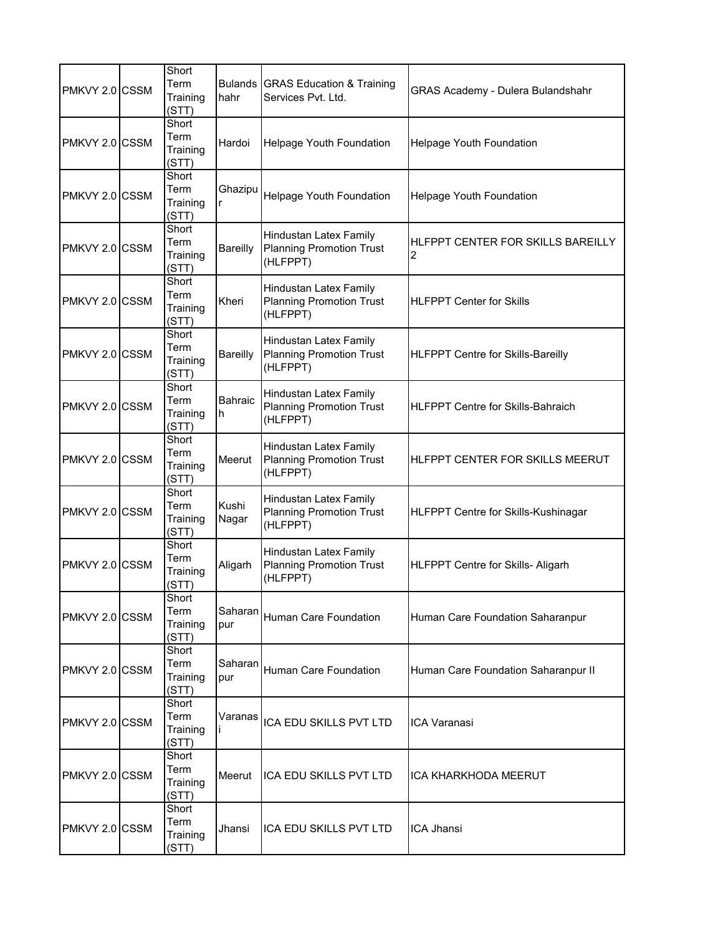| PMKVY 2.0 CSSM  | Short<br>Term<br>Training<br>(STT) | hahr            | Bulands GRAS Education & Training<br>Services Pvt. Ltd.                      | GRAS Academy - Dulera Bulandshahr        |
|-----------------|------------------------------------|-----------------|------------------------------------------------------------------------------|------------------------------------------|
| PMKVY 2.0 CSSM  | Short<br>Term<br>Training<br>(STT) | Hardoi          | Helpage Youth Foundation                                                     | Helpage Youth Foundation                 |
| PMKVY 2.0 CSSM  | Short<br>Term<br>Training<br>(STT) | Ghazipu<br>r    | Helpage Youth Foundation                                                     | Helpage Youth Foundation                 |
| PMKVY 2.0 CSSM  | Short<br>Term<br>Training<br>(STT) | <b>Bareilly</b> | Hindustan Latex Family<br><b>Planning Promotion Trust</b><br>(HLFPPT)        | HLFPPT CENTER FOR SKILLS BAREILLY<br>2   |
| PMKVY 2.0 ICSSM | Short<br>Term<br>Training<br>(STT) | Kheri           | <b>Hindustan Latex Family</b><br><b>Planning Promotion Trust</b><br>(HLFPPT) | <b>HLFPPT Center for Skills</b>          |
| PMKVY 2.0 CSSM  | Short<br>Term<br>Training<br>(STT) | <b>Bareilly</b> | <b>Hindustan Latex Family</b><br><b>Planning Promotion Trust</b><br>(HLFPPT) | HLFPPT Centre for Skills-Bareilly        |
| PMKVY 2.0 CSSM  | Short<br>Term<br>Training<br>(STT) | Bahraic<br>h    | <b>Hindustan Latex Family</b><br><b>Planning Promotion Trust</b><br>(HLFPPT) | <b>HLFPPT Centre for Skills-Bahraich</b> |
| PMKVY 2.0 CSSM  | Short<br>Term<br>Training<br>(STT) | Meerut          | Hindustan Latex Family<br><b>Planning Promotion Trust</b><br>(HLFPPT)        | HLFPPT CENTER FOR SKILLS MEERUT          |
| PMKVY 2.0 CSSM  | Short<br>Term<br>Training<br>(STT) | Kushi<br>Nagar  | Hindustan Latex Family<br><b>Planning Promotion Trust</b><br>(HLFPPT)        | HLFPPT Centre for Skills-Kushinagar      |
| PMKVY 2.0 CSSM  | Short<br>Term<br>Training<br>(STT) | Aligarh         | Hindustan Latex Family<br><b>Planning Promotion Trust</b><br>(HLFPPT)        | HLFPPT Centre for Skills- Aligarh        |
| PMKVY 2.0 CSSM  | Short<br>Term<br>Training<br>(STT) | Saharan<br>pur  | Human Care Foundation                                                        | Human Care Foundation Saharanpur         |
| PMKVY 2.0 CSSM  | Short<br>Term<br>Training<br>(STT) | Saharan<br>pur  | Human Care Foundation                                                        | Human Care Foundation Saharanpur II      |
| PMKVY 2.0 CSSM  | Short<br>Term<br>Training<br>(STT) | Varanas         | ICA EDU SKILLS PVT LTD                                                       | <b>ICA Varanasi</b>                      |
| PMKVY 2.0 CSSM  | Short<br>Term<br>Training<br>(STT) | Meerut          | ICA EDU SKILLS PVT LTD                                                       | ICA KHARKHODA MEERUT                     |
| PMKVY 2.0 CSSM  | Short<br>Term<br>Training<br>(STT) | Jhansi          | ICA EDU SKILLS PVT LTD                                                       | ICA Jhansi                               |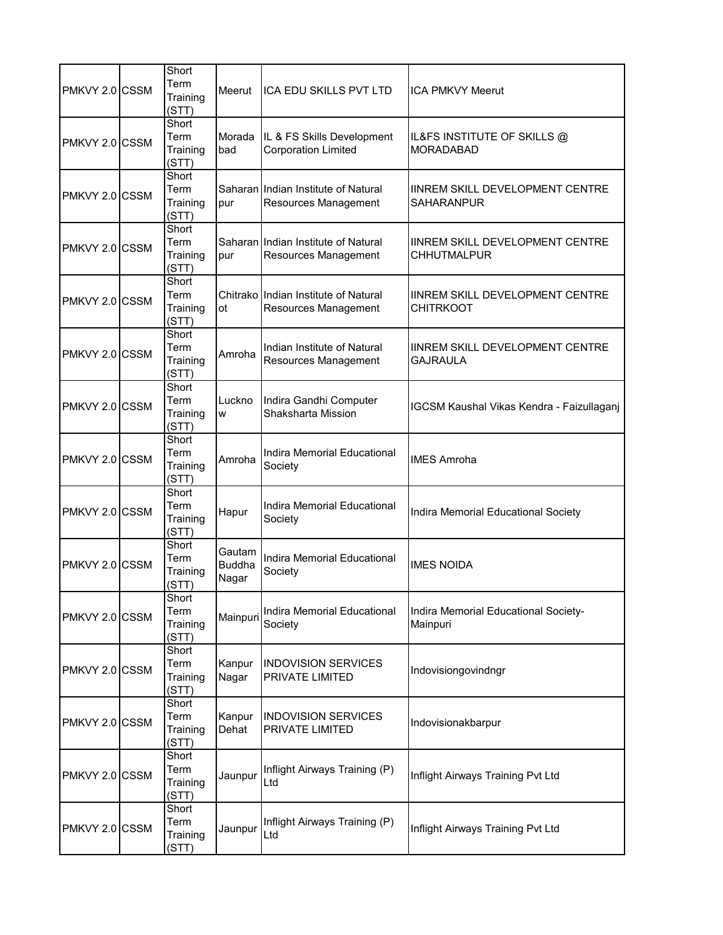| PMKVY 2.0 CSSM | Short<br>Term<br>Training<br>(STT) | Meerut                           | ICA EDU SKILLS PVT LTD                                       | <b>ICA PMKVY Meerut</b>                                    |
|----------------|------------------------------------|----------------------------------|--------------------------------------------------------------|------------------------------------------------------------|
| PMKVY 2.0 CSSM | Short<br>Term<br>Training<br>(STT) | Morada<br>bad                    | IL & FS Skills Development<br><b>Corporation Limited</b>     | IL&FS INSTITUTE OF SKILLS @<br><b>MORADABAD</b>            |
| PMKVY 2.0 CSSM | Short<br>Term<br>Training<br>(STT) | pur                              | Saharan Indian Institute of Natural<br>Resources Management  | IINREM SKILL DEVELOPMENT CENTRE<br>SAHARANPUR              |
| PMKVY 2.0 CSSM | Short<br>Term<br>Training<br>(STT) | pur                              | Saharan Indian Institute of Natural<br>Resources Management  | IINREM SKILL DEVELOPMENT CENTRE<br><b>CHHUTMALPUR</b>      |
| PMKVY 2.0 CSSM | Short<br>Term<br>Training<br>(STT) | ot                               | Chitrako Indian Institute of Natural<br>Resources Management | <b>IINREM SKILL DEVELOPMENT CENTRE</b><br><b>CHITRKOOT</b> |
| PMKVY 2.0 CSSM | Short<br>Term<br>Training<br>(STT) | Amroha                           | Indian Institute of Natural<br>Resources Management          | <b>IINREM SKILL DEVELOPMENT CENTRE</b><br><b>GAJRAULA</b>  |
| PMKVY 2.0 CSSM | Short<br>Term<br>Training<br>(STT) | Luckno<br>W                      | Indira Gandhi Computer<br>Shaksharta Mission                 | IGCSM Kaushal Vikas Kendra - Faizullaganj                  |
| PMKVY 2.0 CSSM | Short<br>Term<br>Training<br>(STT) | Amroha                           | Indira Memorial Educational<br>Society                       | <b>IMES Amroha</b>                                         |
| PMKVY 2.0 CSSM | Short<br>Term<br>Training<br>(STT) | Hapur                            | Indira Memorial Educational<br>Society                       | Indira Memorial Educational Society                        |
| PMKVY 2.0 CSSM | Short<br>Term<br>Training<br>(STT) | Gautam<br><b>Buddha</b><br>Nagar | Indira Memorial Educational<br>Society                       | <b>IMES NOIDA</b>                                          |
| PMKVY 2.0 CSSM | Short<br>Term<br>Training<br>(STT) | Mainpuri                         | Indira Memorial Educational<br>Society                       | Indira Memorial Educational Society-<br>Mainpuri           |
| PMKVY 2.0 CSSM | Short<br>Term<br>Training<br>(STT) | Kanpur<br>Nagar                  | <b>INDOVISION SERVICES</b><br><b>PRIVATE LIMITED</b>         | Indovisiongovindngr                                        |
| PMKVY 2.0 CSSM | Short<br>Term<br>Training<br>(STT) | Kanpur<br>Dehat                  | <b>INDOVISION SERVICES</b><br>PRIVATE LIMITED                | Indovisionakbarpur                                         |
| PMKVY 2.0 CSSM | Short<br>Term<br>Training<br>(STT) | Jaunpur                          | Inflight Airways Training (P)<br>Ltd                         | Inflight Airways Training Pvt Ltd                          |
| PMKVY 2.0 CSSM | Short<br>Term<br>Training<br>(STT) | Jaunpur                          | Inflight Airways Training (P)<br>Ltd                         | Inflight Airways Training Pvt Ltd                          |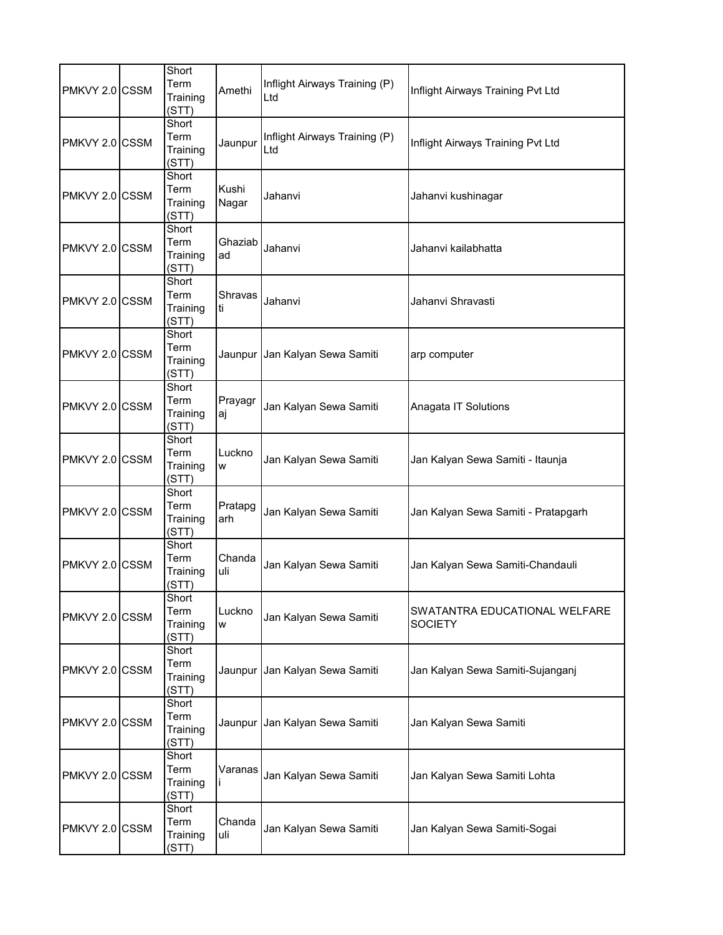| PMKVY 2.0 CSSM | Short<br>Term<br>Training<br>(STT) | Amethi         | Inflight Airways Training (P)<br>Ltd | Inflight Airways Training Pvt Ltd               |
|----------------|------------------------------------|----------------|--------------------------------------|-------------------------------------------------|
| PMKVY 2.0 CSSM | Short<br>Term<br>Training<br>(STT) | Jaunpur        | Inflight Airways Training (P)<br>Ltd | Inflight Airways Training Pvt Ltd               |
| PMKVY 2.0 CSSM | Short<br>Term<br>Training<br>(STT) | Kushi<br>Nagar | Jahanvi                              | Jahanvi kushinagar                              |
| PMKVY 2.0 CSSM | Short<br>Term<br>Training<br>(STT) | Ghaziab<br>ad  | Jahanvi                              | Jahanvi kailabhatta                             |
| PMKVY 2.0 CSSM | Short<br>Term<br>Training<br>(STT) | Shravas<br>ti  | Jahanvi                              | Jahanvi Shravasti                               |
| PMKVY 2.0 CSSM | Short<br>Term<br>Training<br>(STT) | Jaunpur        | Jan Kalyan Sewa Samiti               | arp computer                                    |
| PMKVY 2.0 CSSM | Short<br>Term<br>Training<br>(STT) | Prayagr<br>aj  | Jan Kalyan Sewa Samiti               | Anagata IT Solutions                            |
| PMKVY 2.0 CSSM | Short<br>Term<br>Training<br>(STT) | Luckno<br>W    | Jan Kalyan Sewa Samiti               | Jan Kalyan Sewa Samiti - Itaunja                |
| PMKVY 2.0 CSSM | Short<br>Term<br>Training<br>(STT) | Pratapg<br>arh | Jan Kalyan Sewa Samiti               | Jan Kalyan Sewa Samiti - Pratapgarh             |
| PMKVY 2.0 CSSM | Short<br>Term<br>Training<br>(STT) | Chanda<br>uli  | Jan Kalyan Sewa Samiti               | Jan Kalyan Sewa Samiti-Chandauli                |
| PMKVY 2.0 CSSM | Short<br>Term<br>Training<br>(STT) | Luckno<br>W    | Jan Kalyan Sewa Samiti               | SWATANTRA EDUCATIONAL WELFARE<br><b>SOCIETY</b> |
| PMKVY 2.0 CSSM | Short<br>Term<br>Training<br>(STT) | Jaunpur        | Jan Kalyan Sewa Samiti               | Jan Kalyan Sewa Samiti-Sujanganj                |
| PMKVY 2.0 CSSM | Short<br>Term<br>Training<br>(STT) | Jaunpur        | Jan Kalyan Sewa Samiti               | Jan Kalyan Sewa Samiti                          |
| PMKVY 2.0 CSSM | Short<br>Term<br>Training<br>(STT) | Varanas        | Jan Kalyan Sewa Samiti               | Jan Kalyan Sewa Samiti Lohta                    |
| PMKVY 2.0 CSSM | Short<br>Term<br>Training<br>(STT) | Chanda<br>uli  | Jan Kalyan Sewa Samiti               | Jan Kalyan Sewa Samiti-Sogai                    |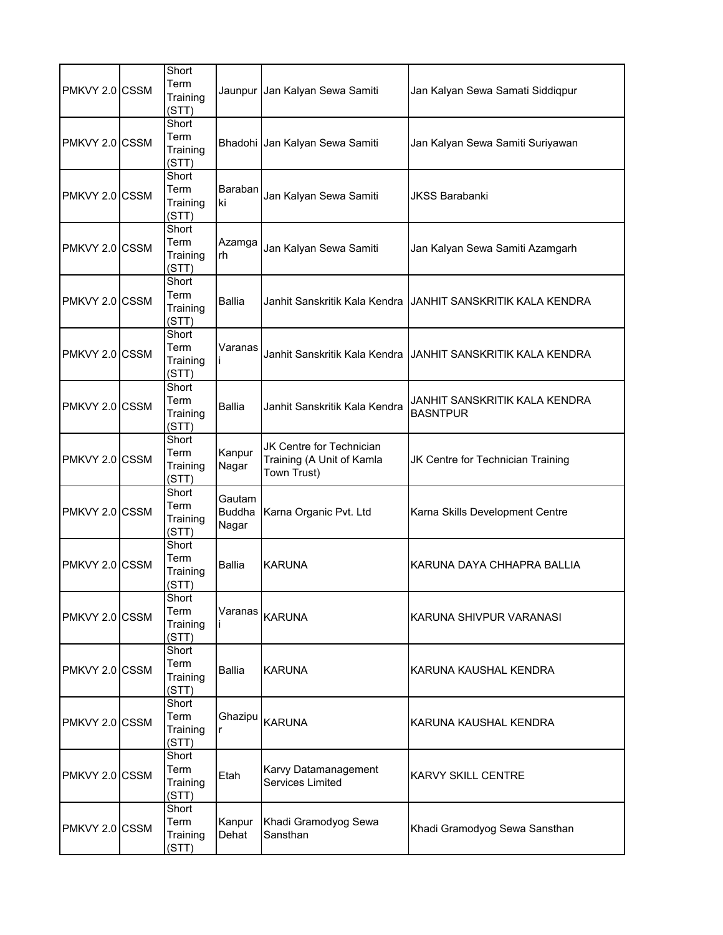| PMKVY 2.0 CSSM | Short<br>Term<br>Training<br>(STT) |                                  | Jaunpur  Jan Kalyan Sewa Samiti                                      | Jan Kalyan Sewa Samati Siddiqpur                 |
|----------------|------------------------------------|----------------------------------|----------------------------------------------------------------------|--------------------------------------------------|
| PMKVY 2.0 CSSM | Short<br>Term<br>Training<br>(STT) |                                  | Bhadohi Jan Kalyan Sewa Samiti                                       | Jan Kalyan Sewa Samiti Suriyawan                 |
| PMKVY 2.0 CSSM | Short<br>Term<br>Training<br>(STT) | Baraban<br>ki                    | Jan Kalyan Sewa Samiti                                               | <b>JKSS Barabanki</b>                            |
| PMKVY 2.0 CSSM | Short<br>Term<br>Training<br>(STT) | Azamga<br>rh                     | Jan Kalyan Sewa Samiti                                               | Jan Kalyan Sewa Samiti Azamgarh                  |
| PMKVY 2.0 CSSM | Short<br>Term<br>Training<br>(STT) | Ballia                           | Janhit Sanskritik Kala Kendra                                        | JANHIT SANSKRITIK KALA KENDRA                    |
| PMKVY 2.0 CSSM | Short<br>Term<br>Training<br>(STT) | Varanas                          | Janhit Sanskritik Kala Kendra                                        | JANHIT SANSKRITIK KALA KENDRA                    |
| PMKVY 2.0 CSSM | Short<br>Term<br>Training<br>(STT) | <b>Ballia</b>                    | Janhit Sanskritik Kala Kendra                                        | JANHIT SANSKRITIK KALA KENDRA<br><b>BASNTPUR</b> |
| PMKVY 2.0 CSSM | Short<br>Term<br>Training<br>(STT) | Kanpur<br>Nagar                  | JK Centre for Technician<br>Training (A Unit of Kamla<br>Town Trust) | JK Centre for Technician Training                |
| PMKVY 2.0 CSSM | Short<br>Term<br>Training<br>(STT) | Gautam<br><b>Buddha</b><br>Nagar | Karna Organic Pvt. Ltd                                               | Karna Skills Development Centre                  |
| PMKVY 2.0 CSSM | Short<br>Term<br>Training<br>(STT) | <b>Ballia</b>                    | <b>KARUNA</b>                                                        | KARUNA DAYA CHHAPRA BALLIA                       |
| PMKVY 2.0 CSSM | Short<br>Term<br>Training<br>(STT) | Varanas                          | <b>KARUNA</b>                                                        | KARUNA SHIVPUR VARANASI                          |
| PMKVY 2.0 CSSM | Short<br>Term<br>Training<br>(STT) | <b>Ballia</b>                    | <b>KARUNA</b>                                                        | KARUNA KAUSHAL KENDRA                            |
| PMKVY 2.0 CSSM | Short<br>Term<br>Training<br>(STT) | Ghazipu<br>r                     | <b>KARUNA</b>                                                        | KARUNA KAUSHAL KENDRA                            |
| PMKVY 2.0 CSSM | Short<br>Term<br>Training<br>(STT) | Etah                             | Karvy Datamanagement<br><b>Services Limited</b>                      | KARVY SKILL CENTRE                               |
| PMKVY 2.0 CSSM | Short<br>Term<br>Training<br>(STT) | Kanpur<br>Dehat                  | Khadi Gramodyog Sewa<br>Sansthan                                     | Khadi Gramodyog Sewa Sansthan                    |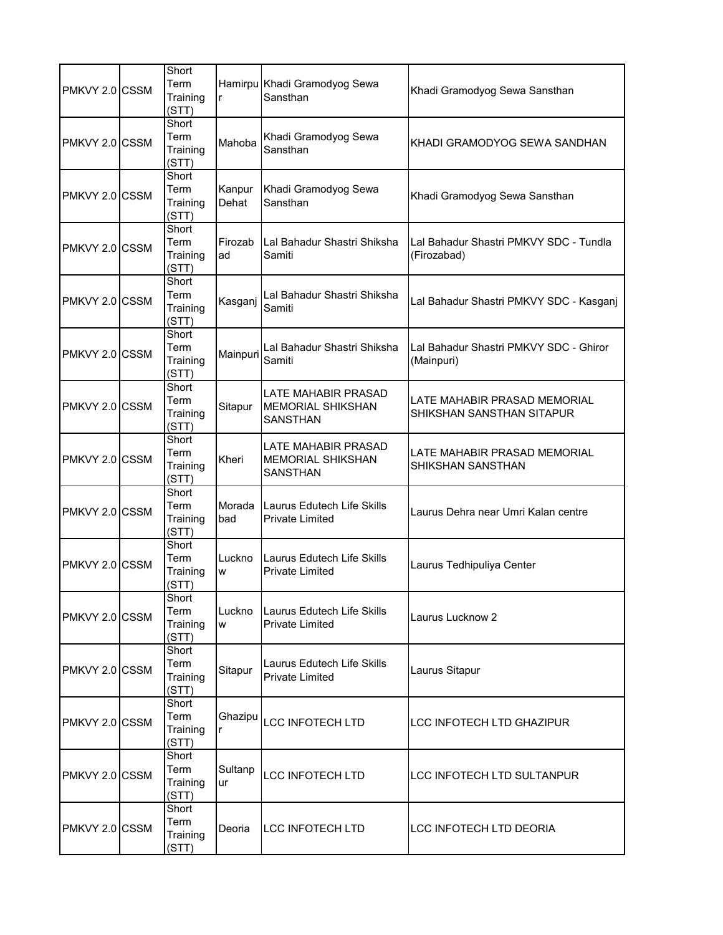| PMKVY 2.0 CSSM  | Short<br>Term<br>Training<br>(STT) | r               | Hamirpu Khadi Gramodyog Sewa<br>Sansthan                                  | Khadi Gramodyog Sewa Sansthan                             |
|-----------------|------------------------------------|-----------------|---------------------------------------------------------------------------|-----------------------------------------------------------|
| PMKVY 2.0 ICSSM | Short<br>Term<br>Training<br>(STT) | Mahoba          | Khadi Gramodyog Sewa<br>Sansthan                                          | KHADI GRAMODYOG SEWA SANDHAN                              |
| PMKVY 2.0 CSSM  | Short<br>Term<br>Training<br>(STT) | Kanpur<br>Dehat | Khadi Gramodyog Sewa<br>Sansthan                                          | Khadi Gramodyog Sewa Sansthan                             |
| PMKVY 2.0 CSSM  | Short<br>Term<br>Training<br>(STT) | Firozab<br>ad   | Lal Bahadur Shastri Shiksha<br>Samiti                                     | Lal Bahadur Shastri PMKVY SDC - Tundla<br>(Firozabad)     |
| PMKVY 2.0 CSSM  | Short<br>Term<br>Training<br>(STT) | Kasganj         | Lal Bahadur Shastri Shiksha<br>Samiti                                     | Lal Bahadur Shastri PMKVY SDC - Kasganj                   |
| PMKVY 2.0 CSSM  | Short<br>Term<br>Training<br>(STT) | Mainpuri        | Lal Bahadur Shastri Shiksha<br>Samiti                                     | Lal Bahadur Shastri PMKVY SDC - Ghiror<br>(Mainpuri)      |
| PMKVY 2.0 CSSM  | Short<br>Term<br>Training<br>(STT) | Sitapur         | <b>LATE MAHABIR PRASAD</b><br><b>MEMORIAL SHIKSHAN</b><br><b>SANSTHAN</b> | LATE MAHABIR PRASAD MEMORIAL<br>SHIKSHAN SANSTHAN SITAPUR |
| PMKVY 2.0 CSSM  | Short<br>Term<br>Training<br>(STT) | Kheri           | <b>LATE MAHABIR PRASAD</b><br><b>MEMORIAL SHIKSHAN</b><br><b>SANSTHAN</b> | LATE MAHABIR PRASAD MEMORIAL<br>SHIKSHAN SANSTHAN         |
| PMKVY 2.0 CSSM  | Short<br>Term<br>Training<br>(STT) | Morada<br>bad   | Laurus Edutech Life Skills<br><b>Private Limited</b>                      | Laurus Dehra near Umri Kalan centre                       |
| PMKVY 2.0 CSSM  | Short<br>Term<br>Training<br>(STT) | Luckno<br>W     | Laurus Edutech Life Skills<br><b>Private Limited</b>                      | Laurus Tedhipuliya Center                                 |
| PMKVY 2.0 CSSM  | Short<br>Term<br>Training<br>(STT) | Luckno<br>W     | Laurus Edutech Life Skills<br><b>Private Limited</b>                      | Laurus Lucknow 2                                          |
| PMKVY 2.0 CSSM  | Short<br>Term<br>Training<br>(STT) | Sitapur         | Laurus Edutech Life Skills<br><b>Private Limited</b>                      | Laurus Sitapur                                            |
| PMKVY 2.0 CSSM  | Short<br>Term<br>Training<br>(STT) | Ghazipu<br>r    | <b>LCC INFOTECH LTD</b>                                                   | <b>LCC INFOTECH LTD GHAZIPUR</b>                          |
| PMKVY 2.0 CSSM  | Short<br>Term<br>Training<br>(STT) | Sultanp<br>ur   | <b>LCC INFOTECH LTD</b>                                                   | LCC INFOTECH LTD SULTANPUR                                |
| PMKVY 2.0 CSSM  | Short<br>Term<br>Training<br>(STT) | Deoria          | <b>LCC INFOTECH LTD</b>                                                   | LCC INFOTECH LTD DEORIA                                   |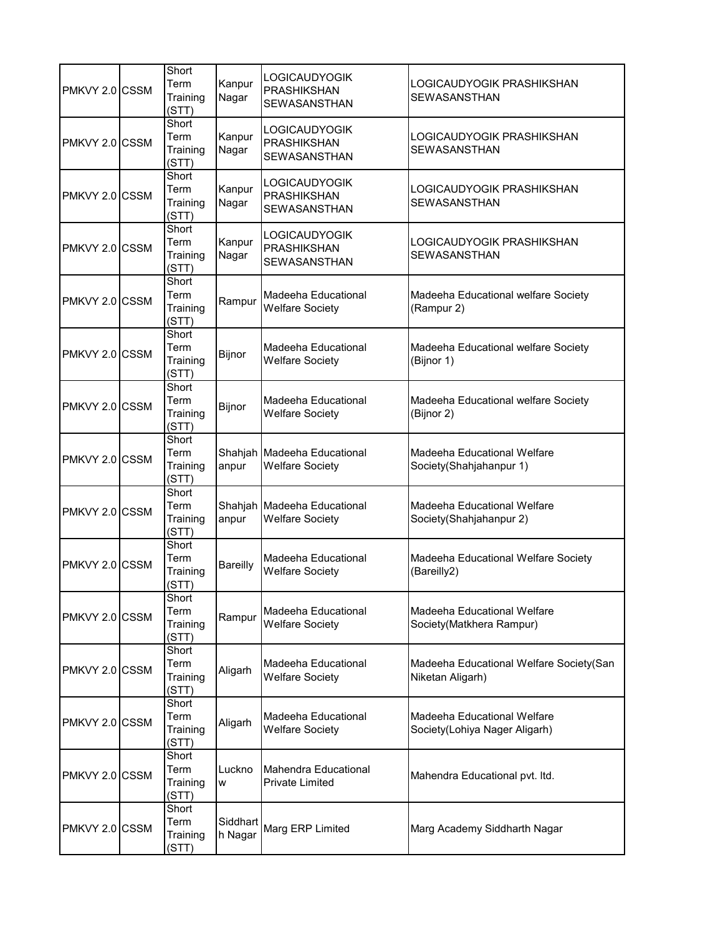| PMKVY 2.0 CSSM | Short<br>Term<br>Training<br>(STT) | Kanpur<br>Nagar     | <b>LOGICAUDYOGIK</b><br><b>PRASHIKSHAN</b><br><b>SEWASANSTHAN</b> | LOGICAUDYOGIK PRASHIKSHAN<br>SEWASANSTHAN                    |
|----------------|------------------------------------|---------------------|-------------------------------------------------------------------|--------------------------------------------------------------|
| PMKVY 2.0 CSSM | Short<br>Term<br>Training<br>(STT) | Kanpur<br>Nagar     | <b>LOGICAUDYOGIK</b><br><b>PRASHIKSHAN</b><br>SEWASANSTHAN        | LOGICAUDYOGIK PRASHIKSHAN<br><b>SEWASANSTHAN</b>             |
| PMKVY 2.0 CSSM | Short<br>Term<br>Training<br>(STT) | Kanpur<br>Nagar     | <b>LOGICAUDYOGIK</b><br>PRASHIKSHAN<br>SEWASANSTHAN               | LOGICAUDYOGIK PRASHIKSHAN<br><b>SEWASANSTHAN</b>             |
| PMKVY 2.0 CSSM | Short<br>Term<br>Training<br>(STT) | Kanpur<br>Nagar     | <b>LOGICAUDYOGIK</b><br><b>PRASHIKSHAN</b><br>SEWASANSTHAN        | LOGICAUDYOGIK PRASHIKSHAN<br>SEWASANSTHAN                    |
| PMKVY 2.0 CSSM | Short<br>Term<br>Training<br>(STT) | Rampur              | Madeeha Educational<br><b>Welfare Society</b>                     | Madeeha Educational welfare Society<br>(Rampur 2)            |
| PMKVY 2.0 CSSM | Short<br>Term<br>Training<br>(STT) | Bijnor              | Madeeha Educational<br><b>Welfare Society</b>                     | Madeeha Educational welfare Society<br>(Bijnor 1)            |
| PMKVY 2.0 CSSM | Short<br>Term<br>Training<br>(STT) | Bijnor              | Madeeha Educational<br><b>Welfare Society</b>                     | Madeeha Educational welfare Society<br>(Bijnor 2)            |
| PMKVY 2.0 CSSM | Short<br>Term<br>Training<br>(STT) | anpur               | Shahjah Madeeha Educational<br><b>Welfare Society</b>             | Madeeha Educational Welfare<br>Society(Shahjahanpur 1)       |
| PMKVY 2.0 CSSM | Short<br>Term<br>Training<br>(STT) | Shahjah<br>anpur    | Madeeha Educational<br><b>Welfare Society</b>                     | Madeeha Educational Welfare<br>Society(Shahjahanpur 2)       |
| PMKVY 2.0 CSSM | Short<br>Term<br>Training<br>(STT) | Bareilly            | Madeeha Educational<br><b>Welfare Society</b>                     | Madeeha Educational Welfare Society<br>(Bareilly2)           |
| PMKVY 2.0 CSSM | Short<br>Term<br>Training<br>(STT) | Rampur              | Madeeha Educational<br><b>Welfare Society</b>                     | Madeeha Educational Welfare<br>Society(Matkhera Rampur)      |
| PMKVY 2.0 CSSM | Short<br>Term<br>Training<br>(STT) | Aligarh             | Madeeha Educational<br><b>Welfare Society</b>                     | Madeeha Educational Welfare Society(San<br>Niketan Aligarh)  |
| PMKVY 2.0 CSSM | Short<br>Term<br>Training<br>(STT) | Aligarh             | Madeeha Educational<br><b>Welfare Society</b>                     | Madeeha Educational Welfare<br>Society(Lohiya Nager Aligarh) |
| PMKVY 2.0 CSSM | Short<br>Term<br>Training<br>(STT) | Luckno<br>W         | Mahendra Educational<br><b>Private Limited</b>                    | Mahendra Educational pvt. Itd.                               |
| PMKVY 2.0 CSSM | Short<br>Term<br>Training<br>(STT) | Siddhart<br>h Nagar | Marg ERP Limited                                                  | Marg Academy Siddharth Nagar                                 |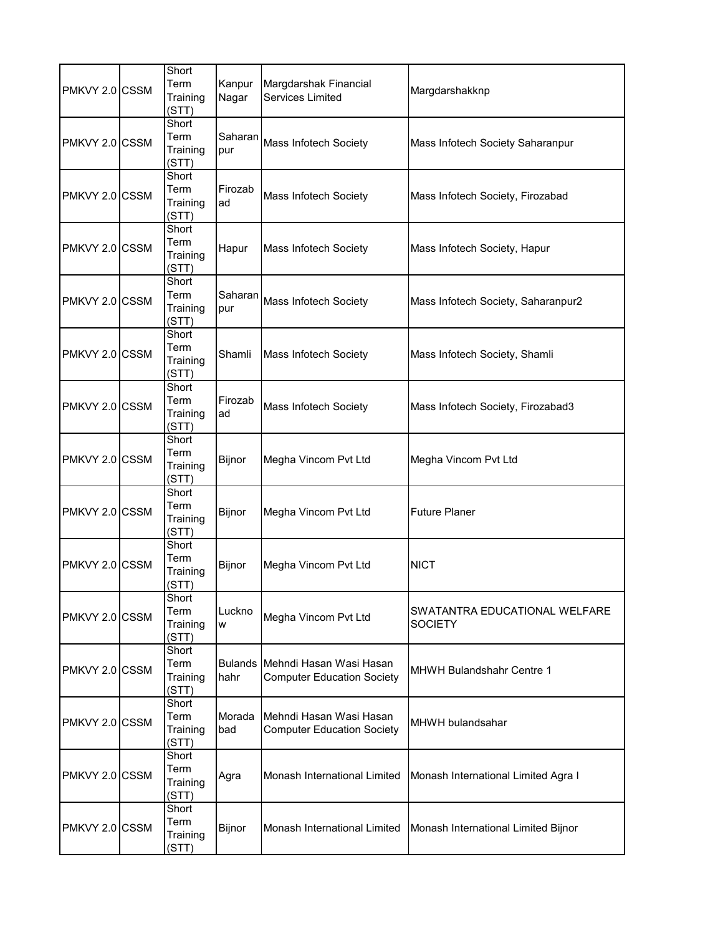| PMKVY 2.0 CSSM | Short<br>Term<br>Training<br>(STT) | Kanpur<br>Nagar | Margdarshak Financial<br>Services Limited                            | Margdarshakknp                                  |
|----------------|------------------------------------|-----------------|----------------------------------------------------------------------|-------------------------------------------------|
| PMKVY 2.0 CSSM | Short<br>Term<br>Training<br>(STT) | Saharan<br>pur  | Mass Infotech Society                                                | Mass Infotech Society Saharanpur                |
| PMKVY 2.0 CSSM | Short<br>Term<br>Training<br>(STT) | Firozab<br>ad   | Mass Infotech Society                                                | Mass Infotech Society, Firozabad                |
| PMKVY 2.0 CSSM | Short<br>Term<br>Training<br>(STT) | Hapur           | Mass Infotech Society                                                | Mass Infotech Society, Hapur                    |
| PMKVY 2.0 CSSM | Short<br>Term<br>Training<br>(STT) | Saharan<br>pur  | Mass Infotech Society                                                | Mass Infotech Society, Saharanpur2              |
| PMKVY 2.0 CSSM | Short<br>Term<br>Training<br>(STT) | Shamli          | Mass Infotech Society                                                | Mass Infotech Society, Shamli                   |
| PMKVY 2.0 CSSM | Short<br>Term<br>Training<br>(STT) | Firozab<br>ad   | Mass Infotech Society                                                | Mass Infotech Society, Firozabad3               |
| PMKVY 2.0 CSSM | Short<br>Term<br>Training<br>(STT) | Bijnor          | Megha Vincom Pvt Ltd                                                 | Megha Vincom Pvt Ltd                            |
| PMKVY 2.0 CSSM | Short<br>Term<br>Training<br>(STT) | Bijnor          | Megha Vincom Pvt Ltd                                                 | <b>Future Planer</b>                            |
| PMKVY 2.0 CSSM | Short<br>Term<br>Training<br>(STT) | <b>Bijnor</b>   | Megha Vincom Pvt Ltd                                                 | <b>NICT</b>                                     |
| PMKVY 2.0 CSSM | Short<br>Term<br>Training<br>(STT) | Luckno<br>W     | Megha Vincom Pvt Ltd                                                 | SWATANTRA EDUCATIONAL WELFARE<br><b>SOCIETY</b> |
| PMKVY 2.0 CSSM | Short<br>Term<br>Training<br>(STT) | hahr            | Bulands Mehndi Hasan Wasi Hasan<br><b>Computer Education Society</b> | MHWH Bulandshahr Centre 1                       |
| PMKVY 2.0 CSSM | Short<br>Term<br>Training<br>(STT) | Morada<br>bad   | Mehndi Hasan Wasi Hasan<br><b>Computer Education Society</b>         | MHWH bulandsahar                                |
| PMKVY 2.0 CSSM | Short<br>Term<br>Training<br>(STT) | Agra            | Monash International Limited                                         | Monash International Limited Agra I             |
| PMKVY 2.0 CSSM | Short<br>Term<br>Training<br>(STT) | Bijnor          | Monash International Limited                                         | Monash International Limited Bijnor             |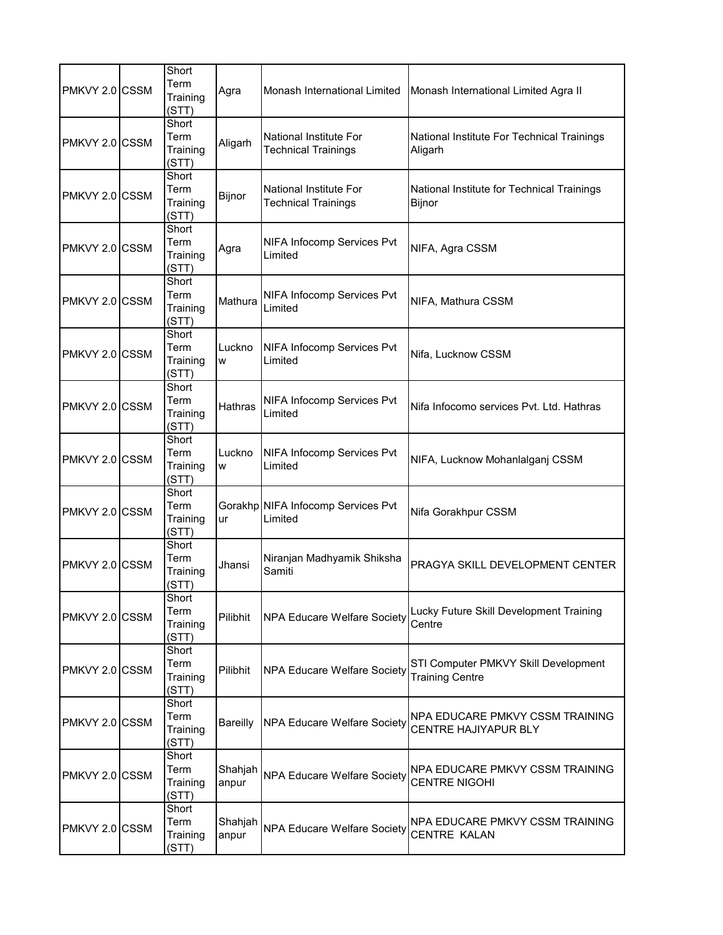| PMKVY 2.0 CSSM | Short<br>Term<br>Training<br>(STT) | Agra             | Monash International Limited                                | Monash International Limited Agra II                           |
|----------------|------------------------------------|------------------|-------------------------------------------------------------|----------------------------------------------------------------|
| PMKVY 2.0 CSSM | Short<br>Term<br>Training<br>(STT) | Aligarh          | <b>National Institute For</b><br><b>Technical Trainings</b> | National Institute For Technical Trainings<br>Aligarh          |
| PMKVY 2.0 CSSM | Short<br>Term<br>Training<br>(STT) | Bijnor           | National Institute For<br><b>Technical Trainings</b>        | National Institute for Technical Trainings<br>Bijnor           |
| PMKVY 2.0 CSSM | Short<br>Term<br>Training<br>(STT) | Agra             | NIFA Infocomp Services Pvt<br>Limited                       | NIFA, Agra CSSM                                                |
| PMKVY 2.0 CSSM | Short<br>Term<br>Training<br>(STT) | Mathura          | NIFA Infocomp Services Pvt<br>Limited                       | NIFA, Mathura CSSM                                             |
| PMKVY 2.0 CSSM | Short<br>Term<br>Training<br>(STT) | Luckno<br>W      | NIFA Infocomp Services Pvt<br>Limited                       | Nifa, Lucknow CSSM                                             |
| PMKVY 2.0 CSSM | Short<br>Term<br>Training<br>(STT) | <b>Hathras</b>   | NIFA Infocomp Services Pvt<br>Limited                       | Nifa Infocomo services Pvt. Ltd. Hathras                       |
| PMKVY 2.0 CSSM | Short<br>Term<br>Training<br>(STT) | Luckno<br>W      | NIFA Infocomp Services Pvt<br>Limited                       | NIFA, Lucknow Mohanlalganj CSSM                                |
| PMKVY 2.0 CSSM | Short<br>Term<br>Training<br>(STT) | ur               | Gorakhp NIFA Infocomp Services Pvt<br>Limited               | Nifa Gorakhpur CSSM                                            |
| PMKVY 2.0 CSSM | Short<br>Term<br>Training<br>(STT) | Jhansi           | Niranjan Madhyamik Shiksha<br>Samiti                        | PRAGYA SKILL DEVELOPMENT CENTER                                |
| PMKVY 2.0 CSSM | Short<br>Term<br>Training<br>(STT) | Pilibhit         | <b>NPA Educare Welfare Society</b>                          | Lucky Future Skill Development Training<br>Centre              |
| PMKVY 2.0 CSSM | Short<br>Term<br>Training<br>(STT) | Pilibhit         | <b>NPA Educare Welfare Society</b>                          | STI Computer PMKVY Skill Development<br><b>Training Centre</b> |
| PMKVY 2.0 CSSM | Short<br>Term<br>Training<br>(STT) | Bareilly         | <b>NPA Educare Welfare Society</b>                          | NPA EDUCARE PMKVY CSSM TRAINING<br>CENTRE HAJIYAPUR BLY        |
| PMKVY 2.0 CSSM | Short<br>Term<br>Training<br>(STT) | Shahjah<br>anpur | <b>NPA Educare Welfare Society</b>                          | NPA EDUCARE PMKVY CSSM TRAINING<br><b>CENTRE NIGOHI</b>        |
| PMKVY 2.0 CSSM | Short<br>Term<br>Training<br>(STT) | Shahjah<br>anpur | NPA Educare Welfare Society                                 | NPA EDUCARE PMKVY CSSM TRAINING<br><b>CENTRE KALAN</b>         |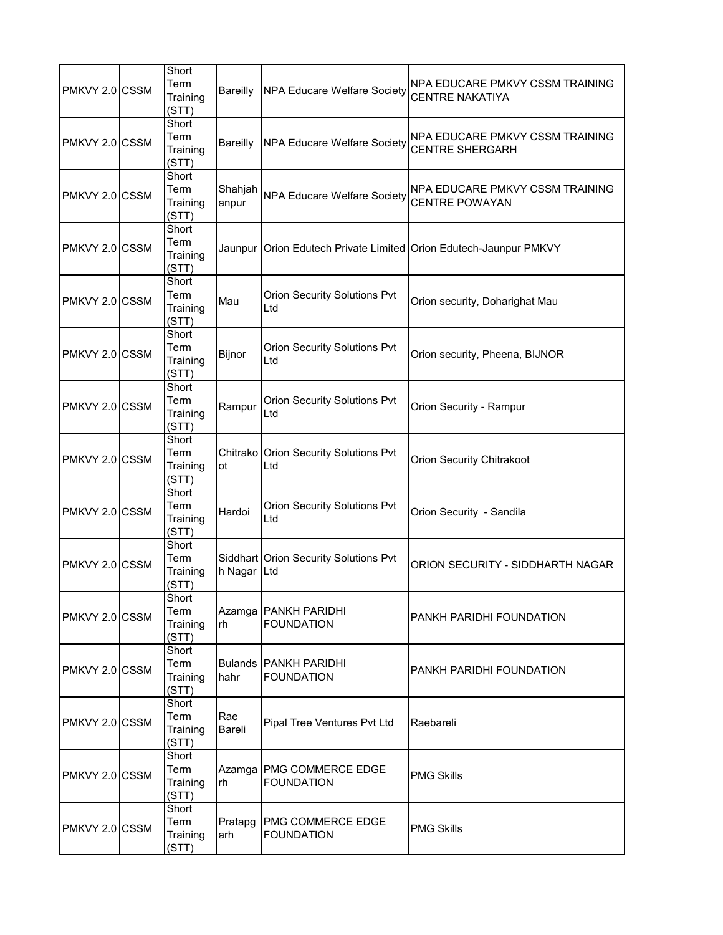| PMKVY 2.0 CSSM | Short<br>Term<br>Training<br>(STT) |                  | Bareilly NPA Educare Welfare Society              | NPA EDUCARE PMKVY CSSM TRAINING<br><b>CENTRE NAKATIYA</b>         |
|----------------|------------------------------------|------------------|---------------------------------------------------|-------------------------------------------------------------------|
| PMKVY 2.0 CSSM | Short<br>Term<br>Training<br>(STT) | Bareilly         | NPA Educare Welfare Society                       | NPA EDUCARE PMKVY CSSM TRAINING<br><b>CENTRE SHERGARH</b>         |
| PMKVY 2.0 CSSM | Short<br>Term<br>Training<br>(STT) | Shahjah<br>anpur | <b>NPA Educare Welfare Society</b>                | NPA EDUCARE PMKVY CSSM TRAINING<br><b>CENTRE POWAYAN</b>          |
| PMKVY 2.0 CSSM | Short<br>Term<br>Training<br>(STT) |                  |                                                   | Jaunpur Orion Edutech Private Limited Orion Edutech-Jaunpur PMKVY |
| PMKVY 2.0 CSSM | Short<br>Term<br>Training<br>(STT) | Mau              | Orion Security Solutions Pvt<br>Ltd               | Orion security, Doharighat Mau                                    |
| PMKVY 2.0 CSSM | Short<br>Term<br>Training<br>(STT) | Bijnor           | Orion Security Solutions Pvt<br>Ltd               | Orion security, Pheena, BIJNOR                                    |
| PMKVY 2.0 CSSM | Short<br>Term<br>Training<br>(STT) | Rampur           | <b>Orion Security Solutions Pvt</b><br>Ltd        | Orion Security - Rampur                                           |
| PMKVY 2.0 CSSM | Short<br>Term<br>Training<br>(STT) | ot               | Chitrako Orion Security Solutions Pvt<br>Ltd      | Orion Security Chitrakoot                                         |
| PMKVY 2.0 CSSM | Short<br>Term<br>Training<br>(STT) | Hardoi           | Orion Security Solutions Pvt<br>Ltd               | Orion Security - Sandila                                          |
| PMKVY 2.0 CSSM | Short<br>Term<br>Training<br>(STT) | h Nagar Ltd      | Siddhart Orion Security Solutions Pvt             | ORION SECURITY - SIDDHARTH NAGAR                                  |
| PMKVY 2.0 CSSM | Short<br>Term<br>Training<br>(STT) | rh               | Azamga PANKH PARIDHI<br><b>FOUNDATION</b>         | PANKH PARIDHI FOUNDATION                                          |
| PMKVY 2.0 CSSM | Short<br>Term<br>Training<br>(STT) | hahr             | <b>Bulands PANKH PARIDHI</b><br><b>FOUNDATION</b> | PANKH PARIDHI FOUNDATION                                          |
| PMKVY 2.0 CSSM | Short<br>Term<br>Training<br>(STT) | Rae<br>Bareli    | Pipal Tree Ventures Pvt Ltd                       | Raebareli                                                         |
| PMKVY 2.0 CSSM | Short<br>Term<br>Training<br>(STT) | rh               | Azamga   PMG COMMERCE EDGE<br><b>FOUNDATION</b>   | <b>PMG Skills</b>                                                 |
| PMKVY 2.0 CSSM | Short<br>Term<br>Training<br>(STT) | Pratapg<br>arh   | <b>PMG COMMERCE EDGE</b><br><b>FOUNDATION</b>     | <b>PMG Skills</b>                                                 |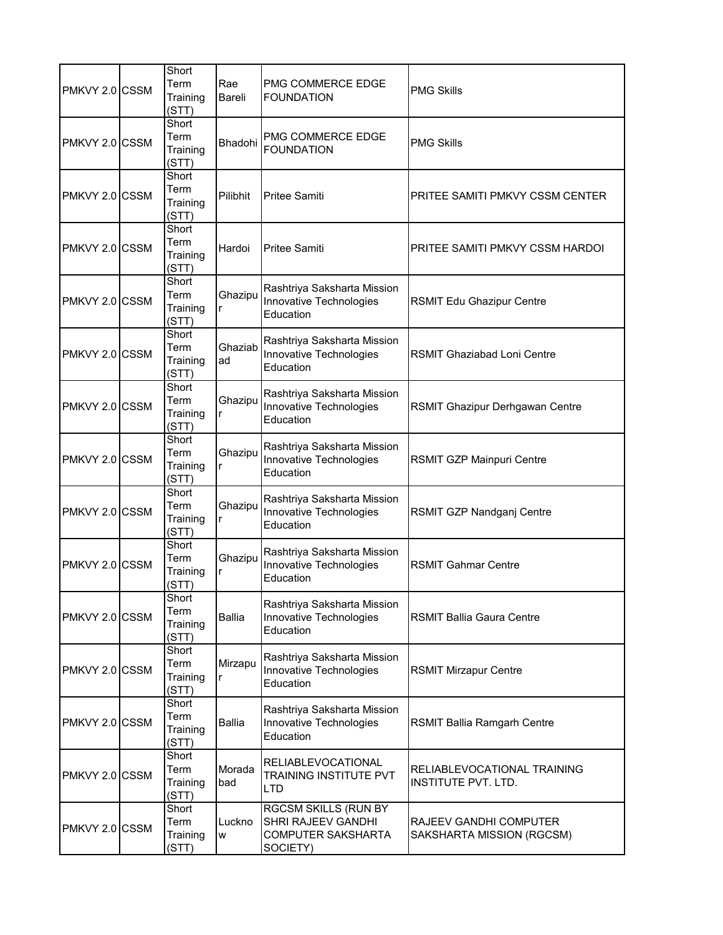| PMKVY 2.0 CSSM | Short<br>Term<br>Training<br>(STT) | Rae<br>Bareli | PMG COMMERCE EDGE<br><b>FOUNDATION</b>                                       | <b>PMG Skills</b>                                         |
|----------------|------------------------------------|---------------|------------------------------------------------------------------------------|-----------------------------------------------------------|
| PMKVY 2.0 CSSM | Short<br>Term<br>Training<br>(STT) | Bhadohi       | PMG COMMERCE EDGE<br><b>FOUNDATION</b>                                       | <b>PMG Skills</b>                                         |
| PMKVY 2.0 CSSM | Short<br>Term<br>Training<br>(STT) | Pilibhit      | <b>Pritee Samiti</b>                                                         | PRITEE SAMITI PMKVY CSSM CENTER                           |
| PMKVY 2.0 CSSM | Short<br>Term<br>Training<br>(STT) | Hardoi        | <b>Pritee Samiti</b>                                                         | PRITEE SAMITI PMKVY CSSM HARDOI                           |
| PMKVY 2.0 CSSM | Short<br>Term<br>Training<br>(STT) | Ghazipu<br>r  | Rashtriya Saksharta Mission<br>Innovative Technologies<br>Education          | <b>RSMIT Edu Ghazipur Centre</b>                          |
| PMKVY 2.0 CSSM | Short<br>Term<br>Training<br>(STT) | Ghaziab<br>ad | Rashtriya Saksharta Mission<br>Innovative Technologies<br>Education          | RSMIT Ghaziabad Loni Centre                               |
| PMKVY 2.0 CSSM | Short<br>Term<br>Training<br>(STT) | Ghazipu<br>r  | Rashtriya Saksharta Mission<br>Innovative Technologies<br>Education          | RSMIT Ghazipur Derhgawan Centre                           |
| PMKVY 2.0 CSSM | Short<br>Term<br>Training<br>(STT) | Ghazipu<br>r  | Rashtriya Saksharta Mission<br>Innovative Technologies<br>Education          | RSMIT GZP Mainpuri Centre                                 |
| PMKVY 2.0 CSSM | Short<br>Term<br>Training<br>(STT) | Ghazipu<br>r  | Rashtriya Saksharta Mission<br>Innovative Technologies<br>Education          | RSMIT GZP Nandganj Centre                                 |
| PMKVY 2.0 CSSM | Short<br>Term<br>Training<br>(STT) | Ghazipu       | Rashtriya Saksharta Mission<br>Innovative Technologies<br>Education          | <b>RSMIT Gahmar Centre</b>                                |
| PMKVY 2.0 CSSM | Short<br>Term<br>Training<br>(STT) | Ballia        | Rashtriya Saksharta Mission<br>Innovative Technologies<br>Education          | <b>RSMIT Ballia Gaura Centre</b>                          |
| PMKVY 2.0 CSSM | Short<br>Term<br>Training<br>(STT) | Mirzapu<br>r  | Rashtriya Saksharta Mission<br>Innovative Technologies<br>Education          | <b>RSMIT Mirzapur Centre</b>                              |
| PMKVY 2.0 CSSM | Short<br>Term<br>Training<br>(STT) | <b>Ballia</b> | Rashtriya Saksharta Mission<br>Innovative Technologies<br>Education          | <b>RSMIT Ballia Ramgarh Centre</b>                        |
| PMKVY 2.0 CSSM | Short<br>Term<br>Training<br>(STT) | Morada<br>bad | <b>RELIABLEVOCATIONAL</b><br>TRAINING INSTITUTE PVT<br>LTD                   | RELIABLEVOCATIONAL TRAINING<br><b>INSTITUTE PVT. LTD.</b> |
| PMKVY 2.0 CSSM | Short<br>Term<br>Training<br>(STT) | Luckno<br>W   | RGCSM SKILLS (RUN BY<br>SHRI RAJEEV GANDHI<br>COMPUTER SAKSHARTA<br>SOCIETY) | RAJEEV GANDHI COMPUTER<br>SAKSHARTA MISSION (RGCSM)       |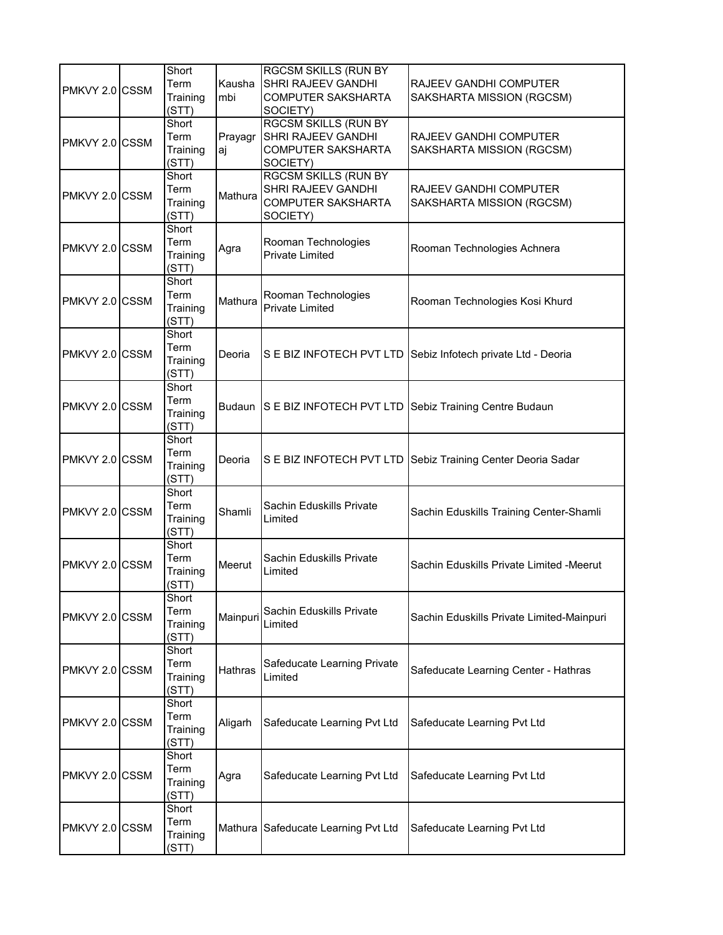| PMKVY 2.0 CSSM | Short<br>Term<br>Training<br>(STT) | Kausha<br>mbi | <b>RGCSM SKILLS (RUN BY</b><br>SHRI RAJEEV GANDHI<br>COMPUTER SAKSHARTA<br>SOCIETY)        | RAJEEV GANDHI COMPUTER<br>SAKSHARTA MISSION (RGCSM)          |
|----------------|------------------------------------|---------------|--------------------------------------------------------------------------------------------|--------------------------------------------------------------|
| PMKVY 2.0 CSSM | Short<br>Term<br>Training<br>(STT) | Prayagr<br>aj | <b>RGCSM SKILLS (RUN BY</b><br>SHRI RAJEEV GANDHI<br><b>COMPUTER SAKSHARTA</b><br>SOCIETY) | RAJEEV GANDHI COMPUTER<br>SAKSHARTA MISSION (RGCSM)          |
| PMKVY 2.0 CSSM | Short<br>Term<br>Training<br>(STT) | Mathura       | <b>RGCSM SKILLS (RUN BY</b><br>SHRI RAJEEV GANDHI<br><b>COMPUTER SAKSHARTA</b><br>SOCIETY) | RAJEEV GANDHI COMPUTER<br>SAKSHARTA MISSION (RGCSM)          |
| PMKVY 2.0 CSSM | Short<br>Term<br>Training<br>(STT) | Agra          | Rooman Technologies<br><b>Private Limited</b>                                              | Rooman Technologies Achnera                                  |
| PMKVY 2.0 CSSM | Short<br>Term<br>Training<br>(STT) | Mathura       | Rooman Technologies<br><b>Private Limited</b>                                              | Rooman Technologies Kosi Khurd                               |
| PMKVY 2.0 CSSM | Short<br>Term<br>Training<br>(STT) | Deoria        |                                                                                            | S E BIZ INFOTECH PVT LTD Sebiz Infotech private Ltd - Deoria |
| PMKVY 2.0 CSSM | Short<br>Term<br>Training<br>(STT) | <b>Budaun</b> |                                                                                            | S E BIZ INFOTECH PVT LTD Sebiz Training Centre Budaun        |
| PMKVY 2.0 CSSM | Short<br>Term<br>Training<br>(STT) | Deoria        |                                                                                            | S E BIZ INFOTECH PVT LTD Sebiz Training Center Deoria Sadar  |
| PMKVY 2.0 CSSM | Short<br>Term<br>Training<br>(STT) | Shamli        | Sachin Eduskills Private<br>Limited                                                        | Sachin Eduskills Training Center-Shamli                      |
| PMKVY 2.0 CSSM | Short<br>Term<br>Training<br>(STT) | Meerut        | Sachin Eduskills Private<br>Limited                                                        | Sachin Eduskills Private Limited -Meerut                     |
| PMKVY 2.0 CSSM | Short<br>Term<br>Training<br>(STT) | Mainpuri      | Sachin Eduskills Private<br>Limited                                                        | Sachin Eduskills Private Limited-Mainpuri                    |
| PMKVY 2.0 CSSM | Short<br>Term<br>Training<br>(STT) | Hathras       | Safeducate Learning Private<br>Limited                                                     | Safeducate Learning Center - Hathras                         |
| PMKVY 2.0 CSSM | Short<br>Term<br>Training<br>(STT) | Aligarh       | Safeducate Learning Pvt Ltd                                                                | Safeducate Learning Pvt Ltd                                  |
| PMKVY 2.0 CSSM | Short<br>Term<br>Training<br>(STT) | Agra          | Safeducate Learning Pvt Ltd                                                                | Safeducate Learning Pvt Ltd                                  |
| PMKVY 2.0 CSSM | Short<br>Term<br>Training<br>(STT) | Mathura       | Safeducate Learning Pvt Ltd                                                                | Safeducate Learning Pvt Ltd                                  |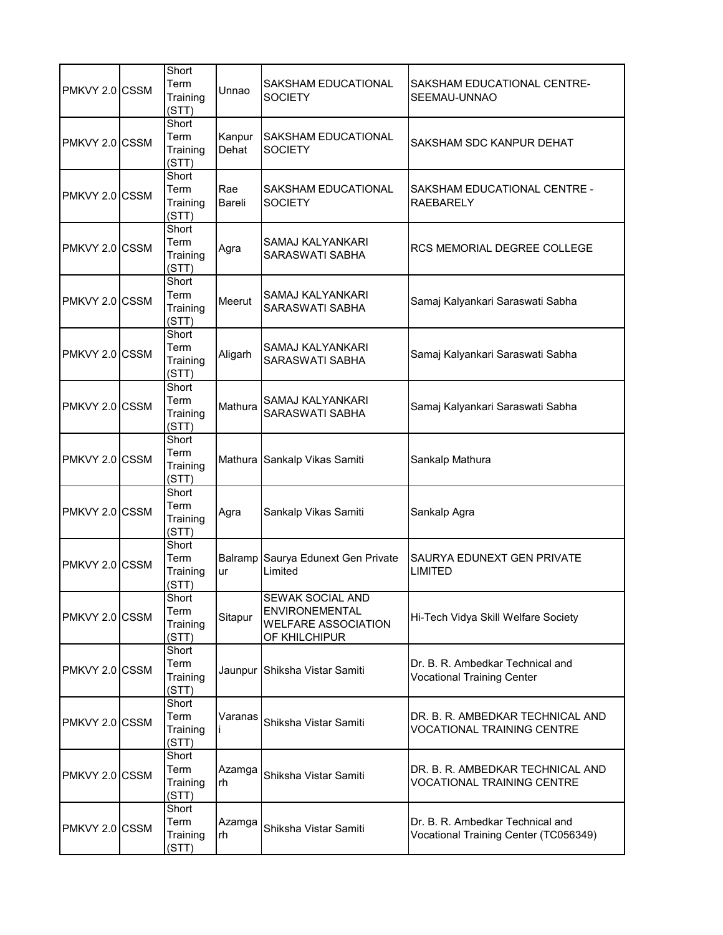| PMKVY 2.0 CSSM | Short<br>Term<br>Training<br>(STT) | Unnao           | SAKSHAM EDUCATIONAL<br><b>SOCIETY</b>                                                    | SAKSHAM EDUCATIONAL CENTRE-<br>SEEMAU-UNNAO                               |
|----------------|------------------------------------|-----------------|------------------------------------------------------------------------------------------|---------------------------------------------------------------------------|
| PMKVY 2.0 CSSM | Short<br>Term<br>Training<br>(STT) | Kanpur<br>Dehat | SAKSHAM EDUCATIONAL<br><b>SOCIETY</b>                                                    | SAKSHAM SDC KANPUR DEHAT                                                  |
| PMKVY 2.0 CSSM | Short<br>Term<br>Training<br>(STT) | Rae<br>Bareli   | SAKSHAM EDUCATIONAL<br><b>SOCIETY</b>                                                    | SAKSHAM EDUCATIONAL CENTRE -<br><b>RAEBARELY</b>                          |
| PMKVY 2.0 CSSM | Short<br>Term<br>Training<br>(STT) | Agra            | SAMAJ KALYANKARI<br>SARASWATI SABHA                                                      | RCS MEMORIAL DEGREE COLLEGE                                               |
| PMKVY 2.0 CSSM | Short<br>Term<br>Training<br>(STT) | Meerut          | <b>SAMAJ KALYANKARI</b><br>SARASWATI SABHA                                               | Samaj Kalyankari Saraswati Sabha                                          |
| PMKVY 2.0 CSSM | Short<br>Term<br>Training<br>(STT) | Aligarh         | SAMAJ KALYANKARI<br>SARASWATI SABHA                                                      | Samaj Kalyankari Saraswati Sabha                                          |
| PMKVY 2.0 CSSM | Short<br>Term<br>Training<br>(STT) | Mathura         | SAMAJ KALYANKARI<br>SARASWATI SABHA                                                      | Samaj Kalyankari Saraswati Sabha                                          |
| PMKVY 2.0 CSSM | Short<br>Term<br>Training<br>(STT) |                 | Mathura Sankalp Vikas Samiti                                                             | Sankalp Mathura                                                           |
| PMKVY 2.0 CSSM | Short<br>Term<br>Training<br>(STT) | Agra            | Sankalp Vikas Samiti                                                                     | Sankalp Agra                                                              |
| PMKVY 2.0 CSSM | Short<br>Term<br>Training<br>(STT) | ur              | Balramp Saurya Edunext Gen Private<br>Limited                                            | SAURYA EDUNEXT GEN PRIVATE<br><b>LIMITED</b>                              |
| PMKVY 2.0 CSSM | Short<br>Term<br>Training<br>(STT) | Sitapur         | SEWAK SOCIAL AND<br><b>ENVIRONEMENTAL</b><br><b>WELFARE ASSOCIATION</b><br>OF KHILCHIPUR | Hi-Tech Vidya Skill Welfare Society                                       |
| PMKVY 2.0 CSSM | Short<br>Term<br>Training<br>(STT) |                 | Jaunpur Shiksha Vistar Samiti                                                            | Dr. B. R. Ambedkar Technical and<br><b>Vocational Training Center</b>     |
| PMKVY 2.0 CSSM | Short<br>Term<br>Training<br>(STT) | Varanas         | Shiksha Vistar Samiti                                                                    | DR. B. R. AMBEDKAR TECHNICAL AND<br>VOCATIONAL TRAINING CENTRE            |
| PMKVY 2.0 CSSM | Short<br>Term<br>Training<br>(STT) | Azamga<br>rh    | Shiksha Vistar Samiti                                                                    | DR. B. R. AMBEDKAR TECHNICAL AND<br><b>VOCATIONAL TRAINING CENTRE</b>     |
| PMKVY 2.0 CSSM | Short<br>Term<br>Training<br>(STT) | Azamga<br>rh    | Shiksha Vistar Samiti                                                                    | Dr. B. R. Ambedkar Technical and<br>Vocational Training Center (TC056349) |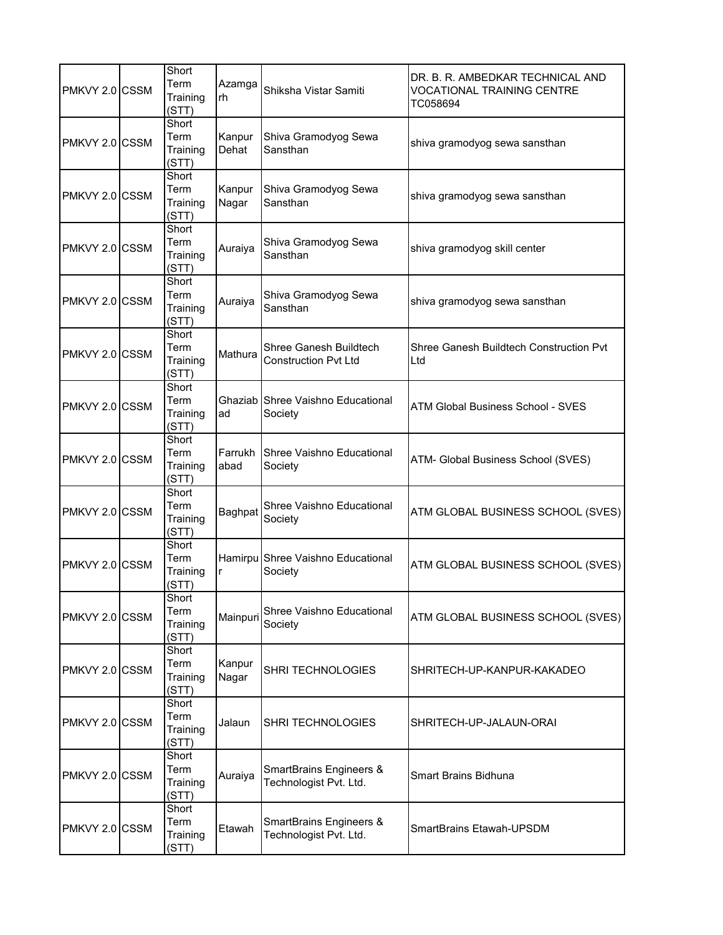| PMKVY 2.0 CSSM | Short<br>Term<br>Training<br>(STT) | Azamga<br>rh    | Shiksha Vistar Samiti                                 | DR. B. R. AMBEDKAR TECHNICAL AND<br><b>VOCATIONAL TRAINING CENTRE</b><br>TC058694 |
|----------------|------------------------------------|-----------------|-------------------------------------------------------|-----------------------------------------------------------------------------------|
| PMKVY 2.0 CSSM | Short<br>Term<br>Training<br>(STT) | Kanpur<br>Dehat | Shiva Gramodyog Sewa<br>Sansthan                      | shiva gramodyog sewa sansthan                                                     |
| PMKVY 2.0 CSSM | Short<br>Term<br>Training<br>(STT) | Kanpur<br>Nagar | Shiva Gramodyog Sewa<br>Sansthan                      | shiva gramodyog sewa sansthan                                                     |
| PMKVY 2.0 CSSM | Short<br>Term<br>Training<br>(STT) | Auraiya         | Shiva Gramodyog Sewa<br>Sansthan                      | shiva gramodyog skill center                                                      |
| PMKVY 2.0 CSSM | Short<br>Term<br>Training<br>(STT) | Auraiya         | Shiva Gramodyog Sewa<br>Sansthan                      | shiva gramodyog sewa sansthan                                                     |
| PMKVY 2.0 CSSM | Short<br>Term<br>Training<br>(STT) | Mathura         | Shree Ganesh Buildtech<br><b>Construction Pvt Ltd</b> | Shree Ganesh Buildtech Construction Pvt<br>Ltd                                    |
| PMKVY 2.0 CSSM | Short<br>Term<br>Training<br>(STT) | ad              | Ghaziab Shree Vaishno Educational<br>Society          | <b>ATM Global Business School - SVES</b>                                          |
| PMKVY 2.0 CSSM | Short<br>Term<br>Training<br>(STT) | Farrukh<br>abad | Shree Vaishno Educational<br>Society                  | ATM- Global Business School (SVES)                                                |
| PMKVY 2.0 CSSM | Short<br>Term<br>Training<br>(STT) | Baghpat         | Shree Vaishno Educational<br>Society                  | ATM GLOBAL BUSINESS SCHOOL (SVES)                                                 |
| PMKVY 2.0 CSSM | Short<br>Term<br>Training<br>(STT) | r               | Hamirpu Shree Vaishno Educational<br>Society          | ATM GLOBAL BUSINESS SCHOOL (SVES)                                                 |
| PMKVY 2.0 CSSM | Short<br>Term<br>Training<br>(STT) | Mainpuri        | Shree Vaishno Educational<br>Society                  | ATM GLOBAL BUSINESS SCHOOL (SVES)                                                 |
| PMKVY 2.0 CSSM | Short<br>Term<br>Training<br>(STT) | Kanpur<br>Nagar | SHRI TECHNOLOGIES                                     | SHRITECH-UP-KANPUR-KAKADEO                                                        |
| PMKVY 2.0 CSSM | Short<br>Term<br>Training<br>(STT) | Jalaun          | <b>SHRI TECHNOLOGIES</b>                              | SHRITECH-UP-JALAUN-ORAI                                                           |
| PMKVY 2.0 CSSM | Short<br>Term<br>Training<br>(STT) | Auraiya         | SmartBrains Engineers &<br>Technologist Pvt. Ltd.     | <b>Smart Brains Bidhuna</b>                                                       |
| PMKVY 2.0 CSSM | Short<br>Term<br>Training<br>(STT) | Etawah          | SmartBrains Engineers &<br>Technologist Pvt. Ltd.     | SmartBrains Etawah-UPSDM                                                          |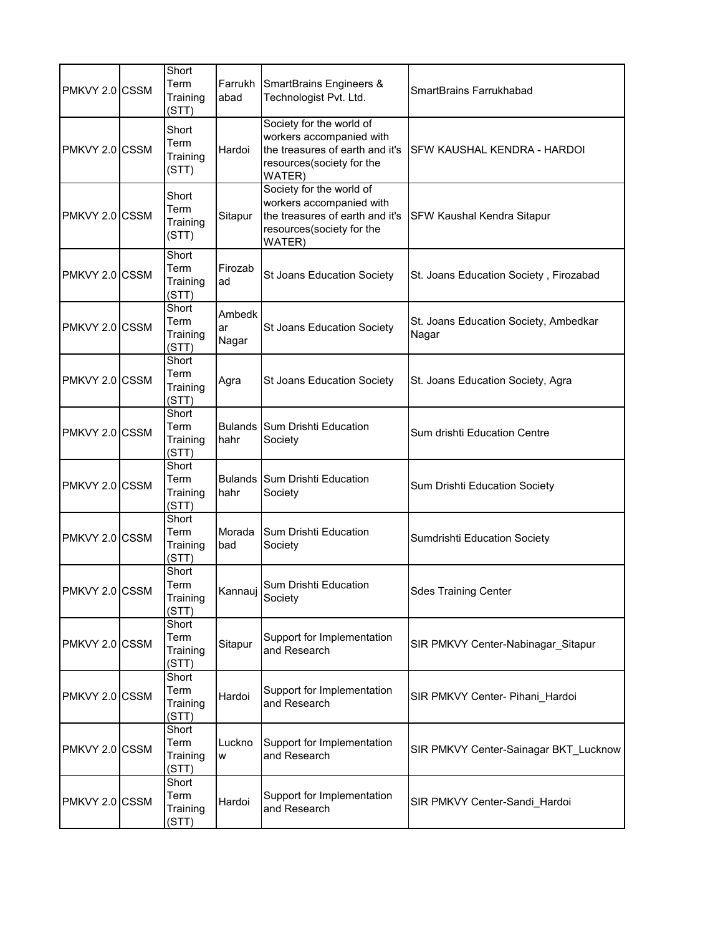| PMKVY 2.0 CSSM | Short<br>Term<br>Training<br>(STT) | Farrukh<br>abad        | SmartBrains Engineers &<br>Technologist Pvt. Ltd.                                                                              | SmartBrains Farrukhabad                        |
|----------------|------------------------------------|------------------------|--------------------------------------------------------------------------------------------------------------------------------|------------------------------------------------|
| PMKVY 2.0 CSSM | Short<br>Term<br>Training<br>(STT) | Hardoi                 | Society for the world of<br>workers accompanied with<br>the treasures of earth and it's<br>resources(society for the<br>WATER) | <b>SFW KAUSHAL KENDRA - HARDOI</b>             |
| PMKVY 2.0 CSSM | Short<br>Term<br>Training<br>(STT) | Sitapur                | Society for the world of<br>workers accompanied with<br>the treasures of earth and it's<br>resources(society for the<br>WATER) | <b>SFW Kaushal Kendra Sitapur</b>              |
| PMKVY 2.0 CSSM | Short<br>Term<br>Training<br>(STT) | Firozab<br>ad          | St Joans Education Society                                                                                                     | St. Joans Education Society, Firozabad         |
| PMKVY 2.0 CSSM | Short<br>Term<br>Training<br>(STT) | Ambedk<br>ar<br>Nagar  | St Joans Education Society                                                                                                     | St. Joans Education Society, Ambedkar<br>Nagar |
| PMKVY 2.0 CSSM | Short<br>Term<br>Training<br>(STT) | Agra                   | St Joans Education Society                                                                                                     | St. Joans Education Society, Agra              |
| PMKVY 2.0 CSSM | Short<br>Term<br>Training<br>(STT) | <b>Bulands</b><br>hahr | Sum Drishti Education<br>Society                                                                                               | Sum drishti Education Centre                   |
| PMKVY 2.0 CSSM | Short<br>Term<br>Training<br>(STT) | <b>Bulands</b><br>hahr | Sum Drishti Education<br>Society                                                                                               | Sum Drishti Education Society                  |
| PMKVY 2.0 CSSM | Short<br>Term<br>Training<br>(STT) | Morada<br>bad          | Sum Drishti Education<br>Society                                                                                               | Sumdrishti Education Society                   |
| PMKVY 2.0 CSSM | Short<br>Term<br>Training<br>(STT) |                        | Kannauj Sum Drishti Education<br>Society                                                                                       | <b>Sdes Training Center</b>                    |
| PMKVY 2.0 CSSM | Short<br>Term<br>Training<br>(STT) | Sitapur                | Support for Implementation<br>and Research                                                                                     | SIR PMKVY Center-Nabinagar Sitapur             |
| PMKVY 2.0 CSSM | Short<br>Term<br>Training<br>(STT) | Hardoi                 | Support for Implementation<br>and Research                                                                                     | SIR PMKVY Center- Pihani Hardoi                |
| PMKVY 2.0 CSSM | Short<br>Term<br>Training<br>(STT) | Luckno<br>W            | Support for Implementation<br>and Research                                                                                     | SIR PMKVY Center-Sainagar BKT_Lucknow          |
| PMKVY 2.0 CSSM | Short<br>Term<br>Training<br>(STT) | Hardoi                 | Support for Implementation<br>and Research                                                                                     | SIR PMKVY Center-Sandi_Hardoi                  |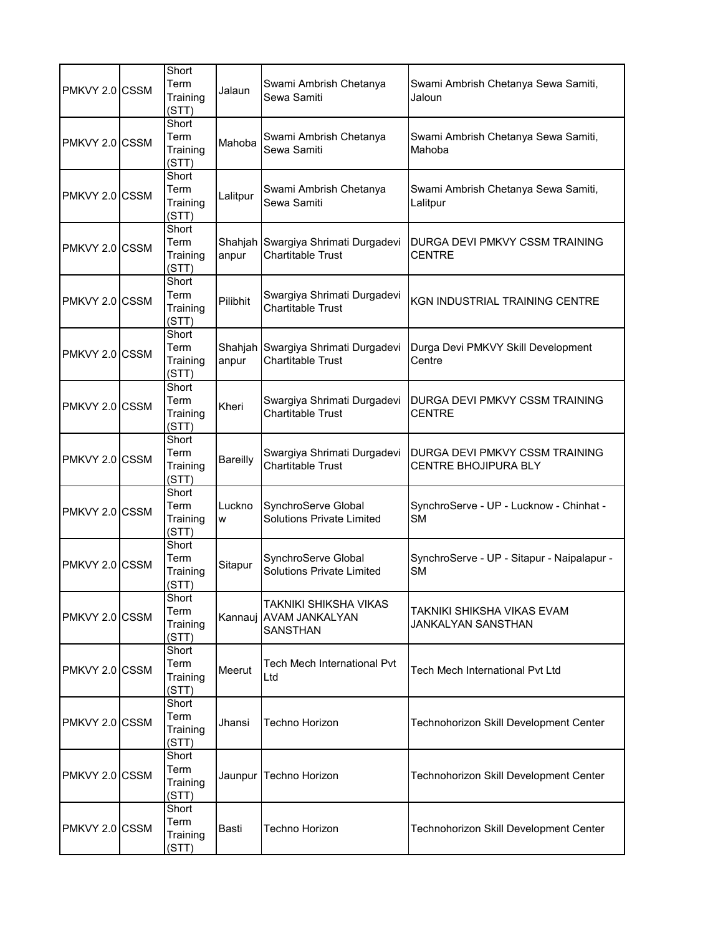| PMKVY 2.0 CSSM | Short<br>Term<br>Training<br>(STT) | Jalaun           | Swami Ambrish Chetanya<br>Sewa Samiti                             | Swami Ambrish Chetanya Sewa Samiti,<br>Jaloun           |
|----------------|------------------------------------|------------------|-------------------------------------------------------------------|---------------------------------------------------------|
| PMKVY 2.0 CSSM | Short<br>Term<br>Training<br>(STT) | Mahoba           | Swami Ambrish Chetanya<br>Sewa Samiti                             | Swami Ambrish Chetanya Sewa Samiti,<br>Mahoba           |
| PMKVY 2.0 CSSM | Short<br>Term<br>Training<br>(STT) | Lalitpur         | Swami Ambrish Chetanya<br>Sewa Samiti                             | Swami Ambrish Chetanya Sewa Samiti,<br>Lalitpur         |
| PMKVY 2.0 CSSM | Short<br>Term<br>Training<br>(STT) | Shahjah<br>anpur | Swargiya Shrimati Durgadevi<br><b>Chartitable Trust</b>           | DURGA DEVI PMKVY CSSM TRAINING<br><b>CENTRE</b>         |
| PMKVY 2.0 CSSM | Short<br>Term<br>Training<br>(STT) | Pilibhit         | Swargiya Shrimati Durgadevi<br><b>Chartitable Trust</b>           | <b>KGN INDUSTRIAL TRAINING CENTRE</b>                   |
| PMKVY 2.0 CSSM | Short<br>Term<br>Training<br>(STT) | anpur            | Shahjah Swargiya Shrimati Durgadevi<br><b>Chartitable Trust</b>   | Durga Devi PMKVY Skill Development<br>Centre            |
| PMKVY 2.0 CSSM | Short<br>Term<br>Training<br>(STT) | Kheri            | Swargiya Shrimati Durgadevi<br><b>Chartitable Trust</b>           | DURGA DEVI PMKVY CSSM TRAINING<br><b>CENTRE</b>         |
| PMKVY 2.0 CSSM | Short<br>Term<br>Training<br>(STT) | Bareilly         | Swargiya Shrimati Durgadevi<br><b>Chartitable Trust</b>           | DURGA DEVI PMKVY CSSM TRAINING<br>CENTRE BHOJIPURA BLY  |
| PMKVY 2.0 CSSM | Short<br>Term<br>Training<br>(STT) | Luckno<br>W      | SynchroServe Global<br><b>Solutions Private Limited</b>           | SynchroServe - UP - Lucknow - Chinhat -<br><b>SM</b>    |
| PMKVY 2.0 CSSM | Short<br>Term<br>Training<br>(STT) | Sitapur          | SynchroServe Global<br><b>Solutions Private Limited</b>           | SynchroServe - UP - Sitapur - Naipalapur -<br><b>SM</b> |
| PMKVY 2.0 CSSM | Short<br>Term<br>Training<br>(STT) | Kannaui          | TAKNIKI SHIKSHA VIKAS<br><b>AVAM JANKALYAN</b><br><b>SANSTHAN</b> | TAKNIKI SHIKSHA VIKAS EVAM<br>JANKALYAN SANSTHAN        |
| PMKVY 2.0 CSSM | Short<br>Term<br>Training<br>(STT) | Meerut           | Tech Mech International Pvt<br>Ltd                                | Tech Mech International Pvt Ltd                         |
| PMKVY 2.0 CSSM | Short<br>Term<br>Training<br>(STT) | Jhansi           | Techno Horizon                                                    | Technohorizon Skill Development Center                  |
| PMKVY 2.0 CSSM | Short<br>Term<br>Training<br>(STT) | Jaunpur          | Techno Horizon                                                    | Technohorizon Skill Development Center                  |
| PMKVY 2.0 CSSM | Short<br>Term<br>Training<br>(STT) | Basti            | Techno Horizon                                                    | Technohorizon Skill Development Center                  |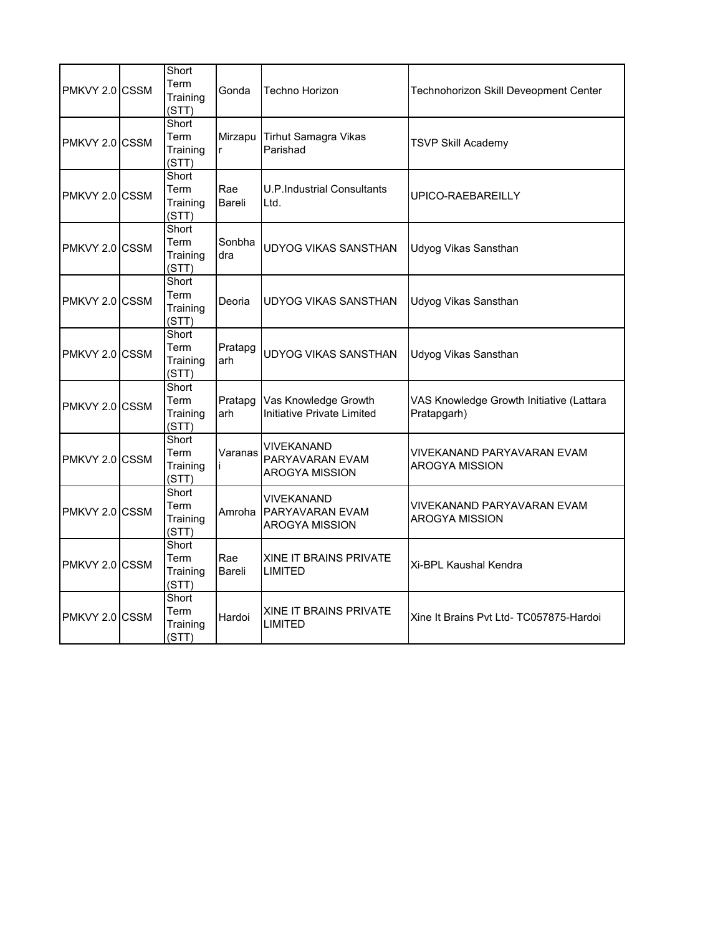| PMKVY 2.0 CSSM  | Short<br>Term<br>Training<br>(STT) | Gonda                   | Techno Horizon                                                | Technohorizon Skill Deveopment Center                   |
|-----------------|------------------------------------|-------------------------|---------------------------------------------------------------|---------------------------------------------------------|
| PMKVY 2.0 CSSM  | Short<br>Term<br>Training<br>(STT) | Mirzapu<br>$\mathsf{r}$ | <b>Tirhut Samagra Vikas</b><br>Parishad                       | <b>TSVP Skill Academy</b>                               |
| PMKVY 2.0 CSSM  | Short<br>Term<br>Training<br>(STT) | Rae<br>Bareli           | U.P.Industrial Consultants<br>Ltd.                            | UPICO-RAEBAREILLY                                       |
| PMKVY 2.0 CSSM  | Short<br>Term<br>Training<br>(STT) | Sonbha<br>dra           | <b>UDYOG VIKAS SANSTHAN</b>                                   | Udyog Vikas Sansthan                                    |
| PMKVY 2.0 CSSM  | Short<br>Term<br>Training<br>(STT) | Deoria                  | UDYOG VIKAS SANSTHAN                                          | Udyog Vikas Sansthan                                    |
| PMKVY 2.0 ICSSM | Short<br>Term<br>Training<br>(STT) | Pratapg<br>arh          | UDYOG VIKAS SANSTHAN                                          | Udyog Vikas Sansthan                                    |
| PMKVY 2.0 CSSM  | Short<br>Term<br>Training<br>(STT) | Pratapg<br>arh          | Vas Knowledge Growth<br>Initiative Private Limited            | VAS Knowledge Growth Initiative (Lattara<br>Pratapgarh) |
| PMKVY 2.0 ICSSM | Short<br>Term<br>Training<br>(STT) | Varanas                 | VIVEKANAND<br>PARYAVARAN EVAM<br>AROGYA MISSION               | <b>VIVEKANAND PARYAVARAN EVAM</b><br>AROGYA MISSION     |
| PMKVY 2.0 CSSM  | Short<br>Term<br>Training<br>(STT) | Amroha                  | VIVEKANAND<br><b>PARYAVARAN EVAM</b><br><b>AROGYA MISSION</b> | VIVEKANAND PARYAVARAN EVAM<br><b>AROGYA MISSION</b>     |
| PMKVY 2.0 CSSM  | Short<br>Term<br>Training<br>(STT) | Rae<br>Bareli           | XINE IT BRAINS PRIVATE<br>LIMITED                             | Xi-BPL Kaushal Kendra                                   |
| PMKVY 2.0 ICSSM | Short<br>Term<br>Training<br>(STT) | Hardoi                  | XINE IT BRAINS PRIVATE<br>LIMITED                             | Xine It Brains Pvt Ltd-TC057875-Hardoi                  |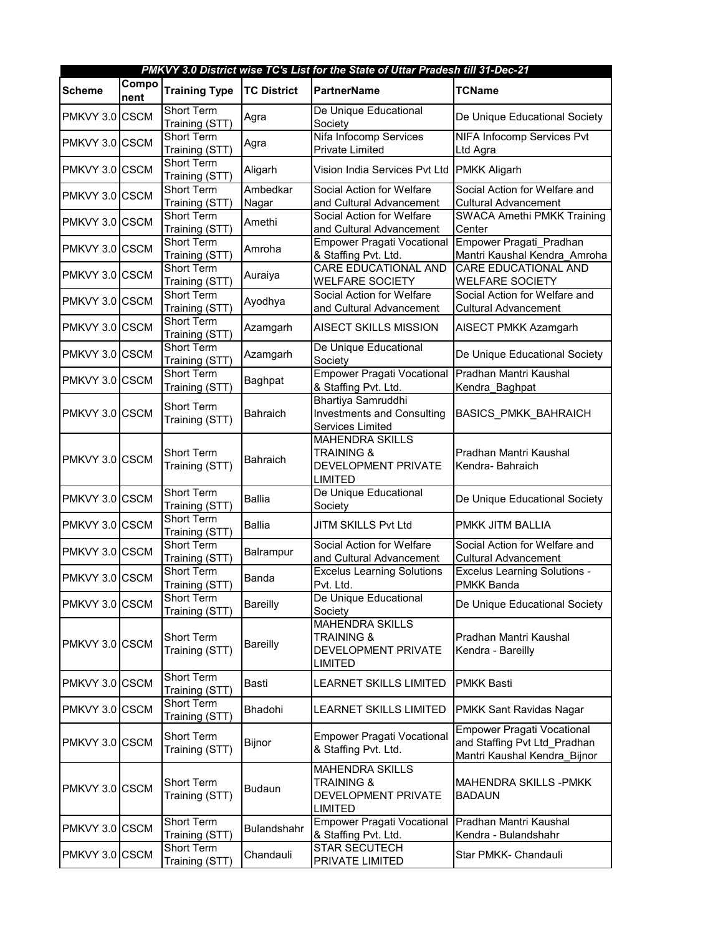|                |               |                                     |                    | PMKVY 3.0 District wise TC's List for the State of Uttar Pradesh till 31-Dec-21          |                                                                                                   |
|----------------|---------------|-------------------------------------|--------------------|------------------------------------------------------------------------------------------|---------------------------------------------------------------------------------------------------|
| <b>Scheme</b>  | Compo<br>nent | <b>Training Type</b>                | <b>TC District</b> | <b>PartnerName</b>                                                                       | <b>TCName</b>                                                                                     |
| PMKVY 3.0 CSCM |               | <b>Short Term</b><br>Training (STT) | Agra               | De Unique Educational<br>Society                                                         | De Unique Educational Society                                                                     |
| PMKVY 3.0 CSCM |               | <b>Short Term</b><br>Training (STT) | Agra               | Nifa Infocomp Services<br>Private Limited                                                | <b>NIFA Infocomp Services Pvt</b><br>Ltd Agra                                                     |
| PMKVY 3.0 CSCM |               | Short Term<br>Training (STT)        | Aligarh            | Vision India Services Pvt Ltd PMKK Aligarh                                               |                                                                                                   |
| PMKVY 3.0 CSCM |               | Short Term<br>Training (STT)        | Ambedkar<br>Nagar  | Social Action for Welfare<br>and Cultural Advancement                                    | Social Action for Welfare and<br><b>Cultural Advancement</b>                                      |
| PMKVY 3.0 CSCM |               | Short Term<br>Training (STT)        | Amethi             | Social Action for Welfare<br>and Cultural Advancement                                    | <b>SWACA Amethi PMKK Training</b><br>Center                                                       |
| PMKVY 3.0 CSCM |               | Short Term<br>Training (STT)        | Amroha             | <b>Empower Pragati Vocational</b><br>& Staffing Pvt. Ltd.                                | Empower Pragati Pradhan<br>Mantri Kaushal Kendra_Amroha                                           |
| PMKVY 3.0 CSCM |               | Short Term<br>Training (STT)        | Auraiya            | <b>CARE EDUCATIONAL AND</b><br><b>WELFARE SOCIETY</b>                                    | <b>CARE EDUCATIONAL AND</b><br><b>WELFARE SOCIETY</b>                                             |
| PMKVY 3.0 CSCM |               | <b>Short Term</b><br>Training (STT) | Ayodhya            | Social Action for Welfare<br>and Cultural Advancement                                    | Social Action for Welfare and<br><b>Cultural Advancement</b>                                      |
| PMKVY 3.0 CSCM |               | Short Term<br>Training (STT)        | Azamgarh           | AISECT SKILLS MISSION                                                                    | AISECT PMKK Azamgarh                                                                              |
| PMKVY 3.0 CSCM |               | Short Term<br>Training (STT)        | Azamgarh           | De Unique Educational<br>Society                                                         | De Unique Educational Society                                                                     |
| PMKVY 3.0 CSCM |               | Short Term<br>Training (STT)        | Baghpat            | <b>Empower Pragati Vocational</b><br>& Staffing Pvt. Ltd.                                | Pradhan Mantri Kaushal<br>Kendra_Baghpat                                                          |
| PMKVY 3.0 CSCM |               | Short Term<br>Training (STT)        | Bahraich           | Bhartiya Samruddhi<br><b>Investments and Consulting</b><br>Services Limited              | BASICS_PMKK_BAHRAICH                                                                              |
| PMKVY 3.0 CSCM |               | <b>Short Term</b><br>Training (STT) | Bahraich           | <b>MAHENDRA SKILLS</b><br><b>TRAINING &amp;</b><br>DEVELOPMENT PRIVATE<br><b>LIMITED</b> | Pradhan Mantri Kaushal<br>Kendra-Bahraich                                                         |
| PMKVY 3.0 CSCM |               | <b>Short Term</b><br>Training (STT) | <b>Ballia</b>      | De Unique Educational<br>Society                                                         | De Unique Educational Society                                                                     |
| PMKVY 3.0 CSCM |               | <b>Short Term</b><br>Training (STT) | <b>Ballia</b>      | JITM SKILLS Pvt Ltd                                                                      | PMKK JITM BALLIA                                                                                  |
| PMKVY 3.0 CSCM |               | <b>Short Term</b><br>Training (STT) | Balrampur          | Social Action for Welfare<br>and Cultural Advancement                                    | Social Action for Welfare and<br><b>Cultural Advancement</b>                                      |
| PMKVY 3.0 CSCM |               | <b>Short Term</b><br>Training (STT) | Banda              | <b>Excelus Learning Solutions</b><br>Pvt. Ltd.                                           | <b>Excelus Learning Solutions -</b><br>PMKK Banda                                                 |
| PMKVY 3.0 CSCM |               | Short Term<br>Training (STT)        | <b>Bareilly</b>    | De Unique Educational<br>Society                                                         | De Unique Educational Society                                                                     |
| PMKVY 3.0 CSCM |               | Short Term<br>Training (STT)        | <b>Bareilly</b>    | <b>MAHENDRA SKILLS</b><br><b>TRAINING &amp;</b><br>DEVELOPMENT PRIVATE<br><b>LIMITED</b> | Pradhan Mantri Kaushal<br>Kendra - Bareilly                                                       |
| PMKVY 3.0 CSCM |               | Short Term<br>Training (STT)        | <b>Basti</b>       | <b>LEARNET SKILLS LIMITED</b>                                                            | <b>PMKK Basti</b>                                                                                 |
| PMKVY 3.0 CSCM |               | Short Term<br>Training (STT)        | Bhadohi            | <b>LEARNET SKILLS LIMITED</b>                                                            | PMKK Sant Ravidas Nagar                                                                           |
| PMKVY 3.0 CSCM |               | Short Term<br>Training (STT)        | Bijnor             | <b>Empower Pragati Vocational</b><br>& Staffing Pvt. Ltd.                                | <b>Empower Pragati Vocational</b><br>and Staffing Pvt Ltd Pradhan<br>Mantri Kaushal Kendra_Bijnor |
| PMKVY 3.0 CSCM |               | Short Term<br>Training (STT)        | <b>Budaun</b>      | <b>MAHENDRA SKILLS</b><br><b>TRAINING &amp;</b><br>DEVELOPMENT PRIVATE<br><b>LIMITED</b> | MAHENDRA SKILLS -PMKK<br><b>BADAUN</b>                                                            |
| PMKVY 3.0 CSCM |               | Short Term<br>Training (STT)        | <b>Bulandshahr</b> | <b>Empower Pragati Vocational</b><br>& Staffing Pvt. Ltd.                                | Pradhan Mantri Kaushal<br>Kendra - Bulandshahr                                                    |
| PMKVY 3.0 CSCM |               | <b>Short Term</b><br>Training (STT) | Chandauli          | <b>STAR SECUTECH</b><br>PRIVATE LIMITED                                                  | Star PMKK- Chandauli                                                                              |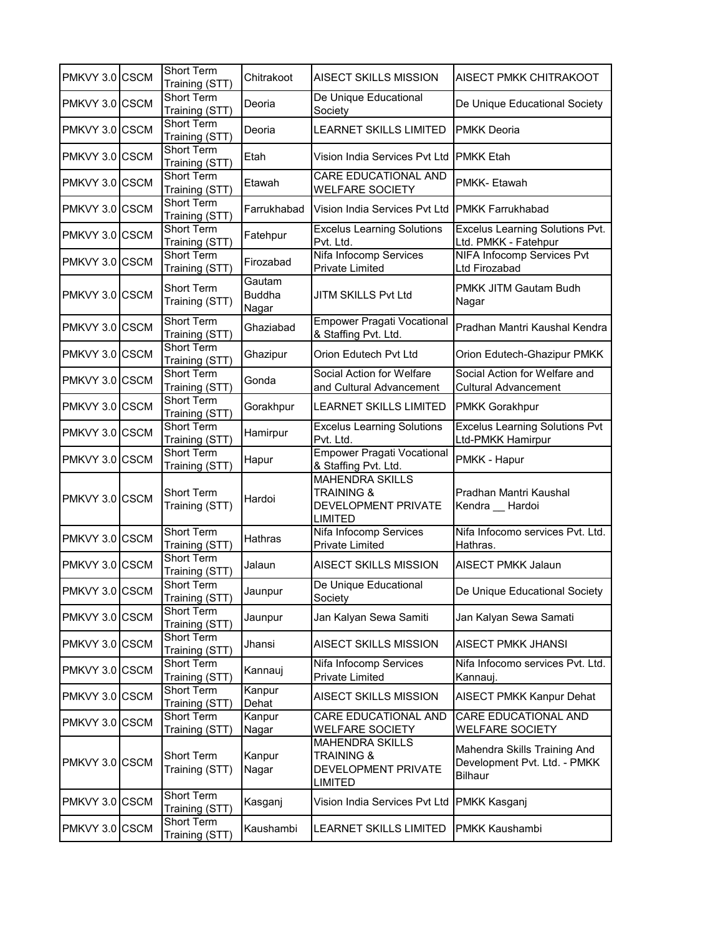| PMKVY 3.0 CSCM | Short Term<br>Training (STT)        | Chitrakoot                       | <b>AISECT SKILLS MISSION</b>                                                             | AISECT PMKK CHITRAKOOT                                                         |
|----------------|-------------------------------------|----------------------------------|------------------------------------------------------------------------------------------|--------------------------------------------------------------------------------|
| PMKVY 3.0 CSCM | Short Term<br>Training (STT)        | Deoria                           | De Unique Educational<br>Society                                                         | De Unique Educational Society                                                  |
| PMKVY 3.0 CSCM | Short Term<br>Training (STT)        | Deoria                           | <b>LEARNET SKILLS LIMITED</b>                                                            | <b>PMKK Deoria</b>                                                             |
| PMKVY 3.0 CSCM | Short Term<br>Training (STT)        | Etah                             | Vision India Services Pvt Ltd                                                            | <b>PMKK Etah</b>                                                               |
| PMKVY 3.0 CSCM | Short Term<br>Training (STT)        | Etawah                           | CARE EDUCATIONAL AND<br><b>WELFARE SOCIETY</b>                                           | PMKK-Etawah                                                                    |
| PMKVY 3.0 CSCM | Short Term<br>Training (STT)        | Farrukhabad                      | Vision India Services Pvt Ltd                                                            | <b>PMKK Farrukhabad</b>                                                        |
| PMKVY 3.0 CSCM | Short Term<br>Training (STT)        | Fatehpur                         | <b>Excelus Learning Solutions</b><br>Pvt. Ltd.                                           | <b>Excelus Learning Solutions Pvt.</b><br>Ltd. PMKK - Fatehpur                 |
| PMKVY 3.0 CSCM | Short Term<br>Training (STT)        | Firozabad                        | Nifa Infocomp Services<br>Private Limited                                                | NIFA Infocomp Services Pvt<br>Ltd Firozabad                                    |
| PMKVY 3.0 CSCM | <b>Short Term</b><br>Training (STT) | Gautam<br><b>Buddha</b><br>Nagar | JITM SKILLS Pvt Ltd                                                                      | PMKK JITM Gautam Budh<br>Nagar                                                 |
| PMKVY 3.0 CSCM | Short Term<br>Training (STT)        | Ghaziabad                        | <b>Empower Pragati Vocational</b><br>& Staffing Pvt. Ltd.                                | Pradhan Mantri Kaushal Kendra                                                  |
| PMKVY 3.0 CSCM | <b>Short Term</b><br>Training (STT) | Ghazipur                         | Orion Edutech Pvt Ltd                                                                    | Orion Edutech-Ghazipur PMKK                                                    |
| PMKVY 3.0 CSCM | Short Term<br>Training (STT)        | Gonda                            | Social Action for Welfare<br>and Cultural Advancement                                    | Social Action for Welfare and<br><b>Cultural Advancement</b>                   |
| PMKVY 3.0 CSCM | Short Term<br>Training (STT)        | Gorakhpur                        | <b>LEARNET SKILLS LIMITED</b>                                                            | <b>PMKK Gorakhpur</b>                                                          |
| PMKVY 3.0 CSCM | Short Term<br>Training (STT)        | Hamirpur                         | <b>Excelus Learning Solutions</b><br>Pvt. Ltd.                                           | <b>Excelus Learning Solutions Pvt</b><br>Ltd-PMKK Hamirpur                     |
| PMKVY 3.0 CSCM | Short Term<br>Training (STT)        | Hapur                            | <b>Empower Pragati Vocational</b><br>& Staffing Pvt. Ltd.                                | PMKK - Hapur                                                                   |
| PMKVY 3.0 CSCM | Short Term<br>Training (STT)        | Hardoi                           | <b>MAHENDRA SKILLS</b><br><b>TRAINING &amp;</b><br>DEVELOPMENT PRIVATE<br><b>LIMITED</b> | Pradhan Mantri Kaushal<br>Kendra __ Hardoi                                     |
| PMKVY 3.0 CSCM | Short Term<br>Training (STT)        | Hathras                          | Nifa Infocomp Services<br><b>Private Limited</b>                                         | Nifa Infocomo services Pvt. Ltd.<br>Hathras.                                   |
| PMKVY 3.0 CSCM | Short Term<br>Training (STT)        | Jalaun                           | <b>AISECT SKILLS MISSION</b>                                                             | <b>AISECT PMKK Jalaun</b>                                                      |
| PMKVY 3.0 CSCM | <b>Short Term</b><br>Training (STT) | Jaunpur                          | De Unique Educational<br>Society                                                         | De Unique Educational Society                                                  |
| PMKVY 3.0 CSCM | Short Term<br>Training (STT)        | Jaunpur                          | Jan Kalyan Sewa Samiti                                                                   | Jan Kalyan Sewa Samati                                                         |
| PMKVY 3.0 CSCM | Short Term<br>Training (STT)        | Jhansi                           | AISECT SKILLS MISSION                                                                    | AISECT PMKK JHANSI                                                             |
| PMKVY 3.0 CSCM | Short Term<br>Training (STT)        | Kannauj                          | Nifa Infocomp Services<br>Private Limited                                                | Nifa Infocomo services Pvt. Ltd.<br>Kannauj.                                   |
| PMKVY 3.0 CSCM | Short Term<br>Training (STT)        | Kanpur<br>Dehat                  | <b>AISECT SKILLS MISSION</b>                                                             | AISECT PMKK Kanpur Dehat                                                       |
| PMKVY 3.0 CSCM | Short Term<br>Training (STT)        | Kanpur<br>Nagar                  | CARE EDUCATIONAL AND<br><b>WELFARE SOCIETY</b>                                           | CARE EDUCATIONAL AND<br><b>WELFARE SOCIETY</b>                                 |
| PMKVY 3.0 CSCM | Short Term<br>Training (STT)        | Kanpur<br>Nagar                  | <b>MAHENDRA SKILLS</b><br><b>TRAINING &amp;</b><br>DEVELOPMENT PRIVATE<br><b>LIMITED</b> | Mahendra Skills Training And<br>Development Pvt. Ltd. - PMKK<br><b>Bilhaur</b> |
| PMKVY 3.0 CSCM | <b>Short Term</b><br>Training (STT) | Kasganj                          | Vision India Services Pvt Ltd                                                            | PMKK Kasganj                                                                   |
| PMKVY 3.0 CSCM | Short Term<br>Training (STT)        | Kaushambi                        | LEARNET SKILLS LIMITED                                                                   | PMKK Kaushambi                                                                 |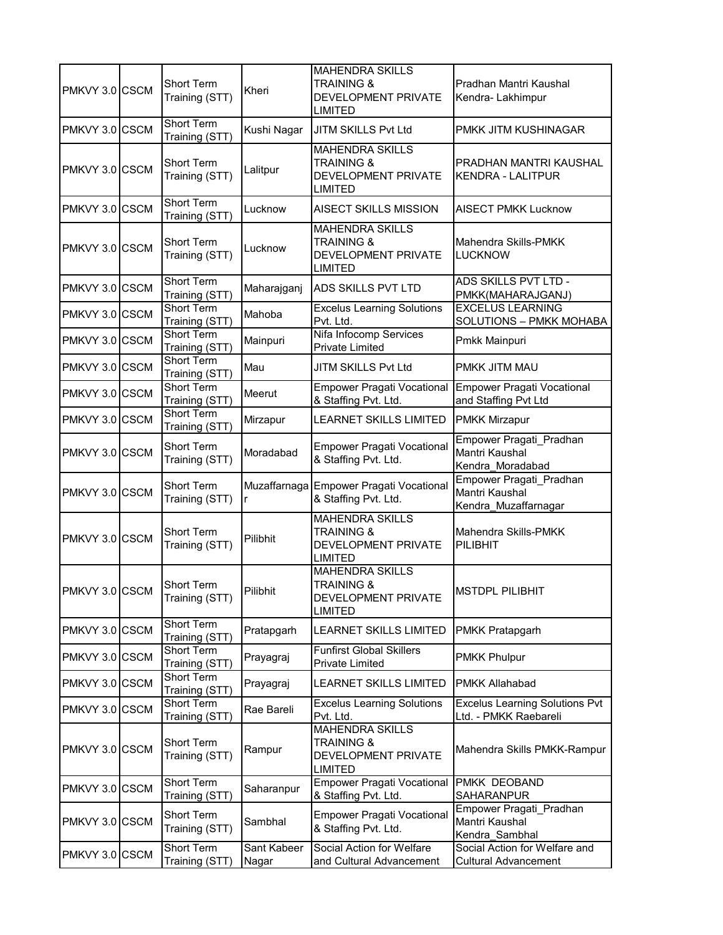| PMKVY 3.0 CSCM | Short Term<br>Training (STT)        | Kheri                        | <b>MAHENDRA SKILLS</b><br><b>TRAINING &amp;</b><br>DEVELOPMENT PRIVATE<br><b>LIMITED</b> | Pradhan Mantri Kaushal<br>Kendra-Lakhimpur                        |
|----------------|-------------------------------------|------------------------------|------------------------------------------------------------------------------------------|-------------------------------------------------------------------|
| PMKVY 3.0 CSCM | <b>Short Term</b><br>Training (STT) | Kushi Nagar                  | JITM SKILLS Pvt Ltd                                                                      | PMKK JITM KUSHINAGAR                                              |
| PMKVY 3.0 CSCM | <b>Short Term</b><br>Training (STT) | Lalitpur                     | <b>MAHENDRA SKILLS</b><br><b>TRAINING &amp;</b><br>DEVELOPMENT PRIVATE<br><b>LIMITED</b> | PRADHAN MANTRI KAUSHAL<br><b>KENDRA - LALITPUR</b>                |
| PMKVY 3.0 CSCM | <b>Short Term</b><br>Training (STT) | Lucknow                      | <b>AISECT SKILLS MISSION</b>                                                             | <b>AISECT PMKK Lucknow</b>                                        |
| PMKVY 3.0 CSCM | Short Term<br>Training (STT)        | Lucknow                      | <b>MAHENDRA SKILLS</b><br><b>TRAINING &amp;</b><br>DEVELOPMENT PRIVATE<br><b>LIMITED</b> | Mahendra Skills-PMKK<br><b>LUCKNOW</b>                            |
| PMKVY 3.0 CSCM | <b>Short Term</b><br>Training (STT) | Maharajganj                  | <b>ADS SKILLS PVT LTD</b>                                                                | ADS SKILLS PVT LTD -<br>PMKK(MAHARAJGANJ)                         |
| PMKVY 3.0 CSCM | Short Term<br>Training (STT)        | Mahoba                       | <b>Excelus Learning Solutions</b><br>Pvt. Ltd.                                           | <b>EXCELUS LEARNING</b><br><b>SOLUTIONS - PMKK MOHABA</b>         |
| PMKVY 3.0 CSCM | <b>Short Term</b><br>Training (STT) | Mainpuri                     | Nifa Infocomp Services<br><b>Private Limited</b>                                         | Pmkk Mainpuri                                                     |
| PMKVY 3.0 CSCM | Short Term<br>Training (STT)        | Mau                          | JITM SKILLS Pvt Ltd                                                                      | PMKK JITM MAU                                                     |
| PMKVY 3.0 CSCM | <b>Short Term</b><br>Training (STT) | Meerut                       | <b>Empower Pragati Vocational</b><br>& Staffing Pvt. Ltd.                                | Empower Pragati Vocational<br>and Staffing Pvt Ltd                |
| PMKVY 3.0 CSCM | <b>Short Term</b><br>Training (STT) | Mirzapur                     | <b>LEARNET SKILLS LIMITED</b>                                                            | <b>PMKK Mirzapur</b>                                              |
| PMKVY 3.0 CSCM | <b>Short Term</b><br>Training (STT) | Moradabad                    | <b>Empower Pragati Vocational</b><br>& Staffing Pvt. Ltd.                                | Empower Pragati_Pradhan<br>Mantri Kaushal<br>Kendra_Moradabad     |
| PMKVY 3.0 CSCM | <b>Short Term</b><br>Training (STT) | Muzaffarnaga<br>$\mathsf{r}$ | <b>Empower Pragati Vocational</b><br>& Staffing Pvt. Ltd.                                | Empower Pragati_Pradhan<br>Mantri Kaushal<br>Kendra_Muzaffarnagar |
| PMKVY 3.0 CSCM | Short Term<br>Training (STT)        | Pilibhit                     | <b>MAHENDRA SKILLS</b><br><b>TRAINING &amp;</b><br>DEVELOPMENT PRIVATE<br><b>LIMITED</b> | Mahendra Skills-PMKK<br>PILIBHIT                                  |
| PMKVY 3.0 CSCM | <b>Short Term</b><br>Training (STT) | Pilibhit                     | <b>MAHENDRA SKILLS</b><br><b>TRAINING &amp;</b><br>DEVELOPMENT PRIVATE<br><b>LIMITED</b> | MSTDPL PILIBHIT                                                   |
| PMKVY 3.0 CSCM | <b>Short Term</b><br>Training (STT) | Pratapgarh                   | <b>LEARNET SKILLS LIMITED</b>                                                            | PMKK Pratapgarh                                                   |
| PMKVY 3.0 CSCM | Short Term<br>Training (STT)        | Prayagraj                    | <b>Funfirst Global Skillers</b><br>Private Limited                                       | <b>PMKK Phulpur</b>                                               |
| PMKVY 3.0 CSCM | Short Term<br>Training (STT)        | Prayagraj                    | <b>LEARNET SKILLS LIMITED</b>                                                            | PMKK Allahabad                                                    |
| PMKVY 3.0 CSCM | Short Term<br>Training (STT)        | Rae Bareli                   | <b>Excelus Learning Solutions</b><br>Pvt. Ltd.                                           | <b>Excelus Learning Solutions Pvt</b><br>Ltd. - PMKK Raebareli    |
| PMKVY 3.0 CSCM | Short Term<br>Training (STT)        | Rampur                       | <b>MAHENDRA SKILLS</b><br><b>TRAINING &amp;</b><br>DEVELOPMENT PRIVATE<br><b>LIMITED</b> | Mahendra Skills PMKK-Rampur                                       |
| PMKVY 3.0 CSCM | Short Term<br>Training (STT)        | Saharanpur                   | <b>Empower Pragati Vocational</b><br>& Staffing Pvt. Ltd.                                | PMKK DEOBAND<br>SAHARANPUR                                        |
| PMKVY 3.0 CSCM | Short Term<br>Training (STT)        | Sambhal                      | <b>Empower Pragati Vocational</b><br>& Staffing Pvt. Ltd.                                | Empower Pragati_Pradhan<br>Mantri Kaushal<br>Kendra Sambhal       |
| PMKVY 3.0 CSCM | <b>Short Term</b><br>Training (STT) | Sant Kabeer<br>Nagar         | Social Action for Welfare<br>and Cultural Advancement                                    | Social Action for Welfare and<br><b>Cultural Advancement</b>      |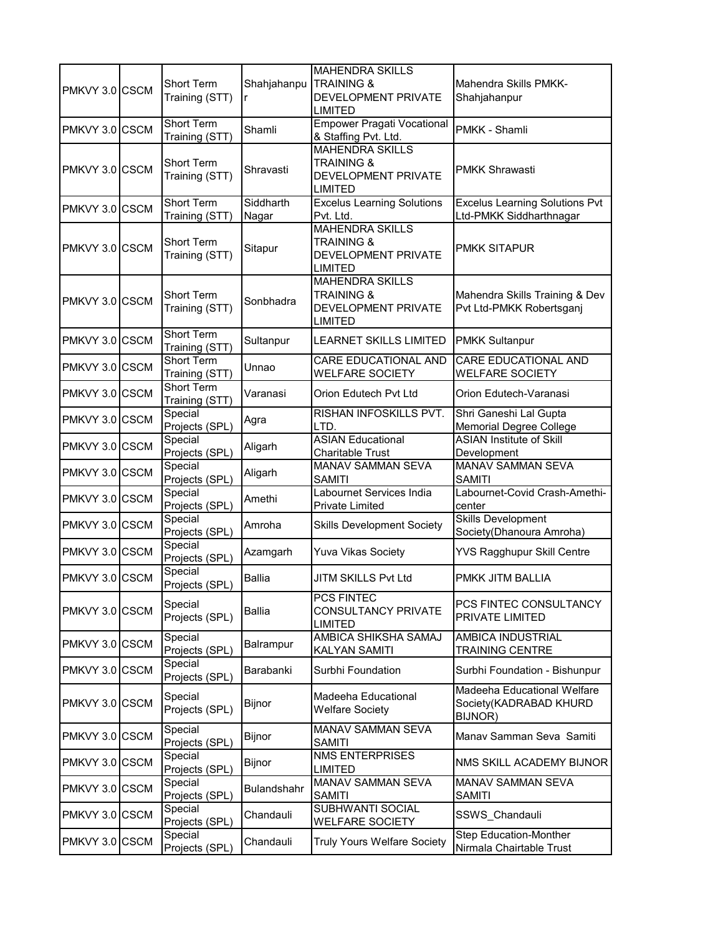| PMKVY 3.0 CSCM | <b>Short Term</b><br>Training (STT) | Shahjahanpu        | <b>MAHENDRA SKILLS</b><br><b>TRAINING &amp;</b><br>DEVELOPMENT PRIVATE<br><b>LIMITED</b> | Mahendra Skills PMKK-<br>Shahjahanpur                            |
|----------------|-------------------------------------|--------------------|------------------------------------------------------------------------------------------|------------------------------------------------------------------|
| PMKVY 3.0 CSCM | <b>Short Term</b><br>Training (STT) | Shamli             | <b>Empower Pragati Vocational</b><br>& Staffing Pvt. Ltd.                                | PMKK - Shamli                                                    |
| PMKVY 3.0 CSCM | <b>Short Term</b><br>Training (STT) | Shravasti          | <b>MAHENDRA SKILLS</b><br><b>TRAINING &amp;</b><br>DEVELOPMENT PRIVATE<br><b>LIMITED</b> | <b>PMKK Shrawasti</b>                                            |
| PMKVY 3.0 CSCM | Short Term<br>Training (STT)        | Siddharth<br>Nagar | <b>Excelus Learning Solutions</b><br>Pvt. Ltd.                                           | <b>Excelus Learning Solutions Pvt</b><br>Ltd-PMKK Siddharthnagar |
| PMKVY 3.0 CSCM | Short Term<br>Training (STT)        | Sitapur            | <b>MAHENDRA SKILLS</b><br><b>TRAINING &amp;</b><br>DEVELOPMENT PRIVATE<br><b>LIMITED</b> | <b>PMKK SITAPUR</b>                                              |
| PMKVY 3.0 CSCM | Short Term<br>Training (STT)        | Sonbhadra          | <b>MAHENDRA SKILLS</b><br><b>TRAINING &amp;</b><br>DEVELOPMENT PRIVATE<br><b>LIMITED</b> | Mahendra Skills Training & Dev<br>Pvt Ltd-PMKK Robertsganj       |
| PMKVY 3.0 CSCM | Short Term<br>Training (STT)        | Sultanpur          | <b>LEARNET SKILLS LIMITED</b>                                                            | <b>PMKK Sultanpur</b>                                            |
| PMKVY 3.0 CSCM | Short Term<br>Training (STT)        | Unnao              | <b>CARE EDUCATIONAL AND</b><br><b>WELFARE SOCIETY</b>                                    | <b>CARE EDUCATIONAL AND</b><br><b>WELFARE SOCIETY</b>            |
| PMKVY 3.0 CSCM | <b>Short Term</b><br>Training (STT) | Varanasi           | Orion Edutech Pvt Ltd                                                                    | Orion Edutech-Varanasi                                           |
| PMKVY 3.0 CSCM | Special<br>Projects (SPL)           | Agra               | RISHAN INFOSKILLS PVT.<br>LTD.                                                           | Shri Ganeshi Lal Gupta<br><b>Memorial Degree College</b>         |
| PMKVY 3.0 CSCM | Special<br>Projects (SPL)           | Aligarh            | <b>ASIAN Educational</b><br><b>Charitable Trust</b>                                      | <b>ASIAN Institute of Skill</b><br>Development                   |
| PMKVY 3.0 CSCM | Special<br>Projects (SPL)           | Aligarh            | MANAV SAMMAN SEVA<br><b>SAMITI</b>                                                       | MANAV SAMMAN SEVA<br><b>SAMITI</b>                               |
| PMKVY 3.0 CSCM | Special<br>Projects (SPL)           | Amethi             | Labournet Services India<br>Private Limited                                              | Labournet-Covid Crash-Amethi-<br>center                          |
| PMKVY 3.0 CSCM | Special<br>Projects (SPL)           | Amroha             | <b>Skills Development Society</b>                                                        | <b>Skills Development</b><br>Society(Dhanoura Amroha)            |
| PMKVY 3.0 CSCM | Special<br>Projects (SPL)           | Azamgarh           | <b>Yuva Vikas Society</b>                                                                | <b>YVS Ragghupur Skill Centre</b>                                |
| PMKVY 3.0 CSCM | Special<br>Projects (SPL)           | Ballia             | JITM SKILLS Pvt Ltd                                                                      | PMKK JITM BALLIA                                                 |
| PMKVY 3.0 CSCM | Special<br>Projects (SPL)           | Ballia             | PCS FINTEC<br>CONSULTANCY PRIVATE<br><b>LIMITED</b>                                      | PCS FINTEC CONSULTANCY<br>PRIVATE LIMITED                        |
| PMKVY 3.0 CSCM | Special<br>Projects (SPL)           | Balrampur          | AMBICA SHIKSHA SAMAJ<br><b>KALYAN SAMITI</b>                                             | AMBICA INDUSTRIAL<br><b>TRAINING CENTRE</b>                      |
| PMKVY 3.0 CSCM | Special<br>Projects (SPL)           | Barabanki          | Surbhi Foundation                                                                        | Surbhi Foundation - Bishunpur                                    |
| PMKVY 3.0 CSCM | Special<br>Projects (SPL)           | Bijnor             | Madeeha Educational<br><b>Welfare Society</b>                                            | Madeeha Educational Welfare<br>Society(KADRABAD KHURD<br>BIJNOR) |
| PMKVY 3.0 CSCM | Special<br>Projects (SPL)           | Bijnor             | MANAV SAMMAN SEVA<br>SAMITI                                                              | Manav Samman Seva Samiti                                         |
| PMKVY 3.0 CSCM | Special<br>Projects (SPL)           | <b>Bijnor</b>      | <b>NMS ENTERPRISES</b><br><b>LIMITED</b>                                                 | NMS SKILL ACADEMY BIJNOR                                         |
| PMKVY 3.0 CSCM | Special<br>Projects (SPL)           | Bulandshahr        | MANAV SAMMAN SEVA<br><b>SAMITI</b>                                                       | MANAV SAMMAN SEVA<br>SAMITI                                      |
| PMKVY 3.0 CSCM | Special<br>Projects (SPL)           | Chandauli          | SUBHWANTI SOCIAL<br><b>WELFARE SOCIETY</b>                                               | SSWS_Chandauli                                                   |
| PMKVY 3.0 CSCM | Special<br>Projects (SPL)           | Chandauli          | <b>Truly Yours Welfare Society</b>                                                       | <b>Step Education-Monther</b><br>Nirmala Chairtable Trust        |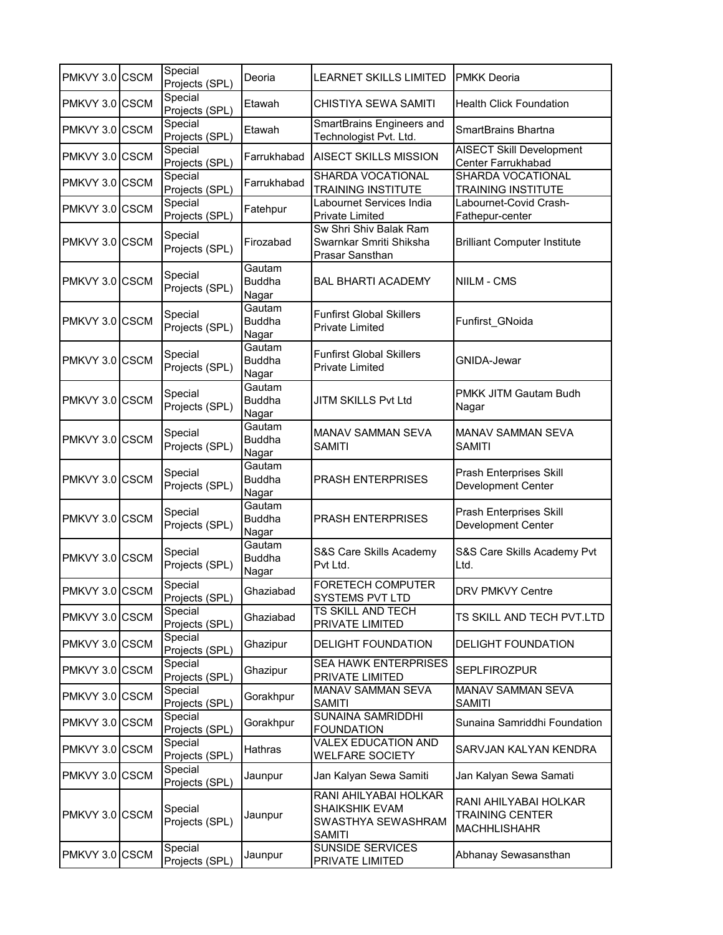| PMKVY 3.0 CSCM | Special<br>Projects (SPL) | Deoria                           | <b>LEARNET SKILLS LIMITED</b>                                                  | <b>PMKK Deoria</b>                                              |
|----------------|---------------------------|----------------------------------|--------------------------------------------------------------------------------|-----------------------------------------------------------------|
| PMKVY 3.0 CSCM | Special<br>Projects (SPL) | Etawah                           | CHISTIYA SEWA SAMITI                                                           | <b>Health Click Foundation</b>                                  |
| PMKVY 3.0 CSCM | Special<br>Projects (SPL) | Etawah                           | SmartBrains Engineers and<br>Technologist Pvt. Ltd.                            | SmartBrains Bhartna                                             |
| PMKVY 3.0 CSCM | Special<br>Projects (SPL) | Farrukhabad                      | <b>AISECT SKILLS MISSION</b>                                                   | <b>AISECT Skill Development</b><br>Center Farrukhabad           |
| PMKVY 3.0 CSCM | Special<br>Projects (SPL) | Farrukhabad                      | SHARDA VOCATIONAL<br><b>TRAINING INSTITUTE</b>                                 | <b>SHARDA VOCATIONAL</b><br><b>TRAINING INSTITUTE</b>           |
| PMKVY 3.0 CSCM | Special<br>Projects (SPL) | Fatehpur                         | Labournet Services India<br>Private Limited                                    | Labournet-Covid Crash-<br>Fathepur-center                       |
| PMKVY 3.0 CSCM | Special<br>Projects (SPL) | Firozabad                        | Sw Shri Shiv Balak Ram<br>Swarnkar Smriti Shiksha<br>Prasar Sansthan           | <b>Brilliant Computer Institute</b>                             |
| PMKVY 3.0 CSCM | Special<br>Projects (SPL) | Gautam<br><b>Buddha</b><br>Nagar | <b>BAL BHARTI ACADEMY</b>                                                      | NIILM - CMS                                                     |
| PMKVY 3.0 CSCM | Special<br>Projects (SPL) | Gautam<br><b>Buddha</b><br>Nagar | <b>Funfirst Global Skillers</b><br><b>Private Limited</b>                      | Funfirst GNoida                                                 |
| PMKVY 3.0 CSCM | Special<br>Projects (SPL) | Gautam<br><b>Buddha</b><br>Nagar | <b>Funfirst Global Skillers</b><br><b>Private Limited</b>                      | <b>GNIDA-Jewar</b>                                              |
| PMKVY 3.0 CSCM | Special<br>Projects (SPL) | Gautam<br><b>Buddha</b><br>Nagar | <b>JITM SKILLS Pvt Ltd</b>                                                     | PMKK JITM Gautam Budh<br>Nagar                                  |
| PMKVY 3.0 CSCM | Special<br>Projects (SPL) | Gautam<br><b>Buddha</b><br>Nagar | <b>MANAV SAMMAN SEVA</b><br><b>SAMITI</b>                                      | <b>MANAV SAMMAN SEVA</b><br>SAMITI                              |
| PMKVY 3.0 CSCM | Special<br>Projects (SPL) | Gautam<br><b>Buddha</b><br>Nagar | <b>PRASH ENTERPRISES</b>                                                       | Prash Enterprises Skill<br>Development Center                   |
| PMKVY 3.0 CSCM | Special<br>Projects (SPL) | Gautam<br><b>Buddha</b><br>Nagar | PRASH ENTERPRISES                                                              | Prash Enterprises Skill<br>Development Center                   |
| PMKVY 3.0 CSCM | Special<br>Projects (SPL) | Gautam<br><b>Buddha</b><br>Nagar | S&S Care Skills Academy<br>Pvt Ltd.                                            | S&S Care Skills Academy Pvt<br>Ltd.                             |
| PMKVY 3.0 CSCM | Special<br>Projects (SPL) | Ghaziabad                        | <b>FORETECH COMPUTER</b><br>SYSTEMS PVT LTD                                    | DRV PMKVY Centre                                                |
| PMKVY 3.0 CSCM | Special<br>Projects (SPL) | Ghaziabad                        | <b>TS SKILL AND TECH</b><br>PRIVATE LIMITED                                    | TS SKILL AND TECH PVT.LTD                                       |
| PMKVY 3.0 CSCM | Special<br>Projects (SPL) | Ghazipur                         | <b>DELIGHT FOUNDATION</b>                                                      | DELIGHT FOUNDATION                                              |
| PMKVY 3.0 CSCM | Special<br>Projects (SPL) | Ghazipur                         | <b>SEA HAWK ENTERPRISES</b><br>PRIVATE LIMITED                                 | <b>SEPLFIROZPUR</b>                                             |
| PMKVY 3.0 CSCM | Special<br>Projects (SPL) | Gorakhpur                        | MANAV SAMMAN SEVA<br><b>SAMITI</b>                                             | MANAV SAMMAN SEVA<br>SAMITI                                     |
| PMKVY 3.0 CSCM | Special<br>Projects (SPL) | Gorakhpur                        | SUNAINA SAMRIDDHI<br><b>FOUNDATION</b>                                         | Sunaina Samriddhi Foundation                                    |
| PMKVY 3.0 CSCM | Special<br>Projects (SPL) | Hathras                          | <b>VALEX EDUCATION AND</b><br><b>WELFARE SOCIETY</b>                           | SARVJAN KALYAN KENDRA                                           |
| PMKVY 3.0 CSCM | Special<br>Projects (SPL) | Jaunpur                          | Jan Kalyan Sewa Samiti                                                         | Jan Kalyan Sewa Samati                                          |
| PMKVY 3.0 CSCM | Special<br>Projects (SPL) | Jaunpur                          | RANI AHILYABAI HOLKAR<br>SHAIKSHIK EVAM<br>SWASTHYA SEWASHRAM<br><b>SAMITI</b> | RANI AHILYABAI HOLKAR<br>TRAINING CENTER<br><b>MACHHLISHAHR</b> |
| PMKVY 3.0 CSCM | Special<br>Projects (SPL) | Jaunpur                          | <b>SUNSIDE SERVICES</b><br>PRIVATE LIMITED                                     | Abhanay Sewasansthan                                            |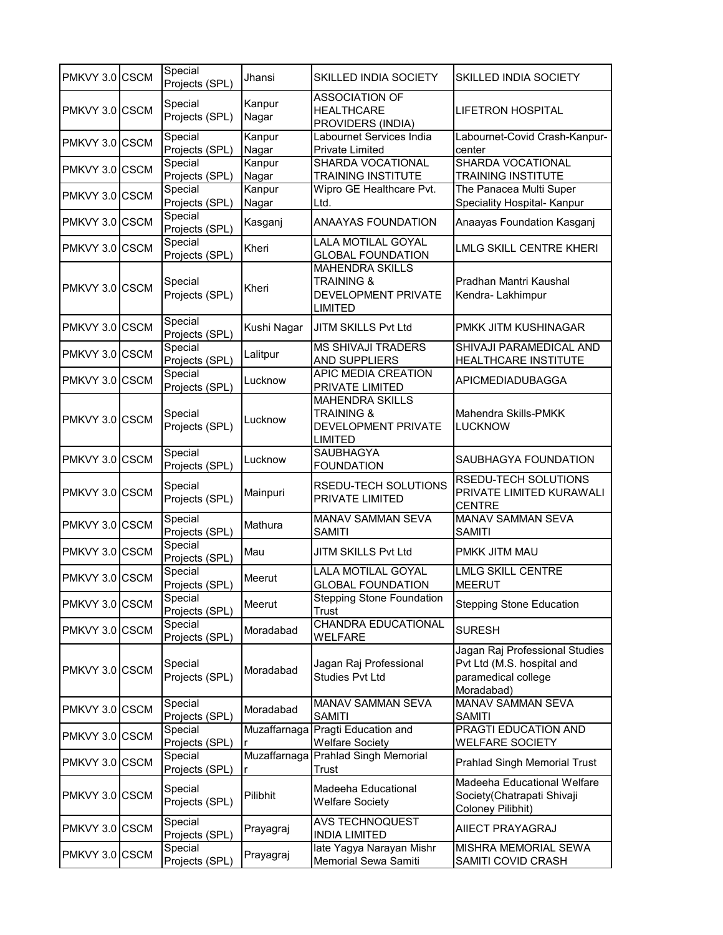| PMKVY 3.0 CSCM | Special<br>Projects (SPL) | Jhansi          | <b>SKILLED INDIA SOCIETY</b>                                                             | SKILLED INDIA SOCIETY                                                                             |
|----------------|---------------------------|-----------------|------------------------------------------------------------------------------------------|---------------------------------------------------------------------------------------------------|
| PMKVY 3.0 CSCM | Special<br>Projects (SPL) | Kanpur<br>Nagar | <b>ASSOCIATION OF</b><br><b>HEALTHCARE</b><br>PROVIDERS (INDIA)                          | LIFETRON HOSPITAL                                                                                 |
| PMKVY 3.0 CSCM | Special<br>Projects (SPL) | Kanpur<br>Nagar | Labournet Services India<br><b>Private Limited</b>                                       | Labournet-Covid Crash-Kanpur-<br>center                                                           |
| PMKVY 3.0 CSCM | Special                   | Kanpur          | SHARDA VOCATIONAL                                                                        | <b>SHARDA VOCATIONAL</b>                                                                          |
|                | Projects (SPL)<br>Special | Nagar<br>Kanpur | <b>TRAINING INSTITUTE</b><br>Wipro GE Healthcare Pvt.                                    | TRAINING INSTITUTE<br>The Panacea Multi Super                                                     |
| PMKVY 3.0 CSCM | Projects (SPL)            | Nagar           | Ltd.                                                                                     | Speciality Hospital- Kanpur                                                                       |
| PMKVY 3.0 CSCM | Special<br>Projects (SPL) | Kasganj         | <b>ANAAYAS FOUNDATION</b>                                                                | Anaayas Foundation Kasganj                                                                        |
| PMKVY 3.0 CSCM | Special<br>Projects (SPL) | Kheri           | LALA MOTILAL GOYAL<br><b>GLOBAL FOUNDATION</b>                                           | LMLG SKILL CENTRE KHERI                                                                           |
| PMKVY 3.0 CSCM | Special<br>Projects (SPL) | Kheri           | <b>MAHENDRA SKILLS</b><br><b>TRAINING &amp;</b><br>DEVELOPMENT PRIVATE<br><b>LIMITED</b> | Pradhan Mantri Kaushal<br>Kendra-Lakhimpur                                                        |
| PMKVY 3.0 CSCM | Special<br>Projects (SPL) | Kushi Nagar     | JITM SKILLS Pvt Ltd                                                                      | PMKK JITM KUSHINAGAR                                                                              |
| PMKVY 3.0 CSCM | Special<br>Projects (SPL) | Lalitpur        | <b>MS SHIVAJI TRADERS</b><br><b>AND SUPPLIERS</b>                                        | SHIVAJI PARAMEDICAL AND<br>HEALTHCARE INSTITUTE                                                   |
| PMKVY 3.0 CSCM | Special<br>Projects (SPL) | Lucknow         | <b>APIC MEDIA CREATION</b><br>PRIVATE LIMITED                                            | APICMEDIADUBAGGA                                                                                  |
| PMKVY 3.0 CSCM | Special<br>Projects (SPL) | Lucknow         | <b>MAHENDRA SKILLS</b><br><b>TRAINING &amp;</b><br>DEVELOPMENT PRIVATE<br><b>LIMITED</b> | Mahendra Skills-PMKK<br>LUCKNOW                                                                   |
| PMKVY 3.0 CSCM | Special<br>Projects (SPL) | Lucknow         | SAUBHAGYA<br><b>FOUNDATION</b>                                                           | SAUBHAGYA FOUNDATION                                                                              |
| PMKVY 3.0 CSCM | Special<br>Projects (SPL) | Mainpuri        | RSEDU-TECH SOLUTIONS<br>PRIVATE LIMITED                                                  | RSEDU-TECH SOLUTIONS<br>PRIVATE LIMITED KURAWALI<br><b>CENTRE</b>                                 |
| PMKVY 3.0 CSCM | Special<br>Projects (SPL) | Mathura         | MANAV SAMMAN SEVA<br><b>SAMITI</b>                                                       | <b>MANAV SAMMAN SEVA</b><br>SAMITI                                                                |
| PMKVY 3.0 CSCM | Special<br>Projects (SPL) | Mau             | JITM SKILLS Pvt Ltd                                                                      | PMKK JITM MAU                                                                                     |
| PMKVY 3.0 CSCM | Special<br>Projects (SPL) | Meerut          | <b>LALA MOTILAL GOYAL</b><br><b>GLOBAL FOUNDATION</b>                                    | <b>LMLG SKILL CENTRE</b><br><b>MEERUT</b>                                                         |
| PMKVY 3.0 CSCM | Special<br>Projects (SPL) | Meerut          | <b>Stepping Stone Foundation</b><br>Trust                                                | <b>Stepping Stone Education</b>                                                                   |
| PMKVY 3.0 CSCM | Special<br>Projects (SPL) | Moradabad       | <b>CHANDRA EDUCATIONAL</b><br><b>WELFARE</b>                                             | <b>SURESH</b>                                                                                     |
| PMKVY 3.0 CSCM | Special<br>Projects (SPL) | Moradabad       | Jagan Raj Professional<br><b>Studies Pvt Ltd</b>                                         | Jagan Raj Professional Studies<br>Pvt Ltd (M.S. hospital and<br>paramedical college<br>Moradabad) |
| PMKVY 3.0 CSCM | Special<br>Projects (SPL) | Moradabad       | MANAV SAMMAN SEVA<br><b>SAMITI</b>                                                       | MANAV SAMMAN SEVA<br>SAMITI                                                                       |
| PMKVY 3.0 CSCM | Special<br>Projects (SPL) | Muzaffarnaga    | Pragti Education and<br><b>Welfare Society</b>                                           | PRAGTI EDUCATION AND<br>WELFARE SOCIETY                                                           |
| PMKVY 3.0 CSCM | Special<br>Projects (SPL) | Muzaffarnaga    | Prahlad Singh Memorial<br><b>Trust</b>                                                   | <b>Prahlad Singh Memorial Trust</b>                                                               |
| PMKVY 3.0 CSCM | Special<br>Projects (SPL) | Pilibhit        | Madeeha Educational<br><b>Welfare Society</b>                                            | Madeeha Educational Welfare<br>Society(Chatrapati Shivaji<br>Coloney Pilibhit)                    |
| PMKVY 3.0 CSCM | Special<br>Projects (SPL) | Prayagraj       | AVS TECHNOQUEST<br><b>INDIA LIMITED</b>                                                  | AIIECT PRAYAGRAJ                                                                                  |
| PMKVY 3.0 CSCM | Special<br>Projects (SPL) | Prayagraj       | late Yagya Narayan Mishr<br>Memorial Sewa Samiti                                         | MISHRA MEMORIAL SEWA<br>SAMITI COVID CRASH                                                        |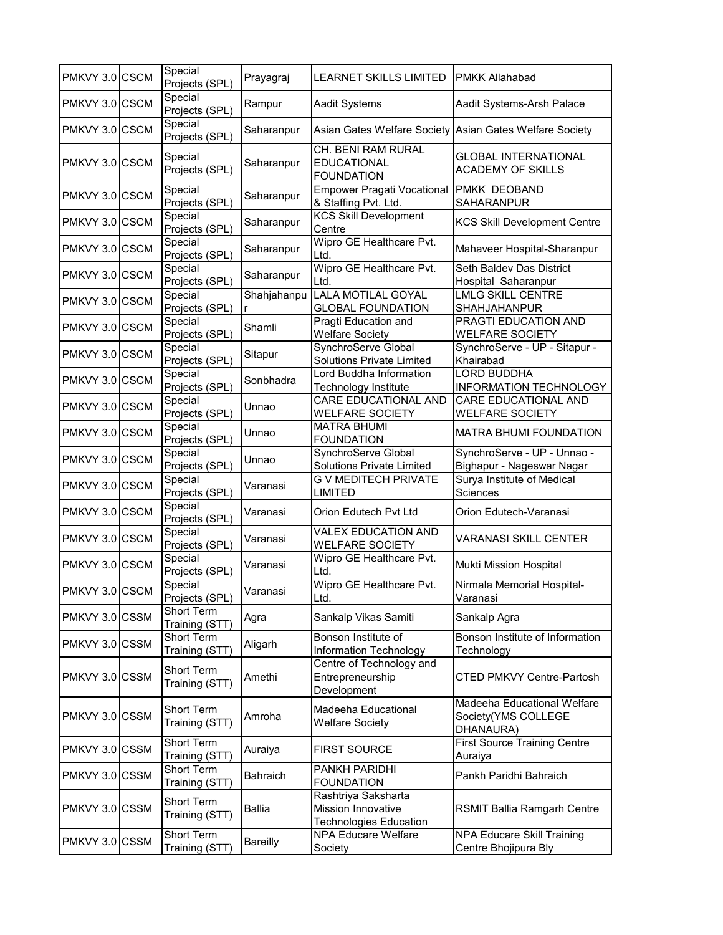| PMKVY 3.0 CSCM | Special<br>Projects (SPL)           | Prayagraj       | <b>LEARNET SKILLS LIMITED</b>                                                     | <b>PMKK Allahabad</b>                                           |
|----------------|-------------------------------------|-----------------|-----------------------------------------------------------------------------------|-----------------------------------------------------------------|
| PMKVY 3.0 CSCM | Special<br>Projects (SPL)           | Rampur          | <b>Aadit Systems</b>                                                              | Aadit Systems-Arsh Palace                                       |
| PMKVY 3.0 CSCM | Special<br>Projects (SPL)           | Saharanpur      |                                                                                   | Asian Gates Welfare Society Asian Gates Welfare Society         |
| PMKVY 3.0 CSCM | Special<br>Projects (SPL)           | Saharanpur      | CH. BENI RAM RURAL<br><b>EDUCATIONAL</b><br><b>FOUNDATION</b>                     | <b>GLOBAL INTERNATIONAL</b><br><b>ACADEMY OF SKILLS</b>         |
| PMKVY 3.0 CSCM | Special<br>Projects (SPL)           | Saharanpur      | <b>Empower Pragati Vocational</b><br>& Staffing Pvt. Ltd.                         | <b>PMKK DEOBAND</b><br>SAHARANPUR                               |
| PMKVY 3.0 CSCM | Special<br>Projects (SPL)           | Saharanpur      | <b>KCS Skill Development</b><br>Centre                                            | <b>KCS Skill Development Centre</b>                             |
| PMKVY 3.0 CSCM | Special<br>Projects (SPL)           | Saharanpur      | Wipro GE Healthcare Pvt.<br>Ltd.                                                  | Mahaveer Hospital-Sharanpur                                     |
| PMKVY 3.0 CSCM | Special<br>Projects (SPL)           | Saharanpur      | Wipro GE Healthcare Pvt.<br>Ltd.                                                  | Seth Baldev Das District<br>Hospital Saharanpur                 |
| PMKVY 3.0 CSCM | Special<br>Projects (SPL)           | Shahjahanpu     | <b>LALA MOTILAL GOYAL</b><br><b>GLOBAL FOUNDATION</b>                             | <b>LMLG SKILL CENTRE</b><br>SHAHJAHANPUR                        |
| PMKVY 3.0 CSCM | Special<br>Projects (SPL)           | Shamli          | Pragti Education and<br><b>Welfare Society</b>                                    | PRAGTI EDUCATION AND<br><b>WELFARE SOCIETY</b>                  |
| PMKVY 3.0 CSCM | Special<br>Projects (SPL)           | Sitapur         | SynchroServe Global<br>Solutions Private Limited                                  | SynchroServe - UP - Sitapur -<br>Khairabad                      |
| PMKVY 3.0 CSCM | Special<br>Projects (SPL)           | Sonbhadra       | Lord Buddha Information<br>Technology Institute                                   | LORD BUDDHA<br>INFORMATION TECHNOLOGY                           |
| PMKVY 3.0 CSCM | Special<br>Projects (SPL)           | Unnao           | CARE EDUCATIONAL AND<br><b>WELFARE SOCIETY</b>                                    | CARE EDUCATIONAL AND<br><b>WELFARE SOCIETY</b>                  |
| PMKVY 3.0 CSCM | Special<br>Projects (SPL)           | Unnao           | <b>MATRA BHUMI</b><br><b>FOUNDATION</b>                                           | <b>MATRA BHUMI FOUNDATION</b>                                   |
| PMKVY 3.0 CSCM | Special<br>Projects (SPL)           | Unnao           | SynchroServe Global<br><b>Solutions Private Limited</b>                           | SynchroServe - UP - Unnao -<br>Bighapur - Nageswar Nagar        |
| PMKVY 3.0 CSCM | Special<br>Projects (SPL)           | Varanasi        | <b>G V MEDITECH PRIVATE</b><br><b>LIMITED</b>                                     | Surya Institute of Medical<br>Sciences                          |
| PMKVY 3.0 CSCM | Special<br>Projects (SPL)           | Varanasi        | Orion Edutech Pvt Ltd                                                             | Orion Edutech-Varanasi                                          |
| PMKVY 3.0 CSCM | Special<br>Projects (SPL)           | Varanasi        | <b>VALEX EDUCATION AND</b><br><b>WELFARE SOCIETY</b>                              | <b>VARANASI SKILL CENTER</b>                                    |
| PMKVY 3.0 CSCM | Special<br>Projects (SPL)           | Varanasi        | Wipro GE Healthcare Pvt.<br>Ltd.                                                  | Mukti Mission Hospital                                          |
| PMKVY 3.0 CSCM | Special<br>Projects (SPL)           | Varanasi        | Wipro GE Healthcare Pvt.<br>Ltd.                                                  | Nirmala Memorial Hospital-<br>Varanasi                          |
| PMKVY 3.0 CSSM | Short Term<br>Training (STT)        | Agra            | Sankalp Vikas Samiti                                                              | Sankalp Agra                                                    |
| PMKVY 3.0 CSSM | Short Term<br>Training (STT)        | Aligarh         | Bonson Institute of<br>Information Technology                                     | Bonson Institute of Information<br>Technology                   |
| PMKVY 3.0 CSSM | Short Term<br>Training (STT)        | Amethi          | Centre of Technology and<br>Entrepreneurship<br>Development                       | <b>CTED PMKVY Centre-Partosh</b>                                |
| PMKVY 3.0 CSSM | Short Term<br>Training (STT)        | Amroha          | Madeeha Educational<br><b>Welfare Society</b>                                     | Madeeha Educational Welfare<br>Society(YMS COLLEGE<br>DHANAURA) |
| PMKVY 3.0 CSSM | <b>Short Term</b><br>Training (STT) | Auraiya         | <b>FIRST SOURCE</b>                                                               | <b>First Source Training Centre</b><br>Auraiya                  |
| PMKVY 3.0 CSSM | Short Term<br>Training (STT)        | Bahraich        | PANKH PARIDHI<br><b>FOUNDATION</b>                                                | Pankh Paridhi Bahraich                                          |
| PMKVY 3.0 CSSM | Short Term<br>Training (STT)        | Ballia          | Rashtriya Saksharta<br><b>Mission Innovative</b><br><b>Technologies Education</b> | RSMIT Ballia Ramgarh Centre                                     |
| PMKVY 3.0 CSSM | Short Term<br>Training (STT)        | <b>Bareilly</b> | <b>NPA Educare Welfare</b><br>Society                                             | NPA Educare Skill Training<br>Centre Bhojipura Bly              |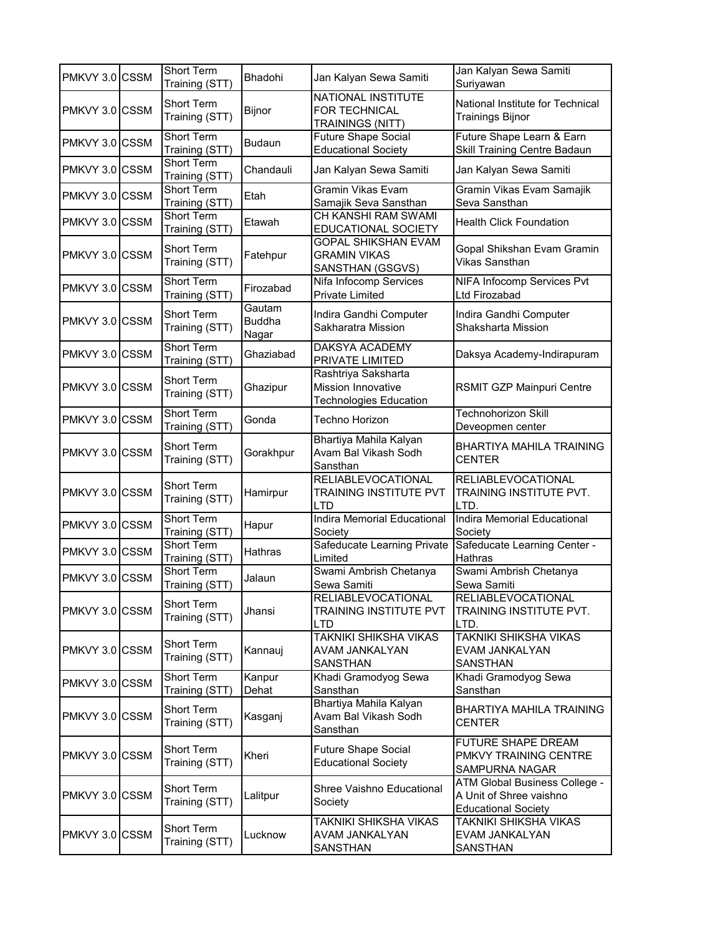| PMKVY 3.0 CSSM | Short Term<br>Training (STT)        | Bhadohi                          | Jan Kalyan Sewa Samiti                                                            | Jan Kalyan Sewa Samiti<br>Suriyawan                                                    |
|----------------|-------------------------------------|----------------------------------|-----------------------------------------------------------------------------------|----------------------------------------------------------------------------------------|
| PMKVY 3.0 CSSM | Short Term<br>Training (STT)        | Bijnor                           | NATIONAL INSTITUTE<br>FOR TECHNICAL<br><b>TRAININGS (NITT)</b>                    | National Institute for Technical<br><b>Trainings Bijnor</b>                            |
| PMKVY 3.0 CSSM | <b>Short Term</b><br>Training (STT) | Budaun                           | <b>Future Shape Social</b><br><b>Educational Society</b>                          | Future Shape Learn & Earn<br>Skill Training Centre Badaun                              |
| PMKVY 3.0 CSSM | Short Term<br>Training (STT)        | Chandauli                        | Jan Kalyan Sewa Samiti                                                            | Jan Kalyan Sewa Samiti                                                                 |
| PMKVY 3.0 CSSM | <b>Short Term</b><br>Training (STT) | Etah                             | <b>Gramin Vikas Evam</b><br>Samajik Seva Sansthan                                 | Gramin Vikas Evam Samajik<br>Seva Sansthan                                             |
| PMKVY 3.0 CSSM | Short Term<br>Training (STT)        | Etawah                           | CH KANSHI RAM SWAMI<br>EDUCATIONAL SOCIETY                                        | <b>Health Click Foundation</b>                                                         |
| PMKVY 3.0 CSSM | Short Term<br>Training (STT)        | Fatehpur                         | <b>GOPAL SHIKSHAN EVAM</b><br><b>GRAMIN VIKAS</b><br>SANSTHAN (GSGVS)             | Gopal Shikshan Evam Gramin<br>Vikas Sansthan                                           |
| PMKVY 3.0 CSSM | <b>Short Term</b><br>Training (STT) | Firozabad                        | Nifa Infocomp Services<br><b>Private Limited</b>                                  | NIFA Infocomp Services Pvt<br>Ltd Firozabad                                            |
| PMKVY 3.0 CSSM | Short Term<br>Training (STT)        | Gautam<br><b>Buddha</b><br>Nagar | Indira Gandhi Computer<br>Sakharatra Mission                                      | Indira Gandhi Computer<br>Shaksharta Mission                                           |
| PMKVY 3.0 CSSM | Short Term<br>Training (STT)        | Ghaziabad                        | DAKSYA ACADEMY<br>PRIVATE LIMITED                                                 | Daksya Academy-Indirapuram                                                             |
| PMKVY 3.0 CSSM | Short Term<br>Training (STT)        | Ghazipur                         | Rashtriya Saksharta<br><b>Mission Innovative</b><br><b>Technologies Education</b> | RSMIT GZP Mainpuri Centre                                                              |
| PMKVY 3.0 CSSM | Short Term<br>Training (STT)        | Gonda                            | Techno Horizon                                                                    | <b>Technohorizon Skill</b><br>Deveopmen center                                         |
| PMKVY 3.0 CSSM | Short Term<br>Training (STT)        | Gorakhpur                        | Bhartiya Mahila Kalyan<br>Avam Bal Vikash Sodh<br>Sansthan                        | <b>BHARTIYA MAHILA TRAINING</b><br><b>CENTER</b>                                       |
| PMKVY 3.0 CSSM | <b>Short Term</b><br>Training (STT) | Hamirpur                         | <b>RELIABLEVOCATIONAL</b><br>TRAINING INSTITUTE PVT<br>LTD                        | <b>RELIABLEVOCATIONAL</b><br>TRAINING INSTITUTE PVT.<br>LTD.                           |
| PMKVY 3.0 CSSM | <b>Short Term</b><br>Training (STT) | Hapur                            | <b>Indira Memorial Educational</b><br>Society                                     | Indira Memorial Educational<br>Society                                                 |
| PMKVY 3.0 CSSM | Short Term<br>Training (STT)        | Hathras                          | Safeducate Learning Private<br>Limited                                            | Safeducate Learning Center -<br>Hathras                                                |
| PMKVY 3.0 CSSM | Short Term<br>Training (STT)        | Jalaun                           | Swami Ambrish Chetanya<br>Sewa Samiti                                             | Swami Ambrish Chetanya<br>Sewa Samiti                                                  |
| PMKVY 3.0 CSSM | Short Term<br>Training (STT)        | Jhansi                           | <b>RELIABLEVOCATIONAL</b><br>TRAINING INSTITUTE PVT<br><b>LTD</b>                 | <b>RELIABLEVOCATIONAL</b><br>TRAINING INSTITUTE PVT.<br>LTD.                           |
| PMKVY 3.0 CSSM | Short Term<br>Training (STT)        | Kannauj                          | TAKNIKI SHIKSHA VIKAS<br>AVAM JANKALYAN<br><b>SANSTHAN</b>                        | TAKNIKI SHIKSHA VIKAS<br>EVAM JANKALYAN<br>SANSTHAN                                    |
| PMKVY 3.0 CSSM | Short Term<br>Training (STT)        | Kanpur<br>Dehat                  | Khadi Gramodyog Sewa<br>Sansthan                                                  | Khadi Gramodyog Sewa<br>Sansthan                                                       |
| PMKVY 3.0 CSSM | Short Term<br>Training (STT)        | Kasganj                          | Bhartiya Mahila Kalyan<br>Avam Bal Vikash Sodh<br>Sansthan                        | <b>BHARTIYA MAHILA TRAINING</b><br><b>CENTER</b>                                       |
| PMKVY 3.0 CSSM | Short Term<br>Training (STT)        | Kheri                            | <b>Future Shape Social</b><br><b>Educational Society</b>                          | <b>FUTURE SHAPE DREAM</b><br>PMKVY TRAINING CENTRE<br>SAMPURNA NAGAR                   |
| PMKVY 3.0 CSSM | Short Term<br>Training (STT)        | Lalitpur                         | Shree Vaishno Educational<br>Society                                              | ATM Global Business College -<br>A Unit of Shree vaishno<br><b>Educational Society</b> |
| PMKVY 3.0 CSSM | Short Term<br>Training (STT)        | Lucknow                          | TAKNIKI SHIKSHA VIKAS<br>AVAM JANKALYAN<br>SANSTHAN                               | TAKNIKI SHIKSHA VIKAS<br>EVAM JANKALYAN<br>SANSTHAN                                    |